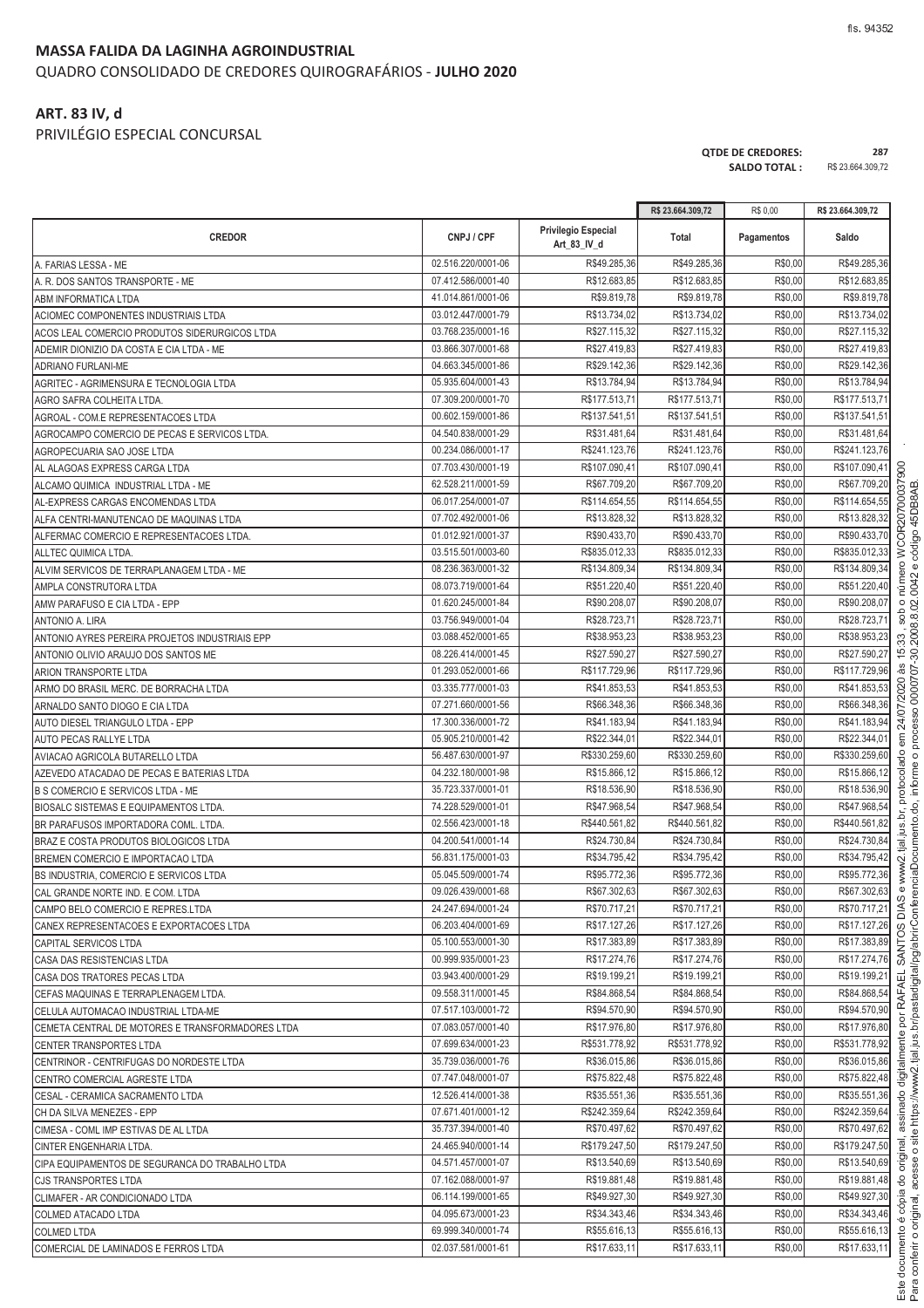#### **MASSA FALIDA DA LAGINHA AGROINDUSTRIAL** QUADRO CONSOLIDADO DE CREDORES QUIROGRAFÁRIOS - **JULHO 2020**

#### **ART. 83 IV, d**

PRIVILÉGIO ESPECIAL CONCURSAL

|                                                  |                    |                                           | R\$ 23.664.309,72 | R\$ 0,00   | R\$ 23.664.309,72 |
|--------------------------------------------------|--------------------|-------------------------------------------|-------------------|------------|-------------------|
| <b>CREDOR</b>                                    | CNPJ / CPF         | <b>Privilegio Especial</b><br>Art_83_IV_d | Total             | Pagamentos | Saldo             |
| A. FARIAS LESSA - ME                             | 02.516.220/0001-06 | R\$49.285,36                              | R\$49.285,36      | R\$0,00    | R\$49.285,36      |
| A. R. DOS SANTOS TRANSPORTE - ME                 | 07.412.586/0001-40 | R\$12.683,85                              | R\$12.683,85      | R\$0,00    | R\$12.683,85      |
| <b>ABM INFORMATICA LTDA</b>                      | 41.014.861/0001-06 | R\$9.819,78                               | R\$9.819,78       | R\$0,00    | R\$9.819,78       |
| ACIOMEC COMPONENTES INDUSTRIAIS LTDA             | 03.012.447/0001-79 | R\$13.734,02                              | R\$13.734,02      | R\$0,00    | R\$13.734,02      |
| ACOS LEAL COMERCIO PRODUTOS SIDERURGICOS LTDA    | 03.768.235/0001-16 | R\$27.115,32                              | R\$27.115,32      | R\$0,00    | R\$27.115,32      |
| ADEMIR DIONIZIO DA COSTA E CIA LTDA - ME         | 03.866.307/0001-68 | R\$27.419,83                              | R\$27.419,83      | R\$0,00    | R\$27.419,83      |
| <b>ADRIANO FURLANI-ME</b>                        | 04.663.345/0001-86 | R\$29.142,36                              | R\$29.142,36      | R\$0,00    | R\$29.142,36      |
| AGRITEC - AGRIMENSURA E TECNOLOGIA LTDA          | 05.935.604/0001-43 | R\$13.784,94                              | R\$13.784,94      | R\$0,00    | R\$13.784,94      |
| AGRO SAFRA COLHEITA LTDA.                        | 07.309.200/0001-70 | R\$177.513,71                             | R\$177.513,71     | R\$0,00    | R\$177.513,71     |
| AGROAL - COM.E REPRESENTACOES LTDA               | 00.602.159/0001-86 | R\$137.541,51                             | R\$137.541,51     | R\$0,00    | R\$137.541,51     |
| AGROCAMPO COMERCIO DE PECAS E SERVICOS LTDA.     | 04.540.838/0001-29 | R\$31.481,64                              | R\$31.481,64      | R\$0,00    | R\$31.481,64      |
| AGROPECUARIA SAO JOSE LTDA                       | 00.234.086/0001-17 | R\$241.123,76                             | R\$241.123,76     | R\$0,00    | R\$241.123,76     |
| AL ALAGOAS EXPRESS CARGA LTDA                    | 07.703.430/0001-19 | R\$107.090,41                             | R\$107.090,41     | R\$0,00    | R\$107.090,41     |
| ALCAMO QUIMICA INDUSTRIAL LTDA - ME              | 62.528.211/0001-59 | R\$67.709,20                              | R\$67.709,20      | R\$0,00    | R\$67.709,20      |
| AL-EXPRESS CARGAS ENCOMENDAS LTDA                | 06.017.254/0001-07 | R\$114.654,55                             | R\$114.654,55     | R\$0,00    | R\$114.654,55     |
| ALFA CENTRI-MANUTENCAO DE MAQUINAS LTDA          | 07.702.492/0001-06 | R\$13.828.32                              | R\$13,828,32      | R\$0,00    | R\$13.828,32      |
| ALFERMAC COMERCIO E REPRESENTACOES LTDA.         | 01.012.921/0001-37 | R\$90.433,70                              | R\$90.433,70      | R\$0,00    | R\$90.433,70      |
| ALLTEC QUIMICA LTDA.                             | 03.515.501/0003-60 | R\$835.012,33                             | R\$835.012,33     | R\$0,00    | R\$835.012,33     |
| ALVIM SERVICOS DE TERRAPLANAGEM LTDA - ME        | 08.236.363/0001-32 | R\$134.809,34                             | R\$134.809,34     | R\$0,00    | R\$134.809,34     |
| AMPLA CONSTRUTORA LTDA                           | 08.073.719/0001-64 | R\$51.220,40                              | R\$51.220,40      | R\$0,00    | R\$51.220,40      |
| AMW PARAFUSO E CIA LTDA - EPP                    | 01.620.245/0001-84 | R\$90.208,07                              | R\$90.208,07      | R\$0,00    | R\$90.208,07      |
| ANTONIO A. LIRA                                  | 03.756.949/0001-04 | R\$28.723,71                              | R\$28.723,71      | R\$0,00    | R\$28.723,71      |
| ANTONIO AYRES PEREIRA PROJETOS INDUSTRIAIS EPP   | 03.088.452/0001-65 | R\$38.953,23                              | R\$38.953,23      | R\$0,00    | R\$38.953,23      |
| ANTONIO OLIVIO ARAUJO DOS SANTOS ME              | 08.226.414/0001-45 | R\$27.590,27                              | R\$27.590,27      | R\$0,00    | R\$27.590,27      |
| ARION TRANSPORTE LTDA                            | 01.293.052/0001-66 | R\$117.729,96                             | R\$117.729,96     | R\$0,00    | R\$117.729,96     |
| ARMO DO BRASIL MERC. DE BORRACHA LTDA            | 03.335.777/0001-03 | R\$41.853,53                              | R\$41.853,53      | R\$0,00    | R\$41.853,53      |
| ARNALDO SANTO DIOGO E CIA LTDA                   | 07.271.660/0001-56 | R\$66.348,36                              | R\$66.348,36      | R\$0,00    | R\$66.348,36      |
| AUTO DIESEL TRIANGULO LTDA - EPP                 | 17.300.336/0001-72 | R\$41.183,94                              | R\$41.183,94      | R\$0,00    | R\$41.183,94      |
| AUTO PECAS RALLYE LTDA                           | 05.905.210/0001-42 | R\$22.344,01                              | R\$22.344,01      | R\$0,00    | R\$22.344,01      |
| AVIACAO AGRICOLA BUTARELLO LTDA                  | 56.487.630/0001-97 | R\$330.259,60                             | R\$330.259,60     | R\$0,00    | R\$330.259,60     |
| AZEVEDO ATACADAO DE PECAS E BATERIAS LTDA        | 04.232.180/0001-98 | R\$15.866,12                              | R\$15.866,12      | R\$0,00    | R\$15.866,12      |
| B S COMERCIO E SERVICOS LTDA - ME                | 35.723.337/0001-01 | R\$18.536,90                              | R\$18.536,90      | R\$0,00    | R\$18.536,90      |
| BIOSALC SISTEMAS E EQUIPAMENTOS LTDA.            | 74.228.529/0001-01 | R\$47.968,54                              | R\$47.968,54      | R\$0,00    | R\$47.968,54      |
| BR PARAFUSOS IMPORTADORA COML. LTDA.             | 02.556.423/0001-18 | R\$440.561,82                             | R\$440.561,82     | R\$0,00    | R\$440.561,82     |
| BRAZ E COSTA PRODUTOS BIOLOGICOS LTDA            | 04.200.541/0001-14 | R\$24.730,84                              | R\$24.730,84      | R\$0,00    | R\$24.730,84      |
| BREMEN COMERCIO E IMPORTACAO LTDA                | 56.831.175/0001-03 | R\$34.795,42                              | R\$34.795,42      | R\$0,00    | R\$34.795,42      |
| BS INDUSTRIA, COMERCIO E SERVICOS LTDA           | 05.045.509/0001-74 | R\$95.772,36                              | R\$95.772,36      | R\$0,00    | R\$95.772,36      |
| CAL GRANDE NORTE IND. E COM. LTDA                | 09.026.439/0001-68 | R\$67.302,63                              | R\$67.302,63      | R\$0,00    | R\$67.302,63      |
| CAMPO BELO COMERCIO E REPRES.LTDA                | 24.247.694/0001-24 | R\$70.717,21                              | R\$70.717,21      | R\$0,00    | R\$70.717,21      |
| CANEX REPRESENTACOES E EXPORTACOES LTDA          | 06.203.404/0001-69 | R\$17.127,26                              | R\$17.127,26      | R\$0,00    | R\$17.127,26      |
| CAPITAL SERVICOS LTDA                            | 05.100.553/0001-30 | R\$17.383,89                              | R\$17.383,89      | R\$0,00    | R\$17.383,89      |
| CASA DAS RESISTENCIAS LTDA                       | 00.999.935/0001-23 | R\$17.274,76                              | R\$17.274,76      | R\$0,00    | R\$17.274,76      |
| CASA DOS TRATORES PECAS LTDA                     | 03.943.400/0001-29 | R\$19.199,21                              | R\$19.199,21      | R\$0,00    | R\$19.199,21      |
| CEFAS MAQUINAS E TERRAPLENAGEM LTDA.             | 09.558.311/0001-45 | R\$84.868.54                              | R\$84.868,54      | R\$0,00    | R\$84.868,54      |
| CELULA AUTOMACAO INDUSTRIAL LTDA-ME              | 07.517.103/0001-72 | R\$94.570,90                              | R\$94.570,90      | R\$0,00    | R\$94.570,90      |
| CEMETA CENTRAL DE MOTORES E TRANSFORMADORES LTDA | 07.083.057/0001-40 | R\$17.976,80                              | R\$17.976,80      | R\$0,00    | R\$17.976,80      |
| CENTER TRANSPORTES LTDA                          | 07.699.634/0001-23 | R\$531.778,92                             | R\$531.778,92     | R\$0,00    | R\$531.778,92     |
| CENTRINOR - CENTRIFUGAS DO NORDESTE LTDA         | 35.739.036/0001-76 | R\$36.015,86                              | R\$36.015,86      | R\$0,00    | R\$36.015,86      |
| CENTRO COMERCIAL AGRESTE LTDA                    | 07.747.048/0001-07 | R\$75.822,48                              | R\$75.822,48      | R\$0,00    | R\$75.822,48      |
| CESAL - CERAMICA SACRAMENTO LTDA                 | 12.526.414/0001-38 | R\$35.551,36                              | R\$35.551,36      | R\$0,00    | R\$35.551,36      |
| CH DA SILVA MENEZES - EPP                        | 07.671.401/0001-12 | R\$242.359,64                             | R\$242.359,64     | R\$0,00    | R\$242.359,64     |
| CIMESA - COML IMP ESTIVAS DE AL LTDA             | 35.737.394/0001-40 | R\$70.497,62                              | R\$70.497,62      | R\$0,00    | R\$70.497,62      |
| CINTER ENGENHARIA LTDA.                          | 24.465.940/0001-14 | R\$179.247,50                             | R\$179.247,50     | R\$0,00    | R\$179.247,50     |
| CIPA EQUIPAMENTOS DE SEGURANCA DO TRABALHO LTDA  | 04.571.457/0001-07 | R\$13.540,69                              | R\$13.540,69      | R\$0,00    | R\$13.540,69      |
| CJS TRANSPORTES LTDA                             | 07.162.088/0001-97 | R\$19.881,48                              | R\$19.881,48      | R\$0,00    | R\$19.881,48      |
| CLIMAFER - AR CONDICIONADO LTDA                  | 06.114.199/0001-65 | R\$49.927,30                              | R\$49.927,30      | R\$0,00    | R\$49.927,30      |
| COLMED ATACADO LTDA                              | 04.095.673/0001-23 | R\$34.343,46                              | R\$34.343,46      | R\$0,00    | R\$34.343,46      |
| COLMED LTDA                                      | 69.999.340/0001-74 | R\$55.616,13                              | R\$55.616,13      | R\$0,00    | R\$55.616,13      |

COMERCIAL DE LAMINADOS E FERROS LTDA 02.037.581/0001-61 R\$17.633,11 R\$17.633,11 R\$0,00 R\$17.633,11

**QTDE DE CREDORES:** 287<br>**SALDO TOTAL :** R\$ 23.664.309.72

SALDO TOTAL :

onferir o original acess i Î https://www2.tial.ius.br/pastadigital/pg/abrirConferenci j ento.do. inform processo 000070730 2008 8 02 0042 ádigo 45DB8AB Í ento é cópi mletinih obenizae leninino ol ֧֖֖֧֧֚֚֚֚֚֚֚֚֚֚֚֚֚֚֚֚֝֝֓<u>֚֓</u> , C < - L < C + - < C + - < C + - < C + - < C + - < C + - < C + - < C + - < C + - < C + - < C + - < C + - < C + - < C + - < C + - < C + - < C + - < C + - < C + - < C + - < C + - < C + - < C + - < C + - < C + - < C + - < C ww2.tial.ius.br. protocolado 1 24/07/2020 às 15:33 . sob o número c c m c c l c l c l c c l

ة<br>أ

&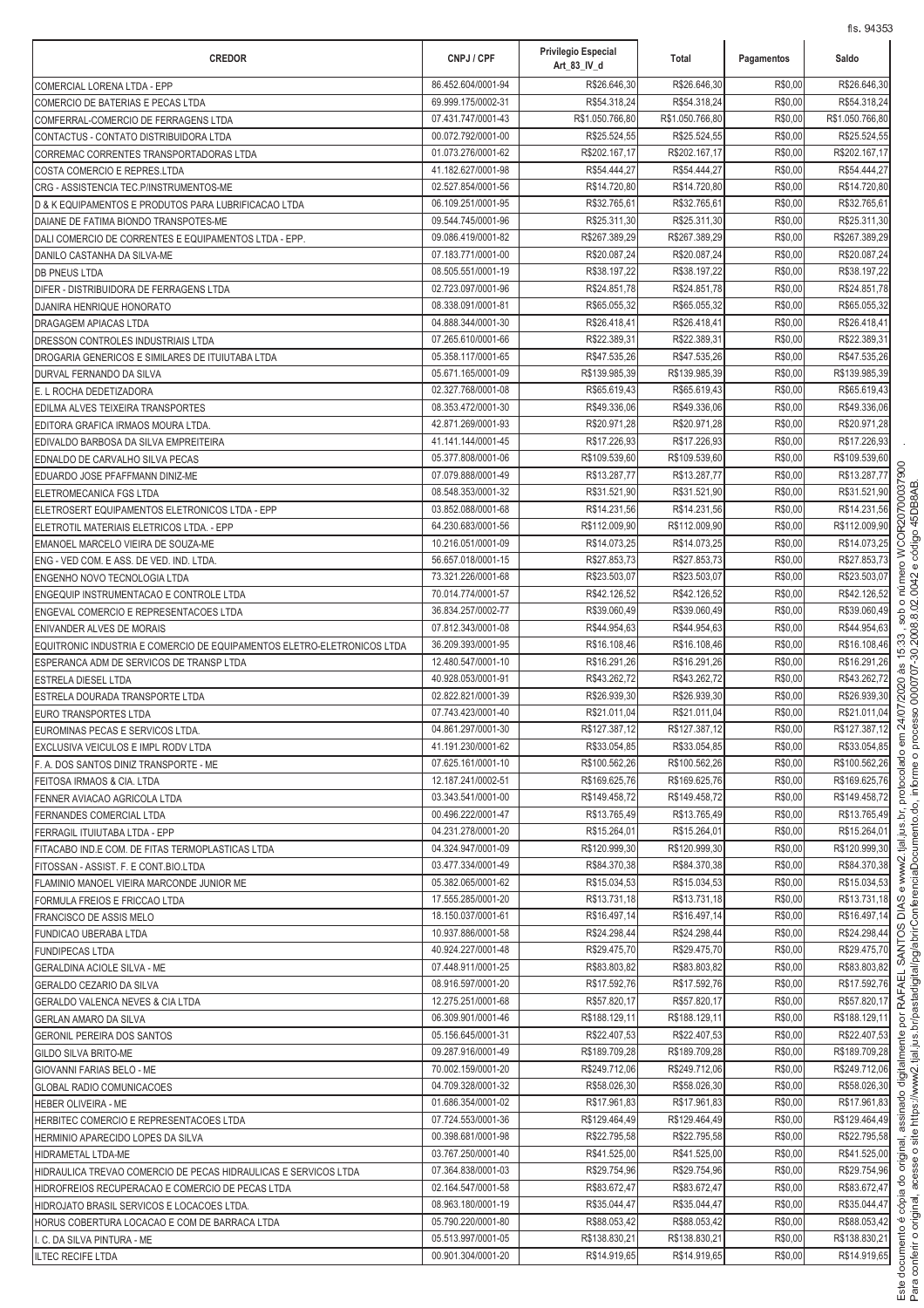| <b>CREDOR</b>                                                                                                       | CNPJ / CPF                               | Privilegio Especial<br>Art_83_IV_d | Total                         | Pagamentos         | Saldo                         |
|---------------------------------------------------------------------------------------------------------------------|------------------------------------------|------------------------------------|-------------------------------|--------------------|-------------------------------|
| COMERCIAL LORENA LTDA - EPP                                                                                         | 86.452.604/0001-94                       | R\$26.646,30                       | R\$26.646,30                  | R\$0,00            | R\$26.646,30                  |
| COMERCIO DE BATERIAS E PECAS LTDA                                                                                   | 69.999.175/0002-31                       | R\$54.318,24                       | R\$54.318,24                  | R\$0,00            | R\$54.318,24                  |
| COMFERRAL-COMERCIO DE FERRAGENS LTDA                                                                                | 07.431.747/0001-43                       | R\$1.050.766,80                    | R\$1.050.766,80               | R\$0,00            | R\$1.050.766,80               |
| CONTACTUS - CONTATO DISTRIBUIDORA LTDA                                                                              | 00.072.792/0001-00<br>01.073.276/0001-62 | R\$25.524,55<br>R\$202.167,17      | R\$25.524,55<br>R\$202.167,17 | R\$0,00<br>R\$0,00 | R\$25.524,55<br>R\$202.167,17 |
| CORREMAC CORRENTES TRANSPORTADORAS LTDA<br>COSTA COMERCIO E REPRES.LTDA                                             | 41.182.627/0001-98                       | R\$54.444,27                       | R\$54.444,27                  | R\$0,00            | R\$54.444,27                  |
| CRG - ASSISTENCIA TEC.P/INSTRUMENTOS-ME                                                                             | 02.527.854/0001-56                       | R\$14.720,80                       | R\$14.720,80                  | R\$0,00            | R\$14.720,80                  |
| D & K EQUIPAMENTOS E PRODUTOS PARA LUBRIFICACAO LTDA                                                                | 06.109.251/0001-95                       | R\$32.765,61                       | R\$32.765,61                  | R\$0,00            | R\$32.765,61                  |
| DAIANE DE FATIMA BIONDO TRANSPOTES-ME                                                                               | 09.544.745/0001-96                       | R\$25.311,30                       | R\$25.311,30                  | R\$0,00            | R\$25.311,30                  |
| DALI COMERCIO DE CORRENTES E EQUIPAMENTOS LTDA - EPP.                                                               | 09.086.419/0001-82                       | R\$267.389,29                      | R\$267.389,29                 | R\$0,00            | R\$267.389,29                 |
| DANILO CASTANHA DA SILVA-ME                                                                                         | 07.183.771/0001-00                       | R\$20.087,24                       | R\$20.087,24                  | R\$0,00            | R\$20.087,24                  |
| <b>DB PNEUS LTDA</b>                                                                                                | 08.505.551/0001-19                       | R\$38.197,22                       | R\$38.197,22                  | R\$0,00            | R\$38.197,22                  |
| DIFER - DISTRIBUIDORA DE FERRAGENS LTDA<br>DJANIRA HENRIQUE HONORATO                                                | 02.723.097/0001-96<br>08.338.091/0001-81 | R\$24.851,78<br>R\$65.055,32       | R\$24.851,78<br>R\$65.055,32  | R\$0,00<br>R\$0,00 | R\$24.851,78<br>R\$65.055,32  |
| DRAGAGEM APIACAS LTDA                                                                                               | 04.888.344/0001-30                       | R\$26.418,41                       | R\$26.418,41                  | R\$0,00            | R\$26.418,41                  |
| DRESSON CONTROLES INDUSTRIAIS LTDA                                                                                  | 07.265.610/0001-66                       | R\$22.389,31                       | R\$22.389,31                  | R\$0,00            | R\$22.389,31                  |
| DROGARIA GENERICOS E SIMILARES DE ITUIUTABA LTDA                                                                    | 05.358.117/0001-65                       | R\$47.535,26                       | R\$47.535,26                  | R\$0,00            | R\$47.535,26                  |
| DURVAL FERNANDO DA SILVA                                                                                            | 05.671.165/0001-09                       | R\$139.985,39                      | R\$139.985,39                 | R\$0,00            | R\$139.985,39                 |
| E. L ROCHA DEDETIZADORA                                                                                             | 02.327.768/0001-08                       | R\$65.619,43                       | R\$65.619,43                  | R\$0,00            | R\$65.619,43                  |
| EDILMA ALVES TEIXEIRA TRANSPORTES                                                                                   | 08.353.472/0001-30                       | R\$49.336,06                       | R\$49.336,06                  | R\$0,00            | R\$49.336,06                  |
| EDITORA GRAFICA IRMAOS MOURA LTDA                                                                                   | 42.871.269/0001-93<br>41.141.144/0001-45 | R\$20.971.28<br>R\$17.226,93       | R\$20.971,28<br>R\$17.226,93  | R\$0,00<br>R\$0,00 | R\$20.971,28<br>R\$17.226,93  |
| EDIVALDO BARBOSA DA SILVA EMPREITEIRA<br>EDNALDO DE CARVALHO SILVA PECAS                                            | 05.377.808/0001-06                       | R\$109.539,60                      | R\$109.539,60                 | R\$0,00            | R\$109.539,60                 |
| EDUARDO JOSE PFAFFMANN DINIZ-ME                                                                                     | 07.079.888/0001-49                       | R\$13.287,77                       | R\$13.287,77                  | R\$0,00            | R\$13.287,77                  |
| ELETROMECANICA FGS LTDA                                                                                             | 08.548.353/0001-32                       | R\$31.521,90                       | R\$31.521,90                  | R\$0,00            | R\$31.521,90                  |
| ELETROSERT EQUIPAMENTOS ELETRONICOS LTDA - EPP                                                                      | 03.852.088/0001-68                       | R\$14.231,56                       | R\$14.231,56                  | R\$0,00            | R\$14.231,56                  |
| ELETROTIL MATERIAIS ELETRICOS LTDA. - EPP                                                                           | 64.230.683/0001-56                       | R\$112.009,90                      | R\$112.009,90                 | R\$0,00            | R\$112.009,90                 |
| EMANOEL MARCELO VIEIRA DE SOUZA-ME                                                                                  | 10.216.051/0001-09                       | R\$14.073,25                       | R\$14.073,25                  | R\$0,00            | R\$14.073,25                  |
| ENG - VED COM. E ASS. DE VED. IND. LTDA.                                                                            | 56.657.018/0001-15                       | R\$27.853,73                       | R\$27.853,73                  | R\$0,00            | R\$27.853,73                  |
| <b>ENGENHO NOVO TECNOLOGIA LTDA</b>                                                                                 | 73.321.226/0001-68                       | R\$23.503,07                       | R\$23.503,07                  | R\$0,00            | R\$23.503,07                  |
| ENGEQUIP INSTRUMENTACAO E CONTROLE LTDA                                                                             | 70.014.774/0001-57<br>36.834.257/0002-77 | R\$42.126,52<br>R\$39.060,49       | R\$42.126,52<br>R\$39.060,49  | R\$0,00<br>R\$0,00 | R\$42.126,52<br>R\$39.060,49  |
| ENGEVAL COMERCIO E REPRESENTACOES LTDA<br><b>ENIVANDER ALVES DE MORAIS</b>                                          | 07.812.343/0001-08                       | R\$44.954,63                       | R\$44.954,63                  | R\$0,00            | R\$44.954,63                  |
| EQUITRONIC INDUSTRIA E COMERCIO DE EQUIPAMENTOS ELETRO-ELETRONICOS LTDA                                             | 36.209.393/0001-95                       | R\$16.108,46                       | R\$16.108,46                  | R\$0,00            | R\$16.108,46                  |
| ESPERANCA ADM DE SERVICOS DE TRANSP LTDA                                                                            | 12.480.547/0001-10                       | R\$16.291,26                       | R\$16.291,26                  | R\$0,00            | R\$16.291,26                  |
| <b>ESTRELA DIESEL LTDA</b>                                                                                          | 40.928.053/0001-91                       | R\$43.262,72                       | R\$43.262,72                  | R\$0,00            | R\$43.262,72                  |
| ESTRELA DOURADA TRANSPORTE LTDA                                                                                     | 02.822.821/0001-39                       | R\$26.939,30                       | R\$26.939,30                  | R\$0,00            | R\$26.939,30                  |
| <b>EURO TRANSPORTES LTDA</b>                                                                                        | 07.743.423/0001-40                       | R\$21.011,04                       | R\$21.011,04                  | R\$0,00            | R\$21.011,04                  |
| EUROMINAS PECAS E SERVICOS LTDA.                                                                                    | 04.861.297/0001-30<br>41.191.230/0001-62 | R\$127.387,12<br>R\$33.054,85      | R\$127.387,12<br>R\$33.054,85 | R\$0,00<br>R\$0,00 | R\$127.387,12<br>R\$33.054,85 |
| EXCLUSIVA VEICULOS E IMPL RODV LTDA<br>F. A. DOS SANTOS DINIZ TRANSPORTE - ME                                       | 07.625.161/0001-10                       | R\$100.562,26                      | R\$100.562,26                 | R\$0,00            | R\$100.562,26                 |
| FEITOSA IRMAOS & CIA. LTDA                                                                                          | 12.187.241/0002-51                       | R\$169.625,76                      | R\$169.625,76                 | R\$0,00            | R\$169.625,76                 |
| FENNER AVIACAO AGRICOLA LTDA                                                                                        | 03.343.541/0001-00                       | R\$149.458,72                      | R\$149.458,72                 | R\$0,00            | R\$149.458,72                 |
| <b>FERNANDES COMERCIAL LTDA</b>                                                                                     | 00.496.222/0001-47                       | R\$13.765,49                       | R\$13.765,49                  | R\$0,00            | R\$13.765,49                  |
| FERRAGIL ITUIUTABA LTDA - EPP                                                                                       | 04.231.278/0001-20                       | R\$15.264,01                       | R\$15.264,01                  | R\$0,00            | R\$15.264,01                  |
| FITACABO IND.E COM. DE FITAS TERMOPLASTICAS LTDA                                                                    | 04.324.947/0001-09                       | R\$120.999,30                      | R\$120.999,30                 | R\$0,00            | R\$120.999,30                 |
| FITOSSAN - ASSIST. F. E CONT.BIO.LTDA                                                                               | 03.477.334/0001-49                       | R\$84.370,38                       | R\$84.370,38                  | R\$0,00<br>R\$0,00 | R\$84.370.38                  |
| FLAMINIO MANOEL VIEIRA MARCONDE JUNIOR ME<br>FORMULA FREIOS E FRICCAO LTDA                                          | 05.382.065/0001-62<br>17.555.285/0001-20 | R\$15.034,53<br>R\$13.731,18       | R\$15.034,53<br>R\$13.731,18  | R\$0,00            | R\$15.034,53<br>R\$13.731,18  |
| <b>FRANCISCO DE ASSIS MELO</b>                                                                                      | 18.150.037/0001-61                       | R\$16.497,14                       | R\$16.497,14                  | R\$0,00            | R\$16.497,14                  |
| FUNDICAO UBERABA LTDA                                                                                               | 10.937.886/0001-58                       | R\$24.298,44                       | R\$24.298,44                  | R\$0,00            | R\$24.298,44                  |
| <b>FUNDIPECAS LTDA</b>                                                                                              | 40.924.227/0001-48                       | R\$29.475,70                       | R\$29.475,70                  | R\$0,00            | R\$29.475,70                  |
| <b>GERALDINA ACIOLE SILVA - ME</b>                                                                                  | 07.448.911/0001-25                       | R\$83.803,82                       | R\$83.803,82                  | R\$0,00            | R\$83.803,82                  |
| <b>GERALDO CEZARIO DA SILVA</b>                                                                                     | 08.916.597/0001-20                       | R\$17.592,76                       | R\$17.592,76                  | R\$0,00            | R\$17.592,76                  |
| <b>GERALDO VALENCA NEVES &amp; CIA LTDA</b>                                                                         | 12.275.251/0001-68                       | R\$57.820,17                       | R\$57.820,17                  | R\$0,00            | R\$57.820,17                  |
| <b>GERLAN AMARO DA SILVA</b>                                                                                        | 06.309.901/0001-46<br>05.156.645/0001-31 | R\$188.129,11<br>R\$22.407,53      | R\$188.129,11<br>R\$22.407,53 | R\$0,00<br>R\$0,00 | R\$188.129,11<br>R\$22.407,53 |
| <b>GERONIL PEREIRA DOS SANTOS</b><br><b>GILDO SILVA BRITO-ME</b>                                                    | 09.287.916/0001-49                       | R\$189.709,28                      | R\$189.709,28                 | R\$0,00            | R\$189.709,28                 |
| GIOVANNI FARIAS BELO - ME                                                                                           | 70.002.159/0001-20                       | R\$249.712,06                      | R\$249.712,06                 | R\$0,00            | R\$249.712,06                 |
| <b>GLOBAL RADIO COMUNICACOES</b>                                                                                    | 04.709.328/0001-32                       | R\$58.026,30                       | R\$58.026,30                  | R\$0,00            | R\$58.026,30                  |
| HEBER OLIVEIRA - ME                                                                                                 | 01.686.354/0001-02                       | R\$17.961,83                       | R\$17.961,83                  | R\$0,00            | R\$17.961,83                  |
| HERBITEC COMERCIO E REPRESENTACOES LTDA                                                                             | 07.724.553/0001-36                       | R\$129.464,49                      | R\$129.464,49                 | R\$0,00            | R\$129.464,49                 |
| HERMINIO APARECIDO LOPES DA SILVA                                                                                   | 00.398.681/0001-98                       | R\$22.795,58                       | R\$22.795,58                  | R\$0,00            | R\$22.795,58                  |
| <b>HIDRAMETAL LTDA-ME</b>                                                                                           | 03.767.250/0001-40<br>07.364.838/0001-03 | R\$41.525,00<br>R\$29.754,96       | R\$41.525,00<br>R\$29.754,96  | R\$0,00<br>R\$0,00 | R\$41.525,00<br>R\$29.754,96  |
| HIDRAULICA TREVAO COMERCIO DE PECAS HIDRAULICAS E SERVICOS LTDA<br>HIDROFREIOS RECUPERACAO E COMERCIO DE PECAS LTDA | 02.164.547/0001-58                       | R\$83.672,47                       | R\$83.672,47                  | R\$0,00            | R\$83.672,47                  |
| HIDROJATO BRASIL SERVICOS E LOCACOES LTDA.                                                                          | 08.963.180/0001-19                       | R\$35.044,47                       | R\$35.044,47                  | R\$0,00            | R\$35.044,47                  |
| HORUS COBERTURA LOCACAO E COM DE BARRACA LTDA                                                                       | 05.790.220/0001-80                       | R\$88.053,42                       | R\$88.053,42                  | R\$0,00            | R\$88.053,42                  |
| I. C. DA SILVA PINTURA - ME                                                                                         | 05.513.997/0001-05                       | R\$138.830,21                      | R\$138.830,21                 | R\$0,00            | R\$138.830,21                 |
| <b>ILTEC RECIFE LTDA</b>                                                                                            | 00.901.304/0001-20                       | R\$14.919,65                       | R\$14.919,65                  | R\$0,00            | R\$14.919,65                  |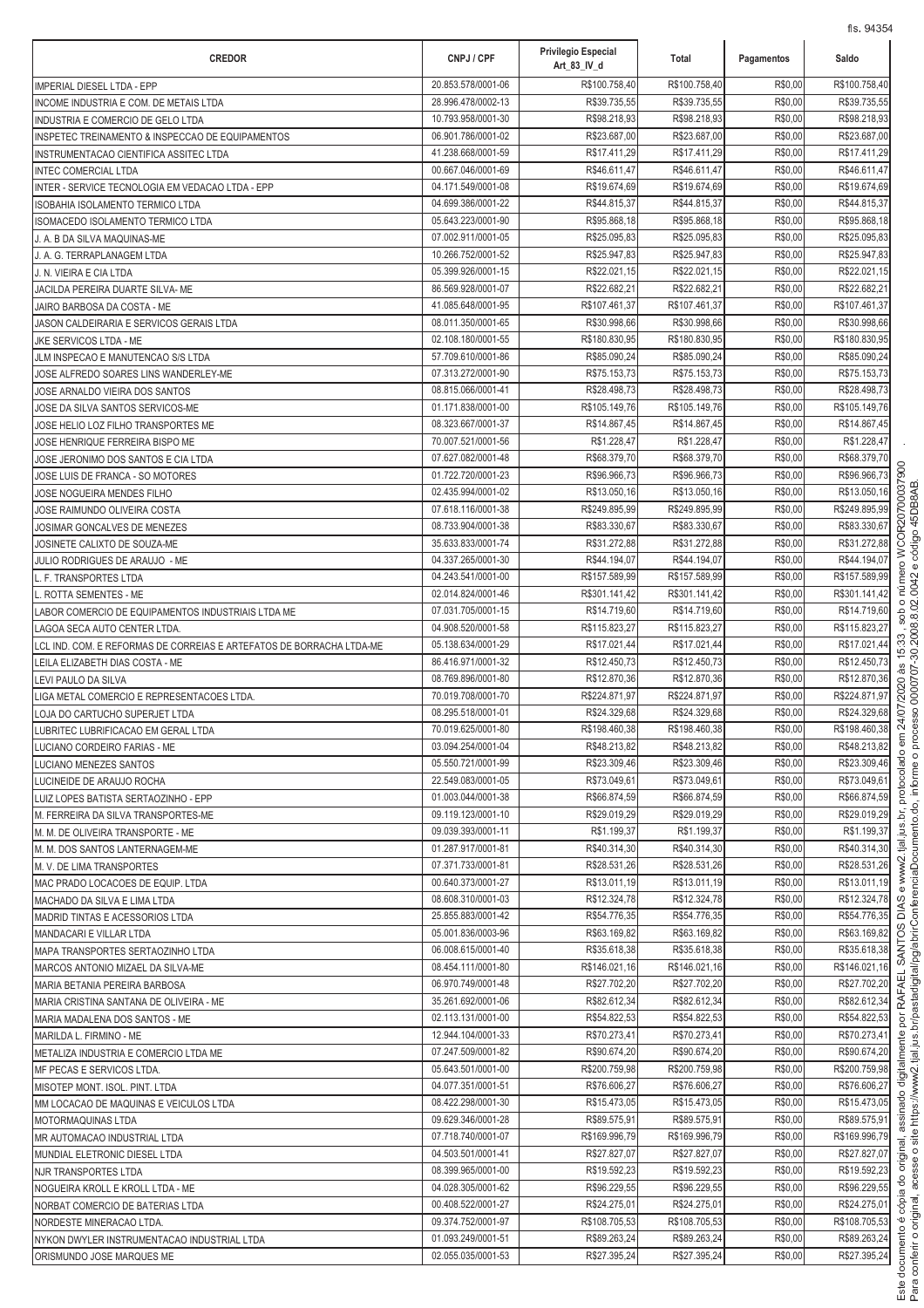| <b>CREDOR</b>                                                            | CNPJ / CPF                               | Privilegio Especial<br>Art_83_IV_d | Total                        | Pagamentos         | Saldo                        |
|--------------------------------------------------------------------------|------------------------------------------|------------------------------------|------------------------------|--------------------|------------------------------|
| IMPERIAL DIESEL LTDA - EPP                                               | 20.853.578/0001-06                       | R\$100.758,40                      | R\$100.758,40                | R\$0,00            | R\$100.758,40                |
| INCOME INDUSTRIA E COM. DE METAIS LTDA                                   | 28.996.478/0002-13                       | R\$39.735,55                       | R\$39.735,55                 | R\$0,00            | R\$39.735,55                 |
| INDUSTRIA E COMERCIO DE GELO LTDA                                        | 10.793.958/0001-30                       | R\$98.218,93                       | R\$98.218,93                 | R\$0,00            | R\$98.218,93                 |
| INSPETEC TREINAMENTO & INSPECCAO DE EQUIPAMENTOS                         | 06.901.786/0001-02                       | R\$23.687,00                       | R\$23.687,00                 | R\$0,00            | R\$23.687,00                 |
| INSTRUMENTACAO CIENTIFICA ASSITEC LTDA                                   | 41.238.668/0001-59                       | R\$17.411,29                       | R\$17.411,29                 | R\$0,00            | R\$17.411,29                 |
| <b>INTEC COMERCIAL LTDA</b>                                              | 00.667.046/0001-69                       | R\$46.611,47                       | R\$46.611,47                 | R\$0,00            | R\$46.611,47                 |
| INTER - SERVICE TECNOLOGIA EM VEDACAO LTDA - EPP                         | 04.171.549/0001-08                       | R\$19.674,69                       | R\$19.674,69                 | R\$0,00            | R\$19.674,69                 |
| ISOBAHIA ISOLAMENTO TERMICO LTDA                                         | 04.699.386/0001-22<br>05.643.223/0001-90 | R\$44.815,37<br>R\$95.868,18       | R\$44.815,37<br>R\$95.868,18 | R\$0,00<br>R\$0,00 | R\$44.815,37<br>R\$95.868,18 |
| ISOMACEDO ISOLAMENTO TERMICO LTDA<br>J. A. B DA SILVA MAQUINAS-ME        | 07.002.911/0001-05                       | R\$25.095,83                       | R\$25.095,83                 | R\$0,00            | R\$25.095,83                 |
| J. A. G. TERRAPLANAGEM LTDA                                              | 10.266.752/0001-52                       | R\$25.947,83                       | R\$25.947,83                 | R\$0,00            | R\$25.947,83                 |
| J. N. VIEIRA E CIA LTDA                                                  | 05.399.926/0001-15                       | R\$22.021,15                       | R\$22.021,15                 | R\$0,00            | R\$22.021,15                 |
| JACILDA PEREIRA DUARTE SILVA- ME                                         | 86.569.928/0001-07                       | R\$22.682,21                       | R\$22.682,21                 | R\$0,00            | R\$22.682,21                 |
| JAIRO BARBOSA DA COSTA - ME                                              | 41.085.648/0001-95                       | R\$107.461,37                      | R\$107.461,37                | R\$0,00            | R\$107.461,37                |
| JASON CALDEIRARIA E SERVICOS GERAIS LTDA                                 | 08.011.350/0001-65                       | R\$30.998,66                       | R\$30.998,66                 | R\$0,00            | R\$30.998,66                 |
| JKE SERVICOS LTDA - ME                                                   | 02.108.180/0001-55                       | R\$180.830,95                      | R\$180.830,95                | R\$0,00            | R\$180.830,95                |
| JLM INSPECAO E MANUTENCAO S/S LTDA                                       | 57.709.610/0001-86                       | R\$85.090,24                       | R\$85.090,24                 | R\$0,00            | R\$85.090,24                 |
| JOSE ALFREDO SOARES LINS WANDERLEY-ME                                    | 07.313.272/0001-90                       | R\$75.153,73                       | R\$75.153,73                 | R\$0,00            | R\$75.153,73                 |
| JOSE ARNALDO VIEIRA DOS SANTOS                                           | 08.815.066/0001-41                       | R\$28.498,73                       | R\$28.498,73                 | R\$0,00            | R\$28.498,73                 |
| JOSE DA SILVA SANTOS SERVICOS-ME                                         | 01.171.838/0001-00                       | R\$105.149,76                      | R\$105.149,76                | R\$0,00            | R\$105.149,76                |
| JOSE HELIO LOZ FILHO TRANSPORTES ME                                      | 08.323.667/0001-37<br>70.007.521/0001-56 | R\$14.867,45<br>R\$1.228,47        | R\$14.867,45<br>R\$1.228,47  | R\$0,00<br>R\$0,00 | R\$14.867,45<br>R\$1.228,47  |
| JOSE HENRIQUE FERREIRA BISPO ME<br>JOSE JERONIMO DOS SANTOS E CIA LTDA   | 07.627.082/0001-48                       | R\$68.379,70                       | R\$68.379,70                 | R\$0,00            | R\$68.379,70                 |
| JOSE LUIS DE FRANCA - SO MOTORES                                         | 01.722.720/0001-23                       | R\$96.966,73                       | R\$96.966,73                 | R\$0,00            | R\$96.966,73                 |
| JOSE NOGUEIRA MENDES FILHO                                               | 02.435.994/0001-02                       | R\$13.050,16                       | R\$13.050,16                 | R\$0,00            | R\$13.050,16                 |
| JOSE RAIMUNDO OLIVEIRA COSTA                                             | 07.618.116/0001-38                       | R\$249.895,99                      | R\$249.895,99                | R\$0,00            | R\$249.895,99                |
| JOSIMAR GONCALVES DE MENEZES                                             | 08.733.904/0001-38                       | R\$83.330,67                       | R\$83.330,67                 | R\$0,00            | R\$83.330,67                 |
| JOSINETE CALIXTO DE SOUZA-ME                                             | 35.633.833/0001-74                       | R\$31.272,88                       | R\$31.272,88                 | R\$0,00            | R\$31.272,88                 |
| JULIO RODRIGUES DE ARAUJO - ME                                           | 04.337.265/0001-30                       | R\$44.194,07                       | R\$44.194,07                 | R\$0,00            | R\$44.194,07                 |
| L. F. TRANSPORTES LTDA                                                   | 04.243.541/0001-00                       | R\$157.589,99                      | R\$157.589,99                | R\$0,00            | R\$157.589,99                |
| L. ROTTA SEMENTES - ME                                                   | 02.014.824/0001-46                       | R\$301.141,42                      | R\$301.141,42                | R\$0,00            | R\$301.141,42                |
| LABOR COMERCIO DE EQUIPAMENTOS INDUSTRIAIS LTDA ME                       | 07.031.705/0001-15                       | R\$14.719,60                       | R\$14.719,60                 | R\$0,00            | R\$14.719,60                 |
| LAGOA SECA AUTO CENTER LTDA.                                             | 04.908.520/0001-58                       | R\$115.823,27                      | R\$115.823,27                | R\$0,00            | R\$115.823,27                |
| LCL IND. COM. E REFORMAS DE CORREIAS E ARTEFATOS DE BORRACHA LTDA-ME     | 05.138.634/0001-29                       | R\$17.021,44                       | R\$17.021,44                 | R\$0,00            | R\$17.021,44                 |
| LEILA ELIZABETH DIAS COSTA - ME                                          | 86.416.971/0001-32<br>08.769.896/0001-80 | R\$12.450,73<br>R\$12.870,36       | R\$12.450,73<br>R\$12.870,36 | R\$0,00<br>R\$0,00 | R\$12.450,73<br>R\$12.870,36 |
| LEVI PAULO DA SILVA<br>LIGA METAL COMERCIO E REPRESENTACOES LTDA.        | 70.019.708/0001-70                       | R\$224.871,97                      | R\$224.871,97                | R\$0,00            | R\$224.871,97                |
| LOJA DO CARTUCHO SUPERJET LTDA                                           | 08.295.518/0001-01                       | R\$24.329,68                       | R\$24.329,68                 | R\$0,00            | R\$24.329,68                 |
| LUBRITEC LUBRIFICACAO EM GERAL LTDA                                      | 70.019.625/0001-80                       | R\$198.460,38                      | R\$198.460,38                | R\$0,00            | R\$198.460,38                |
| LUCIANO CORDEIRO FARIAS - ME                                             | 03.094.254/0001-04                       | R\$48.213,82                       | R\$48.213,82                 | R\$0,00            | R\$48.213,82                 |
| LUCIANO MENEZES SANTOS                                                   | 05.550.721/0001-99                       | R\$23.309,46                       | R\$23.309,46                 | R\$0,00            | R\$23.309,46                 |
| LUCINEIDE DE ARAUJO ROCHA                                                | 22.549.083/0001-05                       | R\$73.049,61                       | R\$73.049,61                 | R\$0,00            | R\$73.049,61                 |
| LUIZ LOPES BATISTA SERTAOZINHO - EPP                                     | 01.003.044/0001-38                       | R\$66.874,59                       | R\$66.874,59                 | R\$0,00            | R\$66.874,59                 |
| M. FERREIRA DA SILVA TRANSPORTES-ME                                      | 09.119.123/0001-10                       | R\$29.019,29                       | R\$29.019,29                 | R\$0,00            | R\$29.019,29                 |
| M. M. DE OLIVEIRA TRANSPORTE - ME                                        | 09.039.393/0001-11                       | R\$1.199,37                        | R\$1.199,37                  | R\$0,00            | R\$1.199,37                  |
| M. M. DOS SANTOS LANTERNAGEM-ME                                          | 01.287.917/0001-81                       | R\$40.314,30                       | R\$40.314.30                 | R\$0,00            | R\$40.314,30                 |
| M. V. DE LIMA TRANSPORTES                                                | 07.371.733/0001-81<br>00.640.373/0001-27 | R\$28.531,26<br>R\$13.011,19       | R\$28.531,26<br>R\$13.011,19 | R\$0,00<br>R\$0,00 | R\$28.531,26<br>R\$13.011,19 |
| MAC PRADO LOCACOES DE EQUIP. LTDA<br>MACHADO DA SILVA E LIMA LTDA        | 08.608.310/0001-03                       | R\$12.324,78                       | R\$12.324,78                 | R\$0,00            | R\$12.324,78                 |
| MADRID TINTAS E ACESSORIOS LTDA                                          | 25.855.883/0001-42                       | R\$54.776,35                       | R\$54.776,35                 | R\$0,00            | R\$54.776,35                 |
| MANDACARI E VILLAR LTDA                                                  | 05.001.836/0003-96                       | R\$63.169,82                       | R\$63.169,82                 | R\$0,00            | R\$63.169,82                 |
| MAPA TRANSPORTES SERTAOZINHO LTDA                                        | 06.008.615/0001-40                       | R\$35.618,38                       | R\$35.618,38                 | R\$0,00            | R\$35.618,38                 |
| MARCOS ANTONIO MIZAEL DA SILVA-ME                                        | 08.454.111/0001-80                       | R\$146.021,16                      | R\$146.021,16                | R\$0,00            | R\$146.021,16                |
| MARIA BETANIA PEREIRA BARBOSA                                            | 06.970.749/0001-48                       | R\$27.702,20                       | R\$27.702,20                 | R\$0,00            | R\$27.702,20                 |
| MARIA CRISTINA SANTANA DE OLIVEIRA - ME                                  | 35.261.692/0001-06                       | R\$82.612,34                       | R\$82.612,34                 | R\$0,00            | R\$82.612,34                 |
| MARIA MADALENA DOS SANTOS - ME                                           | 02.113.131/0001-00                       | R\$54.822,53                       | R\$54.822,53                 | R\$0,00            | R\$54.822,53                 |
| MARILDA L. FIRMINO - ME                                                  | 12.944.104/0001-33                       | R\$70.273,41                       | R\$70.273,41                 | R\$0,00            | R\$70.273,41                 |
| METALIZA INDUSTRIA E COMERCIO LTDA ME                                    | 07.247.509/0001-82                       | R\$90.674,20                       | R\$90.674,20                 | R\$0,00            | R\$90.674,20                 |
| MF PECAS E SERVICOS LTDA.                                                | 05.643.501/0001-00                       | R\$200.759,98                      | R\$200.759,98                | R\$0,00            | R\$200.759,98                |
| MISOTEP MONT. ISOL. PINT. LTDA<br>MM LOCACAO DE MAQUINAS E VEICULOS LTDA | 04.077.351/0001-51<br>08.422.298/0001-30 | R\$76.606,27<br>R\$15.473,05       | R\$76.606,27<br>R\$15.473,05 | R\$0,00<br>R\$0,00 | R\$76.606,27<br>R\$15.473,05 |
| MOTORMAQUINAS LTDA                                                       | 09.629.346/0001-28                       | R\$89.575,91                       | R\$89.575,91                 | R\$0,00            | R\$89.575,91                 |
| MR AUTOMACAO INDUSTRIAL LTDA                                             | 07.718.740/0001-07                       | R\$169.996,79                      | R\$169.996,79                | R\$0,00            | R\$169.996,79                |
| MUNDIAL ELETRONIC DIESEL LTDA                                            | 04.503.501/0001-41                       | R\$27.827,07                       | R\$27.827,07                 | R\$0,00            | R\$27.827,07                 |
| NJR TRANSPORTES LTDA                                                     | 08.399.965/0001-00                       | R\$19.592,23                       | R\$19.592,23                 | R\$0,00            | R\$19.592,23                 |
| NOGUEIRA KROLL E KROLL LTDA - ME                                         | 04.028.305/0001-62                       | R\$96.229,55                       | R\$96.229,55                 | R\$0,00            | R\$96.229,55                 |
| NORBAT COMERCIO DE BATERIAS LTDA                                         | 00.408.522/0001-27                       | R\$24.275,01                       | R\$24.275,01                 | R\$0,00            | R\$24.275,01                 |
| NORDESTE MINERACAO LTDA.                                                 | 09.374.752/0001-97                       | R\$108.705,53                      | R\$108.705,53                | R\$0,00            | R\$108.705,53                |
| NYKON DWYLER INSTRUMENTACAO INDUSTRIAL LTDA                              | 01.093.249/0001-51                       | R\$89.263,24                       | R\$89.263,24                 | R\$0,00            | R\$89.263,24                 |
| ORISMUNDO JOSE MARQUES ME                                                | 02.055.035/0001-53                       | R\$27.395,24                       | R\$27.395,24                 | R\$0,00            | R\$27.395,24                 |

ة<br>أ onferir o original acess i Î https://www2.tial.ius.br/pastadigital/pg/abrirConferenci j ento.do. inform processo 000070730 2008 8 02 0042 ádigo 45DB8AB &  Í ento é cópi mletinih obenizae leninino ol ֧֖֖֧֧֚֚֚֚֚֚֚֚֚֚֚֚֚֚֚֚֝֝֓<u>֚֓</u> , C < - L < C + - < C + - < C + - < C + - < C + - < C + - < C + - < C + - < C + - < C + - < C + - < C + - < C + - < C + - < C + - < C + - < C + - < C + - < C + - < C + - < C + - < C + - < C + - < C + - < C + - < C + - < C ww2.tial.ius.br. protocolado 1 24/07/2020 às 15:33 . sob o número c c m c c l c l c l c c l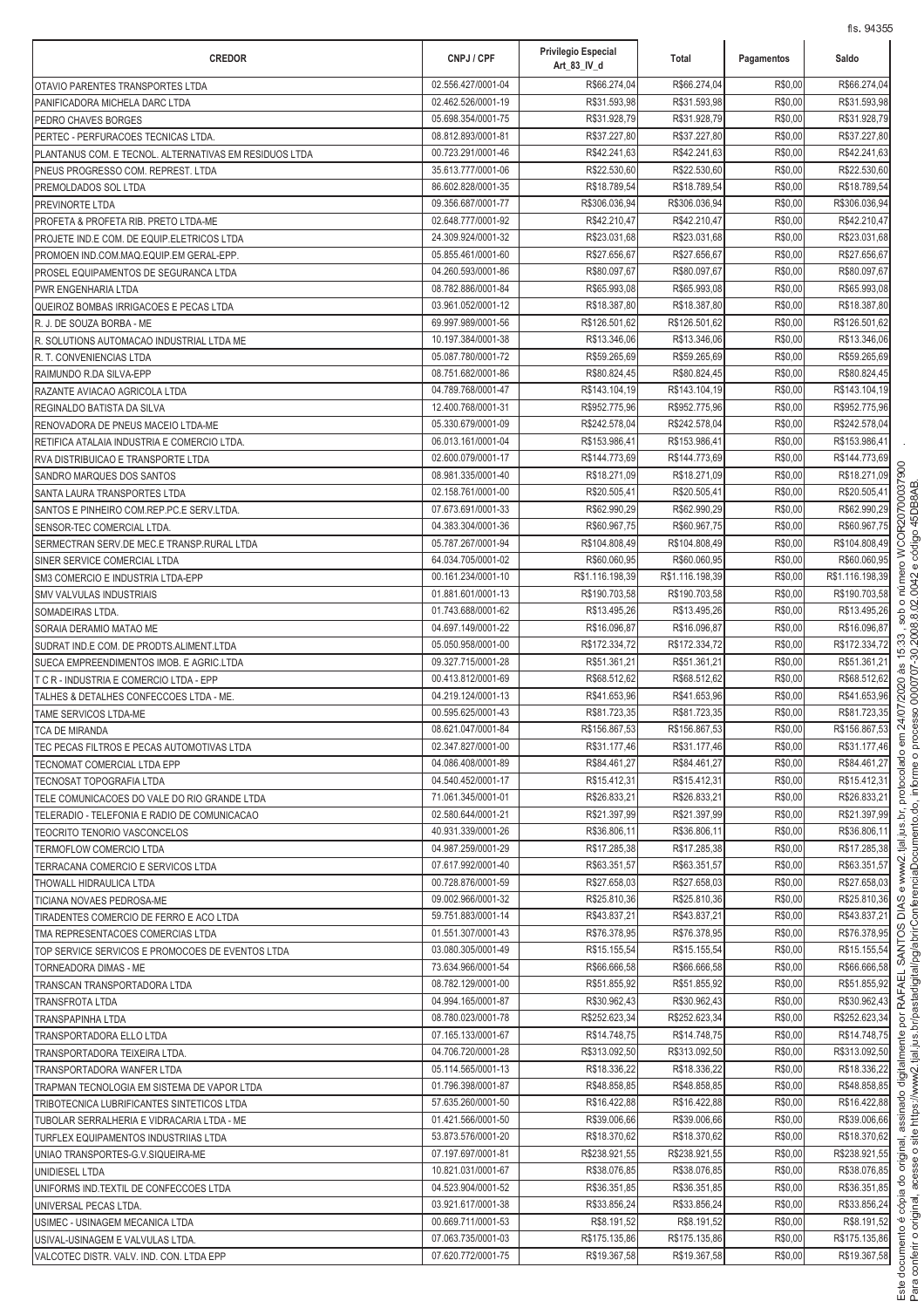| <b>CREDOR</b>                                          | CNPJ / CPF                               | Privilegio Especial<br>Art_83_IV_d | Total                        | Pagamentos         | Saldo                        |
|--------------------------------------------------------|------------------------------------------|------------------------------------|------------------------------|--------------------|------------------------------|
| OTAVIO PARENTES TRANSPORTES LTDA                       | 02.556.427/0001-04                       | R\$66.274,04                       | R\$66.274,04                 | R\$0,00            | R\$66.274,04                 |
| PANIFICADORA MICHELA DARC LTDA                         | 02.462.526/0001-19                       | R\$31.593,98                       | R\$31.593,98                 | R\$0,00            | R\$31.593,98                 |
| PEDRO CHAVES BORGES                                    | 05.698.354/0001-75                       | R\$31.928,79                       | R\$31.928,79                 | R\$0,00            | R\$31.928,79                 |
| PERTEC - PERFURACOES TECNICAS LTDA.                    | 08.812.893/0001-81                       | R\$37.227,80                       | R\$37.227,80                 | R\$0,00            | R\$37.227,80                 |
| PLANTANUS COM. E TECNOL. ALTERNATIVAS EM RESIDUOS LTDA | 00.723.291/0001-46                       | R\$42.241,63                       | R\$42.241,63                 | R\$0,00            | R\$42.241,63                 |
| PNEUS PROGRESSO COM. REPREST. LTDA                     | 35.613.777/0001-06                       | R\$22.530,60                       | R\$22.530,60                 | R\$0,00            | R\$22.530,60                 |
| PREMOLDADOS SOL LTDA                                   | 86.602.828/0001-35                       | R\$18.789,54                       | R\$18.789,54                 | R\$0,00            | R\$18.789,54                 |
| PREVINORTE LTDA                                        | 09.356.687/0001-77                       | R\$306.036,94                      | R\$306.036,94                | R\$0,00            | R\$306.036,94                |
| PROFETA & PROFETA RIB. PRETO LTDA-ME                   | 02.648.777/0001-92                       | R\$42.210,47                       | R\$42.210,47                 | R\$0,00            | R\$42.210,47                 |
| PROJETE IND.E COM. DE EQUIP.ELETRICOS LTDA             | 24.309.924/0001-32                       | R\$23.031,68                       | R\$23.031,68                 | R\$0,00            | R\$23.031,68                 |
| PROMOEN IND.COM.MAQ.EQUIP.EM GERAL-EPP.                | 05.855.461/0001-60                       | R\$27.656,67                       | R\$27.656,67                 | R\$0,00            | R\$27.656.67                 |
| PROSEL EQUIPAMENTOS DE SEGURANCA LTDA                  | 04.260.593/0001-86                       | R\$80.097,67                       | R\$80.097,67                 | R\$0,00            | R\$80.097,67                 |
| PWR ENGENHARIA LTDA                                    | 08.782.886/0001-84                       | R\$65.993,08                       | R\$65.993,08                 | R\$0,00            | R\$65.993,08                 |
| QUEIROZ BOMBAS IRRIGACOES E PECAS LTDA                 | 03.961.052/0001-12                       | R\$18.387,80                       | R\$18.387,80                 | R\$0,00            | R\$18.387,80                 |
| R. J. DE SOUZA BORBA - ME                              | 69.997.989/0001-56                       | R\$126.501,62                      | R\$126.501,62                | R\$0,00            | R\$126.501,62                |
| R. SOLUTIONS AUTOMACAO INDUSTRIAL LTDA ME              | 10.197.384/0001-38                       | R\$13.346,06                       | R\$13.346,06                 | R\$0,00            | R\$13.346,06                 |
| R. T. CONVENIENCIAS LTDA                               | 05.087.780/0001-72                       | R\$59.265,69                       | R\$59.265,69                 | R\$0,00            | R\$59.265,69                 |
| RAIMUNDO R.DA SILVA-EPP                                | 08.751.682/0001-86                       | R\$80.824,45                       | R\$80.824,45                 | R\$0,00            | R\$80.824,45                 |
| RAZANTE AVIACAO AGRICOLA LTDA                          | 04.789.768/0001-47                       | R\$143.104,19                      | R\$143.104,19                | R\$0,00            | R\$143.104,19                |
| REGINALDO BATISTA DA SILVA                             | 12.400.768/0001-31                       | R\$952.775,96                      | R\$952.775,96                | R\$0,00            | R\$952.775,96                |
| RENOVADORA DE PNEUS MACEIO LTDA-ME                     | 05.330.679/0001-09                       | R\$242.578,04                      | R\$242.578,04                | R\$0,00            | R\$242.578,04                |
| RETIFICA ATALAIA INDUSTRIA E COMERCIO LTDA.            | 06.013.161/0001-04                       | R\$153.986,41                      | R\$153.986,41                | R\$0,00            | R\$153.986,41                |
| RVA DISTRIBUICAO E TRANSPORTE LTDA                     | 02.600.079/0001-17                       | R\$144.773,69                      | R\$144.773,69                | R\$0,00            | R\$144.773,69                |
| SANDRO MARQUES DOS SANTOS                              | 08.981.335/0001-40                       | R\$18.271,09                       | R\$18.271,09                 | R\$0,00            | R\$18.271,09                 |
| SANTA LAURA TRANSPORTES LTDA                           | 02.158.761/0001-00                       | R\$20.505,41                       | R\$20.505,41                 | R\$0,00            | R\$20.505,41                 |
| SANTOS E PINHEIRO COM.REP.PC.E SERV.LTDA.              | 07.673.691/0001-33                       | R\$62.990,29                       | R\$62.990,29                 | R\$0,00            | R\$62.990,29                 |
| SENSOR-TEC COMERCIAL LTDA                              | 04.383.304/0001-36                       | R\$60.967,75                       | R\$60.967,75                 | R\$0,00            | R\$60.967,75                 |
| SERMECTRAN SERV.DE MEC.E TRANSP.RURAL LTDA             | 05.787.267/0001-94                       | R\$104.808,49                      | R\$104.808,49                | R\$0,00            | R\$104.808,49                |
| SINER SERVICE COMERCIAL LTDA                           | 64.034.705/0001-02                       | R\$60.060,95                       | R\$60.060,95                 | R\$0,00            | R\$60.060,95                 |
| SM3 COMERCIO E INDUSTRIA LTDA-EPP                      | 00.161.234/0001-10                       | R\$1.116.198,39                    | R\$1.116.198,39              | R\$0,00            | R\$1.116.198,39              |
| <b>SMV VALVULAS INDUSTRIAIS</b>                        | 01.881.601/0001-13                       | R\$190.703,58                      | R\$190.703,58                | R\$0,00            | R\$190.703,58                |
| SOMADEIRAS LTDA.                                       | 01.743.688/0001-62                       | R\$13.495,26                       | R\$13.495,26                 | R\$0,00            | R\$13.495,26                 |
| SORAIA DERAMIO MATAO ME                                | 04.697.149/0001-22                       | R\$16.096,87                       | R\$16.096,87                 | R\$0,00            | R\$16.096,87                 |
| SUDRAT IND.E COM. DE PRODTS.ALIMENT.LTDA               | 05.050.958/0001-00                       | R\$172.334,72                      | R\$172.334,72                | R\$0,00            | R\$172.334,72                |
| SUECA EMPREENDIMENTOS IMOB. E AGRIC.LTDA               | 09.327.715/0001-28                       | R\$51.361,21                       | R\$51.361,21                 | R\$0,00            | R\$51.361,21                 |
| T C R - INDUSTRIA E COMERCIO LTDA - EPP                | 00.413.812/0001-69                       | R\$68.512,62                       | R\$68.512,62                 | R\$0,00            | R\$68.512,62                 |
| TALHES & DETALHES CONFECCOES LTDA - ME.                | 04.219.124/0001-13                       | R\$41.653,96                       | R\$41.653,96                 | R\$0,00            | R\$41.653,96                 |
| TAME SERVICOS LTDA-ME                                  | 00.595.625/0001-43                       | R\$81.723,35                       | R\$81.723,35                 | R\$0,00            | R\$81.723,35                 |
| TCA DE MIRANDA                                         | 08.621.047/0001-84                       | R\$156.867,53                      | R\$156.867,53                | R\$0,00            | R\$156.867,53                |
| TEC PECAS FILTROS E PECAS AUTOMOTIVAS LTDA             | 02.347.827/0001-00                       | R\$31.177,46                       | R\$31.177,46                 | R\$0,00            | R\$31.177,46                 |
| TECNOMAT COMERCIAL LTDA EPP                            | 04.086.408/0001-89                       | R\$84.461,27                       | R\$84.461,27                 | R\$0,00            | R\$84.461,27                 |
| TECNOSAT TOPOGRAFIA LTDA                               | 04.540.452/0001-17                       | R\$15.412,31                       | R\$15.412,31                 | R\$0,00            | R\$15.412,31<br>R\$26,833.21 |
| TELE COMUNICACOES DO VALE DO RIO GRANDE LTDA           | 71.061.345/0001-01                       | R\$26.833,21                       | R\$26.833,21                 | R\$0,00            |                              |
| TELERADIO - TELEFONIA E RADIO DE COMUNICACAO           | 02.580.644/0001-21<br>40.931.339/0001-26 | R\$21.397,99                       | R\$21.397,99                 | R\$0,00            | R\$21.397,99                 |
| TEOCRITO TENORIO VASCONCELOS                           | 04.987.259/0001-29                       | R\$36.806,11<br>R\$17.285,38       | R\$36.806,11<br>R\$17.285,38 | R\$0,00<br>R\$0,00 | R\$36.806,11<br>R\$17.285,38 |
| TERMOFLOW COMERCIO LTDA                                | 07.617.992/0001-40                       | R\$63.351.57                       | R\$63.351,57                 | R\$0,00            | R\$63.351,57                 |
| TERRACANA COMERCIO E SERVICOS LTDA                     | 00.728.876/0001-59                       | R\$27.658,03                       | R\$27.658,03                 | R\$0,00            | R\$27.658,03                 |
| THOWALL HIDRAULICA LTDA<br>TICIANA NOVAES PEDROSA-ME   | 09.002.966/0001-32                       | R\$25.810,36                       | R\$25.810,36                 | R\$0,00            | R\$25.810,36                 |
| TIRADENTES COMERCIO DE FERRO E ACO LTDA                | 59.751.883/0001-14                       | R\$43.837,21                       | R\$43.837,21                 | R\$0,00            | R\$43.837,21                 |
| TMA REPRESENTACOES COMERCIAS LTDA                      | 01.551.307/0001-43                       | R\$76.378,95                       | R\$76.378,95                 | R\$0,00            | R\$76.378,95                 |
| TOP SERVICE SERVICOS E PROMOCOES DE EVENTOS LTDA       | 03.080.305/0001-49                       | R\$15.155,54                       | R\$15.155,54                 | R\$0,00            | R\$15.155,54                 |
| TORNEADORA DIMAS - ME                                  | 73.634.966/0001-54                       | R\$66.666,58                       | R\$66.666,58                 | R\$0,00            | R\$66.666,58                 |
| TRANSCAN TRANSPORTADORA LTDA                           | 08.782.129/0001-00                       | R\$51.855,92                       | R\$51.855,92                 | R\$0,00            | R\$51.855,92                 |
| <b>TRANSFROTA LTDA</b>                                 | 04.994.165/0001-87                       | R\$30.962,43                       | R\$30.962,43                 | R\$0,00            | R\$30.962,43                 |
| TRANSPAPINHA LTDA                                      | 08.780.023/0001-78                       | R\$252.623,34                      | R\$252.623,34                | R\$0,00            | R\$252.623,34                |
| TRANSPORTADORA ELLO LTDA                               | 07.165.133/0001-67                       | R\$14.748,75                       | R\$14.748,75                 | R\$0,00            | R\$14.748,75                 |
| TRANSPORTADORA TEIXEIRA LTDA.                          | 04.706.720/0001-28                       | R\$313.092,50                      | R\$313.092,50                | R\$0,00            | R\$313.092,50                |
| TRANSPORTADORA WANFER LTDA                             | 05.114.565/0001-13                       | R\$18.336,22                       | R\$18.336,22                 | R\$0,00            | R\$18.336,22                 |
| TRAPMAN TECNOLOGIA EM SISTEMA DE VAPOR LTDA            | 01.796.398/0001-87                       | R\$48.858,85                       | R\$48.858,85                 | R\$0,00            | R\$48.858,85                 |
| TRIBOTECNICA LUBRIFICANTES SINTETICOS LTDA             | 57.635.260/0001-50                       | R\$16.422,88                       | R\$16.422,88                 | R\$0,00            | R\$16.422,88                 |
| TUBOLAR SERRALHERIA E VIDRACARIA LTDA - ME             | 01.421.566/0001-50                       | R\$39.006,66                       | R\$39.006,66                 | R\$0,00            | R\$39.006,66                 |
| TURFLEX EQUIPAMENTOS INDUSTRIIAS LTDA                  | 53.873.576/0001-20                       | R\$18.370,62                       | R\$18.370,62                 | R\$0,00            | R\$18.370,62                 |
| UNIAO TRANSPORTES-G.V.SIQUEIRA-ME                      | 07.197.697/0001-81                       | R\$238.921,55                      | R\$238.921,55                | R\$0,00            | R\$238.921,55                |
| UNIDIESEL LTDA                                         | 10.821.031/0001-67                       | R\$38.076,85                       | R\$38.076,85                 | R\$0,00            | R\$38.076,85                 |
| UNIFORMS IND.TEXTIL DE CONFECCOES LTDA                 | 04.523.904/0001-52                       | R\$36.351,85                       | R\$36.351,85                 | R\$0,00            | R\$36.351,85                 |
| UNIVERSAL PECAS LTDA.                                  | 03.921.617/0001-38                       | R\$33.856,24                       | R\$33.856,24                 | R\$0,00            | R\$33.856,24                 |
| USIMEC - USINAGEM MECANICA LTDA                        | 00.669.711/0001-53                       | R\$8.191,52                        | R\$8.191,52                  | R\$0,00            | R\$8.191,52                  |
| USIVAL-USINAGEM E VALVULAS LTDA.                       | 07.063.735/0001-03                       | R\$175.135,86                      | R\$175.135,86                | R\$0,00            | R\$175.135,86                |
| VALCOTEC DISTR. VALV. IND. CON. LTDA EPP               | 07.620.772/0001-75                       | R\$19.367,58                       | R\$19.367,58                 | R\$0,00            | R\$19.367,58                 |

ة<br>أ onferir o original acess i Î https://www2.tial.ius.br/pastadigital/pg/abrirConferenci j ento.do. inform processo 000070730 2008 8 02 0042 ádigo 45DB8AB &  Í ento é cópi mletinih obenizae leninino ol ֧֖֖֧֧֚֚֚֚֚֚֚֚֚֚֚֚֚֚֚֚֝֝֓<u>֚֓</u> , C < - L < C + - < C + - < C + - < C + - < C + - < C + - < C + - < C + - < C + - < C + - < C + - < C + - < C + - < C + - < C + - < C + - < C + - < C + - < C + - < C + - < C + - < C + - < C + - < C + - < C + - < C + - < C ww2.tial.ius.br. protocolado 1 24/07/2020 às 15:33 . sob o número c c m c c l c l c l c c l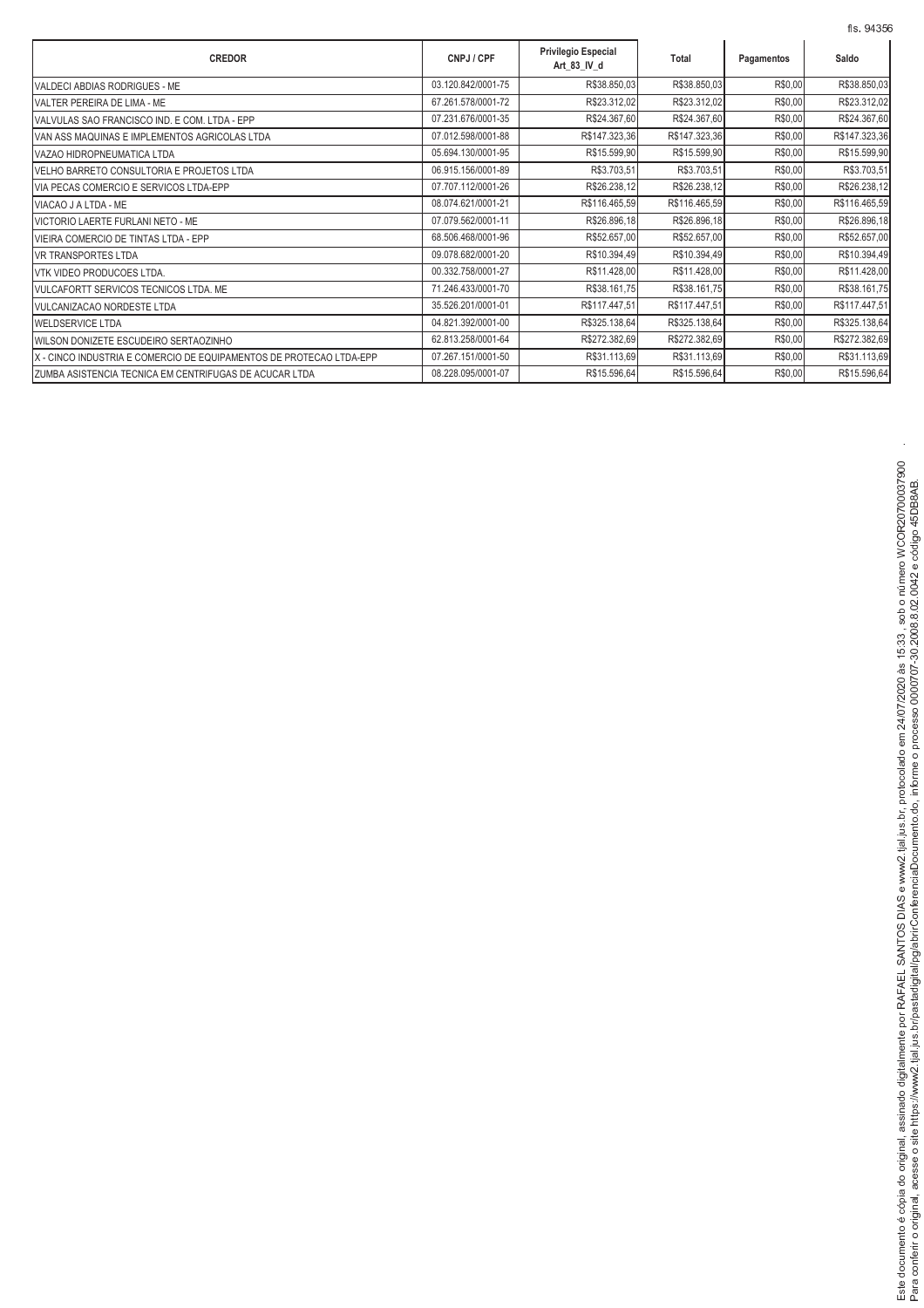|                                                                     |                    |                                           |               |            | fls. 94356    |
|---------------------------------------------------------------------|--------------------|-------------------------------------------|---------------|------------|---------------|
| <b>CREDOR</b>                                                       | CNPJ / CPF         | <b>Privilegio Especial</b><br>Art_83_IV_d | Total         | Pagamentos | Saldo         |
| VALDECI ABDIAS RODRIGUES - ME                                       | 03.120.842/0001-75 | R\$38.850,03                              | R\$38.850,03  | R\$0,00    | R\$38.850,03  |
| VALTER PEREIRA DE LIMA - ME                                         | 67.261.578/0001-72 | R\$23.312,02                              | R\$23.312,02  | R\$0,00    | R\$23.312,02  |
| VALVULAS SAO FRANCISCO IND. E COM. LTDA - EPP                       | 07.231.676/0001-35 | R\$24.367,60                              | R\$24.367,60  | R\$0,00    | R\$24.367,60  |
| VAN ASS MAQUINAS E IMPLEMENTOS AGRICOLAS LTDA                       | 07.012.598/0001-88 | R\$147.323,36                             | R\$147.323,36 | R\$0,00    | R\$147.323,36 |
| VAZAO HIDROPNEUMATICA LTDA                                          | 05.694.130/0001-95 | R\$15.599,90                              | R\$15.599,90  | R\$0,00    | R\$15.599,90  |
| VELHO BARRETO CONSULTORIA E PROJETOS LTDA                           | 06.915.156/0001-89 | R\$3.703,51                               | R\$3.703,51   | R\$0,00    | R\$3.703,51   |
| VIA PECAS COMERCIO E SERVICOS LTDA-EPP                              | 07.707.112/0001-26 | R\$26.238,12                              | R\$26.238,12  | R\$0,00    | R\$26.238,12  |
| VIACAO J A LTDA - ME                                                | 08.074.621/0001-21 | R\$116.465,59                             | R\$116.465,59 | R\$0,00    | R\$116.465,59 |
| VICTORIO LAERTE FURLANI NETO - ME                                   | 07.079.562/0001-11 | R\$26.896,18                              | R\$26.896,18  | R\$0,00    | R\$26.896,18  |
| VIEIRA COMERCIO DE TINTAS LTDA - EPP                                | 68.506.468/0001-96 | R\$52.657,00                              | R\$52.657,00  | R\$0,00    | R\$52.657,00  |
| <b>VR TRANSPORTES LTDA</b>                                          | 09.078.682/0001-20 | R\$10.394,49                              | R\$10.394,49  | R\$0,00    | R\$10.394,49  |
| VTK VIDEO PRODUCOES LTDA.                                           | 00.332.758/0001-27 | R\$11.428,00                              | R\$11.428,00  | R\$0,00    | R\$11.428,00  |
| VULCAFORTT SERVICOS TECNICOS LTDA. ME                               | 71.246.433/0001-70 | R\$38.161,75                              | R\$38.161,75  | R\$0,00    | R\$38.161,75  |
| VULCANIZACAO NORDESTE LTDA                                          | 35.526.201/0001-01 | R\$117.447,51                             | R\$117.447,51 | R\$0,00    | R\$117.447,51 |
| WELDSERVICE LTDA                                                    | 04.821.392/0001-00 | R\$325.138,64                             | R\$325.138,64 | R\$0,00    | R\$325.138,64 |
| WILSON DONIZETE ESCUDEIRO SERTAOZINHO                               | 62.813.258/0001-64 | R\$272.382,69                             | R\$272.382,69 | R\$0,00    | R\$272.382,69 |
| X - CINCO INDUSTRIA E COMERCIO DE EQUIPAMENTOS DE PROTECAO LTDA-EPP | 07.267.151/0001-50 | R\$31.113,69                              | R\$31.113,69  | R\$0,00    | R\$31.113,69  |
| ZUMBA ASISTENCIA TECNICA EM CENTRIFUGAS DE ACUCAR LTDA              | 08.228.095/0001-07 | R\$15.596,64                              | R\$15.596,64  | R\$0,00    | R\$15.596,64  |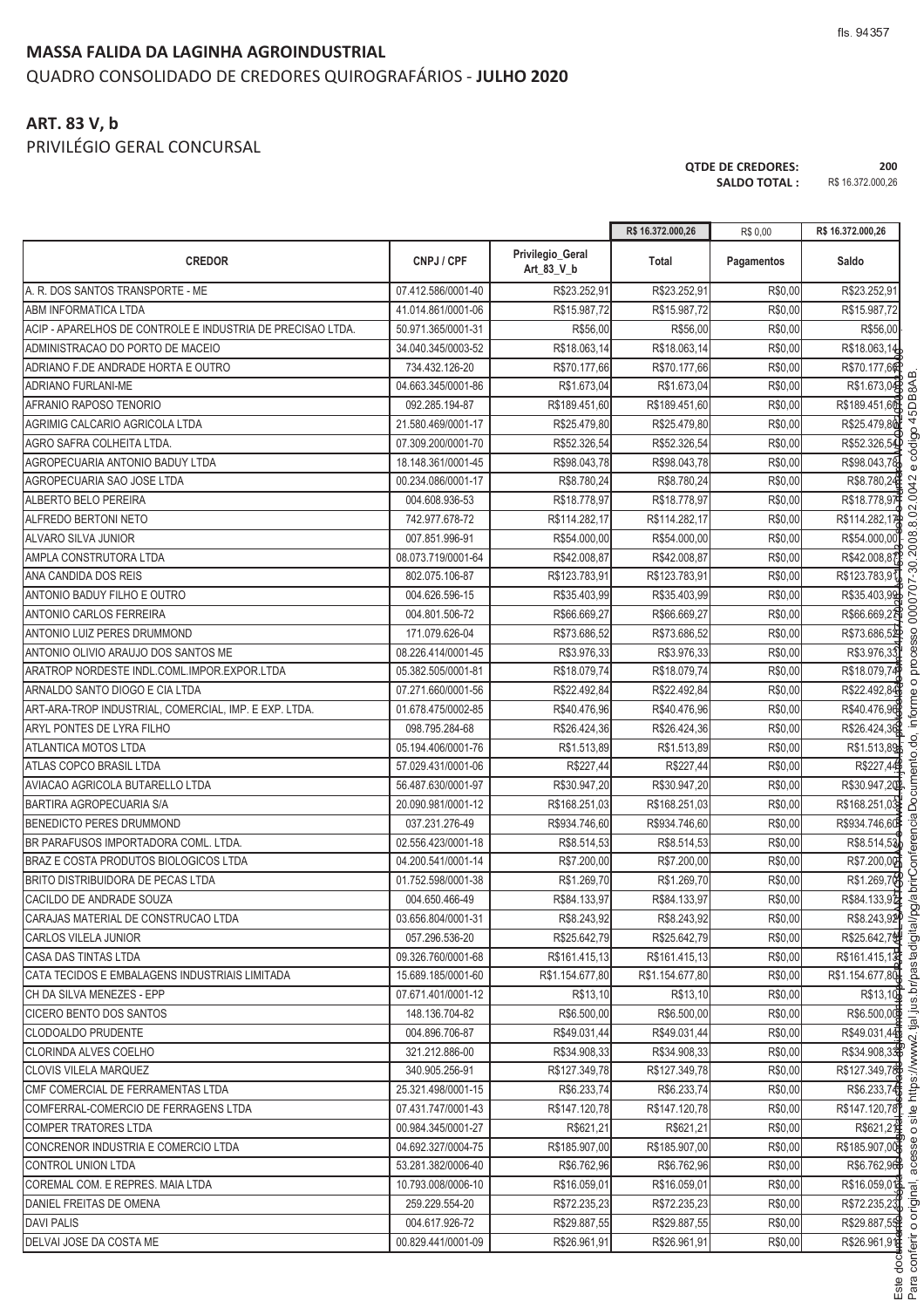### **MASSA FALIDA DA LAGINHA AGROINDUSTRIAL** QUADRO CONSOLIDADO DE CREDORES QUIROGRAFÁRIOS - **JULHO 2020**

# **ART. 83 V, b**

PRIVILÉGIO GERAL CONCURSAL

**QTDE DE CREDORES: 200 SALDO TOTAL :** R\$ 16.372.000,26

nferir o original.

.<br>. <sup>W</sup> <sup>C</sup> <sup>B</sup> <sup>U</sup> <sup>C</sup> <sup>K</sup> <sup>G</sup> <sup>L</sup> <sup>F</sup>

 $\frac{1}{2}$ 

tial ius br/p

 $\overline{\phantom{a}}$ 

where the contract of the contract of the contract of the contract of the contract of the contract of the contract of the contract of the contract of the contract of the contract of the contract of the contract of the cont

<sup>V</sup> <sup>A</sup> <sup>G</sup> <sup>A</sup> <sup>X</sup> <sup>C</sup> <sup>D</sup> <sup>E</sup> <sup>F</sup> AF <sup>D</sup> <sup>B</sup> <sup>G</sup> @

<sup>Y</sup> <sup>C</sup> <sup>B</sup> <sup>U</sup>

ento do inform

n processo 0000707-30.2008 8 02 0042

:<br>'

|                                                            |                    |                                | R\$ 16.372.000,26 | R\$ 0,00   | R\$ 16.372.000,26 |
|------------------------------------------------------------|--------------------|--------------------------------|-------------------|------------|-------------------|
| <b>CREDOR</b>                                              | CNPJ / CPF         | Privilegio_Geral<br>Art 83 V b | Total             | Pagamentos | Saldo             |
| A. R. DOS SANTOS TRANSPORTE - ME                           | 07.412.586/0001-40 | R\$23.252,91                   | R\$23.252,91      | R\$0,00    | R\$23.252,91      |
| ABM INFORMATICA LTDA                                       | 41.014.861/0001-06 | R\$15.987,72                   | R\$15.987,72      | R\$0,00    | R\$15.987,72      |
| ACIP - APARELHOS DE CONTROLE E INDUSTRIA DE PRECISAO LTDA. | 50.971.365/0001-31 | R\$56,00                       | R\$56,00          | R\$0,00    | R\$56,00          |
| ADMINISTRACAO DO PORTO DE MACEIO                           | 34.040.345/0003-52 | R\$18.063,14                   | R\$18.063,14      | R\$0,00    | R\$18.063,14      |
| ADRIANO F.DE ANDRADE HORTA E OUTRO                         | 734.432.126-20     | R\$70.177,66                   | R\$70.177,66      | R\$0,00    | R\$70.177,6       |
| ADRIANO FURLANI-ME                                         | 04.663.345/0001-86 | R\$1.673,04                    | R\$1.673,04       | R\$0,00    | R\$1.673,04       |
| AFRANIO RAPOSO TENORIO                                     | 092.285.194-87     | R\$189.451,60                  | R\$189.451,60     | R\$0,00    | R\$189.451,60     |
| AGRIMIG CALCARIO AGRICOLA LTDA                             | 21.580.469/0001-17 | R\$25.479,80                   | R\$25.479,80      | R\$0,00    | R\$25.479,80      |
| AGRO SAFRA COLHEITA LTDA.                                  | 07.309.200/0001-70 | R\$52.326,54                   | R\$52.326,54      | R\$0,00    | R\$52.326,54      |
| AGROPECUARIA ANTONIO BADUY LTDA                            | 18.148.361/0001-45 | R\$98.043,78                   | R\$98.043,78      | R\$0,00    | R\$98.043,78      |
| AGROPECUARIA SAO JOSE LTDA                                 | 00.234.086/0001-17 | R\$8.780,24                    | R\$8.780,24       | R\$0,00    | R\$8.780,24       |
| ALBERTO BELO PEREIRA                                       | 004.608.936-53     | R\$18.778,97                   | R\$18.778,97      | R\$0,00    | R\$18.778,97      |
| ALFREDO BERTONI NETO                                       | 742.977.678-72     | R\$114.282,17                  | R\$114.282,17     | R\$0,00    | R\$114.282,17     |
| ALVARO SILVA JUNIOR                                        | 007.851.996-91     | R\$54.000,00                   | R\$54.000,00      | R\$0,00    | R\$54.000,00      |
| AMPLA CONSTRUTORA LTDA                                     | 08.073.719/0001-64 | R\$42.008,87                   | R\$42.008,87      | R\$0,00    | R\$42.008,87      |
| ANA CANDIDA DOS REIS                                       | 802.075.106-87     | R\$123.783,91                  | R\$123.783,91     | R\$0,00    | R\$123.783.91     |
| ANTONIO BADUY FILHO E OUTRO                                | 004.626.596-15     | R\$35.403,99                   | R\$35.403,99      | R\$0,00    | R\$35.403,99      |
| <b>ANTONIO CARLOS FERREIRA</b>                             | 004.801.506-72     | R\$66.669,27                   | R\$66.669.27      | R\$0,00    | R\$66.669,2A      |
| ANTONIO LUIZ PERES DRUMMOND                                | 171.079.626-04     | R\$73.686,52                   | R\$73.686,52      | R\$0,00    | R\$73.686,52      |
| ANTONIO OLIVIO ARAUJO DOS SANTOS ME                        | 08.226.414/0001-45 | R\$3.976,33                    | R\$3.976,33       | R\$0,00    | R\$3.976,33       |
| ARATROP NORDESTE INDL.COML.IMPOR.EXPOR.LTDA                | 05.382.505/0001-81 | R\$18.079,74                   | R\$18.079,74      | R\$0,00    | R\$18.079,74      |
| ARNALDO SANTO DIOGO E CIA LTDA                             | 07.271.660/0001-56 | R\$22.492,84                   | R\$22.492,84      | R\$0,00    | R\$22.492,84      |
| ART-ARA-TROP INDUSTRIAL, COMERCIAL, IMP. E EXP. LTDA.      | 01.678.475/0002-85 | R\$40.476,96                   | R\$40.476,96      | R\$0,00    | R\$40.476,96      |
| ARYL PONTES DE LYRA FILHO                                  | 098.795.284-68     | R\$26.424,36                   | R\$26.424,36      | R\$0,00    | R\$26.424,36      |
| ATLANTICA MOTOS LTDA                                       | 05.194.406/0001-76 | R\$1.513,89                    | R\$1.513,89       | R\$0,00    | R\$1.513,89       |
| ATLAS COPCO BRASIL LTDA                                    | 57.029.431/0001-06 | R\$227,44                      | R\$227,44         | R\$0,00    | R\$227,44         |
| AVIACAO AGRICOLA BUTARELLO LTDA                            | 56.487.630/0001-97 | R\$30.947,20                   | R\$30.947,20      | R\$0,00    | R\$30.947,20P     |
| <b>BARTIRA AGROPECUARIA S/A</b>                            | 20.090.981/0001-12 | R\$168.251,03                  | R\$168.251,03     | R\$0,00    | R\$168.251,03     |
| <b>BENEDICTO PERES DRUMMOND</b>                            | 037.231.276-49     | R\$934.746,60                  | R\$934.746,60     | R\$0,00    | R\$934.746,60     |
| BR PARAFUSOS IMPORTADORA COML. LTDA.                       | 02.556.423/0001-18 | R\$8.514,53                    | R\$8.514,53       | R\$0,00    | R\$8.514,53       |
| <b>BRAZ E COSTA PRODUTOS BIOLOGICOS LTDA</b>               | 04.200.541/0001-14 | R\$7.200,00                    | R\$7.200,00       | R\$0,00    | R\$7.200,00       |
| BRITO DISTRIBUIDORA DE PECAS LTDA                          | 01.752.598/0001-38 | R\$1.269,70                    | R\$1.269,70       | R\$0,00    | R\$1.269,70       |
| CACILDO DE ANDRADE SOUZA                                   | 004.650.466-49     | R\$84.133,97                   | R\$84.133,97      | R\$0,00    | R\$84.133,92      |
|                                                            | 03.656.804/0001-31 |                                |                   |            |                   |
| CARAJAS MATERIAL DE CONSTRUCAO LTDA                        |                    | R\$8.243,92                    | R\$8.243,92       | R\$0,00    | R\$8.243,92P      |
| CARLOS VILELA JUNIOR                                       | 057.296.536-20     | R\$25.642,79                   | R\$25.642,79      | R\$0,00    | R\$25.642,79      |
| <b>CASA DAS TINTAS LTDA</b>                                | 09.326.760/0001-68 | R\$161.415,13                  | R\$161.415,13     | R\$0,00    | R\$161.415,13     |
| ICATA TECIDOS E EMBALAGENS INDUSTRIAIS LIMITADA            | 15.689.185/0001-60 | R\$1.154.677,80                | R\$1.154.677,80   | R\$0,00    | R\$1.154.677,80   |
| CH DA SILVA MENEZES - EPP                                  | 07.671.401/0001-12 | R\$13,10                       | R\$13,10          | R\$0,00    | R\$13,10          |
| CICERO BENTO DOS SANTOS                                    | 148.136.704-82     | R\$6.500.00                    | R\$6.500,00       | R\$0,00    | R\$6.500,00       |
| <b>CLODOALDO PRUDENTE</b>                                  | 004.896.706-87     | R\$49.031,44                   | R\$49.031,44      | R\$0,00    | R\$49.031,44      |
| <b>CLORINDA ALVES COELHO</b>                               | 321.212.886-00     | R\$34.908.33                   | R\$34.908,33      | R\$0,00    | R\$34.908,33      |
| <b>CLOVIS VILELA MARQUEZ</b>                               | 340.905.256-91     | R\$127.349,78                  | R\$127.349,78     | R\$0,00    | R\$127.349,78     |
| CMF COMERCIAL DE FERRAMENTAS LTDA                          | 25.321.498/0001-15 | R\$6.233,74                    | R\$6.233,74       | R\$0,00    | R\$6.233,74       |
| COMFERRAL-COMERCIO DE FERRAGENS LTDA                       | 07.431.747/0001-43 | R\$147.120,78                  | R\$147.120,78     | R\$0,00    | R\$147.120,78     |
| <b>COMPER TRATORES LTDA</b>                                | 00.984.345/0001-27 | R\$621,21                      | R\$621,21         | R\$0,00    | R\$621,21         |
| CONCRENOR INDUSTRIA E COMERCIO LTDA                        | 04.692.327/0004-75 | R\$185.907,00                  | R\$185.907,00     | R\$0,00    | R\$185.907,00     |
| CONTROL UNION LTDA                                         | 53.281.382/0006-40 | R\$6.762,96                    | R\$6.762,96       | R\$0,00    | R\$6.762,96       |
| COREMAL COM. E REPRES. MAIA LTDA                           | 10.793.008/0006-10 | R\$16.059,01                   | R\$16.059,01      | R\$0,00    | R\$16.059,016     |
| DANIEL FREITAS DE OMENA                                    | 259.229.554-20     | R\$72.235,23                   | R\$72.235,23      | R\$0,00    | R\$72.235,23      |
| <b>DAVI PALIS</b>                                          | 004.617.926-72     | R\$29.887,55                   | R\$29.887,55      | R\$0,00    | R\$29.887,55      |
| DELVAI JOSE DA COSTA ME                                    | 00.829.441/0001-09 | R\$26.961,91                   | R\$26.961,91      | R\$0,00    | R\$26.961,91      |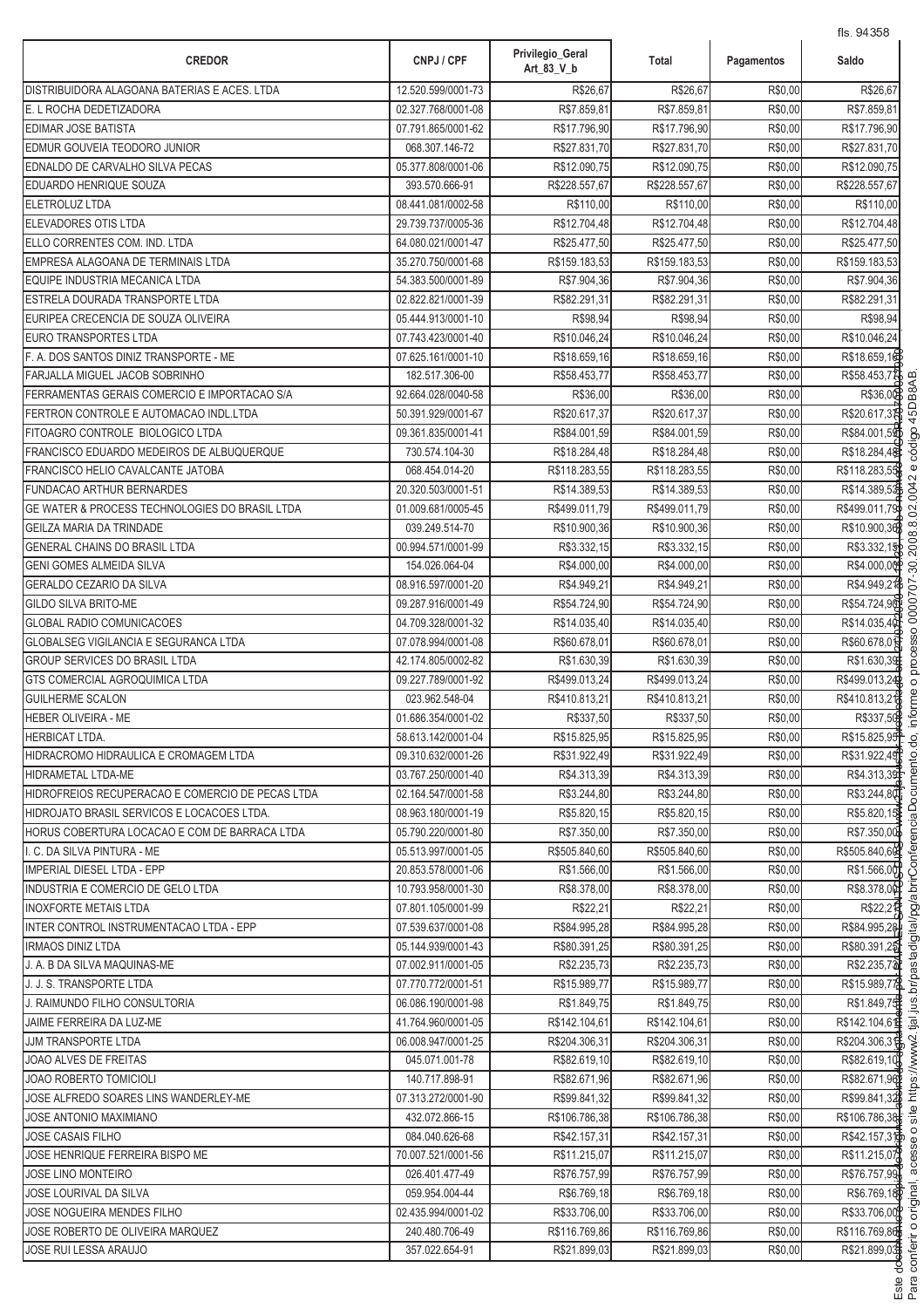| <b>CREDOR</b>                                           | CNPJ / CPF                               | Privilegio_Geral<br>Art_83_V_b | Total                       | Pagamentos         | Saldo                       |
|---------------------------------------------------------|------------------------------------------|--------------------------------|-----------------------------|--------------------|-----------------------------|
| DISTRIBUIDORA ALAGOANA BATERIAS E ACES. LTDA            | 12.520.599/0001-73                       | R\$26,67                       | R\$26,67                    | R\$0,00            | R\$26,67                    |
| E. L ROCHA DEDETIZADORA                                 | 02.327.768/0001-08                       | R\$7.859,81                    | R\$7.859,81                 | R\$0,00            | R\$7.859,81                 |
| EDIMAR JOSE BATISTA                                     | 07.791.865/0001-62                       | R\$17.796,90                   | R\$17.796,90                | R\$0,00            | R\$17.796,90                |
| EDMUR GOUVEIA TEODORO JUNIOR                            | 068.307.146-72                           | R\$27.831,70                   | R\$27.831,70                | R\$0,00            | R\$27.831,70                |
| EDNALDO DE CARVALHO SILVA PECAS                         | 05.377.808/0001-06                       | R\$12.090,75                   | R\$12.090,75                | R\$0,00            | R\$12.090,75                |
| EDUARDO HENRIQUE SOUZA                                  | 393.570.666-91                           | R\$228.557,67                  | R\$228.557,67               | R\$0,00            | R\$228.557,67               |
| <b>ELETROLUZ LTDA</b>                                   | 08.441.081/0002-58                       | R\$110,00                      | R\$110,00                   | R\$0,00            | R\$110,00                   |
| ELEVADORES OTIS LTDA                                    | 29.739.737/0005-36                       | R\$12.704,48                   | R\$12.704,48                | R\$0,00            | R\$12.704,48                |
| ELLO CORRENTES COM. IND. LTDA                           | 64.080.021/0001-47                       | R\$25.477,50                   | R\$25.477,50                | R\$0,00            | R\$25.477,50                |
| EMPRESA ALAGOANA DE TERMINAIS LTDA                      | 35.270.750/0001-68                       | R\$159.183,53                  | R\$159.183,53               | R\$0,00            | R\$159.183,53               |
| EQUIPE INDUSTRIA MECANICA LTDA                          | 54.383.500/0001-89                       | R\$7.904,36                    | R\$7.904,36                 | R\$0,00            | R\$7.904,36                 |
| ESTRELA DOURADA TRANSPORTE LTDA                         | 02.822.821/0001-39                       | R\$82.291,31                   | R\$82.291,31                | R\$0,00            | R\$82.291,31                |
| EURIPEA CRECENCIA DE SOUZA OLIVEIRA                     | 05.444.913/0001-10                       | R\$98,94                       | R\$98,94                    | R\$0,00            | R\$98,94                    |
| EURO TRANSPORTES LTDA                                   | 07.743.423/0001-40                       | R\$10.046,24                   | R\$10.046,24                | R\$0,00            | R\$10.046,24                |
| F. A. DOS SANTOS DINIZ TRANSPORTE - ME                  | 07.625.161/0001-10                       | R\$18.659,16                   | R\$18.659,16                | R\$0,00            | R\$18.659,16                |
| FARJALLA MIGUEL JACOB SOBRINHO                          | 182.517.306-00                           | R\$58.453,77                   | R\$58.453,77                | R\$0,00            | R\$58.453,77                |
| FERRAMENTAS GERAIS COMERCIO E IMPORTACAO S/A            | 92.664.028/0040-58                       | R\$36,00                       | R\$36,00                    | R\$0,00            | R\$36,00                    |
| FERTRON CONTROLE E AUTOMACAO INDL.LTDA                  | 50.391.929/0001-67                       | R\$20.617,37                   | R\$20.617,37                | R\$0,00            | R\$20.617,38                |
| FITOAGRO CONTROLE BIOLOGICO LTDA                        | 09.361.835/0001-41                       | R\$84.001,59                   | R\$84.001,59                | R\$0,00            | R\$84.001,59                |
| <b>FRANCISCO EDUARDO MEDEIROS DE ALBUQUERQUE</b>        | 730.574.104-30                           | R\$18.284,48                   | R\$18.284,48                | R\$0,00            | R\$18.284,48                |
| FRANCISCO HELIO CAVALCANTE JATOBA                       | 068.454.014-20                           | R\$118.283,55                  | R\$118.283,55               | R\$0,00            | R\$118.283,55               |
| <b>FUNDACAO ARTHUR BERNARDES</b>                        | 20.320.503/0001-51                       | R\$14.389,53                   | R\$14.389,53                | R\$0,00            | R\$14.389,53                |
| GE WATER & PROCESS TECHNOLOGIES DO BRASIL LTDA          | 01.009.681/0005-45                       | R\$499.011,79                  | R\$499.011,79               | R\$0,00            | R\$499.011,79               |
| <b>GEILZA MARIA DA TRINDADE</b>                         | 039.249.514-70                           | R\$10.900,36                   | R\$10.900,36                | R\$0,00            | R\$10.900,36                |
| GENERAL CHAINS DO BRASIL LTDA                           | 00.994.571/0001-99                       | R\$3.332,15                    | R\$3.332,15                 | R\$0,00            | R\$3.332,15                 |
| <b>GENI GOMES ALMEIDA SILVA</b>                         | 154.026.064-04                           | R\$4.000,00                    | R\$4.000,00                 | R\$0,00            | R\$4.000,00                 |
| GERALDO CEZARIO DA SILVA<br><b>GILDO SILVA BRITO-ME</b> | 08.916.597/0001-20<br>09.287.916/0001-49 | R\$4.949,21<br>R\$54.724,90    | R\$4.949,21<br>R\$54.724,90 | R\$0,00<br>R\$0,00 | R\$4.949,21<br>R\$54.724,90 |
| <b>GLOBAL RADIO COMUNICACOES</b>                        | 04.709.328/0001-32                       | R\$14.035,40                   | R\$14.035,40                | R\$0,00            | R\$14.035,40                |
| <b>GLOBALSEG VIGILANCIA E SEGURANCA LTDA</b>            | 07.078.994/0001-08                       | R\$60.678,01                   | R\$60.678,01                | R\$0,00            | R\$60.678,0                 |
| <b>GROUP SERVICES DO BRASIL LTDA</b>                    | 42.174.805/0002-82                       | R\$1.630,39                    | R\$1.630,39                 | R\$0,00            | R\$1.630,39                 |
| <b>GTS COMERCIAL AGROQUIMICA LTDA</b>                   | 09.227.789/0001-92                       | R\$499.013,24                  | R\$499.013,24               | R\$0,00            | R\$499.013,24               |
| <b>GUILHERME SCALON</b>                                 | 023.962.548-04                           | R\$410.813,21                  | R\$410.813,21               | R\$0,00            | R\$410.813,21               |
| <b>HEBER OLIVEIRA - ME</b>                              | 01.686.354/0001-02                       | R\$337,50                      | R\$337,50                   | R\$0,00            | R\$337,50                   |
| <b>HERBICAT LTDA.</b>                                   | 58.613.142/0001-04                       | R\$15.825,95                   | R\$15.825,95                | R\$0,00            | R\$15.825,95                |
| HIDRACROMO HIDRAULICA E CROMAGEM LTDA                   | 09.310.632/0001-26                       | R\$31.922,49                   | R\$31.922,49                | R\$0,00            | R\$31.922,49                |
| <b>HIDRAMETAL LTDA-ME</b>                               | 03.767.250/0001-40                       | R\$4.313,39                    | R\$4.313,39                 | R\$0,00            | R\$4.313,39                 |
| HIDROFREIOS RECUPERACAO E COMERCIO DE PECAS LTDA        | 02.164.547/0001-58                       | R\$3.244,80                    | R\$3.244,80                 | R\$0,00            | R\$3.244,80                 |
| HIDROJATO BRASIL SERVICOS E LOCACOES LTDA.              | 08.963.180/0001-19                       | R\$5.820,15                    | R\$5.820,15                 | R\$0,00            | R\$5.820,15                 |
| HORUS COBERTURA LOCACAO E COM DE BARRACA LTDA           | 05.790.220/0001-80                       | R\$7.350.00                    | R\$7.350,00                 | R\$0,00            | R\$7.350.00                 |
| I. C. DA SILVA PINTURA - ME                             | 05.513.997/0001-05                       | R\$505.840.60                  | R\$505.840,60               | R\$0,00            | R\$505.840,60               |
| <b>IMPERIAL DIESEL LTDA - EPP</b>                       | 20.853.578/0001-06                       | R\$1.566,00                    | R\$1.566,00                 | R\$0,00            | R\$1.566,00                 |
| INDUSTRIA E COMERCIO DE GELO LTDA                       | 10.793.958/0001-30                       | R\$8.378,00                    | R\$8.378,00                 | R\$0,00            | R\$8.378,00                 |
| <b>INOXFORTE METAIS LTDA</b>                            | 07.801.105/0001-99                       | R\$22,21                       | R\$22,21                    | R\$0,00            | R\$22,2 <sup>1</sup>        |
| INTER CONTROL INSTRUMENTACAO LTDA - EPP                 | 07.539.637/0001-08                       | R\$84.995,28                   | R\$84.995,28                | R\$0,00            | R\$84.995,28                |
| <b>IRMAOS DINIZ LTDA</b>                                | 05.144.939/0001-43                       | R\$80.391,25                   | R\$80.391,25                | R\$0,00            | R\$80.391,25                |
| J. A. B DA SILVA MAQUINAS-ME                            | 07.002.911/0001-05                       | R\$2.235,73                    | R\$2.235,73                 | R\$0,00            | R\$2.235,70                 |
| J. J. S. TRANSPORTE LTDA                                | 07.770.772/0001-51                       | R\$15.989,77                   | R\$15.989,77                | R\$0,00            | R\$15.989,77                |
| J. RAIMUNDO FILHO CONSULTORIA                           | 06.086.190/0001-98                       | R\$1.849,75                    | R\$1.849,75                 | R\$0,00            | R\$1.849,75                 |
| JAIME FERREIRA DA LUZ-ME                                | 41.764.960/0001-05                       | R\$142.104,61                  | R\$142.104,61               | R\$0,00            | R\$142.104,619              |
| <b>JJM TRANSPORTE LTDA</b>                              | 06.008.947/0001-25                       | R\$204.306,31                  | R\$204.306,31               | R\$0,00            | R\$204.306,31               |
| JOAO ALVES DE FREITAS                                   | 045.071.001-78                           | R\$82.619,10                   | R\$82.619,10                | R\$0,00            | R\$82.619,10                |
| <b>JOAO ROBERTO TOMICIOLI</b>                           | 140.717.898-91                           | R\$82.671,96                   | R\$82.671,96                | R\$0,00            | R\$82.671,96                |
| JOSE ALFREDO SOARES LINS WANDERLEY-ME                   | 07.313.272/0001-90                       | R\$99.841,32                   | R\$99.841,32                | R\$0,00            | R\$99.841,32                |
| <b>JOSE ANTONIO MAXIMIANO</b>                           | 432.072.866-15                           | R\$106.786,38                  | R\$106.786,38               | R\$0,00            | R\$106.786,38               |
| <b>JOSE CASAIS FILHO</b>                                | 084.040.626-68                           | R\$42.157,31                   | R\$42.157,31                | R\$0,00            | R\$42.157,31                |
| JOSE HENRIQUE FERREIRA BISPO ME                         | 70.007.521/0001-56                       | R\$11.215,07                   | R\$11.215,07                | R\$0,00            | R\$11.215,07                |
| <b>JOSE LINO MONTEIRO</b>                               | 026.401.477-49                           | R\$76.757,99                   | R\$76.757,99                | R\$0,00            | R\$76.757,99                |
| JOSE LOURIVAL DA SILVA                                  | 059.954.004-44                           | R\$6.769,18                    | R\$6.769,18                 | R\$0,00            | R\$6.769,18                 |
| JOSE NOGUEIRA MENDES FILHO                              | 02.435.994/0001-02                       | R\$33.706,00                   | R\$33.706,00                | R\$0,00            | R\$33.706,00                |
| JOSE ROBERTO DE OLIVEIRA MARQUEZ                        | 240.480.706-49                           | R\$116.769,86                  | R\$116.769,86               | R\$0,00            | R\$116.769,86               |
| <b>JOSE RUI LESSA ARAUJO</b>                            | 357.022.654-91                           | R\$21.899,03                   | R\$21.899,03                | R\$0,00            | R\$21.899,03                |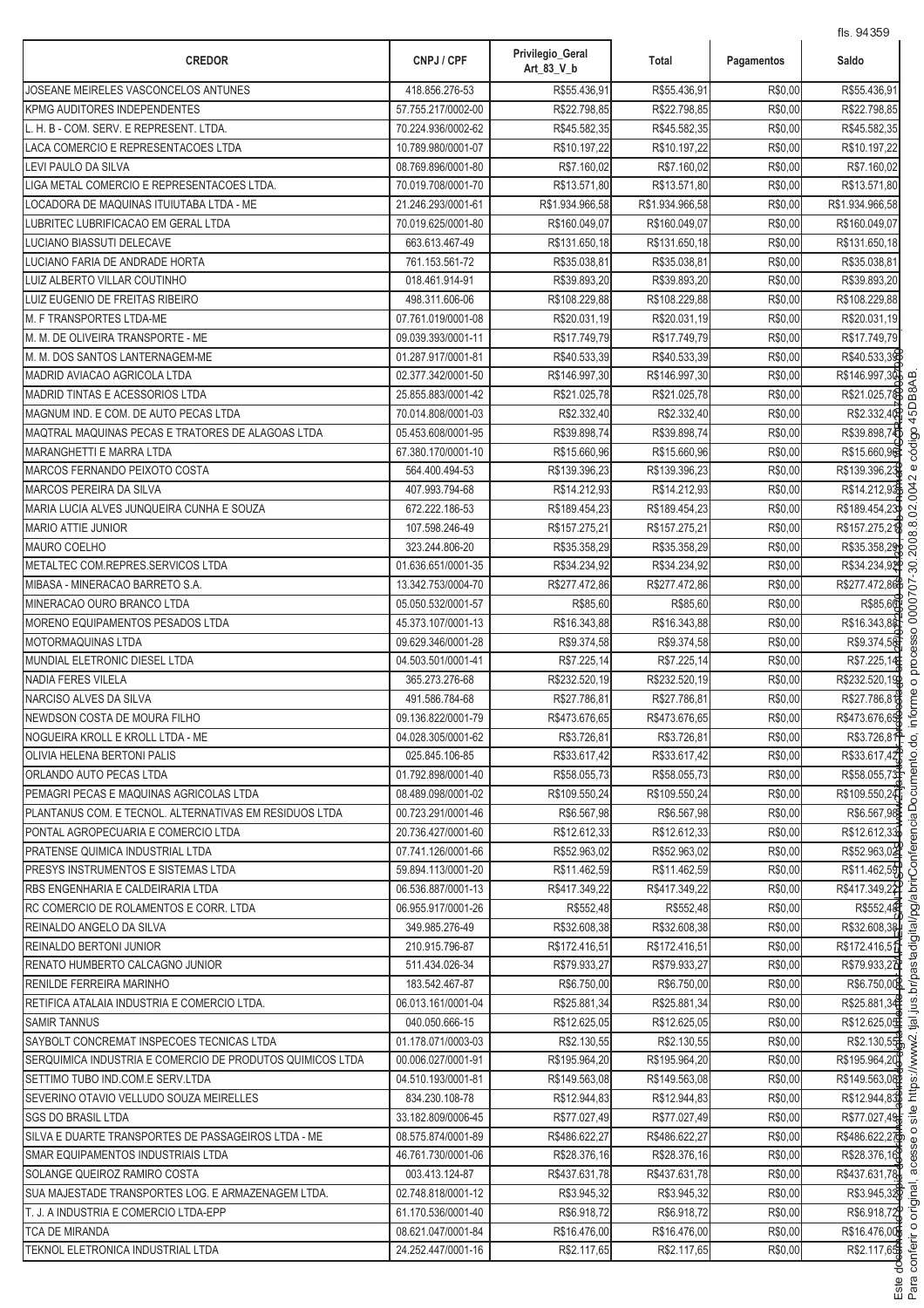| <b>CREDOR</b>                                             | CNPJ / CPF         | Privilegio_Geral<br>Art_83_V_b | Total           | Pagamentos | 113.0700<br>Saldo |
|-----------------------------------------------------------|--------------------|--------------------------------|-----------------|------------|-------------------|
| JOSEANE MEIRELES VASCONCELOS ANTUNES                      | 418.856.276-53     | R\$55.436,91                   | R\$55.436,91    | R\$0,00    | R\$55.436,91      |
| KPMG AUDITORES INDEPENDENTES                              | 57.755.217/0002-00 | R\$22.798,85                   | R\$22.798,85    | R\$0,00    | R\$22.798,85      |
| L. H. B - COM. SERV. E REPRESENT. LTDA.                   | 70.224.936/0002-62 | R\$45.582,35                   | R\$45.582,35    | R\$0,00    | R\$45.582,35      |
| LACA COMERCIO E REPRESENTACOES LTDA                       | 10.789.980/0001-07 | R\$10.197,22                   | R\$10.197,22    | R\$0,00    | R\$10.197,22      |
| LEVI PAULO DA SILVA                                       | 08.769.896/0001-80 | R\$7.160,02                    | R\$7.160,02     | R\$0,00    | R\$7.160,02       |
| LIGA METAL COMERCIO E REPRESENTACOES LTDA.                | 70.019.708/0001-70 | R\$13.571,80                   | R\$13.571,80    | R\$0,00    | R\$13.571,80      |
| OCADORA DE MAQUINAS ITUIUTABA LTDA - ME                   | 21.246.293/0001-61 | R\$1.934.966,58                | R\$1.934.966,58 | R\$0,00    | R\$1.934.966,58   |
| LUBRITEC LUBRIFICACAO EM GERAL LTDA                       | 70.019.625/0001-80 | R\$160.049,07                  | R\$160.049,07   | R\$0,00    | R\$160.049,07     |
| LUCIANO BIASSUTI DELECAVE                                 | 663.613.467-49     | R\$131.650,18                  | R\$131.650,18   | R\$0,00    | R\$131.650,18     |
| LUCIANO FARIA DE ANDRADE HORTA                            | 761.153.561-72     | R\$35.038,81                   | R\$35.038,81    | R\$0,00    | R\$35.038,81      |
| LUIZ ALBERTO VILLAR COUTINHO                              | 018.461.914-91     | R\$39.893,20                   | R\$39.893,20    | R\$0,00    | R\$39.893,20      |
| LUIZ EUGENIO DE FREITAS RIBEIRO                           | 498.311.606-06     | R\$108.229,88                  | R\$108.229,88   | R\$0,00    | R\$108.229,88     |
| <b>M. F TRANSPORTES LTDA-ME</b>                           | 07.761.019/0001-08 | R\$20.031,19                   | R\$20.031,19    | R\$0,00    | R\$20.031,19      |
| M. M. DE OLIVEIRA TRANSPORTE - ME                         | 09.039.393/0001-11 | R\$17.749,79                   | R\$17.749,79    | R\$0,00    | R\$17.749,79      |
| M. M. DOS SANTOS LANTERNAGEM-ME                           | 01.287.917/0001-81 | R\$40.533,39                   | R\$40.533,39    | R\$0,00    | R\$40.533,39      |
| MADRID AVIACAO AGRICOLA LTDA                              | 02.377.342/0001-50 | R\$146.997,30                  | R\$146.997,30   | R\$0,00    | R\$146.997,30     |
| MADRID TINTAS E ACESSORIOS LTDA                           | 25.855.883/0001-42 | R\$21.025,78                   | R\$21.025,78    | R\$0,00    | R\$21.025,7&      |
| MAGNUM IND. E COM. DE AUTO PECAS LTDA                     | 70.014.808/0001-03 | R\$2.332,40                    | R\$2.332,40     | R\$0,00    | R\$2.332,40       |
| MAQTRAL MAQUINAS PECAS E TRATORES DE ALAGOAS LTDA         | 05.453.608/0001-95 | R\$39.898,74                   | R\$39.898,74    | R\$0,00    | R\$39.898,74      |
| MARANGHETTI E MARRA LTDA                                  | 67.380.170/0001-10 | R\$15.660,96                   | R\$15.660,96    | R\$0,00    | R\$15.660,96      |
| MARCOS FERNANDO PEIXOTO COSTA                             | 564.400.494-53     | R\$139.396,23                  | R\$139.396,23   | R\$0,00    | R\$139.396,23     |
| <b>MARCOS PEREIRA DA SILVA</b>                            | 407.993.794-68     | R\$14.212,93                   | R\$14.212,93    | R\$0,00    | R\$14.212,93      |
| MARIA LUCIA ALVES JUNQUEIRA CUNHA E SOUZA                 | 672.222.186-53     | R\$189.454,23                  | R\$189.454,23   | R\$0,00    | R\$189.454,23     |
| <b>MARIO ATTIE JUNIOR</b>                                 | 107.598.246-49     | R\$157.275,21                  | R\$157.275,21   | R\$0,00    | R\$157.275,21     |
| <b>MAURO COELHO</b>                                       | 323.244.806-20     | R\$35.358,29                   | R\$35.358,29    | R\$0,00    | R\$35.358,29      |
| METALTEC COM.REPRES.SERVICOS LTDA                         | 01.636.651/0001-35 | R\$34.234,92                   | R\$34.234,92    | R\$0,00    | R\$34.234,92      |
| MIBASA - MINERACAO BARRETO S.A.                           | 13.342.753/0004-70 | R\$277.472,86                  | R\$277.472,86   | R\$0,00    | R\$277.472,86     |
| MINERACAO OURO BRANCO LTDA                                | 05.050.532/0001-57 | R\$85,60                       | R\$85,60        | R\$0,00    | R\$85,60          |
| MORENO EQUIPAMENTOS PESADOS LTDA                          | 45.373.107/0001-13 | R\$16.343,88                   | R\$16.343,88    | R\$0,00    | R\$16.343,8&      |
| <b>MOTORMAQUINAS LTDA</b>                                 | 09.629.346/0001-28 | R\$9.374,58                    | R\$9.374,58     | R\$0,00    | R\$9.374,58       |
| MUNDIAL ELETRONIC DIESEL LTDA                             | 04.503.501/0001-41 | R\$7.225,14                    | R\$7.225,14     | R\$0,00    | R\$7.225,14       |
| <b>NADIA FERES VILELA</b>                                 | 365.273.276-68     | R\$232.520,19                  | R\$232.520,19   | R\$0,00    | R\$232.520,19     |
| NARCISO ALVES DA SILVA                                    | 491.586.784-68     | R\$27.786,81                   | R\$27.786,81    | R\$0,00    | R\$27.786,81      |
| NEWDSON COSTA DE MOURA FILHO                              | 09.136.822/0001-79 | R\$473.676,65                  | R\$473.676,65   | R\$0,00    | R\$473.676,65     |
| NOGUEIRA KROLL E KROLL LTDA - ME                          | 04.028.305/0001-62 | R\$3.726,81                    | R\$3.726,81     | R\$0.00    | R\$3.726,819      |
| OLIVIA HELENA BERTONI PALIS                               | 025.845.106-85     | R\$33.617,42                   | R\$33.617,42    | R\$0,00    | R\$33.617,42      |
| ORLANDO AUTO PECAS LTDA                                   | 01.792.898/0001-40 | R\$58.055,73                   | R\$58.055,73    | R\$0,00    | R\$58.055,73      |
| PEMAGRI PECAS E MAQUINAS AGRICOLAS LTDA                   | 08.489.098/0001-02 | R\$109.550.24                  | R\$109.550,24   | R\$0,00    | R\$109.550,24     |
| PLANTANUS COM. E TECNOL. ALTERNATIVAS EM RESIDUOS LTDA    | 00.723.291/0001-46 | R\$6.567,98                    | R\$6.567.98     | R\$0,00    | R\$6.567,98       |
| PONTAL AGROPECUARIA E COMERCIO LTDA                       | 20.736.427/0001-60 | R\$12.612.33                   | R\$12.612,33    | R\$0,00    | R\$12.612,33      |
| <b>PRATENSE QUIMICA INDUSTRIAL LTDA</b>                   | 07.741.126/0001-66 | R\$52.963,02                   | R\$52.963,02    | R\$0,00    | R\$52.963,02      |
| PRESYS INSTRUMENTOS E SISTEMAS LTDA                       | 59.894.113/0001-20 | R\$11.462,59                   | R\$11.462,59    | R\$0,00    | R\$11.462,59      |
| RBS ENGENHARIA E CALDEIRARIA LTDA                         | 06.536.887/0001-13 | R\$417.349,22                  | R\$417.349.22   | R\$0,00    | R\$417.349,22     |
| RC COMERCIO DE ROLAMENTOS E CORR. LTDA                    | 06.955.917/0001-26 | R\$552,48                      | R\$552,48       | R\$0,00    | R\$552,48         |
| REINALDO ANGELO DA SILVA                                  | 349.985.276-49     | R\$32.608.38                   | R\$32,608.38    | R\$0,00    | R\$32.608,38      |
| <b>REINALDO BERTONI JUNIOR</b>                            | 210.915.796-87     | R\$172.416,51                  | R\$172.416,51   | R\$0,00    | R\$172.416,51     |
| RENATO HUMBERTO CALCAGNO JUNIOR                           | 511.434.026-34     | R\$79.933,27                   | R\$79.933,27    | R\$0,00    | R\$79.933,27      |
| RENILDE FERREIRA MARINHO                                  | 183.542.467-87     | R\$6.750,00                    | R\$6.750,00     | R\$0,00    | R\$6.750,00       |
| RETIFICA ATALAIA INDUSTRIA E COMERCIO LTDA.               | 06.013.161/0001-04 | R\$25.881,34                   | R\$25.881,34    | R\$0,00    | R\$25.881,34      |
| <b>SAMIR TANNUS</b>                                       | 040.050.666-15     | R\$12.625,05                   | R\$12.625,05    | R\$0,00    | R\$12.625,05      |
| SAYBOLT CONCREMAT INSPECOES TECNICAS LTDA                 | 01.178.071/0003-03 | R\$2.130,55                    | R\$2.130,55     | R\$0,00    | R\$2.130,55       |
| SERQUIMICA INDUSTRIA E COMERCIO DE PRODUTOS QUIMICOS LTDA | 00.006.027/0001-91 | R\$195.964,20                  | R\$195.964,20   | R\$0,00    | R\$195.964,20     |
| SETTIMO TUBO IND.COM.E SERV.LTDA                          | 04.510.193/0001-81 | R\$149.563,08                  | R\$149.563,08   | R\$0,00    | R\$149.563,08     |
| SEVERINO OTAVIO VELLUDO SOUZA MEIRELLES                   | 834.230.108-78     | R\$12.944,83                   | R\$12.944,83    | R\$0,00    | R\$12.944,83      |
| <b>SGS DO BRASIL LTDA</b>                                 | 33.182.809/0006-45 | R\$77.027,49                   | R\$77.027,49    | R\$0,00    | R\$77.027,49      |
| SILVA E DUARTE TRANSPORTES DE PASSAGEIROS LTDA - ME       | 08.575.874/0001-89 | R\$486.622,27                  | R\$486.622,27   | R\$0,00    | R\$486.622,27     |
| SMAR EQUIPAMENTOS INDUSTRIAIS LTDA                        | 46.761.730/0001-06 | R\$28.376,16                   | R\$28.376,16    | R\$0,00    | R\$28.376,16      |
| SOLANGE QUEIROZ RAMIRO COSTA                              | 003.413.124-87     | R\$437.631,78                  | R\$437.631,78   | R\$0,00    | R\$437.631,78     |
| SUA MAJESTADE TRANSPORTES LOG. E ARMAZENAGEM LTDA.        | 02.748.818/0001-12 | R\$3.945,32                    | R\$3.945,32     | R\$0,00    | R\$3.945,32       |
| T. J. A INDUSTRIA E COMERCIO LTDA-EPP                     | 61.170.536/0001-40 | R\$6.918,72                    | R\$6.918,72     | R\$0,00    | R\$6.918,72       |
| <b>TCA DE MIRANDA</b>                                     | 08.621.047/0001-84 | R\$16.476,00                   | R\$16.476,00    | R\$0,00    | R\$16.476,00      |
| TEKNOL ELETRONICA INDUSTRIAL LTDA                         | 24.252.447/0001-16 | R\$2.117,65                    | R\$2.117,65     | R\$0,00    | R\$2.117,65       |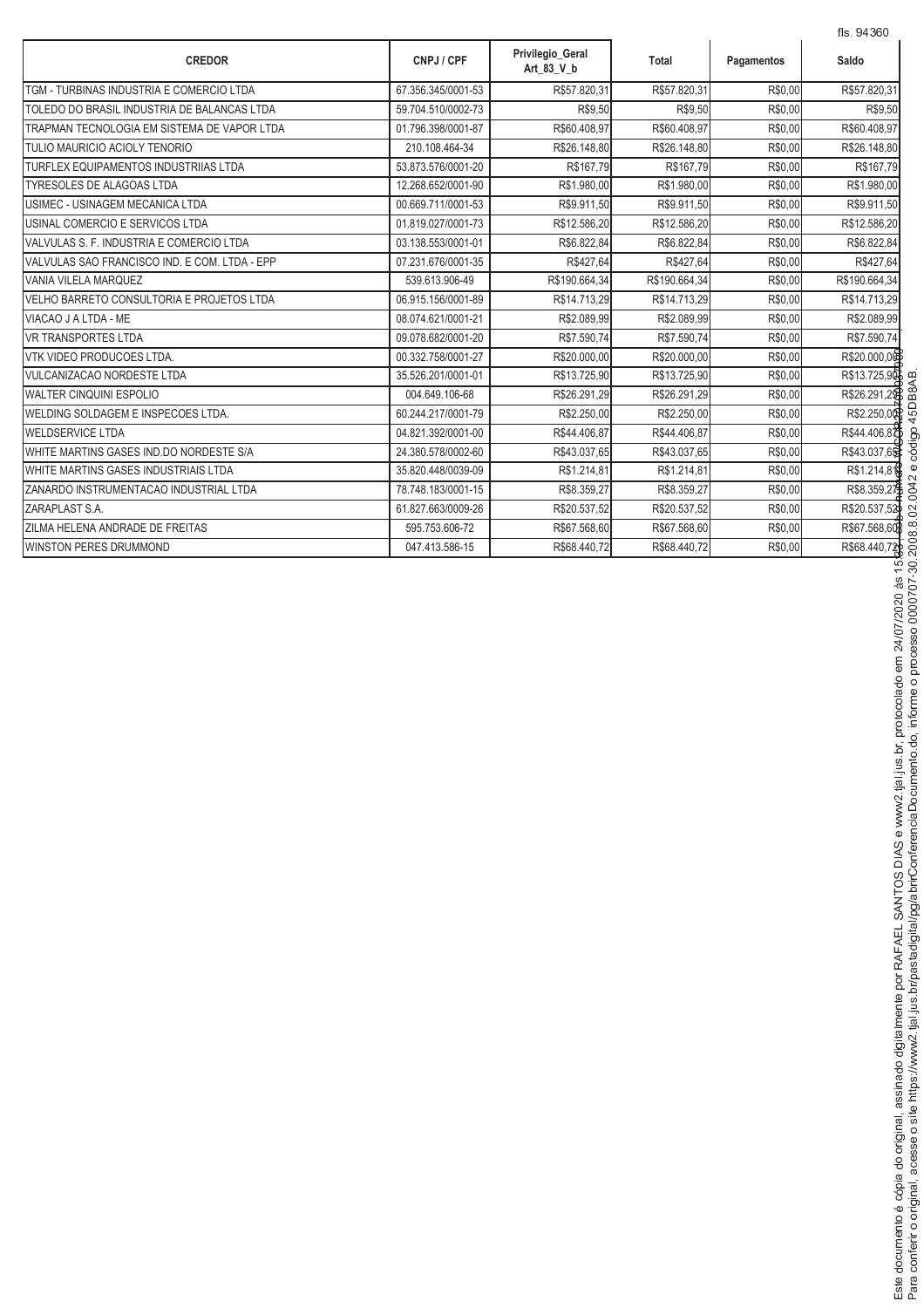|                                               |                    |                                |               |            | fls. 94360    |
|-----------------------------------------------|--------------------|--------------------------------|---------------|------------|---------------|
| <b>CREDOR</b>                                 | CNPJ / CPF         | Privilegio_Geral<br>Art 83 V b | Total         | Pagamentos | Saldo         |
| TGM - TURBINAS INDUSTRIA E COMERCIO LTDA      | 67.356.345/0001-53 | R\$57.820,31                   | R\$57.820,31  | R\$0,00    | R\$57.820,31  |
| TOLEDO DO BRASIL INDUSTRIA DE BALANCAS LTDA   | 59.704.510/0002-73 | R\$9,50                        | R\$9,50       | R\$0,00    | R\$9,50       |
| TRAPMAN TECNOLOGIA EM SISTEMA DE VAPOR LTDA   | 01.796.398/0001-87 | R\$60.408,97                   | R\$60.408,97  | R\$0,00    | R\$60.408,97  |
| TULIO MAURICIO ACIOLY TENORIO                 | 210.108.464-34     | R\$26.148,80                   | R\$26.148,80  | R\$0,00    | R\$26.148,80  |
| TURFLEX EQUIPAMENTOS INDUSTRIIAS LTDA         | 53.873.576/0001-20 | R\$167,79                      | R\$167,79     | R\$0,00    | R\$167,79     |
| <b>TYRESOLES DE ALAGOAS LTDA</b>              | 12.268.652/0001-90 | R\$1.980,00                    | R\$1.980,00   | R\$0,00    | R\$1.980,00   |
| USIMEC - USINAGEM MECANICA LTDA               | 00.669.711/0001-53 | R\$9.911,50                    | R\$9.911,50   | R\$0,00    | R\$9.911,50   |
| USINAL COMERCIO E SERVICOS LTDA               | 01.819.027/0001-73 | R\$12.586,20                   | R\$12.586,20  | R\$0,00    | R\$12.586,20  |
| VALVULAS S. F. INDUSTRIA E COMERCIO LTDA      | 03.138.553/0001-01 | R\$6.822,84                    | R\$6.822,84   | R\$0,00    | R\$6.822,84   |
| VALVULAS SAO FRANCISCO IND. E COM. LTDA - EPP | 07.231.676/0001-35 | R\$427,64                      | R\$427,64     | R\$0,00    | R\$427,64     |
| VANIA VILELA MARQUEZ                          | 539.613.906-49     | R\$190.664,34                  | R\$190.664,34 | R\$0,00    | R\$190.664,34 |
| VELHO BARRETO CONSULTORIA E PROJETOS LTDA     | 06.915.156/0001-89 | R\$14.713,29                   | R\$14.713,29  | R\$0,00    | R\$14.713,29  |
| VIACAO J A LTDA - ME                          | 08.074.621/0001-21 | R\$2.089,99                    | R\$2.089,99   | R\$0,00    | R\$2.089,99   |
| <b>VR TRANSPORTES LTDA</b>                    | 09.078.682/0001-20 | R\$7.590,74                    | R\$7.590,74   | R\$0,00    | R\$7.590,74   |
| VTK VIDEO PRODUCOES LTDA.                     | 00.332.758/0001-27 | R\$20.000,00                   | R\$20.000,00  | R\$0,00    | R\$20.000,00  |
| <b>VULCANIZACAO NORDESTE LTDA</b>             | 35.526.201/0001-01 | R\$13.725,90                   | R\$13.725,90  | R\$0,00    | R\$13.725,90  |
| <b>WALTER CINQUINI ESPOLIO</b>                | 004.649.106-68     | R\$26.291,29                   | R\$26.291,29  | R\$0,00    | R\$26.291,29  |
| WELDING SOLDAGEM E INSPECOES LTDA.            | 60.244.217/0001-79 | R\$2.250,00                    | R\$2.250,00   | R\$0.00    | R\$2.250,00   |
| <b>WELDSERVICE LTDA</b>                       | 04.821.392/0001-00 | R\$44.406,87                   | R\$44.406,87  | R\$0,00    | R\$44.406,87  |
| WHITE MARTINS GASES IND DO NORDESTE S/A       | 24.380.578/0002-60 | R\$43.037,65                   | R\$43.037,65  | R\$0,00    | R\$43.037,65  |
| WHITE MARTINS GASES INDUSTRIAIS LTDA          | 35.820.448/0039-09 | R\$1.214,81                    | R\$1.214,81   | R\$0,00    | R\$1.214,81   |
| ZANARDO INSTRUMENTACAO INDUSTRIAL LTDA        | 78.748.183/0001-15 | R\$8.359,27                    | R\$8.359,27   | R\$0,00    | R\$8.359,27   |
| ZARAPLAST S.A.                                | 61.827.663/0009-26 | R\$20.537,52                   | R\$20.537,52  | R\$0,00    | R\$20.537,52  |
| ZILMA HELENA ANDRADE DE FREITAS               | 595.753.606-72     | R\$67.568,60                   | R\$67.568,60  | R\$0,00    | R\$67.568,60  |
| <b>WINSTON PERES DRUMMOND</b>                 | 047.413.586-15     | R\$68.440,72                   | R\$68.440,72  | R\$0.00    | R\$68.440,72  |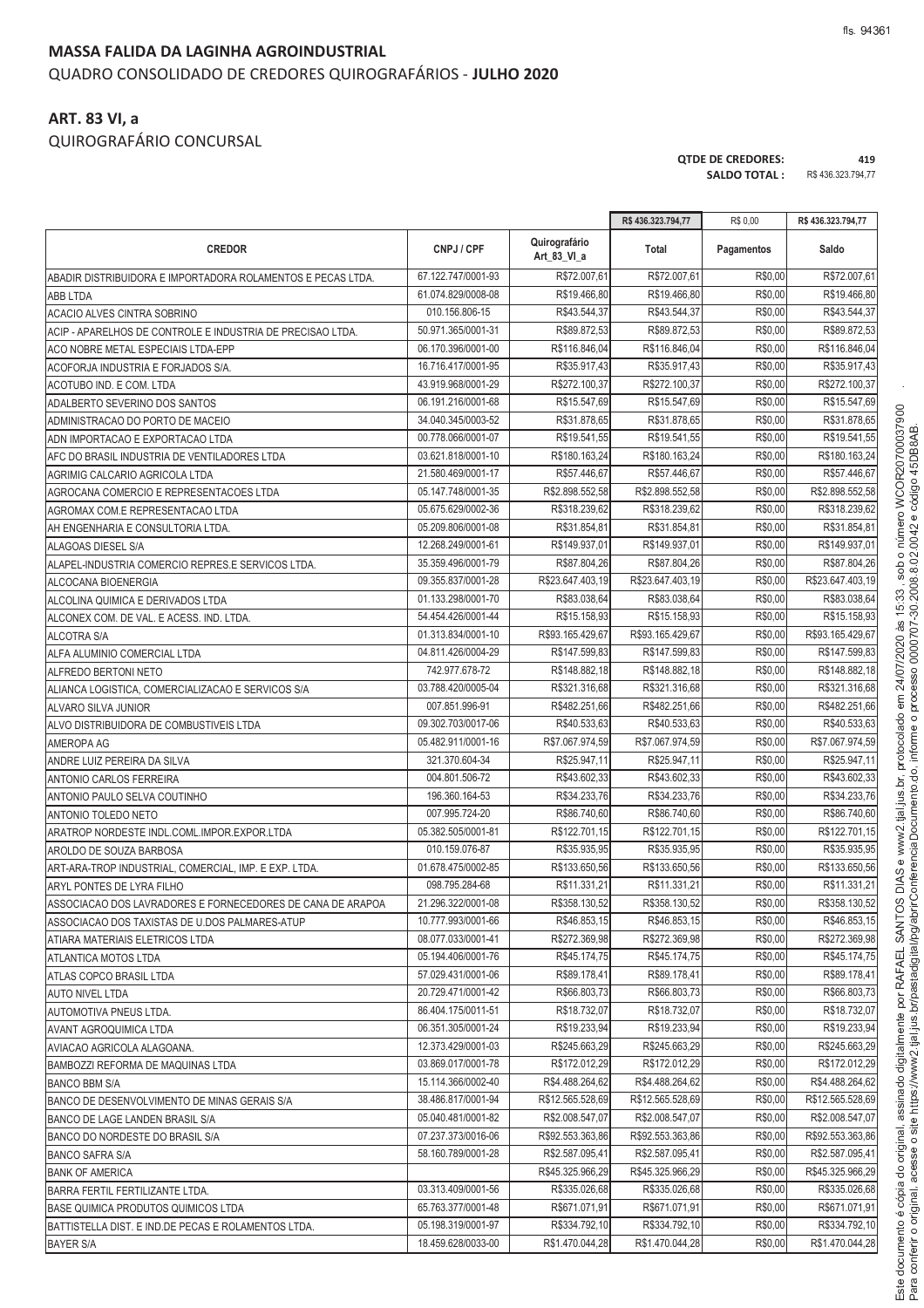#### **MASSA FALIDA DA LAGINHA AGROINDUSTRIAL** QUADRO CONSOLIDADO DE CREDORES QUIROGRAFÁRIOS - **JULHO 2020**

#### **ART. 83 VI, a**

QUIROGRAFÁRIO CONCURSAL

**QTDE DE CREDORES: 419 SALDO TOTAL :** R\$ 436.323.794,77

|                                                             |                    |                              | R\$436.323.794,77            | R\$ 0,00   | R\$436.323.794,77            |
|-------------------------------------------------------------|--------------------|------------------------------|------------------------------|------------|------------------------------|
| <b>CREDOR</b>                                               | CNPJ / CPF         | Quirografário<br>Art 83 VI a | Total                        | Pagamentos | Saldo                        |
| ABADIR DISTRIBUIDORA E IMPORTADORA ROLAMENTOS E PECAS LTDA. | 67.122.747/0001-93 | R\$72.007,61                 | R\$72.007,61                 | R\$0,00    | R\$72.007,61                 |
| ABB LTDA                                                    | 61.074.829/0008-08 | R\$19.466,80                 | R\$19.466,80                 | R\$0,00    | R\$19.466,80                 |
| ACACIO ALVES CINTRA SOBRINO                                 | 010.156.806-15     | R\$43.544,37                 | R\$43.544,37                 | R\$0,00    | R\$43.544,37                 |
| ACIP - APARELHOS DE CONTROLE E INDUSTRIA DE PRECISAO LTDA.  | 50.971.365/0001-31 | R\$89.872,53                 | R\$89.872,53                 | R\$0,00    | R\$89.872,53                 |
| ACO NOBRE METAL ESPECIAIS LTDA-EPP                          | 06.170.396/0001-00 | R\$116.846,04                | R\$116.846,04                | R\$0,00    | R\$116.846,04                |
| ACOFORJA INDUSTRIA E FORJADOS S/A.                          | 16.716.417/0001-95 | R\$35.917,43                 | R\$35.917,43                 | R\$0,00    | R\$35.917,43                 |
| ACOTUBO IND. E COM. LTDA                                    | 43.919.968/0001-29 | R\$272.100,37                | R\$272.100,37                | R\$0,00    | R\$272.100,37                |
| ADALBERTO SEVERINO DOS SANTOS                               | 06.191.216/0001-68 | R\$15.547,69                 | R\$15.547,69                 | R\$0,00    | R\$15.547,69                 |
| ADMINISTRACAO DO PORTO DE MACEIO                            | 34.040.345/0003-52 | R\$31.878,65                 | R\$31.878,65                 | R\$0,00    | R\$31.878,65                 |
| ADN IMPORTACAO E EXPORTACAO LTDA                            | 00.778.066/0001-07 | R\$19.541,55                 | R\$19.541,55                 | R\$0,00    | R\$19.541.55                 |
| AFC DO BRASIL INDUSTRIA DE VENTILADORES LTDA                | 03.621.818/0001-10 | R\$180.163,24                | R\$180.163,24                | R\$0,00    | R\$180.163,24                |
| AGRIMIG CALCARIO AGRICOLA LTDA                              | 21.580.469/0001-17 | R\$57.446,67                 | R\$57.446,67                 | R\$0,00    | R\$57.446,67                 |
| AGROCANA COMERCIO E REPRESENTACOES LTDA                     | 05.147.748/0001-35 | R\$2.898.552,58              | R\$2.898.552,58              | R\$0,00    | R\$2.898.552,58              |
| AGROMAX COM.E REPRESENTACAO LTDA                            | 05.675.629/0002-36 | R\$318.239,62                | R\$318.239,62                | R\$0,00    | R\$318.239,62                |
| AH ENGENHARIA E CONSULTORIA LTDA.                           | 05.209.806/0001-08 | R\$31.854.81                 | R\$31.854,81                 | R\$0,00    | R\$31.854,81                 |
| ALAGOAS DIESEL S/A                                          | 12.268.249/0001-61 | R\$149.937,0                 | R\$149.937,01                | R\$0,00    | R\$149.937,01                |
| ALAPEL-INDUSTRIA COMERCIO REPRES.E SERVICOS LTDA.           | 35.359.496/0001-79 | R\$87.804,26                 | R\$87.804,26                 | R\$0,00    | R\$87.804,26                 |
| ALCOCANA BIOENERGIA                                         | 09.355.837/0001-28 | R\$23.647.403.19             | R\$23.647.403,19             | R\$0,00    | R\$23.647.403,19             |
| ALCOLINA QUIMICA E DERIVADOS LTDA                           | 01.133.298/0001-70 | R\$83.038,64                 | R\$83.038,64                 | R\$0,00    | R\$83.038,64                 |
| ALCONEX COM. DE VAL. E ACESS. IND. LTDA.                    | 54.454.426/0001-44 | R\$15.158,93                 | R\$15.158,93                 | R\$0,00    | R\$15.158,93                 |
| <b>ALCOTRA S/A</b>                                          | 01.313.834/0001-10 | R\$93.165.429,67             | R\$93.165.429,67             | R\$0,00    | R\$93.165.429,67             |
| ALFA ALUMINIO COMERCIAL LTDA                                | 04.811.426/0004-29 | R\$147.599,83                | R\$147.599,83                | R\$0,00    | R\$147.599,83                |
| <b>ALFREDO BERTONI NETO</b>                                 | 742.977.678-72     | R\$148.882,18                | R\$148.882,18                | R\$0,00    | R\$148.882,18                |
| ALIANCA LOGISTICA, COMERCIALIZACAO E SERVICOS S/A           | 03.788.420/0005-04 | R\$321.316,68                | R\$321.316,68                | R\$0,00    | R\$321.316,68                |
| ALVARO SILVA JUNIOR                                         | 007.851.996-91     | R\$482.251,66                | R\$482.251,66                | R\$0,00    | R\$482.251,66                |
| ALVO DISTRIBUIDORA DE COMBUSTIVEIS LTDA                     | 09.302.703/0017-06 | R\$40.533,63                 | R\$40.533,63                 | R\$0,00    | R\$40.533,63                 |
| AMEROPA AG                                                  | 05.482.911/0001-16 | R\$7.067.974,59              | R\$7.067.974,59              | R\$0,00    | R\$7.067.974,59              |
| ANDRE LUIZ PEREIRA DA SILVA                                 | 321.370.604-34     | R\$25.947,11                 | R\$25.947,11                 | R\$0,00    | R\$25.947,11                 |
|                                                             | 004.801.506-72     | R\$43.602,33                 | R\$43.602,33                 | R\$0,00    | R\$43.602,33                 |
| ANTONIO CARLOS FERREIRA                                     | 196.360.164-53     | R\$34.233,76                 | R\$34.233,76                 | R\$0,00    | R\$34.233,76                 |
| ANTONIO PAULO SELVA COUTINHO                                | 007.995.724-20     | R\$86.740,60                 | R\$86.740,60                 | R\$0,00    | R\$86.740,60                 |
| ANTONIO TOLEDO NETO                                         | 05.382.505/0001-81 | R\$122.701,15                | R\$122.701,15                | R\$0,00    | R\$122.701,15                |
| ARATROP NORDESTE INDL.COML.IMPOR.EXPOR.LTDA                 | 010.159.076-87     | R\$35.935,95                 | R\$35.935,95                 | R\$0,00    | R\$35.935,95                 |
| AROLDO DE SOUZA BARBOSA                                     | 01.678.475/0002-85 | R\$133.650,56                | R\$133.650,56                | R\$0,00    | R\$133.650.56                |
| ART-ARA-TROP INDUSTRIAL, COMERCIAL, IMP. E EXP. LTDA.       | 098.795.284-68     | R\$11.331,21                 | R\$11.331,21                 | R\$0,00    | R\$11.331,21                 |
| ARYL PONTES DE LYRA FILHO                                   | 21.296.322/0001-08 | R\$358.130,52                | R\$358.130,52                | R\$0,00    | R\$358.130,52                |
| ASSOCIACAO DOS LAVRADORES E FORNECEDORES DE CANA DE ARAPOA  | 10.777.993/0001-66 | R\$46.853,15                 | R\$46.853,15                 | R\$0,00    | R\$46.853,15                 |
| ASSOCIACAO DOS TAXISTAS DE U.DOS PALMARES-ATUP              | 08.077.033/0001-41 | R\$272.369.98                | R\$272.369,98                | R\$0,00    | R\$272.369,98                |
| ATIARA MATERIAIS ELETRICOS LTDA                             | 05.194.406/0001-76 |                              |                              | R\$0,00    |                              |
| <b>ATLANTICA MOTOS LTDA</b>                                 | 57.029.431/0001-06 | R\$45.174,75<br>R\$89.178.41 | R\$45.174,75<br>R\$89.178,41 | R\$0,00    | R\$45.174,75<br>R\$89.178,41 |
| ATLAS COPCO BRASIL LTDA                                     |                    | R\$66.803,73                 |                              |            |                              |
| <b>AUTO NIVEL LTDA</b>                                      | 20.729.471/0001-42 |                              | R\$66.803,73                 | R\$0,00    | R\$66.803,73                 |
| AUTOMOTIVA PNEUS LTDA.                                      | 86.404.175/0011-51 | R\$18.732,07                 | R\$18.732,07                 | R\$0,00    | R\$18.732,07                 |
| AVANT AGROQUIMICA LTDA                                      | 06.351.305/0001-24 | R\$19.233,94                 | R\$19.233,94                 | R\$0,00    | R\$19.233,94                 |
| AVIACAO AGRICOLA ALAGOANA.                                  | 12.373.429/0001-03 | R\$245.663,29                | R\$245.663,29                | R\$0,00    | R\$245.663,29                |
| BAMBOZZI REFORMA DE MAQUINAS LTDA                           | 03.869.017/0001-78 | R\$172.012,29                | R\$172.012,29                | R\$0,00    | R\$172.012,29                |
| <b>BANCO BBM S/A</b>                                        | 15.114.366/0002-40 | R\$4.488.264,62              | R\$4.488.264,62              | R\$0,00    | R\$4.488.264,62              |
| BANCO DE DESENVOLVIMENTO DE MINAS GERAIS S/A                | 38.486.817/0001-94 | R\$12.565.528,69             | R\$12.565.528,69             | R\$0,00    | R\$12.565.528,69             |
| BANCO DE LAGE LANDEN BRASIL S/A                             | 05.040.481/0001-82 | R\$2.008.547,07              | R\$2.008.547,07              | R\$0,00    | R\$2.008.547,07              |
| BANCO DO NORDESTE DO BRASIL S/A                             | 07.237.373/0016-06 | R\$92.553.363,86             | R\$92.553.363,86             | R\$0,00    | R\$92.553.363,86             |
| <b>BANCO SAFRA S/A</b>                                      | 58.160.789/0001-28 | R\$2.587.095,41              | R\$2.587.095,41              | R\$0,00    | R\$2.587.095,41              |
| <b>BANK OF AMERICA</b>                                      |                    | R\$45.325.966,29             | R\$45.325.966,29             | R\$0,00    | R\$45.325.966,29             |
| BARRA FERTIL FERTILIZANTE LTDA.                             | 03.313.409/0001-56 | R\$335.026,68                | R\$335.026,68                | R\$0,00    | R\$335.026,68                |
| BASE QUIMICA PRODUTOS QUIMICOS LTDA                         | 65.763.377/0001-48 | R\$671.071,91                | R\$671.071,91                | R\$0,00    | R\$671.071,91                |
| BATTISTELLA DIST. E IND.DE PECAS E ROLAMENTOS LTDA.         | 05.198.319/0001-97 | R\$334.792,10                | R\$334.792,10                | R\$0,00    | R\$334.792,10                |
| <b>BAYER S/A</b>                                            | 18.459.628/0033-00 | R\$1.470.044,28              | R\$1.470.044,28              | R\$0,00    | R\$1.470.044,28              |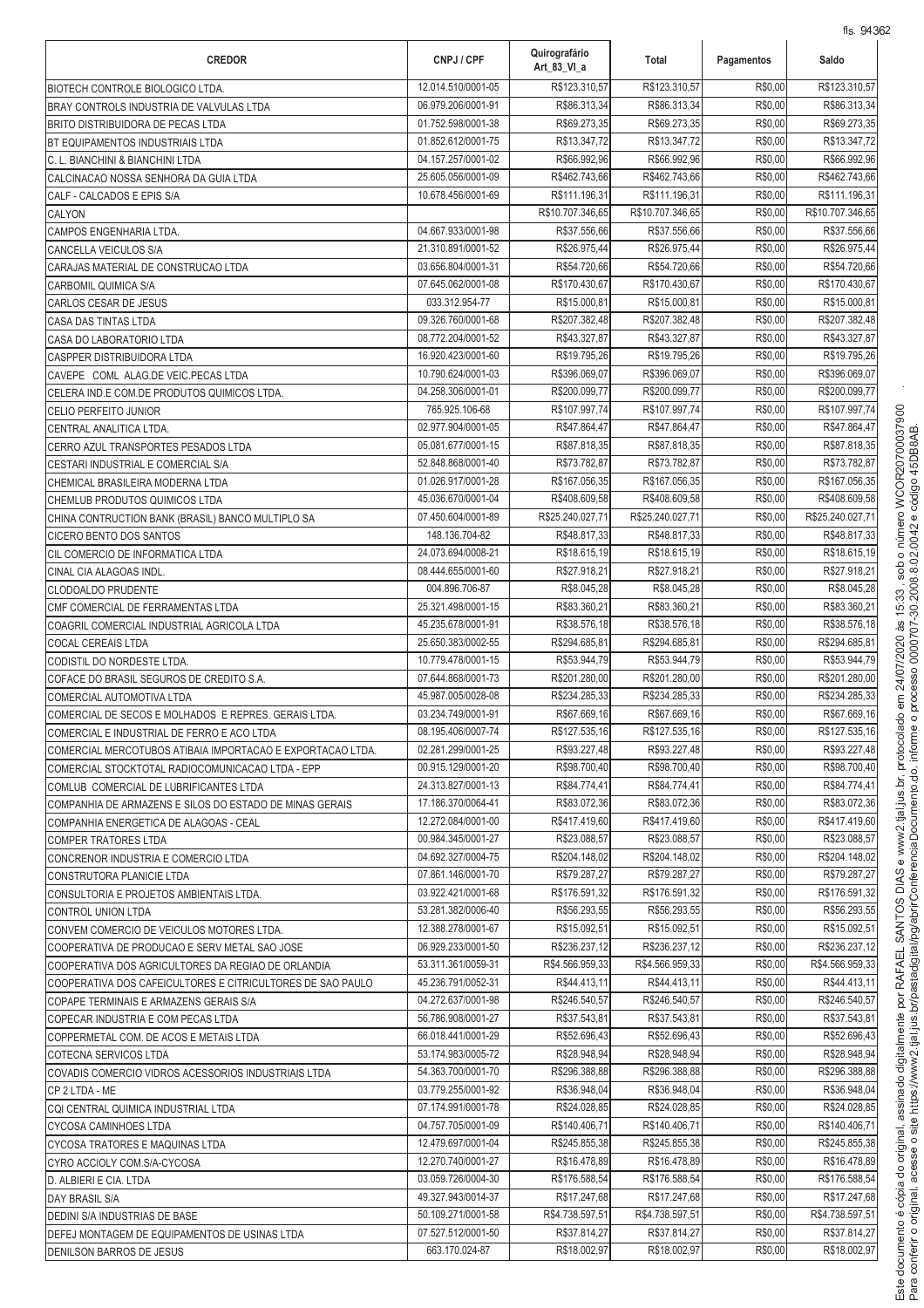| <b>CREDOR</b>                                                                                       | CNPJ / CPF                               | Quirografário<br>Art 83 VI a   | Total                          | Pagamentos         | Saldo                         |
|-----------------------------------------------------------------------------------------------------|------------------------------------------|--------------------------------|--------------------------------|--------------------|-------------------------------|
| BIOTECH CONTROLE BIOLOGICO LTDA.                                                                    | 12.014.510/0001-05                       | R\$123.310.57                  | R\$123.310,57                  | R\$0,00            | R\$123.310,57                 |
| BRAY CONTROLS INDUSTRIA DE VALVULAS LTDA                                                            | 06.979.206/0001-91                       | R\$86.313,34                   | R\$86.313,34                   | R\$0,00            | R\$86.313,34                  |
| <b>BRITO DISTRIBUIDORA DE PECAS LTDA</b>                                                            | 01.752.598/0001-38                       | R\$69.273,35                   | R\$69.273,35                   | R\$0,00            | R\$69.273,35                  |
| BT EQUIPAMENTOS INDUSTRIAIS LTDA                                                                    | 01.852.612/0001-75                       | R\$13.347,72                   | R\$13.347,72                   | R\$0,00            | R\$13.347,72                  |
| C. L. BIANCHINI & BIANCHINI LTDA                                                                    | 04.157.257/0001-02                       | R\$66.992,96                   | R\$66.992,96                   | R\$0,00<br>R\$0,00 | R\$66.992,96<br>R\$462.743,66 |
| CALCINACAO NOSSA SENHORA DA GUIA LTDA                                                               | 25.605.056/0001-09<br>10.678.456/0001-69 | R\$462.743,66<br>R\$111.196,31 | R\$462.743,66<br>R\$111.196.31 | R\$0,00            | R\$111.196,31                 |
| CALF - CALCADOS E EPIS S/A<br>CALYON                                                                |                                          | R\$10.707.346,65               | R\$10.707.346,65               | R\$0,00            | R\$10.707.346,65              |
| CAMPOS ENGENHARIA LTDA.                                                                             | 04.667.933/0001-98                       | R\$37.556,66                   | R\$37.556,66                   | R\$0,00            | R\$37.556,66                  |
| CANCELLA VEICULOS S/A                                                                               | 21.310.891/0001-52                       | R\$26.975,44                   | R\$26.975,44                   | R\$0,00            | R\$26.975,44                  |
| CARAJAS MATERIAL DE CONSTRUCAO LTDA                                                                 | 03.656.804/0001-31                       | R\$54.720,66                   | R\$54.720,66                   | R\$0,00            | R\$54.720,66                  |
| CARBOMIL QUIMICA S/A                                                                                | 07.645.062/0001-08                       | R\$170.430,67                  | R\$170.430,67                  | R\$0,00            | R\$170.430,67                 |
| CARLOS CESAR DE JESUS                                                                               | 033.312.954-77                           | R\$15.000,8                    | R\$15.000,81                   | R\$0,00            | R\$15.000,81                  |
| CASA DAS TINTAS LTDA                                                                                | 09.326.760/0001-68                       | R\$207.382,48                  | R\$207.382,48                  | R\$0,00            | R\$207.382,48                 |
| CASA DO LABORATORIO LTDA                                                                            | 08.772.204/0001-52                       | R\$43.327,87                   | R\$43.327,87                   | R\$0,00            | R\$43.327,87                  |
| <b>CASPPER DISTRIBUIDORA LTDA</b>                                                                   | 16.920.423/0001-60                       | R\$19.795,26                   | R\$19.795,26                   | R\$0,00            | R\$19.795,26                  |
| CAVEPE COML ALAG.DE VEIC.PECAS LTDA                                                                 | 10.790.624/0001-03                       | R\$396.069,07                  | R\$396.069.07                  | R\$0,00            | R\$396.069.07                 |
| CELERA IND.E COM.DE PRODUTOS QUIMICOS LTDA.                                                         | 04.258.306/0001-01                       | R\$200.099.77                  | R\$200.099,77                  | R\$0,00            | R\$200.099.77                 |
| <b>CELIO PERFEITO JUNIOR</b>                                                                        | 765.925.106-68                           | R\$107.997.74                  | R\$107.997,74                  | R\$0,00            | R\$107.997,74                 |
| CENTRAL ANALITICA LTDA.                                                                             | 02.977.904/0001-05                       | R\$47.864,47                   | R\$47.864,47                   | R\$0,00            | R\$47.864,47                  |
| CERRO AZUL TRANSPORTES PESADOS LTDA                                                                 | 05.081.677/0001-15                       | R\$87.818,35                   | R\$87.818,35                   | R\$0,00            | R\$87,818,35                  |
| CESTARI INDUSTRIAL E COMERCIAL S/A                                                                  | 52.848.868/0001-40                       | R\$73.782,87                   | R\$73.782,87                   | R\$0,00            | R\$73.782,87                  |
| CHEMICAL BRASILEIRA MODERNA LTDA                                                                    | 01.026.917/0001-28                       | R\$167.056,35                  | R\$167.056,35                  | R\$0,00            | R\$167.056.35                 |
| CHEMLUB PRODUTOS QUIMICOS LTDA                                                                      | 45.036.670/0001-04                       | R\$408.609,58                  | R\$408.609,58                  | R\$0,00            | R\$408.609,58                 |
| CHINA CONTRUCTION BANK (BRASIL) BANCO MULTIPLO SA                                                   | 07.450.604/0001-89                       | R\$25.240.027,71               | R\$25.240.027,71               | R\$0,00            | R\$25.240.027,71              |
| CICERO BENTO DOS SANTOS                                                                             | 148.136.704-82                           | R\$48.817,33                   | R\$48.817,33                   | R\$0,00            | R\$48.817,33                  |
| CIL COMERCIO DE INFORMATICA LTDA                                                                    | 24.073.694/0008-21<br>08.444.655/0001-60 | R\$18.615,19<br>R\$27.918,21   | R\$18.615,19<br>R\$27.918,21   | R\$0,00<br>R\$0,00 | R\$18.615,19<br>R\$27.918,21  |
| CINAL CIA ALAGOAS INDL.                                                                             | 004.896.706-87                           | R\$8.045,28                    | R\$8.045,28                    | R\$0,00            | R\$8.045,28                   |
| CLODOALDO PRUDENTE<br>CMF COMERCIAL DE FERRAMENTAS LTDA                                             | 25.321.498/0001-15                       | R\$83.360,21                   | R\$83.360,21                   | R\$0,00            | R\$83.360,21                  |
| COAGRIL COMERCIAL INDUSTRIAL AGRICOLA LTDA                                                          | 45.235.678/0001-91                       | R\$38.576,18                   | R\$38.576,18                   | R\$0,00            | R\$38.576,18                  |
| COCAL CEREAIS LTDA                                                                                  | 25.650.383/0002-55                       | R\$294.685,8                   | R\$294.685,81                  | R\$0,00            | R\$294.685,81                 |
| CODISTIL DO NORDESTE LTDA.                                                                          | 10.779.478/0001-15                       | R\$53.944,79                   | R\$53.944,79                   | R\$0,00            | R\$53.944,79                  |
| COFACE DO BRASIL SEGUROS DE CREDITO S.A.                                                            | 07.644.868/0001-73                       | R\$201.280,00                  | R\$201.280,00                  | R\$0,00            | R\$201.280,00                 |
| COMERCIAL AUTOMOTIVA LTDA                                                                           | 45.987.005/0028-08                       | R\$234.285,33                  | R\$234.285,33                  | R\$0,00            | R\$234.285,33                 |
| COMERCIAL DE SECOS E MOLHADOS E REPRES. GERAIS LTDA.                                                | 03.234.749/0001-91                       | R\$67.669,16                   | R\$67.669,16                   | R\$0,00            | R\$67.669,16                  |
| COMERCIAL E INDUSTRIAL DE FERRO E ACO LTDA                                                          | 08.195.406/0007-74                       | R\$127.535,16                  | R\$127.535,16                  | R\$0,00            | R\$127.535,16                 |
| COMERCIAL MERCOTUBOS ATIBAIA IMPORTACAO E EXPORTACAO LTDA.                                          | 02.281.299/0001-25                       | R\$93.227,48                   | R\$93.227,48                   | R\$0,00            | R\$93.227.48                  |
| COMERCIAL STOCKTOTAL RADIOCOMUNICACAO LTDA - EPP                                                    | 00.915.129/0001-20                       | R\$98.700,40                   | R\$98.700,40                   | R\$0,00            | R\$98.700.40                  |
| COMLUB COMERCIAL DE LUBRIFICANTES LTDA                                                              | 24.313.827/0001-13                       | R\$84.774,41                   | R\$84.774,41                   | R\$0,00            | R\$84.774,41                  |
| COMPANHIA DE ARMAZENS E SILOS DO ESTADO DE MINAS GERAIS                                             | 17.186.370/0064-41                       | R\$83.072,36                   | R\$83.072,36                   | R\$0,00            | R\$83.072,36                  |
| COMPANHIA ENERGETICA DE ALAGOAS - CEAL                                                              | 12.272.084/0001-00                       | R\$417.419,60                  | R\$417.419,60                  | R\$0,00            | R\$417.419,60                 |
| <b>COMPER TRATORES LTDA</b>                                                                         | 00.984.345/0001-27                       | R\$23.088,57                   | R\$23.088,57                   | R\$0,00            | R\$23.088,57                  |
| CONCRENOR INDUSTRIA E COMERCIO LTDA                                                                 | 04.692.327/0004-75                       | R\$204.148,02                  | R\$204.148,02                  | R\$0,00            | R\$204.148,02                 |
| CONSTRUTORA PLANICIE LTDA                                                                           | 07.861.146/0001-70                       | R\$79.287,27                   | R\$79.287,27                   | R\$0,00            | R\$79.287.27                  |
| CONSULTORIA E PROJETOS AMBIENTAIS LTDA.                                                             | 03.922.421/0001-68                       | R\$176.591,32                  | R\$176.591,32                  | R\$0,00            | R\$176.591,32                 |
| CONTROL UNION LTDA                                                                                  | 53.281.382/0006-40                       | R\$56.293,55                   | R\$56.293,55<br>R\$15.092.51   | R\$0,00<br>R\$0,00 | R\$56.293,55<br>R\$15.092,51  |
| CONVEM COMERCIO DE VEICULOS MOTORES LTDA.                                                           | 12.388.278/0001-67<br>06.929.233/0001-50 | R\$15.092,51<br>R\$236.237,12  | R\$236.237,12                  | R\$0,00            | R\$236.237,12                 |
| COOPERATIVA DE PRODUCAO E SERV METAL SAO JOSE<br>COOPERATIVA DOS AGRICULTORES DA REGIAO DE ORLANDIA | 53.311.361/0059-31                       | R\$4.566.959,33                | R\$4.566.959,33                | R\$0,00            | R\$4.566.959,33               |
| COOPERATIVA DOS CAFEICULTORES E CITRICULTORES DE SAO PAULO                                          | 45.236.791/0052-31                       | R\$44.413,11                   | R\$44.413,11                   | R\$0,00            | R\$44.413,11                  |
| COPAPE TERMINAIS E ARMAZENS GERAIS S/A                                                              | 04.272.637/0001-98                       | R\$246.540,57                  | R\$246.540,57                  | R\$0,00            | R\$246.540,57                 |
| COPECAR INDUSTRIA E COM PECAS LTDA                                                                  | 56.786.908/0001-27                       | R\$37.543,81                   | R\$37.543,81                   | R\$0,00            | R\$37.543,81                  |
| COPPERMETAL COM. DE ACOS E METAIS LTDA                                                              | 66.018.441/0001-29                       | R\$52.696,43                   | R\$52.696,43                   | R\$0,00            | R\$52.696,43                  |
| COTECNA SERVICOS LTDA                                                                               | 53.174.983/0005-72                       | R\$28.948,94                   | R\$28.948,94                   | R\$0,00            | R\$28.948,94                  |
| COVADIS COMERCIO VIDROS ACESSORIOS INDUSTRIAIS LTDA                                                 | 54.363.700/0001-70                       | R\$296.388,88                  | R\$296.388,88                  | R\$0,00            | R\$296.388,88                 |
| CP 2 LTDA - ME                                                                                      | 03.779.255/0001-92                       | R\$36.948,04                   | R\$36.948,04                   | R\$0,00            | R\$36.948,04                  |
| CQI CENTRAL QUIMICA INDUSTRIAL LTDA                                                                 | 07.174.991/0001-78                       | R\$24.028,85                   | R\$24.028,85                   | R\$0,00            | R\$24.028,85                  |
| CYCOSA CAMINHOES LTDA                                                                               | 04.757.705/0001-09                       | R\$140.406,71                  | R\$140.406,71                  | R\$0,00            | R\$140.406,71                 |
| CYCOSA TRATORES E MAQUINAS LTDA                                                                     | 12.479.697/0001-04                       | R\$245.855,38                  | R\$245.855,38                  | R\$0,00            | R\$245.855,38                 |
| CYRO ACCIOLY COM.S/A-CYCOSA                                                                         | 12.270.740/0001-27                       | R\$16.478,89                   | R\$16.478,89                   | R\$0,00            | R\$16.478,89                  |
| D. ALBIERI E CIA. LTDA                                                                              | 03.059.726/0004-30                       | R\$176.588,54                  | R\$176.588,54                  | R\$0,00            | R\$176.588,54                 |
| DAY BRASIL S/A                                                                                      | 49.327.943/0014-37                       | R\$17.247,68                   | R\$17.247,68                   | R\$0,00            | R\$17.247,68                  |
| DEDINI S/A INDUSTRIAS DE BASE                                                                       | 50.109.271/0001-58                       | R\$4.738.597,51                | R\$4.738.597,51                | R\$0,00            | R\$4.738.597,51               |
| DEFEJ MONTAGEM DE EQUIPAMENTOS DE USINAS LTDA                                                       | 07.527.512/0001-50                       | R\$37.814,27                   | R\$37.814,27                   | R\$0,00            | R\$37.814.27                  |
| <b>DENILSON BARROS DE JESUS</b>                                                                     | 663.170.024-87                           | R\$18.002,97                   | R\$18.002,97                   | R\$0,00            | R\$18.002,97                  |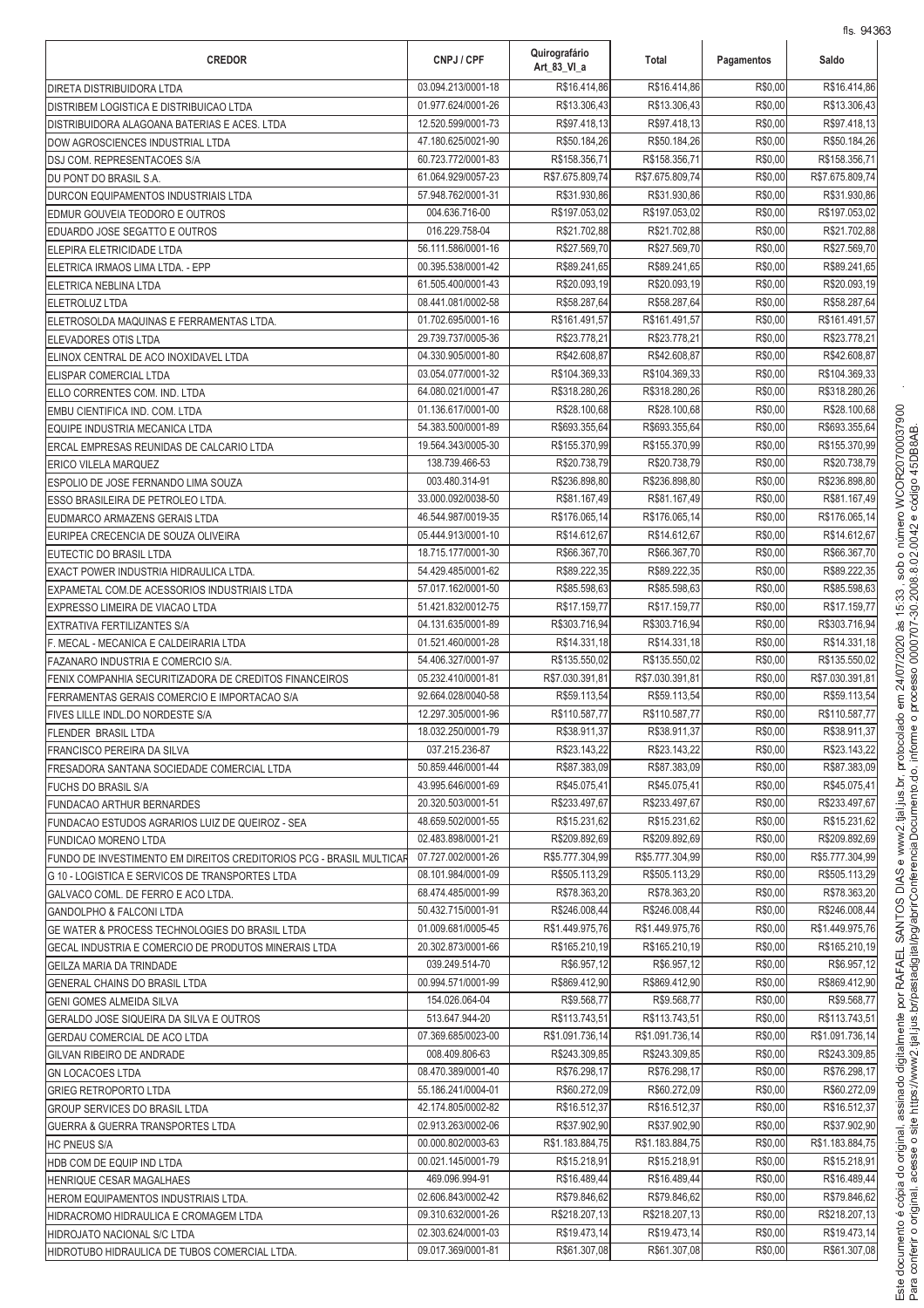| <b>CREDOR</b>                                                                   | CNPJ / CPF                               | Quirografário<br>Art 83 VI a  | Total                         | Pagamentos         | 113. 940 U<br>Saldo           |
|---------------------------------------------------------------------------------|------------------------------------------|-------------------------------|-------------------------------|--------------------|-------------------------------|
| <b>DIRETA DISTRIBUIDORA LTDA</b>                                                | 03.094.213/0001-18                       | R\$16.414,86                  | R\$16.414,86                  | R\$0,00            | R\$16.414,86                  |
| DISTRIBEM LOGISTICA E DISTRIBUICAO LTDA                                         | 01.977.624/0001-26                       | R\$13.306,43                  | R\$13.306,43                  | R\$0,00            | R\$13.306,43                  |
| DISTRIBUIDORA ALAGOANA BATERIAS E ACES. LTDA                                    | 12.520.599/0001-73                       | R\$97.418,13                  | R\$97.418,13                  | R\$0,00            | R\$97.418,13                  |
| DOW AGROSCIENCES INDUSTRIAL LTDA                                                | 47.180.625/0021-90                       | R\$50.184,26                  | R\$50.184,26                  | R\$0,00            | R\$50.184,26                  |
| DSJ COM. REPRESENTACOES S/A                                                     | 60.723.772/0001-83                       | R\$158.356,71                 | R\$158.356,71                 | R\$0,00            | R\$158.356,71                 |
| DU PONT DO BRASIL S.A.                                                          | 61.064.929/0057-23                       | R\$7.675.809,74               | R\$7.675.809,74               | R\$0,00            | R\$7.675.809,74               |
| <b>DURCON EQUIPAMENTOS INDUSTRIAIS LTDA</b>                                     | 57.948.762/0001-31                       | R\$31.930,86                  | R\$31.930,86                  | R\$0,00            | R\$31.930,86                  |
| EDMUR GOUVEIA TEODORO E OUTROS                                                  | 004.636.716-00                           | R\$197.053,02                 | R\$197.053,02                 | R\$0,00            | R\$197.053,02                 |
| EDUARDO JOSE SEGATTO E OUTROS                                                   | 016.229.758-04                           | R\$21.702,88                  | R\$21.702,88                  | R\$0,00            | R\$21.702,88                  |
| ELEPIRA ELETRICIDADE LTDA                                                       | 56.111.586/0001-16<br>00.395.538/0001-42 | R\$27.569,70<br>R\$89.241,65  | R\$27.569,70<br>R\$89.241,65  | R\$0,00<br>R\$0,00 | R\$27.569,70<br>R\$89.241,65  |
| ELETRICA IRMAOS LIMA LTDA. - EPP                                                | 61.505.400/0001-43                       | R\$20.093,19                  | R\$20.093,19                  | R\$0,00            | R\$20.093,19                  |
| ELETRICA NEBLINA LTDA<br><b>ELETROLUZ LTDA</b>                                  | 08.441.081/0002-58                       | R\$58.287,64                  | R\$58.287,64                  | R\$0,00            | R\$58.287,64                  |
| ELETROSOLDA MAQUINAS E FERRAMENTAS LTDA.                                        | 01.702.695/0001-16                       | R\$161.491,57                 | R\$161.491,57                 | R\$0,00            | R\$161.491,57                 |
| <b>ELEVADORES OTIS LTDA</b>                                                     | 29.739.737/0005-36                       | R\$23.778,21                  | R\$23.778,21                  | R\$0,00            | R\$23.778,21                  |
| ELINOX CENTRAL DE ACO INOXIDAVEL LTDA                                           | 04.330.905/0001-80                       | R\$42.608,87                  | R\$42.608,87                  | R\$0,00            | R\$42.608,87                  |
| ELISPAR COMERCIAL LTDA                                                          | 03.054.077/0001-32                       | R\$104.369,33                 | R\$104.369,33                 | R\$0,00            | R\$104.369,33                 |
| ELLO CORRENTES COM. IND. LTDA                                                   | 64.080.021/0001-47                       | R\$318.280,26                 | R\$318.280,26                 | R\$0,00            | R\$318.280,26                 |
| EMBU CIENTIFICA IND. COM. LTDA                                                  | 01.136.617/0001-00                       | R\$28.100,68                  | R\$28.100,68                  | R\$0,00            | R\$28.100,68                  |
| EQUIPE INDUSTRIA MECANICA LTDA                                                  | 54.383.500/0001-89                       | R\$693.355,64                 | R\$693.355,64                 | R\$0,00            | R\$693.355,64                 |
| ERCAL EMPRESAS REUNIDAS DE CALCARIO LTDA                                        | 19.564.343/0005-30                       | R\$155.370,99                 | R\$155.370,99                 | R\$0,00            | R\$155.370,99                 |
| <b>ERICO VILELA MARQUEZ</b>                                                     | 138.739.466-53                           | R\$20.738,79                  | R\$20.738,79                  | R\$0,00            | R\$20.738,79                  |
| ESPOLIO DE JOSE FERNANDO LIMA SOUZA                                             | 003.480.314-91                           | R\$236.898,80                 | R\$236.898,80                 | R\$0,00            | R\$236.898,80                 |
| ESSO BRASILEIRA DE PETROLEO LTDA.                                               | 33.000.092/0038-50                       | R\$81.167,49                  | R\$81.167,49                  | R\$0,00            | R\$81.167,49                  |
| EUDMARCO ARMAZENS GERAIS LTDA                                                   | 46.544.987/0019-35                       | R\$176.065,14                 | R\$176.065,14                 | R\$0,00            | R\$176.065,14                 |
| EURIPEA CRECENCIA DE SOUZA OLIVEIRA                                             | 05.444.913/0001-10                       | R\$14.612,67                  | R\$14.612,67                  | R\$0,00            | R\$14.612,67                  |
| EUTECTIC DO BRASIL LTDA                                                         | 18.715.177/0001-30                       | R\$66.367,70                  | R\$66.367,70                  | R\$0,00            | R\$66.367,70                  |
| EXACT POWER INDUSTRIA HIDRAULICA LTDA.                                          | 54.429.485/0001-62                       | R\$89.222,35                  | R\$89.222,35                  | R\$0,00            | R\$89.222,35                  |
| EXPAMETAL COM.DE ACESSORIOS INDUSTRIAIS LTDA                                    | 57.017.162/0001-50                       | R\$85.598,63                  | R\$85.598,63                  | R\$0,00            | R\$85.598,63                  |
| EXPRESSO LIMEIRA DE VIACAO LTDA                                                 | 51.421.832/0012-75                       | R\$17.159,77                  | R\$17.159,77                  | R\$0,00            | R\$17.159,77                  |
| EXTRATIVA FERTILIZANTES S/A                                                     | 04.131.635/0001-89                       | R\$303.716,94                 | R\$303.716,94                 | R\$0,00            | R\$303.716,94                 |
| F. MECAL - MECANICA E CALDEIRARIA LTDA                                          | 01.521.460/0001-28                       | R\$14.331,18                  | R\$14.331,18                  | R\$0,00            | R\$14.331,18                  |
| FAZANARO INDUSTRIA E COMERCIO S/A.                                              | 54.406.327/0001-97                       | R\$135.550,02                 | R\$135.550,02                 | R\$0,00            | R\$135.550,02                 |
| FENIX COMPANHIA SECURITIZADORA DE CREDITOS FINANCEIROS                          | 05.232.410/0001-81                       | R\$7.030.391,81               | R\$7.030.391,81               | R\$0,00            | R\$7.030.391,81               |
| FERRAMENTAS GERAIS COMERCIO E IMPORTACAO S/A                                    | 92.664.028/0040-58                       | R\$59.113,54                  | R\$59.113,54                  | R\$0,00            | R\$59.113,54                  |
| FIVES LILLE INDL.DO NORDESTE S/A                                                | 12.297.305/0001-96<br>18.032.250/0001-79 | R\$110.587,77<br>R\$38.911,37 | R\$110.587,77<br>R\$38.911,37 | R\$0,00<br>R\$0,00 | R\$110.587,77<br>R\$38.911,37 |
| <b>FLENDER BRASIL LTDA</b>                                                      | 037.215.236-87                           | R\$23.143,22                  | R\$23.143,22                  | R\$0,00            | R\$23.143,22                  |
| <b>FRANCISCO PEREIRA DA SILVA</b><br>FRESADORA SANTANA SOCIEDADE COMERCIAL LTDA | 50.859.446/0001-44                       | R\$87.383,09                  | R\$87.383,09                  | R\$0,00            | R\$87.383,09                  |
| <b>FUCHS DO BRASIL S/A</b>                                                      | 43.995.646/0001-69                       | R\$45.075.41                  | R\$45.075,41                  | R\$0,00            | R\$45.075.41                  |
| <b>FUNDACAO ARTHUR BERNARDES</b>                                                | 20.320.503/0001-51                       | R\$233.497,67                 | R\$233.497,67                 | R\$0,00            | R\$233.497,67                 |
| FUNDACAO ESTUDOS AGRARIOS LUIZ DE QUEIROZ - SEA                                 | 48.659.502/0001-55                       | R\$15.231,62                  | R\$15.231,62                  | R\$0,00            | R\$15.231,62                  |
| <b>FUNDICAO MORENO LTDA</b>                                                     | 02.483.898/0001-21                       | R\$209.892,69                 | R\$209.892,69                 | R\$0,00            | R\$209.892,69                 |
| FUNDO DE INVESTIMENTO EM DIREITOS CREDITORIOS PCG - BRASIL MULTICAR             | 07.727.002/0001-26                       | R\$5.777.304,99               | R\$5.777.304,99               | R\$0,00            | R\$5.777.304,99               |
| <b>G 10 - LOGISTICA E SERVICOS DE TRANSPORTES LTDA</b>                          | 08.101.984/0001-09                       | R\$505.113,29                 | R\$505.113,29                 | R\$0,00            | R\$505.113,29                 |
| GALVACO COML. DE FERRO E ACO LTDA.                                              | 68.474.485/0001-99                       | R\$78.363,20                  | R\$78.363,20                  | R\$0,00            | R\$78.363,20                  |
| <b>GANDOLPHO &amp; FALCONI LTDA</b>                                             | 50.432.715/0001-91                       | R\$246,008.44                 | R\$246.008,44                 | R\$0,00            | R\$246.008,44                 |
| GE WATER & PROCESS TECHNOLOGIES DO BRASIL LTDA                                  | 01.009.681/0005-45                       | R\$1.449.975,76               | R\$1.449.975,76               | R\$0,00            | R\$1.449.975,76               |
| GECAL INDUSTRIA E COMERCIO DE PRODUTOS MINERAIS LTDA                            | 20.302.873/0001-66                       | R\$165.210,19                 | R\$165.210,19                 | R\$0,00            | R\$165.210,19                 |
| GEILZA MARIA DA TRINDADE                                                        | 039.249.514-70                           | R\$6.957,12                   | R\$6.957,12                   | R\$0,00            | R\$6.957,12                   |
| GENERAL CHAINS DO BRASIL LTDA                                                   | 00.994.571/0001-99                       | R\$869.412,90                 | R\$869.412,90                 | R\$0,00            | R\$869.412,90                 |
| GENI GOMES ALMEIDA SILVA                                                        | 154.026.064-04                           | R\$9.568,77                   | R\$9.568,77                   | R\$0,00            | R\$9.568,77                   |
| GERALDO JOSE SIQUEIRA DA SILVA E OUTROS                                         | 513.647.944-20                           | R\$113.743,51                 | R\$113.743,51                 | R\$0,00            | R\$113.743,51                 |
| <b>GERDAU COMERCIAL DE ACO LTDA</b>                                             | 07.369.685/0023-00                       | R\$1.091.736,14               | R\$1.091.736,14               | R\$0,00            | R\$1.091.736,14               |
| <b>GILVAN RIBEIRO DE ANDRADE</b>                                                | 008.409.806-63                           | R\$243.309,85                 | R\$243.309,85                 | R\$0,00            | R\$243.309,85                 |
| <b>GN LOCACOES LTDA</b>                                                         | 08.470.389/0001-40                       | R\$76.298,17                  | R\$76.298,17                  | R\$0,00            | R\$76.298,17                  |
| <b>GRIEG RETROPORTO LTDA</b>                                                    | 55.186.241/0004-01                       | R\$60.272,09                  | R\$60.272,09                  | R\$0,00            | R\$60.272,09                  |
| <b>GROUP SERVICES DO BRASIL LTDA</b>                                            | 42.174.805/0002-82                       | R\$16.512,37                  | R\$16.512,37                  | R\$0,00            | R\$16.512,37                  |
| <b>GUERRA &amp; GUERRA TRANSPORTES LTDA</b>                                     | 02.913.263/0002-06                       | R\$37.902,90                  | R\$37.902,90                  | R\$0,00            | R\$37.902,90                  |
| <b>HC PNEUS S/A</b>                                                             | 00.000.802/0003-63                       | R\$1.183.884,75               | R\$1.183.884,75               | R\$0,00            | R\$1.183.884,75               |
| HDB COM DE EQUIP IND LTDA                                                       | 00.021.145/0001-79                       | R\$15.218,91                  | R\$15.218,91                  | R\$0,00            | R\$15.218,91                  |
| HENRIQUE CESAR MAGALHAES                                                        | 469.096.994-91<br>02.606.843/0002-42     | R\$16.489,44<br>R\$79.846,62  | R\$16.489,44<br>R\$79.846,62  | R\$0,00<br>R\$0,00 | R\$16.489,44<br>R\$79.846,62  |
| HEROM EQUIPAMENTOS INDUSTRIAIS LTDA.                                            | 09.310.632/0001-26                       | R\$218.207,13                 | R\$218.207,13                 | R\$0,00            | R\$218.207,13                 |
| HIDRACROMO HIDRAULICA E CROMAGEM LTDA<br><b>HIDROJATO NACIONAL S/C LTDA</b>     | 02.303.624/0001-03                       | R\$19.473,14                  | R\$19.473,14                  | R\$0,00            | R\$19.473,14                  |
| HIDROTUBO HIDRAULICA DE TUBOS COMERCIAL LTDA.                                   | 09.017.369/0001-81                       | R\$61.307,08                  | R\$61.307,08                  | R\$0,00            | R\$61.307,08                  |
|                                                                                 |                                          |                               |                               |                    |                               |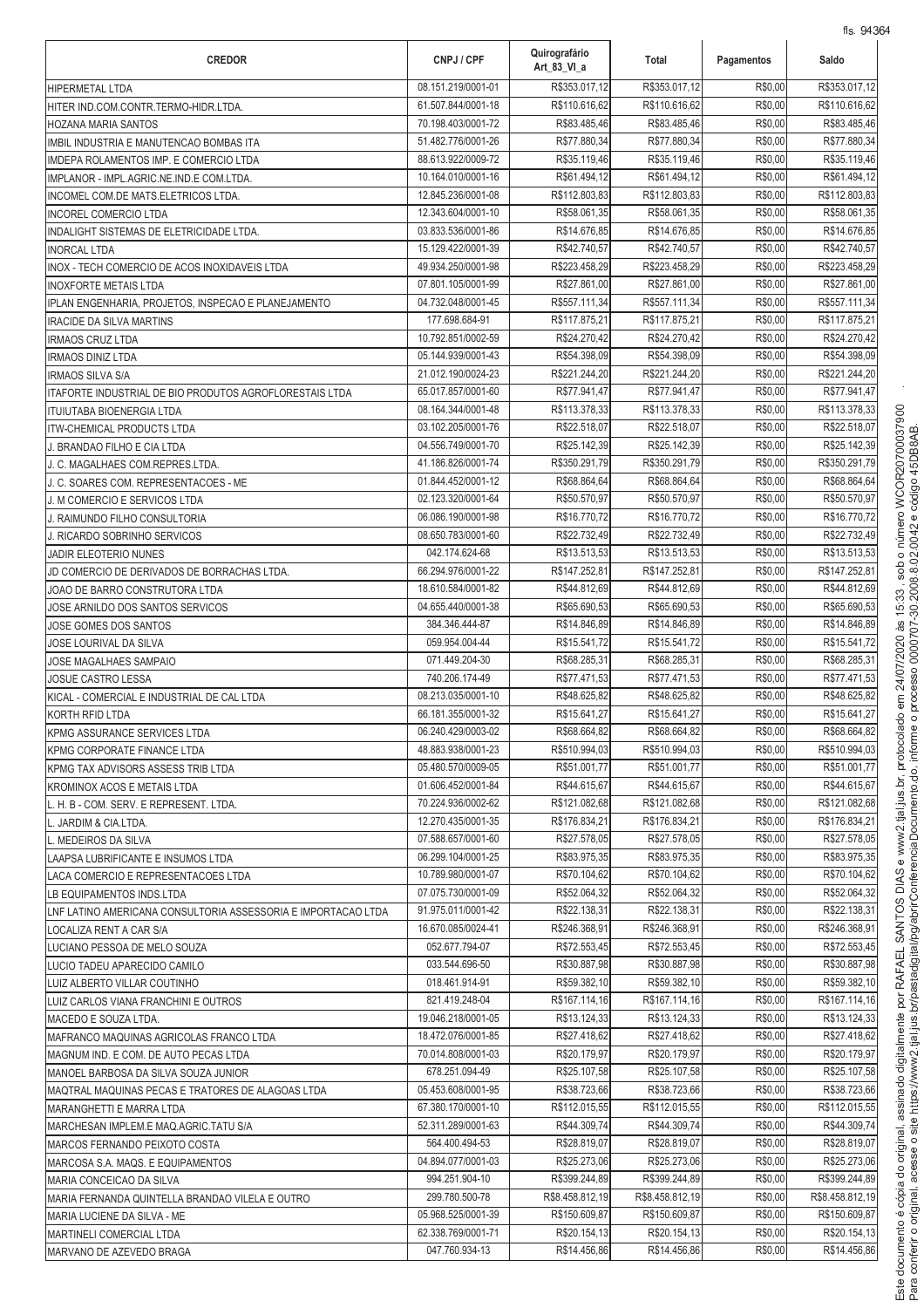| <b>CREDOR</b>                                                    | CNPJ / CPF                               | Quirografário<br>Art 83 VI a   | Total                          | Pagamentos         | Saldo                          |
|------------------------------------------------------------------|------------------------------------------|--------------------------------|--------------------------------|--------------------|--------------------------------|
| <b>HIPERMETAL LTDA</b>                                           | 08.151.219/0001-01                       | R\$353.017,12                  | R\$353.017,12                  | R\$0,00            | R\$353.017,12                  |
| HITER IND.COM.CONTR.TERMO-HIDR.LTDA.                             | 61.507.844/0001-18                       | R\$110.616,62                  | R\$110.616,62                  | R\$0,00            | R\$110.616,62                  |
| <b>HOZANA MARIA SANTOS</b>                                       | 70.198.403/0001-72                       | R\$83.485,46                   | R\$83.485,46                   | R\$0,00            | R\$83.485,46                   |
| IMBIL INDUSTRIA E MANUTENCAO BOMBAS ITA                          | 51.482.776/0001-26                       | R\$77.880,34                   | R\$77.880,34                   | R\$0,00            | R\$77.880,34                   |
| IMDEPA ROLAMENTOS IMP. E COMERCIO LTDA                           | 88.613.922/0009-72                       | R\$35.119,46                   | R\$35.119,46                   | R\$0,00            | R\$35.119,46                   |
| IMPLANOR - IMPL.AGRIC.NE.IND.E COM.LTDA.                         | 10.164.010/0001-16                       | R\$61.494,12                   | R\$61.494,12                   | R\$0,00            | R\$61.494,12                   |
| INCOMEL COM.DE MATS.ELETRICOS LTDA.                              | 12.845.236/0001-08                       | R\$112.803,83                  | R\$112.803,83                  | R\$0,00            | R\$112.803,83                  |
| <b>INCOREL COMERCIO LTDA</b>                                     | 12.343.604/0001-10                       | R\$58.061,35                   | R\$58.061,35                   | R\$0,00            | R\$58.061,35                   |
| INDALIGHT SISTEMAS DE ELETRICIDADE LTDA.                         | 03.833.536/0001-86                       | R\$14.676,85                   | R\$14.676,85                   | R\$0,00            | R\$14.676,85                   |
| <b>INORCAL LTDA</b>                                              | 15.129.422/0001-39                       | R\$42.740,57                   | R\$42.740,57                   | R\$0,00            | R\$42.740,57                   |
| INOX - TECH COMERCIO DE ACOS INOXIDAVEIS LTDA                    | 49.934.250/0001-98                       | R\$223.458,29                  | R\$223.458,29                  | R\$0,00<br>R\$0,00 | R\$223.458,29                  |
| <b>INOXFORTE METAIS LTDA</b>                                     | 07.801.105/0001-99<br>04.732.048/0001-45 | R\$27.861,00                   | R\$27.861,00                   |                    | R\$27.861,00                   |
| IPLAN ENGENHARIA, PROJETOS, INSPECAO E PLANEJAMENTO              | 177.698.684-91                           | R\$557.111,34<br>R\$117.875,21 | R\$557.111,34<br>R\$117.875,21 | R\$0,00<br>R\$0,00 | R\$557.111,34<br>R\$117.875,21 |
| <b>IRACIDE DA SILVA MARTINS</b>                                  | 10.792.851/0002-59                       | R\$24.270,42                   | R\$24.270,42                   | R\$0,00            | R\$24.270,42                   |
| <b>IRMAOS CRUZ LTDA</b><br><b>IRMAOS DINIZ LTDA</b>              | 05.144.939/0001-43                       | R\$54.398,09                   | R\$54.398,09                   | R\$0,00            | R\$54.398,09                   |
| <b>IRMAOS SILVA S/A</b>                                          | 21.012.190/0024-23                       | R\$221.244,20                  | R\$221.244,20                  | R\$0,00            | R\$221.244,20                  |
| ITAFORTE INDUSTRIAL DE BIO PRODUTOS AGROFLORESTAIS LTDA          | 65.017.857/0001-60                       | R\$77.941,47                   | R\$77.941,47                   | R\$0,00            | R\$77.941,47                   |
| <b>ITUIUTABA BIOENERGIA LTDA</b>                                 | 08.164.344/0001-48                       | R\$113.378,33                  | R\$113.378,33                  | R\$0,00            | R\$113.378,33                  |
| <b>ITW-CHEMICAL PRODUCTS LTDA</b>                                | 03.102.205/0001-76                       | R\$22.518,07                   | R\$22.518,07                   | R\$0,00            | R\$22.518,07                   |
| BRANDAO FILHO E CIA LTDA                                         | 04.556.749/0001-70                       | R\$25.142,39                   | R\$25.142,39                   | R\$0,00            | R\$25.142,39                   |
| C. MAGALHAES COM.REPRES.LTDA.                                    | 41.186.826/0001-74                       | R\$350.291,79                  | R\$350.291,79                  | R\$0,00            | R\$350.291,79                  |
| J. C. SOARES COM. REPRESENTACOES - ME                            | 01.844.452/0001-12                       | R\$68.864,64                   | R\$68.864,64                   | R\$0,00            | R\$68.864,64                   |
| J. M COMERCIO E SERVICOS LTDA                                    | 02.123.320/0001-64                       | R\$50.570,97                   | R\$50.570,97                   | R\$0,00            | R\$50.570,97                   |
| J. RAIMUNDO FILHO CONSULTORIA                                    | 06.086.190/0001-98                       | R\$16.770,72                   | R\$16.770,72                   | R\$0,00            | R\$16.770,72                   |
| J. RICARDO SOBRINHO SERVICOS                                     | 08.650.783/0001-60                       | R\$22.732,49                   | R\$22.732,49                   | R\$0,00            | R\$22.732,49                   |
| JADIR ELEOTERIO NUNES                                            | 042.174.624-68                           | R\$13.513,53                   | R\$13.513,53                   | R\$0,00            | R\$13.513,53                   |
| JD COMERCIO DE DERIVADOS DE BORRACHAS LTDA.                      | 66.294.976/0001-22                       | R\$147.252,8                   | R\$147.252,81                  | R\$0,00            | R\$147.252,81                  |
| JOAO DE BARRO CONSTRUTORA LTDA                                   | 18.610.584/0001-82                       | R\$44.812,69                   | R\$44.812,69                   | R\$0,00            | R\$44.812,69                   |
| JOSE ARNILDO DOS SANTOS SERVICOS                                 | 04.655.440/0001-38                       | R\$65.690,53                   | R\$65.690,53                   | R\$0,00            | R\$65.690,53                   |
| JOSE GOMES DOS SANTOS                                            | 384.346.444-87                           | R\$14.846,89                   | R\$14.846,89                   | R\$0,00            | R\$14.846,89                   |
| JOSE LOURIVAL DA SILVA                                           | 059.954.004-44                           | R\$15.541,72                   | R\$15.541,72                   | R\$0,00            | R\$15.541,72                   |
| <b>JOSE MAGALHAES SAMPAIO</b>                                    | 071.449.204-30                           | R\$68.285,31                   | R\$68.285,31                   | R\$0,00            | R\$68.285,31                   |
| JOSUE CASTRO LESSA                                               | 740.206.174-49                           | R\$77.471,53                   | R\$77.471,53                   | R\$0,00            | R\$77.471,53                   |
| KICAL - COMERCIAL E INDUSTRIAL DE CAL LTDA                       | 08.213.035/0001-10                       | R\$48.625,82                   | R\$48.625,82                   | R\$0,00            | R\$48.625,82                   |
| KORTH RFID LTDA                                                  | 66.181.355/0001-32                       | R\$15.641,27                   | R\$15.641,27                   | R\$0,00            | R\$15.641,27                   |
| KPMG ASSURANCE SERVICES LTDA                                     | 06.240.429/0003-02                       | R\$68.664,82                   | R\$68.664,82                   | R\$0,00            | R\$68.664,82                   |
| KPMG CORPORATE FINANCE LTDA                                      | 48.883.938/0001-23                       | R\$510.994,03                  | R\$510.994,03                  | R\$0,00            | R\$510.994,03                  |
| KPMG TAX ADVISORS ASSESS TRIB LTDA                               | 05.480.570/0009-05                       | R\$51.001,77                   | R\$51.001.77                   | R\$0,00            | R\$51.001,77                   |
| KROMINOX ACOS E METAIS LTDA                                      | 01.606.452/0001-84                       | R\$44.615,67                   | R\$44.615,67                   | R\$0,00            | R\$44.615,67                   |
| L. H. B - COM. SERV. E REPRESENT. LTDA.                          | 70.224.936/0002-62<br>12.270.435/0001-35 | R\$121.082,68                  | R\$121.082,68                  | R\$0,00<br>R\$0,00 | R\$121.082,68                  |
| L. JARDIM & CIA.LTDA.                                            | 07.588.657/0001-60                       | R\$176.834,21                  | R\$176.834,21<br>R\$27.578,05  | R\$0,00            | R\$176.834,21<br>R\$27.578.05  |
| L. MEDEIROS DA SILVA                                             | 06.299.104/0001-25                       | R\$27.578,05<br>R\$83.975,35   | R\$83.975,35                   | R\$0,00            | R\$83.975.35                   |
| LAAPSA LUBRIFICANTE E INSUMOS LTDA                               | 10.789.980/0001-07                       | R\$70.104,62                   | R\$70.104,62                   | R\$0,00            | R\$70.104,62                   |
| LACA COMERCIO E REPRESENTACOES LTDA<br>LB EQUIPAMENTOS INDS.LTDA | 07.075.730/0001-09                       | R\$52.064,32                   | R\$52.064,32                   | R\$0,00            | R\$52.064,32                   |
| LNF LATINO AMERICANA CONSULTORIA ASSESSORIA E IMPORTACAO LTDA    | 91.975.011/0001-42                       | R\$22.138,31                   | R\$22.138,31                   | R\$0,00            | R\$22.138,31                   |
| LOCALIZA RENT A CAR S/A                                          | 16.670.085/0024-41                       | R\$246.368,91                  | R\$246.368,91                  | R\$0,00            | R\$246.368,91                  |
| LUCIANO PESSOA DE MELO SOUZA                                     | 052.677.794-07                           | R\$72.553,45                   | R\$72.553,45                   | R\$0,00            | R\$72.553,45                   |
| LUCIO TADEU APARECIDO CAMILO                                     | 033.544.696-50                           | R\$30.887,98                   | R\$30.887,98                   | R\$0,00            | R\$30.887,98                   |
| LUIZ ALBERTO VILLAR COUTINHO                                     | 018.461.914-91                           | R\$59.382,10                   | R\$59.382,10                   | R\$0,00            | R\$59.382,10                   |
| LUIZ CARLOS VIANA FRANCHINI E OUTROS                             | 821.419.248-04                           | R\$167.114,16                  | R\$167.114,16                  | R\$0,00            | R\$167.114,16                  |
| MACEDO E SOUZA LTDA.                                             | 19.046.218/0001-05                       | R\$13.124,33                   | R\$13.124,33                   | R\$0,00            | R\$13.124,33                   |
| MAFRANCO MAQUINAS AGRICOLAS FRANCO LTDA                          | 18.472.076/0001-85                       | R\$27.418,62                   | R\$27.418,62                   | R\$0,00            | R\$27.418,62                   |
| MAGNUM IND. E COM. DE AUTO PECAS LTDA                            | 70.014.808/0001-03                       | R\$20.179,97                   | R\$20.179,97                   | R\$0,00            | R\$20.179,97                   |
| MANOEL BARBOSA DA SILVA SOUZA JUNIOR                             | 678.251.094-49                           | R\$25.107,58                   | R\$25.107,58                   | R\$0,00            | R\$25.107,58                   |
| MAQTRAL MAQUINAS PECAS E TRATORES DE ALAGOAS LTDA                | 05.453.608/0001-95                       | R\$38.723,66                   | R\$38.723,66                   | R\$0,00            | R\$38.723,66                   |
| MARANGHETTI E MARRA LTDA                                         | 67.380.170/0001-10                       | R\$112.015,55                  | R\$112.015,55                  | R\$0,00            | R\$112.015,55                  |
| MARCHESAN IMPLEM.E MAQ.AGRIC.TATU S/A                            | 52.311.289/0001-63                       | R\$44.309,74                   | R\$44.309,74                   | R\$0,00            | R\$44.309,74                   |
| MARCOS FERNANDO PEIXOTO COSTA                                    | 564.400.494-53                           | R\$28.819,07                   | R\$28.819,07                   | R\$0,00            | R\$28.819,07                   |
| MARCOSA S.A. MAQS. E EQUIPAMENTOS                                | 04.894.077/0001-03                       | R\$25.273,06                   | R\$25.273,06                   | R\$0,00            | R\$25.273,06                   |
| MARIA CONCEICAO DA SILVA                                         | 994.251.904-10                           | R\$399.244,89                  | R\$399.244,89                  | R\$0,00            | R\$399.244,89                  |
| MARIA FERNANDA QUINTELLA BRANDAO VILELA E OUTRO                  | 299.780.500-78                           | R\$8.458.812,19                | R\$8.458.812,19                | R\$0,00            | R\$8.458.812,19                |
| MARIA LUCIENE DA SILVA - ME                                      | 05.968.525/0001-39                       | R\$150.609,87                  | R\$150.609,87                  | R\$0,00            | R\$150.609,87                  |
| <b>MARTINELI COMERCIAL LTDA</b>                                  | 62.338.769/0001-71                       | R\$20.154,13                   | R\$20.154,13                   | R\$0,00            | R\$20.154,13                   |
| MARVANO DE AZEVEDO BRAGA                                         | 047.760.934-13                           | R\$14.456,86                   | R\$14.456,86                   | R\$0,00            | R\$14.456,86                   |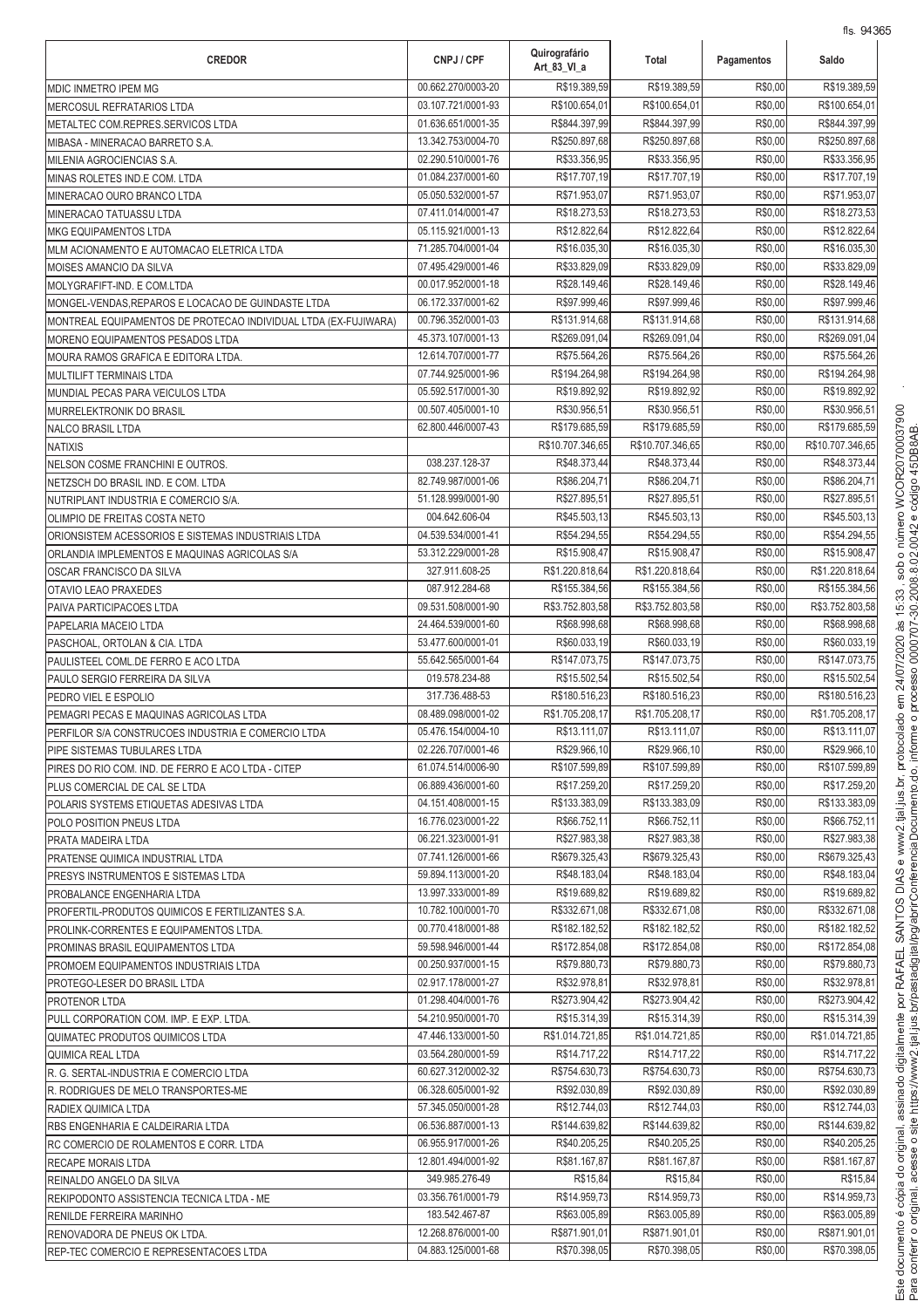| <b>CREDOR</b>                                                   | CNPJ / CPF                               | Quirografário<br>Art 83 VI a  | Total                          | Pagamentos         | 113. 9400<br>Saldo             |
|-----------------------------------------------------------------|------------------------------------------|-------------------------------|--------------------------------|--------------------|--------------------------------|
| MDIC INMETRO IPEM MG                                            | 00.662.270/0003-20                       | R\$19.389,59                  | R\$19.389,59                   | R\$0,00            | R\$19.389,59                   |
| MERCOSUL REFRATARIOS LTDA                                       | 03.107.721/0001-93                       | R\$100.654,01                 | R\$100.654,01                  | R\$0,00            | R\$100.654,01                  |
| METALTEC COM.REPRES.SERVICOS LTDA                               | 01.636.651/0001-35                       | R\$844.397,99                 | R\$844.397,99                  | R\$0,00            | R\$844.397,99                  |
| MIBASA - MINERACAO BARRETO S.A.                                 | 13.342.753/0004-70                       | R\$250.897,68                 | R\$250.897,68                  | R\$0,00            | R\$250.897,68                  |
| MILENIA AGROCIENCIAS S.A.                                       | 02.290.510/0001-76                       | R\$33.356,95                  | R\$33.356,95                   | R\$0,00            | R\$33.356,95                   |
| MINAS ROLETES IND.E COM. LTDA                                   | 01.084.237/0001-60                       | R\$17.707,19                  | R\$17.707,19                   | R\$0,00            | R\$17.707,19                   |
| MINERACAO OURO BRANCO LTDA                                      | 05.050.532/0001-57                       | R\$71.953,07                  | R\$71.953,07                   | R\$0,00            | R\$71.953,07                   |
| MINERACAO TATUASSU LTDA                                         | 07.411.014/0001-47                       | R\$18.273,53                  | R\$18.273,53                   | R\$0,00            | R\$18.273,53                   |
| <b>MKG EQUIPAMENTOS LTDA</b>                                    | 05.115.921/0001-13                       | R\$12.822,64                  | R\$12.822,64                   | R\$0,00            | R\$12.822,64                   |
| MLM ACIONAMENTO E AUTOMACAO ELETRICA LTDA                       | 71.285.704/0001-04                       | R\$16.035,30                  | R\$16.035,30                   | R\$0,00            | R\$16.035,30                   |
| MOISES AMANCIO DA SILVA                                         | 07.495.429/0001-46                       | R\$33.829,09                  | R\$33.829,09                   | R\$0,00            | R\$33.829,09                   |
| MOLYGRAFIFT-IND. E COM.LTDA                                     | 00.017.952/0001-18                       | R\$28.149,46                  | R\$28.149,46                   | R\$0,00            | R\$28.149,46                   |
| MONGEL-VENDAS, REPAROS E LOCACAO DE GUINDASTE LTDA              | 06.172.337/0001-62                       | R\$97.999,46                  | R\$97.999,46                   | R\$0,00            | R\$97.999,46                   |
| MONTREAL EQUIPAMENTOS DE PROTECAO INDIVIDUAL LTDA (EX-FUJIWARA) | 00.796.352/0001-03                       | R\$131.914,68                 | R\$131.914,68<br>R\$269.091,04 | R\$0,00<br>R\$0,00 | R\$131.914,68<br>R\$269.091,04 |
| MORENO EQUIPAMENTOS PESADOS LTDA                                | 45.373.107/0001-13<br>12.614.707/0001-77 | R\$269.091,04                 |                                |                    |                                |
| MOURA RAMOS GRAFICA E EDITORA LTDA.                             | 07.744.925/0001-96                       | R\$75.564,26<br>R\$194.264,98 | R\$75.564,26<br>R\$194.264,98  | R\$0,00<br>R\$0,00 | R\$75.564,26<br>R\$194.264,98  |
| MULTILIFT TERMINAIS LTDA                                        | 05.592.517/0001-30                       | R\$19.892,92                  | R\$19.892,92                   | R\$0,00            | R\$19.892,92                   |
| MUNDIAL PECAS PARA VEICULOS LTDA                                | 00.507.405/0001-10                       | R\$30.956,51                  | R\$30.956,51                   | R\$0,00            | R\$30.956,51                   |
| MURRELEKTRONIK DO BRASIL<br><b>NALCO BRASIL LTDA</b>            | 62.800.446/0007-43                       | R\$179.685,59                 | R\$179.685,59                  | R\$0,00            | R\$179.685,59                  |
| <b>NATIXIS</b>                                                  |                                          | R\$10.707.346,65              | R\$10.707.346,65               | R\$0,00            | R\$10.707.346.65               |
| NELSON COSME FRANCHINI E OUTROS.                                | 038.237.128-37                           | R\$48.373,44                  | R\$48.373,44                   | R\$0,00            | R\$48.373,44                   |
| NETZSCH DO BRASIL IND. E COM. LTDA                              | 82.749.987/0001-06                       | R\$86.204,71                  | R\$86.204,71                   | R\$0,00            | R\$86.204,71                   |
| NUTRIPLANT INDUSTRIA E COMERCIO S/A.                            | 51.128.999/0001-90                       | R\$27.895,51                  | R\$27.895,51                   | R\$0,00            | R\$27.895,51                   |
| OLIMPIO DE FREITAS COSTA NETO                                   | 004.642.606-04                           | R\$45.503,13                  | R\$45.503,13                   | R\$0,00            | R\$45.503,13                   |
| ORIONSISTEM ACESSORIOS E SISTEMAS INDUSTRIAIS LTDA              | 04.539.534/0001-41                       | R\$54.294,55                  | R\$54.294,55                   | R\$0,00            | R\$54.294,55                   |
| ORLANDIA IMPLEMENTOS E MAQUINAS AGRICOLAS S/A                   | 53.312.229/0001-28                       | R\$15.908,47                  | R\$15.908,47                   | R\$0,00            | R\$15.908,47                   |
| OSCAR FRANCISCO DA SILVA                                        | 327.911.608-25                           | R\$1.220.818,64               | R\$1.220.818,64                | R\$0,00            | R\$1.220.818,64                |
| OTAVIO LEAO PRAXEDES                                            | 087.912.284-68                           | R\$155.384,56                 | R\$155.384,56                  | R\$0,00            | R\$155.384,56                  |
| PAIVA PARTICIPACOES LTDA                                        | 09.531.508/0001-90                       | R\$3.752.803,58               | R\$3.752.803,58                | R\$0,00            | R\$3.752.803,58                |
| PAPELARIA MACEIO LTDA                                           | 24.464.539/0001-60                       | R\$68.998,68                  | R\$68.998,68                   | R\$0,00            | R\$68.998,68                   |
| PASCHOAL, ORTOLAN & CIA. LTDA                                   | 53.477.600/0001-01                       | R\$60.033,19                  | R\$60.033,19                   | R\$0,00            | R\$60.033,19                   |
| PAULISTEEL COML.DE FERRO E ACO LTDA                             | 55.642.565/0001-64                       | R\$147.073,75                 | R\$147.073,75                  | R\$0,00            | R\$147.073,75                  |
| PAULO SERGIO FERREIRA DA SILVA                                  | 019.578.234-88                           | R\$15.502,54                  | R\$15.502,54                   | R\$0,00            | R\$15.502,54                   |
| PEDRO VIEL E ESPOLIO                                            | 317.736.488-53                           | R\$180.516,23                 | R\$180.516,23                  | R\$0,00            | R\$180.516,23                  |
| PEMAGRI PECAS E MAQUINAS AGRICOLAS LTDA                         | 08.489.098/0001-02                       | R\$1.705.208,17               | R\$1.705.208,17                | R\$0,00            | R\$1.705.208,17                |
| PERFILOR S/A CONSTRUCOES INDUSTRIA E COMERCIO LTDA              | 05.476.154/0004-10                       | R\$13.111,07                  | R\$13.111,07                   | R\$0,00            | R\$13.111,07                   |
| PIPE SISTEMAS TUBULARES LTDA                                    | 02.226.707/0001-46                       | R\$29.966,10                  | R\$29.966,10                   | R\$0,00            | R\$29.966,10                   |
| PIRES DO RIO COM. IND. DE FERRO E ACO LTDA - CITEP              | 61.074.514/0006-90                       | R\$107.599,89                 | R\$107.599.89                  | R\$0,00            | R\$107.599,89                  |
| PLUS COMERCIAL DE CAL SE LTDA                                   | 06.889.436/0001-60                       | R\$17.259,20                  | R\$17.259,20                   | R\$0,00            | R\$17.259,20                   |
| POLARIS SYSTEMS ETIQUETAS ADESIVAS LTDA                         | 04.151.408/0001-15                       | R\$133.383,09                 | R\$133.383,09                  | R\$0,00            | R\$133.383,09                  |
| POLO POSITION PNEUS LTDA                                        | 16.776.023/0001-22                       | R\$66.752,11                  | R\$66.752,11                   | R\$0,00            | R\$66.752,11                   |
| PRATA MADEIRA LTDA                                              | 06.221.323/0001-91                       | R\$27,983.38                  | R\$27.983,38                   | R\$0,00            | R\$27.983,38                   |
| <b>PRATENSE QUIMICA INDUSTRIAL LTDA</b>                         | 07.741.126/0001-66                       | R\$679.325,43                 | R\$679.325,43                  | R\$0,00            | R\$679.325,43                  |
| PRESYS INSTRUMENTOS E SISTEMAS LTDA                             | 59.894.113/0001-20                       | R\$48.183,04                  | R\$48.183,04                   | R\$0,00            | R\$48.183,04                   |
| <b>PROBALANCE ENGENHARIA LTDA</b>                               | 13.997.333/0001-89                       | R\$19.689,82                  | R\$19.689,82                   | R\$0,00            | R\$19.689,82                   |
| PROFERTIL-PRODUTOS QUIMICOS E FERTILIZANTES S.A.                | 10.782.100/0001-70                       | R\$332.671,08                 | R\$332.671,08                  | R\$0,00            | R\$332.671,08                  |
| PROLINK-CORRENTES E EQUIPAMENTOS LTDA.                          | 00.770.418/0001-88                       | R\$182.182,52                 | R\$182.182,52                  | R\$0,00            | R\$182.182,52                  |
| PROMINAS BRASIL EQUIPAMENTOS LTDA                               | 59.598.946/0001-44                       | R\$172.854,08                 | R\$172.854,08                  | R\$0,00            | R\$172.854,08                  |
| PROMOEM EQUIPAMENTOS INDUSTRIAIS LTDA                           | 00.250.937/0001-15                       | R\$79.880,73                  | R\$79.880,73                   | R\$0,00            | R\$79.880,73                   |
| PROTEGO-LESER DO BRASIL LTDA                                    | 02.917.178/0001-27                       | R\$32.978,81                  | R\$32.978,81                   | R\$0,00            | R\$32.978,81                   |
| <b>PROTENOR LTDA</b>                                            | 01.298.404/0001-76                       | R\$273.904,42                 | R\$273.904,42                  | R\$0,00            | R\$273.904,42                  |
| PULL CORPORATION COM. IMP. E EXP. LTDA.                         | 54.210.950/0001-70                       | R\$15.314,39                  | R\$15.314,39                   | R\$0,00            | R\$15.314,39                   |
| QUIMATEC PRODUTOS QUIMICOS LTDA                                 | 47.446.133/0001-50                       | R\$1.014.721,85               | R\$1.014.721,85                | R\$0,00            | R\$1.014.721,85                |
| QUIMICA REAL LTDA                                               | 03.564.280/0001-59                       | R\$14.717,22                  | R\$14.717,22                   | R\$0,00            | R\$14.717,22                   |
| R. G. SERTAL-INDUSTRIA E COMERCIO LTDA                          | 60.627.312/0002-32                       | R\$754.630,73                 | R\$754.630,73                  | R\$0,00            | R\$754.630,73                  |
| R. RODRIGUES DE MELO TRANSPORTES-ME                             | 06.328.605/0001-92<br>57.345.050/0001-28 | R\$92.030,89<br>R\$12.744,03  | R\$92.030,89<br>R\$12.744,03   | R\$0,00<br>R\$0,00 | R\$92.030,89<br>R\$12.744,03   |
| <b>RADIEX QUIMICA LTDA</b>                                      | 06.536.887/0001-13                       | R\$144.639,82                 | R\$144.639,82                  | R\$0,00            | R\$144.639,82                  |
| RBS ENGENHARIA E CALDEIRARIA LTDA                               | 06.955.917/0001-26                       | R\$40.205,25                  | R\$40.205,25                   | R\$0,00            | R\$40.205,25                   |
| RC COMERCIO DE ROLAMENTOS E CORR. LTDA                          | 12.801.494/0001-92                       | R\$81.167,87                  | R\$81.167,87                   | R\$0,00            | R\$81.167,87                   |
| <b>RECAPE MORAIS LTDA</b>                                       | 349.985.276-49                           | R\$15,84                      | R\$15,84                       | R\$0,00            | R\$15,84                       |
| REINALDO ANGELO DA SILVA                                        | 03.356.761/0001-79                       | R\$14.959,73                  | R\$14.959,73                   | R\$0,00            | R\$14.959,73                   |
| REKIPODONTO ASSISTENCIA TECNICA LTDA - ME                       | 183.542.467-87                           | R\$63.005,89                  | R\$63.005,89                   | R\$0,00            | R\$63.005,89                   |
| <b>RENILDE FERREIRA MARINHO</b><br>RENOVADORA DE PNEUS OK LTDA. | 12.268.876/0001-00                       | R\$871.901,01                 | R\$871.901.01                  | R\$0,00            | R\$871.901,01                  |
| REP-TEC COMERCIO E REPRESENTACOES LTDA                          | 04.883.125/0001-68                       | R\$70.398,05                  | R\$70.398,05                   | R\$0,00            | R\$70.398,05                   |
|                                                                 |                                          |                               |                                |                    |                                |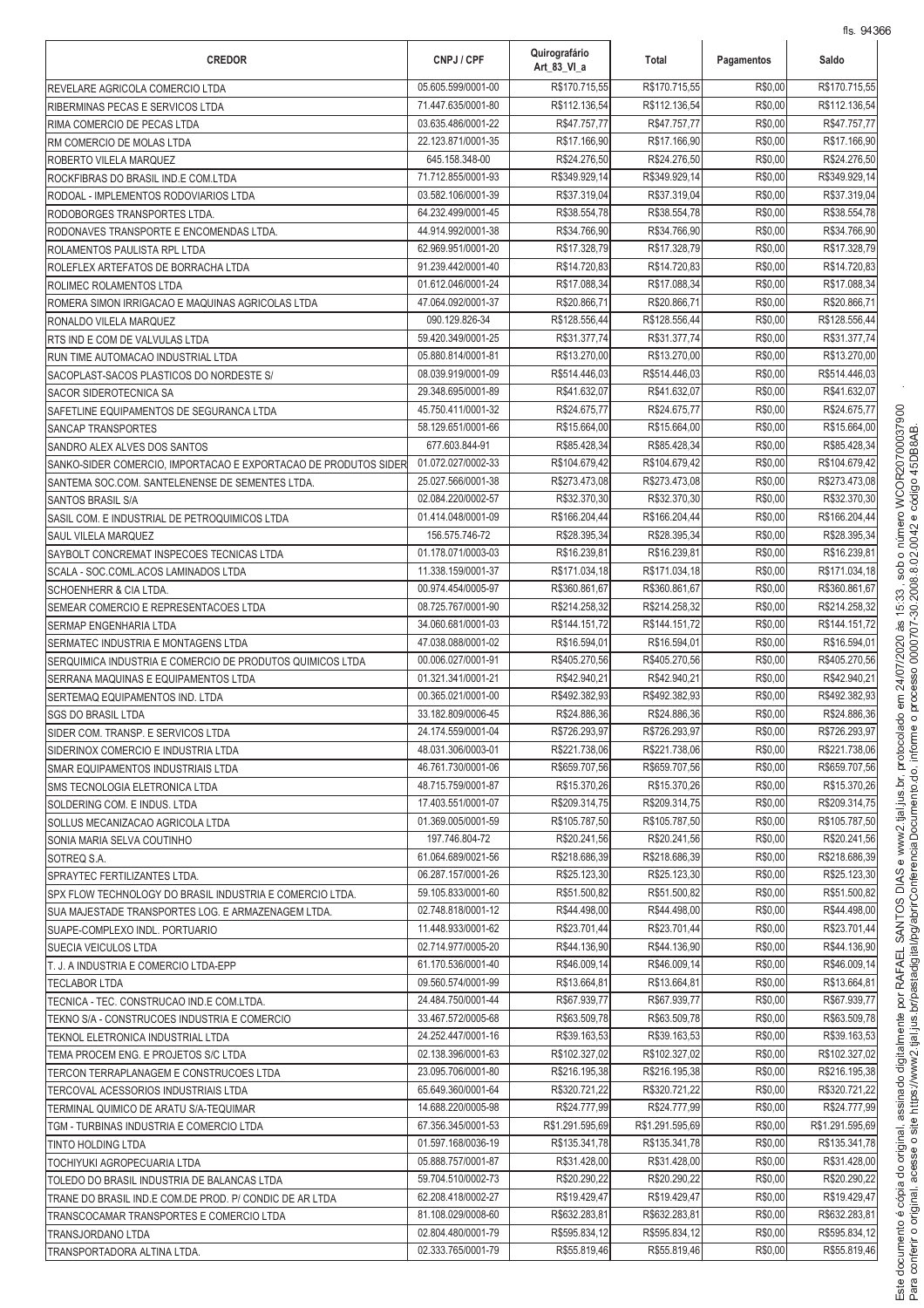| R\$170.715,55<br>R\$170.715,55<br>05.605.599/0001-00<br>R\$170.715,55<br>R\$0,00<br>REVELARE AGRICOLA COMERCIO LTDA<br>R\$112.136,54<br>R\$0,00<br>R\$112.136,54<br>71.447.635/0001-80<br>R\$112.136,54<br>RIBERMINAS PECAS E SERVICOS LTDA<br>03.635.486/0001-22<br>R\$47.757,77<br>R\$47.757,77<br>R\$0,00<br>R\$47.757,77<br>RIMA COMERCIO DE PECAS LTDA<br>R\$17.166,90<br>R\$0,00<br>22.123.871/0001-35<br>R\$17.166,90<br>R\$17.166,90<br>RM COMERCIO DE MOLAS LTDA<br>645.158.348-00<br>R\$24.276,50<br>R\$24.276,50<br>R\$0,00<br>R\$24.276,50<br>ROBERTO VILELA MARQUEZ<br>R\$349.929,14<br>R\$349.929,14<br>R\$0,00<br>71.712.855/0001-93<br>R\$349.929,14<br>ROCKFIBRAS DO BRASIL IND.E COM.LTDA<br>R\$0,00<br>03.582.106/0001-39<br>R\$37.319,04<br>R\$37.319,04<br>R\$37.319.04<br>RODOAL - IMPLEMENTOS RODOVIARIOS LTDA<br>64.232.499/0001-45<br>R\$38.554,78<br>R\$38.554,78<br>R\$0,00<br>R\$38.554,78<br>RODOBORGES TRANSPORTES LTDA.<br>44.914.992/0001-38<br>R\$34.766,90<br>R\$34.766,90<br>R\$0,00<br>R\$34.766,90<br>RODONAVES TRANSPORTE E ENCOMENDAS LTDA.<br>62.969.951/0001-20<br>R\$17.328,79<br>R\$17.328,79<br>R\$0,00<br>R\$17.328,79<br>ROLAMENTOS PAULISTA RPL LTDA<br>91.239.442/0001-40<br>R\$14.720,83<br>R\$14.720,83<br>R\$0,00<br>R\$14.720,83<br>ROLEFLEX ARTEFATOS DE BORRACHA LTDA<br>R\$0,00<br>R\$17.088,34<br>01.612.046/0001-24<br>R\$17.088,34<br>R\$17.088,34<br>ROLIMEC ROLAMENTOS LTDA<br>R\$0,00<br>47.064.092/0001-37<br>R\$20.866,71<br>R\$20.866,71<br>R\$20.866,71<br>ROMERA SIMON IRRIGACAO E MAQUINAS AGRICOLAS LTDA<br>R\$128.556,44<br>R\$0,00<br>090.129.826-34<br>R\$128.556,44<br>R\$128.556,44<br>RONALDO VILELA MARQUEZ<br>59.420.349/0001-25<br>R\$31.377,74<br>R\$31.377,74<br>R\$0,00<br>R\$31.377,74<br>RTS IND E COM DE VALVULAS LTDA<br>R\$13.270,00<br>R\$13.270,00<br>05.880.814/0001-81<br>R\$13.270,00<br>R\$0,00<br>RUN TIME AUTOMACAO INDUSTRIAL LTDA<br>R\$514.446.03<br>08.039.919/0001-09<br>R\$514.446,03<br>R\$0,00<br>R\$514,446.03<br>SACOPLAST-SACOS PLASTICOS DO NORDESTE S/<br>29.348.695/0001-89<br>R\$41.632,07<br>R\$41.632,07<br>R\$0,00<br>R\$41.632.07<br>SACOR SIDEROTECNICA SA<br>45.750.411/0001-32<br>R\$24.675,77<br>R\$24.675,77<br>R\$0,00<br>R\$24.675,77<br>SAFETLINE EQUIPAMENTOS DE SEGURANCA LTDA<br>58.129.651/0001-66<br>R\$15.664,00<br>R\$15.664,00<br>R\$0,00<br>R\$15.664,00<br><b>SANCAP TRANSPORTES</b><br>677.603.844-91<br>R\$85.428,34<br>R\$0,00<br>R\$85.428,34<br>R\$85.428,34<br>SANDRO ALEX ALVES DOS SANTOS<br>01.072.027/0002-33<br>R\$104.679,42<br>R\$0,00<br>R\$104.679,42<br>R\$104.679,42<br>SANKO-SIDER COMERCIO, IMPORTACAO E EXPORTACAO DE PRODUTOS SIDER<br>R\$0,00<br>25.027.566/0001-38<br>R\$273.473,08<br>R\$273.473,08<br>R\$273.473,08<br>SANTEMA SOC.COM. SANTELENENSE DE SEMENTES LTDA.<br>R\$32.370,30<br>R\$0,00<br>R\$32.370,30<br>02.084.220/0002-57<br>R\$32.370,30<br>SANTOS BRASIL S/A<br>R\$0,00<br>01.414.048/0001-09<br>R\$166.204,44<br>R\$166.204,44<br>R\$166.204,44<br>SASIL COM. E INDUSTRIAL DE PETROQUIMICOS LTDA<br>R\$0,00<br>156.575.746-72<br>R\$28.395,34<br>R\$28.395,34<br>R\$28.395,34<br>SAUL VILELA MARQUEZ<br>01.178.071/0003-03<br>R\$16.239,81<br>R\$16.239,81<br>R\$0,00<br>R\$16.239,81<br>SAYBOLT CONCREMAT INSPECOES TECNICAS LTDA<br>11.338.159/0001-37<br>R\$171.034,18<br>R\$171.034,18<br>R\$0,00<br>R\$171.034,18<br>SCALA - SOC.COML.ACOS LAMINADOS LTDA<br>R\$360.861,67<br>R\$360.861,67<br>R\$360.861,67<br>00.974.454/0005-97<br>R\$0,00<br><b>SCHOENHERR &amp; CIA LTDA.</b><br>08.725.767/0001-90<br>R\$214.258,32<br>R\$214.258,32<br>R\$0,00<br>R\$214.258,32<br>SEMEAR COMERCIO E REPRESENTACOES LTDA<br>34.060.681/0001-03<br>R\$144.151,72<br>R\$144.151,72<br>R\$0,00<br>R\$144.151,72<br>SERMAP ENGENHARIA LTDA<br>R\$16.594,01<br>R\$0,00<br>47.038.088/0001-02<br>R\$16.594,01<br>R\$16.594,01<br>SERMATEC INDUSTRIA E MONTAGENS LTDA<br>00.006.027/0001-91<br>R\$405.270,56<br>R\$405.270,56<br>R\$0,00<br>R\$405.270,56<br>SERQUIMICA INDUSTRIA E COMERCIO DE PRODUTOS QUIMICOS LTDA<br>01.321.341/0001-21<br>R\$42.940,21<br>R\$0,00<br>R\$42.940,21<br>R\$42.940,21<br>SERRANA MAQUINAS E EQUIPAMENTOS LTDA<br>00.365.021/0001-00<br>R\$492.382,93<br>R\$492.382,93<br>R\$0,00<br>R\$492.382,93<br>SERTEMAQ EQUIPAMENTOS IND. LTDA<br>33.182.809/0006-45<br>R\$24.886,36<br>R\$24.886,36<br>R\$0,00<br>R\$24.886,36<br><b>SGS DO BRASIL LTDA</b><br>R\$0,00<br>24.174.559/0001-04<br>R\$726.293,97<br>R\$726.293,97<br>R\$726.293,97<br>SIDER COM. TRANSP. E SERVICOS LTDA<br>R\$0,00<br>R\$221.738,06<br>R\$221.738,06<br>R\$221.738,06<br>48.031.306/0003-01<br>SIDERINOX COMERCIO E INDUSTRIA LTDA<br>R\$0,00<br>R\$659.707,56<br>R\$659.707,56<br>R\$659.707,56<br>46.761.730/0001-06<br>SMAR EQUIPAMENTOS INDUSTRIAIS LTDA<br>R\$0,00<br>48.715.759/0001-87<br>R\$15.370,26<br>R\$15.370,26<br>R\$15.370,26<br>SMS TECNOLOGIA ELETRONICA LTDA<br>17.403.551/0001-07<br>R\$209.314,75<br>R\$209.314.75<br>R\$0,00<br>R\$209.314,75<br>SOLDERING COM. E INDUS. LTDA<br>01.369.005/0001-59<br>R\$105.787,50<br>R\$105.787,50<br>R\$0,00<br>R\$105.787.50<br>SOLLUS MECANIZACAO AGRICOLA LTDA<br>197.746.804-72<br>R\$20.241,56<br>R\$20.241,56<br>R\$0,00<br>R\$20.241,56<br>SONIA MARIA SELVA COUTINHO<br>61.064.689/0021-56<br>R\$218.686,39<br>R\$218.686,39<br>R\$0,00<br>R\$218.686,39<br>SOTREQ S.A.<br>R\$0,00<br>06.287.157/0001-26<br>R\$25.123,30<br>R\$25.123,30<br>R\$25.123,30<br>SPRAYTEC FERTILIZANTES LTDA.<br>59.105.833/0001-60<br>R\$51.500,82<br>R\$51.500,82<br>R\$0,00<br>R\$51.500,82<br>SPX FLOW TECHNOLOGY DO BRASIL INDUSTRIA E COMERCIO LTDA.<br>R\$0,00<br>02.748.818/0001-12<br>R\$44.498,00<br>R\$44.498,00<br>R\$44.498,00<br>SUA MAJESTADE TRANSPORTES LOG. E ARMAZENAGEM LTDA.<br>11.448.933/0001-62<br>R\$23.701,44<br>R\$23.701,44<br>R\$0,00<br>R\$23.701,44<br>SUAPE-COMPLEXO INDL. PORTUARIO<br>R\$0,00<br>02.714.977/0005-20<br>R\$44.136,90<br>R\$44.136,90<br>R\$44.136,90<br>SUECIA VEICULOS LTDA<br>R\$0,00<br>R\$46.009,14<br>R\$46.009,14<br>R\$46.009,14<br>61.170.536/0001-40<br>T. J. A INDUSTRIA E COMERCIO LTDA-EPP<br>R\$0,00<br>R\$13.664,81<br>R\$13.664,81<br>R\$13.664,81<br>09.560.574/0001-99<br><b>TECLABOR LTDA</b><br>R\$67.939,77<br>R\$67.939,77<br>R\$0,00<br>24.484.750/0001-44<br>R\$67.939,77<br>TECNICA - TEC. CONSTRUCAO IND.E COM.LTDA.<br>R\$63.509,78<br>R\$0,00<br>R\$63.509,78<br>33.467.572/0005-68<br>R\$63.509,78<br>TEKNO S/A - CONSTRUCOES INDUSTRIA E COMERCIO<br>24.252.447/0001-16<br>R\$39.163,53<br>R\$39.163,53<br>R\$0,00<br>R\$39.163,53<br>TEKNOL ELETRONICA INDUSTRIAL LTDA<br>02.138.396/0001-63<br>R\$102.327,02<br>R\$102.327,02<br>R\$0,00<br>R\$102.327,02<br>TEMA PROCEM ENG. E PROJETOS S/C LTDA<br>23.095.706/0001-80<br>R\$216.195,38<br>R\$0,00<br>R\$216.195,38<br>R\$216.195,38<br>TERCON TERRAPLANAGEM E CONSTRUCOES LTDA<br>65.649.360/0001-64<br>R\$320.721,22<br>R\$320.721,22<br>R\$0,00<br>R\$320.721,22<br>TERCOVAL ACESSORIOS INDUSTRIAIS LTDA<br>14.688.220/0005-98<br>R\$24.777,99<br>R\$24.777,99<br>R\$0,00<br>R\$24.777,99<br>TERMINAL QUIMICO DE ARATU S/A-TEQUIMAR<br>67.356.345/0001-53<br>R\$1.291.595,69<br>R\$1.291.595,69<br>R\$0,00<br>R\$1.291.595,69<br>TGM - TURBINAS INDUSTRIA E COMERCIO LTDA<br>R\$0,00<br>01.597.168/0036-19<br>R\$135.341,78<br>R\$135.341,78<br>R\$135.341,78<br><b>TINTO HOLDING LTDA</b><br>R\$0,00<br>R\$31.428,00<br>05.888.757/0001-87<br>R\$31.428,00<br>R\$31.428,00<br>TOCHIYUKI AGROPECUARIA LTDA<br>R\$20.290,22<br>R\$0,00<br>59.704.510/0002-73<br>R\$20.290,22<br>R\$20.290,22<br>TOLEDO DO BRASIL INDUSTRIA DE BALANCAS LTDA<br>R\$0,00<br>R\$19.429,47<br>62.208.418/0002-27<br>R\$19.429,47<br>R\$19.429,47<br>TRANE DO BRASIL IND.E COM.DE PROD. P/ CONDIC DE AR LTDA<br>R\$0,00<br>R\$632.283,81<br>R\$632.283,81<br>R\$632.283,81<br>81.108.029/0008-60<br>TRANSCOCAMAR TRANSPORTES E COMERCIO LTDA<br>R\$0,00<br>02.804.480/0001-79<br>R\$595.834,12<br>R\$595.834,12<br>R\$595.834.12<br>TRANSJORDANO LTDA<br>02.333.765/0001-79<br>R\$55.819,46<br>R\$55.819,46<br>R\$0,00<br>R\$55.819,46<br>TRANSPORTADORA ALTINA LTDA. | <b>CREDOR</b> | CNPJ / CPF | Quirografário<br>Art 83 VI a | Total | Pagamentos | Saldo |
|----------------------------------------------------------------------------------------------------------------------------------------------------------------------------------------------------------------------------------------------------------------------------------------------------------------------------------------------------------------------------------------------------------------------------------------------------------------------------------------------------------------------------------------------------------------------------------------------------------------------------------------------------------------------------------------------------------------------------------------------------------------------------------------------------------------------------------------------------------------------------------------------------------------------------------------------------------------------------------------------------------------------------------------------------------------------------------------------------------------------------------------------------------------------------------------------------------------------------------------------------------------------------------------------------------------------------------------------------------------------------------------------------------------------------------------------------------------------------------------------------------------------------------------------------------------------------------------------------------------------------------------------------------------------------------------------------------------------------------------------------------------------------------------------------------------------------------------------------------------------------------------------------------------------------------------------------------------------------------------------------------------------------------------------------------------------------------------------------------------------------------------------------------------------------------------------------------------------------------------------------------------------------------------------------------------------------------------------------------------------------------------------------------------------------------------------------------------------------------------------------------------------------------------------------------------------------------------------------------------------------------------------------------------------------------------------------------------------------------------------------------------------------------------------------------------------------------------------------------------------------------------------------------------------------------------------------------------------------------------------------------------------------------------------------------------------------------------------------------------------------------------------------------------------------------------------------------------------------------------------------------------------------------------------------------------------------------------------------------------------------------------------------------------------------------------------------------------------------------------------------------------------------------------------------------------------------------------------------------------------------------------------------------------------------------------------------------------------------------------------------------------------------------------------------------------------------------------------------------------------------------------------------------------------------------------------------------------------------------------------------------------------------------------------------------------------------------------------------------------------------------------------------------------------------------------------------------------------------------------------------------------------------------------------------------------------------------------------------------------------------------------------------------------------------------------------------------------------------------------------------------------------------------------------------------------------------------------------------------------------------------------------------------------------------------------------------------------------------------------------------------------------------------------------------------------------------------------------------------------------------------------------------------------------------------------------------------------------------------------------------------------------------------------------------------------------------------------------------------------------------------------------------------------------------------------------------------------------------------------------------------------------------------------------------------------------------------------------------------------------------------------------------------------------------------------------------------------------------------------------------------------------------------------------------------------------------------------------------------------------------------------------------------------------------------------------------------------------------------------------------------------------------------------------------------------------------------------------------------------------------------------------------------------------------------------------------------------------------------------------------------------------------------------------------------------------------------------------------------------------------------------------------------------------------------------------------------------------------------------------------------------------------------------------------------------------------------------------------------------------------------------------------------------------------------------------------------------------------------------------------------------------------------------------------------------------------------------------------------------------------------------------------------------------------------------------------------------------------------------------------------------------------------------------------------------------------------------------------------------------------------------------------------------------------------------------------------------------------------------------------------------------------------------------------------------------------------------------------------------------------------------------------------------------------------------------------------------------------------------------------------------------------------------------------------------------------------------------------------------------------------------------------------------------------------------------------------------------------------------------------------------------------------------------------------------------------------------------------------------------------------------------------------------------------------------------------------------------------------------------------------------------------------------------------------------------------------------------------------------------------------------------------------------------------------------------------------------------------------------------------------------------------------------------------------------------------------------------------------------------------------------------------------------------------------------------------------|---------------|------------|------------------------------|-------|------------|-------|
|                                                                                                                                                                                                                                                                                                                                                                                                                                                                                                                                                                                                                                                                                                                                                                                                                                                                                                                                                                                                                                                                                                                                                                                                                                                                                                                                                                                                                                                                                                                                                                                                                                                                                                                                                                                                                                                                                                                                                                                                                                                                                                                                                                                                                                                                                                                                                                                                                                                                                                                                                                                                                                                                                                                                                                                                                                                                                                                                                                                                                                                                                                                                                                                                                                                                                                                                                                                                                                                                                                                                                                                                                                                                                                                                                                                                                                                                                                                                                                                                                                                                                                                                                                                                                                                                                                                                                                                                                                                                                                                                                                                                                                                                                                                                                                                                                                                                                                                                                                                                                                                                                                                                                                                                                                                                                                                                                                                                                                                                                                                                                                                                                                                                                                                                                                                                                                                                                                                                                                                                                                                                                                                                                                                                                                                                                                                                                                                                                                                                                                                                                                                                                                                                                                                                                                                                                                                                                                                                                                                                                                                                                                                                                                                                                                                                                                                                                                                                                                                                                                                                                                                                                                                                                                                                                                                                                                                                                                                                                                                                                                                                                                                                                                                                          |               |            |                              |       |            |       |
|                                                                                                                                                                                                                                                                                                                                                                                                                                                                                                                                                                                                                                                                                                                                                                                                                                                                                                                                                                                                                                                                                                                                                                                                                                                                                                                                                                                                                                                                                                                                                                                                                                                                                                                                                                                                                                                                                                                                                                                                                                                                                                                                                                                                                                                                                                                                                                                                                                                                                                                                                                                                                                                                                                                                                                                                                                                                                                                                                                                                                                                                                                                                                                                                                                                                                                                                                                                                                                                                                                                                                                                                                                                                                                                                                                                                                                                                                                                                                                                                                                                                                                                                                                                                                                                                                                                                                                                                                                                                                                                                                                                                                                                                                                                                                                                                                                                                                                                                                                                                                                                                                                                                                                                                                                                                                                                                                                                                                                                                                                                                                                                                                                                                                                                                                                                                                                                                                                                                                                                                                                                                                                                                                                                                                                                                                                                                                                                                                                                                                                                                                                                                                                                                                                                                                                                                                                                                                                                                                                                                                                                                                                                                                                                                                                                                                                                                                                                                                                                                                                                                                                                                                                                                                                                                                                                                                                                                                                                                                                                                                                                                                                                                                                                                          |               |            |                              |       |            |       |
|                                                                                                                                                                                                                                                                                                                                                                                                                                                                                                                                                                                                                                                                                                                                                                                                                                                                                                                                                                                                                                                                                                                                                                                                                                                                                                                                                                                                                                                                                                                                                                                                                                                                                                                                                                                                                                                                                                                                                                                                                                                                                                                                                                                                                                                                                                                                                                                                                                                                                                                                                                                                                                                                                                                                                                                                                                                                                                                                                                                                                                                                                                                                                                                                                                                                                                                                                                                                                                                                                                                                                                                                                                                                                                                                                                                                                                                                                                                                                                                                                                                                                                                                                                                                                                                                                                                                                                                                                                                                                                                                                                                                                                                                                                                                                                                                                                                                                                                                                                                                                                                                                                                                                                                                                                                                                                                                                                                                                                                                                                                                                                                                                                                                                                                                                                                                                                                                                                                                                                                                                                                                                                                                                                                                                                                                                                                                                                                                                                                                                                                                                                                                                                                                                                                                                                                                                                                                                                                                                                                                                                                                                                                                                                                                                                                                                                                                                                                                                                                                                                                                                                                                                                                                                                                                                                                                                                                                                                                                                                                                                                                                                                                                                                                                          |               |            |                              |       |            |       |
|                                                                                                                                                                                                                                                                                                                                                                                                                                                                                                                                                                                                                                                                                                                                                                                                                                                                                                                                                                                                                                                                                                                                                                                                                                                                                                                                                                                                                                                                                                                                                                                                                                                                                                                                                                                                                                                                                                                                                                                                                                                                                                                                                                                                                                                                                                                                                                                                                                                                                                                                                                                                                                                                                                                                                                                                                                                                                                                                                                                                                                                                                                                                                                                                                                                                                                                                                                                                                                                                                                                                                                                                                                                                                                                                                                                                                                                                                                                                                                                                                                                                                                                                                                                                                                                                                                                                                                                                                                                                                                                                                                                                                                                                                                                                                                                                                                                                                                                                                                                                                                                                                                                                                                                                                                                                                                                                                                                                                                                                                                                                                                                                                                                                                                                                                                                                                                                                                                                                                                                                                                                                                                                                                                                                                                                                                                                                                                                                                                                                                                                                                                                                                                                                                                                                                                                                                                                                                                                                                                                                                                                                                                                                                                                                                                                                                                                                                                                                                                                                                                                                                                                                                                                                                                                                                                                                                                                                                                                                                                                                                                                                                                                                                                                                          |               |            |                              |       |            |       |
|                                                                                                                                                                                                                                                                                                                                                                                                                                                                                                                                                                                                                                                                                                                                                                                                                                                                                                                                                                                                                                                                                                                                                                                                                                                                                                                                                                                                                                                                                                                                                                                                                                                                                                                                                                                                                                                                                                                                                                                                                                                                                                                                                                                                                                                                                                                                                                                                                                                                                                                                                                                                                                                                                                                                                                                                                                                                                                                                                                                                                                                                                                                                                                                                                                                                                                                                                                                                                                                                                                                                                                                                                                                                                                                                                                                                                                                                                                                                                                                                                                                                                                                                                                                                                                                                                                                                                                                                                                                                                                                                                                                                                                                                                                                                                                                                                                                                                                                                                                                                                                                                                                                                                                                                                                                                                                                                                                                                                                                                                                                                                                                                                                                                                                                                                                                                                                                                                                                                                                                                                                                                                                                                                                                                                                                                                                                                                                                                                                                                                                                                                                                                                                                                                                                                                                                                                                                                                                                                                                                                                                                                                                                                                                                                                                                                                                                                                                                                                                                                                                                                                                                                                                                                                                                                                                                                                                                                                                                                                                                                                                                                                                                                                                                                          |               |            |                              |       |            |       |
|                                                                                                                                                                                                                                                                                                                                                                                                                                                                                                                                                                                                                                                                                                                                                                                                                                                                                                                                                                                                                                                                                                                                                                                                                                                                                                                                                                                                                                                                                                                                                                                                                                                                                                                                                                                                                                                                                                                                                                                                                                                                                                                                                                                                                                                                                                                                                                                                                                                                                                                                                                                                                                                                                                                                                                                                                                                                                                                                                                                                                                                                                                                                                                                                                                                                                                                                                                                                                                                                                                                                                                                                                                                                                                                                                                                                                                                                                                                                                                                                                                                                                                                                                                                                                                                                                                                                                                                                                                                                                                                                                                                                                                                                                                                                                                                                                                                                                                                                                                                                                                                                                                                                                                                                                                                                                                                                                                                                                                                                                                                                                                                                                                                                                                                                                                                                                                                                                                                                                                                                                                                                                                                                                                                                                                                                                                                                                                                                                                                                                                                                                                                                                                                                                                                                                                                                                                                                                                                                                                                                                                                                                                                                                                                                                                                                                                                                                                                                                                                                                                                                                                                                                                                                                                                                                                                                                                                                                                                                                                                                                                                                                                                                                                                                          |               |            |                              |       |            |       |
|                                                                                                                                                                                                                                                                                                                                                                                                                                                                                                                                                                                                                                                                                                                                                                                                                                                                                                                                                                                                                                                                                                                                                                                                                                                                                                                                                                                                                                                                                                                                                                                                                                                                                                                                                                                                                                                                                                                                                                                                                                                                                                                                                                                                                                                                                                                                                                                                                                                                                                                                                                                                                                                                                                                                                                                                                                                                                                                                                                                                                                                                                                                                                                                                                                                                                                                                                                                                                                                                                                                                                                                                                                                                                                                                                                                                                                                                                                                                                                                                                                                                                                                                                                                                                                                                                                                                                                                                                                                                                                                                                                                                                                                                                                                                                                                                                                                                                                                                                                                                                                                                                                                                                                                                                                                                                                                                                                                                                                                                                                                                                                                                                                                                                                                                                                                                                                                                                                                                                                                                                                                                                                                                                                                                                                                                                                                                                                                                                                                                                                                                                                                                                                                                                                                                                                                                                                                                                                                                                                                                                                                                                                                                                                                                                                                                                                                                                                                                                                                                                                                                                                                                                                                                                                                                                                                                                                                                                                                                                                                                                                                                                                                                                                                                          |               |            |                              |       |            |       |
|                                                                                                                                                                                                                                                                                                                                                                                                                                                                                                                                                                                                                                                                                                                                                                                                                                                                                                                                                                                                                                                                                                                                                                                                                                                                                                                                                                                                                                                                                                                                                                                                                                                                                                                                                                                                                                                                                                                                                                                                                                                                                                                                                                                                                                                                                                                                                                                                                                                                                                                                                                                                                                                                                                                                                                                                                                                                                                                                                                                                                                                                                                                                                                                                                                                                                                                                                                                                                                                                                                                                                                                                                                                                                                                                                                                                                                                                                                                                                                                                                                                                                                                                                                                                                                                                                                                                                                                                                                                                                                                                                                                                                                                                                                                                                                                                                                                                                                                                                                                                                                                                                                                                                                                                                                                                                                                                                                                                                                                                                                                                                                                                                                                                                                                                                                                                                                                                                                                                                                                                                                                                                                                                                                                                                                                                                                                                                                                                                                                                                                                                                                                                                                                                                                                                                                                                                                                                                                                                                                                                                                                                                                                                                                                                                                                                                                                                                                                                                                                                                                                                                                                                                                                                                                                                                                                                                                                                                                                                                                                                                                                                                                                                                                                                          |               |            |                              |       |            |       |
|                                                                                                                                                                                                                                                                                                                                                                                                                                                                                                                                                                                                                                                                                                                                                                                                                                                                                                                                                                                                                                                                                                                                                                                                                                                                                                                                                                                                                                                                                                                                                                                                                                                                                                                                                                                                                                                                                                                                                                                                                                                                                                                                                                                                                                                                                                                                                                                                                                                                                                                                                                                                                                                                                                                                                                                                                                                                                                                                                                                                                                                                                                                                                                                                                                                                                                                                                                                                                                                                                                                                                                                                                                                                                                                                                                                                                                                                                                                                                                                                                                                                                                                                                                                                                                                                                                                                                                                                                                                                                                                                                                                                                                                                                                                                                                                                                                                                                                                                                                                                                                                                                                                                                                                                                                                                                                                                                                                                                                                                                                                                                                                                                                                                                                                                                                                                                                                                                                                                                                                                                                                                                                                                                                                                                                                                                                                                                                                                                                                                                                                                                                                                                                                                                                                                                                                                                                                                                                                                                                                                                                                                                                                                                                                                                                                                                                                                                                                                                                                                                                                                                                                                                                                                                                                                                                                                                                                                                                                                                                                                                                                                                                                                                                                                          |               |            |                              |       |            |       |
|                                                                                                                                                                                                                                                                                                                                                                                                                                                                                                                                                                                                                                                                                                                                                                                                                                                                                                                                                                                                                                                                                                                                                                                                                                                                                                                                                                                                                                                                                                                                                                                                                                                                                                                                                                                                                                                                                                                                                                                                                                                                                                                                                                                                                                                                                                                                                                                                                                                                                                                                                                                                                                                                                                                                                                                                                                                                                                                                                                                                                                                                                                                                                                                                                                                                                                                                                                                                                                                                                                                                                                                                                                                                                                                                                                                                                                                                                                                                                                                                                                                                                                                                                                                                                                                                                                                                                                                                                                                                                                                                                                                                                                                                                                                                                                                                                                                                                                                                                                                                                                                                                                                                                                                                                                                                                                                                                                                                                                                                                                                                                                                                                                                                                                                                                                                                                                                                                                                                                                                                                                                                                                                                                                                                                                                                                                                                                                                                                                                                                                                                                                                                                                                                                                                                                                                                                                                                                                                                                                                                                                                                                                                                                                                                                                                                                                                                                                                                                                                                                                                                                                                                                                                                                                                                                                                                                                                                                                                                                                                                                                                                                                                                                                                                          |               |            |                              |       |            |       |
|                                                                                                                                                                                                                                                                                                                                                                                                                                                                                                                                                                                                                                                                                                                                                                                                                                                                                                                                                                                                                                                                                                                                                                                                                                                                                                                                                                                                                                                                                                                                                                                                                                                                                                                                                                                                                                                                                                                                                                                                                                                                                                                                                                                                                                                                                                                                                                                                                                                                                                                                                                                                                                                                                                                                                                                                                                                                                                                                                                                                                                                                                                                                                                                                                                                                                                                                                                                                                                                                                                                                                                                                                                                                                                                                                                                                                                                                                                                                                                                                                                                                                                                                                                                                                                                                                                                                                                                                                                                                                                                                                                                                                                                                                                                                                                                                                                                                                                                                                                                                                                                                                                                                                                                                                                                                                                                                                                                                                                                                                                                                                                                                                                                                                                                                                                                                                                                                                                                                                                                                                                                                                                                                                                                                                                                                                                                                                                                                                                                                                                                                                                                                                                                                                                                                                                                                                                                                                                                                                                                                                                                                                                                                                                                                                                                                                                                                                                                                                                                                                                                                                                                                                                                                                                                                                                                                                                                                                                                                                                                                                                                                                                                                                                                                          |               |            |                              |       |            |       |
|                                                                                                                                                                                                                                                                                                                                                                                                                                                                                                                                                                                                                                                                                                                                                                                                                                                                                                                                                                                                                                                                                                                                                                                                                                                                                                                                                                                                                                                                                                                                                                                                                                                                                                                                                                                                                                                                                                                                                                                                                                                                                                                                                                                                                                                                                                                                                                                                                                                                                                                                                                                                                                                                                                                                                                                                                                                                                                                                                                                                                                                                                                                                                                                                                                                                                                                                                                                                                                                                                                                                                                                                                                                                                                                                                                                                                                                                                                                                                                                                                                                                                                                                                                                                                                                                                                                                                                                                                                                                                                                                                                                                                                                                                                                                                                                                                                                                                                                                                                                                                                                                                                                                                                                                                                                                                                                                                                                                                                                                                                                                                                                                                                                                                                                                                                                                                                                                                                                                                                                                                                                                                                                                                                                                                                                                                                                                                                                                                                                                                                                                                                                                                                                                                                                                                                                                                                                                                                                                                                                                                                                                                                                                                                                                                                                                                                                                                                                                                                                                                                                                                                                                                                                                                                                                                                                                                                                                                                                                                                                                                                                                                                                                                                                                          |               |            |                              |       |            |       |
|                                                                                                                                                                                                                                                                                                                                                                                                                                                                                                                                                                                                                                                                                                                                                                                                                                                                                                                                                                                                                                                                                                                                                                                                                                                                                                                                                                                                                                                                                                                                                                                                                                                                                                                                                                                                                                                                                                                                                                                                                                                                                                                                                                                                                                                                                                                                                                                                                                                                                                                                                                                                                                                                                                                                                                                                                                                                                                                                                                                                                                                                                                                                                                                                                                                                                                                                                                                                                                                                                                                                                                                                                                                                                                                                                                                                                                                                                                                                                                                                                                                                                                                                                                                                                                                                                                                                                                                                                                                                                                                                                                                                                                                                                                                                                                                                                                                                                                                                                                                                                                                                                                                                                                                                                                                                                                                                                                                                                                                                                                                                                                                                                                                                                                                                                                                                                                                                                                                                                                                                                                                                                                                                                                                                                                                                                                                                                                                                                                                                                                                                                                                                                                                                                                                                                                                                                                                                                                                                                                                                                                                                                                                                                                                                                                                                                                                                                                                                                                                                                                                                                                                                                                                                                                                                                                                                                                                                                                                                                                                                                                                                                                                                                                                                          |               |            |                              |       |            |       |
|                                                                                                                                                                                                                                                                                                                                                                                                                                                                                                                                                                                                                                                                                                                                                                                                                                                                                                                                                                                                                                                                                                                                                                                                                                                                                                                                                                                                                                                                                                                                                                                                                                                                                                                                                                                                                                                                                                                                                                                                                                                                                                                                                                                                                                                                                                                                                                                                                                                                                                                                                                                                                                                                                                                                                                                                                                                                                                                                                                                                                                                                                                                                                                                                                                                                                                                                                                                                                                                                                                                                                                                                                                                                                                                                                                                                                                                                                                                                                                                                                                                                                                                                                                                                                                                                                                                                                                                                                                                                                                                                                                                                                                                                                                                                                                                                                                                                                                                                                                                                                                                                                                                                                                                                                                                                                                                                                                                                                                                                                                                                                                                                                                                                                                                                                                                                                                                                                                                                                                                                                                                                                                                                                                                                                                                                                                                                                                                                                                                                                                                                                                                                                                                                                                                                                                                                                                                                                                                                                                                                                                                                                                                                                                                                                                                                                                                                                                                                                                                                                                                                                                                                                                                                                                                                                                                                                                                                                                                                                                                                                                                                                                                                                                                                          |               |            |                              |       |            |       |
|                                                                                                                                                                                                                                                                                                                                                                                                                                                                                                                                                                                                                                                                                                                                                                                                                                                                                                                                                                                                                                                                                                                                                                                                                                                                                                                                                                                                                                                                                                                                                                                                                                                                                                                                                                                                                                                                                                                                                                                                                                                                                                                                                                                                                                                                                                                                                                                                                                                                                                                                                                                                                                                                                                                                                                                                                                                                                                                                                                                                                                                                                                                                                                                                                                                                                                                                                                                                                                                                                                                                                                                                                                                                                                                                                                                                                                                                                                                                                                                                                                                                                                                                                                                                                                                                                                                                                                                                                                                                                                                                                                                                                                                                                                                                                                                                                                                                                                                                                                                                                                                                                                                                                                                                                                                                                                                                                                                                                                                                                                                                                                                                                                                                                                                                                                                                                                                                                                                                                                                                                                                                                                                                                                                                                                                                                                                                                                                                                                                                                                                                                                                                                                                                                                                                                                                                                                                                                                                                                                                                                                                                                                                                                                                                                                                                                                                                                                                                                                                                                                                                                                                                                                                                                                                                                                                                                                                                                                                                                                                                                                                                                                                                                                                                          |               |            |                              |       |            |       |
|                                                                                                                                                                                                                                                                                                                                                                                                                                                                                                                                                                                                                                                                                                                                                                                                                                                                                                                                                                                                                                                                                                                                                                                                                                                                                                                                                                                                                                                                                                                                                                                                                                                                                                                                                                                                                                                                                                                                                                                                                                                                                                                                                                                                                                                                                                                                                                                                                                                                                                                                                                                                                                                                                                                                                                                                                                                                                                                                                                                                                                                                                                                                                                                                                                                                                                                                                                                                                                                                                                                                                                                                                                                                                                                                                                                                                                                                                                                                                                                                                                                                                                                                                                                                                                                                                                                                                                                                                                                                                                                                                                                                                                                                                                                                                                                                                                                                                                                                                                                                                                                                                                                                                                                                                                                                                                                                                                                                                                                                                                                                                                                                                                                                                                                                                                                                                                                                                                                                                                                                                                                                                                                                                                                                                                                                                                                                                                                                                                                                                                                                                                                                                                                                                                                                                                                                                                                                                                                                                                                                                                                                                                                                                                                                                                                                                                                                                                                                                                                                                                                                                                                                                                                                                                                                                                                                                                                                                                                                                                                                                                                                                                                                                                                                          |               |            |                              |       |            |       |
|                                                                                                                                                                                                                                                                                                                                                                                                                                                                                                                                                                                                                                                                                                                                                                                                                                                                                                                                                                                                                                                                                                                                                                                                                                                                                                                                                                                                                                                                                                                                                                                                                                                                                                                                                                                                                                                                                                                                                                                                                                                                                                                                                                                                                                                                                                                                                                                                                                                                                                                                                                                                                                                                                                                                                                                                                                                                                                                                                                                                                                                                                                                                                                                                                                                                                                                                                                                                                                                                                                                                                                                                                                                                                                                                                                                                                                                                                                                                                                                                                                                                                                                                                                                                                                                                                                                                                                                                                                                                                                                                                                                                                                                                                                                                                                                                                                                                                                                                                                                                                                                                                                                                                                                                                                                                                                                                                                                                                                                                                                                                                                                                                                                                                                                                                                                                                                                                                                                                                                                                                                                                                                                                                                                                                                                                                                                                                                                                                                                                                                                                                                                                                                                                                                                                                                                                                                                                                                                                                                                                                                                                                                                                                                                                                                                                                                                                                                                                                                                                                                                                                                                                                                                                                                                                                                                                                                                                                                                                                                                                                                                                                                                                                                                                          |               |            |                              |       |            |       |
|                                                                                                                                                                                                                                                                                                                                                                                                                                                                                                                                                                                                                                                                                                                                                                                                                                                                                                                                                                                                                                                                                                                                                                                                                                                                                                                                                                                                                                                                                                                                                                                                                                                                                                                                                                                                                                                                                                                                                                                                                                                                                                                                                                                                                                                                                                                                                                                                                                                                                                                                                                                                                                                                                                                                                                                                                                                                                                                                                                                                                                                                                                                                                                                                                                                                                                                                                                                                                                                                                                                                                                                                                                                                                                                                                                                                                                                                                                                                                                                                                                                                                                                                                                                                                                                                                                                                                                                                                                                                                                                                                                                                                                                                                                                                                                                                                                                                                                                                                                                                                                                                                                                                                                                                                                                                                                                                                                                                                                                                                                                                                                                                                                                                                                                                                                                                                                                                                                                                                                                                                                                                                                                                                                                                                                                                                                                                                                                                                                                                                                                                                                                                                                                                                                                                                                                                                                                                                                                                                                                                                                                                                                                                                                                                                                                                                                                                                                                                                                                                                                                                                                                                                                                                                                                                                                                                                                                                                                                                                                                                                                                                                                                                                                                                          |               |            |                              |       |            |       |
|                                                                                                                                                                                                                                                                                                                                                                                                                                                                                                                                                                                                                                                                                                                                                                                                                                                                                                                                                                                                                                                                                                                                                                                                                                                                                                                                                                                                                                                                                                                                                                                                                                                                                                                                                                                                                                                                                                                                                                                                                                                                                                                                                                                                                                                                                                                                                                                                                                                                                                                                                                                                                                                                                                                                                                                                                                                                                                                                                                                                                                                                                                                                                                                                                                                                                                                                                                                                                                                                                                                                                                                                                                                                                                                                                                                                                                                                                                                                                                                                                                                                                                                                                                                                                                                                                                                                                                                                                                                                                                                                                                                                                                                                                                                                                                                                                                                                                                                                                                                                                                                                                                                                                                                                                                                                                                                                                                                                                                                                                                                                                                                                                                                                                                                                                                                                                                                                                                                                                                                                                                                                                                                                                                                                                                                                                                                                                                                                                                                                                                                                                                                                                                                                                                                                                                                                                                                                                                                                                                                                                                                                                                                                                                                                                                                                                                                                                                                                                                                                                                                                                                                                                                                                                                                                                                                                                                                                                                                                                                                                                                                                                                                                                                                                          |               |            |                              |       |            |       |
|                                                                                                                                                                                                                                                                                                                                                                                                                                                                                                                                                                                                                                                                                                                                                                                                                                                                                                                                                                                                                                                                                                                                                                                                                                                                                                                                                                                                                                                                                                                                                                                                                                                                                                                                                                                                                                                                                                                                                                                                                                                                                                                                                                                                                                                                                                                                                                                                                                                                                                                                                                                                                                                                                                                                                                                                                                                                                                                                                                                                                                                                                                                                                                                                                                                                                                                                                                                                                                                                                                                                                                                                                                                                                                                                                                                                                                                                                                                                                                                                                                                                                                                                                                                                                                                                                                                                                                                                                                                                                                                                                                                                                                                                                                                                                                                                                                                                                                                                                                                                                                                                                                                                                                                                                                                                                                                                                                                                                                                                                                                                                                                                                                                                                                                                                                                                                                                                                                                                                                                                                                                                                                                                                                                                                                                                                                                                                                                                                                                                                                                                                                                                                                                                                                                                                                                                                                                                                                                                                                                                                                                                                                                                                                                                                                                                                                                                                                                                                                                                                                                                                                                                                                                                                                                                                                                                                                                                                                                                                                                                                                                                                                                                                                                                          |               |            |                              |       |            |       |
|                                                                                                                                                                                                                                                                                                                                                                                                                                                                                                                                                                                                                                                                                                                                                                                                                                                                                                                                                                                                                                                                                                                                                                                                                                                                                                                                                                                                                                                                                                                                                                                                                                                                                                                                                                                                                                                                                                                                                                                                                                                                                                                                                                                                                                                                                                                                                                                                                                                                                                                                                                                                                                                                                                                                                                                                                                                                                                                                                                                                                                                                                                                                                                                                                                                                                                                                                                                                                                                                                                                                                                                                                                                                                                                                                                                                                                                                                                                                                                                                                                                                                                                                                                                                                                                                                                                                                                                                                                                                                                                                                                                                                                                                                                                                                                                                                                                                                                                                                                                                                                                                                                                                                                                                                                                                                                                                                                                                                                                                                                                                                                                                                                                                                                                                                                                                                                                                                                                                                                                                                                                                                                                                                                                                                                                                                                                                                                                                                                                                                                                                                                                                                                                                                                                                                                                                                                                                                                                                                                                                                                                                                                                                                                                                                                                                                                                                                                                                                                                                                                                                                                                                                                                                                                                                                                                                                                                                                                                                                                                                                                                                                                                                                                                                          |               |            |                              |       |            |       |
|                                                                                                                                                                                                                                                                                                                                                                                                                                                                                                                                                                                                                                                                                                                                                                                                                                                                                                                                                                                                                                                                                                                                                                                                                                                                                                                                                                                                                                                                                                                                                                                                                                                                                                                                                                                                                                                                                                                                                                                                                                                                                                                                                                                                                                                                                                                                                                                                                                                                                                                                                                                                                                                                                                                                                                                                                                                                                                                                                                                                                                                                                                                                                                                                                                                                                                                                                                                                                                                                                                                                                                                                                                                                                                                                                                                                                                                                                                                                                                                                                                                                                                                                                                                                                                                                                                                                                                                                                                                                                                                                                                                                                                                                                                                                                                                                                                                                                                                                                                                                                                                                                                                                                                                                                                                                                                                                                                                                                                                                                                                                                                                                                                                                                                                                                                                                                                                                                                                                                                                                                                                                                                                                                                                                                                                                                                                                                                                                                                                                                                                                                                                                                                                                                                                                                                                                                                                                                                                                                                                                                                                                                                                                                                                                                                                                                                                                                                                                                                                                                                                                                                                                                                                                                                                                                                                                                                                                                                                                                                                                                                                                                                                                                                                                          |               |            |                              |       |            |       |
|                                                                                                                                                                                                                                                                                                                                                                                                                                                                                                                                                                                                                                                                                                                                                                                                                                                                                                                                                                                                                                                                                                                                                                                                                                                                                                                                                                                                                                                                                                                                                                                                                                                                                                                                                                                                                                                                                                                                                                                                                                                                                                                                                                                                                                                                                                                                                                                                                                                                                                                                                                                                                                                                                                                                                                                                                                                                                                                                                                                                                                                                                                                                                                                                                                                                                                                                                                                                                                                                                                                                                                                                                                                                                                                                                                                                                                                                                                                                                                                                                                                                                                                                                                                                                                                                                                                                                                                                                                                                                                                                                                                                                                                                                                                                                                                                                                                                                                                                                                                                                                                                                                                                                                                                                                                                                                                                                                                                                                                                                                                                                                                                                                                                                                                                                                                                                                                                                                                                                                                                                                                                                                                                                                                                                                                                                                                                                                                                                                                                                                                                                                                                                                                                                                                                                                                                                                                                                                                                                                                                                                                                                                                                                                                                                                                                                                                                                                                                                                                                                                                                                                                                                                                                                                                                                                                                                                                                                                                                                                                                                                                                                                                                                                                                          |               |            |                              |       |            |       |
|                                                                                                                                                                                                                                                                                                                                                                                                                                                                                                                                                                                                                                                                                                                                                                                                                                                                                                                                                                                                                                                                                                                                                                                                                                                                                                                                                                                                                                                                                                                                                                                                                                                                                                                                                                                                                                                                                                                                                                                                                                                                                                                                                                                                                                                                                                                                                                                                                                                                                                                                                                                                                                                                                                                                                                                                                                                                                                                                                                                                                                                                                                                                                                                                                                                                                                                                                                                                                                                                                                                                                                                                                                                                                                                                                                                                                                                                                                                                                                                                                                                                                                                                                                                                                                                                                                                                                                                                                                                                                                                                                                                                                                                                                                                                                                                                                                                                                                                                                                                                                                                                                                                                                                                                                                                                                                                                                                                                                                                                                                                                                                                                                                                                                                                                                                                                                                                                                                                                                                                                                                                                                                                                                                                                                                                                                                                                                                                                                                                                                                                                                                                                                                                                                                                                                                                                                                                                                                                                                                                                                                                                                                                                                                                                                                                                                                                                                                                                                                                                                                                                                                                                                                                                                                                                                                                                                                                                                                                                                                                                                                                                                                                                                                                                          |               |            |                              |       |            |       |
|                                                                                                                                                                                                                                                                                                                                                                                                                                                                                                                                                                                                                                                                                                                                                                                                                                                                                                                                                                                                                                                                                                                                                                                                                                                                                                                                                                                                                                                                                                                                                                                                                                                                                                                                                                                                                                                                                                                                                                                                                                                                                                                                                                                                                                                                                                                                                                                                                                                                                                                                                                                                                                                                                                                                                                                                                                                                                                                                                                                                                                                                                                                                                                                                                                                                                                                                                                                                                                                                                                                                                                                                                                                                                                                                                                                                                                                                                                                                                                                                                                                                                                                                                                                                                                                                                                                                                                                                                                                                                                                                                                                                                                                                                                                                                                                                                                                                                                                                                                                                                                                                                                                                                                                                                                                                                                                                                                                                                                                                                                                                                                                                                                                                                                                                                                                                                                                                                                                                                                                                                                                                                                                                                                                                                                                                                                                                                                                                                                                                                                                                                                                                                                                                                                                                                                                                                                                                                                                                                                                                                                                                                                                                                                                                                                                                                                                                                                                                                                                                                                                                                                                                                                                                                                                                                                                                                                                                                                                                                                                                                                                                                                                                                                                                          |               |            |                              |       |            |       |
|                                                                                                                                                                                                                                                                                                                                                                                                                                                                                                                                                                                                                                                                                                                                                                                                                                                                                                                                                                                                                                                                                                                                                                                                                                                                                                                                                                                                                                                                                                                                                                                                                                                                                                                                                                                                                                                                                                                                                                                                                                                                                                                                                                                                                                                                                                                                                                                                                                                                                                                                                                                                                                                                                                                                                                                                                                                                                                                                                                                                                                                                                                                                                                                                                                                                                                                                                                                                                                                                                                                                                                                                                                                                                                                                                                                                                                                                                                                                                                                                                                                                                                                                                                                                                                                                                                                                                                                                                                                                                                                                                                                                                                                                                                                                                                                                                                                                                                                                                                                                                                                                                                                                                                                                                                                                                                                                                                                                                                                                                                                                                                                                                                                                                                                                                                                                                                                                                                                                                                                                                                                                                                                                                                                                                                                                                                                                                                                                                                                                                                                                                                                                                                                                                                                                                                                                                                                                                                                                                                                                                                                                                                                                                                                                                                                                                                                                                                                                                                                                                                                                                                                                                                                                                                                                                                                                                                                                                                                                                                                                                                                                                                                                                                                                          |               |            |                              |       |            |       |
|                                                                                                                                                                                                                                                                                                                                                                                                                                                                                                                                                                                                                                                                                                                                                                                                                                                                                                                                                                                                                                                                                                                                                                                                                                                                                                                                                                                                                                                                                                                                                                                                                                                                                                                                                                                                                                                                                                                                                                                                                                                                                                                                                                                                                                                                                                                                                                                                                                                                                                                                                                                                                                                                                                                                                                                                                                                                                                                                                                                                                                                                                                                                                                                                                                                                                                                                                                                                                                                                                                                                                                                                                                                                                                                                                                                                                                                                                                                                                                                                                                                                                                                                                                                                                                                                                                                                                                                                                                                                                                                                                                                                                                                                                                                                                                                                                                                                                                                                                                                                                                                                                                                                                                                                                                                                                                                                                                                                                                                                                                                                                                                                                                                                                                                                                                                                                                                                                                                                                                                                                                                                                                                                                                                                                                                                                                                                                                                                                                                                                                                                                                                                                                                                                                                                                                                                                                                                                                                                                                                                                                                                                                                                                                                                                                                                                                                                                                                                                                                                                                                                                                                                                                                                                                                                                                                                                                                                                                                                                                                                                                                                                                                                                                                                          |               |            |                              |       |            |       |
|                                                                                                                                                                                                                                                                                                                                                                                                                                                                                                                                                                                                                                                                                                                                                                                                                                                                                                                                                                                                                                                                                                                                                                                                                                                                                                                                                                                                                                                                                                                                                                                                                                                                                                                                                                                                                                                                                                                                                                                                                                                                                                                                                                                                                                                                                                                                                                                                                                                                                                                                                                                                                                                                                                                                                                                                                                                                                                                                                                                                                                                                                                                                                                                                                                                                                                                                                                                                                                                                                                                                                                                                                                                                                                                                                                                                                                                                                                                                                                                                                                                                                                                                                                                                                                                                                                                                                                                                                                                                                                                                                                                                                                                                                                                                                                                                                                                                                                                                                                                                                                                                                                                                                                                                                                                                                                                                                                                                                                                                                                                                                                                                                                                                                                                                                                                                                                                                                                                                                                                                                                                                                                                                                                                                                                                                                                                                                                                                                                                                                                                                                                                                                                                                                                                                                                                                                                                                                                                                                                                                                                                                                                                                                                                                                                                                                                                                                                                                                                                                                                                                                                                                                                                                                                                                                                                                                                                                                                                                                                                                                                                                                                                                                                                                          |               |            |                              |       |            |       |
|                                                                                                                                                                                                                                                                                                                                                                                                                                                                                                                                                                                                                                                                                                                                                                                                                                                                                                                                                                                                                                                                                                                                                                                                                                                                                                                                                                                                                                                                                                                                                                                                                                                                                                                                                                                                                                                                                                                                                                                                                                                                                                                                                                                                                                                                                                                                                                                                                                                                                                                                                                                                                                                                                                                                                                                                                                                                                                                                                                                                                                                                                                                                                                                                                                                                                                                                                                                                                                                                                                                                                                                                                                                                                                                                                                                                                                                                                                                                                                                                                                                                                                                                                                                                                                                                                                                                                                                                                                                                                                                                                                                                                                                                                                                                                                                                                                                                                                                                                                                                                                                                                                                                                                                                                                                                                                                                                                                                                                                                                                                                                                                                                                                                                                                                                                                                                                                                                                                                                                                                                                                                                                                                                                                                                                                                                                                                                                                                                                                                                                                                                                                                                                                                                                                                                                                                                                                                                                                                                                                                                                                                                                                                                                                                                                                                                                                                                                                                                                                                                                                                                                                                                                                                                                                                                                                                                                                                                                                                                                                                                                                                                                                                                                                                          |               |            |                              |       |            |       |
|                                                                                                                                                                                                                                                                                                                                                                                                                                                                                                                                                                                                                                                                                                                                                                                                                                                                                                                                                                                                                                                                                                                                                                                                                                                                                                                                                                                                                                                                                                                                                                                                                                                                                                                                                                                                                                                                                                                                                                                                                                                                                                                                                                                                                                                                                                                                                                                                                                                                                                                                                                                                                                                                                                                                                                                                                                                                                                                                                                                                                                                                                                                                                                                                                                                                                                                                                                                                                                                                                                                                                                                                                                                                                                                                                                                                                                                                                                                                                                                                                                                                                                                                                                                                                                                                                                                                                                                                                                                                                                                                                                                                                                                                                                                                                                                                                                                                                                                                                                                                                                                                                                                                                                                                                                                                                                                                                                                                                                                                                                                                                                                                                                                                                                                                                                                                                                                                                                                                                                                                                                                                                                                                                                                                                                                                                                                                                                                                                                                                                                                                                                                                                                                                                                                                                                                                                                                                                                                                                                                                                                                                                                                                                                                                                                                                                                                                                                                                                                                                                                                                                                                                                                                                                                                                                                                                                                                                                                                                                                                                                                                                                                                                                                                                          |               |            |                              |       |            |       |
|                                                                                                                                                                                                                                                                                                                                                                                                                                                                                                                                                                                                                                                                                                                                                                                                                                                                                                                                                                                                                                                                                                                                                                                                                                                                                                                                                                                                                                                                                                                                                                                                                                                                                                                                                                                                                                                                                                                                                                                                                                                                                                                                                                                                                                                                                                                                                                                                                                                                                                                                                                                                                                                                                                                                                                                                                                                                                                                                                                                                                                                                                                                                                                                                                                                                                                                                                                                                                                                                                                                                                                                                                                                                                                                                                                                                                                                                                                                                                                                                                                                                                                                                                                                                                                                                                                                                                                                                                                                                                                                                                                                                                                                                                                                                                                                                                                                                                                                                                                                                                                                                                                                                                                                                                                                                                                                                                                                                                                                                                                                                                                                                                                                                                                                                                                                                                                                                                                                                                                                                                                                                                                                                                                                                                                                                                                                                                                                                                                                                                                                                                                                                                                                                                                                                                                                                                                                                                                                                                                                                                                                                                                                                                                                                                                                                                                                                                                                                                                                                                                                                                                                                                                                                                                                                                                                                                                                                                                                                                                                                                                                                                                                                                                                                          |               |            |                              |       |            |       |
|                                                                                                                                                                                                                                                                                                                                                                                                                                                                                                                                                                                                                                                                                                                                                                                                                                                                                                                                                                                                                                                                                                                                                                                                                                                                                                                                                                                                                                                                                                                                                                                                                                                                                                                                                                                                                                                                                                                                                                                                                                                                                                                                                                                                                                                                                                                                                                                                                                                                                                                                                                                                                                                                                                                                                                                                                                                                                                                                                                                                                                                                                                                                                                                                                                                                                                                                                                                                                                                                                                                                                                                                                                                                                                                                                                                                                                                                                                                                                                                                                                                                                                                                                                                                                                                                                                                                                                                                                                                                                                                                                                                                                                                                                                                                                                                                                                                                                                                                                                                                                                                                                                                                                                                                                                                                                                                                                                                                                                                                                                                                                                                                                                                                                                                                                                                                                                                                                                                                                                                                                                                                                                                                                                                                                                                                                                                                                                                                                                                                                                                                                                                                                                                                                                                                                                                                                                                                                                                                                                                                                                                                                                                                                                                                                                                                                                                                                                                                                                                                                                                                                                                                                                                                                                                                                                                                                                                                                                                                                                                                                                                                                                                                                                                                          |               |            |                              |       |            |       |
|                                                                                                                                                                                                                                                                                                                                                                                                                                                                                                                                                                                                                                                                                                                                                                                                                                                                                                                                                                                                                                                                                                                                                                                                                                                                                                                                                                                                                                                                                                                                                                                                                                                                                                                                                                                                                                                                                                                                                                                                                                                                                                                                                                                                                                                                                                                                                                                                                                                                                                                                                                                                                                                                                                                                                                                                                                                                                                                                                                                                                                                                                                                                                                                                                                                                                                                                                                                                                                                                                                                                                                                                                                                                                                                                                                                                                                                                                                                                                                                                                                                                                                                                                                                                                                                                                                                                                                                                                                                                                                                                                                                                                                                                                                                                                                                                                                                                                                                                                                                                                                                                                                                                                                                                                                                                                                                                                                                                                                                                                                                                                                                                                                                                                                                                                                                                                                                                                                                                                                                                                                                                                                                                                                                                                                                                                                                                                                                                                                                                                                                                                                                                                                                                                                                                                                                                                                                                                                                                                                                                                                                                                                                                                                                                                                                                                                                                                                                                                                                                                                                                                                                                                                                                                                                                                                                                                                                                                                                                                                                                                                                                                                                                                                                                          |               |            |                              |       |            |       |
|                                                                                                                                                                                                                                                                                                                                                                                                                                                                                                                                                                                                                                                                                                                                                                                                                                                                                                                                                                                                                                                                                                                                                                                                                                                                                                                                                                                                                                                                                                                                                                                                                                                                                                                                                                                                                                                                                                                                                                                                                                                                                                                                                                                                                                                                                                                                                                                                                                                                                                                                                                                                                                                                                                                                                                                                                                                                                                                                                                                                                                                                                                                                                                                                                                                                                                                                                                                                                                                                                                                                                                                                                                                                                                                                                                                                                                                                                                                                                                                                                                                                                                                                                                                                                                                                                                                                                                                                                                                                                                                                                                                                                                                                                                                                                                                                                                                                                                                                                                                                                                                                                                                                                                                                                                                                                                                                                                                                                                                                                                                                                                                                                                                                                                                                                                                                                                                                                                                                                                                                                                                                                                                                                                                                                                                                                                                                                                                                                                                                                                                                                                                                                                                                                                                                                                                                                                                                                                                                                                                                                                                                                                                                                                                                                                                                                                                                                                                                                                                                                                                                                                                                                                                                                                                                                                                                                                                                                                                                                                                                                                                                                                                                                                                                          |               |            |                              |       |            |       |
|                                                                                                                                                                                                                                                                                                                                                                                                                                                                                                                                                                                                                                                                                                                                                                                                                                                                                                                                                                                                                                                                                                                                                                                                                                                                                                                                                                                                                                                                                                                                                                                                                                                                                                                                                                                                                                                                                                                                                                                                                                                                                                                                                                                                                                                                                                                                                                                                                                                                                                                                                                                                                                                                                                                                                                                                                                                                                                                                                                                                                                                                                                                                                                                                                                                                                                                                                                                                                                                                                                                                                                                                                                                                                                                                                                                                                                                                                                                                                                                                                                                                                                                                                                                                                                                                                                                                                                                                                                                                                                                                                                                                                                                                                                                                                                                                                                                                                                                                                                                                                                                                                                                                                                                                                                                                                                                                                                                                                                                                                                                                                                                                                                                                                                                                                                                                                                                                                                                                                                                                                                                                                                                                                                                                                                                                                                                                                                                                                                                                                                                                                                                                                                                                                                                                                                                                                                                                                                                                                                                                                                                                                                                                                                                                                                                                                                                                                                                                                                                                                                                                                                                                                                                                                                                                                                                                                                                                                                                                                                                                                                                                                                                                                                                                          |               |            |                              |       |            |       |
|                                                                                                                                                                                                                                                                                                                                                                                                                                                                                                                                                                                                                                                                                                                                                                                                                                                                                                                                                                                                                                                                                                                                                                                                                                                                                                                                                                                                                                                                                                                                                                                                                                                                                                                                                                                                                                                                                                                                                                                                                                                                                                                                                                                                                                                                                                                                                                                                                                                                                                                                                                                                                                                                                                                                                                                                                                                                                                                                                                                                                                                                                                                                                                                                                                                                                                                                                                                                                                                                                                                                                                                                                                                                                                                                                                                                                                                                                                                                                                                                                                                                                                                                                                                                                                                                                                                                                                                                                                                                                                                                                                                                                                                                                                                                                                                                                                                                                                                                                                                                                                                                                                                                                                                                                                                                                                                                                                                                                                                                                                                                                                                                                                                                                                                                                                                                                                                                                                                                                                                                                                                                                                                                                                                                                                                                                                                                                                                                                                                                                                                                                                                                                                                                                                                                                                                                                                                                                                                                                                                                                                                                                                                                                                                                                                                                                                                                                                                                                                                                                                                                                                                                                                                                                                                                                                                                                                                                                                                                                                                                                                                                                                                                                                                                          |               |            |                              |       |            |       |
|                                                                                                                                                                                                                                                                                                                                                                                                                                                                                                                                                                                                                                                                                                                                                                                                                                                                                                                                                                                                                                                                                                                                                                                                                                                                                                                                                                                                                                                                                                                                                                                                                                                                                                                                                                                                                                                                                                                                                                                                                                                                                                                                                                                                                                                                                                                                                                                                                                                                                                                                                                                                                                                                                                                                                                                                                                                                                                                                                                                                                                                                                                                                                                                                                                                                                                                                                                                                                                                                                                                                                                                                                                                                                                                                                                                                                                                                                                                                                                                                                                                                                                                                                                                                                                                                                                                                                                                                                                                                                                                                                                                                                                                                                                                                                                                                                                                                                                                                                                                                                                                                                                                                                                                                                                                                                                                                                                                                                                                                                                                                                                                                                                                                                                                                                                                                                                                                                                                                                                                                                                                                                                                                                                                                                                                                                                                                                                                                                                                                                                                                                                                                                                                                                                                                                                                                                                                                                                                                                                                                                                                                                                                                                                                                                                                                                                                                                                                                                                                                                                                                                                                                                                                                                                                                                                                                                                                                                                                                                                                                                                                                                                                                                                                                          |               |            |                              |       |            |       |
|                                                                                                                                                                                                                                                                                                                                                                                                                                                                                                                                                                                                                                                                                                                                                                                                                                                                                                                                                                                                                                                                                                                                                                                                                                                                                                                                                                                                                                                                                                                                                                                                                                                                                                                                                                                                                                                                                                                                                                                                                                                                                                                                                                                                                                                                                                                                                                                                                                                                                                                                                                                                                                                                                                                                                                                                                                                                                                                                                                                                                                                                                                                                                                                                                                                                                                                                                                                                                                                                                                                                                                                                                                                                                                                                                                                                                                                                                                                                                                                                                                                                                                                                                                                                                                                                                                                                                                                                                                                                                                                                                                                                                                                                                                                                                                                                                                                                                                                                                                                                                                                                                                                                                                                                                                                                                                                                                                                                                                                                                                                                                                                                                                                                                                                                                                                                                                                                                                                                                                                                                                                                                                                                                                                                                                                                                                                                                                                                                                                                                                                                                                                                                                                                                                                                                                                                                                                                                                                                                                                                                                                                                                                                                                                                                                                                                                                                                                                                                                                                                                                                                                                                                                                                                                                                                                                                                                                                                                                                                                                                                                                                                                                                                                                                          |               |            |                              |       |            |       |
|                                                                                                                                                                                                                                                                                                                                                                                                                                                                                                                                                                                                                                                                                                                                                                                                                                                                                                                                                                                                                                                                                                                                                                                                                                                                                                                                                                                                                                                                                                                                                                                                                                                                                                                                                                                                                                                                                                                                                                                                                                                                                                                                                                                                                                                                                                                                                                                                                                                                                                                                                                                                                                                                                                                                                                                                                                                                                                                                                                                                                                                                                                                                                                                                                                                                                                                                                                                                                                                                                                                                                                                                                                                                                                                                                                                                                                                                                                                                                                                                                                                                                                                                                                                                                                                                                                                                                                                                                                                                                                                                                                                                                                                                                                                                                                                                                                                                                                                                                                                                                                                                                                                                                                                                                                                                                                                                                                                                                                                                                                                                                                                                                                                                                                                                                                                                                                                                                                                                                                                                                                                                                                                                                                                                                                                                                                                                                                                                                                                                                                                                                                                                                                                                                                                                                                                                                                                                                                                                                                                                                                                                                                                                                                                                                                                                                                                                                                                                                                                                                                                                                                                                                                                                                                                                                                                                                                                                                                                                                                                                                                                                                                                                                                                                          |               |            |                              |       |            |       |
|                                                                                                                                                                                                                                                                                                                                                                                                                                                                                                                                                                                                                                                                                                                                                                                                                                                                                                                                                                                                                                                                                                                                                                                                                                                                                                                                                                                                                                                                                                                                                                                                                                                                                                                                                                                                                                                                                                                                                                                                                                                                                                                                                                                                                                                                                                                                                                                                                                                                                                                                                                                                                                                                                                                                                                                                                                                                                                                                                                                                                                                                                                                                                                                                                                                                                                                                                                                                                                                                                                                                                                                                                                                                                                                                                                                                                                                                                                                                                                                                                                                                                                                                                                                                                                                                                                                                                                                                                                                                                                                                                                                                                                                                                                                                                                                                                                                                                                                                                                                                                                                                                                                                                                                                                                                                                                                                                                                                                                                                                                                                                                                                                                                                                                                                                                                                                                                                                                                                                                                                                                                                                                                                                                                                                                                                                                                                                                                                                                                                                                                                                                                                                                                                                                                                                                                                                                                                                                                                                                                                                                                                                                                                                                                                                                                                                                                                                                                                                                                                                                                                                                                                                                                                                                                                                                                                                                                                                                                                                                                                                                                                                                                                                                                                          |               |            |                              |       |            |       |
|                                                                                                                                                                                                                                                                                                                                                                                                                                                                                                                                                                                                                                                                                                                                                                                                                                                                                                                                                                                                                                                                                                                                                                                                                                                                                                                                                                                                                                                                                                                                                                                                                                                                                                                                                                                                                                                                                                                                                                                                                                                                                                                                                                                                                                                                                                                                                                                                                                                                                                                                                                                                                                                                                                                                                                                                                                                                                                                                                                                                                                                                                                                                                                                                                                                                                                                                                                                                                                                                                                                                                                                                                                                                                                                                                                                                                                                                                                                                                                                                                                                                                                                                                                                                                                                                                                                                                                                                                                                                                                                                                                                                                                                                                                                                                                                                                                                                                                                                                                                                                                                                                                                                                                                                                                                                                                                                                                                                                                                                                                                                                                                                                                                                                                                                                                                                                                                                                                                                                                                                                                                                                                                                                                                                                                                                                                                                                                                                                                                                                                                                                                                                                                                                                                                                                                                                                                                                                                                                                                                                                                                                                                                                                                                                                                                                                                                                                                                                                                                                                                                                                                                                                                                                                                                                                                                                                                                                                                                                                                                                                                                                                                                                                                                                          |               |            |                              |       |            |       |
|                                                                                                                                                                                                                                                                                                                                                                                                                                                                                                                                                                                                                                                                                                                                                                                                                                                                                                                                                                                                                                                                                                                                                                                                                                                                                                                                                                                                                                                                                                                                                                                                                                                                                                                                                                                                                                                                                                                                                                                                                                                                                                                                                                                                                                                                                                                                                                                                                                                                                                                                                                                                                                                                                                                                                                                                                                                                                                                                                                                                                                                                                                                                                                                                                                                                                                                                                                                                                                                                                                                                                                                                                                                                                                                                                                                                                                                                                                                                                                                                                                                                                                                                                                                                                                                                                                                                                                                                                                                                                                                                                                                                                                                                                                                                                                                                                                                                                                                                                                                                                                                                                                                                                                                                                                                                                                                                                                                                                                                                                                                                                                                                                                                                                                                                                                                                                                                                                                                                                                                                                                                                                                                                                                                                                                                                                                                                                                                                                                                                                                                                                                                                                                                                                                                                                                                                                                                                                                                                                                                                                                                                                                                                                                                                                                                                                                                                                                                                                                                                                                                                                                                                                                                                                                                                                                                                                                                                                                                                                                                                                                                                                                                                                                                                          |               |            |                              |       |            |       |
|                                                                                                                                                                                                                                                                                                                                                                                                                                                                                                                                                                                                                                                                                                                                                                                                                                                                                                                                                                                                                                                                                                                                                                                                                                                                                                                                                                                                                                                                                                                                                                                                                                                                                                                                                                                                                                                                                                                                                                                                                                                                                                                                                                                                                                                                                                                                                                                                                                                                                                                                                                                                                                                                                                                                                                                                                                                                                                                                                                                                                                                                                                                                                                                                                                                                                                                                                                                                                                                                                                                                                                                                                                                                                                                                                                                                                                                                                                                                                                                                                                                                                                                                                                                                                                                                                                                                                                                                                                                                                                                                                                                                                                                                                                                                                                                                                                                                                                                                                                                                                                                                                                                                                                                                                                                                                                                                                                                                                                                                                                                                                                                                                                                                                                                                                                                                                                                                                                                                                                                                                                                                                                                                                                                                                                                                                                                                                                                                                                                                                                                                                                                                                                                                                                                                                                                                                                                                                                                                                                                                                                                                                                                                                                                                                                                                                                                                                                                                                                                                                                                                                                                                                                                                                                                                                                                                                                                                                                                                                                                                                                                                                                                                                                                                          |               |            |                              |       |            |       |
|                                                                                                                                                                                                                                                                                                                                                                                                                                                                                                                                                                                                                                                                                                                                                                                                                                                                                                                                                                                                                                                                                                                                                                                                                                                                                                                                                                                                                                                                                                                                                                                                                                                                                                                                                                                                                                                                                                                                                                                                                                                                                                                                                                                                                                                                                                                                                                                                                                                                                                                                                                                                                                                                                                                                                                                                                                                                                                                                                                                                                                                                                                                                                                                                                                                                                                                                                                                                                                                                                                                                                                                                                                                                                                                                                                                                                                                                                                                                                                                                                                                                                                                                                                                                                                                                                                                                                                                                                                                                                                                                                                                                                                                                                                                                                                                                                                                                                                                                                                                                                                                                                                                                                                                                                                                                                                                                                                                                                                                                                                                                                                                                                                                                                                                                                                                                                                                                                                                                                                                                                                                                                                                                                                                                                                                                                                                                                                                                                                                                                                                                                                                                                                                                                                                                                                                                                                                                                                                                                                                                                                                                                                                                                                                                                                                                                                                                                                                                                                                                                                                                                                                                                                                                                                                                                                                                                                                                                                                                                                                                                                                                                                                                                                                                          |               |            |                              |       |            |       |
|                                                                                                                                                                                                                                                                                                                                                                                                                                                                                                                                                                                                                                                                                                                                                                                                                                                                                                                                                                                                                                                                                                                                                                                                                                                                                                                                                                                                                                                                                                                                                                                                                                                                                                                                                                                                                                                                                                                                                                                                                                                                                                                                                                                                                                                                                                                                                                                                                                                                                                                                                                                                                                                                                                                                                                                                                                                                                                                                                                                                                                                                                                                                                                                                                                                                                                                                                                                                                                                                                                                                                                                                                                                                                                                                                                                                                                                                                                                                                                                                                                                                                                                                                                                                                                                                                                                                                                                                                                                                                                                                                                                                                                                                                                                                                                                                                                                                                                                                                                                                                                                                                                                                                                                                                                                                                                                                                                                                                                                                                                                                                                                                                                                                                                                                                                                                                                                                                                                                                                                                                                                                                                                                                                                                                                                                                                                                                                                                                                                                                                                                                                                                                                                                                                                                                                                                                                                                                                                                                                                                                                                                                                                                                                                                                                                                                                                                                                                                                                                                                                                                                                                                                                                                                                                                                                                                                                                                                                                                                                                                                                                                                                                                                                                                          |               |            |                              |       |            |       |
|                                                                                                                                                                                                                                                                                                                                                                                                                                                                                                                                                                                                                                                                                                                                                                                                                                                                                                                                                                                                                                                                                                                                                                                                                                                                                                                                                                                                                                                                                                                                                                                                                                                                                                                                                                                                                                                                                                                                                                                                                                                                                                                                                                                                                                                                                                                                                                                                                                                                                                                                                                                                                                                                                                                                                                                                                                                                                                                                                                                                                                                                                                                                                                                                                                                                                                                                                                                                                                                                                                                                                                                                                                                                                                                                                                                                                                                                                                                                                                                                                                                                                                                                                                                                                                                                                                                                                                                                                                                                                                                                                                                                                                                                                                                                                                                                                                                                                                                                                                                                                                                                                                                                                                                                                                                                                                                                                                                                                                                                                                                                                                                                                                                                                                                                                                                                                                                                                                                                                                                                                                                                                                                                                                                                                                                                                                                                                                                                                                                                                                                                                                                                                                                                                                                                                                                                                                                                                                                                                                                                                                                                                                                                                                                                                                                                                                                                                                                                                                                                                                                                                                                                                                                                                                                                                                                                                                                                                                                                                                                                                                                                                                                                                                                                          |               |            |                              |       |            |       |
|                                                                                                                                                                                                                                                                                                                                                                                                                                                                                                                                                                                                                                                                                                                                                                                                                                                                                                                                                                                                                                                                                                                                                                                                                                                                                                                                                                                                                                                                                                                                                                                                                                                                                                                                                                                                                                                                                                                                                                                                                                                                                                                                                                                                                                                                                                                                                                                                                                                                                                                                                                                                                                                                                                                                                                                                                                                                                                                                                                                                                                                                                                                                                                                                                                                                                                                                                                                                                                                                                                                                                                                                                                                                                                                                                                                                                                                                                                                                                                                                                                                                                                                                                                                                                                                                                                                                                                                                                                                                                                                                                                                                                                                                                                                                                                                                                                                                                                                                                                                                                                                                                                                                                                                                                                                                                                                                                                                                                                                                                                                                                                                                                                                                                                                                                                                                                                                                                                                                                                                                                                                                                                                                                                                                                                                                                                                                                                                                                                                                                                                                                                                                                                                                                                                                                                                                                                                                                                                                                                                                                                                                                                                                                                                                                                                                                                                                                                                                                                                                                                                                                                                                                                                                                                                                                                                                                                                                                                                                                                                                                                                                                                                                                                                                          |               |            |                              |       |            |       |
|                                                                                                                                                                                                                                                                                                                                                                                                                                                                                                                                                                                                                                                                                                                                                                                                                                                                                                                                                                                                                                                                                                                                                                                                                                                                                                                                                                                                                                                                                                                                                                                                                                                                                                                                                                                                                                                                                                                                                                                                                                                                                                                                                                                                                                                                                                                                                                                                                                                                                                                                                                                                                                                                                                                                                                                                                                                                                                                                                                                                                                                                                                                                                                                                                                                                                                                                                                                                                                                                                                                                                                                                                                                                                                                                                                                                                                                                                                                                                                                                                                                                                                                                                                                                                                                                                                                                                                                                                                                                                                                                                                                                                                                                                                                                                                                                                                                                                                                                                                                                                                                                                                                                                                                                                                                                                                                                                                                                                                                                                                                                                                                                                                                                                                                                                                                                                                                                                                                                                                                                                                                                                                                                                                                                                                                                                                                                                                                                                                                                                                                                                                                                                                                                                                                                                                                                                                                                                                                                                                                                                                                                                                                                                                                                                                                                                                                                                                                                                                                                                                                                                                                                                                                                                                                                                                                                                                                                                                                                                                                                                                                                                                                                                                                                          |               |            |                              |       |            |       |
|                                                                                                                                                                                                                                                                                                                                                                                                                                                                                                                                                                                                                                                                                                                                                                                                                                                                                                                                                                                                                                                                                                                                                                                                                                                                                                                                                                                                                                                                                                                                                                                                                                                                                                                                                                                                                                                                                                                                                                                                                                                                                                                                                                                                                                                                                                                                                                                                                                                                                                                                                                                                                                                                                                                                                                                                                                                                                                                                                                                                                                                                                                                                                                                                                                                                                                                                                                                                                                                                                                                                                                                                                                                                                                                                                                                                                                                                                                                                                                                                                                                                                                                                                                                                                                                                                                                                                                                                                                                                                                                                                                                                                                                                                                                                                                                                                                                                                                                                                                                                                                                                                                                                                                                                                                                                                                                                                                                                                                                                                                                                                                                                                                                                                                                                                                                                                                                                                                                                                                                                                                                                                                                                                                                                                                                                                                                                                                                                                                                                                                                                                                                                                                                                                                                                                                                                                                                                                                                                                                                                                                                                                                                                                                                                                                                                                                                                                                                                                                                                                                                                                                                                                                                                                                                                                                                                                                                                                                                                                                                                                                                                                                                                                                                                          |               |            |                              |       |            |       |
|                                                                                                                                                                                                                                                                                                                                                                                                                                                                                                                                                                                                                                                                                                                                                                                                                                                                                                                                                                                                                                                                                                                                                                                                                                                                                                                                                                                                                                                                                                                                                                                                                                                                                                                                                                                                                                                                                                                                                                                                                                                                                                                                                                                                                                                                                                                                                                                                                                                                                                                                                                                                                                                                                                                                                                                                                                                                                                                                                                                                                                                                                                                                                                                                                                                                                                                                                                                                                                                                                                                                                                                                                                                                                                                                                                                                                                                                                                                                                                                                                                                                                                                                                                                                                                                                                                                                                                                                                                                                                                                                                                                                                                                                                                                                                                                                                                                                                                                                                                                                                                                                                                                                                                                                                                                                                                                                                                                                                                                                                                                                                                                                                                                                                                                                                                                                                                                                                                                                                                                                                                                                                                                                                                                                                                                                                                                                                                                                                                                                                                                                                                                                                                                                                                                                                                                                                                                                                                                                                                                                                                                                                                                                                                                                                                                                                                                                                                                                                                                                                                                                                                                                                                                                                                                                                                                                                                                                                                                                                                                                                                                                                                                                                                                                          |               |            |                              |       |            |       |
|                                                                                                                                                                                                                                                                                                                                                                                                                                                                                                                                                                                                                                                                                                                                                                                                                                                                                                                                                                                                                                                                                                                                                                                                                                                                                                                                                                                                                                                                                                                                                                                                                                                                                                                                                                                                                                                                                                                                                                                                                                                                                                                                                                                                                                                                                                                                                                                                                                                                                                                                                                                                                                                                                                                                                                                                                                                                                                                                                                                                                                                                                                                                                                                                                                                                                                                                                                                                                                                                                                                                                                                                                                                                                                                                                                                                                                                                                                                                                                                                                                                                                                                                                                                                                                                                                                                                                                                                                                                                                                                                                                                                                                                                                                                                                                                                                                                                                                                                                                                                                                                                                                                                                                                                                                                                                                                                                                                                                                                                                                                                                                                                                                                                                                                                                                                                                                                                                                                                                                                                                                                                                                                                                                                                                                                                                                                                                                                                                                                                                                                                                                                                                                                                                                                                                                                                                                                                                                                                                                                                                                                                                                                                                                                                                                                                                                                                                                                                                                                                                                                                                                                                                                                                                                                                                                                                                                                                                                                                                                                                                                                                                                                                                                                                          |               |            |                              |       |            |       |
|                                                                                                                                                                                                                                                                                                                                                                                                                                                                                                                                                                                                                                                                                                                                                                                                                                                                                                                                                                                                                                                                                                                                                                                                                                                                                                                                                                                                                                                                                                                                                                                                                                                                                                                                                                                                                                                                                                                                                                                                                                                                                                                                                                                                                                                                                                                                                                                                                                                                                                                                                                                                                                                                                                                                                                                                                                                                                                                                                                                                                                                                                                                                                                                                                                                                                                                                                                                                                                                                                                                                                                                                                                                                                                                                                                                                                                                                                                                                                                                                                                                                                                                                                                                                                                                                                                                                                                                                                                                                                                                                                                                                                                                                                                                                                                                                                                                                                                                                                                                                                                                                                                                                                                                                                                                                                                                                                                                                                                                                                                                                                                                                                                                                                                                                                                                                                                                                                                                                                                                                                                                                                                                                                                                                                                                                                                                                                                                                                                                                                                                                                                                                                                                                                                                                                                                                                                                                                                                                                                                                                                                                                                                                                                                                                                                                                                                                                                                                                                                                                                                                                                                                                                                                                                                                                                                                                                                                                                                                                                                                                                                                                                                                                                                                          |               |            |                              |       |            |       |
|                                                                                                                                                                                                                                                                                                                                                                                                                                                                                                                                                                                                                                                                                                                                                                                                                                                                                                                                                                                                                                                                                                                                                                                                                                                                                                                                                                                                                                                                                                                                                                                                                                                                                                                                                                                                                                                                                                                                                                                                                                                                                                                                                                                                                                                                                                                                                                                                                                                                                                                                                                                                                                                                                                                                                                                                                                                                                                                                                                                                                                                                                                                                                                                                                                                                                                                                                                                                                                                                                                                                                                                                                                                                                                                                                                                                                                                                                                                                                                                                                                                                                                                                                                                                                                                                                                                                                                                                                                                                                                                                                                                                                                                                                                                                                                                                                                                                                                                                                                                                                                                                                                                                                                                                                                                                                                                                                                                                                                                                                                                                                                                                                                                                                                                                                                                                                                                                                                                                                                                                                                                                                                                                                                                                                                                                                                                                                                                                                                                                                                                                                                                                                                                                                                                                                                                                                                                                                                                                                                                                                                                                                                                                                                                                                                                                                                                                                                                                                                                                                                                                                                                                                                                                                                                                                                                                                                                                                                                                                                                                                                                                                                                                                                                                          |               |            |                              |       |            |       |
|                                                                                                                                                                                                                                                                                                                                                                                                                                                                                                                                                                                                                                                                                                                                                                                                                                                                                                                                                                                                                                                                                                                                                                                                                                                                                                                                                                                                                                                                                                                                                                                                                                                                                                                                                                                                                                                                                                                                                                                                                                                                                                                                                                                                                                                                                                                                                                                                                                                                                                                                                                                                                                                                                                                                                                                                                                                                                                                                                                                                                                                                                                                                                                                                                                                                                                                                                                                                                                                                                                                                                                                                                                                                                                                                                                                                                                                                                                                                                                                                                                                                                                                                                                                                                                                                                                                                                                                                                                                                                                                                                                                                                                                                                                                                                                                                                                                                                                                                                                                                                                                                                                                                                                                                                                                                                                                                                                                                                                                                                                                                                                                                                                                                                                                                                                                                                                                                                                                                                                                                                                                                                                                                                                                                                                                                                                                                                                                                                                                                                                                                                                                                                                                                                                                                                                                                                                                                                                                                                                                                                                                                                                                                                                                                                                                                                                                                                                                                                                                                                                                                                                                                                                                                                                                                                                                                                                                                                                                                                                                                                                                                                                                                                                                                          |               |            |                              |       |            |       |
|                                                                                                                                                                                                                                                                                                                                                                                                                                                                                                                                                                                                                                                                                                                                                                                                                                                                                                                                                                                                                                                                                                                                                                                                                                                                                                                                                                                                                                                                                                                                                                                                                                                                                                                                                                                                                                                                                                                                                                                                                                                                                                                                                                                                                                                                                                                                                                                                                                                                                                                                                                                                                                                                                                                                                                                                                                                                                                                                                                                                                                                                                                                                                                                                                                                                                                                                                                                                                                                                                                                                                                                                                                                                                                                                                                                                                                                                                                                                                                                                                                                                                                                                                                                                                                                                                                                                                                                                                                                                                                                                                                                                                                                                                                                                                                                                                                                                                                                                                                                                                                                                                                                                                                                                                                                                                                                                                                                                                                                                                                                                                                                                                                                                                                                                                                                                                                                                                                                                                                                                                                                                                                                                                                                                                                                                                                                                                                                                                                                                                                                                                                                                                                                                                                                                                                                                                                                                                                                                                                                                                                                                                                                                                                                                                                                                                                                                                                                                                                                                                                                                                                                                                                                                                                                                                                                                                                                                                                                                                                                                                                                                                                                                                                                                          |               |            |                              |       |            |       |
|                                                                                                                                                                                                                                                                                                                                                                                                                                                                                                                                                                                                                                                                                                                                                                                                                                                                                                                                                                                                                                                                                                                                                                                                                                                                                                                                                                                                                                                                                                                                                                                                                                                                                                                                                                                                                                                                                                                                                                                                                                                                                                                                                                                                                                                                                                                                                                                                                                                                                                                                                                                                                                                                                                                                                                                                                                                                                                                                                                                                                                                                                                                                                                                                                                                                                                                                                                                                                                                                                                                                                                                                                                                                                                                                                                                                                                                                                                                                                                                                                                                                                                                                                                                                                                                                                                                                                                                                                                                                                                                                                                                                                                                                                                                                                                                                                                                                                                                                                                                                                                                                                                                                                                                                                                                                                                                                                                                                                                                                                                                                                                                                                                                                                                                                                                                                                                                                                                                                                                                                                                                                                                                                                                                                                                                                                                                                                                                                                                                                                                                                                                                                                                                                                                                                                                                                                                                                                                                                                                                                                                                                                                                                                                                                                                                                                                                                                                                                                                                                                                                                                                                                                                                                                                                                                                                                                                                                                                                                                                                                                                                                                                                                                                                                          |               |            |                              |       |            |       |
|                                                                                                                                                                                                                                                                                                                                                                                                                                                                                                                                                                                                                                                                                                                                                                                                                                                                                                                                                                                                                                                                                                                                                                                                                                                                                                                                                                                                                                                                                                                                                                                                                                                                                                                                                                                                                                                                                                                                                                                                                                                                                                                                                                                                                                                                                                                                                                                                                                                                                                                                                                                                                                                                                                                                                                                                                                                                                                                                                                                                                                                                                                                                                                                                                                                                                                                                                                                                                                                                                                                                                                                                                                                                                                                                                                                                                                                                                                                                                                                                                                                                                                                                                                                                                                                                                                                                                                                                                                                                                                                                                                                                                                                                                                                                                                                                                                                                                                                                                                                                                                                                                                                                                                                                                                                                                                                                                                                                                                                                                                                                                                                                                                                                                                                                                                                                                                                                                                                                                                                                                                                                                                                                                                                                                                                                                                                                                                                                                                                                                                                                                                                                                                                                                                                                                                                                                                                                                                                                                                                                                                                                                                                                                                                                                                                                                                                                                                                                                                                                                                                                                                                                                                                                                                                                                                                                                                                                                                                                                                                                                                                                                                                                                                                                          |               |            |                              |       |            |       |
|                                                                                                                                                                                                                                                                                                                                                                                                                                                                                                                                                                                                                                                                                                                                                                                                                                                                                                                                                                                                                                                                                                                                                                                                                                                                                                                                                                                                                                                                                                                                                                                                                                                                                                                                                                                                                                                                                                                                                                                                                                                                                                                                                                                                                                                                                                                                                                                                                                                                                                                                                                                                                                                                                                                                                                                                                                                                                                                                                                                                                                                                                                                                                                                                                                                                                                                                                                                                                                                                                                                                                                                                                                                                                                                                                                                                                                                                                                                                                                                                                                                                                                                                                                                                                                                                                                                                                                                                                                                                                                                                                                                                                                                                                                                                                                                                                                                                                                                                                                                                                                                                                                                                                                                                                                                                                                                                                                                                                                                                                                                                                                                                                                                                                                                                                                                                                                                                                                                                                                                                                                                                                                                                                                                                                                                                                                                                                                                                                                                                                                                                                                                                                                                                                                                                                                                                                                                                                                                                                                                                                                                                                                                                                                                                                                                                                                                                                                                                                                                                                                                                                                                                                                                                                                                                                                                                                                                                                                                                                                                                                                                                                                                                                                                                          |               |            |                              |       |            |       |
|                                                                                                                                                                                                                                                                                                                                                                                                                                                                                                                                                                                                                                                                                                                                                                                                                                                                                                                                                                                                                                                                                                                                                                                                                                                                                                                                                                                                                                                                                                                                                                                                                                                                                                                                                                                                                                                                                                                                                                                                                                                                                                                                                                                                                                                                                                                                                                                                                                                                                                                                                                                                                                                                                                                                                                                                                                                                                                                                                                                                                                                                                                                                                                                                                                                                                                                                                                                                                                                                                                                                                                                                                                                                                                                                                                                                                                                                                                                                                                                                                                                                                                                                                                                                                                                                                                                                                                                                                                                                                                                                                                                                                                                                                                                                                                                                                                                                                                                                                                                                                                                                                                                                                                                                                                                                                                                                                                                                                                                                                                                                                                                                                                                                                                                                                                                                                                                                                                                                                                                                                                                                                                                                                                                                                                                                                                                                                                                                                                                                                                                                                                                                                                                                                                                                                                                                                                                                                                                                                                                                                                                                                                                                                                                                                                                                                                                                                                                                                                                                                                                                                                                                                                                                                                                                                                                                                                                                                                                                                                                                                                                                                                                                                                                                          |               |            |                              |       |            |       |
|                                                                                                                                                                                                                                                                                                                                                                                                                                                                                                                                                                                                                                                                                                                                                                                                                                                                                                                                                                                                                                                                                                                                                                                                                                                                                                                                                                                                                                                                                                                                                                                                                                                                                                                                                                                                                                                                                                                                                                                                                                                                                                                                                                                                                                                                                                                                                                                                                                                                                                                                                                                                                                                                                                                                                                                                                                                                                                                                                                                                                                                                                                                                                                                                                                                                                                                                                                                                                                                                                                                                                                                                                                                                                                                                                                                                                                                                                                                                                                                                                                                                                                                                                                                                                                                                                                                                                                                                                                                                                                                                                                                                                                                                                                                                                                                                                                                                                                                                                                                                                                                                                                                                                                                                                                                                                                                                                                                                                                                                                                                                                                                                                                                                                                                                                                                                                                                                                                                                                                                                                                                                                                                                                                                                                                                                                                                                                                                                                                                                                                                                                                                                                                                                                                                                                                                                                                                                                                                                                                                                                                                                                                                                                                                                                                                                                                                                                                                                                                                                                                                                                                                                                                                                                                                                                                                                                                                                                                                                                                                                                                                                                                                                                                                                          |               |            |                              |       |            |       |
|                                                                                                                                                                                                                                                                                                                                                                                                                                                                                                                                                                                                                                                                                                                                                                                                                                                                                                                                                                                                                                                                                                                                                                                                                                                                                                                                                                                                                                                                                                                                                                                                                                                                                                                                                                                                                                                                                                                                                                                                                                                                                                                                                                                                                                                                                                                                                                                                                                                                                                                                                                                                                                                                                                                                                                                                                                                                                                                                                                                                                                                                                                                                                                                                                                                                                                                                                                                                                                                                                                                                                                                                                                                                                                                                                                                                                                                                                                                                                                                                                                                                                                                                                                                                                                                                                                                                                                                                                                                                                                                                                                                                                                                                                                                                                                                                                                                                                                                                                                                                                                                                                                                                                                                                                                                                                                                                                                                                                                                                                                                                                                                                                                                                                                                                                                                                                                                                                                                                                                                                                                                                                                                                                                                                                                                                                                                                                                                                                                                                                                                                                                                                                                                                                                                                                                                                                                                                                                                                                                                                                                                                                                                                                                                                                                                                                                                                                                                                                                                                                                                                                                                                                                                                                                                                                                                                                                                                                                                                                                                                                                                                                                                                                                                                          |               |            |                              |       |            |       |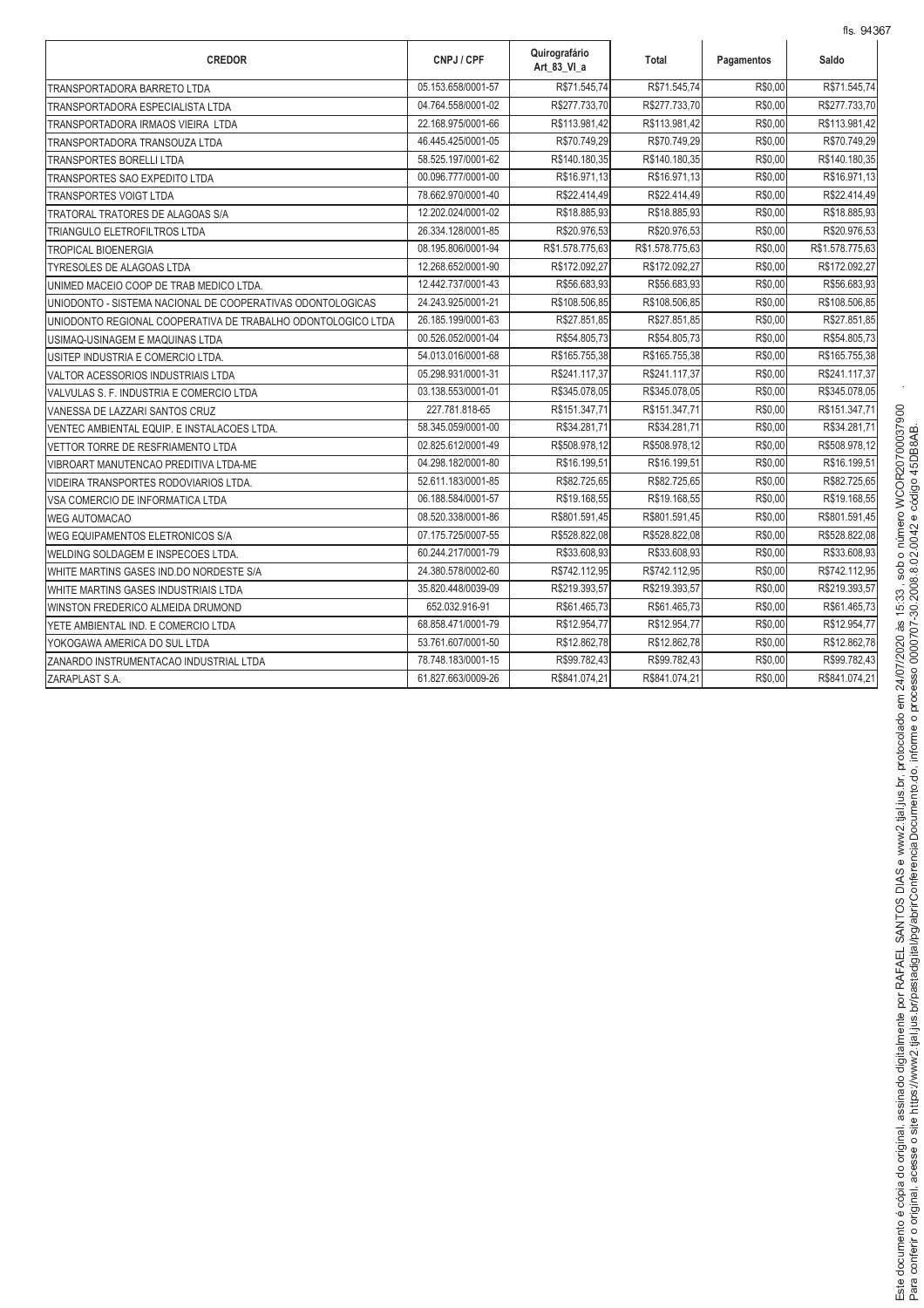| <b>CREDOR</b>                                                | CNPJ / CPF         | Quirografário<br>Art 83 VI a | Total           | Pagamentos | Saldo           |
|--------------------------------------------------------------|--------------------|------------------------------|-----------------|------------|-----------------|
| <b>TRANSPORTADORA BARRETO LTDA</b>                           | 05.153.658/0001-57 | R\$71.545,74                 | R\$71.545,74    | R\$0,00    | R\$71.545,74    |
| TRANSPORTADORA ESPECIALISTA LTDA                             | 04.764.558/0001-02 | R\$277.733,70                | R\$277.733,70   | R\$0,00    | R\$277.733,70   |
| TRANSPORTADORA IRMAOS VIEIRA LTDA                            | 22.168.975/0001-66 | R\$113.981,42                | R\$113.981,42   | R\$0.00    | R\$113.981,42   |
| TRANSPORTADORA TRANSOUZA LTDA                                | 46.445.425/0001-05 | R\$70.749,29                 | R\$70.749,29    | R\$0,00    | R\$70.749,29    |
| <b>TRANSPORTES BORELLI LTDA</b>                              | 58.525.197/0001-62 | R\$140.180,35                | R\$140.180,35   | R\$0.00    | R\$140.180,35   |
| <b>TRANSPORTES SAO EXPEDITO LTDA</b>                         | 00.096.777/0001-00 | R\$16.971,13                 | R\$16.971,13    | R\$0,00    | R\$16.971,13    |
| <b>TRANSPORTES VOIGT LTDA</b>                                | 78.662.970/0001-40 | R\$22.414,49                 | R\$22.414,49    | R\$0,00    | R\$22.414,49    |
| TRATORAL TRATORES DE ALAGOAS S/A                             | 12.202.024/0001-02 | R\$18.885,93                 | R\$18.885,93    | R\$0,00    | R\$18.885,93    |
| TRIANGULO ELETROFILTROS LTDA                                 | 26.334.128/0001-85 | R\$20.976,53                 | R\$20.976,53    | R\$0,00    | R\$20.976,53    |
| <b>TROPICAL BIOENERGIA</b>                                   | 08.195.806/0001-94 | R\$1.578.775,63              | R\$1.578.775,63 | R\$0,00    | R\$1.578.775,63 |
| <b>TYRESOLES DE ALAGOAS LTDA</b>                             | 12.268.652/0001-90 | R\$172.092,27                | R\$172.092,27   | R\$0,00    | R\$172.092,27   |
| UNIMED MACEIO COOP DE TRAB MEDICO LTDA.                      | 12.442.737/0001-43 | R\$56.683,93                 | R\$56.683.93    | R\$0.00    | R\$56.683,93    |
| UNIODONTO - SISTEMA NACIONAL DE COOPERATIVAS ODONTOLOGICAS   | 24.243.925/0001-21 | R\$108.506,85                | R\$108.506,85   | R\$0,00    | R\$108.506,85   |
| UNIODONTO REGIONAL COOPERATIVA DE TRABALHO ODONTOLOGICO LTDA | 26.185.199/0001-63 | R\$27.851,85                 | R\$27.851,85    | R\$0,00    | R\$27.851,85    |
| USIMAQ-USINAGEM E MAQUINAS LTDA                              | 00.526.052/0001-04 | R\$54.805,73                 | R\$54.805,73    | R\$0,00    | R\$54.805,73    |
| USITEP INDUSTRIA E COMERCIO LTDA.                            | 54.013.016/0001-68 | R\$165.755,38                | R\$165.755,38   | R\$0,00    | R\$165.755,38   |
| VALTOR ACESSORIOS INDUSTRIAIS LTDA                           | 05.298.931/0001-31 | R\$241.117,37                | R\$241.117,37   | R\$0,00    | R\$241.117,37   |
| VALVULAS S. F. INDUSTRIA E COMERCIO LTDA                     | 03.138.553/0001-01 | R\$345.078,05                | R\$345.078,05   | R\$0,00    | R\$345.078,05   |
| VANESSA DE LAZZARI SANTOS CRUZ                               | 227.781.818-65     | R\$151.347,71                | R\$151.347,71   | R\$0,00    | R\$151.347,71   |
| VENTEC AMBIENTAL EQUIP. E INSTALACOES LTDA.                  | 58.345.059/0001-00 | R\$34.281,71                 | R\$34.281,71    | R\$0,00    | R\$34.281,71    |
| VETTOR TORRE DE RESFRIAMENTO LTDA                            | 02.825.612/0001-49 | R\$508.978,12                | R\$508.978,12   | R\$0,00    | R\$508.978,12   |
| VIBROART MANUTENCAO PREDITIVA LTDA-ME                        | 04.298.182/0001-80 | R\$16.199,51                 | R\$16.199,51    | R\$0.00    | R\$16.199,51    |
| VIDEIRA TRANSPORTES RODOVIARIOS LTDA.                        | 52.611.183/0001-85 | R\$82.725,65                 | R\$82.725,65    | R\$0,00    | R\$82.725,65    |
| VSA COMERCIO DE INFORMATICA LTDA                             | 06.188.584/0001-57 | R\$19.168,55                 | R\$19.168,55    | R\$0,00    | R\$19.168,55    |
| <b>WEG AUTOMACAO</b>                                         | 08.520.338/0001-86 | R\$801.591,45                | R\$801.591,45   | R\$0,00    | R\$801.591,45   |
| WEG EQUIPAMENTOS ELETRONICOS S/A                             | 07.175.725/0007-55 | R\$528.822,08                | R\$528.822,08   | R\$0,00    | R\$528.822,08   |
| WELDING SOLDAGEM E INSPECOES LTDA.                           | 60.244.217/0001-79 | R\$33.608,93                 | R\$33.608,93    | R\$0,00    | R\$33.608,93    |
| WHITE MARTINS GASES IND.DO NORDESTE S/A                      | 24.380.578/0002-60 | R\$742.112,95                | R\$742.112,95   | R\$0,00    | R\$742.112,95   |
| WHITE MARTINS GASES INDUSTRIAIS LTDA                         | 35.820.448/0039-09 | R\$219.393,57                | R\$219.393,57   | R\$0,00    | R\$219.393,57   |
| WINSTON FREDERICO ALMEIDA DRUMOND                            | 652.032.916-91     | R\$61.465,73                 | R\$61.465,73    | R\$0,00    | R\$61.465,73    |
| YETE AMBIENTAL IND. E COMERCIO LTDA                          | 68.858.471/0001-79 | R\$12.954,77                 | R\$12.954,77    | R\$0,00    | R\$12.954,77    |
| YOKOGAWA AMERICA DO SUL LTDA                                 | 53.761.607/0001-50 | R\$12.862,78                 | R\$12.862,78    | R\$0,00    | R\$12.862,78    |
| ZANARDO INSTRUMENTACAO INDUSTRIAL LTDA                       | 78.748.183/0001-15 | R\$99.782,43                 | R\$99.782,43    | R\$0,00    | R\$99.782,43    |
| ZARAPLAST S.A.                                               | 61.827.663/0009-26 | R\$841.074,21                | R\$841.074,21   | R\$0,00    | R\$841.074,21   |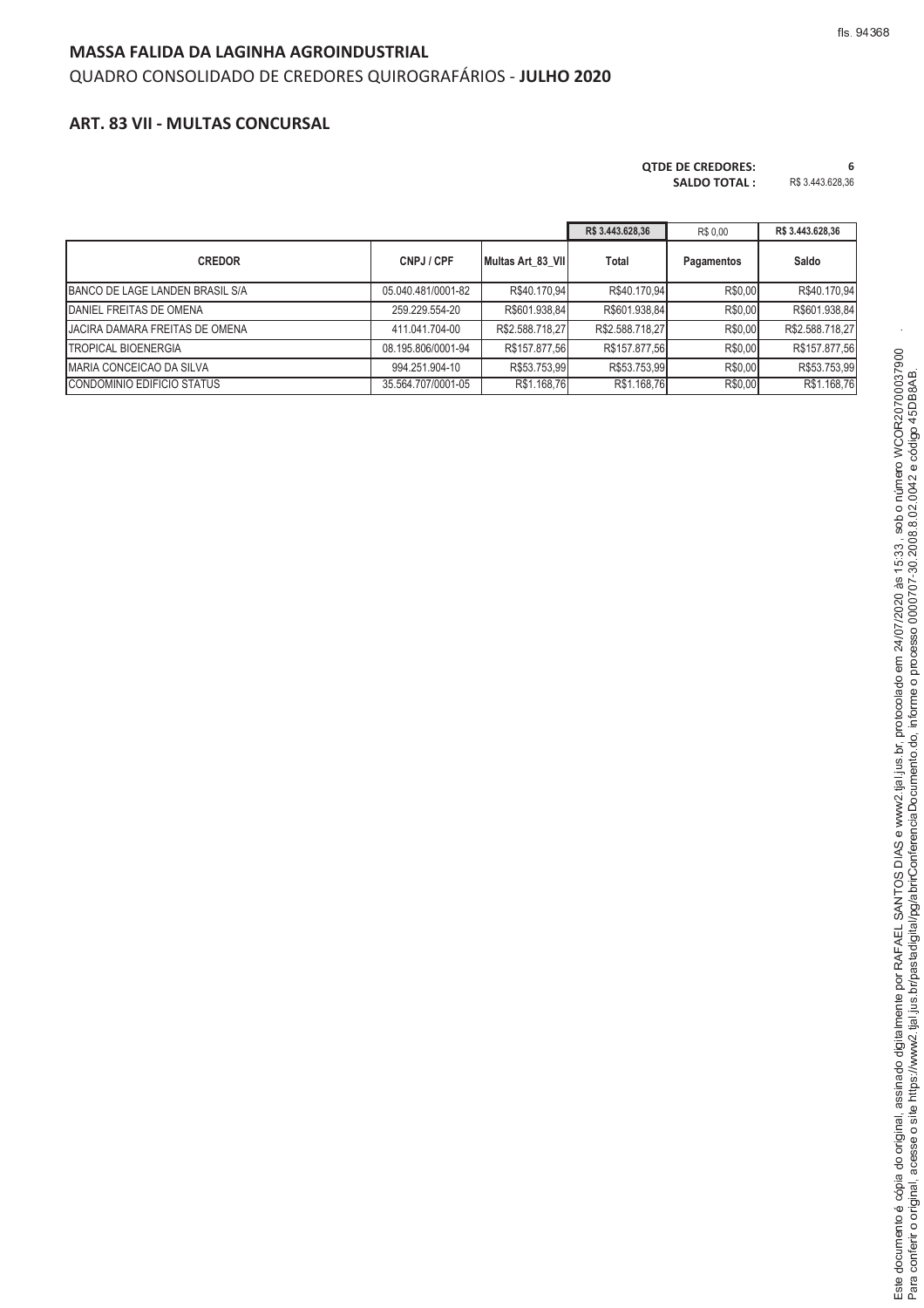## **MASSA FALIDA DA LAGINHA AGROINDUSTRIAL**

### QUADRO CONSOLIDADO DE CREDORES QUIROGRAFÁRIOS - **JULHO 2020**

### **ART. 83 VII - MULTAS CONCURSAL**

# **QTDE DE CREDORES: 6**

| <b>SALDO TOTAL:</b> | R\$ 3.443.628,36 |
|---------------------|------------------|
|                     |                  |

|                                 |                    |                   | R\$ 3.443.628,36 | R\$ 0.00   | R\$ 3.443.628,36 |
|---------------------------------|--------------------|-------------------|------------------|------------|------------------|
| <b>CREDOR</b>                   | CNPJ / CPF         | Multas Art 83 VII | Total            | Pagamentos | Saldo            |
| BANCO DE LAGE LANDEN BRASIL S/A | 05.040.481/0001-82 | R\$40.170,94      | R\$40.170,94     | R\$0,00    | R\$40.170,94     |
| DANIEL FREITAS DE OMENA         | 259.229.554-20     | R\$601.938,84     | R\$601.938,84    | R\$0,00    | R\$601.938,84    |
| JACIRA DAMARA FREITAS DE OMENA  | 411.041.704-00     | R\$2.588.718,27   | R\$2.588.718,27  | R\$0,00    | R\$2.588.718,27  |
| <b>TROPICAL BIOENERGIA</b>      | 08.195.806/0001-94 | R\$157.877,56     | R\$157.877,56    | R\$0,00    | R\$157.877,56    |
| MARIA CONCEICAO DA SILVA        | 994.251.904-10     | R\$53.753.99      | R\$53.753.99     | R\$0.00    | R\$53.753.99     |
| CONDOMINIO EDIFICIO STATUS      | 35.564.707/0001-05 | R\$1.168,76       | R\$1.168,76      | R\$0,00    | R\$1.168,76      |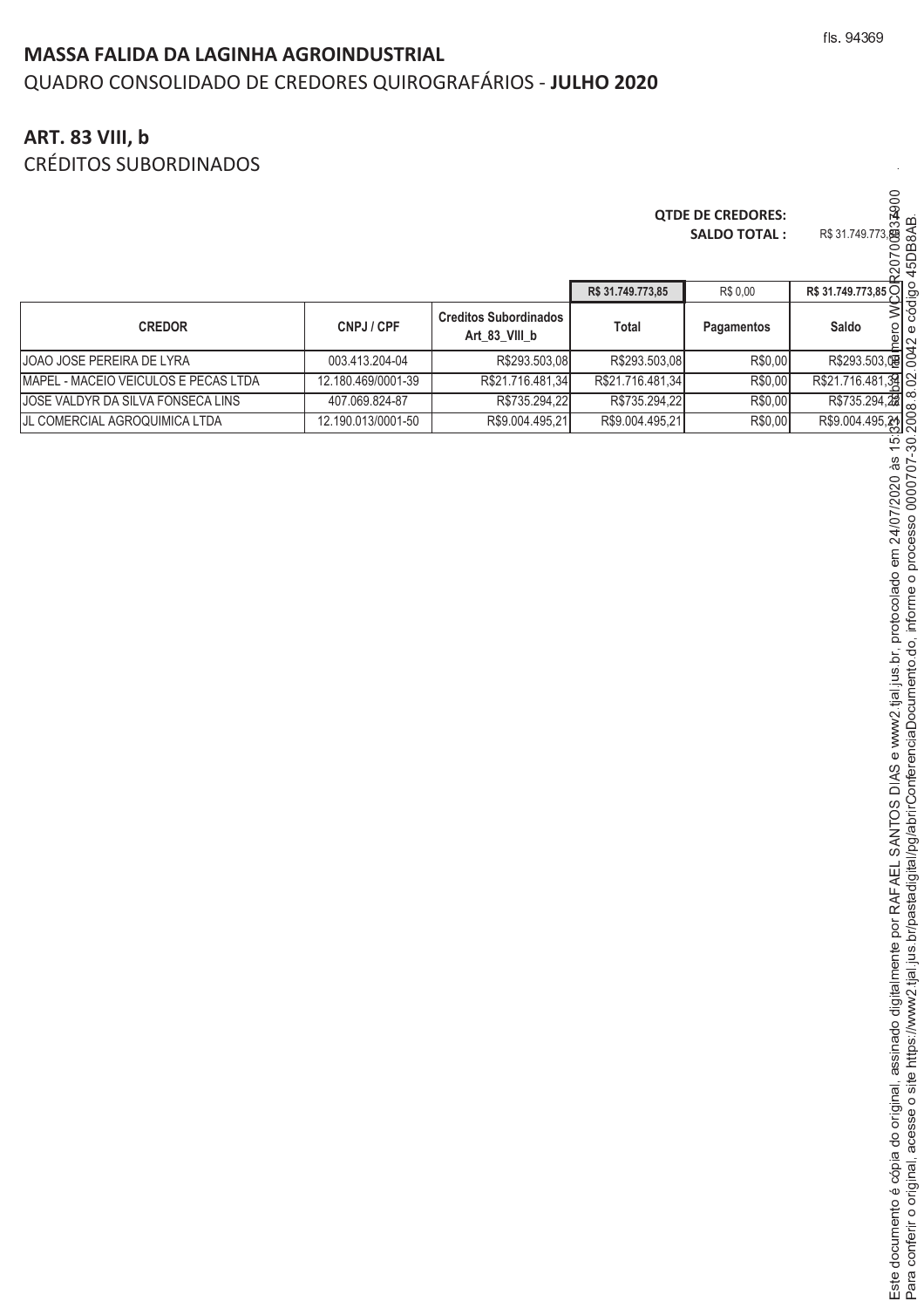# **MASSA FALIDA DA LAGINHA AGROINDUSTRIAL** QUADRO CONSOLIDADO DE CREDORES QUIROGRAFÁRIOS - **JULHO 2020**

# **ART. 83 VIII, b**

CRÉDITOS SUBORDINADOS

#### **QTDE DE CREDORES: 4 SALDO TOTAL :**

Á Â <sup>Ã</sup> <sup>Â</sup>

<sup>ç</sup> <sup>Í</sup> <sup>Î</sup> <sup>È</sup>

<sup>Ù</sup> <sup>Å</sup> <sup>Ä</sup> <sup>×</sup> <sup>Ü</sup> <sup>È</sup>

<sup>Æ</sup> <sup>Î</sup> <sup>Å</sup> <sup>è</sup> <sup>Ä</sup> <sup>ã</sup> <sup>Ð</sup> <sup>É</sup> <sup>Â</sup>

lo original

<sup>Í</sup> <sup>Í</sup> <sup>É</sup> <sup>Æ</sup> <sup>Â</sup>

<sup>Ù</sup> <sup>Å</sup> <sup>Ù</sup> <sup>É</sup> <sup>Ê</sup> <sup>É</sup> <sup>Î</sup> <sup>Â</sup> <sup>Ë</sup> <sup>Ü</sup> <sup>È</sup>

<sup>Æ</sup> <sup>Î</sup> <sup>È</sup> <sup>Ð</sup> <sup>Å</sup> <sup>Ã</sup>

<sup>é</sup> <sup>æ</sup> <sup>ê</sup> <sup>æ</sup> <sup>ç</sup> <sup>ë</sup>

<sup>ì</sup> <sup>æ</sup> <sup>í</sup> <sup>î</sup> <sup>ï</sup> <sup>ì</sup>

<sup>Û</sup> <sup>ð</sup> <sup>æ</sup> <sup>ì</sup> <sup>È</sup> <sup>Ó</sup> <sup>Ó</sup> <sup>Ó</sup>

ì lial i

i. br protocol

<sup>Ù</sup> <sup>Å</sup> <sup>È</sup>

<sup>Ü</sup> <sup>Ô</sup> <sup>â</sup> <sup>Ò</sup> <sup>Ý</sup> <sup>Þ</sup> <sup>Ò</sup> <sup>Ô</sup> <sup>Ý</sup> <sup>Ô</sup> <sup>Ý</sup> <sup>ñ</sup> <sup>Í</sup> <sup>ò</sup> <sup>ä</sup> <sup>Ñ</sup>

porterir o original

<sup>Í</sup> <sup>Í</sup> ÈÅ <sup>Í</sup> <sup>É</sup> <sup>Î</sup> <sup>È</sup> <sup>Ï</sup> <sup>Î</sup> Î Ð

<sup>Í</sup> <sup>Ñ</sup> <sup>Ò</sup> Ò Ó <sup>Ó</sup> <sup>Ó</sup>

i lai

<sup>Í</sup> <sup>Õ</sup> <sup>Ø</sup> <sup>Ã</sup> <sup>Ò</sup> <sup>Ð</sup> <sup>Â</sup> <sup>Í</sup> <sup>Î</sup> <sup>Â</sup>

<sup>Ù</sup> <sup>É</sup> <sup>Ê</sup> <sup>É</sup> <sup>Î</sup> <sup>Â</sup> <sup>Ë</sup> <sup>Ò</sup> <sup>Ð</sup> <sup>Ê</sup>

<sup>Ø</sup> <sup>Ã</sup> <sup>É</sup> <sup>Ã</sup> <sup>Ú</sup> <sup>Å</sup> <sup>Æ</sup> <sup>Ç</sup> <sup>È</sup> ÃÈ

<sup>Æ</sup> <sup>Ä</sup> <sup>É</sup> <sup>Â</sup> <sup>Û</sup> <sup>Å</sup> <sup>Ä</sup> ×Ü

ito do inform

<sup>Å</sup> <sup>Ð</sup> <sup>Ã</sup> <sup>Å</sup> ÄÈ

|                                              |                    |                                               |                   | <b>QTDE DE CREDORES:</b><br><b>SALDO TOTAL:</b> | 32900<br>R\$ 31.749.773, 83<br>R\$ 31.749.773, 83<br>CO CO CO<br>CO CO<br>220 |
|----------------------------------------------|--------------------|-----------------------------------------------|-------------------|-------------------------------------------------|-------------------------------------------------------------------------------|
|                                              |                    |                                               | R\$ 31.749.773,85 | R\$ 0.00                                        | R\$ 31.749.773,85 O                                                           |
| <b>CREDOR</b>                                | CNPJ / CPF         | <b>Creditos Subordinados</b><br>Art 83 VIII b | <b>Total</b>      | Pagamentos                                      | 3<br>Saldo<br>$\frac{1}{2}$                                                   |
| JOAO JOSE PEREIRA DE LYRA                    | 003.413.204-04     | R\$293.503,08                                 | R\$293.503,08     | R\$0,00                                         | R\$293.503, 嘎 0                                                               |
| <b>IMAPEL - MACEIO VEICULOS E PECAS LTDA</b> | 12.180.469/0001-39 | R\$21.716.481,34                              | R\$21.716.481,34  | R\$0,00                                         | R\$21.716.481,39                                                              |
| JOSE VALDYR DA SILVA FONSECA LINS            | 407.069.824-87     | R\$735.294,22                                 | R\$735.294,22     | R\$0,00                                         | $R$735.294,\frac{22}{28}$                                                     |
| JL COMERCIAL AGROQUIMICA LTDA                | 12.190.013/0001-50 | R\$9.004.495,21                               | R\$9.004.495,21   | R\$0,00                                         | R\$9.004.495,21                                                               |
|                                              |                    |                                               |                   |                                                 | $\frac{15}{30}$<br>$7/2020$ às<br>0000707<br>107                              |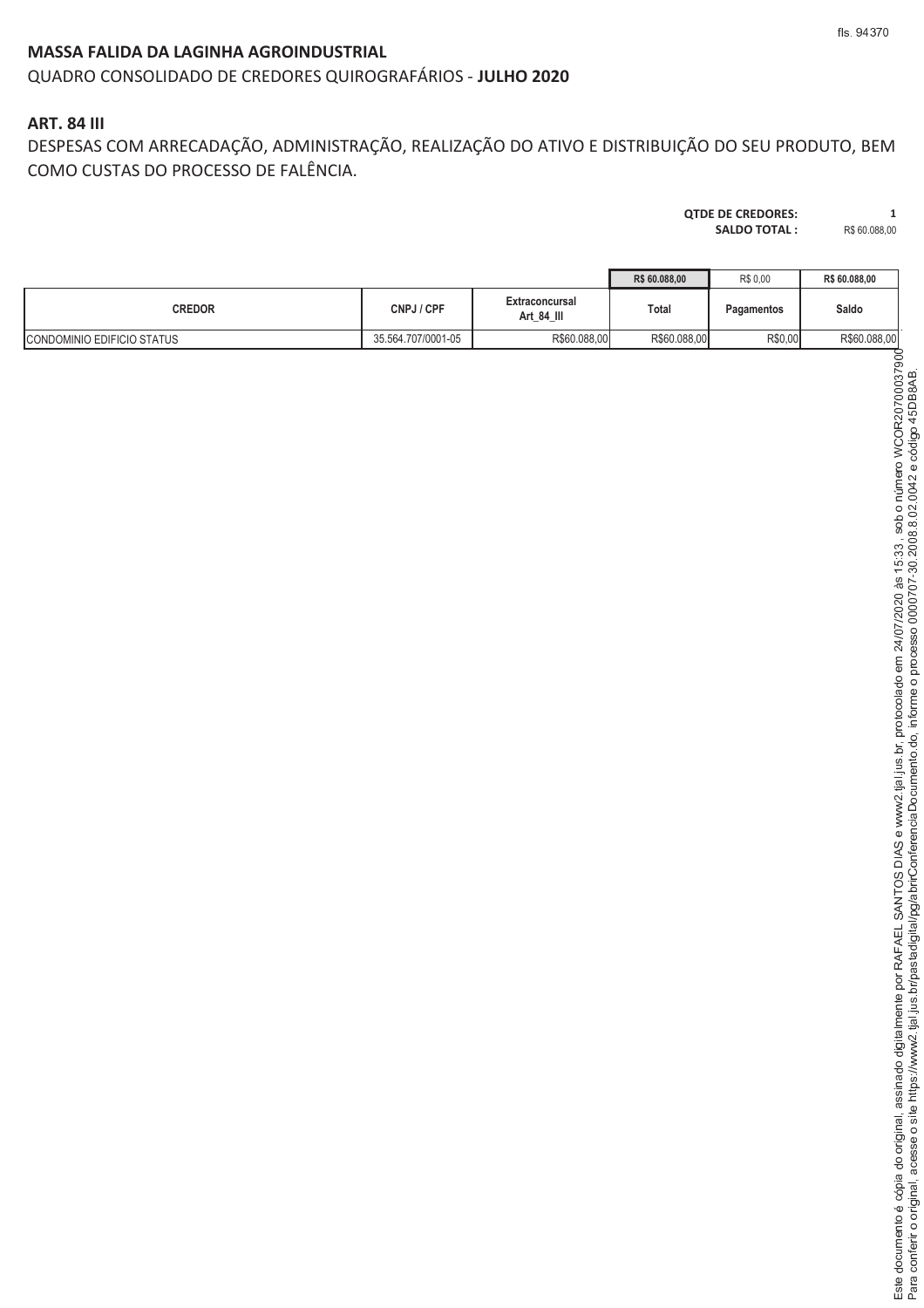# **MASSA FALIDA DA LAGINHA AGROINDUSTRIAL**

## QUADRO CONSOLIDADO DE CREDORES QUIROGRAFÁRIOS - **JULHO 2020**

## **ART. 84 III**

DESPESAS COM ARRECADAÇÃO, ADMINISTRAÇÃO, REALIZAÇÃO DO ATIVO E DISTRIBUIÇÃO DO SEU PRODUTO, BEM COMO CUSTAS DO PROCESSO DE FALÊNCIA.

#### **QTDE DE CREDORES: 1**<br>**SALDO TOTAL : R\$** 60.088,00 SALDO TOTAL :

| LUU IUIAL. | <b>IND OU.U</b> |
|------------|-----------------|
|            |                 |
|            |                 |

fls. 94370

|                            |                    |                              | R\$ 60,088,00 | R\$ 0,00   | R\$ 60,088,00 |
|----------------------------|--------------------|------------------------------|---------------|------------|---------------|
| <b>CREDOR</b>              | CNPJ / CPF         | Extraconcursal<br>Art_84_III | Total         | Pagamentos | Saldo         |
| CONDOMINIO EDIFICIO STATUS | 35.564.707/0001-05 | R\$60.088,00                 | R\$60.088,00  | R\$0,00    | R\$60.088,00  |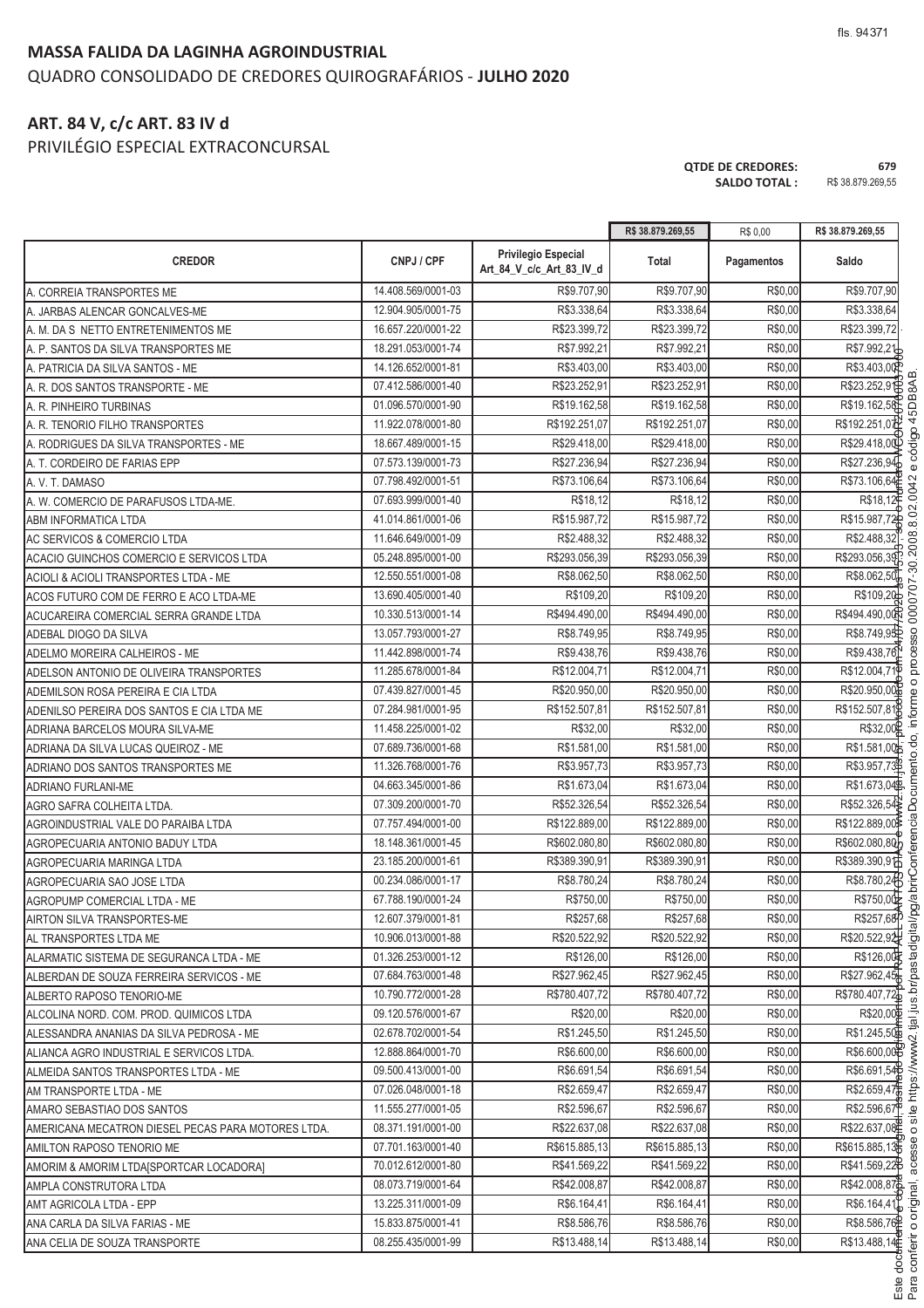#### **MASSA FALIDA DA LAGINHA AGROINDUSTRIAL**

# QUADRO CONSOLIDADO DE CREDORES QUIROGRAFÁRIOS - **JULHO 2020**

# **ART. 84 V, c/c ART. 83 IV d**

PRIVILÉGIO ESPECIAL EXTRACONCURSAL

**QTDE DE CREDORES: 679 SALDO TOTAL :** R\$ 38.879.269,55

٦

nferir o original.

.<br>. <sup>W</sup> <sup>C</sup> <sup>B</sup> <sup>U</sup> <sup>C</sup> <sup>K</sup> <sup>G</sup> <sup>L</sup> <sup>F</sup>

 $\frac{1}{2}$ 

tial ius br/p

 $\overline{\phantom{a}}$ 

where the contract of the contract of the contract of the contract of the contract of the contract of the contract of the contract of the contract of the contract of the contract of the contract of the contract of the cont

<sup>V</sup> <sup>A</sup> <sup>G</sup> <sup>A</sup> <sup>X</sup> <sup>C</sup> <sup>D</sup> <sup>E</sup> <sup>F</sup> AF <sup>D</sup> <sup>B</sup> <sup>G</sup> @

<sup>Y</sup> <sup>C</sup> <sup>B</sup> <sup>U</sup>

ento do. inform

n processo 0000707-30.2008 8 02 0042

:<br>'

|                                                    |                    |                                                        | R\$ 38.879.269,55 | R\$ 0,00   | R\$ 38.879.269,55      |
|----------------------------------------------------|--------------------|--------------------------------------------------------|-------------------|------------|------------------------|
| <b>CREDOR</b>                                      | CNPJ / CPF         | <b>Privilegio Especial</b><br>Art 84 V c/c Art 83 IV d | <b>Total</b>      | Pagamentos | Saldo                  |
| A. CORREIA TRANSPORTES ME                          | 14.408.569/0001-03 | R\$9.707,90                                            | R\$9.707,90       | R\$0,00    | R\$9.707,90            |
| A. JARBAS ALENCAR GONCALVES-ME                     | 12.904.905/0001-75 | R\$3.338,64                                            | R\$3.338,64       | R\$0,00    | R\$3.338,64            |
| A. M. DA S NETTO ENTRETENIMENTOS ME                | 16.657.220/0001-22 | R\$23.399,72                                           | R\$23.399,72      | R\$0,00    | R\$23.399,72           |
| A. P. SANTOS DA SILVA TRANSPORTES ME               | 18.291.053/0001-74 | R\$7.992,21                                            | R\$7.992,21       | R\$0,00    | R\$7.992,21            |
| A. PATRICIA DA SILVA SANTOS - ME                   | 14.126.652/0001-81 | R\$3.403,00                                            | R\$3.403,00       | R\$0,00    | R\$3.403,00            |
| A. R. DOS SANTOS TRANSPORTE - ME                   | 07.412.586/0001-40 | R\$23.252,9                                            | R\$23.252,91      | R\$0,00    | R\$23.252,91           |
| A. R. PINHEIRO TURBINAS                            | 01.096.570/0001-90 | R\$19.162,58                                           | R\$19.162,58      | R\$0,00    | R\$19.162,58           |
| A. R. TENORIO FILHO TRANSPORTES                    | 11.922.078/0001-80 | R\$192.251,07                                          | R\$192.251,07     | R\$0,00    | R\$192.251,07          |
| A. RODRIGUES DA SILVA TRANSPORTES - ME             | 18.667.489/0001-15 | R\$29.418,00                                           | R\$29.418,00      | R\$0,00    | R\$29.418,00           |
| A. T. CORDEIRO DE FARIAS EPP                       | 07.573.139/0001-73 | R\$27.236,94                                           | R\$27.236,94      | R\$0,00    | R\$27.236,94           |
| A. V. T. DAMASO                                    | 07.798.492/0001-51 | R\$73.106,64                                           | R\$73.106,64      | R\$0,00    | R\$73.106,64           |
| A. W. COMERCIO DE PARAFUSOS LTDA-ME.               | 07.693.999/0001-40 | R\$18,12                                               | R\$18,12          | R\$0,00    | R\$18,12               |
| <b>ABM INFORMATICA LTDA</b>                        | 41.014.861/0001-06 | R\$15.987,72                                           | R\$15.987,72      | R\$0,00    | R\$15.987,72           |
| <b>AC SERVICOS &amp; COMERCIO LTDA</b>             | 11.646.649/0001-09 | R\$2.488.32                                            | R\$2.488,32       | R\$0,00    | R\$2.488,32            |
| ACACIO GUINCHOS COMERCIO E SERVICOS LTDA           | 05.248.895/0001-00 | R\$293.056,39                                          | R\$293.056,39     | R\$0,00    | R\$293.056,39          |
| ACIOLI & ACIOLI TRANSPORTES LTDA - ME              | 12.550.551/0001-08 | R\$8.062,50                                            | R\$8.062,50       | R\$0,00    | R\$8.062,50            |
| ACOS FUTURO COM DE FERRO E ACO LTDA-ME             | 13.690.405/0001-40 | R\$109,20                                              | R\$109,20         | R\$0,00    | R\$109,20              |
| ACUCAREIRA COMERCIAL SERRA GRANDE LTDA             | 10.330.513/0001-14 | R\$494.490.00                                          | R\$494.490,00     | R\$0,00    | R\$494.490,00          |
| ADEBAL DIOGO DA SILVA                              | 13.057.793/0001-27 | R\$8.749.95                                            | R\$8.749,95       | R\$0,00    | R\$8.749,95            |
|                                                    | 11.442.898/0001-74 | R\$9.438,76                                            | R\$9.438,76       | R\$0,00    | R\$9.438,76            |
| ADELMO MOREIRA CALHEIROS - ME                      | 11.285.678/0001-84 | R\$12.004,71                                           | R\$12.004.71      | R\$0,00    | R\$12.004,71           |
| ADELSON ANTONIO DE OLIVEIRA TRANSPORTES            | 07.439.827/0001-45 | R\$20.950,00                                           | R\$20.950,00      | R\$0,00    | R\$20.950,00           |
| ADEMILSON ROSA PEREIRA E CIA LTDA                  | 07.284.981/0001-95 |                                                        |                   |            | R\$152.507,81          |
| ADENILSO PEREIRA DOS SANTOS E CIA LTDA ME          |                    | R\$152.507,8                                           | R\$152.507,81     | R\$0,00    |                        |
| ADRIANA BARCELOS MOURA SILVA-ME                    | 11.458.225/0001-02 | R\$32,00                                               | R\$32,00          | R\$0,00    | R\$32,00               |
| ADRIANA DA SILVA LUCAS QUEIROZ - ME                | 07.689.736/0001-68 | R\$1.581,00                                            | R\$1.581,00       | R\$0,00    | R\$1.581,00            |
| ADRIANO DOS SANTOS TRANSPORTES ME                  | 11.326.768/0001-76 | R\$3.957,73                                            | R\$3.957,73       | R\$0,00    | R\$3.957,73            |
| ADRIANO FURLANI-ME                                 | 04.663.345/0001-86 | R\$1.673,04                                            | R\$1.673,04       | R\$0,00    | R\$1.673,04            |
| AGRO SAFRA COLHEITA LTDA.                          | 07.309.200/0001-70 | R\$52.326,54                                           | R\$52.326,54      | R\$0,00    | R\$52.326,54           |
| AGROINDUSTRIAL VALE DO PARAIBA LTDA                | 07.757.494/0001-00 | R\$122.889,00                                          | R\$122.889,00     | R\$0,00    | R\$122.889,00          |
| AGROPECUARIA ANTONIO BADUY LTDA                    | 18.148.361/0001-45 | R\$602.080,80                                          | R\$602.080,80     | R\$0,00    | R\$602.080,80          |
| AGROPECUARIA MARINGA LTDA                          | 23.185.200/0001-61 | R\$389.390,9                                           | R\$389.390,91     | R\$0,00    | R\$389.390,91          |
| AGROPECUARIA SAO JOSE LTDA                         | 00.234.086/0001-17 | R\$8.780,24                                            | R\$8.780,24       | R\$0,00    | R\$8.780,24            |
| AGROPUMP COMERCIAL LTDA - ME                       | 67.788.190/0001-24 | R\$750,00                                              | R\$750,00         | R\$0,00    | R\$750,00              |
| AIRTON SILVA TRANSPORTES-ME                        | 12.607.379/0001-81 | R\$257,68                                              | R\$257,68         | R\$0,00    | R\$257,68 <sup>5</sup> |
| AL TRANSPORTES LTDA ME                             | 10.906.013/0001-88 | R\$20.522,92                                           | R\$20.522,92      | R\$0,00    | R\$20.522,92           |
| ALARMATIC SISTEMA DE SEGURANCA LTDA - ME           | 01.326.253/0001-12 | R\$126,00                                              | R\$126,00         | R\$0,00    | R\$126,00              |
| ALBERDAN DE SOUZA FERREIRA SERVICOS - ME           | 07.684.763/0001-48 | R\$27.962,45                                           | R\$27.962,45      | R\$0,00    | R\$27.962,45           |
| ALBERTO RAPOSO TENORIO-ME                          | 10.790.772/0001-28 | R\$780.407,72                                          | R\$780.407,72     | R\$0,00    | R\$780.407,72          |
| ALCOLINA NORD. COM. PROD. QUIMICOS LTDA            | 09.120.576/0001-67 | R\$20,00                                               | R\$20,00          | R\$0,00    | R\$20,00               |
| ALESSANDRA ANANIAS DA SILVA PEDROSA - ME           | 02.678.702/0001-54 | R\$1.245,50                                            | R\$1.245,50       | R\$0,00    | R\$1.245,50            |
| ALIANCA AGRO INDUSTRIAL E SERVICOS LTDA.           | 12.888.864/0001-70 | R\$6.600,00                                            | R\$6.600,00       | R\$0,00    | R\$6.600,00            |
| ALMEIDA SANTOS TRANSPORTES LTDA - ME               | 09.500.413/0001-00 | R\$6.691,54                                            | R\$6.691,54       | R\$0,00    | R\$6.691,54            |
| AM TRANSPORTE LTDA - ME                            | 07.026.048/0001-18 | R\$2.659,47                                            | R\$2.659,47       | R\$0,00    | R\$2.659,47            |
| AMARO SEBASTIAO DOS SANTOS                         | 11.555.277/0001-05 | R\$2.596,67                                            | R\$2.596,67       | R\$0,00    | R\$2.596,67            |
| AMERICANA MECATRON DIESEL PECAS PARA MOTORES LTDA. | 08.371.191/0001-00 | R\$22.637,08                                           | R\$22.637,08      | R\$0,00    | R\$22.637,08           |
| AMILTON RAPOSO TENORIO ME                          | 07.701.163/0001-40 | R\$615.885,13                                          | R\$615.885,13     | R\$0,00    | R\$615.885,13          |
| AMORIM & AMORIM LTDA[SPORTCAR LOCADORA]            | 70.012.612/0001-80 | R\$41.569,22                                           | R\$41.569,22      | R\$0,00    | R\$41.569,22           |
| AMPLA CONSTRUTORA LTDA                             | 08.073.719/0001-64 | R\$42.008,87                                           | R\$42.008,87      | R\$0,00    | R\$42.008,87           |
| AMT AGRICOLA LTDA - EPP                            | 13.225.311/0001-09 | R\$6.164,41                                            | R\$6.164,41       | R\$0,00    | R\$6.164,41            |
| ANA CARLA DA SILVA FARIAS - ME                     | 15.833.875/0001-41 | R\$8.586,76                                            | R\$8.586,76       | R\$0,00    | R\$8.586,76            |
| ANA CELIA DE SOUZA TRANSPORTE                      | 08.255.435/0001-99 | R\$13.488,14                                           | R\$13.488,14      | R\$0,00    | R\$13.488,14           |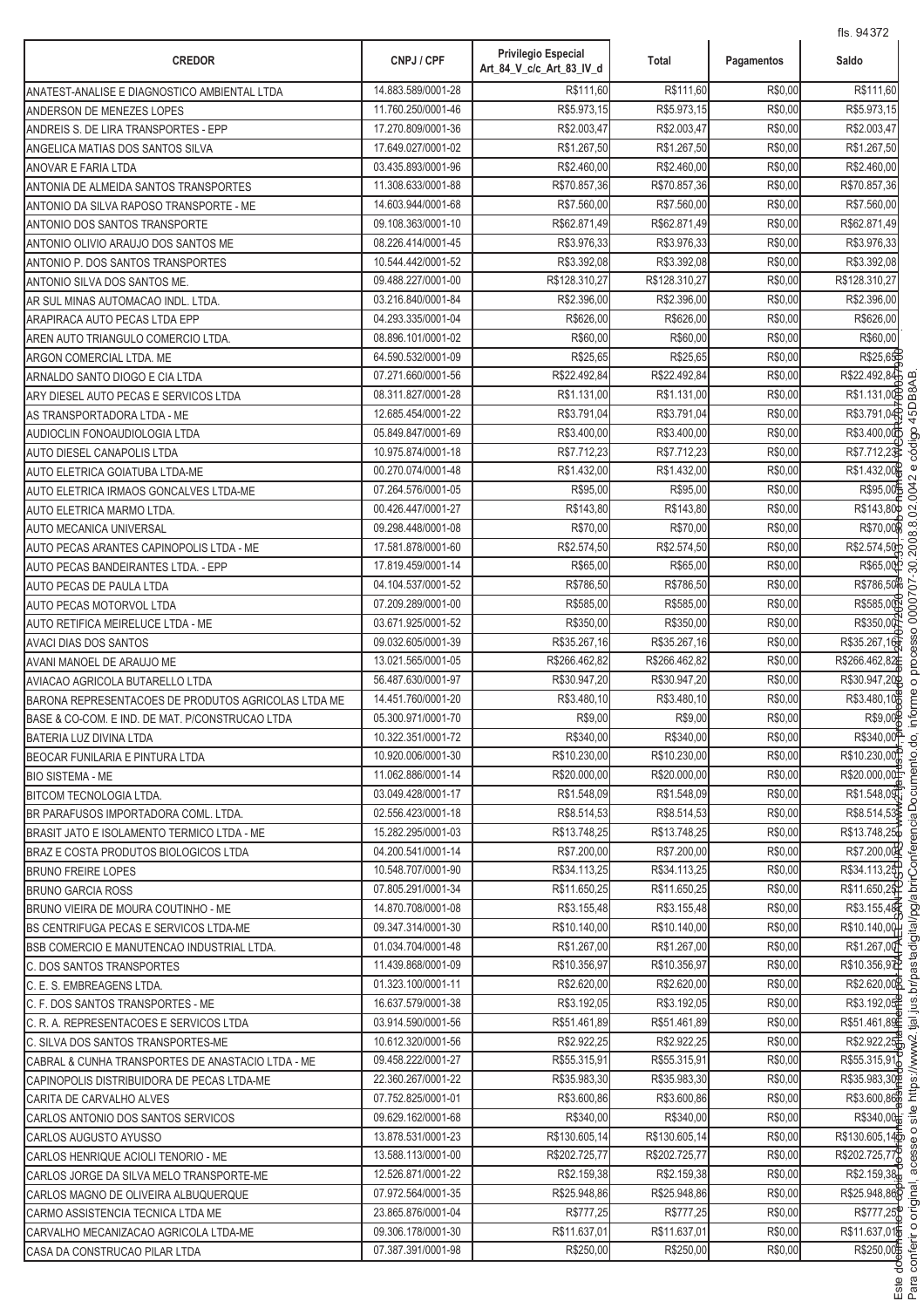| <b>CREDOR</b>                                                                           | CNPJ / CPF                               | <b>Privilegio Especial</b><br>Art_84_V_c/c_Art_83_IV_d | Total                       | Pagamentos         | 115. 9437 Z<br>Saldo        |
|-----------------------------------------------------------------------------------------|------------------------------------------|--------------------------------------------------------|-----------------------------|--------------------|-----------------------------|
| ANATEST-ANALISE E DIAGNOSTICO AMBIENTAL LTDA                                            | 14.883.589/0001-28                       | R\$111,60                                              | R\$111,60                   | R\$0,00            | R\$111,60                   |
| ANDERSON DE MENEZES LOPES                                                               | 11.760.250/0001-46                       | R\$5.973,15                                            | R\$5.973,15                 | R\$0,00            | R\$5.973,15                 |
| ANDREIS S. DE LIRA TRANSPORTES - EPP                                                    | 17.270.809/0001-36                       | R\$2.003,47                                            | R\$2.003,47                 | R\$0,00            | R\$2.003,47                 |
| ANGELICA MATIAS DOS SANTOS SILVA                                                        | 17.649.027/0001-02                       | R\$1.267,50                                            | R\$1.267,50                 | R\$0,00            | R\$1.267,50                 |
| ANOVAR E FARIA LTDA                                                                     | 03.435.893/0001-96                       | R\$2.460,00                                            | R\$2.460,00                 | R\$0,00            | R\$2.460,00                 |
| ANTONIA DE ALMEIDA SANTOS TRANSPORTES                                                   | 11.308.633/0001-88                       | R\$70.857,36                                           | R\$70.857,36                | R\$0,00            | R\$70.857,36                |
| ANTONIO DA SILVA RAPOSO TRANSPORTE - ME                                                 | 14.603.944/0001-68                       | R\$7.560,00                                            | R\$7.560,00                 | R\$0,00            | R\$7.560,00                 |
| ANTONIO DOS SANTOS TRANSPORTE                                                           | 09.108.363/0001-10                       | R\$62.871,49                                           | R\$62.871,49                | R\$0,00            | R\$62.871,49                |
| ANTONIO OLIVIO ARAUJO DOS SANTOS ME                                                     | 08.226.414/0001-45                       | R\$3.976,33                                            | R\$3.976,33                 | R\$0,00            | R\$3.976,33                 |
| ANTONIO P. DOS SANTOS TRANSPORTES                                                       | 10.544.442/0001-52                       | R\$3.392,08                                            | R\$3.392,08                 | R\$0,00            | R\$3.392,08                 |
| ANTONIO SILVA DOS SANTOS ME.                                                            | 09.488.227/0001-00                       | R\$128.310,27                                          | R\$128.310,27               | R\$0,00            | R\$128.310,27               |
| AR SUL MINAS AUTOMACAO INDL. LTDA.                                                      | 03.216.840/0001-84                       | R\$2.396,00                                            | R\$2.396,00                 | R\$0,00            | R\$2.396,00                 |
| ARAPIRACA AUTO PECAS LTDA EPP                                                           | 04.293.335/0001-04                       | R\$626,00                                              | R\$626,00                   | R\$0,00            | R\$626,00                   |
| AREN AUTO TRIANGULO COMERCIO LTDA.                                                      | 08.896.101/0001-02                       | R\$60,00                                               | R\$60,00                    | R\$0,00            | R\$60.00                    |
| ARGON COMERCIAL LTDA. ME                                                                | 64.590.532/0001-09                       | R\$25,65                                               | R\$25,65                    | R\$0,00            | R\$25,65                    |
| ARNALDO SANTO DIOGO E CIA LTDA                                                          | 07.271.660/0001-56                       | R\$22.492,84                                           | R\$22.492,84                | R\$0,00            | R\$22.492,84                |
| ARY DIESEL AUTO PECAS E SERVICOS LTDA                                                   | 08.311.827/0001-28                       | R\$1.131,00                                            | R\$1.131,00                 | R\$0,00            | R\$1.131,00                 |
| AS TRANSPORTADORA LTDA - ME                                                             | 12.685.454/0001-22                       | R\$3.791,04                                            | R\$3.791,04                 | R\$0,00            | R\$3.791,04                 |
| AUDIOCLIN FONOAUDIOLOGIA LTDA                                                           | 05.849.847/0001-69                       | R\$3.400,00                                            | R\$3.400,00                 | R\$0,00            | R\$3.400,00                 |
| AUTO DIESEL CANAPOLIS LTDA                                                              | 10.975.874/0001-18                       | R\$7.712,23                                            | R\$7.712,23                 | R\$0,00            | R\$7.712,23                 |
| AUTO ELETRICA GOIATUBA LTDA-ME                                                          | 00.270.074/0001-48                       | R\$1.432,00                                            | R\$1.432,00                 | R\$0,00            | R\$1.432,00                 |
| AUTO ELETRICA IRMAOS GONCALVES LTDA-ME                                                  | 07.264.576/0001-05                       | R\$95,00                                               | R\$95,00                    | R\$0,00            | R\$95,00                    |
| AUTO ELETRICA MARMO LTDA.                                                               | 00.426.447/0001-27                       | R\$143,80                                              | R\$143,80                   | R\$0,00            | R\$143,80¢                  |
| AUTO MECANICA UNIVERSAL                                                                 | 09.298.448/0001-08                       | R\$70,00                                               | R\$70,00                    | R\$0,00            | R\$70,00                    |
| AUTO PECAS ARANTES CAPINOPOLIS LTDA - ME                                                | 17.581.878/0001-60                       | R\$2.574,50                                            | R\$2.574,50                 | R\$0,00            | R\$2.574,50                 |
| AUTO PECAS BANDEIRANTES LTDA. - EPP                                                     | 17.819.459/0001-14                       | R\$65,00                                               | R\$65,00                    | R\$0,00            | R\$65,00                    |
| <b>AUTO PECAS DE PAULA LTDA</b>                                                         | 04.104.537/0001-52                       | R\$786,50                                              | R\$786,50                   | R\$0,00            | R\$786,50                   |
| AUTO PECAS MOTORVOL LTDA                                                                | 07.209.289/0001-00                       | R\$585,00                                              | R\$585,00                   | R\$0,00            | R\$585,00                   |
| AUTO RETIFICA MEIRELUCE LTDA - ME                                                       | 03.671.925/0001-52                       | R\$350,00                                              | R\$350,00                   | R\$0,00            | R\$350,00                   |
| <b>AVACI DIAS DOS SANTOS</b>                                                            | 09.032.605/0001-39                       | R\$35.267,16                                           | R\$35.267,16                | R\$0,00            | R\$35.267,16                |
| AVANI MANOEL DE ARAUJO ME                                                               | 13.021.565/0001-05                       | R\$266.462,82                                          | R\$266.462,82               | R\$0,00            | R\$266.462,82               |
| AVIACAO AGRICOLA BUTARELLO LTDA                                                         | 56.487.630/0001-97                       | R\$30.947,20                                           | R\$30.947,20                | R\$0,00            | R\$30.947,20                |
| BARONA REPRESENTACOES DE PRODUTOS AGRICOLAS LTDA ME                                     | 14.451.760/0001-20                       | R\$3.480,10                                            | R\$3.480,10                 | R\$0,00            | R\$3.480,10                 |
| BASE & CO-COM. E IND. DE MAT. P/CONSTRUCAO LTDA                                         | 05.300.971/0001-70                       | R\$9,00                                                | R\$9,00                     | R\$0,00            | R\$9,00                     |
| BATERIA LUZ DIVINA LTDA                                                                 | 10.322.351/0001-72                       | R\$340,00                                              | R\$340,00                   | R\$0,00            | R\$340,00 <sup>2</sup>      |
| BEOCAR FUNILARIA E PINTURA LTDA                                                         | 10.920.006/0001-30                       | R\$10.230.00                                           | R\$10.230.00                | R\$0,00            | R\$10.230,00                |
| <b>BIO SISTEMA - ME</b>                                                                 | 11.062.886/0001-14                       | R\$20.000,00                                           | R\$20.000,00                | R\$0,00            | R\$20.000,00                |
| <b>BITCOM TECNOLOGIA LTDA.</b>                                                          | 03.049.428/0001-17                       | R\$1.548,09                                            | R\$1.548,09                 | R\$0,00            | R\$1.548,09                 |
| BR PARAFUSOS IMPORTADORA COML. LTDA.                                                    | 02.556.423/0001-18                       | R\$8.514,53                                            | R\$8.514,53                 | R\$0,00            | R\$8.514,53                 |
| BRASIT JATO E ISOLAMENTO TERMICO LTDA - ME                                              | 15.282.295/0001-03                       | R\$13.748,25                                           | R\$13.748,25                | R\$0,00            | R\$13.748,25                |
| BRAZ E COSTA PRODUTOS BIOLOGICOS LTDA                                                   | 04.200.541/0001-14                       | R\$7.200.00                                            | R\$7.200,00                 | R\$0,00            | R\$7.200,00                 |
| <b>BRUNO FREIRE LOPES</b>                                                               | 10.548.707/0001-90                       | R\$34.113,25                                           | R\$34.113.25                | R\$0,00            | R\$34.113,25                |
| <b>BRUNO GARCIA ROSS</b>                                                                | 07.805.291/0001-34                       | R\$11.650,25                                           | R\$11.650,25                | R\$0,00            | R\$11.650,25                |
| BRUNO VIEIRA DE MOURA COUTINHO - ME                                                     | 14.870.708/0001-08                       | R\$3.155,48                                            | R\$3.155,48                 | R\$0,00            | R\$3.155,48                 |
| BS CENTRIFUGA PECAS E SERVICOS LTDA-ME                                                  | 09.347.314/0001-30                       | R\$10.140,00                                           | R\$10.140,00                | R\$0,00            | R\$10.140,00                |
| BSB COMERCIO E MANUTENCAO INDUSTRIAL LTDA.                                              | 01.034.704/0001-48                       | R\$1.267,00<br>R\$10.356,97                            | R\$1.267,00<br>R\$10.356,97 | R\$0,00<br>R\$0,00 | R\$1.267,00<br>R\$10.356,97 |
| C. DOS SANTOS TRANSPORTES                                                               | 11.439.868/0001-09<br>01.323.100/0001-11 | R\$2.620,00                                            | R\$2.620,00                 | R\$0,00            | R\$2.620,008                |
| C. E. S. EMBREAGENS LTDA.                                                               | 16.637.579/0001-38                       | R\$3.192,05                                            | R\$3.192,05                 | R\$0,00            | R\$3.192,05                 |
| C. F. DOS SANTOS TRANSPORTES - ME                                                       | 03.914.590/0001-56                       | R\$51.461,89                                           | R\$51.461,89                | R\$0,00            | R\$51.461,89                |
| C. R. A. REPRESENTACOES E SERVICOS LTDA                                                 | 10.612.320/0001-56                       | R\$2.922,25                                            | R\$2.922,25                 | R\$0,00            | R\$2.922,25                 |
| C. SILVA DOS SANTOS TRANSPORTES-ME<br>CABRAL & CUNHA TRANSPORTES DE ANASTACIO LTDA - ME | 09.458.222/0001-27                       | R\$55.315,91                                           | R\$55.315,91                | R\$0,00            | R\$55.315,91                |
| CAPINOPOLIS DISTRIBUIDORA DE PECAS LTDA-ME                                              | 22.360.267/0001-22                       | R\$35.983,30                                           | R\$35.983,30                | R\$0,00            | R\$35.983,30P               |
| CARITA DE CARVALHO ALVES                                                                | 07.752.825/0001-01                       | R\$3.600,86                                            | R\$3.600,86                 | R\$0,00            | R\$3.600,86                 |
| CARLOS ANTONIO DOS SANTOS SERVICOS                                                      | 09.629.162/0001-68                       | R\$340,00                                              | R\$340,00                   | R\$0,00            | R\$340,00                   |
| CARLOS AUGUSTO AYUSSO                                                                   | 13.878.531/0001-23                       | R\$130.605,14                                          | R\$130.605,14               | R\$0,00            | R\$130.605,14               |
| CARLOS HENRIQUE ACIOLI TENORIO - ME                                                     | 13.588.113/0001-00                       | R\$202.725,77                                          | R\$202.725,77               | R\$0,00            | R\$202.725,77               |
| CARLOS JORGE DA SILVA MELO TRANSPORTE-ME                                                | 12.526.871/0001-22                       | R\$2.159,38                                            | R\$2.159,38                 | R\$0,00            | R\$2.159,38                 |
| CARLOS MAGNO DE OLIVEIRA ALBUQUERQUE                                                    | 07.972.564/0001-35                       | R\$25.948,86                                           | R\$25.948,86                | R\$0,00            | R\$25.948,86                |
| CARMO ASSISTENCIA TECNICA LTDA ME                                                       | 23.865.876/0001-04                       | R\$777,25                                              | R\$777,25                   | R\$0,00            | R\$777,25                   |
| CARVALHO MECANIZACAO AGRICOLA LTDA-ME                                                   | 09.306.178/0001-30                       | R\$11.637,01                                           | R\$11.637,01                | R\$0,00            | R\$11.637,01                |
| CASA DA CONSTRUCAO PILAR LTDA                                                           | 07.387.391/0001-98                       | R\$250,00                                              | R\$250,00                   | R\$0,00            | R\$250,00                   |
|                                                                                         |                                          |                                                        |                             |                    |                             |

.<br>.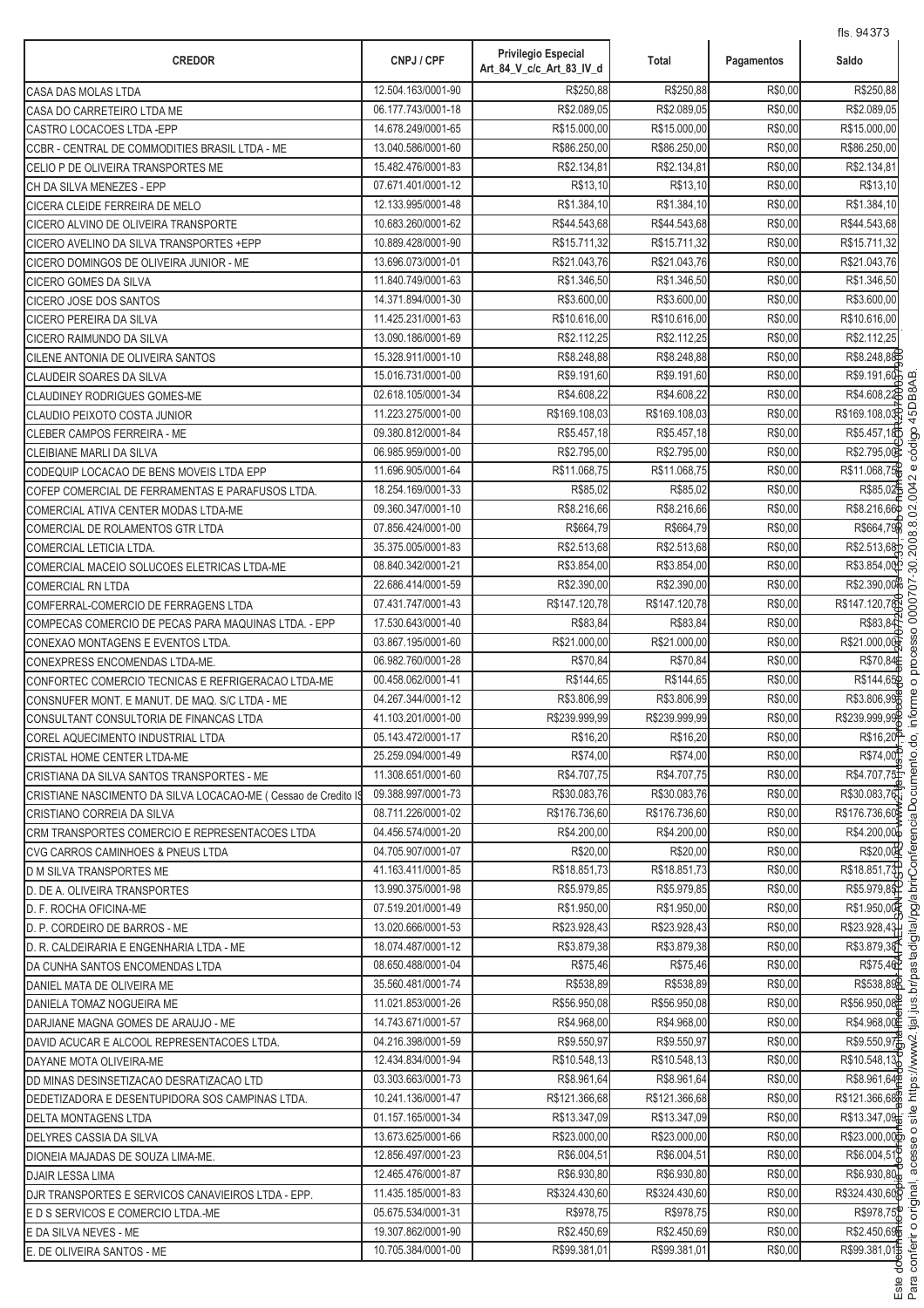| 12.504.163/0001-90<br>R\$250.88<br>R\$250.88<br>R\$0,00<br>CASA DAS MOLAS LTDA<br>06.177.743/0001-18<br>R\$2.089,05<br>R\$2.089,05<br>R\$0,00<br>CASA DO CARRETEIRO LTDA ME<br>R\$15.000,00<br>R\$0,00<br>14.678.249/0001-65<br>R\$15.000,00<br>CASTRO LOCACOES LTDA - EPP<br>13.040.586/0001-60<br>R\$86.250,00<br>R\$86.250.00<br>R\$0,00<br>CCBR - CENTRAL DE COMMODITIES BRASIL LTDA - ME<br>15.482.476/0001-83<br>R\$2.134,81<br>R\$2.134,81<br>R\$0,00<br>CELIO P DE OLIVEIRA TRANSPORTES ME<br>07.671.401/0001-12<br>R\$13,10<br>R\$13,10<br>R\$0,00<br>CH DA SILVA MENEZES - EPP<br>12.133.995/0001-48<br>R\$1.384,10<br>R\$1.384,10<br>R\$0,00<br>CICERA CLEIDE FERREIRA DE MELO<br>10.683.260/0001-62<br>R\$44.543,68<br>R\$44.543,68<br>R\$0,00<br>CICERO ALVINO DE OLIVEIRA TRANSPORTE<br>10.889.428/0001-90<br>R\$15.711,32<br>R\$15.711,32<br>R\$0,00<br>CICERO AVELINO DA SILVA TRANSPORTES + EPP<br>13.696.073/0001-01<br>R\$21.043,76<br>R\$21.043,76<br>R\$0,00<br>CICERO DOMINGOS DE OLIVEIRA JUNIOR - ME<br>11.840.749/0001-63<br>R\$1.346,50<br>R\$1.346,50<br>R\$0,00<br>CICERO GOMES DA SILVA<br>14.371.894/0001-30<br>R\$3.600,00<br>R\$3.600,00<br>R\$0,00<br>CICERO JOSE DOS SANTOS<br>11.425.231/0001-63<br>R\$10.616,00<br>R\$10.616,00<br>R\$0,00<br>CICERO PEREIRA DA SILVA<br>R\$2.112,25<br>13.090.186/0001-69<br>R\$2.112,25<br>R\$0,00<br>CICERO RAIMUNDO DA SILVA<br>15.328.911/0001-10<br>R\$8.248,88<br>R\$8.248,88<br>R\$0,00<br>CILENE ANTONIA DE OLIVEIRA SANTOS<br>R\$9.191,60<br>15.016.731/0001-00<br>R\$9.191,60<br>R\$0,00<br><b>CLAUDEIR SOARES DA SILVA</b><br>02.618.105/0001-34<br>R\$4.608,22<br>R\$4.608,22<br>R\$0,00<br>CLAUDINEY RODRIGUES GOMES-ME<br>11.223.275/0001-00<br>R\$169.108,03<br>R\$169.108,03<br>R\$0,00<br>CLAUDIO PEIXOTO COSTA JUNIOR | Saldo                 |
|--------------------------------------------------------------------------------------------------------------------------------------------------------------------------------------------------------------------------------------------------------------------------------------------------------------------------------------------------------------------------------------------------------------------------------------------------------------------------------------------------------------------------------------------------------------------------------------------------------------------------------------------------------------------------------------------------------------------------------------------------------------------------------------------------------------------------------------------------------------------------------------------------------------------------------------------------------------------------------------------------------------------------------------------------------------------------------------------------------------------------------------------------------------------------------------------------------------------------------------------------------------------------------------------------------------------------------------------------------------------------------------------------------------------------------------------------------------------------------------------------------------------------------------------------------------------------------------------------------------------------------------------------------------------------------------------------------------------------------------------------------------------------------------------------------------|-----------------------|
|                                                                                                                                                                                                                                                                                                                                                                                                                                                                                                                                                                                                                                                                                                                                                                                                                                                                                                                                                                                                                                                                                                                                                                                                                                                                                                                                                                                                                                                                                                                                                                                                                                                                                                                                                                                                              | R\$250.88             |
|                                                                                                                                                                                                                                                                                                                                                                                                                                                                                                                                                                                                                                                                                                                                                                                                                                                                                                                                                                                                                                                                                                                                                                                                                                                                                                                                                                                                                                                                                                                                                                                                                                                                                                                                                                                                              | R\$2.089,05           |
|                                                                                                                                                                                                                                                                                                                                                                                                                                                                                                                                                                                                                                                                                                                                                                                                                                                                                                                                                                                                                                                                                                                                                                                                                                                                                                                                                                                                                                                                                                                                                                                                                                                                                                                                                                                                              | R\$15.000,00          |
|                                                                                                                                                                                                                                                                                                                                                                                                                                                                                                                                                                                                                                                                                                                                                                                                                                                                                                                                                                                                                                                                                                                                                                                                                                                                                                                                                                                                                                                                                                                                                                                                                                                                                                                                                                                                              | R\$86.250,00          |
|                                                                                                                                                                                                                                                                                                                                                                                                                                                                                                                                                                                                                                                                                                                                                                                                                                                                                                                                                                                                                                                                                                                                                                                                                                                                                                                                                                                                                                                                                                                                                                                                                                                                                                                                                                                                              | R\$2.134,81           |
|                                                                                                                                                                                                                                                                                                                                                                                                                                                                                                                                                                                                                                                                                                                                                                                                                                                                                                                                                                                                                                                                                                                                                                                                                                                                                                                                                                                                                                                                                                                                                                                                                                                                                                                                                                                                              | R\$13,10              |
|                                                                                                                                                                                                                                                                                                                                                                                                                                                                                                                                                                                                                                                                                                                                                                                                                                                                                                                                                                                                                                                                                                                                                                                                                                                                                                                                                                                                                                                                                                                                                                                                                                                                                                                                                                                                              | R\$1.384.10           |
|                                                                                                                                                                                                                                                                                                                                                                                                                                                                                                                                                                                                                                                                                                                                                                                                                                                                                                                                                                                                                                                                                                                                                                                                                                                                                                                                                                                                                                                                                                                                                                                                                                                                                                                                                                                                              | R\$44.543,68          |
|                                                                                                                                                                                                                                                                                                                                                                                                                                                                                                                                                                                                                                                                                                                                                                                                                                                                                                                                                                                                                                                                                                                                                                                                                                                                                                                                                                                                                                                                                                                                                                                                                                                                                                                                                                                                              | R\$15.711,32          |
|                                                                                                                                                                                                                                                                                                                                                                                                                                                                                                                                                                                                                                                                                                                                                                                                                                                                                                                                                                                                                                                                                                                                                                                                                                                                                                                                                                                                                                                                                                                                                                                                                                                                                                                                                                                                              | R\$21.043,76          |
|                                                                                                                                                                                                                                                                                                                                                                                                                                                                                                                                                                                                                                                                                                                                                                                                                                                                                                                                                                                                                                                                                                                                                                                                                                                                                                                                                                                                                                                                                                                                                                                                                                                                                                                                                                                                              | R\$1.346,50           |
|                                                                                                                                                                                                                                                                                                                                                                                                                                                                                                                                                                                                                                                                                                                                                                                                                                                                                                                                                                                                                                                                                                                                                                                                                                                                                                                                                                                                                                                                                                                                                                                                                                                                                                                                                                                                              | R\$3.600,00           |
|                                                                                                                                                                                                                                                                                                                                                                                                                                                                                                                                                                                                                                                                                                                                                                                                                                                                                                                                                                                                                                                                                                                                                                                                                                                                                                                                                                                                                                                                                                                                                                                                                                                                                                                                                                                                              | R\$10.616,00          |
|                                                                                                                                                                                                                                                                                                                                                                                                                                                                                                                                                                                                                                                                                                                                                                                                                                                                                                                                                                                                                                                                                                                                                                                                                                                                                                                                                                                                                                                                                                                                                                                                                                                                                                                                                                                                              | R\$2.112,25           |
|                                                                                                                                                                                                                                                                                                                                                                                                                                                                                                                                                                                                                                                                                                                                                                                                                                                                                                                                                                                                                                                                                                                                                                                                                                                                                                                                                                                                                                                                                                                                                                                                                                                                                                                                                                                                              | R\$8.248,88           |
|                                                                                                                                                                                                                                                                                                                                                                                                                                                                                                                                                                                                                                                                                                                                                                                                                                                                                                                                                                                                                                                                                                                                                                                                                                                                                                                                                                                                                                                                                                                                                                                                                                                                                                                                                                                                              | R\$9.191,60           |
|                                                                                                                                                                                                                                                                                                                                                                                                                                                                                                                                                                                                                                                                                                                                                                                                                                                                                                                                                                                                                                                                                                                                                                                                                                                                                                                                                                                                                                                                                                                                                                                                                                                                                                                                                                                                              | R\$4.608,22           |
|                                                                                                                                                                                                                                                                                                                                                                                                                                                                                                                                                                                                                                                                                                                                                                                                                                                                                                                                                                                                                                                                                                                                                                                                                                                                                                                                                                                                                                                                                                                                                                                                                                                                                                                                                                                                              | R\$169.108,03         |
| R\$0,00<br>09.380.812/0001-84<br>R\$5.457,18<br>R\$5.457,18<br>CLEBER CAMPOS FERREIRA - ME                                                                                                                                                                                                                                                                                                                                                                                                                                                                                                                                                                                                                                                                                                                                                                                                                                                                                                                                                                                                                                                                                                                                                                                                                                                                                                                                                                                                                                                                                                                                                                                                                                                                                                                   | R\$5.457,18D          |
| 06.985.959/0001-00<br>R\$2.795,00<br>R\$2.795,00<br>R\$0,00<br>CLEIBIANE MARLI DA SILVA                                                                                                                                                                                                                                                                                                                                                                                                                                                                                                                                                                                                                                                                                                                                                                                                                                                                                                                                                                                                                                                                                                                                                                                                                                                                                                                                                                                                                                                                                                                                                                                                                                                                                                                      | R\$2.795,00           |
| R\$11.068,75<br>R\$11.068,75<br>R\$0,00<br>11.696.905/0001-64<br>CODEQUIP LOCACAO DE BENS MOVEIS LTDA EPP                                                                                                                                                                                                                                                                                                                                                                                                                                                                                                                                                                                                                                                                                                                                                                                                                                                                                                                                                                                                                                                                                                                                                                                                                                                                                                                                                                                                                                                                                                                                                                                                                                                                                                    | R\$11.068,75          |
| 18.254.169/0001-33<br>R\$85,02<br>R\$85,02<br>R\$0,00<br>COFEP COMERCIAL DE FERRAMENTAS E PARAFUSOS LTDA.                                                                                                                                                                                                                                                                                                                                                                                                                                                                                                                                                                                                                                                                                                                                                                                                                                                                                                                                                                                                                                                                                                                                                                                                                                                                                                                                                                                                                                                                                                                                                                                                                                                                                                    | R\$85,02              |
| 09.360.347/0001-10<br>R\$8.216,66<br>R\$8.216,66<br>R\$0,00<br>COMERCIAL ATIVA CENTER MODAS LTDA-ME                                                                                                                                                                                                                                                                                                                                                                                                                                                                                                                                                                                                                                                                                                                                                                                                                                                                                                                                                                                                                                                                                                                                                                                                                                                                                                                                                                                                                                                                                                                                                                                                                                                                                                          | R\$8.216,66           |
| 07.856.424/0001-00<br>R\$664,79<br>R\$664,79<br>R\$0,00<br>COMERCIAL DE ROLAMENTOS GTR LTDA                                                                                                                                                                                                                                                                                                                                                                                                                                                                                                                                                                                                                                                                                                                                                                                                                                                                                                                                                                                                                                                                                                                                                                                                                                                                                                                                                                                                                                                                                                                                                                                                                                                                                                                  | R\$664,79             |
| 35.375.005/0001-83<br>R\$2.513,68<br>R\$2.513,68<br>R\$0,00<br>COMERCIAL LETICIA LTDA.                                                                                                                                                                                                                                                                                                                                                                                                                                                                                                                                                                                                                                                                                                                                                                                                                                                                                                                                                                                                                                                                                                                                                                                                                                                                                                                                                                                                                                                                                                                                                                                                                                                                                                                       | R\$2.513,68           |
| R\$3.854,00<br>R\$3.854,00<br>R\$0,00<br>08.840.342/0001-21<br>COMERCIAL MACEIO SOLUCOES ELETRICAS LTDA-ME                                                                                                                                                                                                                                                                                                                                                                                                                                                                                                                                                                                                                                                                                                                                                                                                                                                                                                                                                                                                                                                                                                                                                                                                                                                                                                                                                                                                                                                                                                                                                                                                                                                                                                   | R\$3.854,00           |
| R\$0,00<br>22.686.414/0001-59<br>R\$2.390,00<br>R\$2.390,00<br><b>COMERCIAL RN LTDA</b>                                                                                                                                                                                                                                                                                                                                                                                                                                                                                                                                                                                                                                                                                                                                                                                                                                                                                                                                                                                                                                                                                                                                                                                                                                                                                                                                                                                                                                                                                                                                                                                                                                                                                                                      | R\$2.390,00           |
| R\$0,00<br>07.431.747/0001-43<br>R\$147.120,78<br>R\$147.120,78<br>COMFERRAL-COMERCIO DE FERRAGENS LTDA                                                                                                                                                                                                                                                                                                                                                                                                                                                                                                                                                                                                                                                                                                                                                                                                                                                                                                                                                                                                                                                                                                                                                                                                                                                                                                                                                                                                                                                                                                                                                                                                                                                                                                      | R\$147.120,78         |
| 17.530.643/0001-40<br>R\$83,84<br>R\$83,84<br>R\$0,00<br>COMPECAS COMERCIO DE PECAS PARA MAQUINAS LTDA. - EPP                                                                                                                                                                                                                                                                                                                                                                                                                                                                                                                                                                                                                                                                                                                                                                                                                                                                                                                                                                                                                                                                                                                                                                                                                                                                                                                                                                                                                                                                                                                                                                                                                                                                                                | R\$83,84              |
| 03.867.195/0001-60<br>R\$21.000,00<br>R\$21.000,00<br>R\$0,00<br>CONEXAO MONTAGENS E EVENTOS LTDA.                                                                                                                                                                                                                                                                                                                                                                                                                                                                                                                                                                                                                                                                                                                                                                                                                                                                                                                                                                                                                                                                                                                                                                                                                                                                                                                                                                                                                                                                                                                                                                                                                                                                                                           | R\$21.000,00          |
| R\$70,84<br>R\$0,00<br>06.982.760/0001-28<br>R\$70,84<br>CONEXPRESS ENCOMENDAS LTDA-ME.                                                                                                                                                                                                                                                                                                                                                                                                                                                                                                                                                                                                                                                                                                                                                                                                                                                                                                                                                                                                                                                                                                                                                                                                                                                                                                                                                                                                                                                                                                                                                                                                                                                                                                                      | R\$70,84              |
| R\$144,65<br>R\$144,65<br>R\$0,00<br>00.458.062/0001-41<br>CONFORTEC COMERCIO TECNICAS E REFRIGERACAO LTDA-ME                                                                                                                                                                                                                                                                                                                                                                                                                                                                                                                                                                                                                                                                                                                                                                                                                                                                                                                                                                                                                                                                                                                                                                                                                                                                                                                                                                                                                                                                                                                                                                                                                                                                                                | R\$144,65             |
| 04.267.344/0001-12<br>R\$3.806,99<br>R\$3.806,99<br>R\$0,00<br>CONSNUFER MONT. E MANUT. DE MAQ. S/C LTDA - ME                                                                                                                                                                                                                                                                                                                                                                                                                                                                                                                                                                                                                                                                                                                                                                                                                                                                                                                                                                                                                                                                                                                                                                                                                                                                                                                                                                                                                                                                                                                                                                                                                                                                                                | R\$3.806,99           |
| 41.103.201/0001-00<br>R\$239.999,99<br>R\$239.999,99<br>R\$0,00<br>CONSULTANT CONSULTORIA DE FINANCAS LTDA                                                                                                                                                                                                                                                                                                                                                                                                                                                                                                                                                                                                                                                                                                                                                                                                                                                                                                                                                                                                                                                                                                                                                                                                                                                                                                                                                                                                                                                                                                                                                                                                                                                                                                   | R\$239.999,99         |
| R\$16,20<br>05.143.472/0001-17<br>R\$16,20<br>R\$0.00<br>COREL AQUECIMENTO INDUSTRIAL LTDA                                                                                                                                                                                                                                                                                                                                                                                                                                                                                                                                                                                                                                                                                                                                                                                                                                                                                                                                                                                                                                                                                                                                                                                                                                                                                                                                                                                                                                                                                                                                                                                                                                                                                                                   | R\$16,20 <sup>P</sup> |
| 25.259.094/0001-49<br>R\$74,00<br>R\$74,00<br>R\$0,00<br>CRISTAL HOME CENTER LTDA-ME                                                                                                                                                                                                                                                                                                                                                                                                                                                                                                                                                                                                                                                                                                                                                                                                                                                                                                                                                                                                                                                                                                                                                                                                                                                                                                                                                                                                                                                                                                                                                                                                                                                                                                                         | R\$74,00              |
| 11.308.651/0001-60<br>R\$4.707,75<br>R\$4.707,75<br>R\$0,00<br>CRISTIANA DA SILVA SANTOS TRANSPORTES - ME                                                                                                                                                                                                                                                                                                                                                                                                                                                                                                                                                                                                                                                                                                                                                                                                                                                                                                                                                                                                                                                                                                                                                                                                                                                                                                                                                                                                                                                                                                                                                                                                                                                                                                    | R\$4.707.75           |
| 09.388.997/0001-73<br>R\$30.083,76<br>R\$30.083,76<br>R\$0,00<br>CRISTIANE NASCIMENTO DA SILVA LOCACAO-ME (Cessao de Credito IS                                                                                                                                                                                                                                                                                                                                                                                                                                                                                                                                                                                                                                                                                                                                                                                                                                                                                                                                                                                                                                                                                                                                                                                                                                                                                                                                                                                                                                                                                                                                                                                                                                                                              | R\$30.083,76          |
| R\$176.736,60<br>R\$0,00<br>08.711.226/0001-02<br>R\$176.736,60<br>CRISTIANO CORREIA DA SILVA                                                                                                                                                                                                                                                                                                                                                                                                                                                                                                                                                                                                                                                                                                                                                                                                                                                                                                                                                                                                                                                                                                                                                                                                                                                                                                                                                                                                                                                                                                                                                                                                                                                                                                                | R\$176.736,60         |
| R\$0,00<br>04.456.574/0001-20<br>R\$4.200,00<br>R\$4.200,00<br>CRM TRANSPORTES COMERCIO E REPRESENTACOES LTDA                                                                                                                                                                                                                                                                                                                                                                                                                                                                                                                                                                                                                                                                                                                                                                                                                                                                                                                                                                                                                                                                                                                                                                                                                                                                                                                                                                                                                                                                                                                                                                                                                                                                                                | R\$4.200,00           |
| R\$20,00<br>R\$0,00<br>R\$20,00<br>04.705.907/0001-07<br>CVG CARROS CAMINHOES & PNEUS LTDA                                                                                                                                                                                                                                                                                                                                                                                                                                                                                                                                                                                                                                                                                                                                                                                                                                                                                                                                                                                                                                                                                                                                                                                                                                                                                                                                                                                                                                                                                                                                                                                                                                                                                                                   | R\$20,00              |
| R\$18.851,73<br>R\$18.851,73<br>R\$0,00<br>41.163.411/0001-85<br>D M SILVA TRANSPORTES ME                                                                                                                                                                                                                                                                                                                                                                                                                                                                                                                                                                                                                                                                                                                                                                                                                                                                                                                                                                                                                                                                                                                                                                                                                                                                                                                                                                                                                                                                                                                                                                                                                                                                                                                    | R\$18.851,73          |
| R\$5.979,85<br>R\$0,00<br>13.990.375/0001-98<br>R\$5.979,85<br>D. DE A. OLIVEIRA TRANSPORTES                                                                                                                                                                                                                                                                                                                                                                                                                                                                                                                                                                                                                                                                                                                                                                                                                                                                                                                                                                                                                                                                                                                                                                                                                                                                                                                                                                                                                                                                                                                                                                                                                                                                                                                 | R\$5.979,85           |
| R\$0,00<br>R\$1.950.00<br>07.519.201/0001-49<br>R\$1.950,00<br>D. F. ROCHA OFICINA-ME                                                                                                                                                                                                                                                                                                                                                                                                                                                                                                                                                                                                                                                                                                                                                                                                                                                                                                                                                                                                                                                                                                                                                                                                                                                                                                                                                                                                                                                                                                                                                                                                                                                                                                                        | R\$1.950,00           |
| R\$23.928,43<br>R\$0,00<br>13.020.666/0001-53<br>R\$23.928.43<br>D. P. CORDEIRO DE BARROS - ME                                                                                                                                                                                                                                                                                                                                                                                                                                                                                                                                                                                                                                                                                                                                                                                                                                                                                                                                                                                                                                                                                                                                                                                                                                                                                                                                                                                                                                                                                                                                                                                                                                                                                                               | R\$23.928,43          |
| R\$0,00<br>18.074.487/0001-12<br>R\$3.879,38<br>R\$3.879,38<br>D. R. CALDEIRARIA E ENGENHARIA LTDA - ME                                                                                                                                                                                                                                                                                                                                                                                                                                                                                                                                                                                                                                                                                                                                                                                                                                                                                                                                                                                                                                                                                                                                                                                                                                                                                                                                                                                                                                                                                                                                                                                                                                                                                                      | R\$3.879,38           |
| R\$75,46<br>R\$75,46<br>R\$0,00<br>08.650.488/0001-04<br>DA CUNHA SANTOS ENCOMENDAS LTDA                                                                                                                                                                                                                                                                                                                                                                                                                                                                                                                                                                                                                                                                                                                                                                                                                                                                                                                                                                                                                                                                                                                                                                                                                                                                                                                                                                                                                                                                                                                                                                                                                                                                                                                     | R\$75,46              |
| R\$538,89<br>R\$538,89<br>R\$0,00<br>35.560.481/0001-74<br>DANIEL MATA DE OLIVEIRA ME                                                                                                                                                                                                                                                                                                                                                                                                                                                                                                                                                                                                                                                                                                                                                                                                                                                                                                                                                                                                                                                                                                                                                                                                                                                                                                                                                                                                                                                                                                                                                                                                                                                                                                                        | R\$538,89             |
| R\$56.950,08<br>R\$56.950,08<br>R\$0,00<br>11.021.853/0001-26<br>DANIELA TOMAZ NOGUEIRA ME                                                                                                                                                                                                                                                                                                                                                                                                                                                                                                                                                                                                                                                                                                                                                                                                                                                                                                                                                                                                                                                                                                                                                                                                                                                                                                                                                                                                                                                                                                                                                                                                                                                                                                                   | R\$56.950,08          |
| 14.743.671/0001-57<br>R\$4.968,00<br>R\$4.968,00<br>R\$0,00<br>DARJIANE MAGNA GOMES DE ARAUJO - ME                                                                                                                                                                                                                                                                                                                                                                                                                                                                                                                                                                                                                                                                                                                                                                                                                                                                                                                                                                                                                                                                                                                                                                                                                                                                                                                                                                                                                                                                                                                                                                                                                                                                                                           | R\$4.968,00           |
| R\$9.550,97<br>R\$0,00<br>04.216.398/0001-59<br>R\$9.550,97<br>DAVID ACUCAR E ALCOOL REPRESENTACOES LTDA.                                                                                                                                                                                                                                                                                                                                                                                                                                                                                                                                                                                                                                                                                                                                                                                                                                                                                                                                                                                                                                                                                                                                                                                                                                                                                                                                                                                                                                                                                                                                                                                                                                                                                                    | R\$9.550,97           |
| 12.434.834/0001-94<br>R\$10.548,13<br>R\$10.548,13<br>R\$0,00<br>DAYANE MOTA OLIVEIRA-ME                                                                                                                                                                                                                                                                                                                                                                                                                                                                                                                                                                                                                                                                                                                                                                                                                                                                                                                                                                                                                                                                                                                                                                                                                                                                                                                                                                                                                                                                                                                                                                                                                                                                                                                     | R\$10.548,13          |
| R\$8.961,64<br>R\$8.961,64<br>R\$0,00<br>03.303.663/0001-73<br>DD MINAS DESINSETIZACAO DESRATIZACAO LTD                                                                                                                                                                                                                                                                                                                                                                                                                                                                                                                                                                                                                                                                                                                                                                                                                                                                                                                                                                                                                                                                                                                                                                                                                                                                                                                                                                                                                                                                                                                                                                                                                                                                                                      | R\$8.961,64           |
| R\$121.366,68<br>R\$0,00<br>10.241.136/0001-47<br>R\$121.366,68<br>DEDETIZADORA E DESENTUPIDORA SOS CAMPINAS LTDA.                                                                                                                                                                                                                                                                                                                                                                                                                                                                                                                                                                                                                                                                                                                                                                                                                                                                                                                                                                                                                                                                                                                                                                                                                                                                                                                                                                                                                                                                                                                                                                                                                                                                                           | R\$121.366,68         |
| R\$13.347,09<br>R\$0,00<br>01.157.165/0001-34<br>R\$13.347,09<br>DELTA MONTAGENS LTDA                                                                                                                                                                                                                                                                                                                                                                                                                                                                                                                                                                                                                                                                                                                                                                                                                                                                                                                                                                                                                                                                                                                                                                                                                                                                                                                                                                                                                                                                                                                                                                                                                                                                                                                        | R\$13.347,09          |
| 13.673.625/0001-66<br>R\$23.000,00<br>R\$23.000,00<br>R\$0,00<br>DELYRES CASSIA DA SILVA                                                                                                                                                                                                                                                                                                                                                                                                                                                                                                                                                                                                                                                                                                                                                                                                                                                                                                                                                                                                                                                                                                                                                                                                                                                                                                                                                                                                                                                                                                                                                                                                                                                                                                                     | R\$23.000,00          |
| R\$0,00<br>12.856.497/0001-23<br>R\$6.004,51<br>R\$6.004,51<br>DIONEIA MAJADAS DE SOUZA LIMA-ME.                                                                                                                                                                                                                                                                                                                                                                                                                                                                                                                                                                                                                                                                                                                                                                                                                                                                                                                                                                                                                                                                                                                                                                                                                                                                                                                                                                                                                                                                                                                                                                                                                                                                                                             | R\$6.004,51)          |
| R\$0,00<br>12.465.476/0001-87<br>R\$6.930,80<br>R\$6.930,80<br><b>DJAIR LESSA LIMA</b>                                                                                                                                                                                                                                                                                                                                                                                                                                                                                                                                                                                                                                                                                                                                                                                                                                                                                                                                                                                                                                                                                                                                                                                                                                                                                                                                                                                                                                                                                                                                                                                                                                                                                                                       | R\$6.930,80           |
| R\$324.430,60<br>11.435.185/0001-83<br>R\$324.430,60<br>R\$0,00<br>DJR TRANSPORTES E SERVICOS CANAVIEIROS LTDA - EPP.                                                                                                                                                                                                                                                                                                                                                                                                                                                                                                                                                                                                                                                                                                                                                                                                                                                                                                                                                                                                                                                                                                                                                                                                                                                                                                                                                                                                                                                                                                                                                                                                                                                                                        | R\$324.430,60         |
| R\$978,75<br>R\$978,75<br>05.675.534/0001-31<br>R\$0,00<br>E D S SERVICOS E COMERCIO LTDA.-ME                                                                                                                                                                                                                                                                                                                                                                                                                                                                                                                                                                                                                                                                                                                                                                                                                                                                                                                                                                                                                                                                                                                                                                                                                                                                                                                                                                                                                                                                                                                                                                                                                                                                                                                | R\$978,75             |
| R\$2.450,69<br>R\$0,00<br>19.307.862/0001-90<br>R\$2.450,69<br>E DA SILVA NEVES - ME                                                                                                                                                                                                                                                                                                                                                                                                                                                                                                                                                                                                                                                                                                                                                                                                                                                                                                                                                                                                                                                                                                                                                                                                                                                                                                                                                                                                                                                                                                                                                                                                                                                                                                                         | R\$2.450,69           |
| 10.705.384/0001-00<br>R\$99.381,01<br>R\$99.381,01<br>R\$0,00<br>E. DE OLIVEIRA SANTOS - ME                                                                                                                                                                                                                                                                                                                                                                                                                                                                                                                                                                                                                                                                                                                                                                                                                                                                                                                                                                                                                                                                                                                                                                                                                                                                                                                                                                                                                                                                                                                                                                                                                                                                                                                  | R\$99.381,01          |

.<br>.

:<br>'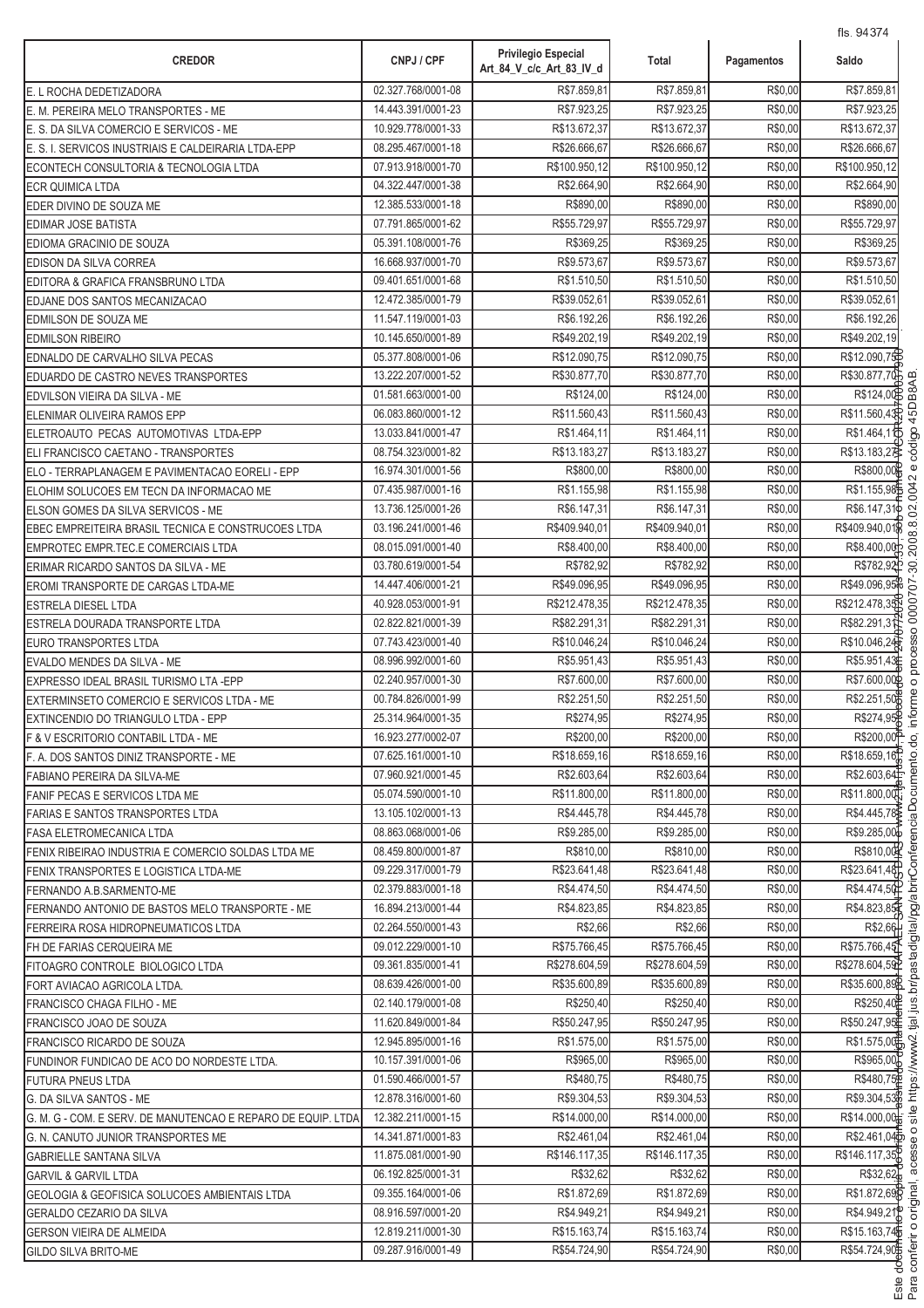| <b>CREDOR</b>                                                | CNPJ / CPF         | <b>Privilegio Especial</b><br>Art_84_V_c/c_Art_83_IV_d | Total         | Pagamentos | 115.94374<br>Saldo       |
|--------------------------------------------------------------|--------------------|--------------------------------------------------------|---------------|------------|--------------------------|
| E. L ROCHA DEDETIZADORA                                      | 02.327.768/0001-08 | R\$7.859,81                                            | R\$7.859,81   | R\$0,00    | R\$7.859,81              |
| E. M. PEREIRA MELO TRANSPORTES - ME                          | 14.443.391/0001-23 | R\$7.923,25                                            | R\$7.923,25   | R\$0,00    | R\$7.923,25              |
| E. S. DA SILVA COMERCIO E SERVICOS - ME                      | 10.929.778/0001-33 | R\$13.672,37                                           | R\$13.672,37  | R\$0,00    | R\$13.672,37             |
| E. S. I. SERVICOS INUSTRIAIS E CALDEIRARIA LTDA-EPP          | 08.295.467/0001-18 | R\$26.666,67                                           | R\$26.666,67  | R\$0,00    | R\$26.666,67             |
| ECONTECH CONSULTORIA & TECNOLOGIA LTDA                       | 07.913.918/0001-70 | R\$100.950,12                                          | R\$100.950,12 | R\$0,00    | R\$100.950,12            |
| <b>ECR QUIMICA LTDA</b>                                      | 04.322.447/0001-38 | R\$2.664,90                                            | R\$2.664,90   | R\$0,00    | R\$2.664,90              |
| EDER DIVINO DE SOUZA ME                                      | 12.385.533/0001-18 | R\$890,00                                              | R\$890,00     | R\$0,00    | R\$890,00                |
| <b>EDIMAR JOSE BATISTA</b>                                   | 07.791.865/0001-62 | R\$55.729,97                                           | R\$55.729,97  | R\$0,00    | R\$55.729,97             |
| EDIOMA GRACINIO DE SOUZA                                     | 05.391.108/0001-76 | R\$369,25                                              | R\$369,25     | R\$0,00    | R\$369,25                |
| EDISON DA SILVA CORREA                                       | 16.668.937/0001-70 | R\$9.573,67                                            | R\$9.573,67   | R\$0,00    | R\$9.573,67              |
| EDITORA & GRAFICA FRANSBRUNO LTDA                            | 09.401.651/0001-68 | R\$1.510,50                                            | R\$1.510,50   | R\$0,00    | R\$1.510,50              |
| EDJANE DOS SANTOS MECANIZACAO                                | 12.472.385/0001-79 | R\$39.052,61                                           | R\$39.052,61  | R\$0,00    | R\$39.052,61             |
| EDMILSON DE SOUZA ME                                         | 11.547.119/0001-03 | R\$6.192,26                                            | R\$6.192,26   | R\$0,00    | R\$6.192,26              |
| <b>EDMILSON RIBEIRO</b>                                      | 10.145.650/0001-89 | R\$49.202,19                                           | R\$49.202,19  | R\$0,00    | R\$49.202,19             |
| EDNALDO DE CARVALHO SILVA PECAS                              | 05.377.808/0001-06 | R\$12.090,75                                           | R\$12.090,75  | R\$0,00    | R\$12.090,75             |
| EDUARDO DE CASTRO NEVES TRANSPORTES                          | 13.222.207/0001-52 | R\$30.877,70                                           | R\$30.877,70  | R\$0,00    | R\$30.877,70             |
| EDVILSON VIEIRA DA SILVA - ME                                | 01.581.663/0001-00 | R\$124,00                                              | R\$124,00     | R\$0,00    | R\$124,00                |
| ELENIMAR OLIVEIRA RAMOS EPP                                  | 06.083.860/0001-12 | R\$11.560,43                                           | R\$11.560,43  | R\$0,00    | R\$11.560,43             |
| ELETROAUTO PECAS AUTOMOTIVAS LTDA-EPP                        | 13.033.841/0001-47 | R\$1.464,11                                            | R\$1.464,11   | R\$0,00    | R\$1.464,10              |
| ELI FRANCISCO CAETANO - TRANSPORTES                          | 08.754.323/0001-82 | R\$13.183,27                                           | R\$13.183,27  | R\$0,00    | R\$13.183,27             |
| ELO - TERRAPLANAGEM E PAVIMENTACAO EORELI - EPP              | 16.974.301/0001-56 | R\$800,00                                              | R\$800,00     | R\$0,00    | R\$800,00                |
| ELOHIM SOLUCOES EM TECN DA INFORMACAO ME                     | 07.435.987/0001-16 | R\$1.155,98                                            | R\$1.155,98   | R\$0,00    | R\$1.155,98              |
| ELSON GOMES DA SILVA SERVICOS - ME                           | 13.736.125/0001-26 | R\$6.147,31                                            | R\$6.147,31   | R\$0,00    | R\$6.147,31              |
| EBEC EMPREITEIRA BRASIL TECNICA E CONSTRUCOES LTDA           | 03.196.241/0001-46 | R\$409.940,01                                          | R\$409.940,01 | R\$0,00    | R\$409.940,01            |
| EMPROTEC EMPR.TEC.E COMERCIAIS LTDA                          | 08.015.091/0001-40 | R\$8.400,00                                            | R\$8.400,00   | R\$0,00    | R\$8.400,00              |
| ERIMAR RICARDO SANTOS DA SILVA - ME                          | 03.780.619/0001-54 | R\$782,92                                              | R\$782,92     | R\$0,00    | R\$782,92                |
| EROMI TRANSPORTE DE CARGAS LTDA-ME                           | 14.447.406/0001-21 | R\$49.096,95                                           | R\$49.096,95  | R\$0,00    | R\$49.096,95             |
| <b>ESTRELA DIESEL LTDA</b>                                   | 40.928.053/0001-91 | R\$212.478,35                                          | R\$212.478,35 | R\$0,00    | R\$212.478,35            |
| ESTRELA DOURADA TRANSPORTE LTDA                              | 02.822.821/0001-39 | R\$82.291,31                                           | R\$82.291,31  | R\$0,00    | R\$82.291,3              |
| EURO TRANSPORTES LTDA                                        | 07.743.423/0001-40 | R\$10.046,24                                           | R\$10.046,24  | R\$0,00    | R\$10.046,24             |
| EVALDO MENDES DA SILVA - ME                                  | 08.996.992/0001-60 | R\$5.951,43                                            | R\$5.951,43   | R\$0,00    | R\$5.951,43              |
| EXPRESSO IDEAL BRASIL TURISMO LTA - EPP                      | 02.240.957/0001-30 | R\$7.600,00                                            | R\$7.600,00   | R\$0,00    | R\$7.600,00              |
| EXTERMINSETO COMERCIO E SERVICOS LTDA - ME                   | 00.784.826/0001-99 | R\$2.251,50                                            | R\$2.251,50   | R\$0,00    | R\$2.251,50              |
| EXTINCENDIO DO TRIANGULO LTDA - EPP                          | 25.314.964/0001-35 | R\$274,95                                              | R\$274,95     | R\$0,00    | R\$274,95                |
| F & V ESCRITORIO CONTABIL LTDA - ME                          | 16.923.277/0002-07 | R\$200,00                                              | R\$200,00     | R\$0,00    | R\$200,00 <sup>P</sup>   |
| F. A. DOS SANTOS DINIZ TRANSPORTE - ME                       | 07.625.161/0001-10 | R\$18,659.16                                           | R\$18.659,16  | R\$0,00    | R\$18.659,16             |
| FABIANO PEREIRA DA SILVA-ME                                  | 07.960.921/0001-45 | R\$2.603,64                                            | R\$2.603,64   | R\$0,00    | R\$2.603,64E             |
| FANIF PECAS E SERVICOS LTDA ME                               | 05.074.590/0001-10 | R\$11.800,00                                           | R\$11.800,00  | R\$0,00    | R\$11.800,00             |
| <b>FARIAS E SANTOS TRANSPORTES LTDA</b>                      | 13.105.102/0001-13 | R\$4.445,78                                            | R\$4.445,78   | R\$0,00    | R\$4.445,78              |
| <b>FASA ELETROMECANICA LTDA</b>                              | 08.863.068/0001-06 | R\$9.285,00                                            | R\$9.285.00   | R\$0,00    | R\$9.285,00              |
| FENIX RIBEIRAO INDUSTRIA E COMERCIO SOLDAS LTDA ME           | 08.459.800/0001-87 | R\$810,00                                              | R\$810.00     | R\$0,00    | R\$810,00                |
| <b>FENIX TRANSPORTES E LOGISTICA LTDA-ME</b>                 | 09.229.317/0001-79 | R\$23.641,48                                           | R\$23.641,48  | R\$0,00    | R\$23.641,48             |
| FERNANDO A.B.SARMENTO-ME                                     | 02.379.883/0001-18 | R\$4.474.50                                            | R\$4.474.50   | R\$0,00    | R\$4.474,50              |
| FERNANDO ANTONIO DE BASTOS MELO TRANSPORTE - ME              | 16.894.213/0001-44 | R\$4.823,85                                            | R\$4.823,85   | R\$0,00    | R\$4.823,85              |
| FERREIRA ROSA HIDROPNEUMATICOS LTDA                          | 02.264.550/0001-43 | R\$2,66                                                | R\$2,66       | R\$0,00    | R\$2,66                  |
| FH DE FARIAS CERQUEIRA ME                                    | 09.012.229/0001-10 | R\$75.766,45                                           | R\$75.766,45  | R\$0,00    | R\$75.766,45             |
| FITOAGRO CONTROLE BIOLOGICO LTDA                             | 09.361.835/0001-41 | R\$278.604,59                                          | R\$278.604,59 | R\$0,00    | R\$278.604,59            |
| FORT AVIACAO AGRICOLA LTDA.                                  | 08.639.426/0001-00 | R\$35.600,89                                           | R\$35.600,89  | R\$0,00    | R\$35.600,89             |
| FRANCISCO CHAGA FILHO - ME                                   | 02.140.179/0001-08 | R\$250,40                                              | R\$250,40     | R\$0,00    | R\$250,40                |
| FRANCISCO JOAO DE SOUZA                                      | 11.620.849/0001-84 | R\$50.247,95                                           | R\$50.247,95  | R\$0,00    | R\$50.247,95             |
| FRANCISCO RICARDO DE SOUZA                                   | 12.945.895/0001-16 | R\$1.575,00                                            | R\$1.575,00   | R\$0,00    | R\$1.575,00              |
| FUNDINOR FUNDICAO DE ACO DO NORDESTE LTDA.                   | 10.157.391/0001-06 | R\$965,00                                              | R\$965,00     | R\$0,00    | R\$965,00                |
| <b>FUTURA PNEUS LTDA</b>                                     | 01.590.466/0001-57 | R\$480,75                                              | R\$480,75     | R\$0,00    | R\$480,75 <sup>p</sup>   |
| G. DA SILVA SANTOS - ME                                      | 12.878.316/0001-60 | R\$9.304,53                                            | R\$9.304,53   | R\$0,00    | R\$9.304,53              |
| G. M. G - COM. E SERV. DE MANUTENCAO E REPARO DE EQUIP. LTDA | 12.382.211/0001-15 | R\$14.000,00                                           | R\$14.000,00  | R\$0,00    | R\$14.000,00             |
| G. N. CANUTO JUNIOR TRANSPORTES ME                           | 14.341.871/0001-83 | R\$2.461,04                                            | R\$2.461,04   | R\$0,00    | R\$2.461,04 <sup>b</sup> |
| <b>GABRIELLE SANTANA SILVA</b>                               | 11.875.081/0001-90 | R\$146.117,35                                          | R\$146.117,35 | R\$0,00    | R\$146.117,35            |
| <b>GARVIL &amp; GARVIL LTDA</b>                              | 06.192.825/0001-31 | R\$32,62                                               | R\$32,62      | R\$0,00    | R\$32,62                 |
| GEOLOGIA & GEOFISICA SOLUCOES AMBIENTAIS LTDA                | 09.355.164/0001-06 | R\$1.872,69                                            | R\$1.872,69   | R\$0,00    | R\$1.872,69              |
| GERALDO CEZARIO DA SILVA                                     | 08.916.597/0001-20 | R\$4.949,21                                            | R\$4.949,21   | R\$0,00    | R\$4.949,21              |
| GERSON VIEIRA DE ALMEIDA                                     | 12.819.211/0001-30 | R\$15.163.74                                           | R\$15.163,74  | R\$0,00    | R\$15.163,74             |
| <b>GILDO SILVA BRITO-ME</b>                                  | 09.287.916/0001-49 | R\$54.724,90                                           | R\$54.724,90  | R\$0,00    | R\$54.724,90             |

.<br>.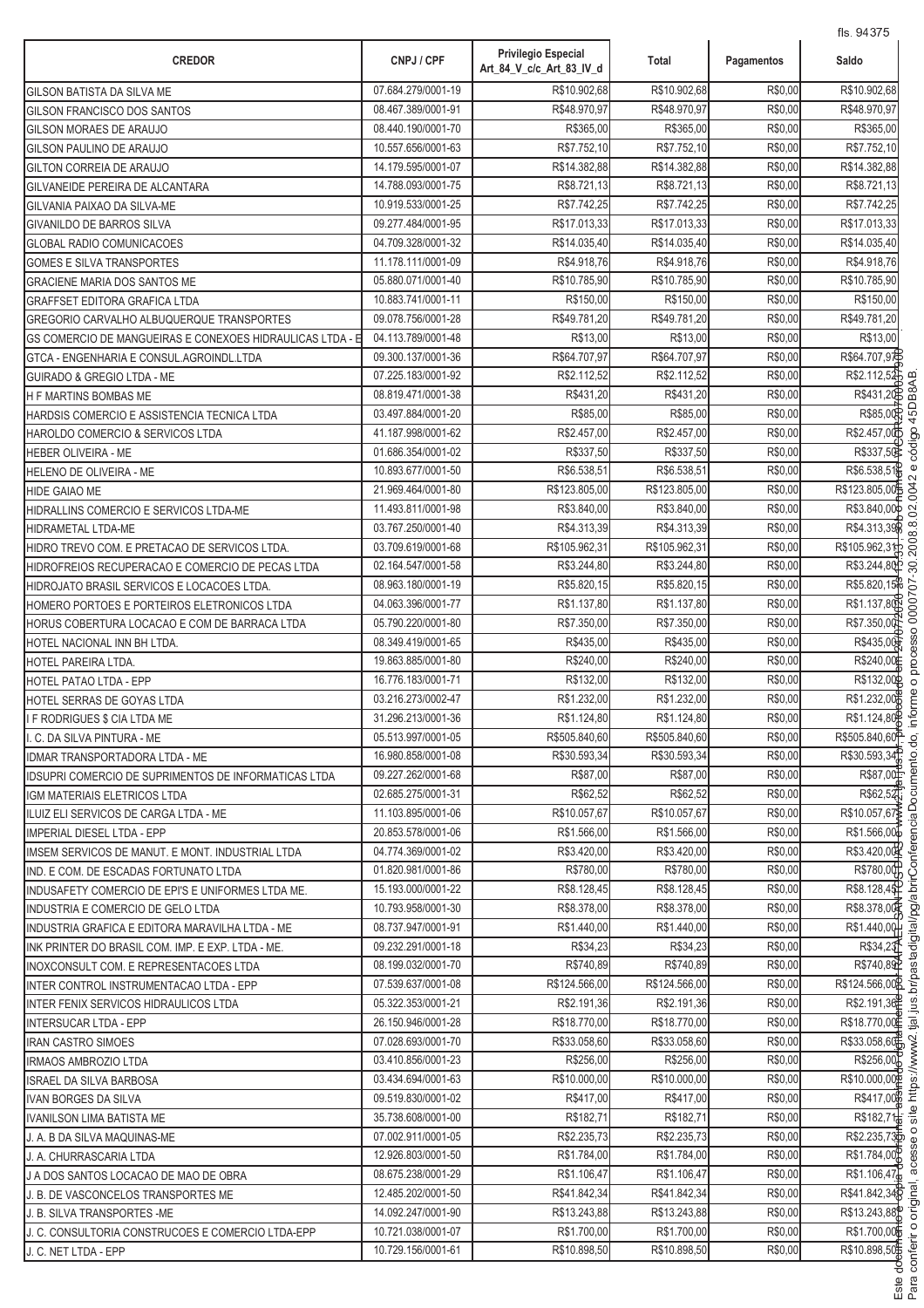| <b>CREDOR</b>                                               | CNPJ / CPF         | <b>Privilegio Especial</b><br>Art_84_V_c/c_Art_83_IV_d | <b>Total</b>  | Pagamentos | 113.34010<br>Saldo         |
|-------------------------------------------------------------|--------------------|--------------------------------------------------------|---------------|------------|----------------------------|
| GILSON BATISTA DA SILVA ME                                  | 07.684.279/0001-19 | R\$10.902,68                                           | R\$10.902,68  | R\$0,00    | R\$10.902,68               |
| GILSON FRANCISCO DOS SANTOS                                 | 08.467.389/0001-91 | R\$48.970,97                                           | R\$48.970,97  | R\$0,00    | R\$48.970,97               |
| GILSON MORAES DE ARAUJO                                     | 08.440.190/0001-70 | R\$365,00                                              | R\$365,00     | R\$0,00    | R\$365,00                  |
| GILSON PAULINO DE ARAUJO                                    | 10.557.656/0001-63 | R\$7.752,10                                            | R\$7.752,10   | R\$0,00    | R\$7.752,10                |
| GILTON CORREIA DE ARAUJO                                    | 14.179.595/0001-07 | R\$14.382,88                                           | R\$14.382,88  | R\$0,00    | R\$14.382,88               |
| GILVANEIDE PEREIRA DE ALCANTARA                             | 14.788.093/0001-75 | R\$8.721,13                                            | R\$8.721,13   | R\$0,00    | R\$8.721,13                |
| GILVANIA PAIXAO DA SILVA-ME                                 | 10.919.533/0001-25 | R\$7.742,25                                            | R\$7.742,25   | R\$0,00    | R\$7.742,25                |
| <b>GIVANILDO DE BARROS SILVA</b>                            | 09.277.484/0001-95 | R\$17.013,33                                           | R\$17.013,33  | R\$0,00    | R\$17.013,33               |
| <b>GLOBAL RADIO COMUNICACOES</b>                            | 04.709.328/0001-32 | R\$14.035,40                                           | R\$14.035,40  | R\$0,00    | R\$14.035,40               |
| <b>GOMES E SILVA TRANSPORTES</b>                            | 11.178.111/0001-09 | R\$4.918.76                                            | R\$4.918.76   | R\$0,00    | R\$4.918,76                |
| GRACIENE MARIA DOS SANTOS ME                                | 05.880.071/0001-40 | R\$10.785,90                                           | R\$10.785,90  | R\$0,00    | R\$10.785,90               |
| <b>GRAFFSET EDITORA GRAFICA LTDA</b>                        | 10.883.741/0001-11 | R\$150,00                                              | R\$150,00     | R\$0,00    | R\$150,00                  |
| GREGORIO CARVALHO ALBUQUERQUE TRANSPORTES                   | 09.078.756/0001-28 | R\$49.781,20                                           | R\$49.781,20  | R\$0,00    | R\$49.781,20               |
| GS COMERCIO DE MANGUEIRAS E CONEXOES HIDRAULICAS LTDA - E   | 04.113.789/0001-48 | R\$13,00                                               | R\$13,00      | R\$0,00    | R\$13,00                   |
| GTCA - ENGENHARIA E CONSUL.AGROINDL.LTDA                    | 09.300.137/0001-36 | R\$64.707,97                                           | R\$64.707,97  | R\$0,00    | R\$64.707,94               |
| <b>GUIRADO &amp; GREGIO LTDA - ME</b>                       | 07.225.183/0001-92 | R\$2.112,52                                            | R\$2.112,52   | R\$0,00    | R\$2.112,52                |
| <b>H F MARTINS BOMBAS ME</b>                                | 08.819.471/0001-38 | R\$431,20                                              | R\$431,20     | R\$0,00    | R\$431.20                  |
| HARDSIS COMERCIO E ASSISTENCIA TECNICA LTDA                 | 03.497.884/0001-20 | R\$85,00                                               | R\$85,00      | R\$0,00    | R\$85,00                   |
| HAROLDO COMERCIO & SERVICOS LTDA                            | 41.187.998/0001-62 | R\$2.457,00                                            | R\$2.457,00   | R\$0,00    | R\$2.457,00                |
| <b>HEBER OLIVEIRA - ME</b>                                  | 01.686.354/0001-02 | R\$337,50                                              | R\$337,50     | R\$0,00    | R\$337,50                  |
| HELENO DE OLIVEIRA - ME                                     | 10.893.677/0001-50 | R\$6.538,51                                            | R\$6.538,51   | R\$0,00    | R\$6.538,51                |
| <b>HIDE GAIAO ME</b>                                        | 21.969.464/0001-80 | R\$123.805,00                                          | R\$123.805,00 | R\$0,00    | R\$123.805,00              |
| HIDRALLINS COMERCIO E SERVICOS LTDA-ME                      | 11.493.811/0001-98 | R\$3.840,00                                            | R\$3.840,00   | R\$0,00    | R\$3.840,00                |
| <b>HIDRAMETAL LTDA-ME</b>                                   | 03.767.250/0001-40 | R\$4.313,39                                            | R\$4.313,39   | R\$0,00    | R\$4.313,39                |
| HIDRO TREVO COM. E PRETACAO DE SERVICOS LTDA.               | 03.709.619/0001-68 | R\$105.962,31                                          | R\$105.962,31 | R\$0,00    | R\$105.962,31              |
| HIDROFREIOS RECUPERACAO E COMERCIO DE PECAS LTDA            | 02.164.547/0001-58 | R\$3.244,80                                            | R\$3.244,80   | R\$0,00    | R\$3.244,80                |
| HIDROJATO BRASIL SERVICOS E LOCACOES LTDA.                  | 08.963.180/0001-19 | R\$5.820,15                                            | R\$5.820,15   | R\$0,00    | R\$5.820,15 <sup>2</sup>   |
| HOMERO PORTOES E PORTEIROS ELETRONICOS LTDA                 | 04.063.396/0001-77 | R\$1.137,80                                            | R\$1.137,80   | R\$0,00    | R\$1.137,80                |
| HORUS COBERTURA LOCACAO E COM DE BARRACA LTDA               | 05.790.220/0001-80 | R\$7.350,00                                            | R\$7.350,00   | R\$0,00    | R\$7.350,00                |
| HOTEL NACIONAL INN BH LTDA.                                 | 08.349.419/0001-65 | R\$435,00                                              | R\$435,00     | R\$0,00    | R\$435,00                  |
| HOTEL PAREIRA LTDA.                                         | 19.863.885/0001-80 | R\$240,00                                              | R\$240,00     | R\$0,00    | R\$240,00                  |
| HOTEL PATAO LTDA - EPP                                      | 16.776.183/0001-71 | R\$132,00                                              | R\$132,00     | R\$0,00    | R\$132,00                  |
| HOTEL SERRAS DE GOYAS LTDA                                  | 03.216.273/0002-47 | R\$1.232,00                                            | R\$1.232,00   | R\$0,00    | R\$1.232,00                |
| I F RODRIGUES \$ CIA LTDA ME                                | 31.296.213/0001-36 | R\$1.124,80                                            | R\$1.124,80   | R\$0,00    | R\$1.124,80                |
| I. C. DA SILVA PINTURA - ME                                 | 05.513.997/0001-05 | R\$505.840,60                                          | R\$505.840,60 | R\$0,00    | R\$505.840,60 <sup>P</sup> |
| IDMAR TRANSPORTADORA LTDA - ME                              | 16.980.858/0001-08 | R\$30.593,34                                           | R\$30.593,34  | R\$0,00    | R\$30.593,34               |
| <b>IDSUPRI COMERCIO DE SUPRIMENTOS DE INFORMATICAS LTDA</b> | 09.227.262/0001-68 | R\$87,00                                               | R\$87,00      | R\$0,00    | R\$87,00                   |
| IGM MATERIAIS ELETRICOS LTDA                                | 02.685.275/0001-31 | R\$62,52                                               | R\$62,52      | R\$0,00    | R\$62,52T                  |
| ILUIZ ELI SERVICOS DE CARGA LTDA - ME                       | 11.103.895/0001-06 | R\$10.057,67                                           | R\$10.057,67  | R\$0,00    | R\$10.057,67               |
| IMPERIAL DIESEL LTDA - EPP                                  | 20.853.578/0001-06 | R\$1.566.00                                            | R\$1.566,00   | R\$0,00    | R\$1.566,00                |
| IMSEM SERVICOS DE MANUT. E MONT. INDUSTRIAL LTDA            | 04.774.369/0001-02 | R\$3.420,00                                            | R\$3.420,00   | R\$0,00    | R\$3.420.00                |
| IND. E COM. DE ESCADAS FORTUNATO LTDA                       | 01.820.981/0001-86 | R\$780,00                                              | R\$780,00     | R\$0,00    | R\$780,00                  |
| INDUSAFETY COMERCIO DE EPI'S E UNIFORMES LTDA ME.           | 15.193.000/0001-22 | R\$8.128,45                                            | R\$8.128,45   | R\$0,00    | R\$8.128,45                |
| INDUSTRIA E COMERCIO DE GELO LTDA                           | 10.793.958/0001-30 | R\$8.378,00                                            | R\$8.378,00   | R\$0,00    | R\$8.378,00                |
| INDUSTRIA GRAFICA E EDITORA MARAVILHA LTDA - ME             | 08.737.947/0001-91 | R\$1.440,00                                            | R\$1.440,00   | R\$0,00    | R\$1.440,00                |
| INK PRINTER DO BRASIL COM. IMP. E EXP. LTDA - ME.           | 09.232.291/0001-18 | R\$34,23                                               | R\$34,23      | R\$0,00    | R\$34,23                   |
| INOXCONSULT COM. E REPRESENTACOES LTDA                      | 08.199.032/0001-70 | R\$740,89                                              | R\$740,89     | R\$0,00    | R\$740,89                  |
| INTER CONTROL INSTRUMENTACAO LTDA - EPP                     | 07.539.637/0001-08 | R\$124.566,00                                          | R\$124.566,00 | R\$0,00    | R\$124.566,00              |
| <b>INTER FENIX SERVICOS HIDRAULICOS LTDA</b>                | 05.322.353/0001-21 | R\$2.191,36                                            | R\$2.191,36   | R\$0,00    | R\$2.191,36                |
| <b>INTERSUCAR LTDA - EPP</b>                                | 26.150.946/0001-28 | R\$18.770,00                                           | R\$18.770,00  | R\$0,00    | R\$18.770,00               |
| <b>IRAN CASTRO SIMOES</b>                                   | 07.028.693/0001-70 | R\$33.058,60                                           | R\$33.058,60  | R\$0,00    | R\$33.058,60               |
| IRMAOS AMBROZIO LTDA                                        | 03.410.856/0001-23 | R\$256,00                                              | R\$256,00     | R\$0,00    | R\$256,00                  |
| ISRAEL DA SILVA BARBOSA                                     | 03.434.694/0001-63 | R\$10.000,00                                           | R\$10.000,00  | R\$0,00    | R\$10.000,000              |
| <b>IVAN BORGES DA SILVA</b>                                 | 09.519.830/0001-02 | R\$417,00                                              | R\$417,00     | R\$0,00    | R\$417,00                  |
| IVANILSON LIMA BATISTA ME                                   | 35.738.608/0001-00 | R\$182,71                                              | R\$182,71     | R\$0,00    | R\$182,71 <sup>+</sup>     |
| J. A. B DA SILVA MAQUINAS-ME                                | 07.002.911/0001-05 | R\$2.235,73                                            | R\$2.235,73   | R\$0,00    | R\$2.235,73                |
| J. A. CHURRASCARIA LTDA                                     | 12.926.803/0001-50 | R\$1.784,00                                            | R\$1.784,00   | R\$0,00    | R\$1.784,00                |
| J A DOS SANTOS LOCACAO DE MAO DE OBRA                       | 08.675.238/0001-29 | R\$1.106,47                                            | R\$1.106,47   | R\$0,00    | R\$1.106,47                |
| J. B. DE VASCONCELOS TRANSPORTES ME                         | 12.485.202/0001-50 | R\$41.842,34                                           | R\$41.842,34  | R\$0,00    | R\$41.842,34               |
| J. B. SILVA TRANSPORTES - ME                                | 14.092.247/0001-90 | R\$13.243,88                                           | R\$13.243,88  | R\$0,00    | R\$13.243,88               |
| J. C. CONSULTORIA CONSTRUCOES E COMERCIO LTDA-EPP           | 10.721.038/0001-07 | R\$1.700,00                                            | R\$1.700,00   | R\$0,00    | R\$1.700,00                |
| J. C. NET LTDA - EPP                                        | 10.729.156/0001-61 | R\$10.898,50                                           | R\$10.898,50  | R\$0,00    | R\$10.898,50               |

.<br>.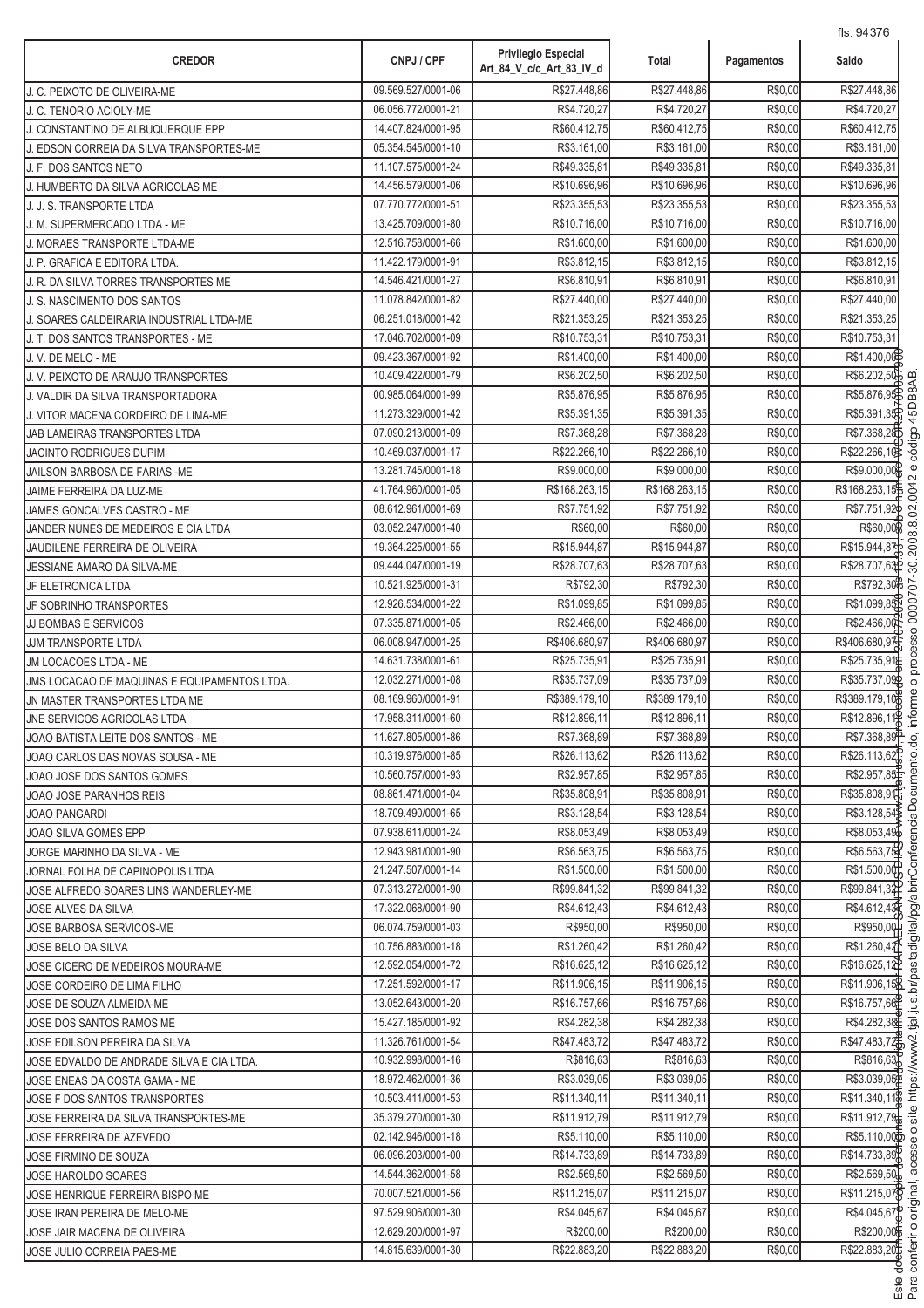| 09.569.527/0001-06<br>R\$27.448,86<br>R\$27.448,86<br>J. C. PEIXOTO DE OLIVEIRA-ME<br>06.056.772/0001-21<br>R\$4.720,27<br>R\$4.720,27<br>J. C. TENORIO ACIOLY-ME | R\$0,00 | R\$27.448,86              |
|-------------------------------------------------------------------------------------------------------------------------------------------------------------------|---------|---------------------------|
|                                                                                                                                                                   |         |                           |
|                                                                                                                                                                   | R\$0,00 | R\$4.720,27               |
| R\$60.412,75<br>R\$60.412,75<br>14.407.824/0001-95<br>J. CONSTANTINO DE ALBUQUERQUE EPP                                                                           | R\$0,00 | R\$60.412,75              |
| 05.354.545/0001-10<br>R\$3.161,00<br>R\$3.161.00<br>J. EDSON CORREIA DA SILVA TRANSPORTES-ME                                                                      | R\$0,00 | R\$3.161,00               |
| 11.107.575/0001-24<br>R\$49.335,81<br>R\$49.335,81<br>J. F. DOS SANTOS NETO                                                                                       | R\$0,00 | R\$49.335,81              |
| 14.456.579/0001-06<br>R\$10.696,96<br>R\$10.696,96<br>J. HUMBERTO DA SILVA AGRICOLAS ME                                                                           | R\$0,00 | R\$10.696,96              |
| 07.770.772/0001-51<br>R\$23.355,53<br>R\$23.355,53<br>J. J. S. TRANSPORTE LTDA                                                                                    | R\$0,00 | R\$23.355,53              |
| 13.425.709/0001-80<br>R\$10.716,00<br>R\$10.716,00<br>J. M. SUPERMERCADO LTDA - ME                                                                                | R\$0,00 | R\$10.716,00              |
| R\$1.600,00<br>12.516.758/0001-66<br>R\$1.600,00<br>J. MORAES TRANSPORTE LTDA-ME                                                                                  | R\$0,00 | R\$1.600,00               |
| R\$3.812,15<br>11.422.179/0001-91<br>R\$3.812,15<br>J. P. GRAFICA E EDITORA LTDA.                                                                                 | R\$0,00 | R\$3.812,15               |
| 14.546.421/0001-27<br>R\$6.810,91<br>R\$6.810,91<br>J. R. DA SILVA TORRES TRANSPORTES ME                                                                          | R\$0,00 | R\$6.810,91               |
| 11.078.842/0001-82<br>R\$27.440,00<br>R\$27.440,00<br>J. S. NASCIMENTO DOS SANTOS                                                                                 | R\$0,00 | R\$27.440,00              |
| 06.251.018/0001-42<br>R\$21.353,25<br>R\$21.353,25<br>J. SOARES CALDEIRARIA INDUSTRIAL LTDA-ME                                                                    | R\$0,00 | R\$21.353,25              |
| R\$10.753,31<br>R\$10.753,31<br>17.046.702/0001-09<br>J. T. DOS SANTOS TRANSPORTES - ME                                                                           | R\$0,00 | R\$10.753,31              |
| 09.423.367/0001-92<br>R\$1.400,00<br>R\$1.400,00<br>J. V. DE MELO - ME                                                                                            | R\$0,00 | R\$1.400,00               |
| R\$6.202,50<br>R\$6.202,50<br>J. V. PEIXOTO DE ARAUJO TRANSPORTES<br>10.409.422/0001-79                                                                           | R\$0,00 | R\$6.202,50               |
| R\$5.876,95<br>R\$5.876,95<br>00.985.064/0001-99<br>J. VALDIR DA SILVA TRANSPORTADORA                                                                             | R\$0,00 | R\$5.876,95               |
| R\$5.391,35<br>R\$5.391,35<br>11.273.329/0001-42<br>J. VITOR MACENA CORDEIRO DE LIMA-ME                                                                           | R\$0,00 | R\$5.391,35               |
| R\$7.368,28<br>07.090.213/0001-09<br>R\$7.368,28<br>JAB LAMEIRAS TRANSPORTES LTDA                                                                                 | R\$0,00 | R\$7.368,28               |
| R\$22.266,10<br>R\$22.266,10<br>10.469.037/0001-17<br><b>JACINTO RODRIGUES DUPIM</b>                                                                              | R\$0,00 | R\$22.266,10              |
| R\$9.000,00<br>R\$9.000,00<br>13.281.745/0001-18<br>JAILSON BARBOSA DE FARIAS -ME                                                                                 | R\$0,00 | R\$9.000,00               |
| R\$168.263,15<br>R\$168.263,15<br>41.764.960/0001-05<br>JAIME FERREIRA DA LUZ-ME                                                                                  | R\$0,00 | R\$168.263,15             |
| 08.612.961/0001-69<br>R\$7.751,92<br>R\$7.751,92<br>JAMES GONCALVES CASTRO - ME                                                                                   | R\$0,00 | R\$7.751,92               |
| 03.052.247/0001-40<br>R\$60,00<br>R\$60,00<br>JANDER NUNES DE MEDEIROS E CIA LTDA                                                                                 | R\$0,00 | R\$60,00                  |
| R\$15.944,87<br>19.364.225/0001-55<br>R\$15.944,87<br>JAUDILENE FERREIRA DE OLIVEIRA                                                                              | R\$0,00 | R\$15.944,87              |
| 09.444.047/0001-19<br>R\$28.707,63<br>R\$28.707,63<br>JESSIANE AMARO DA SILVA-ME                                                                                  | R\$0,00 | R\$28.707,63              |
| R\$792,30<br>R\$792,30<br>10.521.925/0001-31<br>JF ELETRONICA LTDA                                                                                                | R\$0,00 | R\$792,30                 |
| 12.926.534/0001-22<br>R\$1.099,85<br>R\$1.099,85<br><b>JF SOBRINHO TRANSPORTES</b>                                                                                | R\$0,00 | R\$1.099,85               |
| 07.335.871/0001-05<br>R\$2.466,00<br>R\$2.466,00<br>JJ BOMBAS E SERVICOS                                                                                          | R\$0,00 | R\$2.466,00               |
| 06.008.947/0001-25<br>R\$406.680,97<br>R\$406.680,97<br><b>JJM TRANSPORTE LTDA</b>                                                                                | R\$0,00 | R\$406.680,97             |
| R\$25.735,91<br>14.631.738/0001-61<br>R\$25.735,91<br>JM LOCACOES LTDA - ME                                                                                       | R\$0,00 | R\$25.735,91              |
| 12.032.271/0001-08<br>R\$35.737,09<br>R\$35.737,09<br>JMS LOCACAO DE MAQUINAS E EQUIPAMENTOS LTDA.                                                                | R\$0,00 | R\$35.737,09              |
| 08.169.960/0001-91<br>R\$389.179,10<br>R\$389.179,10<br>JN MASTER TRANSPORTES LTDA ME                                                                             | R\$0,00 | R\$389.179,10             |
| 17.958.311/0001-60<br>R\$12.896,11<br>R\$12.896,11<br>JNE SERVICOS AGRICOLAS LTDA                                                                                 | R\$0,00 | R\$12.896,11              |
| 11.627.805/0001-86<br>R\$7.368,89<br>R\$7.368,89<br>JOAO BATISTA LEITE DOS SANTOS - ME                                                                            | R\$0,00 | R\$7.368,89 <sup>P</sup>  |
| 10.319.976/0001-85<br>R\$26.113.62<br>R\$26.113,62<br>JOAO CARLOS DAS NOVAS SOUSA - ME                                                                            | R\$0,00 | R\$26.113,62              |
| 10.560.757/0001-93<br>R\$2.957,85<br>R\$2.957,85<br>JOAO JOSE DOS SANTOS GOMES                                                                                    | R\$0,00 | R\$2.957,85               |
| 08.861.471/0001-04<br>R\$35.808,91<br>R\$35.808.91<br>JOAO JOSE PARANHOS REIS                                                                                     | R\$0,00 | R\$35.808,91              |
| R\$3.128,54<br>R\$3.128.54<br>18.709.490/0001-65<br><b>JOAO PANGARDI</b>                                                                                          | R\$0,00 | R\$3.128,54               |
| R\$8.053,49<br>R\$8.053,49<br>07.938.611/0001-24<br><b>JOAO SILVA GOMES EPP</b>                                                                                   | R\$0,00 | R\$8.053,49               |
| R\$6.563,75<br>R\$6.563,75<br>12.943.981/0001-90<br>JORGE MARINHO DA SILVA - ME                                                                                   | R\$0,00 | R\$6.563,75               |
| R\$1.500,00<br>R\$1.500,00<br>21.247.507/0001-14<br>JORNAL FOLHA DE CAPINOPOLIS LTDA                                                                              | R\$0,00 | R\$1.500,00               |
| R\$99.841,32<br>R\$99.841,32<br>07.313.272/0001-90<br>JOSE ALFREDO SOARES LINS WANDERLEY-ME                                                                       | R\$0,00 | R\$99.841.32              |
| R\$4.612,43<br>R\$4.612,43<br>17.322.068/0001-90<br>JOSE ALVES DA SILVA                                                                                           | R\$0,00 | R\$4.612,43               |
| 06.074.759/0001-03<br>R\$950,00<br>R\$950,00<br>JOSE BARBOSA SERVICOS-ME                                                                                          | R\$0,00 | R\$950,00                 |
| R\$1.260,42<br>R\$1.260,42<br>10.756.883/0001-18<br>JOSE BELO DA SILVA                                                                                            | R\$0,00 | R\$1.260,42               |
| 12.592.054/0001-72<br>R\$16.625,12<br>R\$16.625,12<br>JOSE CICERO DE MEDEIROS MOURA-ME                                                                            | R\$0,00 | R\$16.625,12P             |
| 17.251.592/0001-17<br>R\$11.906,15<br>R\$11.906,15<br>JOSE CORDEIRO DE LIMA FILHO                                                                                 | R\$0,00 | R\$11.906,15 <sup>8</sup> |
| 13.052.643/0001-20<br>R\$16.757,66<br>R\$16.757,66<br>JOSE DE SOUZA ALMEIDA-ME                                                                                    | R\$0,00 | R\$16.757,66              |
| 15.427.185/0001-92<br>R\$4.282,38<br>R\$4.282,38<br>JOSE DOS SANTOS RAMOS ME                                                                                      | R\$0,00 | R\$4.282,38               |
| 11.326.761/0001-54<br>R\$47.483,72<br>R\$47.483,72<br>JOSE EDILSON PEREIRA DA SILVA                                                                               | R\$0,00 | R\$47.483,72#             |
| 10.932.998/0001-16<br>R\$816,63<br>R\$816,63<br>JOSE EDVALDO DE ANDRADE SILVA E CIA LTDA.                                                                         | R\$0,00 | R\$816,63                 |
| R\$3.039,05<br>R\$3.039,05<br>18.972.462/0001-36<br>JOSE ENEAS DA COSTA GAMA - ME                                                                                 | R\$0,00 | R\$3.039,05P              |
| R\$11.340,11<br>R\$11.340,11<br>10.503.411/0001-53<br>JOSE F DOS SANTOS TRANSPORTES                                                                               | R\$0,00 | R\$11.340,11              |
| R\$11.912,79<br>35.379.270/0001-30<br>R\$11.912,79<br>JOSE FERREIRA DA SILVA TRANSPORTES-ME                                                                       | R\$0,00 | R\$11.912,79 <del>.</del> |
| 02.142.946/0001-18<br>R\$5.110,00<br>R\$5.110,00<br>JOSE FERREIRA DE AZEVEDO                                                                                      | R\$0,00 | R\$5.110,00               |
| R\$14.733,89<br>R\$14.733,89<br>06.096.203/0001-00<br>JOSE FIRMINO DE SOUZA                                                                                       | R\$0,00 | R\$14.733,89              |
| 14.544.362/0001-58<br>R\$2.569,50<br>R\$2.569,50<br>JOSE HAROLDO SOARES                                                                                           | R\$0,00 | R\$2.569,50               |
| 70.007.521/0001-56<br>R\$11.215,07<br>R\$11.215,07<br>JOSE HENRIQUE FERREIRA BISPO ME                                                                             | R\$0,00 | R\$11.215,07              |
| 97.529.906/0001-30<br>R\$4.045,67<br>R\$4.045,67<br>JOSE IRAN PEREIRA DE MELO-ME                                                                                  | R\$0,00 | R\$4.045,67               |
| 12.629.200/0001-97<br>R\$200,00<br>R\$200,00<br>JOSE JAIR MACENA DE OLIVEIRA                                                                                      | R\$0,00 | R\$200,00                 |
| R\$22.883,20<br>R\$22.883,20<br>14.815.639/0001-30<br>JOSE JULIO CORREIA PAES-ME                                                                                  | R\$0,00 | R\$22.883,20              |

.<br>.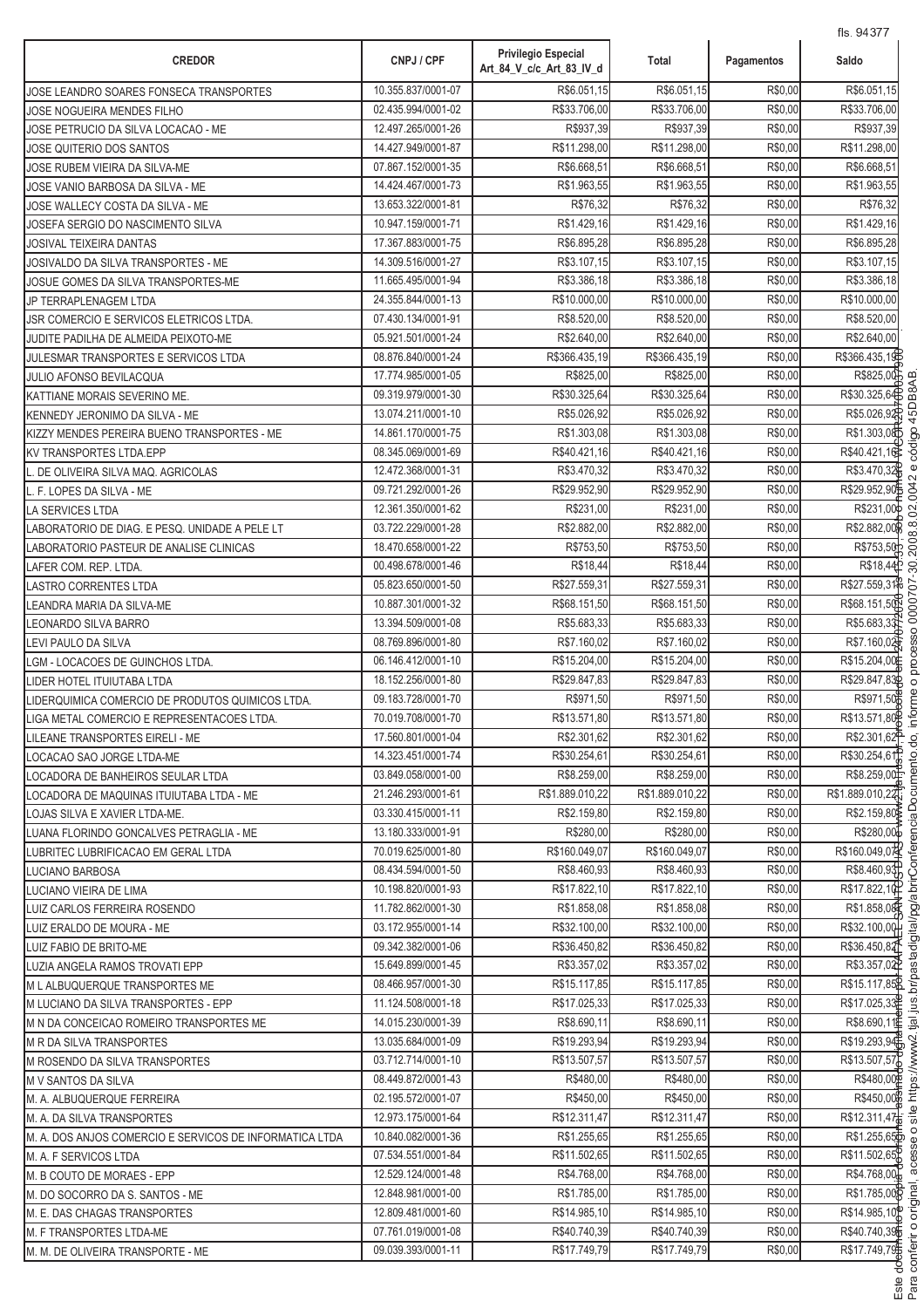| <b>CREDOR</b>                                           | CNPJ / CPF         | <b>Privilegio Especial</b><br>Art_84_V_c/c_Art_83_IV_d | Total           | Pagamentos | 115. 94377<br>Saldo       |
|---------------------------------------------------------|--------------------|--------------------------------------------------------|-----------------|------------|---------------------------|
| JOSE LEANDRO SOARES FONSECA TRANSPORTES                 | 10.355.837/0001-07 | R\$6.051,15                                            | R\$6.051,15     | R\$0,00    | R\$6.051,15               |
| JOSE NOGUEIRA MENDES FILHO                              | 02.435.994/0001-02 | R\$33.706,00                                           | R\$33.706,00    | R\$0,00    | R\$33.706,00              |
| JOSE PETRUCIO DA SILVA LOCACAO - ME                     | 12.497.265/0001-26 | R\$937,39                                              | R\$937,39       | R\$0,00    | R\$937,39                 |
| JOSE QUITERIO DOS SANTOS                                | 14.427.949/0001-87 | R\$11.298,00                                           | R\$11.298,00    | R\$0,00    | R\$11.298,00              |
| JOSE RUBEM VIEIRA DA SILVA-ME                           | 07.867.152/0001-35 | R\$6.668,51                                            | R\$6.668,51     | R\$0,00    | R\$6.668,51               |
| JOSE VANIO BARBOSA DA SILVA - ME                        | 14.424.467/0001-73 | R\$1.963,55                                            | R\$1.963,55     | R\$0,00    | R\$1.963,55               |
| JOSE WALLECY COSTA DA SILVA - ME                        | 13.653.322/0001-81 | R\$76,32                                               | R\$76,32        | R\$0,00    | R\$76,32                  |
| JOSEFA SERGIO DO NASCIMENTO SILVA                       | 10.947.159/0001-71 | R\$1.429,16                                            | R\$1.429,16     | R\$0,00    | R\$1.429,16               |
| JOSIVAL TEIXEIRA DANTAS                                 | 17.367.883/0001-75 | R\$6.895,28                                            | R\$6.895,28     | R\$0,00    | R\$6.895,28               |
| JOSIVALDO DA SILVA TRANSPORTES - ME                     | 14.309.516/0001-27 | R\$3.107,15                                            | R\$3.107,15     | R\$0,00    | R\$3.107,15               |
| JOSUE GOMES DA SILVA TRANSPORTES-ME                     | 11.665.495/0001-94 | R\$3.386,18                                            | R\$3.386,18     | R\$0,00    | R\$3.386,18               |
| JP TERRAPLENAGEM LTDA                                   | 24.355.844/0001-13 | R\$10.000,00                                           | R\$10.000,00    | R\$0,00    | R\$10.000,00              |
| JSR COMERCIO E SERVICOS ELETRICOS LTDA.                 | 07.430.134/0001-91 | R\$8.520,00                                            | R\$8.520,00     | R\$0,00    | R\$8.520,00               |
| JUDITE PADILHA DE ALMEIDA PEIXOTO-ME                    | 05.921.501/0001-24 | R\$2.640,00                                            | R\$2.640,00     | R\$0,00    | R\$2.640,00               |
| JULESMAR TRANSPORTES E SERVICOS LTDA                    | 08.876.840/0001-24 | R\$366.435,19                                          | R\$366.435,19   | R\$0,00    | R\$366.435,19             |
| JULIO AFONSO BEVILACQUA                                 | 17.774.985/0001-05 | R\$825,00                                              | R\$825,00       | R\$0,00    | R\$825,00                 |
| KATTIANE MORAIS SEVERINO ME.                            | 09.319.979/0001-30 | R\$30.325,64                                           | R\$30.325,64    | R\$0,00    | R\$30.325,64              |
| KENNEDY JERONIMO DA SILVA - ME                          | 13.074.211/0001-10 | R\$5.026,92                                            | R\$5.026.92     | R\$0,00    | R\$5.026.92               |
| KIZZY MENDES PEREIRA BUENO TRANSPORTES - ME             | 14.861.170/0001-75 | R\$1.303,08                                            | R\$1.303,08     | R\$0,00    | R\$1.303,08               |
| <b>KV TRANSPORTES LTDA.EPP</b>                          | 08.345.069/0001-69 | R\$40.421,16                                           | R\$40.421,16    | R\$0,00    | R\$40.421,16              |
| L. DE OLIVEIRA SILVA MAQ. AGRICOLAS                     | 12.472.368/0001-31 | R\$3.470,32                                            | R\$3.470,32     | R\$0,00    | R\$3.470,32               |
| L. F. LOPES DA SILVA - ME                               | 09.721.292/0001-26 | R\$29.952,90                                           | R\$29.952,90    | R\$0,00    | R\$29.952,90              |
| LA SERVICES LTDA                                        | 12.361.350/0001-62 | R\$231,00                                              | R\$231,00       | R\$0,00    | R\$231,00                 |
| LABORATORIO DE DIAG. E PESQ. UNIDADE A PELE LT          | 03.722.229/0001-28 | R\$2.882,00                                            | R\$2.882,00     | R\$0,00    | R\$2.882,00               |
| LABORATORIO PASTEUR DE ANALISE CLINICAS                 | 18.470.658/0001-22 | R\$753,50                                              | R\$753,50       | R\$0,00    | R\$753,50                 |
| LAFER COM. REP. LTDA.                                   | 00.498.678/0001-46 | R\$18,44                                               | R\$18,44        | R\$0,00    | R\$18,44                  |
| LASTRO CORRENTES LTDA                                   | 05.823.650/0001-50 | R\$27.559,31                                           | R\$27.559,31    | R\$0,00    | R\$27.559,31              |
| LEANDRA MARIA DA SILVA-ME                               | 10.887.301/0001-32 | R\$68.151,50                                           | R\$68.151,50    | R\$0,00    | R\$68.151,50              |
| LEONARDO SILVA BARRO                                    | 13.394.509/0001-08 | R\$5.683,33                                            | R\$5.683,33     | R\$0,00    | R\$5.683,33               |
| LEVI PAULO DA SILVA                                     | 08.769.896/0001-80 | R\$7.160,02                                            | R\$7.160,02     | R\$0,00    | R\$7.160,02               |
| LGM - LOCACOES DE GUINCHOS LTDA.                        | 06.146.412/0001-10 | R\$15.204,00                                           | R\$15.204,00    | R\$0,00    | R\$15.204,00              |
| LIDER HOTEL ITUIUTABA LTDA                              | 18.152.256/0001-80 | R\$29.847,83                                           | R\$29.847,83    | R\$0,00    | R\$29.847,83              |
| LIDERQUIMICA COMERCIO DE PRODUTOS QUIMICOS LTDA.        | 09.183.728/0001-70 | R\$971,50                                              | R\$971,50       | R\$0,00    | R\$971,50                 |
| LIGA METAL COMERCIO E REPRESENTACOES LTDA.              | 70.019.708/0001-70 | R\$13.571,80                                           | R\$13.571,80    | R\$0,00    | R\$13.571,80              |
| LILEANE TRANSPORTES EIRELI - ME                         | 17.560.801/0001-04 | R\$2.301,62                                            | R\$2.301,62     | R\$0,00    | R\$2.301,62 <sup>P</sup>  |
| LOCACAO SAO JORGE LTDA-ME                               | 14.323.451/0001-74 | R\$30.254,61                                           | R\$30.254,61    | R\$0,00    | R\$30.254.61              |
| LOCADORA DE BANHEIROS SEULAR LTDA                       | 03.849.058/0001-00 | R\$8.259,00                                            | R\$8.259,00     | R\$0,00    | R\$8.259.00               |
| LOCADORA DE MAQUINAS ITUIUTABA LTDA - ME                | 21.246.293/0001-61 | R\$1.889.010,22                                        | R\$1.889.010,22 | R\$0,00    | R\$1.889.010,22           |
| LOJAS SILVA E XAVIER LTDA-ME.                           | 03.330.415/0001-11 | R\$2.159,80                                            | R\$2.159.80     | R\$0,00    | R\$2.159,80               |
| LUANA FLORINDO GONCALVES PETRAGLIA - ME                 | 13.180.333/0001-91 | R\$280,00                                              | R\$280,00       | R\$0,00    | R\$280,00                 |
| LUBRITEC LUBRIFICACAO EM GERAL LTDA                     | 70.019.625/0001-80 | R\$160.049,07                                          | R\$160.049,07   | R\$0,00    | R\$160.049,074            |
| LUCIANO BARBOSA                                         | 08.434.594/0001-50 | R\$8.460,93                                            | R\$8.460,93     | R\$0,00    | R\$8.460,93               |
| LUCIANO VIEIRA DE LIMA                                  | 10.198.820/0001-93 | R\$17.822,10                                           | R\$17.822,10    | R\$0,00    | R\$17.822,10              |
| LUIZ CARLOS FERREIRA ROSENDO                            | 11.782.862/0001-30 | R\$1.858.08                                            | R\$1.858,08     | R\$0,00    | R\$1.858,08               |
| LUIZ ERALDO DE MOURA - ME                               | 03.172.955/0001-14 | R\$32.100.00                                           | R\$32.100,00    | R\$0,00    | R\$32.100,00              |
| LUIZ FABIO DE BRITO-ME                                  | 09.342.382/0001-06 | R\$36.450,82                                           | R\$36.450,82    | R\$0,00    | R\$36.450,82              |
| LUZIA ANGELA RAMOS TROVATI EPP                          | 15.649.899/0001-45 | R\$3.357,02                                            | R\$3.357,02     | R\$0,00    | R\$3.357,02               |
| M L ALBUQUERQUE TRANSPORTES ME                          | 08.466.957/0001-30 | R\$15.117,85                                           | R\$15.117,85    | R\$0,00    | R\$15.117,85 <sup>8</sup> |
| M LUCIANO DA SILVA TRANSPORTES - EPP                    | 11.124.508/0001-18 | R\$17.025,33                                           | R\$17.025,33    | R\$0,00    | R\$17.025,33              |
| M N DA CONCEICAO ROMEIRO TRANSPORTES ME                 | 14.015.230/0001-39 | R\$8.690,11                                            | R\$8.690,11     | R\$0,00    | R\$8.690,11               |
| M R DA SILVA TRANSPORTES                                | 13.035.684/0001-09 | R\$19.293,94                                           | R\$19.293,94    | R\$0,00    | R\$19.293,94              |
| M ROSENDO DA SILVA TRANSPORTES                          | 03.712.714/0001-10 | R\$13.507,57                                           | R\$13.507,57    | R\$0,00    | R\$13.507,57              |
| M V SANTOS DA SILVA                                     | 08.449.872/0001-43 | R\$480,00                                              | R\$480,00       | R\$0,00    | R\$480,00P                |
| M. A. ALBUQUERQUE FERREIRA                              | 02.195.572/0001-07 | R\$450,00                                              | R\$450,00       | R\$0,00    | R\$450,00                 |
| M. A. DA SILVA TRANSPORTES                              | 12.973.175/0001-64 | R\$12.311,47                                           | R\$12.311,47    | R\$0,00    | R\$12.311,47              |
| M. A. DOS ANJOS COMERCIO E SERVICOS DE INFORMATICA LTDA | 10.840.082/0001-36 | R\$1.255,65                                            | R\$1.255,65     | R\$0,00    | R\$1.255,65               |
| M. A. F SERVICOS LTDA                                   | 07.534.551/0001-84 | R\$11.502,65                                           | R\$11.502,65    | R\$0,00    | R\$11.502,65              |
| M. B COUTO DE MORAES - EPP                              | 12.529.124/0001-48 | R\$4.768,00                                            | R\$4.768,00     | R\$0,00    | R\$4.768,00               |
| M. DO SOCORRO DA S. SANTOS - ME                         | 12.848.981/0001-00 | R\$1.785,00                                            | R\$1.785,00     | R\$0,00    | R\$1.785,00               |
| M. E. DAS CHAGAS TRANSPORTES                            | 12.809.481/0001-60 | R\$14.985,10                                           | R\$14.985,10    | R\$0,00    | R\$14.985,10              |
| M. F TRANSPORTES LTDA-ME                                | 07.761.019/0001-08 | R\$40.740,39                                           | R\$40.740,39    | R\$0,00    | R\$40.740,39              |
| M. M. DE OLIVEIRA TRANSPORTE - ME                       | 09.039.393/0001-11 | R\$17.749,79                                           | R\$17.749,79    | R\$0,00    | R\$17.749,79              |
|                                                         |                    |                                                        |                 |            |                           |

.<br>.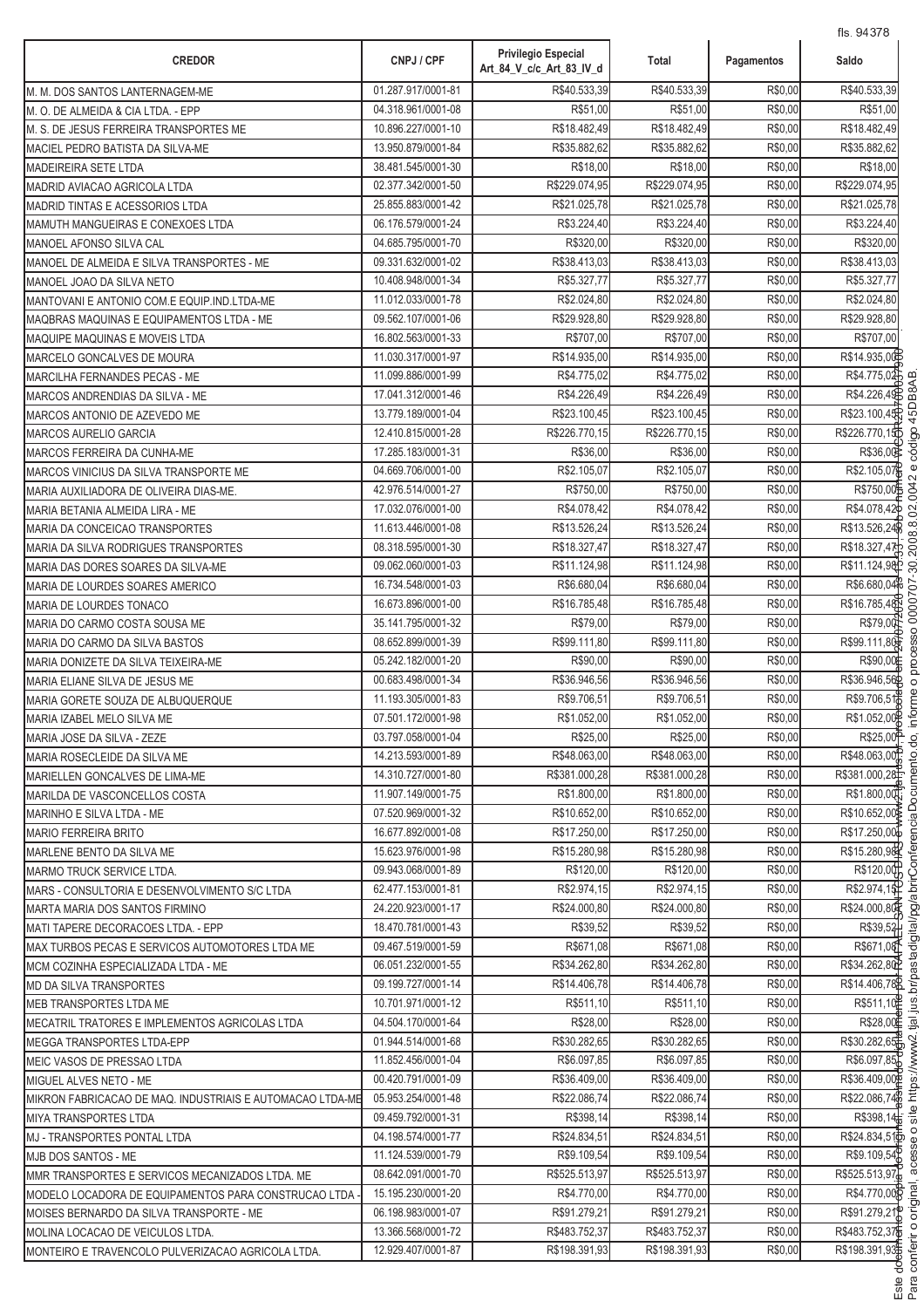| <b>CREDOR</b>                                                         | CNPJ / CPF                               | <b>Privilegio Especial</b><br>Art_84_V_c/c_Art_83_IV_d | Total                    | Pagamentos         | 113. 9497 U<br>Saldo     |
|-----------------------------------------------------------------------|------------------------------------------|--------------------------------------------------------|--------------------------|--------------------|--------------------------|
| M. M. DOS SANTOS LANTERNAGEM-ME                                       | 01.287.917/0001-81                       | R\$40.533,39                                           | R\$40.533,39             | R\$0,00            | R\$40.533,39             |
| M. O. DE ALMEIDA & CIA LTDA. - EPP                                    | 04.318.961/0001-08                       | R\$51,00                                               | R\$51,00                 | R\$0,00            | R\$51,00                 |
| M. S. DE JESUS FERREIRA TRANSPORTES ME                                | 10.896.227/0001-10                       | R\$18.482,49                                           | R\$18.482,49             | R\$0,00            | R\$18.482,49             |
| MACIEL PEDRO BATISTA DA SILVA-ME                                      | 13.950.879/0001-84                       | R\$35.882,62                                           | R\$35.882,62             | R\$0,00            | R\$35.882,62             |
| MADEIREIRA SETE LTDA                                                  | 38.481.545/0001-30                       | R\$18,00                                               | R\$18,00                 | R\$0,00            | R\$18,00                 |
| MADRID AVIACAO AGRICOLA LTDA                                          | 02.377.342/0001-50                       | R\$229.074,95                                          | R\$229.074,95            | R\$0,00            | R\$229.074,95            |
| MADRID TINTAS E ACESSORIOS LTDA                                       | 25.855.883/0001-42                       | R\$21.025,78                                           | R\$21.025,78             | R\$0,00            | R\$21.025,78             |
| MAMUTH MANGUEIRAS E CONEXOES LTDA                                     | 06.176.579/0001-24                       | R\$3.224.40                                            | R\$3.224,40              | R\$0,00            | R\$3.224,40              |
| MANOEL AFONSO SILVA CAL                                               | 04.685.795/0001-70                       | R\$320,00                                              | R\$320,00                | R\$0,00            | R\$320,00                |
| MANOEL DE ALMEIDA E SILVA TRANSPORTES - ME                            | 09.331.632/0001-02                       | R\$38.413.03                                           | R\$38.413,03             | R\$0,00            | R\$38.413,03             |
| MANOEL JOAO DA SILVA NETO                                             | 10.408.948/0001-34                       | R\$5.327,77                                            | R\$5.327,77              | R\$0,00            | R\$5.327,77              |
| MANTOVANI E ANTONIO COM.E EQUIP.IND.LTDA-ME                           | 11.012.033/0001-78                       | R\$2.024,80                                            | R\$2.024,80              | R\$0,00            | R\$2.024,80              |
| MAQBRAS MAQUINAS E EQUIPAMENTOS LTDA - ME                             | 09.562.107/0001-06                       | R\$29.928,80                                           | R\$29.928,80             | R\$0,00            | R\$29.928,80             |
| MAQUIPE MAQUINAS E MOVEIS LTDA                                        | 16.802.563/0001-33                       | R\$707,00                                              | R\$707,00                | R\$0,00            | R\$707,00                |
| MARCELO GONCALVES DE MOURA                                            | 11.030.317/0001-97                       | R\$14.935,00                                           | R\$14.935,00             | R\$0,00            | R\$14.935,00E            |
| MARCILHA FERNANDES PECAS - ME                                         | 11.099.886/0001-99                       | R\$4.775,02                                            | R\$4.775,02              | R\$0,00            | R\$4.775,02              |
| MARCOS ANDRENDIAS DA SILVA - ME                                       | 17.041.312/0001-46                       | R\$4.226,49                                            | R\$4.226,49              | R\$0,00            | R\$4.226,49              |
| MARCOS ANTONIO DE AZEVEDO ME                                          | 13.779.189/0001-04                       | R\$23.100,45                                           | R\$23.100,45             | R\$0,00            | R\$23.100,45             |
| <b>MARCOS AURELIO GARCIA</b>                                          | 12.410.815/0001-28                       | R\$226.770,15                                          | R\$226.770,15            | R\$0,00            | R\$226.770,15            |
| MARCOS FERREIRA DA CUNHA-ME                                           | 17.285.183/0001-31                       | R\$36,00                                               | R\$36,00                 | R\$0,00            | R\$36,00                 |
| MARCOS VINICIUS DA SILVA TRANSPORTE ME                                | 04.669.706/0001-00                       | R\$2.105,07                                            | R\$2.105,07              | R\$0,00            | R\$2.105,07              |
| MARIA AUXILIADORA DE OLIVEIRA DIAS-ME.                                | 42.976.514/0001-27                       | R\$750,00                                              | R\$750,00                | R\$0,00            | R\$750,00                |
| MARIA BETANIA ALMEIDA LIRA - ME                                       | 17.032.076/0001-00                       | R\$4.078,42                                            | R\$4.078,42              | R\$0,00            | R\$4.078,42              |
| MARIA DA CONCEICAO TRANSPORTES                                        | 11.613.446/0001-08                       | R\$13.526,24                                           | R\$13.526,24             | R\$0,00            | R\$13.526,24             |
| MARIA DA SILVA RODRIGUES TRANSPORTES                                  | 08.318.595/0001-30                       | R\$18.327,47                                           | R\$18.327,47             | R\$0,00            | R\$18.327,47             |
| MARIA DAS DORES SOARES DA SILVA-ME                                    | 09.062.060/0001-03                       | R\$11.124,98                                           | R\$11.124,98             | R\$0,00            | R\$11.124,98             |
| MARIA DE LOURDES SOARES AMERICO                                       | 16.734.548/0001-03                       | R\$6.680,04                                            | R\$6.680,04              | R\$0,00            | R\$6.680,04              |
| MARIA DE LOURDES TONACO                                               | 16.673.896/0001-00                       | R\$16.785,48                                           | R\$16.785,48             | R\$0,00            | R\$16.785,48             |
| MARIA DO CARMO COSTA SOUSA ME                                         | 35.141.795/0001-32                       | R\$79,00<br>R\$99.111,80                               | R\$79,00<br>R\$99.111,80 | R\$0,00            | R\$79,00                 |
| MARIA DO CARMO DA SILVA BASTOS                                        | 08.652.899/0001-39<br>05.242.182/0001-20 | R\$90,00                                               | R\$90,00                 | R\$0,00<br>R\$0,00 | R\$99.111,80<br>R\$90,00 |
| MARIA DONIZETE DA SILVA TEIXEIRA-ME<br>MARIA ELIANE SILVA DE JESUS ME | 00.683.498/0001-34                       | R\$36.946,56                                           | R\$36.946,56             | R\$0,00            | R\$36.946,56             |
|                                                                       | 11.193.305/0001-83                       | R\$9.706,51                                            | R\$9.706.51              | R\$0,00            | R\$9.706,51              |
| MARIA GORETE SOUZA DE ALBUQUERQUE<br>MARIA IZABEL MELO SILVA ME       | 07.501.172/0001-98                       | R\$1.052.00                                            | R\$1.052,00              | R\$0,00            | R\$1.052,00              |
| MARIA JOSE DA SILVA - ZEZE                                            | 03.797.058/0001-04                       | R\$25,00                                               | R\$25,00                 | R\$0,00            | R\$25,00 <sup>P</sup>    |
| MARIA ROSECLEIDE DA SILVA ME                                          | 14.213.593/0001-89                       | R\$48.063,00                                           | R\$48.063,00             | R\$0,00            | R\$48.063,00             |
| MARIELLEN GONCALVES DE LIMA-ME                                        | 14.310.727/0001-80                       | R\$381.000,28                                          | R\$381.000,28            | R\$0,00            | R\$381.000,28            |
| MARILDA DE VASCONCELLOS COSTA                                         | 11.907.149/0001-75                       | R\$1.800,00                                            | R\$1.800,00              | R\$0,00            | R\$1.800,00              |
| MARINHO E SILVA LTDA - ME                                             | 07.520.969/0001-32                       | R\$10.652,00                                           | R\$10.652,00             | R\$0,00            | R\$10.652,00             |
| <b>MARIO FERREIRA BRITO</b>                                           | 16.677.892/0001-08                       | R\$17.250,00                                           | R\$17.250,00             | R\$0,00            | R\$17.250,00             |
| MARLENE BENTO DA SILVA ME                                             | 15.623.976/0001-98                       | R\$15.280,98                                           | R\$15.280,98             | R\$0,00            | R\$15.280,98             |
| <b>MARMO TRUCK SERVICE LTDA.</b>                                      | 09.943.068/0001-89                       | R\$120,00                                              | R\$120,00                | R\$0,00            | R\$120,00                |
| MARS - CONSULTORIA E DESENVOLVIMENTO S/C LTDA                         | 62.477.153/0001-81                       | R\$2.974,15                                            | R\$2.974,15              | R\$0,00            | R\$2.974,15              |
| MARTA MARIA DOS SANTOS FIRMINO                                        | 24.220.923/0001-17                       | R\$24.000.80                                           | R\$24.000,80             | R\$0,00            | R\$24.000,80             |
| MATI TAPERE DECORACOES LTDA. - EPP                                    | 18.470.781/0001-43                       | R\$39,52                                               | R\$39,52                 | R\$0,00            | R\$39.52                 |
| MAX TURBOS PECAS E SERVICOS AUTOMOTORES LTDA ME                       | 09.467.519/0001-59                       | R\$671,08                                              | R\$671,08                | R\$0,00            | R\$671,08                |
| MCM COZINHA ESPECIALIZADA LTDA - ME                                   | 06.051.232/0001-55                       | R\$34.262,80                                           | R\$34.262,80             | R\$0,00            | R\$34.262,80             |
| <b>MD DA SILVA TRANSPORTES</b>                                        | 09.199.727/0001-14                       | R\$14.406,78                                           | R\$14.406,78             | R\$0,00            | R\$14.406,78             |
| <b>MEB TRANSPORTES LTDA ME</b>                                        | 10.701.971/0001-12                       | R\$511,10                                              | R\$511,10                | R\$0,00            | R\$511,10                |
| MECATRIL TRATORES E IMPLEMENTOS AGRICOLAS LTDA                        | 04.504.170/0001-64                       | R\$28,00                                               | R\$28,00                 | R\$0,00            | R\$28,00                 |
| <b>MEGGA TRANSPORTES LTDA-EPP</b>                                     | 01.944.514/0001-68                       | R\$30.282,65                                           | R\$30.282,65             | R\$0,00            | R\$30.282,65             |
| MEIC VASOS DE PRESSAO LTDA                                            | 11.852.456/0001-04                       | R\$6.097,85                                            | R\$6.097,85              | R\$0,00            | R\$6.097,85              |
| MIGUEL ALVES NETO - ME                                                | 00.420.791/0001-09                       | R\$36.409,00                                           | R\$36.409,00             | R\$0,00            | R\$36.409,00             |
| MIKRON FABRICACAO DE MAQ. INDUSTRIAIS E AUTOMACAO LTDA-ME             | 05.953.254/0001-48                       | R\$22.086,74                                           | R\$22.086,74             | R\$0,00            | R\$22.086,746            |
| <b>MIYA TRANSPORTES LTDA</b>                                          | 09.459.792/0001-31                       | R\$398,14                                              | R\$398,14                | R\$0,00            | R\$398,14                |
| MJ - TRANSPORTES PONTAL LTDA                                          | 04.198.574/0001-77                       | R\$24.834,51                                           | R\$24.834,51             | R\$0,00            | R\$24.834,516            |
| MJB DOS SANTOS - ME                                                   | 11.124.539/0001-79                       | R\$9.109,54                                            | R\$9.109,54              | R\$0,00            | R\$9.109,54)             |
| MMR TRANSPORTES E SERVICOS MECANIZADOS LTDA. ME                       | 08.642.091/0001-70                       | R\$525.513,97                                          | R\$525.513,97            | R\$0,00            | R\$525.513,97            |
| MODELO LOCADORA DE EQUIPAMENTOS PARA CONSTRUCAO LTDA                  | 15.195.230/0001-20                       | R\$4.770,00                                            | R\$4.770,00              | R\$0,00            | R\$4.770,00              |
| MOISES BERNARDO DA SILVA TRANSPORTE - ME                              | 06.198.983/0001-07                       | R\$91.279,21                                           | R\$91.279,21             | R\$0,00            | R\$91.279,21             |
| MOLINA LOCACAO DE VEICULOS LTDA.                                      | 13.366.568/0001-72                       | R\$483.752,37                                          | R\$483.752,37            | R\$0,00            | R\$483.752,37            |
| MONTEIRO E TRAVENCOLO PULVERIZACAO AGRICOLA LTDA.                     | 12.929.407/0001-87                       | R\$198.391,93                                          | R\$198.391,93            | R\$0,00            | R\$198.391,93            |

.<br>.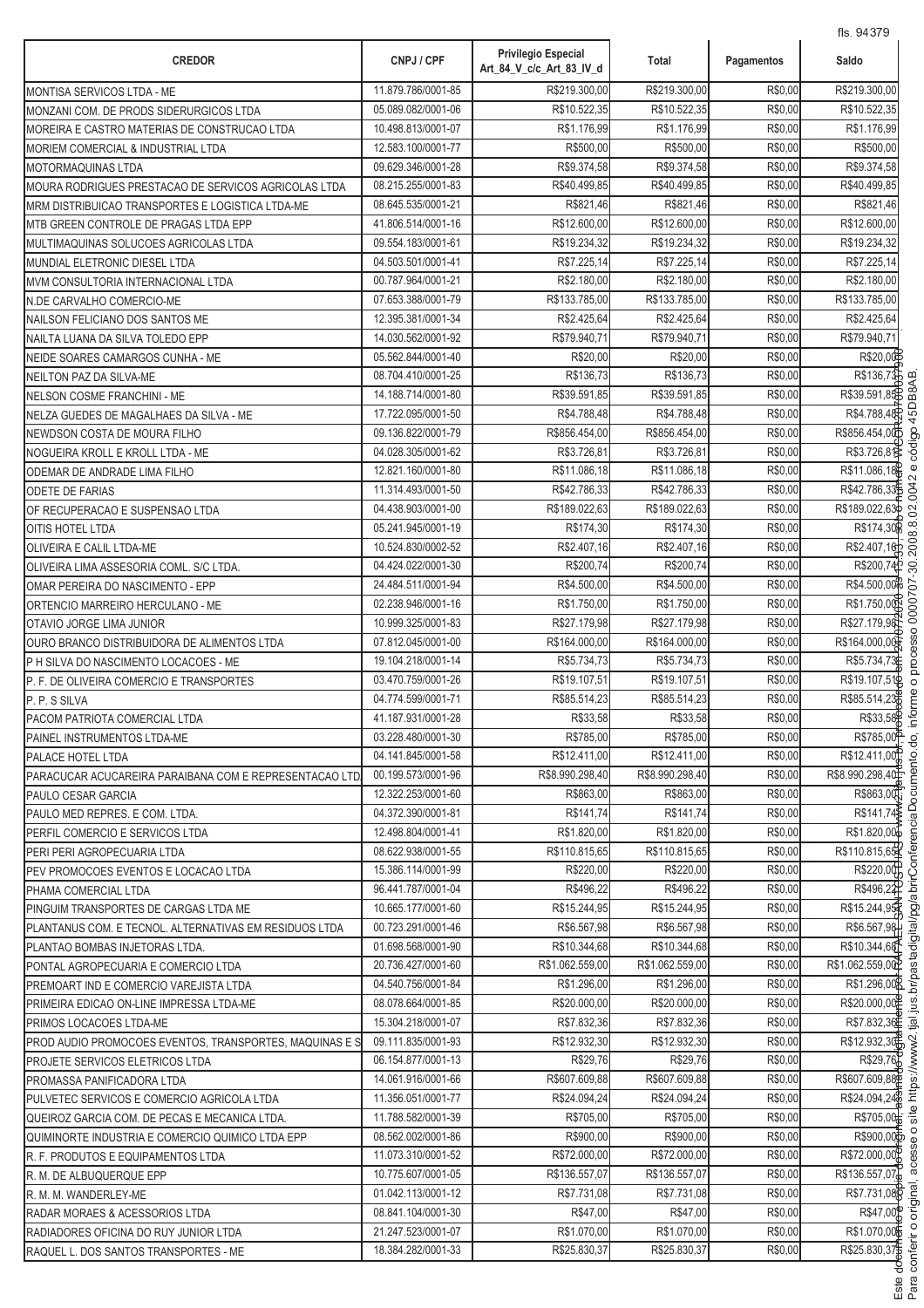| 11.879.786/0001-85<br>R\$219.300,00<br>R\$219.300,00<br>R\$0,00<br>MONTISA SERVICOS LTDA - ME<br>05.089.082/0001-06<br>R\$10.522,35<br>R\$10.522,35<br>R\$0,00<br>MONZANI COM. DE PRODS SIDERURGICOS LTDA<br>R\$1.176,99<br>R\$1.176,99<br>R\$0,00<br>10.498.813/0001-07<br>MOREIRA E CASTRO MATERIAS DE CONSTRUCAO LTDA<br>12.583.100/0001-77<br>R\$500,00<br>R\$500,00<br>R\$0,00<br>MORIEM COMERCIAL & INDUSTRIAL LTDA<br>R\$9.374,58<br>R\$9.374,58<br>R\$0,00<br>09.629.346/0001-28<br><b>MOTORMAQUINAS LTDA</b><br>08.215.255/0001-83<br>R\$40.499,85<br>R\$40.499,85<br>R\$0,00<br>MOURA RODRIGUES PRESTACAO DE SERVICOS AGRICOLAS LTDA<br>08.645.535/0001-21<br>R\$821,46<br>R\$821,46<br>R\$0,00<br>MRM DISTRIBUICAO TRANSPORTES E LOGISTICA LTDA-ME<br>R\$0,00<br>41.806.514/0001-16<br>R\$12.600,00<br>R\$12.600,00<br>MTB GREEN CONTROLE DE PRAGAS LTDA EPP<br>R\$19.234,32<br>09.554.183/0001-61<br>R\$19.234,32<br>R\$0,00<br>MULTIMAQUINAS SOLUCOES AGRICOLAS LTDA<br>04.503.501/0001-41<br>R\$7.225,14<br>R\$7.225,14<br>R\$0,00<br>MUNDIAL ELETRONIC DIESEL LTDA<br>00.787.964/0001-21<br>R\$2.180,00<br>R\$2.180,00<br>R\$0,00<br>MVM CONSULTORIA INTERNACIONAL LTDA<br>07.653.388/0001-79<br>R\$133.785,00<br>R\$133.785,00<br>R\$0,00<br>N.DE CARVALHO COMERCIO-ME<br>12.395.381/0001-34<br>R\$2.425,64<br>R\$2.425,64<br>R\$0,00<br>NAILSON FELICIANO DOS SANTOS ME<br>14.030.562/0001-92<br>R\$79.940,71<br>R\$79.940,71<br>R\$0,00<br>NAILTA LUANA DA SILVA TOLEDO EPP<br>R\$20,00<br>05.562.844/0001-40<br>R\$20,00<br>R\$0,00<br>NEIDE SOARES CAMARGOS CUNHA - ME<br>R\$136,73<br>R\$136,73<br>08.704.410/0001-25<br>R\$0,00<br>NEILTON PAZ DA SILVA-ME<br>R\$39.591,85<br>R\$39.591,85<br>14.188.714/0001-80<br>R\$0,00<br><b>NELSON COSME FRANCHINI - ME</b><br>R\$0,00<br>17.722.095/0001-50<br>R\$4.788,48<br>R\$4.788,48<br>NELZA GUEDES DE MAGALHAES DA SILVA - ME<br>R\$856.454,00<br>R\$856.454,00<br>R\$0,00<br>09.136.822/0001-79<br>NEWDSON COSTA DE MOURA FILHO<br>R\$3.726,81<br>R\$0,00<br>04.028.305/0001-62<br>R\$3.726,81<br>NOGUEIRA KROLL E KROLL LTDA - ME<br>12.821.160/0001-80<br>R\$11.086,18<br>R\$11.086,18<br>R\$0,00<br>ODEMAR DE ANDRADE LIMA FILHO<br>R\$42.786,33<br>R\$42.786,33<br>R\$0,00<br>11.314.493/0001-50<br><b>ODETE DE FARIAS</b><br>04.438.903/0001-00<br>R\$189.022,63<br>R\$189.022,63<br>R\$0,00<br>OF RECUPERACAO E SUSPENSAO LTDA<br>05.241.945/0001-19<br>R\$174,30<br>R\$174,30<br>R\$0,00<br><b>OITIS HOTEL LTDA</b><br>10.524.830/0002-52<br>R\$2.407,16<br>R\$2.407,16<br>R\$0,00<br>OLIVEIRA E CALIL LTDA-ME<br>04.424.022/0001-30<br>R\$200,74<br>R\$200,74<br>R\$0,00<br>OLIVEIRA LIMA ASSESORIA COML. S/C LTDA.<br>24.484.511/0001-94<br>R\$4.500,00<br>R\$4.500,00<br>R\$0,00<br>OMAR PEREIRA DO NASCIMENTO - EPP<br>R\$1.750,00<br>R\$1.750,00<br>R\$0,00<br>02.238.946/0001-16<br>ORTENCIO MARREIRO HERCULANO - ME<br>10.999.325/0001-83<br>R\$27.179,98<br>R\$27.179,98<br>R\$0,00<br>OTAVIO JORGE LIMA JUNIOR<br>07.812.045/0001-00<br>R\$164.000,00<br>R\$164.000,00<br>R\$0,00<br>OURO BRANCO DISTRIBUIDORA DE ALIMENTOS LTDA<br>19.104.218/0001-14<br>R\$5.734,73<br>R\$5.734,73<br>R\$0,00<br>P H SILVA DO NASCIMENTO LOCACOES - ME<br>03.470.759/0001-26<br>R\$19.107,51<br>R\$19.107,51<br>R\$0,00<br>P. F. DE OLIVEIRA COMERCIO E TRANSPORTES<br>R\$85.514,23<br>R\$85.514.23<br>04.774.599/0001-71<br>R\$0,00<br>P. P. S SILVA<br>R\$33,58<br>41.187.931/0001-28<br>R\$33,58<br>R\$0,00<br>PACOM PATRIOTA COMERCIAL LTDA<br>R\$0,00<br>03.228.480/0001-30<br>R\$785,00<br>R\$785,00<br>PAINEL INSTRUMENTOS LTDA-ME<br>04.141.845/0001-58<br>R\$12.411,00<br>R\$12.411.00<br>R\$0,00<br><b>PALACE HOTEL LTDA</b><br>R\$8.990.298.40<br>R\$8.990.298,40<br>00.199.573/0001-96<br>R\$0,00<br>PARACUCAR ACUCAREIRA PARAIBANA COM E REPRESENTACAO LTD.<br>12.322.253/0001-60<br>R\$863,00<br>R\$863,00<br>R\$0,00<br>PAULO CESAR GARCIA<br>04.372.390/0001-81<br>R\$141,74<br>R\$141,74<br>R\$0,00<br>PAULO MED REPRES. E COM. LTDA.<br>R\$1.820.00<br>R\$0,00<br>12.498.804/0001-41<br>R\$1.820.00<br>PERFIL COMERCIO E SERVICOS LTDA<br>R\$110.815,65<br>R\$110.815,65<br>R\$0,00<br>08.622.938/0001-55<br>PERI PERI AGROPECUARIA LTDA<br>R\$220,00<br>R\$220,00<br>R\$0,00<br>15.386.114/0001-99<br>PEV PROMOCOES EVENTOS E LOCACAO LTDA<br>R\$496,22<br>R\$496,22<br>R\$0,00<br>96.441.787/0001-04<br>PHAMA COMERCIAL LTDA<br>R\$15.244,95<br>R\$15.244,95<br>R\$0,00<br>10.665.177/0001-60<br>PINGUIM TRANSPORTES DE CARGAS LTDA ME<br>R\$6.567,98<br>R\$0,00<br>00.723.291/0001-46<br>R\$6.567,98<br>PLANTANUS COM. E TECNOL. ALTERNATIVAS EM RESIDUOS LTDA<br>R\$10.344,68<br>R\$10.344,68<br>R\$0,00<br>01.698.568/0001-90<br>PLANTAO BOMBAS INJETORAS LTDA.<br>R\$1.062.559,00<br>R\$1.062.559,00<br>R\$0,00<br>20.736.427/0001-60<br>PONTAL AGROPECUARIA E COMERCIO LTDA<br>R\$1.296,00<br>R\$1.296,00<br>R\$0,00<br>04.540.756/0001-84<br>PREMOART IND E COMERCIO VAREJISTA LTDA<br>R\$20.000,00<br>R\$0,00<br>08.078.664/0001-85<br>R\$20.000,00<br>PRIMEIRA EDICAO ON-LINE IMPRESSA LTDA-ME<br>15.304.218/0001-07<br>R\$7.832,36<br>R\$7.832,36<br>R\$0,00<br>PRIMOS LOCACOES LTDA-ME<br>R\$12.932,30<br>R\$12.932,30<br>R\$0,00<br>09.111.835/0001-93<br>PROD AUDIO PROMOCOES EVENTOS, TRANSPORTES, MAQUINAS E S<br>R\$0,00<br>06.154.877/0001-13<br>R\$29,76<br>R\$29,76<br>PROJETE SERVICOS ELETRICOS LTDA | 119.94379<br>Saldo       |
|---------------------------------------------------------------------------------------------------------------------------------------------------------------------------------------------------------------------------------------------------------------------------------------------------------------------------------------------------------------------------------------------------------------------------------------------------------------------------------------------------------------------------------------------------------------------------------------------------------------------------------------------------------------------------------------------------------------------------------------------------------------------------------------------------------------------------------------------------------------------------------------------------------------------------------------------------------------------------------------------------------------------------------------------------------------------------------------------------------------------------------------------------------------------------------------------------------------------------------------------------------------------------------------------------------------------------------------------------------------------------------------------------------------------------------------------------------------------------------------------------------------------------------------------------------------------------------------------------------------------------------------------------------------------------------------------------------------------------------------------------------------------------------------------------------------------------------------------------------------------------------------------------------------------------------------------------------------------------------------------------------------------------------------------------------------------------------------------------------------------------------------------------------------------------------------------------------------------------------------------------------------------------------------------------------------------------------------------------------------------------------------------------------------------------------------------------------------------------------------------------------------------------------------------------------------------------------------------------------------------------------------------------------------------------------------------------------------------------------------------------------------------------------------------------------------------------------------------------------------------------------------------------------------------------------------------------------------------------------------------------------------------------------------------------------------------------------------------------------------------------------------------------------------------------------------------------------------------------------------------------------------------------------------------------------------------------------------------------------------------------------------------------------------------------------------------------------------------------------------------------------------------------------------------------------------------------------------------------------------------------------------------------------------------------------------------------------------------------------------------------------------------------------------------------------------------------------------------------------------------------------------------------------------------------------------------------------------------------------------------------------------------------------------------------------------------------------------------------------------------------------------------------------------------------------------------------------------------------------------------------------------------------------------------------------------------------------------------------------------------------------------------------------------------------------------------------------------------------------------------------------------------------------------------------------------------------------------------------------------------------------------------------------------------------------------------------------------------------------------------------------------------------------------------------------------------------------------------------------------------------------------------------------------------------------------------------------------------------------------------------------------------------------------------------------------------------------------------------------------------------------------------------------------------------------------------------------------------------------------------------------------------------------------------------------------------------------------------------------------------------------------------------------------------|--------------------------|
|                                                                                                                                                                                                                                                                                                                                                                                                                                                                                                                                                                                                                                                                                                                                                                                                                                                                                                                                                                                                                                                                                                                                                                                                                                                                                                                                                                                                                                                                                                                                                                                                                                                                                                                                                                                                                                                                                                                                                                                                                                                                                                                                                                                                                                                                                                                                                                                                                                                                                                                                                                                                                                                                                                                                                                                                                                                                                                                                                                                                                                                                                                                                                                                                                                                                                                                                                                                                                                                                                                                                                                                                                                                                                                                                                                                                                                                                                                                                                                                                                                                                                                                                                                                                                                                                                                                                                                                                                                                                                                                                                                                                                                                                                                                                                                                                                                                                                                                                                                                                                                                                                                                                                                                                                                                                                                                                                                                                                     | R\$219.300,00            |
|                                                                                                                                                                                                                                                                                                                                                                                                                                                                                                                                                                                                                                                                                                                                                                                                                                                                                                                                                                                                                                                                                                                                                                                                                                                                                                                                                                                                                                                                                                                                                                                                                                                                                                                                                                                                                                                                                                                                                                                                                                                                                                                                                                                                                                                                                                                                                                                                                                                                                                                                                                                                                                                                                                                                                                                                                                                                                                                                                                                                                                                                                                                                                                                                                                                                                                                                                                                                                                                                                                                                                                                                                                                                                                                                                                                                                                                                                                                                                                                                                                                                                                                                                                                                                                                                                                                                                                                                                                                                                                                                                                                                                                                                                                                                                                                                                                                                                                                                                                                                                                                                                                                                                                                                                                                                                                                                                                                                                     | R\$10.522,35             |
|                                                                                                                                                                                                                                                                                                                                                                                                                                                                                                                                                                                                                                                                                                                                                                                                                                                                                                                                                                                                                                                                                                                                                                                                                                                                                                                                                                                                                                                                                                                                                                                                                                                                                                                                                                                                                                                                                                                                                                                                                                                                                                                                                                                                                                                                                                                                                                                                                                                                                                                                                                                                                                                                                                                                                                                                                                                                                                                                                                                                                                                                                                                                                                                                                                                                                                                                                                                                                                                                                                                                                                                                                                                                                                                                                                                                                                                                                                                                                                                                                                                                                                                                                                                                                                                                                                                                                                                                                                                                                                                                                                                                                                                                                                                                                                                                                                                                                                                                                                                                                                                                                                                                                                                                                                                                                                                                                                                                                     | R\$1.176,99              |
|                                                                                                                                                                                                                                                                                                                                                                                                                                                                                                                                                                                                                                                                                                                                                                                                                                                                                                                                                                                                                                                                                                                                                                                                                                                                                                                                                                                                                                                                                                                                                                                                                                                                                                                                                                                                                                                                                                                                                                                                                                                                                                                                                                                                                                                                                                                                                                                                                                                                                                                                                                                                                                                                                                                                                                                                                                                                                                                                                                                                                                                                                                                                                                                                                                                                                                                                                                                                                                                                                                                                                                                                                                                                                                                                                                                                                                                                                                                                                                                                                                                                                                                                                                                                                                                                                                                                                                                                                                                                                                                                                                                                                                                                                                                                                                                                                                                                                                                                                                                                                                                                                                                                                                                                                                                                                                                                                                                                                     | R\$500,00                |
|                                                                                                                                                                                                                                                                                                                                                                                                                                                                                                                                                                                                                                                                                                                                                                                                                                                                                                                                                                                                                                                                                                                                                                                                                                                                                                                                                                                                                                                                                                                                                                                                                                                                                                                                                                                                                                                                                                                                                                                                                                                                                                                                                                                                                                                                                                                                                                                                                                                                                                                                                                                                                                                                                                                                                                                                                                                                                                                                                                                                                                                                                                                                                                                                                                                                                                                                                                                                                                                                                                                                                                                                                                                                                                                                                                                                                                                                                                                                                                                                                                                                                                                                                                                                                                                                                                                                                                                                                                                                                                                                                                                                                                                                                                                                                                                                                                                                                                                                                                                                                                                                                                                                                                                                                                                                                                                                                                                                                     | R\$9.374,58              |
|                                                                                                                                                                                                                                                                                                                                                                                                                                                                                                                                                                                                                                                                                                                                                                                                                                                                                                                                                                                                                                                                                                                                                                                                                                                                                                                                                                                                                                                                                                                                                                                                                                                                                                                                                                                                                                                                                                                                                                                                                                                                                                                                                                                                                                                                                                                                                                                                                                                                                                                                                                                                                                                                                                                                                                                                                                                                                                                                                                                                                                                                                                                                                                                                                                                                                                                                                                                                                                                                                                                                                                                                                                                                                                                                                                                                                                                                                                                                                                                                                                                                                                                                                                                                                                                                                                                                                                                                                                                                                                                                                                                                                                                                                                                                                                                                                                                                                                                                                                                                                                                                                                                                                                                                                                                                                                                                                                                                                     | R\$40.499,85             |
|                                                                                                                                                                                                                                                                                                                                                                                                                                                                                                                                                                                                                                                                                                                                                                                                                                                                                                                                                                                                                                                                                                                                                                                                                                                                                                                                                                                                                                                                                                                                                                                                                                                                                                                                                                                                                                                                                                                                                                                                                                                                                                                                                                                                                                                                                                                                                                                                                                                                                                                                                                                                                                                                                                                                                                                                                                                                                                                                                                                                                                                                                                                                                                                                                                                                                                                                                                                                                                                                                                                                                                                                                                                                                                                                                                                                                                                                                                                                                                                                                                                                                                                                                                                                                                                                                                                                                                                                                                                                                                                                                                                                                                                                                                                                                                                                                                                                                                                                                                                                                                                                                                                                                                                                                                                                                                                                                                                                                     | R\$821,46                |
|                                                                                                                                                                                                                                                                                                                                                                                                                                                                                                                                                                                                                                                                                                                                                                                                                                                                                                                                                                                                                                                                                                                                                                                                                                                                                                                                                                                                                                                                                                                                                                                                                                                                                                                                                                                                                                                                                                                                                                                                                                                                                                                                                                                                                                                                                                                                                                                                                                                                                                                                                                                                                                                                                                                                                                                                                                                                                                                                                                                                                                                                                                                                                                                                                                                                                                                                                                                                                                                                                                                                                                                                                                                                                                                                                                                                                                                                                                                                                                                                                                                                                                                                                                                                                                                                                                                                                                                                                                                                                                                                                                                                                                                                                                                                                                                                                                                                                                                                                                                                                                                                                                                                                                                                                                                                                                                                                                                                                     | R\$12.600,00             |
|                                                                                                                                                                                                                                                                                                                                                                                                                                                                                                                                                                                                                                                                                                                                                                                                                                                                                                                                                                                                                                                                                                                                                                                                                                                                                                                                                                                                                                                                                                                                                                                                                                                                                                                                                                                                                                                                                                                                                                                                                                                                                                                                                                                                                                                                                                                                                                                                                                                                                                                                                                                                                                                                                                                                                                                                                                                                                                                                                                                                                                                                                                                                                                                                                                                                                                                                                                                                                                                                                                                                                                                                                                                                                                                                                                                                                                                                                                                                                                                                                                                                                                                                                                                                                                                                                                                                                                                                                                                                                                                                                                                                                                                                                                                                                                                                                                                                                                                                                                                                                                                                                                                                                                                                                                                                                                                                                                                                                     | R\$19.234,32             |
|                                                                                                                                                                                                                                                                                                                                                                                                                                                                                                                                                                                                                                                                                                                                                                                                                                                                                                                                                                                                                                                                                                                                                                                                                                                                                                                                                                                                                                                                                                                                                                                                                                                                                                                                                                                                                                                                                                                                                                                                                                                                                                                                                                                                                                                                                                                                                                                                                                                                                                                                                                                                                                                                                                                                                                                                                                                                                                                                                                                                                                                                                                                                                                                                                                                                                                                                                                                                                                                                                                                                                                                                                                                                                                                                                                                                                                                                                                                                                                                                                                                                                                                                                                                                                                                                                                                                                                                                                                                                                                                                                                                                                                                                                                                                                                                                                                                                                                                                                                                                                                                                                                                                                                                                                                                                                                                                                                                                                     | R\$7.225,14              |
|                                                                                                                                                                                                                                                                                                                                                                                                                                                                                                                                                                                                                                                                                                                                                                                                                                                                                                                                                                                                                                                                                                                                                                                                                                                                                                                                                                                                                                                                                                                                                                                                                                                                                                                                                                                                                                                                                                                                                                                                                                                                                                                                                                                                                                                                                                                                                                                                                                                                                                                                                                                                                                                                                                                                                                                                                                                                                                                                                                                                                                                                                                                                                                                                                                                                                                                                                                                                                                                                                                                                                                                                                                                                                                                                                                                                                                                                                                                                                                                                                                                                                                                                                                                                                                                                                                                                                                                                                                                                                                                                                                                                                                                                                                                                                                                                                                                                                                                                                                                                                                                                                                                                                                                                                                                                                                                                                                                                                     | R\$2.180,00              |
|                                                                                                                                                                                                                                                                                                                                                                                                                                                                                                                                                                                                                                                                                                                                                                                                                                                                                                                                                                                                                                                                                                                                                                                                                                                                                                                                                                                                                                                                                                                                                                                                                                                                                                                                                                                                                                                                                                                                                                                                                                                                                                                                                                                                                                                                                                                                                                                                                                                                                                                                                                                                                                                                                                                                                                                                                                                                                                                                                                                                                                                                                                                                                                                                                                                                                                                                                                                                                                                                                                                                                                                                                                                                                                                                                                                                                                                                                                                                                                                                                                                                                                                                                                                                                                                                                                                                                                                                                                                                                                                                                                                                                                                                                                                                                                                                                                                                                                                                                                                                                                                                                                                                                                                                                                                                                                                                                                                                                     | R\$133.785,00            |
|                                                                                                                                                                                                                                                                                                                                                                                                                                                                                                                                                                                                                                                                                                                                                                                                                                                                                                                                                                                                                                                                                                                                                                                                                                                                                                                                                                                                                                                                                                                                                                                                                                                                                                                                                                                                                                                                                                                                                                                                                                                                                                                                                                                                                                                                                                                                                                                                                                                                                                                                                                                                                                                                                                                                                                                                                                                                                                                                                                                                                                                                                                                                                                                                                                                                                                                                                                                                                                                                                                                                                                                                                                                                                                                                                                                                                                                                                                                                                                                                                                                                                                                                                                                                                                                                                                                                                                                                                                                                                                                                                                                                                                                                                                                                                                                                                                                                                                                                                                                                                                                                                                                                                                                                                                                                                                                                                                                                                     | R\$2.425,64              |
|                                                                                                                                                                                                                                                                                                                                                                                                                                                                                                                                                                                                                                                                                                                                                                                                                                                                                                                                                                                                                                                                                                                                                                                                                                                                                                                                                                                                                                                                                                                                                                                                                                                                                                                                                                                                                                                                                                                                                                                                                                                                                                                                                                                                                                                                                                                                                                                                                                                                                                                                                                                                                                                                                                                                                                                                                                                                                                                                                                                                                                                                                                                                                                                                                                                                                                                                                                                                                                                                                                                                                                                                                                                                                                                                                                                                                                                                                                                                                                                                                                                                                                                                                                                                                                                                                                                                                                                                                                                                                                                                                                                                                                                                                                                                                                                                                                                                                                                                                                                                                                                                                                                                                                                                                                                                                                                                                                                                                     | R\$79.940,71             |
|                                                                                                                                                                                                                                                                                                                                                                                                                                                                                                                                                                                                                                                                                                                                                                                                                                                                                                                                                                                                                                                                                                                                                                                                                                                                                                                                                                                                                                                                                                                                                                                                                                                                                                                                                                                                                                                                                                                                                                                                                                                                                                                                                                                                                                                                                                                                                                                                                                                                                                                                                                                                                                                                                                                                                                                                                                                                                                                                                                                                                                                                                                                                                                                                                                                                                                                                                                                                                                                                                                                                                                                                                                                                                                                                                                                                                                                                                                                                                                                                                                                                                                                                                                                                                                                                                                                                                                                                                                                                                                                                                                                                                                                                                                                                                                                                                                                                                                                                                                                                                                                                                                                                                                                                                                                                                                                                                                                                                     | R\$20,00                 |
|                                                                                                                                                                                                                                                                                                                                                                                                                                                                                                                                                                                                                                                                                                                                                                                                                                                                                                                                                                                                                                                                                                                                                                                                                                                                                                                                                                                                                                                                                                                                                                                                                                                                                                                                                                                                                                                                                                                                                                                                                                                                                                                                                                                                                                                                                                                                                                                                                                                                                                                                                                                                                                                                                                                                                                                                                                                                                                                                                                                                                                                                                                                                                                                                                                                                                                                                                                                                                                                                                                                                                                                                                                                                                                                                                                                                                                                                                                                                                                                                                                                                                                                                                                                                                                                                                                                                                                                                                                                                                                                                                                                                                                                                                                                                                                                                                                                                                                                                                                                                                                                                                                                                                                                                                                                                                                                                                                                                                     | R\$136.73                |
|                                                                                                                                                                                                                                                                                                                                                                                                                                                                                                                                                                                                                                                                                                                                                                                                                                                                                                                                                                                                                                                                                                                                                                                                                                                                                                                                                                                                                                                                                                                                                                                                                                                                                                                                                                                                                                                                                                                                                                                                                                                                                                                                                                                                                                                                                                                                                                                                                                                                                                                                                                                                                                                                                                                                                                                                                                                                                                                                                                                                                                                                                                                                                                                                                                                                                                                                                                                                                                                                                                                                                                                                                                                                                                                                                                                                                                                                                                                                                                                                                                                                                                                                                                                                                                                                                                                                                                                                                                                                                                                                                                                                                                                                                                                                                                                                                                                                                                                                                                                                                                                                                                                                                                                                                                                                                                                                                                                                                     | R\$39.591,85             |
|                                                                                                                                                                                                                                                                                                                                                                                                                                                                                                                                                                                                                                                                                                                                                                                                                                                                                                                                                                                                                                                                                                                                                                                                                                                                                                                                                                                                                                                                                                                                                                                                                                                                                                                                                                                                                                                                                                                                                                                                                                                                                                                                                                                                                                                                                                                                                                                                                                                                                                                                                                                                                                                                                                                                                                                                                                                                                                                                                                                                                                                                                                                                                                                                                                                                                                                                                                                                                                                                                                                                                                                                                                                                                                                                                                                                                                                                                                                                                                                                                                                                                                                                                                                                                                                                                                                                                                                                                                                                                                                                                                                                                                                                                                                                                                                                                                                                                                                                                                                                                                                                                                                                                                                                                                                                                                                                                                                                                     | R\$4.788,48              |
|                                                                                                                                                                                                                                                                                                                                                                                                                                                                                                                                                                                                                                                                                                                                                                                                                                                                                                                                                                                                                                                                                                                                                                                                                                                                                                                                                                                                                                                                                                                                                                                                                                                                                                                                                                                                                                                                                                                                                                                                                                                                                                                                                                                                                                                                                                                                                                                                                                                                                                                                                                                                                                                                                                                                                                                                                                                                                                                                                                                                                                                                                                                                                                                                                                                                                                                                                                                                                                                                                                                                                                                                                                                                                                                                                                                                                                                                                                                                                                                                                                                                                                                                                                                                                                                                                                                                                                                                                                                                                                                                                                                                                                                                                                                                                                                                                                                                                                                                                                                                                                                                                                                                                                                                                                                                                                                                                                                                                     | R\$856,454,00            |
|                                                                                                                                                                                                                                                                                                                                                                                                                                                                                                                                                                                                                                                                                                                                                                                                                                                                                                                                                                                                                                                                                                                                                                                                                                                                                                                                                                                                                                                                                                                                                                                                                                                                                                                                                                                                                                                                                                                                                                                                                                                                                                                                                                                                                                                                                                                                                                                                                                                                                                                                                                                                                                                                                                                                                                                                                                                                                                                                                                                                                                                                                                                                                                                                                                                                                                                                                                                                                                                                                                                                                                                                                                                                                                                                                                                                                                                                                                                                                                                                                                                                                                                                                                                                                                                                                                                                                                                                                                                                                                                                                                                                                                                                                                                                                                                                                                                                                                                                                                                                                                                                                                                                                                                                                                                                                                                                                                                                                     | R\$3.726,81              |
|                                                                                                                                                                                                                                                                                                                                                                                                                                                                                                                                                                                                                                                                                                                                                                                                                                                                                                                                                                                                                                                                                                                                                                                                                                                                                                                                                                                                                                                                                                                                                                                                                                                                                                                                                                                                                                                                                                                                                                                                                                                                                                                                                                                                                                                                                                                                                                                                                                                                                                                                                                                                                                                                                                                                                                                                                                                                                                                                                                                                                                                                                                                                                                                                                                                                                                                                                                                                                                                                                                                                                                                                                                                                                                                                                                                                                                                                                                                                                                                                                                                                                                                                                                                                                                                                                                                                                                                                                                                                                                                                                                                                                                                                                                                                                                                                                                                                                                                                                                                                                                                                                                                                                                                                                                                                                                                                                                                                                     | R\$11.086,18             |
|                                                                                                                                                                                                                                                                                                                                                                                                                                                                                                                                                                                                                                                                                                                                                                                                                                                                                                                                                                                                                                                                                                                                                                                                                                                                                                                                                                                                                                                                                                                                                                                                                                                                                                                                                                                                                                                                                                                                                                                                                                                                                                                                                                                                                                                                                                                                                                                                                                                                                                                                                                                                                                                                                                                                                                                                                                                                                                                                                                                                                                                                                                                                                                                                                                                                                                                                                                                                                                                                                                                                                                                                                                                                                                                                                                                                                                                                                                                                                                                                                                                                                                                                                                                                                                                                                                                                                                                                                                                                                                                                                                                                                                                                                                                                                                                                                                                                                                                                                                                                                                                                                                                                                                                                                                                                                                                                                                                                                     | R\$42.786,33             |
|                                                                                                                                                                                                                                                                                                                                                                                                                                                                                                                                                                                                                                                                                                                                                                                                                                                                                                                                                                                                                                                                                                                                                                                                                                                                                                                                                                                                                                                                                                                                                                                                                                                                                                                                                                                                                                                                                                                                                                                                                                                                                                                                                                                                                                                                                                                                                                                                                                                                                                                                                                                                                                                                                                                                                                                                                                                                                                                                                                                                                                                                                                                                                                                                                                                                                                                                                                                                                                                                                                                                                                                                                                                                                                                                                                                                                                                                                                                                                                                                                                                                                                                                                                                                                                                                                                                                                                                                                                                                                                                                                                                                                                                                                                                                                                                                                                                                                                                                                                                                                                                                                                                                                                                                                                                                                                                                                                                                                     | R\$189.022,63            |
|                                                                                                                                                                                                                                                                                                                                                                                                                                                                                                                                                                                                                                                                                                                                                                                                                                                                                                                                                                                                                                                                                                                                                                                                                                                                                                                                                                                                                                                                                                                                                                                                                                                                                                                                                                                                                                                                                                                                                                                                                                                                                                                                                                                                                                                                                                                                                                                                                                                                                                                                                                                                                                                                                                                                                                                                                                                                                                                                                                                                                                                                                                                                                                                                                                                                                                                                                                                                                                                                                                                                                                                                                                                                                                                                                                                                                                                                                                                                                                                                                                                                                                                                                                                                                                                                                                                                                                                                                                                                                                                                                                                                                                                                                                                                                                                                                                                                                                                                                                                                                                                                                                                                                                                                                                                                                                                                                                                                                     | R\$174,30                |
|                                                                                                                                                                                                                                                                                                                                                                                                                                                                                                                                                                                                                                                                                                                                                                                                                                                                                                                                                                                                                                                                                                                                                                                                                                                                                                                                                                                                                                                                                                                                                                                                                                                                                                                                                                                                                                                                                                                                                                                                                                                                                                                                                                                                                                                                                                                                                                                                                                                                                                                                                                                                                                                                                                                                                                                                                                                                                                                                                                                                                                                                                                                                                                                                                                                                                                                                                                                                                                                                                                                                                                                                                                                                                                                                                                                                                                                                                                                                                                                                                                                                                                                                                                                                                                                                                                                                                                                                                                                                                                                                                                                                                                                                                                                                                                                                                                                                                                                                                                                                                                                                                                                                                                                                                                                                                                                                                                                                                     | R\$2.407,16              |
|                                                                                                                                                                                                                                                                                                                                                                                                                                                                                                                                                                                                                                                                                                                                                                                                                                                                                                                                                                                                                                                                                                                                                                                                                                                                                                                                                                                                                                                                                                                                                                                                                                                                                                                                                                                                                                                                                                                                                                                                                                                                                                                                                                                                                                                                                                                                                                                                                                                                                                                                                                                                                                                                                                                                                                                                                                                                                                                                                                                                                                                                                                                                                                                                                                                                                                                                                                                                                                                                                                                                                                                                                                                                                                                                                                                                                                                                                                                                                                                                                                                                                                                                                                                                                                                                                                                                                                                                                                                                                                                                                                                                                                                                                                                                                                                                                                                                                                                                                                                                                                                                                                                                                                                                                                                                                                                                                                                                                     | R\$200,74                |
|                                                                                                                                                                                                                                                                                                                                                                                                                                                                                                                                                                                                                                                                                                                                                                                                                                                                                                                                                                                                                                                                                                                                                                                                                                                                                                                                                                                                                                                                                                                                                                                                                                                                                                                                                                                                                                                                                                                                                                                                                                                                                                                                                                                                                                                                                                                                                                                                                                                                                                                                                                                                                                                                                                                                                                                                                                                                                                                                                                                                                                                                                                                                                                                                                                                                                                                                                                                                                                                                                                                                                                                                                                                                                                                                                                                                                                                                                                                                                                                                                                                                                                                                                                                                                                                                                                                                                                                                                                                                                                                                                                                                                                                                                                                                                                                                                                                                                                                                                                                                                                                                                                                                                                                                                                                                                                                                                                                                                     | R\$4.500,00              |
|                                                                                                                                                                                                                                                                                                                                                                                                                                                                                                                                                                                                                                                                                                                                                                                                                                                                                                                                                                                                                                                                                                                                                                                                                                                                                                                                                                                                                                                                                                                                                                                                                                                                                                                                                                                                                                                                                                                                                                                                                                                                                                                                                                                                                                                                                                                                                                                                                                                                                                                                                                                                                                                                                                                                                                                                                                                                                                                                                                                                                                                                                                                                                                                                                                                                                                                                                                                                                                                                                                                                                                                                                                                                                                                                                                                                                                                                                                                                                                                                                                                                                                                                                                                                                                                                                                                                                                                                                                                                                                                                                                                                                                                                                                                                                                                                                                                                                                                                                                                                                                                                                                                                                                                                                                                                                                                                                                                                                     | R\$1.750,00              |
|                                                                                                                                                                                                                                                                                                                                                                                                                                                                                                                                                                                                                                                                                                                                                                                                                                                                                                                                                                                                                                                                                                                                                                                                                                                                                                                                                                                                                                                                                                                                                                                                                                                                                                                                                                                                                                                                                                                                                                                                                                                                                                                                                                                                                                                                                                                                                                                                                                                                                                                                                                                                                                                                                                                                                                                                                                                                                                                                                                                                                                                                                                                                                                                                                                                                                                                                                                                                                                                                                                                                                                                                                                                                                                                                                                                                                                                                                                                                                                                                                                                                                                                                                                                                                                                                                                                                                                                                                                                                                                                                                                                                                                                                                                                                                                                                                                                                                                                                                                                                                                                                                                                                                                                                                                                                                                                                                                                                                     | R\$27.179,98             |
|                                                                                                                                                                                                                                                                                                                                                                                                                                                                                                                                                                                                                                                                                                                                                                                                                                                                                                                                                                                                                                                                                                                                                                                                                                                                                                                                                                                                                                                                                                                                                                                                                                                                                                                                                                                                                                                                                                                                                                                                                                                                                                                                                                                                                                                                                                                                                                                                                                                                                                                                                                                                                                                                                                                                                                                                                                                                                                                                                                                                                                                                                                                                                                                                                                                                                                                                                                                                                                                                                                                                                                                                                                                                                                                                                                                                                                                                                                                                                                                                                                                                                                                                                                                                                                                                                                                                                                                                                                                                                                                                                                                                                                                                                                                                                                                                                                                                                                                                                                                                                                                                                                                                                                                                                                                                                                                                                                                                                     | R\$164.000,00            |
|                                                                                                                                                                                                                                                                                                                                                                                                                                                                                                                                                                                                                                                                                                                                                                                                                                                                                                                                                                                                                                                                                                                                                                                                                                                                                                                                                                                                                                                                                                                                                                                                                                                                                                                                                                                                                                                                                                                                                                                                                                                                                                                                                                                                                                                                                                                                                                                                                                                                                                                                                                                                                                                                                                                                                                                                                                                                                                                                                                                                                                                                                                                                                                                                                                                                                                                                                                                                                                                                                                                                                                                                                                                                                                                                                                                                                                                                                                                                                                                                                                                                                                                                                                                                                                                                                                                                                                                                                                                                                                                                                                                                                                                                                                                                                                                                                                                                                                                                                                                                                                                                                                                                                                                                                                                                                                                                                                                                                     | R\$5.734,73              |
|                                                                                                                                                                                                                                                                                                                                                                                                                                                                                                                                                                                                                                                                                                                                                                                                                                                                                                                                                                                                                                                                                                                                                                                                                                                                                                                                                                                                                                                                                                                                                                                                                                                                                                                                                                                                                                                                                                                                                                                                                                                                                                                                                                                                                                                                                                                                                                                                                                                                                                                                                                                                                                                                                                                                                                                                                                                                                                                                                                                                                                                                                                                                                                                                                                                                                                                                                                                                                                                                                                                                                                                                                                                                                                                                                                                                                                                                                                                                                                                                                                                                                                                                                                                                                                                                                                                                                                                                                                                                                                                                                                                                                                                                                                                                                                                                                                                                                                                                                                                                                                                                                                                                                                                                                                                                                                                                                                                                                     | R\$19.107,51             |
|                                                                                                                                                                                                                                                                                                                                                                                                                                                                                                                                                                                                                                                                                                                                                                                                                                                                                                                                                                                                                                                                                                                                                                                                                                                                                                                                                                                                                                                                                                                                                                                                                                                                                                                                                                                                                                                                                                                                                                                                                                                                                                                                                                                                                                                                                                                                                                                                                                                                                                                                                                                                                                                                                                                                                                                                                                                                                                                                                                                                                                                                                                                                                                                                                                                                                                                                                                                                                                                                                                                                                                                                                                                                                                                                                                                                                                                                                                                                                                                                                                                                                                                                                                                                                                                                                                                                                                                                                                                                                                                                                                                                                                                                                                                                                                                                                                                                                                                                                                                                                                                                                                                                                                                                                                                                                                                                                                                                                     | R\$85.514,23             |
|                                                                                                                                                                                                                                                                                                                                                                                                                                                                                                                                                                                                                                                                                                                                                                                                                                                                                                                                                                                                                                                                                                                                                                                                                                                                                                                                                                                                                                                                                                                                                                                                                                                                                                                                                                                                                                                                                                                                                                                                                                                                                                                                                                                                                                                                                                                                                                                                                                                                                                                                                                                                                                                                                                                                                                                                                                                                                                                                                                                                                                                                                                                                                                                                                                                                                                                                                                                                                                                                                                                                                                                                                                                                                                                                                                                                                                                                                                                                                                                                                                                                                                                                                                                                                                                                                                                                                                                                                                                                                                                                                                                                                                                                                                                                                                                                                                                                                                                                                                                                                                                                                                                                                                                                                                                                                                                                                                                                                     | R\$33,58                 |
|                                                                                                                                                                                                                                                                                                                                                                                                                                                                                                                                                                                                                                                                                                                                                                                                                                                                                                                                                                                                                                                                                                                                                                                                                                                                                                                                                                                                                                                                                                                                                                                                                                                                                                                                                                                                                                                                                                                                                                                                                                                                                                                                                                                                                                                                                                                                                                                                                                                                                                                                                                                                                                                                                                                                                                                                                                                                                                                                                                                                                                                                                                                                                                                                                                                                                                                                                                                                                                                                                                                                                                                                                                                                                                                                                                                                                                                                                                                                                                                                                                                                                                                                                                                                                                                                                                                                                                                                                                                                                                                                                                                                                                                                                                                                                                                                                                                                                                                                                                                                                                                                                                                                                                                                                                                                                                                                                                                                                     | R\$785,00 <sup>P</sup>   |
|                                                                                                                                                                                                                                                                                                                                                                                                                                                                                                                                                                                                                                                                                                                                                                                                                                                                                                                                                                                                                                                                                                                                                                                                                                                                                                                                                                                                                                                                                                                                                                                                                                                                                                                                                                                                                                                                                                                                                                                                                                                                                                                                                                                                                                                                                                                                                                                                                                                                                                                                                                                                                                                                                                                                                                                                                                                                                                                                                                                                                                                                                                                                                                                                                                                                                                                                                                                                                                                                                                                                                                                                                                                                                                                                                                                                                                                                                                                                                                                                                                                                                                                                                                                                                                                                                                                                                                                                                                                                                                                                                                                                                                                                                                                                                                                                                                                                                                                                                                                                                                                                                                                                                                                                                                                                                                                                                                                                                     | R\$12.411,00             |
|                                                                                                                                                                                                                                                                                                                                                                                                                                                                                                                                                                                                                                                                                                                                                                                                                                                                                                                                                                                                                                                                                                                                                                                                                                                                                                                                                                                                                                                                                                                                                                                                                                                                                                                                                                                                                                                                                                                                                                                                                                                                                                                                                                                                                                                                                                                                                                                                                                                                                                                                                                                                                                                                                                                                                                                                                                                                                                                                                                                                                                                                                                                                                                                                                                                                                                                                                                                                                                                                                                                                                                                                                                                                                                                                                                                                                                                                                                                                                                                                                                                                                                                                                                                                                                                                                                                                                                                                                                                                                                                                                                                                                                                                                                                                                                                                                                                                                                                                                                                                                                                                                                                                                                                                                                                                                                                                                                                                                     | R\$8.990.298,40          |
|                                                                                                                                                                                                                                                                                                                                                                                                                                                                                                                                                                                                                                                                                                                                                                                                                                                                                                                                                                                                                                                                                                                                                                                                                                                                                                                                                                                                                                                                                                                                                                                                                                                                                                                                                                                                                                                                                                                                                                                                                                                                                                                                                                                                                                                                                                                                                                                                                                                                                                                                                                                                                                                                                                                                                                                                                                                                                                                                                                                                                                                                                                                                                                                                                                                                                                                                                                                                                                                                                                                                                                                                                                                                                                                                                                                                                                                                                                                                                                                                                                                                                                                                                                                                                                                                                                                                                                                                                                                                                                                                                                                                                                                                                                                                                                                                                                                                                                                                                                                                                                                                                                                                                                                                                                                                                                                                                                                                                     | R\$863,00                |
|                                                                                                                                                                                                                                                                                                                                                                                                                                                                                                                                                                                                                                                                                                                                                                                                                                                                                                                                                                                                                                                                                                                                                                                                                                                                                                                                                                                                                                                                                                                                                                                                                                                                                                                                                                                                                                                                                                                                                                                                                                                                                                                                                                                                                                                                                                                                                                                                                                                                                                                                                                                                                                                                                                                                                                                                                                                                                                                                                                                                                                                                                                                                                                                                                                                                                                                                                                                                                                                                                                                                                                                                                                                                                                                                                                                                                                                                                                                                                                                                                                                                                                                                                                                                                                                                                                                                                                                                                                                                                                                                                                                                                                                                                                                                                                                                                                                                                                                                                                                                                                                                                                                                                                                                                                                                                                                                                                                                                     | R\$141,74                |
|                                                                                                                                                                                                                                                                                                                                                                                                                                                                                                                                                                                                                                                                                                                                                                                                                                                                                                                                                                                                                                                                                                                                                                                                                                                                                                                                                                                                                                                                                                                                                                                                                                                                                                                                                                                                                                                                                                                                                                                                                                                                                                                                                                                                                                                                                                                                                                                                                                                                                                                                                                                                                                                                                                                                                                                                                                                                                                                                                                                                                                                                                                                                                                                                                                                                                                                                                                                                                                                                                                                                                                                                                                                                                                                                                                                                                                                                                                                                                                                                                                                                                                                                                                                                                                                                                                                                                                                                                                                                                                                                                                                                                                                                                                                                                                                                                                                                                                                                                                                                                                                                                                                                                                                                                                                                                                                                                                                                                     | R\$1.820,00              |
|                                                                                                                                                                                                                                                                                                                                                                                                                                                                                                                                                                                                                                                                                                                                                                                                                                                                                                                                                                                                                                                                                                                                                                                                                                                                                                                                                                                                                                                                                                                                                                                                                                                                                                                                                                                                                                                                                                                                                                                                                                                                                                                                                                                                                                                                                                                                                                                                                                                                                                                                                                                                                                                                                                                                                                                                                                                                                                                                                                                                                                                                                                                                                                                                                                                                                                                                                                                                                                                                                                                                                                                                                                                                                                                                                                                                                                                                                                                                                                                                                                                                                                                                                                                                                                                                                                                                                                                                                                                                                                                                                                                                                                                                                                                                                                                                                                                                                                                                                                                                                                                                                                                                                                                                                                                                                                                                                                                                                     | R\$110.815,65            |
|                                                                                                                                                                                                                                                                                                                                                                                                                                                                                                                                                                                                                                                                                                                                                                                                                                                                                                                                                                                                                                                                                                                                                                                                                                                                                                                                                                                                                                                                                                                                                                                                                                                                                                                                                                                                                                                                                                                                                                                                                                                                                                                                                                                                                                                                                                                                                                                                                                                                                                                                                                                                                                                                                                                                                                                                                                                                                                                                                                                                                                                                                                                                                                                                                                                                                                                                                                                                                                                                                                                                                                                                                                                                                                                                                                                                                                                                                                                                                                                                                                                                                                                                                                                                                                                                                                                                                                                                                                                                                                                                                                                                                                                                                                                                                                                                                                                                                                                                                                                                                                                                                                                                                                                                                                                                                                                                                                                                                     | R\$220,00<br>R\$496,22   |
|                                                                                                                                                                                                                                                                                                                                                                                                                                                                                                                                                                                                                                                                                                                                                                                                                                                                                                                                                                                                                                                                                                                                                                                                                                                                                                                                                                                                                                                                                                                                                                                                                                                                                                                                                                                                                                                                                                                                                                                                                                                                                                                                                                                                                                                                                                                                                                                                                                                                                                                                                                                                                                                                                                                                                                                                                                                                                                                                                                                                                                                                                                                                                                                                                                                                                                                                                                                                                                                                                                                                                                                                                                                                                                                                                                                                                                                                                                                                                                                                                                                                                                                                                                                                                                                                                                                                                                                                                                                                                                                                                                                                                                                                                                                                                                                                                                                                                                                                                                                                                                                                                                                                                                                                                                                                                                                                                                                                                     | R\$15.244,95             |
|                                                                                                                                                                                                                                                                                                                                                                                                                                                                                                                                                                                                                                                                                                                                                                                                                                                                                                                                                                                                                                                                                                                                                                                                                                                                                                                                                                                                                                                                                                                                                                                                                                                                                                                                                                                                                                                                                                                                                                                                                                                                                                                                                                                                                                                                                                                                                                                                                                                                                                                                                                                                                                                                                                                                                                                                                                                                                                                                                                                                                                                                                                                                                                                                                                                                                                                                                                                                                                                                                                                                                                                                                                                                                                                                                                                                                                                                                                                                                                                                                                                                                                                                                                                                                                                                                                                                                                                                                                                                                                                                                                                                                                                                                                                                                                                                                                                                                                                                                                                                                                                                                                                                                                                                                                                                                                                                                                                                                     | R\$6.567.98              |
|                                                                                                                                                                                                                                                                                                                                                                                                                                                                                                                                                                                                                                                                                                                                                                                                                                                                                                                                                                                                                                                                                                                                                                                                                                                                                                                                                                                                                                                                                                                                                                                                                                                                                                                                                                                                                                                                                                                                                                                                                                                                                                                                                                                                                                                                                                                                                                                                                                                                                                                                                                                                                                                                                                                                                                                                                                                                                                                                                                                                                                                                                                                                                                                                                                                                                                                                                                                                                                                                                                                                                                                                                                                                                                                                                                                                                                                                                                                                                                                                                                                                                                                                                                                                                                                                                                                                                                                                                                                                                                                                                                                                                                                                                                                                                                                                                                                                                                                                                                                                                                                                                                                                                                                                                                                                                                                                                                                                                     | R\$10.344,68             |
|                                                                                                                                                                                                                                                                                                                                                                                                                                                                                                                                                                                                                                                                                                                                                                                                                                                                                                                                                                                                                                                                                                                                                                                                                                                                                                                                                                                                                                                                                                                                                                                                                                                                                                                                                                                                                                                                                                                                                                                                                                                                                                                                                                                                                                                                                                                                                                                                                                                                                                                                                                                                                                                                                                                                                                                                                                                                                                                                                                                                                                                                                                                                                                                                                                                                                                                                                                                                                                                                                                                                                                                                                                                                                                                                                                                                                                                                                                                                                                                                                                                                                                                                                                                                                                                                                                                                                                                                                                                                                                                                                                                                                                                                                                                                                                                                                                                                                                                                                                                                                                                                                                                                                                                                                                                                                                                                                                                                                     | R\$1.062.559,00P         |
|                                                                                                                                                                                                                                                                                                                                                                                                                                                                                                                                                                                                                                                                                                                                                                                                                                                                                                                                                                                                                                                                                                                                                                                                                                                                                                                                                                                                                                                                                                                                                                                                                                                                                                                                                                                                                                                                                                                                                                                                                                                                                                                                                                                                                                                                                                                                                                                                                                                                                                                                                                                                                                                                                                                                                                                                                                                                                                                                                                                                                                                                                                                                                                                                                                                                                                                                                                                                                                                                                                                                                                                                                                                                                                                                                                                                                                                                                                                                                                                                                                                                                                                                                                                                                                                                                                                                                                                                                                                                                                                                                                                                                                                                                                                                                                                                                                                                                                                                                                                                                                                                                                                                                                                                                                                                                                                                                                                                                     | R\$1.296,00 <sup>8</sup> |
|                                                                                                                                                                                                                                                                                                                                                                                                                                                                                                                                                                                                                                                                                                                                                                                                                                                                                                                                                                                                                                                                                                                                                                                                                                                                                                                                                                                                                                                                                                                                                                                                                                                                                                                                                                                                                                                                                                                                                                                                                                                                                                                                                                                                                                                                                                                                                                                                                                                                                                                                                                                                                                                                                                                                                                                                                                                                                                                                                                                                                                                                                                                                                                                                                                                                                                                                                                                                                                                                                                                                                                                                                                                                                                                                                                                                                                                                                                                                                                                                                                                                                                                                                                                                                                                                                                                                                                                                                                                                                                                                                                                                                                                                                                                                                                                                                                                                                                                                                                                                                                                                                                                                                                                                                                                                                                                                                                                                                     | R\$20.000,00             |
|                                                                                                                                                                                                                                                                                                                                                                                                                                                                                                                                                                                                                                                                                                                                                                                                                                                                                                                                                                                                                                                                                                                                                                                                                                                                                                                                                                                                                                                                                                                                                                                                                                                                                                                                                                                                                                                                                                                                                                                                                                                                                                                                                                                                                                                                                                                                                                                                                                                                                                                                                                                                                                                                                                                                                                                                                                                                                                                                                                                                                                                                                                                                                                                                                                                                                                                                                                                                                                                                                                                                                                                                                                                                                                                                                                                                                                                                                                                                                                                                                                                                                                                                                                                                                                                                                                                                                                                                                                                                                                                                                                                                                                                                                                                                                                                                                                                                                                                                                                                                                                                                                                                                                                                                                                                                                                                                                                                                                     | R\$7.832,36              |
|                                                                                                                                                                                                                                                                                                                                                                                                                                                                                                                                                                                                                                                                                                                                                                                                                                                                                                                                                                                                                                                                                                                                                                                                                                                                                                                                                                                                                                                                                                                                                                                                                                                                                                                                                                                                                                                                                                                                                                                                                                                                                                                                                                                                                                                                                                                                                                                                                                                                                                                                                                                                                                                                                                                                                                                                                                                                                                                                                                                                                                                                                                                                                                                                                                                                                                                                                                                                                                                                                                                                                                                                                                                                                                                                                                                                                                                                                                                                                                                                                                                                                                                                                                                                                                                                                                                                                                                                                                                                                                                                                                                                                                                                                                                                                                                                                                                                                                                                                                                                                                                                                                                                                                                                                                                                                                                                                                                                                     | R\$12.932,30             |
|                                                                                                                                                                                                                                                                                                                                                                                                                                                                                                                                                                                                                                                                                                                                                                                                                                                                                                                                                                                                                                                                                                                                                                                                                                                                                                                                                                                                                                                                                                                                                                                                                                                                                                                                                                                                                                                                                                                                                                                                                                                                                                                                                                                                                                                                                                                                                                                                                                                                                                                                                                                                                                                                                                                                                                                                                                                                                                                                                                                                                                                                                                                                                                                                                                                                                                                                                                                                                                                                                                                                                                                                                                                                                                                                                                                                                                                                                                                                                                                                                                                                                                                                                                                                                                                                                                                                                                                                                                                                                                                                                                                                                                                                                                                                                                                                                                                                                                                                                                                                                                                                                                                                                                                                                                                                                                                                                                                                                     | R\$29,76                 |
| 14.061.916/0001-66<br>R\$607.609,88<br>R\$607.609,88<br>R\$0,00<br>PROMASSA PANIFICADORA LTDA                                                                                                                                                                                                                                                                                                                                                                                                                                                                                                                                                                                                                                                                                                                                                                                                                                                                                                                                                                                                                                                                                                                                                                                                                                                                                                                                                                                                                                                                                                                                                                                                                                                                                                                                                                                                                                                                                                                                                                                                                                                                                                                                                                                                                                                                                                                                                                                                                                                                                                                                                                                                                                                                                                                                                                                                                                                                                                                                                                                                                                                                                                                                                                                                                                                                                                                                                                                                                                                                                                                                                                                                                                                                                                                                                                                                                                                                                                                                                                                                                                                                                                                                                                                                                                                                                                                                                                                                                                                                                                                                                                                                                                                                                                                                                                                                                                                                                                                                                                                                                                                                                                                                                                                                                                                                                                                       | R\$607.609,88            |
| R\$0,00<br>11.356.051/0001-77<br>R\$24.094,24<br>R\$24.094,24<br>PULVETEC SERVICOS E COMERCIO AGRICOLA LTDA                                                                                                                                                                                                                                                                                                                                                                                                                                                                                                                                                                                                                                                                                                                                                                                                                                                                                                                                                                                                                                                                                                                                                                                                                                                                                                                                                                                                                                                                                                                                                                                                                                                                                                                                                                                                                                                                                                                                                                                                                                                                                                                                                                                                                                                                                                                                                                                                                                                                                                                                                                                                                                                                                                                                                                                                                                                                                                                                                                                                                                                                                                                                                                                                                                                                                                                                                                                                                                                                                                                                                                                                                                                                                                                                                                                                                                                                                                                                                                                                                                                                                                                                                                                                                                                                                                                                                                                                                                                                                                                                                                                                                                                                                                                                                                                                                                                                                                                                                                                                                                                                                                                                                                                                                                                                                                         | R\$24.094,24             |
| 11.788.582/0001-39<br>R\$0,00<br>R\$705,00<br>R\$705,00<br>QUEIROZ GARCIA COM. DE PECAS E MECANICA LTDA.                                                                                                                                                                                                                                                                                                                                                                                                                                                                                                                                                                                                                                                                                                                                                                                                                                                                                                                                                                                                                                                                                                                                                                                                                                                                                                                                                                                                                                                                                                                                                                                                                                                                                                                                                                                                                                                                                                                                                                                                                                                                                                                                                                                                                                                                                                                                                                                                                                                                                                                                                                                                                                                                                                                                                                                                                                                                                                                                                                                                                                                                                                                                                                                                                                                                                                                                                                                                                                                                                                                                                                                                                                                                                                                                                                                                                                                                                                                                                                                                                                                                                                                                                                                                                                                                                                                                                                                                                                                                                                                                                                                                                                                                                                                                                                                                                                                                                                                                                                                                                                                                                                                                                                                                                                                                                                            | R\$705,00                |
| R\$900,00<br>R\$0,00<br>08.562.002/0001-86<br>R\$900,00<br>QUIMINORTE INDUSTRIA E COMERCIO QUIMICO LTDA EPP                                                                                                                                                                                                                                                                                                                                                                                                                                                                                                                                                                                                                                                                                                                                                                                                                                                                                                                                                                                                                                                                                                                                                                                                                                                                                                                                                                                                                                                                                                                                                                                                                                                                                                                                                                                                                                                                                                                                                                                                                                                                                                                                                                                                                                                                                                                                                                                                                                                                                                                                                                                                                                                                                                                                                                                                                                                                                                                                                                                                                                                                                                                                                                                                                                                                                                                                                                                                                                                                                                                                                                                                                                                                                                                                                                                                                                                                                                                                                                                                                                                                                                                                                                                                                                                                                                                                                                                                                                                                                                                                                                                                                                                                                                                                                                                                                                                                                                                                                                                                                                                                                                                                                                                                                                                                                                         | R\$900,00                |
| R\$72.000,00<br>R\$0,00<br>11.073.310/0001-52<br>R\$72.000,00<br>R. F. PRODUTOS E EQUIPAMENTOS LTDA                                                                                                                                                                                                                                                                                                                                                                                                                                                                                                                                                                                                                                                                                                                                                                                                                                                                                                                                                                                                                                                                                                                                                                                                                                                                                                                                                                                                                                                                                                                                                                                                                                                                                                                                                                                                                                                                                                                                                                                                                                                                                                                                                                                                                                                                                                                                                                                                                                                                                                                                                                                                                                                                                                                                                                                                                                                                                                                                                                                                                                                                                                                                                                                                                                                                                                                                                                                                                                                                                                                                                                                                                                                                                                                                                                                                                                                                                                                                                                                                                                                                                                                                                                                                                                                                                                                                                                                                                                                                                                                                                                                                                                                                                                                                                                                                                                                                                                                                                                                                                                                                                                                                                                                                                                                                                                                 | R\$72.000,00             |
| 10.775.607/0001-05<br>R\$136.557,07<br>R\$0,00<br>R\$136.557,07<br>R. M. DE ALBUQUERQUE EPP                                                                                                                                                                                                                                                                                                                                                                                                                                                                                                                                                                                                                                                                                                                                                                                                                                                                                                                                                                                                                                                                                                                                                                                                                                                                                                                                                                                                                                                                                                                                                                                                                                                                                                                                                                                                                                                                                                                                                                                                                                                                                                                                                                                                                                                                                                                                                                                                                                                                                                                                                                                                                                                                                                                                                                                                                                                                                                                                                                                                                                                                                                                                                                                                                                                                                                                                                                                                                                                                                                                                                                                                                                                                                                                                                                                                                                                                                                                                                                                                                                                                                                                                                                                                                                                                                                                                                                                                                                                                                                                                                                                                                                                                                                                                                                                                                                                                                                                                                                                                                                                                                                                                                                                                                                                                                                                         | R\$136.557,07            |
| 01.042.113/0001-12<br>R\$7.731,08<br>R\$7.731,08<br>R\$0,00<br>R. M. M. WANDERLEY-ME                                                                                                                                                                                                                                                                                                                                                                                                                                                                                                                                                                                                                                                                                                                                                                                                                                                                                                                                                                                                                                                                                                                                                                                                                                                                                                                                                                                                                                                                                                                                                                                                                                                                                                                                                                                                                                                                                                                                                                                                                                                                                                                                                                                                                                                                                                                                                                                                                                                                                                                                                                                                                                                                                                                                                                                                                                                                                                                                                                                                                                                                                                                                                                                                                                                                                                                                                                                                                                                                                                                                                                                                                                                                                                                                                                                                                                                                                                                                                                                                                                                                                                                                                                                                                                                                                                                                                                                                                                                                                                                                                                                                                                                                                                                                                                                                                                                                                                                                                                                                                                                                                                                                                                                                                                                                                                                                | R\$7.731,08              |
| R\$47,00<br>R\$47,00<br>R\$0,00<br>08.841.104/0001-30<br>RADAR MORAES & ACESSORIOS LTDA                                                                                                                                                                                                                                                                                                                                                                                                                                                                                                                                                                                                                                                                                                                                                                                                                                                                                                                                                                                                                                                                                                                                                                                                                                                                                                                                                                                                                                                                                                                                                                                                                                                                                                                                                                                                                                                                                                                                                                                                                                                                                                                                                                                                                                                                                                                                                                                                                                                                                                                                                                                                                                                                                                                                                                                                                                                                                                                                                                                                                                                                                                                                                                                                                                                                                                                                                                                                                                                                                                                                                                                                                                                                                                                                                                                                                                                                                                                                                                                                                                                                                                                                                                                                                                                                                                                                                                                                                                                                                                                                                                                                                                                                                                                                                                                                                                                                                                                                                                                                                                                                                                                                                                                                                                                                                                                             | R\$47,00                 |
| 21.247.523/0001-07<br>R\$1.070,00<br>R\$1.070,00<br>R\$0,00<br>RADIADORES OFICINA DO RUY JUNIOR LTDA                                                                                                                                                                                                                                                                                                                                                                                                                                                                                                                                                                                                                                                                                                                                                                                                                                                                                                                                                                                                                                                                                                                                                                                                                                                                                                                                                                                                                                                                                                                                                                                                                                                                                                                                                                                                                                                                                                                                                                                                                                                                                                                                                                                                                                                                                                                                                                                                                                                                                                                                                                                                                                                                                                                                                                                                                                                                                                                                                                                                                                                                                                                                                                                                                                                                                                                                                                                                                                                                                                                                                                                                                                                                                                                                                                                                                                                                                                                                                                                                                                                                                                                                                                                                                                                                                                                                                                                                                                                                                                                                                                                                                                                                                                                                                                                                                                                                                                                                                                                                                                                                                                                                                                                                                                                                                                                | R\$1.070,00              |
| 18.384.282/0001-33<br>R\$25.830,37<br>R\$25.830,37<br>R\$0,00<br>RAQUEL L. DOS SANTOS TRANSPORTES - ME                                                                                                                                                                                                                                                                                                                                                                                                                                                                                                                                                                                                                                                                                                                                                                                                                                                                                                                                                                                                                                                                                                                                                                                                                                                                                                                                                                                                                                                                                                                                                                                                                                                                                                                                                                                                                                                                                                                                                                                                                                                                                                                                                                                                                                                                                                                                                                                                                                                                                                                                                                                                                                                                                                                                                                                                                                                                                                                                                                                                                                                                                                                                                                                                                                                                                                                                                                                                                                                                                                                                                                                                                                                                                                                                                                                                                                                                                                                                                                                                                                                                                                                                                                                                                                                                                                                                                                                                                                                                                                                                                                                                                                                                                                                                                                                                                                                                                                                                                                                                                                                                                                                                                                                                                                                                                                              | R\$25.830,37             |

.<br>.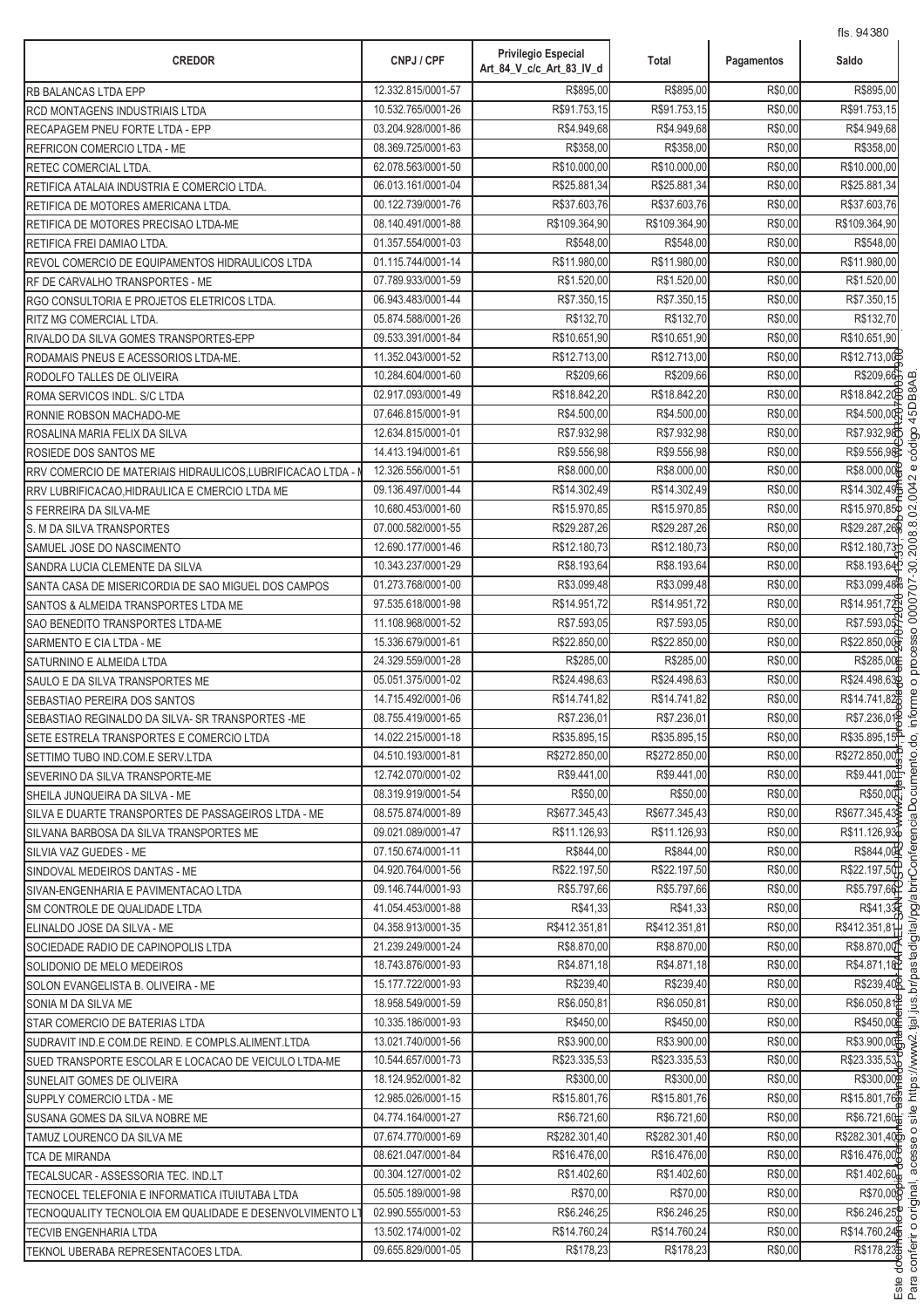| <b>CREDOR</b>                                                        | CNPJ / CPF                               | <b>Privilegio Especial</b>  | Total                       | Pagamentos         | 115.94000<br>Saldo          |
|----------------------------------------------------------------------|------------------------------------------|-----------------------------|-----------------------------|--------------------|-----------------------------|
|                                                                      |                                          | Art_84_V_c/c_Art_83_IV_d    |                             |                    |                             |
| RB BALANCAS LTDA EPP                                                 | 12.332.815/0001-57<br>10.532.765/0001-26 | R\$895,00                   | R\$895,00                   | R\$0,00<br>R\$0,00 | R\$895.00                   |
| RCD MONTAGENS INDUSTRIAIS LTDA                                       | 03.204.928/0001-86                       | R\$91.753,15<br>R\$4.949,68 | R\$91.753,15<br>R\$4.949,68 | R\$0,00            | R\$91.753,15<br>R\$4.949,68 |
| RECAPAGEM PNEU FORTE LTDA - EPP<br>REFRICON COMERCIO LTDA - ME       | 08.369.725/0001-63                       | R\$358,00                   | R\$358.00                   | R\$0,00            | R\$358,00                   |
|                                                                      | 62.078.563/0001-50                       | R\$10.000,00                | R\$10.000,00                | R\$0,00            | R\$10.000,00                |
| RETEC COMERCIAL LTDA.<br>RETIFICA ATALAIA INDUSTRIA E COMERCIO LTDA. | 06.013.161/0001-04                       | R\$25.881,34                | R\$25.881,34                | R\$0,00            | R\$25.881,34                |
| RETIFICA DE MOTORES AMERICANA LTDA.                                  | 00.122.739/0001-76                       | R\$37.603,76                | R\$37.603,76                | R\$0,00            | R\$37.603,76                |
| RETIFICA DE MOTORES PRECISAO LTDA-ME                                 | 08.140.491/0001-88                       | R\$109.364,90               | R\$109.364,90               | R\$0,00            | R\$109.364,90               |
| RETIFICA FREI DAMIAO LTDA.                                           | 01.357.554/0001-03                       | R\$548,00                   | R\$548,00                   | R\$0,00            | R\$548,00                   |
| REVOL COMERCIO DE EQUIPAMENTOS HIDRAULICOS LTDA                      | 01.115.744/0001-14                       | R\$11.980,00                | R\$11.980,00                | R\$0,00            | R\$11.980,00                |
| RF DE CARVALHO TRANSPORTES - ME                                      | 07.789.933/0001-59                       | R\$1.520,00                 | R\$1.520,00                 | R\$0,00            | R\$1.520,00                 |
| RGO CONSULTORIA E PROJETOS ELETRICOS LTDA.                           | 06.943.483/0001-44                       | R\$7.350,15                 | R\$7.350,15                 | R\$0,00            | R\$7.350,15                 |
| RITZ MG COMERCIAL LTDA.                                              | 05.874.588/0001-26                       | R\$132,70                   | R\$132,70                   | R\$0,00            | R\$132,70                   |
| RIVALDO DA SILVA GOMES TRANSPORTES-EPP                               | 09.533.391/0001-84                       | R\$10.651,90                | R\$10.651,90                | R\$0,00            | R\$10.651,90                |
| RODAMAIS PNEUS E ACESSORIOS LTDA-ME.                                 | 11.352.043/0001-52                       | R\$12.713,00                | R\$12.713,00                | R\$0,00            | R\$12.713,00                |
| RODOLFO TALLES DE OLIVEIRA                                           | 10.284.604/0001-60                       | R\$209,66                   | R\$209,66                   | R\$0,00            | R\$209.66                   |
| ROMA SERVICOS INDL. S/C LTDA                                         | 02.917.093/0001-49                       | R\$18.842,20                | R\$18.842,20                | R\$0,00            | R\$18.842,20                |
| RONNIE ROBSON MACHADO-ME                                             | 07.646.815/0001-91                       | R\$4.500,00                 | R\$4.500,00                 | R\$0,00            | R\$4.500,00                 |
| ROSALINA MARIA FELIX DA SILVA                                        | 12.634.815/0001-01                       | R\$7.932,98                 | R\$7.932,98                 | R\$0,00            | R\$7.932,98                 |
| ROSIEDE DOS SANTOS ME                                                | 14.413.194/0001-61                       | R\$9.556,98                 | R\$9.556,98                 | R\$0,00            | R\$9.556,98                 |
| RRV COMERCIO DE MATERIAIS HIDRAULICOS, LUBRIFICACAO LTDA -           | 12.326.556/0001-51                       | R\$8.000,00                 | R\$8.000,00                 | R\$0,00            | R\$8.000,00                 |
| RRV LUBRIFICACAO, HIDRAULICA E CMERCIO LTDA ME                       | 09.136.497/0001-44                       | R\$14.302,49                | R\$14.302,49                | R\$0,00            | R\$14.302,49                |
| S FERREIRA DA SILVA-ME                                               | 10.680.453/0001-60                       | R\$15.970,85                | R\$15.970,85                | R\$0,00            | R\$15.970,85                |
| S. M DA SILVA TRANSPORTES                                            | 07.000.582/0001-55                       | R\$29.287,26                | R\$29.287,26                | R\$0,00            | R\$29.287,26                |
| SAMUEL JOSE DO NASCIMENTO                                            | 12.690.177/0001-46                       | R\$12.180,73                | R\$12.180,73                | R\$0,00            | R\$12.180,73                |
| SANDRA LUCIA CLEMENTE DA SILVA                                       | 10.343.237/0001-29                       | R\$8.193,64                 | R\$8.193,64                 | R\$0,00            | R\$8.193,64                 |
| SANTA CASA DE MISERICORDIA DE SAO MIGUEL DOS CAMPOS                  | 01.273.768/0001-00                       | R\$3.099,48                 | R\$3.099,48                 | R\$0,00            | R\$3.099,48                 |
| SANTOS & ALMEIDA TRANSPORTES LTDA ME                                 | 97.535.618/0001-98                       | R\$14.951,72                | R\$14.951,72                | R\$0,00            | R\$14.951,72                |
| SAO BENEDITO TRANSPORTES LTDA-ME                                     | 11.108.968/0001-52                       | R\$7.593,05                 | R\$7.593,05                 | R\$0,00            | R\$7.593,05                 |
| SARMENTO E CIA LTDA - ME                                             | 15.336.679/0001-61                       | R\$22.850,00                | R\$22.850,00                | R\$0,00            | R\$22.850,00                |
| SATURNINO E ALMEIDA LTDA                                             | 24.329.559/0001-28                       | R\$285,00                   | R\$285,00                   | R\$0,00            | R\$285,00                   |
| SAULO E DA SILVA TRANSPORTES ME                                      | 05.051.375/0001-02                       | R\$24.498,63                | R\$24.498,63                | R\$0,00            | R\$24.498,63                |
| SEBASTIAO PEREIRA DOS SANTOS                                         | 14.715.492/0001-06                       | R\$14.741,82                | R\$14.741,82                | R\$0,00            | R\$14.741,82                |
| SEBASTIAO REGINALDO DA SILVA- SR TRANSPORTES -ME                     | 08.755.419/0001-65                       | R\$7.236,01                 | R\$7.236,01                 | R\$0,00            | R\$7.236,01                 |
| SETE ESTRELA TRANSPORTES E COMERCIO LTDA                             | 14.022.215/0001-18                       | R\$35.895,15                | R\$35.895,15                | R\$0,00            | R\$35.895,15 <sup>P</sup>   |
| SETTIMO TUBO IND.COM.E SERV.LTDA                                     | 04.510.193/0001-81                       | R\$272.850,00               | R\$272.850,00               | R\$0,00            | R\$272.850,00               |
| SEVERINO DA SILVA TRANSPORTE-ME                                      | 12.742.070/0001-02                       | R\$9.441,00                 | R\$9.441,00                 | R\$0,00            | R\$9.441,00                 |
| SHEILA JUNQUEIRA DA SILVA - ME                                       | 08.319.919/0001-54                       | R\$50,00                    | R\$50,00                    | R\$0,00            | R\$50,00                    |
| SILVA E DUARTE TRANSPORTES DE PASSAGEIROS LTDA - ME                  | 08.575.874/0001-89                       | R\$677.345,43               | R\$677.345,43               | R\$0,00            | R\$677.345,43               |
| SILVANA BARBOSA DA SILVA TRANSPORTES ME                              | 09.021.089/0001-47                       | R\$11.126,93                | R\$11.126,93                | R\$0,00            | R\$11.126,93                |
| SILVIA VAZ GUEDES - ME                                               | 07.150.674/0001-11                       | R\$844,00                   | R\$844,00                   | R\$0,00            | R\$844,00                   |
| SINDOVAL MEDEIROS DANTAS - ME                                        | 04.920.764/0001-56                       | R\$22.197.50                | R\$22.197,50                | R\$0,00            | R\$22.197,50                |
| SIVAN-ENGENHARIA E PAVIMENTACAO LTDA                                 | 09.146.744/0001-93                       | R\$5.797.66                 | R\$5.797,66                 | R\$0,00            | R\$5.797.66                 |
| <b>SM CONTROLE DE QUALIDADE LTDA</b>                                 | 41.054.453/0001-88                       | R\$41,33                    | R\$41,33                    | R\$0,00            | R\$41,33                    |
| ELINALDO JOSE DA SILVA - ME                                          | 04.358.913/0001-35                       | R\$412.351.81               | R\$412.351,81               | R\$0,00            | R\$412.351,81               |
| SOCIEDADE RADIO DE CAPINOPOLIS LTDA                                  | 21.239.249/0001-24                       | R\$8.870,00                 | R\$8.870,00                 | R\$0,00            | R\$8.870,00                 |
| SOLIDONIO DE MELO MEDEIROS                                           | 18.743.876/0001-93                       | R\$4.871,18                 | R\$4.871,18                 | R\$0,00            | R\$4.871,18                 |
| SOLON EVANGELISTA B. OLIVEIRA - ME                                   | 15.177.722/0001-93                       | R\$239,40                   | R\$239,40                   | R\$0,00            | R\$239,40                   |
| SONIA M DA SILVA ME                                                  | 18.958.549/0001-59                       | R\$6.050,81                 | R\$6.050,81                 | R\$0,00            | R\$6.050,81                 |
| STAR COMERCIO DE BATERIAS LTDA                                       | 10.335.186/0001-93                       | R\$450,00                   | R\$450,00                   | R\$0,00            | R\$450,00                   |
| SUDRAVIT IND E COM.DE REIND. E COMPLS.ALIMENT.LTDA                   | 13.021.740/0001-56                       | R\$3.900,00                 | R\$3.900,00                 | R\$0,00            | R\$3.900,00                 |
| SUED TRANSPORTE ESCOLAR E LOCACAO DE VEICULO LTDA-ME                 | 10.544.657/0001-73                       | R\$23.335,53                | R\$23.335,53                | R\$0,00            | R\$23.335,53                |
| SUNELAIT GOMES DE OLIVEIRA                                           | 18.124.952/0001-82                       | R\$300,00                   | R\$300,00                   | R\$0,00            | R\$300,00\$                 |
| SUPPLY COMERCIO LTDA - ME                                            | 12.985.026/0001-15                       | R\$15.801,76                | R\$15.801,76                | R\$0,00            | R\$15.801,766               |
| SUSANA GOMES DA SILVA NOBRE ME                                       | 04.774.164/0001-27                       | R\$6.721,60                 | R\$6.721,60                 | R\$0,00            | R\$6.721,60 <sup>+</sup>    |
| TAMUZ LOURENCO DA SILVA ME                                           | 07.674.770/0001-69                       | R\$282.301,40               | R\$282.301,40               | R\$0,00            | R\$282.301,40               |
| <b>TCA DE MIRANDA</b>                                                | 08.621.047/0001-84                       | R\$16.476,00                | R\$16.476,00                | R\$0,00            | R\$16.476,00                |
| TECALSUCAR - ASSESSORIA TEC. IND.LT                                  | 00.304.127/0001-02                       | R\$1.402,60                 | R\$1.402,60                 | R\$0,00            | R\$1.402,60                 |
| TECNOCEL TELEFONIA E INFORMATICA ITUIUTABA LTDA                      | 05.505.189/0001-98                       | R\$70,00                    | R\$70,00                    | R\$0,00            | R\$70,00                    |
| TECNOQUALITY TECNOLOIA EM QUALIDADE E DESENVOLVIMENTO L              | 02.990.555/0001-53                       | R\$6.246,25                 | R\$6.246,25                 | R\$0,00            | R\$6.246,25                 |
| TECVIB ENGENHARIA LTDA                                               | 13.502.174/0001-02                       | R\$14.760,24                | R\$14.760,24                | R\$0,00            | R\$14.760,24                |
| TEKNOL UBERABA REPRESENTACOES LTDA.                                  | 09.655.829/0001-05                       | R\$178,23                   | R\$178,23                   | R\$0,00            | R\$178,23                   |

.<br>.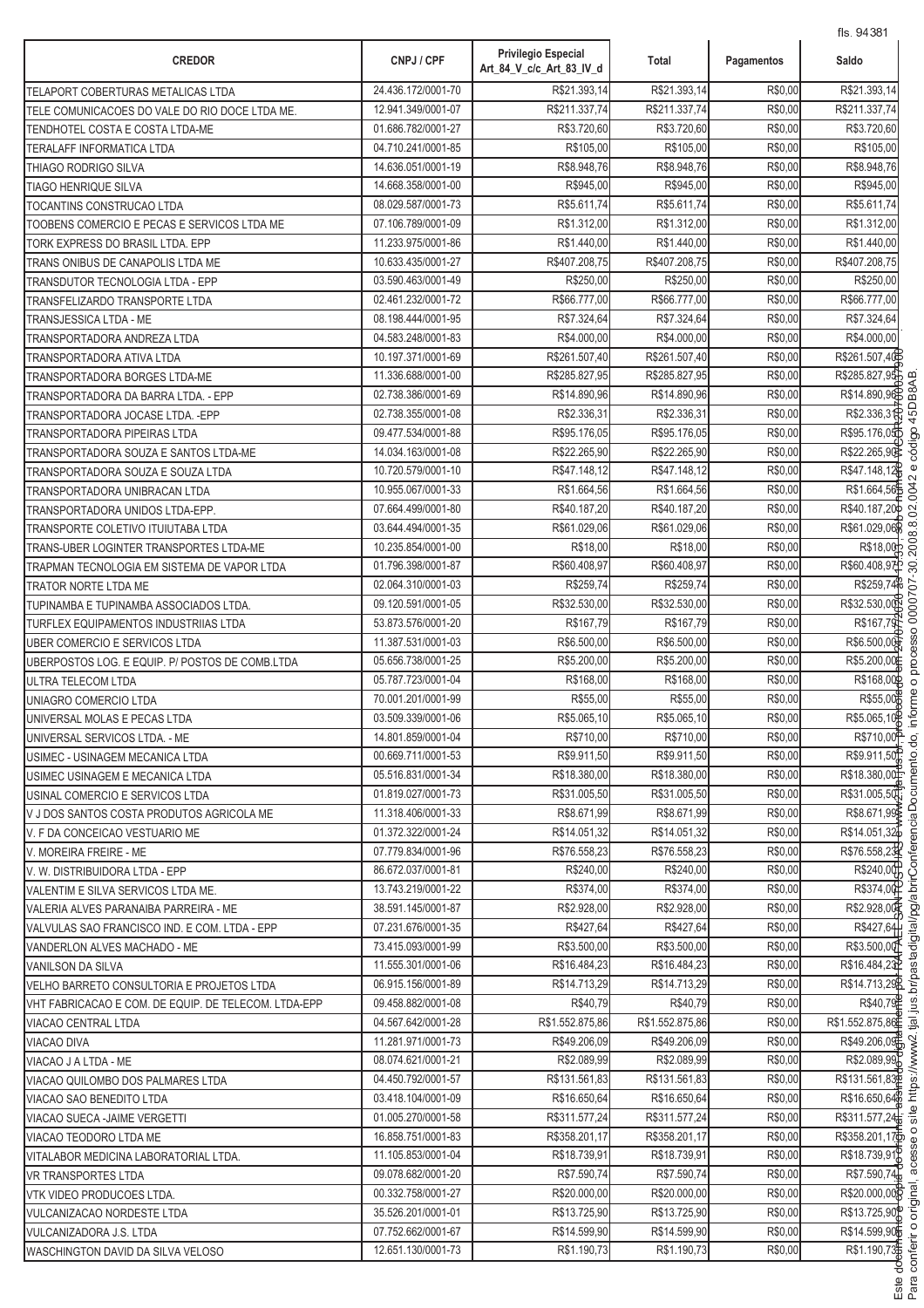| <b>CREDOR</b>                                        | CNPJ / CPF         | <b>Privilegio Especial</b><br>Art_84_V_c/c_Art_83_IV_d | Total           | Pagamentos | 113.34001<br>Saldo          |
|------------------------------------------------------|--------------------|--------------------------------------------------------|-----------------|------------|-----------------------------|
| TELAPORT COBERTURAS METALICAS LTDA                   | 24.436.172/0001-70 | R\$21.393,14                                           | R\$21.393,14    | R\$0,00    | R\$21.393,14                |
| TELE COMUNICACOES DO VALE DO RIO DOCE LTDA ME.       | 12.941.349/0001-07 | R\$211.337,74                                          | R\$211.337,74   | R\$0,00    | R\$211.337,74               |
| TENDHOTEL COSTA E COSTA LTDA-ME                      | 01.686.782/0001-27 | R\$3.720,60                                            | R\$3.720,60     | R\$0,00    | R\$3.720,60                 |
| TERALAFF INFORMATICA LTDA                            | 04.710.241/0001-85 | R\$105,00                                              | R\$105,00       | R\$0,00    | R\$105,00                   |
| THIAGO RODRIGO SILVA                                 | 14.636.051/0001-19 | R\$8.948,76                                            | R\$8.948,76     | R\$0,00    | R\$8.948,76                 |
| <b>TIAGO HENRIQUE SILVA</b>                          | 14.668.358/0001-00 | R\$945,00                                              | R\$945,00       | R\$0,00    | R\$945,00                   |
| TOCANTINS CONSTRUCAO LTDA                            | 08.029.587/0001-73 | R\$5.611,74                                            | R\$5.611,74     | R\$0,00    | R\$5.611,74                 |
| TOOBENS COMERCIO E PECAS E SERVICOS LTDA ME          | 07.106.789/0001-09 | R\$1.312,00                                            | R\$1.312,00     | R\$0,00    | R\$1.312,00                 |
| TORK EXPRESS DO BRASIL LTDA. EPP                     | 11.233.975/0001-86 | R\$1.440,00                                            | R\$1.440,00     | R\$0,00    | R\$1.440,00                 |
| TRANS ONIBUS DE CANAPOLIS LTDA ME                    | 10.633.435/0001-27 | R\$407.208,75                                          | R\$407.208,75   | R\$0,00    | R\$407.208,75               |
| TRANSDUTOR TECNOLOGIA LTDA - EPP                     | 03.590.463/0001-49 | R\$250,00                                              | R\$250,00       | R\$0,00    | R\$250,00                   |
| TRANSFELIZARDO TRANSPORTE LTDA                       | 02.461.232/0001-72 | R\$66.777,00                                           | R\$66.777,00    | R\$0,00    | R\$66.777,00                |
| TRANSJESSICA LTDA - ME                               | 08.198.444/0001-95 | R\$7.324,64                                            | R\$7.324,64     | R\$0,00    | R\$7.324,64                 |
| TRANSPORTADORA ANDREZA LTDA                          | 04.583.248/0001-83 | R\$4.000,00                                            | R\$4.000,00     | R\$0,00    | R\$4.000,00                 |
| TRANSPORTADORA ATIVA LTDA                            | 10.197.371/0001-69 | R\$261.507,40                                          | R\$261.507,40   | R\$0,00    | R\$261.507,40E              |
| TRANSPORTADORA BORGES LTDA-ME                        | 11.336.688/0001-00 | R\$285.827,95                                          | R\$285.827,95   | R\$0,00    | R\$285.827,95               |
| TRANSPORTADORA DA BARRA LTDA. - EPP                  | 02.738.386/0001-69 | R\$14.890,96                                           | R\$14.890.96    | R\$0,00    | R\$14.890,96                |
| TRANSPORTADORA JOCASE LTDA. - EPP                    | 02.738.355/0001-08 | R\$2.336,31                                            | R\$2.336,31     | R\$0,00    | R\$2.336,31                 |
| TRANSPORTADORA PIPEIRAS LTDA                         | 09.477.534/0001-88 | R\$95.176,05                                           | R\$95.176,05    | R\$0,00    | R\$95.176,05                |
| TRANSPORTADORA SOUZA E SANTOS LTDA-ME                | 14.034.163/0001-08 | R\$22.265,90                                           | R\$22.265,90    | R\$0,00    | R\$22.265,90                |
| TRANSPORTADORA SOUZA E SOUZA LTDA                    | 10.720.579/0001-10 | R\$47.148,12                                           | R\$47.148.12    | R\$0,00    | R\$47.148,12                |
| TRANSPORTADORA UNIBRACAN LTDA                        | 10.955.067/0001-33 | R\$1.664,56                                            | R\$1.664,56     | R\$0,00    | R\$1.664,56                 |
| TRANSPORTADORA UNIDOS LTDA-EPP.                      | 07.664.499/0001-80 | R\$40.187,20                                           | R\$40.187,20    | R\$0,00    | R\$40.187,20                |
| TRANSPORTE COLETIVO ITUIUTABA LTDA                   | 03.644.494/0001-35 | R\$61.029,06                                           | R\$61.029,06    | R\$0,00    | R\$61.029,06                |
| TRANS-UBER LOGINTER TRANSPORTES LTDA-ME              | 10.235.854/0001-00 | R\$18,00                                               | R\$18,00        | R\$0,00    | R\$18,00                    |
| TRAPMAN TECNOLOGIA EM SISTEMA DE VAPOR LTDA          | 01.796.398/0001-87 | R\$60.408,97                                           | R\$60.408,97    | R\$0,00    | R\$60.408,97                |
| TRATOR NORTE LTDA ME                                 | 02.064.310/0001-03 | R\$259,74                                              | R\$259,74       | R\$0,00    | R\$259,74                   |
| TUPINAMBA E TUPINAMBA ASSOCIADOS LTDA.               | 09.120.591/0001-05 | R\$32.530,00                                           | R\$32.530,00    | R\$0,00    | R\$32.530,00                |
| TURFLEX EQUIPAMENTOS INDUSTRIIAS LTDA                | 53.873.576/0001-20 | R\$167,79                                              | R\$167,79       | R\$0,00    | R\$167,79                   |
| <b>UBER COMERCIO E SERVICOS LTDA</b>                 | 11.387.531/0001-03 | R\$6.500,00                                            | R\$6.500,00     | R\$0,00    | R\$6.500,00                 |
| UBERPOSTOS LOG. E EQUIP. P/ POSTOS DE COMB.LTDA      | 05.656.738/0001-25 | R\$5.200,00                                            | R\$5.200,00     | R\$0,00    | R\$5.200,00                 |
| ULTRA TELECOM LTDA                                   | 05.787.723/0001-04 | R\$168,00                                              | R\$168,00       | R\$0,00    | R\$168,00                   |
| UNIAGRO COMERCIO LTDA                                | 70.001.201/0001-99 | R\$55,00                                               | R\$55,00        | R\$0,00    | R\$55,00                    |
| UNIVERSAL MOLAS E PECAS LTDA                         | 03.509.339/0001-06 | R\$5.065,10                                            | R\$5.065,10     | R\$0,00    | R\$5.065,10                 |
| UNIVERSAL SERVICOS LTDA. - ME                        | 14.801.859/0001-04 | R\$710,00                                              | R\$710,00       | R\$0,00    | R\$710,00 <sup>2</sup>      |
| USIMEC - USINAGEM MECANICA LTDA                      | 00.669.711/0001-53 | R\$9.911,50                                            | R\$9.911.50     | R\$0,00    | R\$9.911,50 <sup>P</sup>    |
| USIMEC USINAGEM E MECANICA LTDA                      | 05.516.831/0001-34 | R\$18.380,00                                           | R\$18.380,00    | R\$0,00    | R\$18.380,00                |
| USINAL COMERCIO E SERVICOS LTDA                      | 01.819.027/0001-73 | R\$31.005,50                                           | R\$31.005,50    | R\$0,00    | R\$31.005,50                |
| V J DOS SANTOS COSTA PRODUTOS AGRICOLA ME            | 11.318.406/0001-33 | R\$8.671,99                                            | R\$8.671,99     | R\$0,00    | R\$8.671,99                 |
| V. F DA CONCEICAO VESTUARIO ME                       | 01.372.322/0001-24 | R\$14.051,32                                           | R\$14.051,32    | R\$0,00    | R\$14.051,32                |
| V. MOREIRA FREIRE - ME                               | 07.779.834/0001-96 | R\$76.558,23                                           | R\$76.558,23    | R\$0,00    | R\$76.558,23                |
| V. W. DISTRIBUIDORA LTDA - EPP                       | 86.672.037/0001-81 | R\$240,00                                              | R\$240,00       | R\$0,00    | R\$240,00                   |
| VALENTIM E SILVA SERVICOS LTDA ME.                   | 13.743.219/0001-22 | R\$374,00                                              | R\$374,00       | R\$0,00    | R\$374,00                   |
| VALERIA ALVES PARANAIBA PARREIRA - ME                | 38.591.145/0001-87 | R\$2.928.00                                            | R\$2.928,00     | R\$0,00    | R\$2.928,00                 |
| VALVULAS SAO FRANCISCO IND. E COM. LTDA - EPP        | 07.231.676/0001-35 | R\$427,64                                              | R\$427,64       | R\$0,00    | R\$427,64                   |
| VANDERLON ALVES MACHADO - ME                         | 73.415.093/0001-99 | R\$3.500,00                                            | R\$3.500,00     | R\$0,00    | R\$3.500,00                 |
| VANILSON DA SILVA                                    | 11.555.301/0001-06 | R\$16.484,23                                           | R\$16.484,23    | R\$0,00    | R\$16.484,23P               |
| VELHO BARRETO CONSULTORIA E PROJETOS LTDA            | 06.915.156/0001-89 | R\$14.713,29                                           | R\$14.713,29    | R\$0,00    | R\$14.713,29                |
| VHT FABRICACAO E COM. DE EQUIP. DE TELECOM. LTDA-EPP | 09.458.882/0001-08 | R\$40,79                                               | R\$40,79        | R\$0,00    | R\$40,79                    |
| VIACAO CENTRAL LTDA                                  | 04.567.642/0001-28 | R\$1.552.875,86                                        | R\$1.552.875,86 | R\$0,00    | R\$1.552.875,86             |
| VIACAO DIVA                                          | 11.281.971/0001-73 | R\$49.206,09                                           | R\$49.206,09    | R\$0,00    | R\$49.206,09                |
| VIACAO J A LTDA - ME                                 | 08.074.621/0001-21 | R\$2.089,99                                            | R\$2.089,99     | R\$0,00    | R\$2.089,99                 |
| VIACAO QUILOMBO DOS PALMARES LTDA                    | 04.450.792/0001-57 | R\$131.561,83                                          | R\$131.561,83   | R\$0,00    | R\$131.561,839              |
| VIACAO SAO BENEDITO LTDA                             | 03.418.104/0001-09 | R\$16.650,64                                           | R\$16.650,64    | R\$0,00    | R\$16.650,646               |
| VIACAO SUECA - JAIME VERGETTI                        | 01.005.270/0001-58 | R\$311.577,24                                          | R\$311.577,24   | R\$0,00    | R\$311.577,24               |
| VIACAO TEODORO LTDA ME                               | 16.858.751/0001-83 | R\$358.201,17                                          | R\$358.201,17   | R\$0,00    | R\$358.201,17 <sup>th</sup> |
| VITALABOR MEDICINA LABORATORIAL LTDA.                | 11.105.853/0001-04 | R\$18.739,91                                           | R\$18.739,91    | R\$0,00    | R\$18.739,91)               |
| <b>VR TRANSPORTES LTDA</b>                           | 09.078.682/0001-20 | R\$7.590,74                                            | R\$7.590,74     | R\$0,00    | R\$7.590,74                 |
| VTK VIDEO PRODUCOES LTDA.                            | 00.332.758/0001-27 | R\$20.000,00                                           | R\$20.000,00    | R\$0,00    | R\$20.000,00R               |
| <b>VULCANIZACAO NORDESTE LTDA</b>                    | 35.526.201/0001-01 | R\$13.725,90                                           | R\$13.725,90    | R\$0,00    | R\$13.725,90                |
| VULCANIZADORA J.S. LTDA                              | 07.752.662/0001-67 | R\$14.599,90                                           | R\$14.599,90    | R\$0,00    | R\$14.599,90                |
| <b>WASCHINGTON DAVID DA SILVA VELOSO</b>             | 12.651.130/0001-73 | R\$1.190,73                                            | R\$1.190,73     | R\$0,00    | R\$1.190,73                 |
|                                                      |                    |                                                        |                 |            |                             |

.<br>.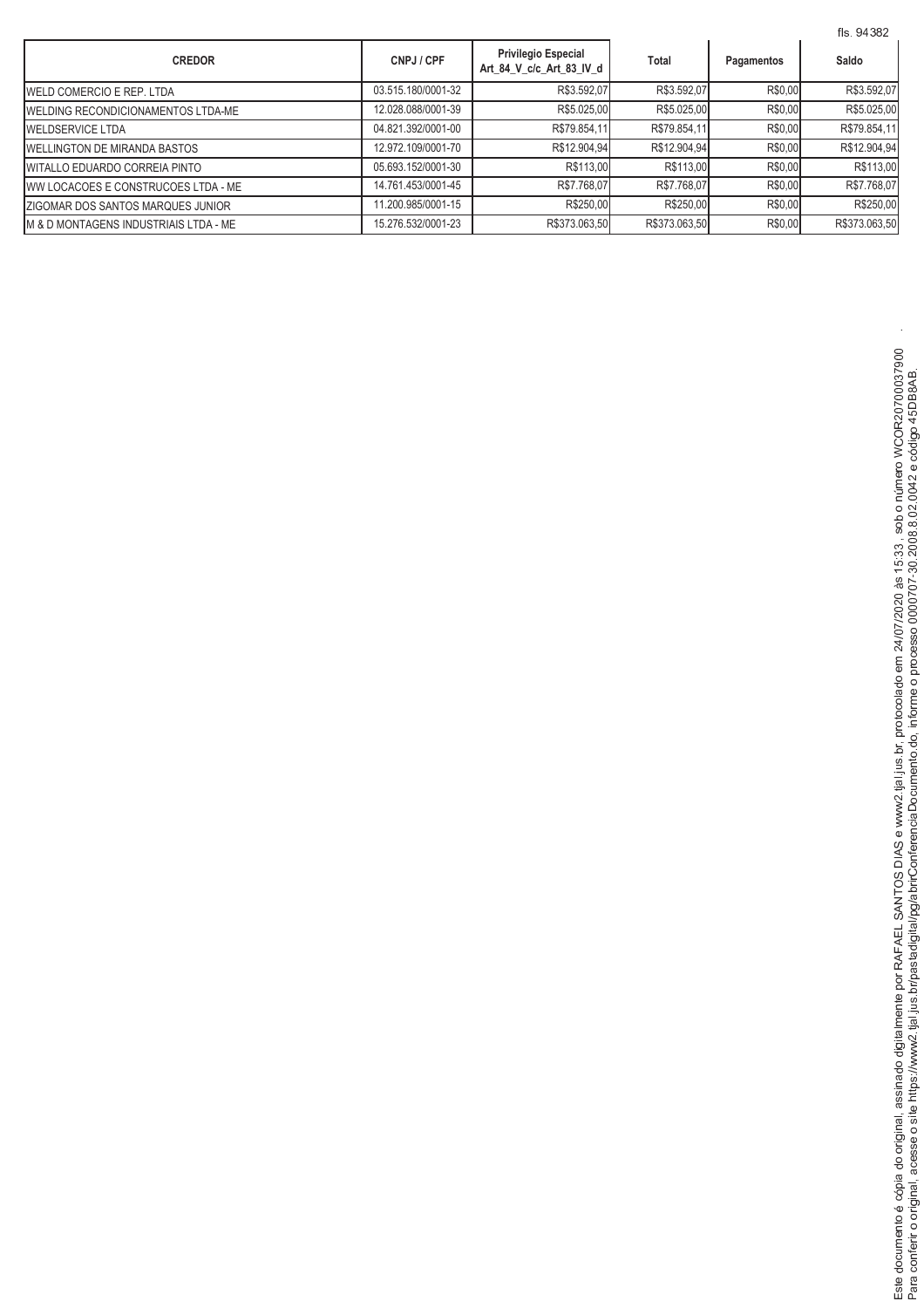|                                           |                    |                                                        |               | fls. 94382 |               |
|-------------------------------------------|--------------------|--------------------------------------------------------|---------------|------------|---------------|
| <b>CREDOR</b>                             | CNPJ / CPF         | <b>Privilegio Especial</b><br>Art 84 V c/c Art 83 IV d | <b>Total</b>  | Pagamentos | Saldo         |
| <b>WELD COMERCIO E REP. LTDA</b>          | 03.515.180/0001-32 | R\$3.592,07                                            | R\$3.592,07   | R\$0,00    | R\$3.592,07   |
| <b>WELDING RECONDICIONAMENTOS LTDA-ME</b> | 12.028.088/0001-39 | R\$5.025,00                                            | R\$5.025,00   | R\$0,00    | R\$5.025,00   |
| <b>WELDSERVICE LTDA</b>                   | 04.821.392/0001-00 | R\$79.854,11                                           | R\$79.854,11  | R\$0,00    | R\$79.854,11  |
| <b>IWELLINGTON DE MIRANDA BASTOS</b>      | 12.972.109/0001-70 | R\$12.904,94                                           | R\$12.904,94  | R\$0,00    | R\$12.904,94  |
| WITALLO EDUARDO CORREIA PINTO             | 05.693.152/0001-30 | R\$113,00                                              | R\$113,00     | R\$0.00    | R\$113,00     |
| WW LOCACOES E CONSTRUCOES LTDA - ME       | 14.761.453/0001-45 | R\$7.768,07                                            | R\$7.768,07   | R\$0,00    | R\$7.768,07   |
| ZIGOMAR DOS SANTOS MARQUES JUNIOR         | 11.200.985/0001-15 | R\$250,00                                              | R\$250,00     | R\$0,00    | R\$250,00     |
| M & D MONTAGENS INDUSTRIAIS LTDA - ME     | 15.276.532/0001-23 | R\$373.063,50                                          | R\$373.063,50 | R\$0,00    | R\$373.063,50 |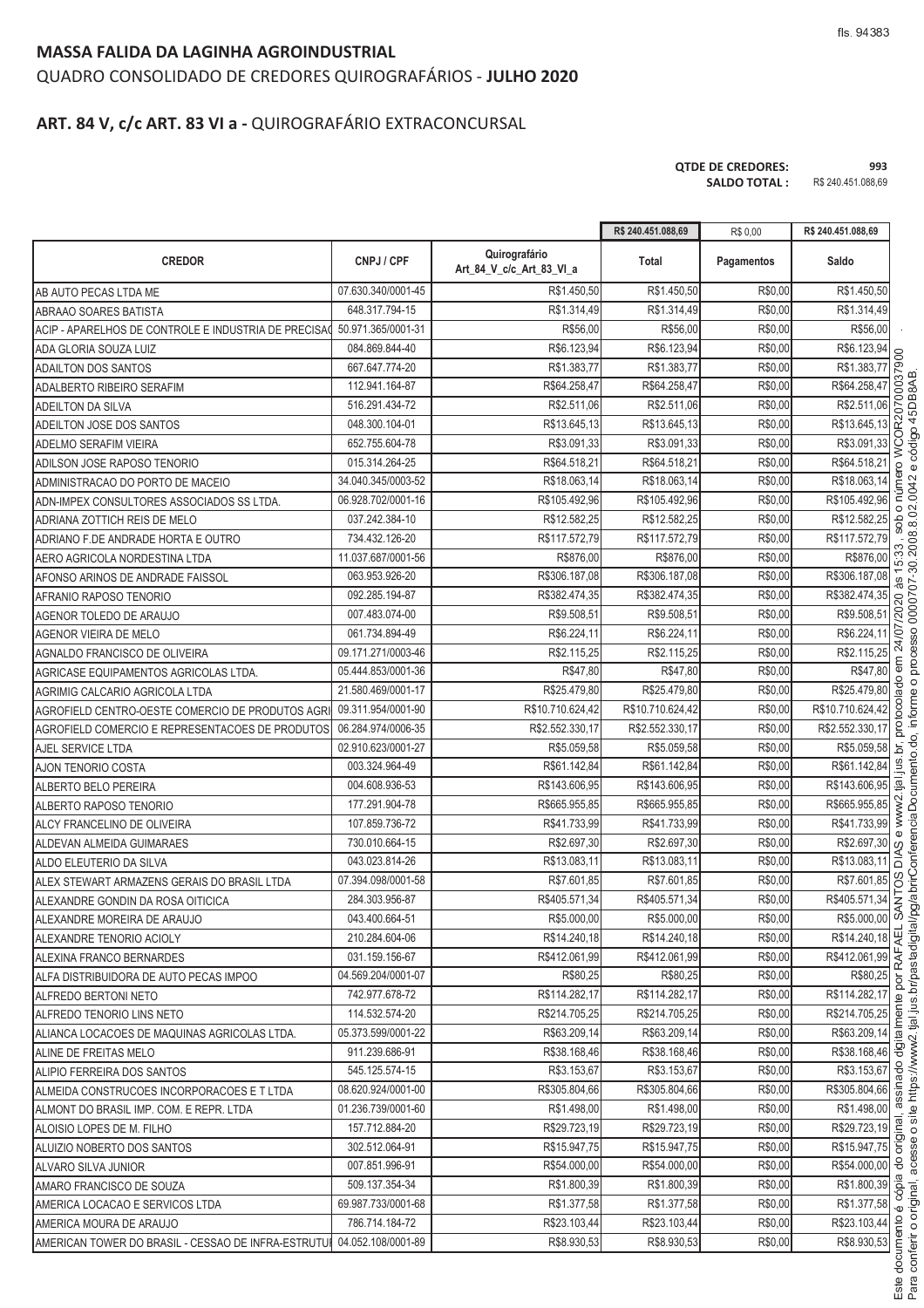#### **MASSA FALIDA DA LAGINHA AGROINDUSTRIAL**

# QUADRO CONSOLIDADO DE CREDORES QUIROGRAFÁRIOS - **JULHO 2020**

# **ART. 84 V, c/c ART. 83 VI a -** QUIROGRAFÁRIO EXTRACONCURSAL

| <b>OTDE DE CREDORES:</b> | 993                |
|--------------------------|--------------------|
| <b>SALDO TOTAL :</b>     | R\$ 240.451.088,69 |

|                                                                        |                    |                                           | R\$ 240.451.088,69 | R\$ 0,00   | R\$ 240.451.088,69              |
|------------------------------------------------------------------------|--------------------|-------------------------------------------|--------------------|------------|---------------------------------|
| <b>CREDOR</b>                                                          | CNPJ / CPF         | Quirografário<br>Art 84 V c/c Art 83 VI a | Total              | Pagamentos | Saldo                           |
| AB AUTO PECAS LTDA ME                                                  | 07.630.340/0001-45 | R\$1.450,50                               | R\$1.450,50        | R\$0,00    | R\$1.450,50                     |
| <b>ABRAAO SOARES BATISTA</b>                                           | 648.317.794-15     | R\$1.314,49                               | R\$1.314,49        | R\$0,00    | R\$1.314,49                     |
| ACIP - APARELHOS DE CONTROLE E INDUSTRIA DE PRECISAC                   | 50.971.365/0001-31 | R\$56,00                                  | R\$56,00           | R\$0,00    | R\$56,00                        |
| ADA GLORIA SOUZA LUIZ                                                  | 084.869.844-40     | R\$6.123,94                               | R\$6.123,94        | R\$0,00    | R\$6.123,94<br>$\beta$          |
| <b>ADAILTON DOS SANTOS</b>                                             | 667.647.774-20     | R\$1.383,77                               | R\$1.383,77        | R\$0,00    | R\$1.383,77                     |
| ADALBERTO RIBEIRO SERAFIM                                              | 112.941.164-87     | R\$64.258,47                              | R\$64.258,47       | R\$0,00    | R\$64.258,47                    |
| ADEILTON DA SILVA                                                      | 516.291.434-72     | R\$2.511,06                               | R\$2.511,06        | R\$0,00    | R\$2.511,06<br>b                |
| ADEILTON JOSE DOS SANTOS                                               | 048.300.104-01     | R\$13.645,13                              | R\$13.645,13       | R\$0,00    | 설<br>R\$13.645,13               |
| ADELMO SERAFIM VIEIRA                                                  | 652.755.604-78     | R\$3.091,33                               | R\$3.091,33        | R\$0,00    | R\$3.091,33<br>Š                |
| ADILSON JOSE RAPOSO TENORIO                                            | 015.314.264-25     | R\$64.518,21                              | R\$64.518,21       | R\$0,00    | R\$64.518,21                    |
| ADMINISTRACAO DO PORTO DE MACEIO                                       | 34.040.345/0003-52 | R\$18.063,14                              | R\$18.063,14       | R\$0,00    | R\$18.063,14                    |
| ADN-IMPEX CONSULTORES ASSOCIADOS SS LTDA.                              | 06.928.702/0001-16 | R\$105.492,96                             | R\$105.492,96      | R\$0,00    | R\$105.492,96                   |
| ADRIANA ZOTTICH REIS DE MELO                                           | 037.242.384-10     | R\$12.582,25                              | R\$12.582,25       | R\$0,00    | R\$12.582,25<br>8               |
| ADRIANO F.DE ANDRADE HORTA E OUTRO                                     | 734.432.126-20     | R\$117.572,79                             | R\$117.572,79      | R\$0,00    | R\$117.572,79                   |
| AERO AGRICOLA NORDESTINA LTDA                                          | 11.037.687/0001-56 | R\$876,00                                 | R\$876,00          | R\$0,00    | ္က<br>R\$876,00                 |
| AFONSO ARINOS DE ANDRADE FAISSOL                                       | 063.953.926-20     | R\$306.187,08                             | R\$306.187,08      | R\$0,00    | R\$306.187,08                   |
| AFRANIO RAPOSO TENORIO                                                 | 092.285.194-87     | R\$382.474,35                             | R\$382.474,35      | R\$0,00    | R\$382.474,35                   |
| AGENOR TOLEDO DE ARAUJO                                                | 007.483.074-00     | R\$9.508,51                               | R\$9.508,51        | R\$0,00    | R\$9.508,51                     |
| AGENOR VIEIRA DE MELO                                                  | 061.734.894-49     | R\$6.224,11                               | R\$6.224,11        | R\$0,00    | <b>S</b><br>R\$6.224,11         |
| AGNALDO FRANCISCO DE OLIVEIRA                                          | 09.171.271/0003-46 | R\$2.115,25                               | R\$2.115,25        | R\$0,00    | R\$2.115,25                     |
| AGRICASE EQUIPAMENTOS AGRICOLAS LTDA.                                  | 05.444.853/0001-36 | R\$47,80                                  | R\$47,80           | R\$0,00    | R\$47,80                        |
| AGRIMIG CALCARIO AGRICOLA LTDA                                         | 21.580.469/0001-17 | R\$25.479,80                              | R\$25.479,80       | R\$0,00    | R\$25.479,80                    |
| AGROFIELD CENTRO-OESTE COMERCIO DE PRODUTOS AGR                        | 09.311.954/0001-90 | R\$10.710.624,42                          | R\$10.710.624,42   | R\$0,00    | R\$10.710.624,42                |
| AGROFIELD COMERCIO E REPRESENTACOES DE PRODUTOS                        | 06.284.974/0006-35 | R\$2.552.330,17                           | R\$2.552.330,17    | R\$0,00    | R\$2.552.330,17                 |
| AJEL SERVICE LTDA                                                      | 02.910.623/0001-27 | R\$5.059,58                               | R\$5.059,58        | R\$0,00    | R\$5.059,58<br>흐                |
| <b>AJON TENORIO COSTA</b>                                              | 003.324.964-49     | R\$61.142,84                              | R\$61.142,84       | R\$0,00    | R\$61.142,84                    |
| ALBERTO BELO PEREIRA                                                   | 004.608.936-53     | R\$143.606,95                             | R\$143.606,95      | R\$0,00    | $\overline{a}$<br>R\$143.606,95 |
| ALBERTO RAPOSO TENORIO                                                 | 177.291.904-78     | R\$665.955,85                             | R\$665.955,85      | R\$0,00    | R\$665.955,85                   |
| ALCY FRANCELINO DE OLIVEIRA                                            | 107.859.736-72     | R\$41.733,99                              | R\$41.733,99       | R\$0,00    | R\$41.733,99                    |
| ALDEVAN ALMEIDA GUIMARAES                                              | 730.010.664-15     | R\$2.697,30                               | R\$2.697,30        | R\$0,00    | R\$2.697,30<br><sub>(</sub>     |
| ALDO ELEUTERIO DA SILVA                                                | 043.023.814-26     | R\$13.083,11                              | R\$13.083,11       | R\$0,00    | R\$13.083,11<br>lā              |
| ALEX STEWART ARMAZENS GERAIS DO BRASIL LTDA                            | 07.394.098/0001-58 | R\$7.601,85                               | R\$7.601,85        | R\$0,00    | 8<br>R\$7.601,85                |
| ALEXANDRE GONDIN DA ROSA OITICICA                                      | 284.303.956-87     | R\$405.571,34                             | R\$405.571,34      | R\$0,00    | R\$405.571,34                   |
| ALEXANDRE MOREIRA DE ARAUJO                                            | 043.400.664-51     | R\$5.000,00                               | R\$5.000,00        | R\$0,00    | R\$5.000,00 0                   |
| ALEXANDRE TENORIO ACIOLY                                               | 210.284.604-06     | R\$14.240,18                              | R\$14.240,18       | R\$0,00    | R\$14.240,18                    |
| ALEXINA FRANCO BERNARDES                                               | 031.159.156-67     | R\$412.061.99                             | R\$412.061.99      | R\$0,00    | R\$412.061,99 ~                 |
| ALFA DISTRIBUIDORA DE AUTO PECAS IMPOO                                 | 04.569.204/0001-07 | R\$80,25                                  | R\$80,25           | R\$0,00    | R\$80,25                        |
| ALFREDO BERTONI NETO                                                   | 742.977.678-72     | R\$114.282,17                             | R\$114.282,17      | R\$0,00    | R\$114.282,17                   |
| ALFREDO TENORIO LINS NETO                                              | 114.532.574-20     | R\$214.705,25                             | R\$214.705,25      | R\$0,00    | R\$214.705,25                   |
| ALIANCA LOCACOES DE MAQUINAS AGRICOLAS LTDA.                           | 05.373.599/0001-22 | R\$63.209.14                              | R\$63.209,14       | R\$0,00    | R\$63.209,14 忌                  |
| ALINE DE FREITAS MELO                                                  | 911.239.686-91     | R\$38.168,46                              | R\$38.168,46       | R\$0,00    | R\$38.168,46                    |
| ALIPIO FERREIRA DOS SANTOS                                             | 545.125.574-15     | R\$3.153,67                               | R\$3.153,67        | R\$0,00    | R\$3.153,67                     |
| ALMEIDA CONSTRUCOES INCORPORACOES E T LTDA                             | 08.620.924/0001-00 | R\$305.804,66                             | R\$305.804,66      | R\$0,00    | R\$305.804,66                   |
| ALMONT DO BRASIL IMP. COM. E REPR. LTDA                                | 01.236.739/0001-60 | R\$1.498,00                               | R\$1.498,00        | R\$0,00    | R\$1.498,00                     |
| ALOISIO LOPES DE M. FILHO                                              | 157.712.884-20     | R\$29.723,19                              | R\$29.723,19       | R\$0,00    | R\$29.723,19                    |
| ALUIZIO NOBERTO DOS SANTOS                                             | 302.512.064-91     | R\$15.947,75                              | R\$15.947,75       | R\$0,00    | R\$15.947,75 5                  |
| ALVARO SILVA JUNIOR                                                    | 007.851.996-91     | R\$54.000,00                              | R\$54.000,00       | R\$0,00    | R\$54.000,00 응                  |
| AMARO FRANCISCO DE SOUZA                                               | 509.137.354-34     | R\$1.800,39                               | R\$1.800,39        | R\$0,00    | $\frac{R$1.800,39}{R$3}$        |
| AMERICA LOCACAO E SERVICOS LTDA                                        | 69.987.733/0001-68 | R\$1.377,58                               | R\$1.377,58        | R\$0,00    | R\$1.377,58 .0                  |
| AMERICA MOURA DE ARAUJO                                                | 786.714.184-72     | R\$23.103,44                              | R\$23.103,44       | R\$0,00    | R\$23.103,44                    |
| AMERICAN TOWER DO BRASIL - CESSAO DE INFRA-ESTRUTUI 04.052.108/0001-89 |                    | R\$8.930,53                               | R\$8.930,53        | R\$0,00    | R\$8.930,53                     |

nferir o original. <sup>C</sup> <sup>K</sup> <sup>G</sup> <sup>L</sup> <sup>F</sup>  $\frac{1}{2}$ tial ius br/p  $\overline{\phantom{a}}$ where the contract of the contract of the contract of the contract of the contract of the contract of the contract of the contract of the contract of the contract of the contract of the contract of the contract of the cont <sup>V</sup> <sup>A</sup> <sup>G</sup> <sup>A</sup> <sup>X</sup> <sup>C</sup> <sup>D</sup> <sup>E</sup> <sup>F</sup> AF <sup>D</sup> <sup>B</sup> <sup>G</sup> @ <sup>Y</sup> <sup>C</sup> <sup>B</sup> <sup>U</sup> ento do. inform n processo 0000707-30.2008 8 02 0042 :<br>' a<sub>5</sub><br>DB8<br>AB <sup>W</sup> <sup>C</sup> <sup>B</sup> <sup>U</sup>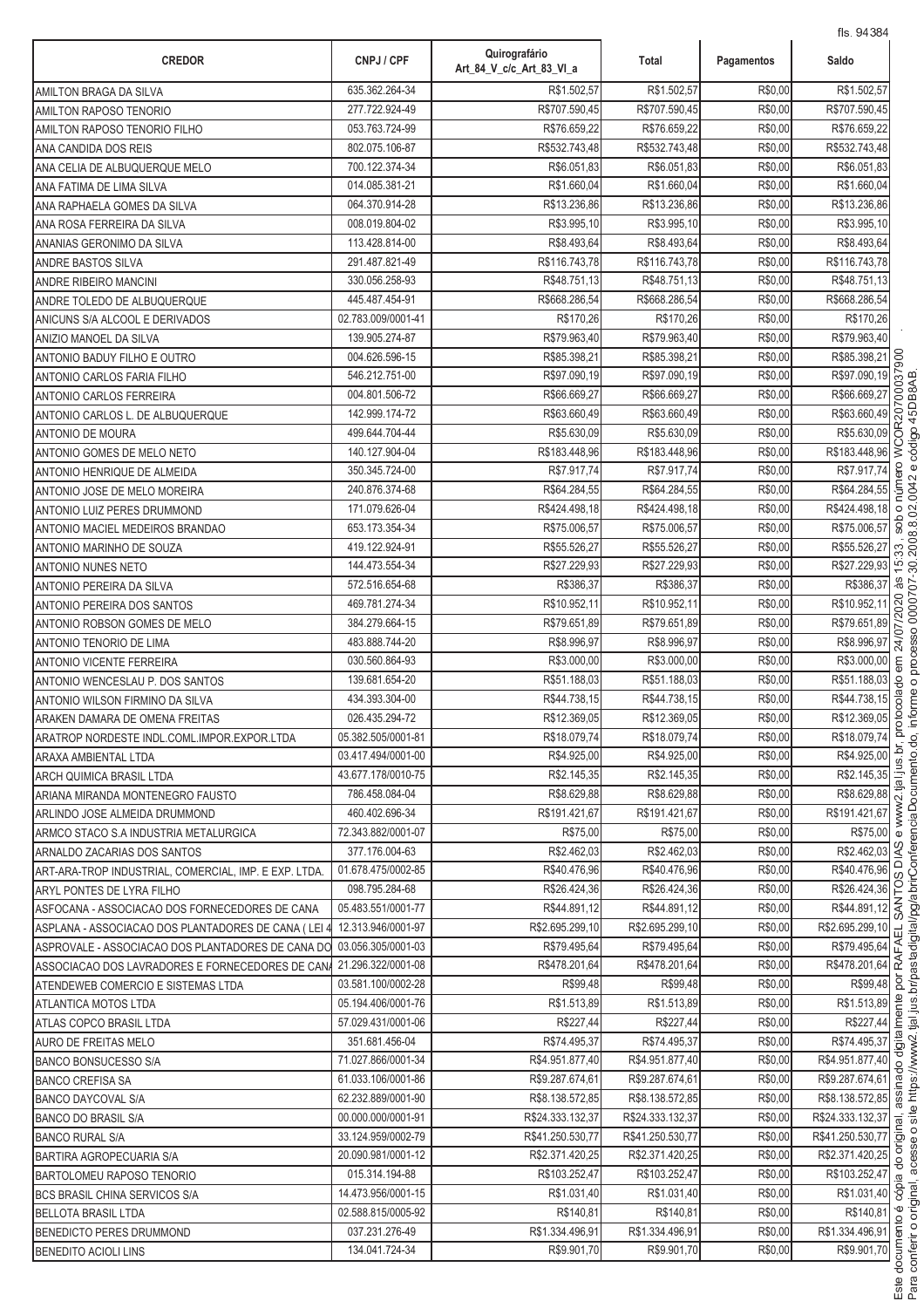| <b>CREDOR</b>                                                        | CNPJ / CPF         | Quirografário<br>Art_84_V_c/c_Art_83_VI_a | Total            | Pagamentos | 113. 9490<br>Saldo                 |                     |
|----------------------------------------------------------------------|--------------------|-------------------------------------------|------------------|------------|------------------------------------|---------------------|
| <b>AMILTON BRAGA DA SILVA</b>                                        | 635.362.264-34     | R\$1.502,57                               | R\$1.502,57      | R\$0,00    | R\$1.502,57                        |                     |
| <b>AMILTON RAPOSO TENORIO</b>                                        | 277.722.924-49     | R\$707.590,45                             | R\$707.590,45    | R\$0,00    | R\$707.590,45                      |                     |
| AMILTON RAPOSO TENORIO FILHO                                         | 053.763.724-99     | R\$76.659.22                              | R\$76.659,22     | R\$0,00    | R\$76.659,22                       |                     |
| ANA CANDIDA DOS REIS                                                 | 802.075.106-87     | R\$532.743,48                             | R\$532.743,48    | R\$0,00    | R\$532.743,48                      |                     |
| ANA CELIA DE ALBUQUERQUE MELO                                        | 700.122.374-34     | R\$6.051,83                               | R\$6.051,83      | R\$0,00    | R\$6.051,83                        |                     |
| ANA FATIMA DE LIMA SILVA                                             | 014.085.381-21     | R\$1.660,04                               | R\$1.660,04      | R\$0,00    | R\$1.660,04                        |                     |
| ANA RAPHAELA GOMES DA SILVA                                          | 064.370.914-28     | R\$13.236,86                              | R\$13.236,86     | R\$0,00    | R\$13.236,86                       |                     |
| ANA ROSA FERREIRA DA SILVA                                           | 008.019.804-02     | R\$3.995,10                               | R\$3.995.10      | R\$0,00    | R\$3.995,10                        |                     |
| ANANIAS GERONIMO DA SILVA                                            | 113.428.814-00     | R\$8.493,64                               | R\$8.493,64      | R\$0,00    | R\$8.493,64                        |                     |
| <b>ANDRE BASTOS SILVA</b>                                            | 291.487.821-49     | R\$116.743,78                             | R\$116.743.78    | R\$0,00    | R\$116.743,78                      |                     |
| <b>ANDRE RIBEIRO MANCINI</b>                                         | 330.056.258-93     | R\$48.751,13                              | R\$48.751,13     | R\$0,00    | R\$48.751,13                       |                     |
| ANDRE TOLEDO DE ALBUQUERQUE                                          | 445.487.454-91     | R\$668.286,54                             | R\$668.286,54    | R\$0,00    | R\$668.286,54                      |                     |
| ANICUNS S/A ALCOOL E DERIVADOS                                       | 02.783.009/0001-41 | R\$170,26                                 | R\$170,26        | R\$0,00    | R\$170,26                          |                     |
| ANIZIO MANOEL DA SILVA                                               | 139.905.274-87     | R\$79.963,40                              | R\$79.963,40     | R\$0,00    | R\$79.963,40                       |                     |
| ANTONIO BADUY FILHO E OUTRO                                          | 004.626.596-15     | R\$85.398,21                              | R\$85.398,2      | R\$0,00    | R\$85.398,21                       | 600                 |
| ANTONIO CARLOS FARIA FILHO                                           | 546.212.751-00     | R\$97.090,19                              | R\$97.090,19     | R\$0,00    | R\$97.090,19                       | S                   |
| <b>ANTONIO CARLOS FERREIRA</b>                                       | 004.801.506-72     | R\$66.669,27                              | R\$66.669.27     | R\$0,00    | R\$66.669,27                       | δŰ                  |
| ANTONIO CARLOS L. DE ALBUQUERQUE                                     | 142.999.174-72     | R\$63.660,49                              | R\$63.660,49     | R\$0,00    | R\$63.660,49                       |                     |
| <b>ANTONIO DE MOURA</b>                                              | 499.644.704-44     | R\$5.630,09                               | R\$5.630,09      | R\$0,00    | R\$5.630,09                        | WCOR207             |
| ANTONIO GOMES DE MELO NETO                                           | 140.127.904-04     | R\$183.448,96                             | R\$183.448,96    | R\$0,00    | R\$183.448,96                      |                     |
| ANTONIO HENRIQUE DE ALMEIDA                                          | 350.345.724-00     | R\$7.917,74                               | R\$7.917,74      | R\$0,00    | R\$7.917,74                        |                     |
| ANTONIO JOSE DE MELO MOREIRA                                         | 240.876.374-68     | R\$64.284,55                              | R\$64.284,55     | R\$0,00    | R\$64.284,55                       |                     |
| ANTONIO LUIZ PERES DRUMMOND                                          | 171.079.626-04     | R\$424.498,18                             | R\$424.498,18    | R\$0,00    | R\$424.498,18                      | $\circ$             |
| ANTONIO MACIEL MEDEIROS BRANDAO                                      | 653.173.354-34     | R\$75.006,57                              | R\$75.006,57     | R\$0,00    | R\$75.006,57                       | dos                 |
| ANTONIO MARINHO DE SOUZA                                             | 419.122.924-91     | R\$55.526,27                              | R\$55.526,27     | R\$0,00    | R\$55.526,27                       | 33                  |
| <b>ANTONIO NUNES NETO</b>                                            | 144.473.554-34     | R\$27.229,93                              | R\$27.229,93     | R\$0,00    | R\$27.229,93                       | $\overline{5}$      |
| ANTONIO PEREIRA DA SILVA                                             | 572.516.654-68     | R\$386,37                                 | R\$386,37        | R\$0,00    | R\$386,37                          | æ                   |
| ANTONIO PEREIRA DOS SANTOS                                           | 469.781.274-34     | R\$10.952,11                              | R\$10.952,11     | R\$0,00    | R\$10.952,11                       | 020                 |
| ANTONIO ROBSON GOMES DE MELO                                         | 384.279.664-15     | R\$79.651,89                              | R\$79.651,89     | R\$0,00    | R\$79.651,89                       | 07/2                |
| <b>ANTONIO TENORIO DE LIMA</b>                                       | 483.888.744-20     | R\$8.996,97                               | R\$8.996,97      | R\$0,00    | R\$8.996,97                        | 24/                 |
| <b>ANTONIO VICENTE FERREIRA</b>                                      | 030.560.864-93     | R\$3.000,00                               | R\$3.000,00      | R\$0,00    | R\$3.000,00                        |                     |
| ANTONIO WENCESLAU P. DOS SANTOS                                      | 139.681.654-20     | R\$51.188,03                              | R\$51.188,03     | R\$0,00    | R\$51.188,03                       | 8                   |
| ANTONIO WILSON FIRMINO DA SILVA                                      | 434.393.304-00     | R\$44.738,15                              | R\$44.738,15     | R\$0,00    | R\$44.738,15                       | ec<br>So            |
| ARAKEN DAMARA DE OMENA FREITAS                                       | 026.435.294-72     | R\$12.369,05                              | R\$12.369.05     | R\$0,00    | R\$12.369,05                       | oto                 |
| ARATROP NORDESTE INDL.COML.IMPOR.EXPOR.LTDA                          | 05.382.505/0001-81 | R\$18.079,74                              | R\$18.079,74     | R\$0,00    | R\$18.079,74                       |                     |
| ARAXA AMBIENTAL LTDA                                                 | 03.417.494/0001-00 | R\$4.925.00                               | R\$4.925,00      | R\$0,00    | R\$4.925,00                        |                     |
| ARCH QUIMICA BRASIL LTDA                                             | 43.677.178/0010-75 | R\$2.145,35                               | R\$2.145,35      | R\$0,00    | R\$2.145,35                        |                     |
| ARIANA MIRANDA MONTENEGRO FAUSTO                                     | 786.458.084-04     | R\$8.629,88                               | R\$8.629,88      | R\$0,00    | R\$8.629,88                        |                     |
| ARLINDO JOSE ALMEIDA DRUMMOND                                        | 460.402.696-34     | R\$191.421,67                             | R\$191.421.67    | R\$0,00    | R\$191.421,67                      |                     |
| ARMCO STACO S.A INDUSTRIA METALURGICA                                | 72.343.882/0001-07 | R\$75.00                                  | R\$75,00         | R\$0,00    | R\$75,00                           |                     |
| ARNALDO ZACARIAS DOS SANTOS                                          | 377.176.004-63     | R\$2.462.03                               | R\$2.462,03      | R\$0,00    | R\$2.462,03                        | 9X<br>≏             |
| ART-ARA-TROP INDUSTRIAL, COMERCIAL, IMP. E EXP. LTDA.                | 01.678.475/0002-85 | R\$40.476,96                              | R\$40.476,96     | R\$0,00    | R\$40.476,96                       |                     |
| ARYL PONTES DE LYRA FILHO                                            | 098.795.284-68     | R\$26.424,36                              | R\$26.424,36     | R\$0,00    | R\$26.424,36<br>R\$44.891,12       |                     |
| ASFOCANA - ASSOCIACAO DOS FORNECEDORES DE CANA                       | 05.483.551/0001-77 | R\$44.891,12                              | R\$44.891,12     | R\$0,00    |                                    |                     |
| ASPLANA - ASSOCIACAO DOS PLANTADORES DE CANA (LEI                    | 12.313.946/0001-97 | R\$2.695.299.10                           | R\$2.695.299,10  | R\$0,00    | R\$2.695.299,10                    | 긊                   |
| ASPROVALE - ASSOCIACAO DOS PLANTADORES DE CANA DO 03.056.305/0001-03 |                    | R\$79.495,64                              | R\$79.495,64     | R\$0,00    | $\frac{R$79.495,64}{R$478.201,64}$ |                     |
| ASSOCIACAO DOS LAVRADORES E FORNECEDORES DE CANA                     | 21.296.322/0001-08 | R\$478.201,64                             | R\$478.201,64    | R\$0,00    | R\$99,48 g                         |                     |
| ATENDEWEB COMERCIO E SISTEMAS LTDA                                   | 03.581.100/0002-28 | R\$99,48                                  | R\$99,48         | R\$0,00    |                                    |                     |
| ATLANTICA MOTOS LTDA                                                 | 05.194.406/0001-76 | R\$1.513,89                               | R\$1.513,89      | R\$0,00    | R\$1.513,89 g                      |                     |
| ATLAS COPCO BRASIL LTDA                                              | 57.029.431/0001-06 | R\$227,44                                 | R\$227,44        | R\$0,00    | R\$227,44<br>R\$74.495,37 등        |                     |
| AURO DE FREITAS MELO                                                 | 351.681.456-04     | R\$74.495,37                              | R\$74.495,37     | R\$0,00    |                                    |                     |
| <b>BANCO BONSUCESSO S/A</b>                                          | 71.027.866/0001-34 | R\$4.951.877,40                           | R\$4.951.877,40  | R\$0,00    | R\$4.951.877,40                    |                     |
| <b>BANCO CREFISA SA</b>                                              | 61.033.106/0001-86 | R\$9.287.674,61                           | R\$9.287.674,61  | R\$0,00    | R\$9.287.674,61                    |                     |
| <b>BANCO DAYCOVAL S/A</b>                                            | 62.232.889/0001-90 | R\$8.138.572,85                           | R\$8.138.572,85  | R\$0,00    | R\$8.138.572,85                    |                     |
| <b>BANCO DO BRASIL S/A</b>                                           | 00.000.000/0001-91 | R\$24.333.132,37                          | R\$24.333.132,37 | R\$0,00    | R\$24.333.132,37                   | $\overline{\sigma}$ |
| <b>BANCO RURAL S/A</b>                                               | 33.124.959/0002-79 | R\$41.250.530,77                          | R\$41.250.530,77 | R\$0,00    | R\$41.250.530,77 ਨੂ                |                     |
| <b>BARTIRA AGROPECUARIA S/A</b>                                      | 20.090.981/0001-12 | R\$2.371.420,25                           | R\$2.371.420,25  | R\$0,00    | R\$2.371.420,25                    |                     |
| <b>BARTOLOMEU RAPOSO TENORIO</b>                                     | 015.314.194-88     | R\$103.252,47                             | R\$103.252,47    | R\$0,00    | R\$103.252,47                      | $\alpha$            |
| <b>BCS BRASIL CHINA SERVICOS S/A</b>                                 | 14.473.956/0001-15 | R\$1.031,40                               | R\$1.031,40      | R\$0,00    | R\$1.031,40 .8                     |                     |
| <b>BELLOTA BRASIL LTDA</b>                                           | 02.588.815/0005-92 | R\$140,81                                 | R\$140,81        | R\$0,00    | R\$140,81                          |                     |
| <b>BENEDICTO PERES DRUMMOND</b>                                      | 037.231.276-49     | R\$1.334.496,91                           | R\$1.334.496,91  | R\$0,00    | R\$1.334.496,91                    |                     |
| <b>BENEDITO ACIOLI LINS</b>                                          | 134.041.724-34     | R\$9.901,70                               | R\$9.901,70      | R\$0,00    | R\$9.901,70                        |                     |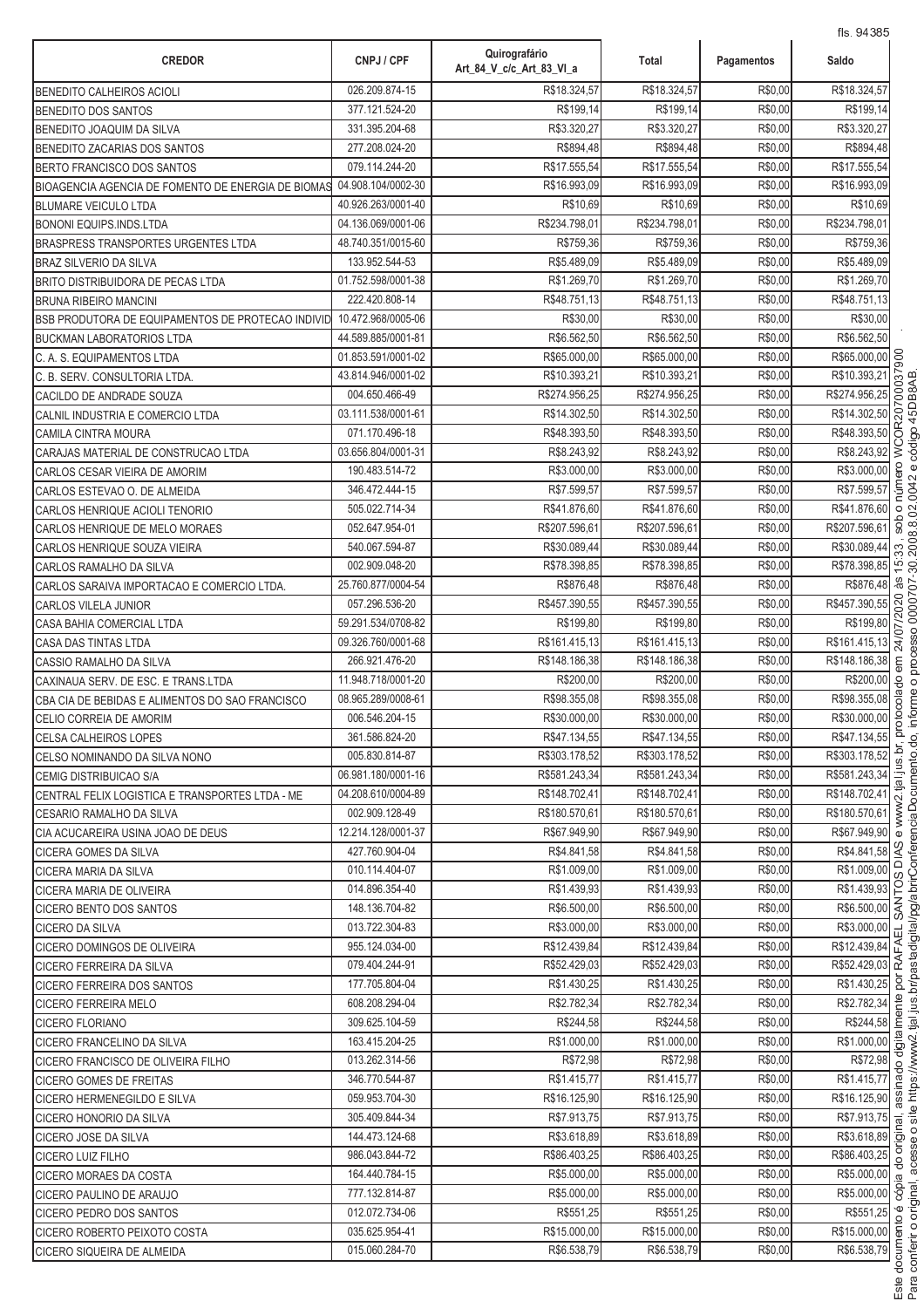| <b>CREDOR</b>                                      | CNPJ / CPF                       | Quirografário<br>Art_84_V_c/c_Art_83_VI_a | Total                       | Pagamentos         | Saldo                                                  |
|----------------------------------------------------|----------------------------------|-------------------------------------------|-----------------------------|--------------------|--------------------------------------------------------|
| <b>BENEDITO CALHEIROS ACIOLI</b>                   | 026.209.874-15                   | R\$18.324,57                              | R\$18.324,57                | R\$0,00            | R\$18.324,57                                           |
| BENEDITO DOS SANTOS                                | 377.121.524-20                   | R\$199,14                                 | R\$199,14                   | R\$0,00            | R\$199,14                                              |
| BENEDITO JOAQUIM DA SILVA                          | 331.395.204-68                   | R\$3.320,27                               | R\$3.320,27                 | R\$0,00            | R\$3.320,27                                            |
| BENEDITO ZACARIAS DOS SANTOS                       | 277.208.024-20                   | R\$894,48                                 | R\$894,48                   | R\$0,00            | R\$894,48                                              |
| BERTO FRANCISCO DOS SANTOS                         | 079.114.244-20                   | R\$17.555,54                              | R\$17.555,54                | R\$0,00            | R\$17.555,54                                           |
| BIOAGENCIA AGENCIA DE FOMENTO DE ENERGIA DE BIOMAS | 04.908.104/0002-30               | R\$16.993,09                              | R\$16.993,09                | R\$0,00            | R\$16.993,09                                           |
| <b>BLUMARE VEICULO LTDA</b>                        | 40.926.263/0001-40               | R\$10,69                                  | R\$10,69                    | R\$0,00            | R\$10,69                                               |
| <b>BONONI EQUIPS INDS LTDA</b>                     | 04.136.069/0001-06               | R\$234.798,01                             | R\$234.798,01               | R\$0,00            | R\$234.798,01                                          |
| <b>BRASPRESS TRANSPORTES URGENTES LTDA</b>         | 48.740.351/0015-60               | R\$759,36                                 | R\$759,36                   | R\$0,00            | R\$759,36                                              |
| <b>BRAZ SILVERIO DA SILVA</b>                      | 133.952.544-53                   | R\$5.489,09                               | R\$5.489,09                 | R\$0,00            | R\$5.489,09                                            |
| BRITO DISTRIBUIDORA DE PECAS LTDA                  | 01.752.598/0001-38               | R\$1.269,70                               | R\$1.269,70                 | R\$0,00            | R\$1.269,70                                            |
| <b>BRUNA RIBEIRO MANCINI</b>                       | 222.420.808-14                   | R\$48.751,13                              | R\$48.751,13                | R\$0,00            | R\$48.751,13                                           |
| BSB PRODUTORA DE EQUIPAMENTOS DE PROTECAO INDIVID  | 10.472.968/0005-06               | R\$30,00                                  | R\$30,00                    | R\$0,00            | R\$30,00                                               |
| <b>BUCKMAN LABORATORIOS LTDA</b>                   | 44.589.885/0001-81               | R\$6.562,50                               | R\$6.562,50                 | R\$0,00            | R\$6.562,50                                            |
| C. A. S. EQUIPAMENTOS LTDA                         | 01.853.591/0001-02               | R\$65.000,00                              | R\$65.000,00                | R\$0,00            |                                                        |
| C. B. SERV. CONSULTORIA LTDA.                      | 43.814.946/0001-02               | R\$10.393,21                              | R\$10.393,21                | R\$0,00            | R\$65.000,00<br>R\$10.393,21<br>R\$274.956,25          |
| CACILDO DE ANDRADE SOUZA                           | 004.650.466-49                   | R\$274.956,25                             | R\$274.956,25               | R\$0,00            | R\$274.956,25                                          |
| CALNIL INDUSTRIA E COMERCIO LTDA                   | 03.111.538/0001-61               | R\$14.302,50                              | R\$14.302,50                | R\$0,00            | R\$14.302,50<br>R\$48.393,50                           |
| <b>CAMILA CINTRA MOURA</b>                         | 071.170.496-18                   | R\$48.393,50                              | R\$48.393,50                | R\$0,00            |                                                        |
| CARAJAS MATERIAL DE CONSTRUCAO LTDA                | 03.656.804/0001-31               | R\$8.243,92                               | R\$8.243,92                 | R\$0,00            | Š<br>R\$8.243,92                                       |
| CARLOS CESAR VIEIRA DE AMORIM                      | 190.483.514-72                   | R\$3.000,00                               | R\$3.000,00                 | R\$0,00            | R\$3.000,00                                            |
| CARLOS ESTEVAO O. DE ALMEIDA                       | 346.472.444-15                   | R\$7.599,57                               | R\$7.599,57                 | R\$0,00            | núm<br>R\$7.599,57                                     |
| CARLOS HENRIQUE ACIOLI TENORIO                     | 505.022.714-34                   | R\$41.876,60                              | R\$41.876,60                | R\$0,00            | R\$41.876,60<br>$\circ$                                |
| CARLOS HENRIQUE DE MELO MORAES                     | 052.647.954-01                   | R\$207.596,61                             | R\$207.596,61               | R\$0,00            | R\$207.596,61                                          |
| CARLOS HENRIQUE SOUZA VIEIRA                       | 540.067.594-87                   | R\$30.089,44                              | R\$30.089,44                | R\$0,00            | R\$30.089,44<br>33                                     |
| CARLOS RAMALHO DA SILVA                            | 002.909.048-20                   | R\$78.398,85                              | R\$78.398,85                | R\$0,00            | R\$78.398,85<br>$\frac{1}{2}$                          |
| CARLOS SARAIVA IMPORTACAO E COMERCIO LTDA.         | 25.760.877/0004-54               | R\$876,48                                 | R\$876,48                   | R\$0,00            | å,<br>R\$876,48                                        |
| CARLOS VILELA JUNIOR                               | 057.296.536-20                   | R\$457.390,55                             | R\$457.390,55               | R\$0,00            | 24/07/2020<br>R\$457.390,55                            |
| CASA BAHIA COMERCIAL LTDA                          | 59.291.534/0708-82               | R\$199,80                                 | R\$199,80                   | R\$0,00            | R\$199,80                                              |
| CASA DAS TINTAS LTDA                               | 09.326.760/0001-68               | R\$161.415,13                             | R\$161.415,13               | R\$0,00            | R\$161.415,13                                          |
| CASSIO RAMALHO DA SILVA                            | 266.921.476-20                   | R\$148.186,38                             | R\$148.186,38               | R\$0,00            | R\$148.186,38<br>$\epsilon$ m                          |
| CAXINAUA SERV. DE ESC. E TRANS.LTDA                | 11.948.718/0001-20               | R\$200,00                                 | R\$200,00                   | R\$0,00            | R\$200,00<br>obeloc                                    |
| CBA CIA DE BEBIDAS E ALIMENTOS DO SAO FRANCISCO    | 08.965.289/0008-61               | R\$98.355,08                              | R\$98.355,08                | R\$0,00            | R\$98.355,08                                           |
| CELIO CORREIA DE AMORIM                            | 006.546.204-15                   | R\$30.000,00                              | R\$30.000,00                | R\$0,00            | oto<br>R\$30.000,00                                    |
| CELSA CALHEIROS LOPES                              | 361.586.824-20                   | R\$47.134,55                              | R\$47.134,55                | R\$0,00            | R\$47.134,55                                           |
| CELSO NOMINANDO DA SILVA NONO                      | 005.830.814-87                   | R\$303.178,52                             | R\$303.178,52               | R\$0,00            | R\$303.178,52                                          |
| <b>CEMIG DISTRIBUICAO S/A</b>                      | 06.981.180/0001-16               | R\$581.243,34                             | R\$581.243,34               | R\$0,00            | $R$581.243,34$ $\frac{5}{8}$                           |
| CENTRAL FELIX LOGISTICA E TRANSPORTES LTDA - ME    | 04.208.610/0004-89               | R\$148.702,41                             | R\$148.702,41               | R\$0,00            | ≑ا<br>R\$148.702,41                                    |
| CESARIO RAMALHO DA SILVA                           | 002.909.128-49                   | R\$180.570,61                             | R\$180.570,61               | R\$0,00            | R\$180.570,61                                          |
| CIA ACUCAREIRA USINA JOAO DE DEUS                  | 12.214.128/0001-37               | R\$67.949,90                              | R\$67.949,90                | R\$0,00            | R\$67.949,90<br>$\omega$<br>R\$4.841,58 <sup>2</sup>   |
| CICERA GOMES DA SILVA                              | 427.760.904-04                   | R\$4.841.58                               | R\$4.841,58                 | R\$0,00            | $\Omega$                                               |
| CICERA MARIA DA SILVA                              | 010.114.404-07                   | R\$1.009,00                               | R\$1.009,00                 | R\$0,00            | R\$1.009,00                                            |
| CICERA MARIA DE OLIVEIRA                           | 014.896.354-40                   | R\$1.439,93                               | R\$1.439,93                 | R\$0,00            | $\frac{R$1.439,93}{R$6.500,00} \times$                 |
| CICERO BENTO DOS SANTOS                            | 148.136.704-82                   | R\$6.500,00                               | R\$6.500,00                 | R\$0,00            |                                                        |
| <b>CICERO DA SILVA</b>                             | 013.722.304-83<br>955.124.034-00 | R\$3.000,00<br>R\$12.439,84               | R\$3.000,00<br>R\$12.439,84 | R\$0,00<br>R\$0,00 | R\$3.000,00<br>司                                       |
| CICERO DOMINGOS DE OLIVEIRA                        | 079.404.244-91                   | R\$52.429,03                              | R\$52.429,03                | R\$0,00            | R\$12.439,84<br>R\$52.429,03                           |
| CICERO FERREIRA DA SILVA                           | 177.705.804-04                   | R\$1.430,25                               | R\$1.430,25                 | R\$0,00            | R\$1.430,25 2                                          |
| CICERO FERREIRA DOS SANTOS                         | 608.208.294-04                   | R\$2.782,34                               | R\$2.782,34                 | R\$0,00            |                                                        |
| CICERO FERREIRA MELO<br><b>CICERO FLORIANO</b>     | 309.625.104-59                   | R\$244,58                                 | R\$244,58                   | R\$0,00            | R\$2.782,34<br>R\$244,58<br>R\$1.000,00<br>R\$1.000,00 |
| CICERO FRANCELINO DA SILVA                         | 163.415.204-25                   | R\$1.000,00                               | R\$1.000,00                 | R\$0,00            |                                                        |
| CICERO FRANCISCO DE OLIVEIRA FILHO                 | 013.262.314-56                   | R\$72,98                                  | R\$72,98                    | R\$0,00            | R\$72,98                                               |
| CICERO GOMES DE FREITAS                            | 346.770.544-87                   | R\$1.415,77                               | R\$1.415,77                 | R\$0,00            | $\frac{R$72,98}{R$1.415,77}$                           |
| CICERO HERMENEGILDO E SILVA                        | 059.953.704-30                   | R\$16.125,90                              | R\$16.125,90                | R\$0,00            | R\$16.125,90                                           |
| CICERO HONORIO DA SILVA                            | 305.409.844-34                   | R\$7.913,75                               | R\$7.913,75                 | R\$0,00            | $\sqrt{R$7.913,75}$                                    |
| CICERO JOSE DA SILVA                               | 144.473.124-68                   | R\$3.618,89                               | R\$3.618,89                 | R\$0,00            | R\$3.618,89                                            |
| CICERO LUIZ FILHO                                  | 986.043.844-72                   | R\$86.403,25                              | R\$86.403,25                | R\$0,00            | R\$86.403,25                                           |
| CICERO MORAES DA COSTA                             | 164.440.784-15                   | R\$5.000,00                               | R\$5.000,00                 | R\$0,00            | $R$5.000,00$ <u>g</u>                                  |
| CICERO PAULINO DE ARAUJO                           | 777.132.814-87                   | R\$5.000,00                               | R\$5.000,00                 | R\$0,00            | R\$5.000,00 8                                          |
| <b>CICERO PEDRO DOS SANTOS</b>                     | 012.072.734-06                   | R\$551,25                                 | R\$551,25                   | R\$0,00            | R\$551,25                                              |
| CICERO ROBERTO PEIXOTO COSTA                       | 035.625.954-41                   | R\$15.000,00                              | R\$15.000,00                | R\$0,00            | R\$15.000,00 高                                         |
| CICERO SIQUEIRA DE ALMEIDA                         | 015.060.284-70                   | R\$6.538,79                               | R\$6.538,79                 | R\$0,00            |                                                        |
|                                                    |                                  |                                           |                             |                    | R\$6.538,79                                            |

.<br>.

:<br>'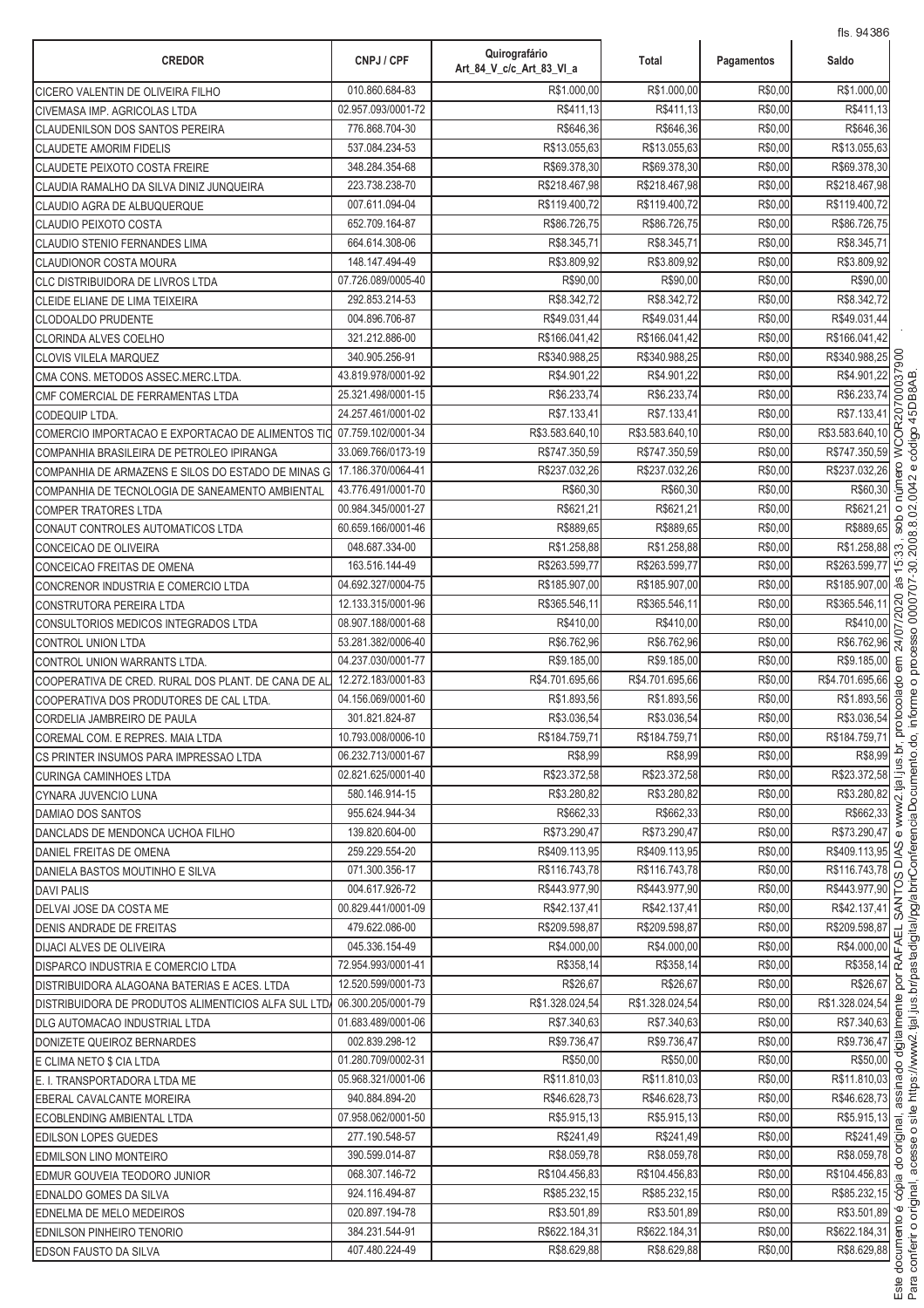| <b>CREDOR</b>                                        | CNPJ / CPF         | Quirografário<br>Art_84_V_c/c_Art_83_VI_a | Total           | Pagamentos | Saldo                                                                              |
|------------------------------------------------------|--------------------|-------------------------------------------|-----------------|------------|------------------------------------------------------------------------------------|
| CICERO VALENTIN DE OLIVEIRA FILHO                    | 010.860.684-83     | R\$1.000,00                               | R\$1.000.00     | R\$0,00    | R\$1.000,00                                                                        |
| CIVEMASA IMP. AGRICOLAS LTDA                         | 02.957.093/0001-72 | R\$411,13                                 | R\$411,13       | R\$0,00    | R\$411,13                                                                          |
| <b>CLAUDENILSON DOS SANTOS PEREIRA</b>               | 776.868.704-30     | R\$646,36                                 | R\$646,36       | R\$0,00    | R\$646,36                                                                          |
| <b>CLAUDETE AMORIM FIDELIS</b>                       | 537.084.234-53     | R\$13.055,63                              | R\$13.055,63    | R\$0,00    | R\$13.055,63                                                                       |
| <b>CLAUDETE PEIXOTO COSTA FREIRE</b>                 | 348.284.354-68     | R\$69.378,30                              | R\$69.378,30    | R\$0,00    | R\$69.378,30                                                                       |
| CLAUDIA RAMALHO DA SILVA DINIZ JUNQUEIRA             | 223.738.238-70     | R\$218.467,98                             | R\$218.467,98   | R\$0,00    | R\$218.467,98                                                                      |
| <b>CLAUDIO AGRA DE ALBUQUERQUE</b>                   | 007.611.094-04     | R\$119.400,72                             | R\$119.400,72   | R\$0,00    | R\$119.400,72                                                                      |
| CLAUDIO PEIXOTO COSTA                                | 652.709.164-87     | R\$86.726.75                              | R\$86.726,75    | R\$0,00    | R\$86.726,75                                                                       |
| CLAUDIO STENIO FERNANDES LIMA                        | 664.614.308-06     | R\$8.345,71                               | R\$8.345,71     | R\$0,00    | R\$8.345,71                                                                        |
| <b>CLAUDIONOR COSTA MOURA</b>                        | 148.147.494-49     | R\$3.809,92                               | R\$3.809,92     | R\$0,00    | R\$3.809,92                                                                        |
| CLC DISTRIBUIDORA DE LIVROS LTDA                     | 07.726.089/0005-40 | R\$90,00                                  | R\$90,00        | R\$0,00    | R\$90,00                                                                           |
| CLEIDE ELIANE DE LIMA TEIXEIRA                       | 292.853.214-53     | R\$8.342,72                               | R\$8.342,72     | R\$0,00    | R\$8.342,72                                                                        |
| <b>CLODOALDO PRUDENTE</b>                            | 004.896.706-87     | R\$49.031,44                              | R\$49.031,44    | R\$0,00    | R\$49.031,44                                                                       |
| CLORINDA ALVES COELHO                                | 321.212.886-00     | R\$166.041,42                             | R\$166.041,42   | R\$0,00    | R\$166.041,42                                                                      |
| <b>CLOVIS VILELA MARQUEZ</b>                         | 340.905.256-91     | R\$340.988.25                             | R\$340.988,25   | R\$0,00    | R\$340.988,25                                                                      |
| CMA CONS. METODOS ASSEC.MERC.LTDA.                   | 43.819.978/0001-92 | R\$4.901.22                               | R\$4.901,22     | R\$0,00    | 00037<br>R\$4.901,22                                                               |
| CMF COMERCIAL DE FERRAMENTAS LTDA                    | 25.321.498/0001-15 | R\$6.233,74                               | R\$6.233.74     | R\$0,00    | R\$6.233,74                                                                        |
| <b>CODEQUIP LTDA.</b>                                | 24.257.461/0001-02 | R\$7.133,41                               | R\$7.133,41     | R\$0,00    | :OR207<br>R\$7.133,41                                                              |
| COMERCIO IMPORTACAO E EXPORTACAO DE ALIMENTOS TIO    | 07.759.102/0001-34 | R\$3.583.640,10                           | R\$3.583.640,10 | R\$0,00    | R\$3.583.640,10                                                                    |
| COMPANHIA BRASILEIRA DE PETROLEO IPIRANGA            | 33.069.766/0173-19 | R\$747.350,59                             | R\$747.350,59   | R\$0,00    | Š<br>R\$747.350,59                                                                 |
| COMPANHIA DE ARMAZENS E SILOS DO ESTADO DE MINAS G   | 17.186.370/0064-41 | R\$237.032,26                             | R\$237.032,26   | R\$0,00    | ero<br>R\$237.032,26                                                               |
| COMPANHIA DE TECNOLOGIA DE SANEAMENTO AMBIENTAL      | 43.776.491/0001-70 | R\$60,30                                  | R\$60,30        | R\$0,00    | núm<br>R\$60,30                                                                    |
| <b>COMPER TRATORES LTDA</b>                          | 00.984.345/0001-27 | R\$621,21                                 | R\$621,21       | R\$0,00    | R\$621,21<br>$\circ$                                                               |
| CONAUT CONTROLES AUTOMATICOS LTDA                    | 60.659.166/0001-46 | R\$889,65                                 | R\$889,65       | R\$0,00    | sob<br>R\$889,65                                                                   |
| CONCEICAO DE OLIVEIRA                                | 048.687.334-00     | R\$1.258,88                               | R\$1.258,88     | R\$0,00    | R\$1.258,88<br>33                                                                  |
| CONCEICAO FREITAS DE OMENA                           | 163.516.144-49     | R\$263.599,77                             | R\$263.599,77   | R\$0,00    | ∣ ত<br>R\$263.599,77                                                               |
| CONCRENOR INDUSTRIA E COMERCIO LTDA                  | 04.692.327/0004-75 | R\$185.907,00                             | R\$185.907,00   | R\$0,00    | às<br>R\$185.907,00                                                                |
| CONSTRUTORA PEREIRA LTDA                             | 12.133.315/0001-96 | R\$365.546,11                             | R\$365.546,11   | R\$0,00    | 24/07/2020<br>R\$365.546,11                                                        |
| CONSULTORIOS MEDICOS INTEGRADOS LTDA                 | 08.907.188/0001-68 | R\$410,00                                 | R\$410,00       | R\$0,00    | R\$410,00                                                                          |
| CONTROL UNION LTDA                                   | 53.281.382/0006-40 | R\$6.762,96                               | R\$6.762,96     | R\$0,00    | R\$6.762,96                                                                        |
| CONTROL UNION WARRANTS LTDA.                         | 04.237.030/0001-77 | R\$9.185,00                               | R\$9.185,00     | R\$0,00    | R\$9.185,00<br>$\epsilon$ m                                                        |
| COOPERATIVA DE CRED. RURAL DOS PLANT. DE CANA DE AL  | 12.272.183/0001-83 | R\$4.701.695,66                           | R\$4.701.695,66 | R\$0,00    | R\$4.701.695,66<br>colado                                                          |
| COOPERATIVA DOS PRODUTORES DE CAL LTDA.              | 04.156.069/0001-60 | R\$1.893,56                               | R\$1.893,56     | R\$0,00    | R\$1.893,56                                                                        |
| CORDELIA JAMBREIRO DE PAULA                          | 301.821.824-87     | R\$3.036,54                               | R\$3.036,54     | R\$0,00    | ð<br>R\$3.036,54                                                                   |
| COREMAL COM. E REPRES. MAIA LTDA                     | 10.793.008/0006-10 | R\$184.759,71                             | R\$184.759,71   | R\$0,00    | R\$184.759,71                                                                      |
| CS PRINTER INSUMOS PARA IMPRESSAO LTDA               | 06.232.713/0001-67 | R\$8,99                                   | R\$8,99         | R\$0,00    | $rac{R$8,99}{R$23.372,58}$                                                         |
| <b>CURINGA CAMINHOES LTDA</b>                        | 02.821.625/0001-40 | R\$23.372,58                              | R\$23.372,58    | R\$0,00    |                                                                                    |
| CYNARA JUVENCIO LUNA                                 | 580.146.914-15     | R\$3.280,82                               | R\$3.280,82     | R\$0,00    | R\$3.280,82                                                                        |
| DAMIAO DOS SANTOS                                    | 955.624.944-34     | R\$662.33                                 | R\$662,33       | R\$0,00    | R\$662,33                                                                          |
| DANCLADS DE MENDONCA UCHOA FILHO                     | 139.820.604-00     | R\$73.290.47                              | R\$73.290,47    | R\$0,00    | R\$73.290,47<br>$\omega$                                                           |
| DANIEL FREITAS DE OMENA                              | 259.229.554-20     | R\$409.113,95                             | R\$409.113,95   | R\$0,00    | R\$409.113,95 <sup>2</sup><br>$\overline{\circ}$                                   |
| DANIELA BASTOS MOUTINHO E SILVA                      | 071.300.356-17     | R\$116.743,78                             | R\$116.743,78   | R\$0,00    | R\$116.743,78                                                                      |
| <b>DAVI PALIS</b>                                    | 004.617.926-72     | R\$443.977,90                             | R\$443.977,90   | R\$0,00    | R\$443.977,90                                                                      |
| DELVAI JOSE DA COSTA ME                              | 00.829.441/0001-09 | R\$42.137,41                              | R\$42.137,41    | R\$0,00    | $R$116.743,78$<br>$R$443.977,90$<br>$R$42.137,41$<br>$R$42.137,41$<br>$R$22.52822$ |
| DENIS ANDRADE DE FREITAS                             | 479.622.086-00     | R\$209.598.87                             | R\$209.598,87   | R\$0,00    | R\$209.598,87<br>\$209.598,87<br>R\$4.000,00<br>R\$358,14                          |
| DIJACI ALVES DE OLIVEIRA                             | 045.336.154-49     | R\$4.000,00                               | R\$4.000,00     | R\$0,00    |                                                                                    |
| DISPARCO INDUSTRIA E COMERCIO LTDA                   | 72.954.993/0001-41 | R\$358,14                                 | R\$358,14       | R\$0,00    | R\$26,67 g                                                                         |
| DISTRIBUIDORA ALAGOANA BATERIAS E ACES. LTDA         | 12.520.599/0001-73 | R\$26,67                                  | R\$26,67        | R\$0,00    |                                                                                    |
| DISTRIBUIDORA DE PRODUTOS ALIMENTICIOS ALFA SUL LTD. | 06.300.205/0001-79 | R\$1.328.024,54                           | R\$1.328.024,54 | R\$0,00    | R\$1.328.024,54                                                                    |
| DLG AUTOMACAO INDUSTRIAL LTDA                        | 01.683.489/0001-06 | R\$7.340,63                               | R\$7.340,63     | R\$0,00    | 1.328.024,54<br>R\$7.340,63<br>R\$9.736,47<br>R\$9.736,47<br>R\$50.00              |
| DONIZETE QUEIROZ BERNARDES                           | 002.839.298-12     | R\$9.736,47                               | R\$9.736,47     | R\$0,00    |                                                                                    |
| E CLIMA NETO \$ CIA LTDA                             | 01.280.709/0002-31 | R\$50,00                                  | R\$50,00        | R\$0,00    | R\$50,00                                                                           |
| E. I. TRANSPORTADORA LTDA ME                         | 05.968.321/0001-06 | R\$11.810,03                              | R\$11.810,03    | R\$0,00    | R\$50,00<br>R\$11.810,03<br>R\$46.628,73<br>8                                      |
| EBERAL CAVALCANTE MOREIRA                            | 940.884.894-20     | R\$46.628,73                              | R\$46.628,73    | R\$0,00    |                                                                                    |
| ECOBLENDING AMBIENTAL LTDA                           | 07.958.062/0001-50 | R\$5.915,13                               | R\$5.915,13     | R\$0,00    | $\overline{R\$5.915,13}$ $\frac{1}{2}$                                             |
| EDILSON LOPES GUEDES                                 | 277.190.548-57     | R\$241,49                                 | R\$241,49       | R\$0,00    | R\$241,49 호                                                                        |
| EDMILSON LINO MONTEIRO                               | 390.599.014-87     | R\$8.059,78                               | R\$8.059,78     | R\$0,00    | R\$8.059,78                                                                        |
| EDMUR GOUVEIA TEODORO JUNIOR                         | 068.307.146-72     | R\$104.456,83                             | R\$104.456,83   | R\$0,00    | $\overline{R$104.456,83}$ $\overline{\omega}$                                      |
| EDNALDO GOMES DA SILVA                               | 924.116.494-87     | R\$85.232,15                              | R\$85.232,15    | R\$0,00    | R\$85.232,15 8                                                                     |
| EDNELMA DE MELO MEDEIROS                             | 020.897.194-78     | R\$3.501,89                               | R\$3.501,89     | R\$0,00    | R\$3.501,89                                                                        |
| EDNILSON PINHEIRO TENORIO                            | 384.231.544-91     | R\$622.184,31                             | R\$622.184,31   | R\$0,00    | R\$622.184,31 6                                                                    |
| <b>EDSON FAUSTO DA SILVA</b>                         | 407.480.224-49     | R\$8.629,88                               | R\$8.629,88     | R\$0,00    | R\$8.629,88                                                                        |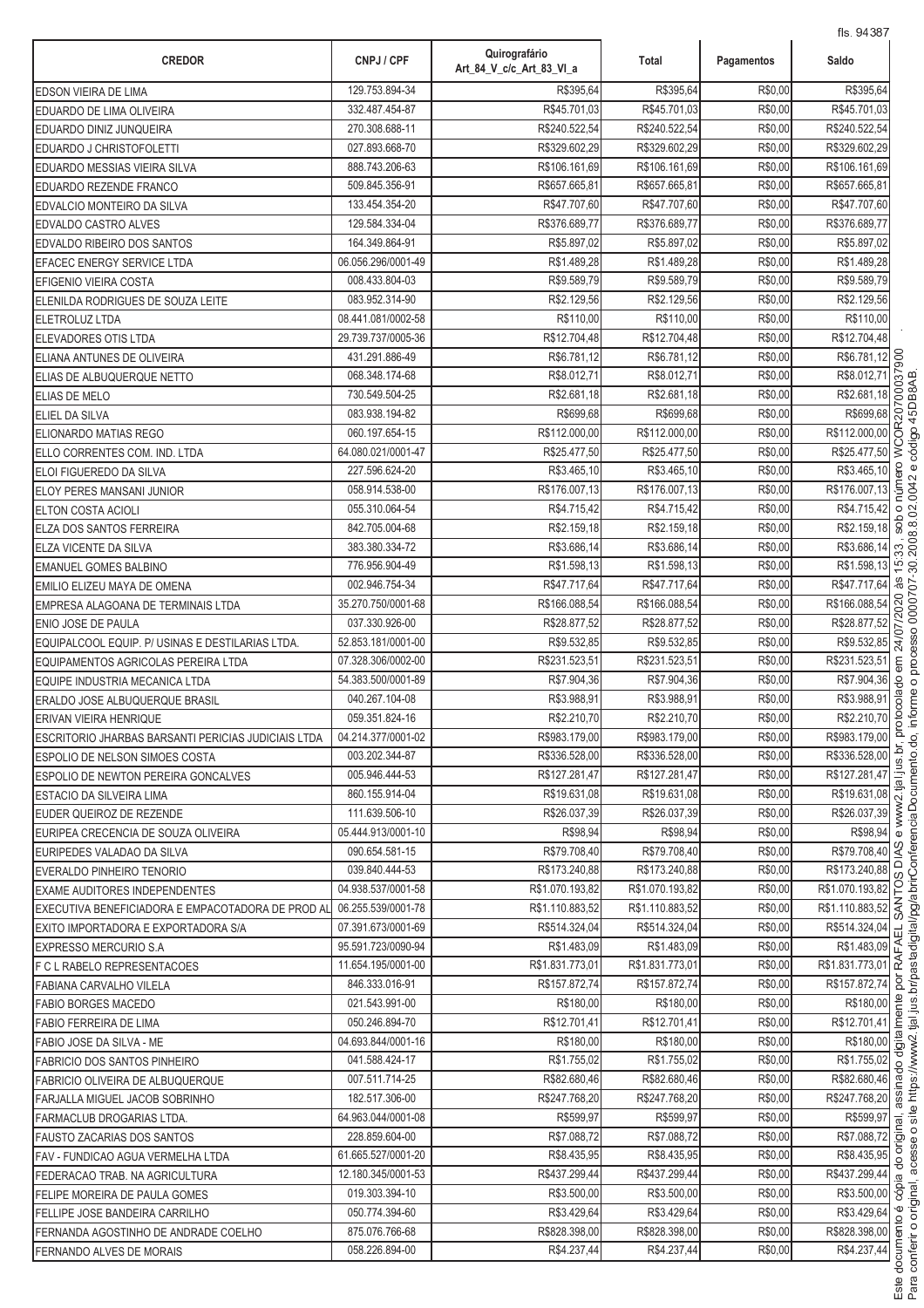| <b>CREDOR</b>                                                                 | CNPJ / CPF                               | Quirografário<br>Art 84 V c/c Art 83 VI a | Total                       | Pagamentos         | Saldo                       |                |
|-------------------------------------------------------------------------------|------------------------------------------|-------------------------------------------|-----------------------------|--------------------|-----------------------------|----------------|
| <b>EDSON VIEIRA DE LIMA</b>                                                   | 129.753.894-34                           | R\$395,64                                 | R\$395,64                   | R\$0,00            | R\$395,64                   |                |
| EDUARDO DE LIMA OLIVEIRA                                                      | 332.487.454-87                           | R\$45.701,03                              | R\$45.701,03                | R\$0,00            | R\$45.701,03                |                |
| EDUARDO DINIZ JUNQUEIRA                                                       | 270.308.688-11                           | R\$240.522,54                             | R\$240.522,54               | R\$0,00            | R\$240.522,54               |                |
| EDUARDO J CHRISTOFOLETTI                                                      | 027.893.668-70                           | R\$329.602.29                             | R\$329.602,29               | R\$0,00            | R\$329.602,29               |                |
| EDUARDO MESSIAS VIEIRA SILVA                                                  | 888.743.206-63                           | R\$106.161,69                             | R\$106.161,69               | R\$0,00            | R\$106.161,69               |                |
| EDUARDO REZENDE FRANCO                                                        | 509.845.356-91                           | R\$657.665,81                             | R\$657.665,81               | R\$0,00            | R\$657.665,81               |                |
| EDVALCIO MONTEIRO DA SILVA                                                    | 133.454.354-20                           | R\$47.707,60                              | R\$47.707.60                | R\$0,00            | R\$47.707,60                |                |
| EDVALDO CASTRO ALVES                                                          | 129.584.334-04                           | R\$376.689,77                             | R\$376.689,77               | R\$0,00            | R\$376.689,77               |                |
| EDVALDO RIBEIRO DOS SANTOS                                                    | 164.349.864-91                           | R\$5.897,02                               | R\$5.897,02                 | R\$0,00            | R\$5.897,02                 |                |
| EFACEC ENERGY SERVICE LTDA                                                    | 06.056.296/0001-49                       | R\$1.489,28                               | R\$1.489,28                 | R\$0,00            | R\$1.489,28                 |                |
| EFIGENIO VIEIRA COSTA                                                         | 008.433.804-03                           | R\$9.589,79                               | R\$9.589,79                 | R\$0,00            | R\$9.589,79                 |                |
| ELENILDA RODRIGUES DE SOUZA LEITE                                             | 083.952.314-90                           | R\$2.129,56                               | R\$2.129,56                 | R\$0,00            | R\$2.129,56                 |                |
| <b>ELETROLUZ LTDA</b>                                                         | 08.441.081/0002-58                       | R\$110,00                                 | R\$110,00                   | R\$0,00            | R\$110,00                   |                |
| <b>ELEVADORES OTIS LTDA</b>                                                   | 29.739.737/0005-36                       | R\$12.704,48                              | R\$12.704,48                | R\$0,00            | R\$12.704,48                |                |
| ELIANA ANTUNES DE OLIVEIRA                                                    | 431.291.886-49                           | R\$6.781,12                               | R\$6.781,12                 | R\$0,00            | R\$6.781,12                 | 800            |
| ELIAS DE ALBUQUERQUE NETTO                                                    | 068.348.174-68                           | R\$8.012,71                               | R\$8.012,7                  | R\$0,00            | R\$8.012,71                 | $\overline{5}$ |
| <b>ELIAS DE MELO</b>                                                          | 730.549.504-25                           | R\$2.681,18                               | R\$2.681,18                 | R\$0,00            | R\$2.681,18                 | $\alpha$       |
| <b>ELIEL DA SILVA</b>                                                         | 083.938.194-82                           | R\$699,68                                 | R\$699.68                   | R\$0,00            | R\$699,68                   | OR207          |
| ELIONARDO MATIAS REGO                                                         | 060.197.654-15                           | R\$112.000,00                             | R\$112.000,00               | R\$0,00            | R\$112.000,00               | Š              |
| ELLO CORRENTES COM. IND. LTDA                                                 | 64.080.021/0001-47                       | R\$25.477,50                              | R\$25.477,50                | R\$0,00            | R\$25.477,50                |                |
| ELOI FIGUEREDO DA SILVA                                                       | 227.596.624-20                           | R\$3.465,10                               | R\$3.465,10                 | R\$0,00            | R\$3.465,10                 |                |
| <b>ELOY PERES MANSANI JUNIOR</b>                                              | 058.914.538-00                           | R\$176.007,13                             | R\$176.007,13               | R\$0,00            | R\$176.007,13               |                |
| <b>ELTON COSTA ACIOLI</b>                                                     | 055.310.064-54                           | R\$4.715,42                               | R\$4.715,42                 | R\$0,00            | R\$4.715,42                 | $\circ$        |
| ELZA DOS SANTOS FERREIRA                                                      | 842.705.004-68                           | R\$2.159,18                               | R\$2.159,18                 | R\$0,00            | R\$2.159,18                 |                |
| <b>ELZA VICENTE DA SILVA</b>                                                  | 383.380.334-72                           | R\$3.686,14                               | R\$3.686,14                 | R\$0,00            | R\$3.686,14                 | 33             |
| <b>EMANUEL GOMES BALBINO</b>                                                  | 776.956.904-49                           | R\$1.598,13                               | R\$1.598,13                 | R\$0,00            | R\$1.598,13                 | $\overline{5}$ |
| EMILIO ELIZEU MAYA DE OMENA                                                   | 002.946.754-34                           | R\$47.717,64<br>R\$166.088,54             | R\$47.717,64                | R\$0,00            | R\$47.717,64                | å.             |
| EMPRESA ALAGOANA DE TERMINAIS LTDA                                            | 35.270.750/0001-68                       |                                           | R\$166.088,54               | R\$0,00            | R\$166.088,54               | 07/2020        |
| ENIO JOSE DE PAULA                                                            | 037.330.926-00                           | R\$28.877,52<br>R\$9.532,85               | R\$28.877,52<br>R\$9.532,85 | R\$0,00<br>R\$0,00 | R\$28.877,52<br>R\$9.532,85 |                |
| EQUIPALCOOL EQUIP, P/ USINAS E DESTILARIAS LTDA.                              | 52.853.181/0001-00<br>07.328.306/0002-00 | R\$231.523,51                             | R\$231.523,51               | R\$0,00            | R\$231.523,51               | $\overline{A}$ |
| EQUIPAMENTOS AGRICOLAS PEREIRA LTDA                                           | 54.383.500/0001-89                       | R\$7.904,36                               | R\$7.904,36                 | R\$0,00            | R\$7.904,36                 |                |
| EQUIPE INDUSTRIA MECANICA LTDA                                                | 040.267.104-08                           | R\$3.988,91                               | R\$3.988,91                 | R\$0,00            | R\$3.988,91                 |                |
| ERALDO JOSE ALBUQUERQUE BRASIL                                                | 059.351.824-16                           | R\$2.210,70                               | R\$2.210,70                 | R\$0,00            | R\$2.210,70                 |                |
| ERIVAN VIEIRA HENRIQUE<br>ESCRITORIO JHARBAS BARSANTI PERICIAS JUDICIAIS LTDA | 04.214.377/0001-02                       | R\$983.179,00                             | R\$983.179,00               | R\$0,00            | R\$983.179,00               |                |
| <b>ESPOLIO DE NELSON SIMOES COSTA</b>                                         | 003.202.344-87                           | R\$336.528,00                             | R\$336.528,00               | R\$0,00            | R\$336.528,00               |                |
| <b>ESPOLIO DE NEWTON PEREIRA GONCALVES</b>                                    | 005.946.444-53                           | R\$127.281,47                             | R\$127.281,47               | R\$0,00            | R\$127.281,47               |                |
| ESTACIO DA SILVEIRA LIMA                                                      | 860.155.914-04                           | R\$19.631,08                              | R\$19.631,08                | R\$0,00            | R\$19.631,08                |                |
| EUDER QUEIROZ DE REZENDE                                                      | 111.639.506-10                           | R\$26.037,39                              | R\$26.037,39                | R\$0,00            | R\$26.037.39                |                |
| EURIPEA CRECENCIA DE SOUZA OLIVEIRA                                           | 05.444.913/0001-10                       | R\$98.94                                  | R\$98,94                    | R\$0,00            | R\$98,94                    |                |
| EURIPEDES VALADAO DA SILVA                                                    | 090.654.581-15                           | R\$79.708,40                              | R\$79.708,40                | R\$0,00            | R\$79.708,40                | $\lambda$ S    |
| EVERALDO PINHEIRO TENORIO                                                     | 039.840.444-53                           | R\$173.240,88                             | R\$173.240,88               | R\$0,00            | R\$173.240,88               |                |
| <b>EXAME AUDITORES INDEPENDENTES</b>                                          | 04.938.537/0001-58                       | R\$1.070.193,82                           | R\$1.070.193,82             | R\$0,00            | R\$1.070.193,82             |                |
| EXECUTIVA BENEFICIADORA E EMPACOTADORA DE PROD AL                             | 06.255.539/0001-78                       | R\$1.110.883,52                           | R\$1.110.883.52             | R\$0,00            | R\$1.110.883,52 중           |                |
| EXITO IMPORTADORA E EXPORTADORA S/A                                           | 07.391.673/0001-69                       | R\$514.324,04                             | R\$514.324,04               | R\$0,00            | R\$514.324,04               | $\Box$         |
| IEXPRESSO MERCURIO S.A                                                        | 95.591.723/0090-94                       | R\$1.483,09                               | R\$1.483,09                 | R\$0,00            | R\$1.483,09                 |                |
| F C L RABELO REPRESENTACOES                                                   | 11.654.195/0001-00                       | R\$1.831.773,01                           | R\$1.831.773,01             | R\$0,00            | R\$1.831.773,01 2           |                |
| FABIANA CARVALHO VILELA                                                       | 846.333.016-91                           | R\$157.872,74                             | R\$157.872,74               | R\$0,00            | R\$157.872,74               |                |
| <b>FABIO BORGES MACEDO</b>                                                    | 021.543.991-00                           | R\$180,00                                 | R\$180,00                   | R\$0,00            | R\$180,00                   |                |
| FABIO FERREIRA DE LIMA                                                        | 050.246.894-70                           | R\$12.701,41                              | R\$12.701,41                | R\$0,00            | R\$12.701,41                |                |
| FABIO JOSE DA SILVA - ME                                                      | 04.693.844/0001-16                       | R\$180,00                                 | R\$180,00                   | R\$0,00            | R\$180,00                   | digita         |
| FABRICIO DOS SANTOS PINHEIRO                                                  | 041.588.424-17                           | R\$1.755,02                               | R\$1.755,02                 | R\$0,00            | R\$1.755,02                 |                |
| FABRICIO OLIVEIRA DE ALBUQUERQUE                                              | 007.511.714-25                           | R\$82.680,46                              | R\$82.680,46                | R\$0,00            | R\$82.680,46                |                |
| FARJALLA MIGUEL JACOB SOBRINHO                                                | 182.517.306-00                           | R\$247.768,20                             | R\$247.768,20               | R\$0,00            | R\$247.768,20               |                |
| FARMACLUB DROGARIAS LTDA.                                                     | 64.963.044/0001-08                       | R\$599,97                                 | R\$599,97                   | R\$0,00            | R\$599,97                   | ∣ಕ             |
| <b>FAUSTO ZACARIAS DOS SANTOS</b>                                             | 228.859.604-00                           | R\$7.088,72                               | R\$7.088,72                 | R\$0,00            | R\$7.088,72 호               |                |
| FAV - FUNDICAO AGUA VERMELHA LTDA                                             | 61.665.527/0001-20                       | R\$8.435,95                               | R\$8.435,95                 | R\$0,00            | R\$8.435,95                 |                |
| FEDERACAO TRAB. NA AGRICULTURA                                                | 12.180.345/0001-53                       | R\$437.299,44                             | R\$437.299,44               | R\$0,00            | R\$437.299,44               |                |
| FELIPE MOREIRA DE PAULA GOMES                                                 | 019.303.394-10                           | R\$3.500,00                               | R\$3.500,00                 | R\$0,00            | R\$3.500,00 8               |                |
| FELLIPE JOSE BANDEIRA CARRILHO                                                | 050.774.394-60                           | R\$3.429,64                               | R\$3.429,64                 | R\$0,00            | R\$3.429,64                 |                |
| FERNANDA AGOSTINHO DE ANDRADE COELHO                                          | 875.076.766-68                           | R\$828.398,00                             | R\$828.398,00               | R\$0,00            | R\$828.398,00               |                |
| <b>FERNANDO ALVES DE MORAIS</b>                                               | 058.226.894-00                           | R\$4.237,44                               | R\$4.237,44                 | R\$0,00            | R\$4.237,44                 |                |
|                                                                               |                                          |                                           |                             |                    |                             |                |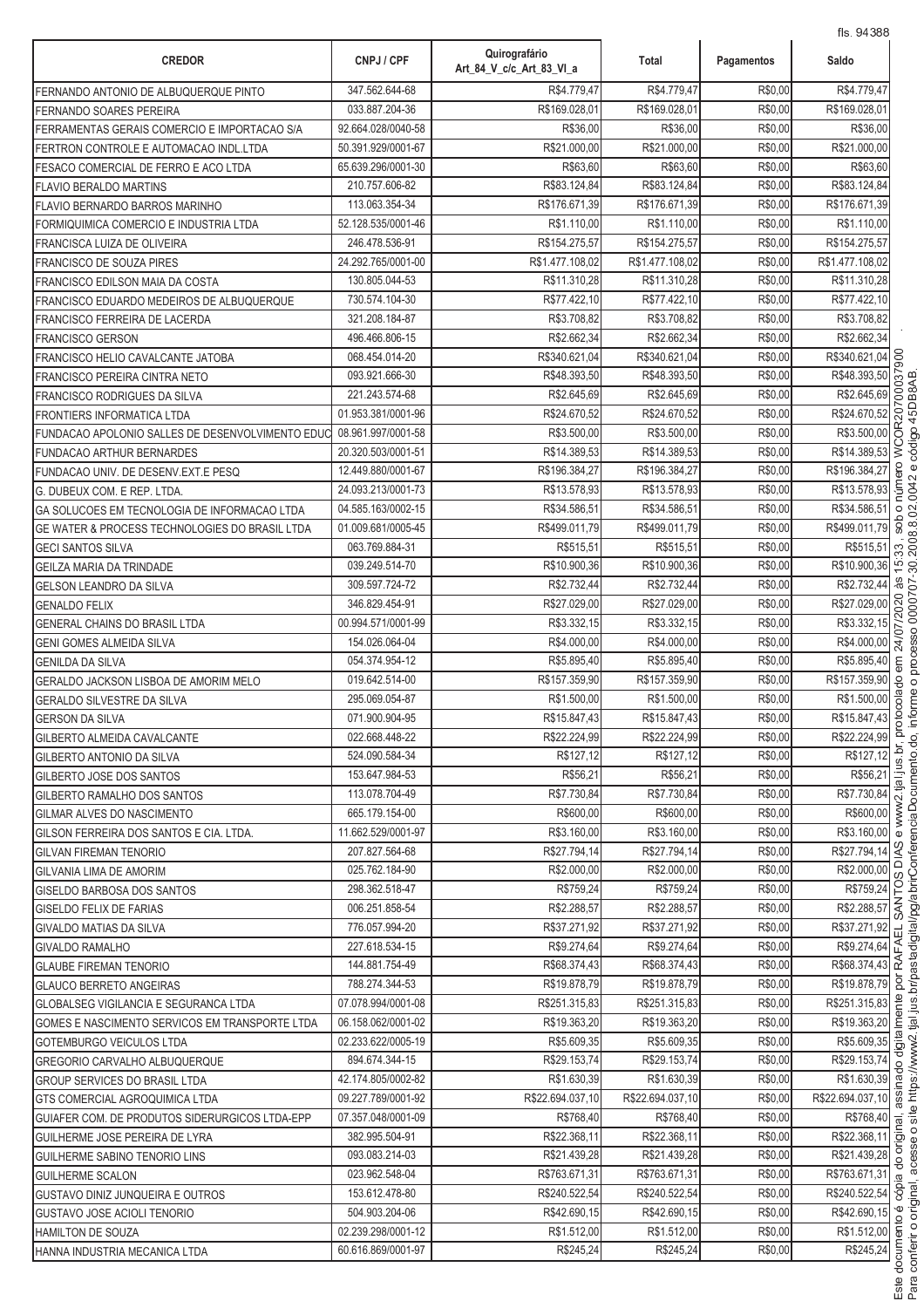| <b>CREDOR</b>                                                                  | CNPJ / CPF                           | Quirografário<br>Art 84 V c/c Art 83 VI a | Total                       | Pagamentos         | Saldo                          |
|--------------------------------------------------------------------------------|--------------------------------------|-------------------------------------------|-----------------------------|--------------------|--------------------------------|
| FERNANDO ANTONIO DE ALBUQUERQUE PINTO                                          | 347.562.644-68                       | R\$4.779,47                               | R\$4.779,47                 | R\$0,00            | R\$4.779,47                    |
| FERNANDO SOARES PEREIRA                                                        | 033.887.204-36                       | R\$169.028,01                             | R\$169.028,01               | R\$0,00            | R\$169.028,0                   |
| FERRAMENTAS GERAIS COMERCIO E IMPORTACAO S/A                                   | 92.664.028/0040-58                   | R\$36,00                                  | R\$36,00                    | R\$0,00            | R\$36,00                       |
| FERTRON CONTROLE E AUTOMACAO INDL.LTDA                                         | 50.391.929/0001-67                   | R\$21.000,00                              | R\$21.000,00                | R\$0,00            | R\$21.000,00                   |
| FESACO COMERCIAL DE FERRO E ACO LTDA                                           | 65.639.296/0001-30                   | R\$63,60                                  | R\$63,60                    | R\$0,00            | R\$63,60                       |
| FLAVIO BERALDO MARTINS                                                         | 210.757.606-82                       | R\$83.124,84                              | R\$83.124,84                | R\$0,00            | R\$83.124,84                   |
| <b>FLAVIO BERNARDO BARROS MARINHO</b>                                          | 113.063.354-34                       | R\$176.671,39                             | R\$176.671,39               | R\$0,00            | R\$176.671,39                  |
| FORMIQUIMICA COMERCIO E INDUSTRIA LTDA                                         | 52.128.535/0001-46                   | R\$1.110,00                               | R\$1.110,00                 | R\$0,00            | R\$1.110,00                    |
| FRANCISCA LUIZA DE OLIVEIRA                                                    | 246.478.536-91                       | R\$154.275,57                             | R\$154.275,57               | R\$0,00            | R\$154.275,57                  |
| FRANCISCO DE SOUZA PIRES                                                       | 24.292.765/0001-00                   | R\$1.477.108,02                           | R\$1.477.108,02             | R\$0,00            | R\$1.477.108,02                |
| FRANCISCO EDILSON MAIA DA COSTA                                                | 130.805.044-53                       | R\$11.310,28                              | R\$11.310,28                | R\$0,00            | R\$11.310,28                   |
| FRANCISCO EDUARDO MEDEIROS DE ALBUQUERQUE                                      | 730.574.104-30                       | R\$77.422,10                              | R\$77.422,10                | R\$0,00            | R\$77.422,10                   |
| FRANCISCO FERREIRA DE LACERDA                                                  | 321.208.184-87                       | R\$3.708,82                               | R\$3.708,82                 | R\$0,00            | R\$3.708,82                    |
| <b>FRANCISCO GERSON</b>                                                        | 496.466.806-15                       | R\$2.662,34                               | R\$2.662,34                 | R\$0,00            | R\$2.662,34                    |
| FRANCISCO HELIO CAVALCANTE JATOBA                                              | 068.454.014-20                       | R\$340.621,04                             | R\$340.621,04               | R\$0,00            | R\$340.621,04                  |
| FRANCISCO PEREIRA CINTRA NETO                                                  | 093.921.666-30                       | R\$48.393.50                              | R\$48.393,50                | R\$0,00            | R\$48.393,50                   |
| <b>FRANCISCO RODRIGUES DA SILVA</b>                                            | 221.243.574-68                       | R\$2.645,69                               | R\$2.645,69                 | R\$0,00            | R\$2.645,69                    |
| FRONTIERS INFORMATICA LTDA                                                     | 01.953.381/0001-96                   | R\$24.670,52                              | R\$24.670,52                | R\$0,00            | R\$24.670,52                   |
| FUNDACAO APOLONIO SALLES DE DESENVOLVIMENTO EDUC                               | 08.961.997/0001-58                   | R\$3.500,00                               | R\$3.500,00                 | R\$0,00            | R\$3.500,00<br>C               |
| <b>FUNDACAO ARTHUR BERNARDES</b>                                               | 20.320.503/0001-51                   | R\$14.389,53                              | R\$14.389,53                | R\$0,00            | R\$14.389,53                   |
| FUNDACAO UNIV. DE DESENV.EXT.E PESQ                                            | 12.449.880/0001-67                   | R\$196.384,27                             | R\$196.384,27               | R\$0,00            | R\$196.384,27                  |
| G. DUBEUX COM. E REP. LTDA.                                                    | 24.093.213/0001-73                   | R\$13.578,93                              | R\$13.578,93                | R\$0,00            | R\$13.578,93                   |
| GA SOLUCOES EM TECNOLOGIA DE INFORMACAO LTDA                                   | 04.585.163/0002-15                   | R\$34.586,51                              | R\$34.586,51                | R\$0,00            | R\$34.586,51                   |
| GE WATER & PROCESS TECHNOLOGIES DO BRASIL LTDA                                 | 01.009.681/0005-45                   | R\$499.011,79                             | R\$499.011,79               | R\$0,00            | R\$499.011,79                  |
| <b>GECI SANTOS SILVA</b>                                                       | 063.769.884-31                       | R\$515,51                                 | R\$515,51                   | R\$0,00            | R\$515,51<br>S.                |
| <b>GEILZA MARIA DA TRINDADE</b>                                                | 039.249.514-70                       | R\$10.900,36                              | R\$10.900,36                | R\$0,00            | R\$10.900,36<br>$\overline{5}$ |
| <b>GELSON LEANDRO DA SILVA</b>                                                 | 309.597.724-72                       | R\$2.732,44                               | R\$2.732,44                 | R\$0,00            | R\$2.732,44                    |
| <b>GENALDO FELIX</b>                                                           | 346.829.454-91                       | R\$27.029,00                              | R\$27.029,00                | R\$0,00            | R\$27.029,00                   |
| GENERAL CHAINS DO BRASIL LTDA                                                  | 00.994.571/0001-99                   | R\$3.332,15                               | R\$3.332,15                 | R\$0,00            | R\$3.332,15                    |
| <b>GENI GOMES ALMEIDA SILVA</b>                                                | 154.026.064-04                       | R\$4.000,00                               | R\$4.000,00                 | R\$0,00            | R\$4.000,00                    |
| GENILDA DA SILVA                                                               | 054.374.954-12                       | R\$5.895,40                               | R\$5.895,40                 | R\$0,00            | R\$5.895,40                    |
| GERALDO JACKSON LISBOA DE AMORIM MELO                                          | 019.642.514-00                       | R\$157.359,90                             | R\$157.359,90               | R\$0,00            | R\$157.359,90                  |
| <b>GERALDO SILVESTRE DA SILVA</b>                                              | 295.069.054-87                       | R\$1.500,00                               | R\$1.500,00                 | R\$0,00            | R\$1.500,00<br>ट्ठ             |
| <b>GERSON DA SILVA</b>                                                         | 071.900.904-95                       | R\$15.847,43                              | R\$15.847,43                | R\$0,00            | R\$15.847,43                   |
| <b>GILBERTO ALMEIDA CAVALCANTE</b>                                             | 022.668.448-22                       | R\$22.224,99                              | R\$22.224,99                | R\$0,00            | R\$22.224,99                   |
| <b>GILBERTO ANTONIO DA SILVA</b>                                               | 524.090.584-34                       | R\$127,12                                 | R\$127.12                   | R\$0,00            | R\$127,12                      |
| GILBERTO JOSE DOS SANTOS                                                       | 153.647.984-53                       | R\$56,21                                  | R\$56,21                    | R\$0,00            | R\$56,21                       |
| GILBERTO RAMALHO DOS SANTOS                                                    | 113.078.704-49                       | R\$7.730,84                               | R\$7.730,84                 | R\$0,00            | R\$7.730,84                    |
| <b>GILMAR ALVES DO NASCIMENTO</b>                                              | 665.179.154-00                       | R\$600,00                                 | R\$600,00                   | R\$0,00            | R\$600,00                      |
| GILSON FERREIRA DOS SANTOS E CIA. LTDA.                                        | 11.662.529/0001-97<br>207.827.564-68 | R\$3.160,00                               | R\$3.160,00                 | R\$0,00            | R\$3.160,00 0<br>Iч            |
| <b>GILVAN FIREMAN TENORIO</b>                                                  |                                      | R\$27.794,14                              | R\$27.794,14<br>R\$2,000.00 | R\$0,00            | R\$27.794,14                   |
| <b>GILVANIA LIMA DE AMORIM</b><br><b>GISELDO BARBOSA DOS SANTOS</b>            | 025.762.184-90<br>298.362.518-47     | R\$2.000,00<br>R\$759,24                  | R\$759,24                   | R\$0,00<br>R\$0,00 | R\$2.000,00<br>R\$759,24       |
|                                                                                | 006.251.858-54                       | R\$2.288,57                               | R\$2.288,57                 | R\$0,00            | R\$2.288,57                    |
| <b>GISELDO FELIX DE FARIAS</b>                                                 | 776.057.994-20                       | R\$37.271,92                              | R\$37.271,92                | R\$0,00            | R\$37.271,92                   |
| GIVALDO MATIAS DA SILVA                                                        | 227.618.534-15                       | R\$9.274,64                               | R\$9.274,64                 | R\$0,00            | R\$9.274,64                    |
| <b>GIVALDO RAMALHO</b>                                                         | 144.881.754-49                       | R\$68.374,43                              | R\$68.374,43                | R\$0,00            | R\$68.374,43 <u>m</u>          |
| <b>GLAUBE FIREMAN TENORIO</b>                                                  | 788.274.344-53                       | R\$19.878,79                              | R\$19.878,79                | R\$0,00            | R\$19.878,79                   |
| <b>GLAUCO BERRETO ANGEIRAS</b><br><b>GLOBALSEG VIGILANCIA E SEGURANCA LTDA</b> | 07.078.994/0001-08                   | R\$251.315,83                             | R\$251.315,83               | R\$0,00            | R\$251.315,83                  |
| GOMES E NASCIMENTO SERVICOS EM TRANSPORTE LTDA                                 | 06.158.062/0001-02                   | R\$19.363,20                              | R\$19.363,20                | R\$0,00            | R\$19.363,20                   |
| <b>GOTEMBURGO VEICULOS LTDA</b>                                                | 02.233.622/0005-19                   | R\$5.609,35                               | R\$5.609,35                 | R\$0,00            | R\$5.609,35                    |
| GREGORIO CARVALHO ALBUQUERQUE                                                  | 894.674.344-15                       | R\$29.153,74                              | R\$29.153,74                | R\$0,00            | R\$29.153,74                   |
| <b>GROUP SERVICES DO BRASIL LTDA</b>                                           | 42.174.805/0002-82                   | R\$1.630,39                               | R\$1.630,39                 | R\$0,00            | R\$1.630,39                    |
| GTS COMERCIAL AGROQUIMICA LTDA                                                 | 09.227.789/0001-92                   | R\$22.694.037,10                          | R\$22.694.037,10            | R\$0,00            | R\$22.694.037,10 0             |
| GUIAFER COM. DE PRODUTOS SIDERURGICOS LTDA-EPP                                 | 07.357.048/0001-09                   | R\$768,40                                 | R\$768,40                   | R\$0,00            | $R$768,40$ $\frac{1}{10}$      |
| GUILHERME JOSE PEREIRA DE LYRA                                                 | 382.995.504-91                       | R\$22.368,11                              | R\$22.368,11                | R\$0,00            | R\$22.368,11 5                 |
| GUILHERME SABINO TENORIO LINS                                                  | 093.083.214-03                       | R\$21.439,28                              | R\$21.439,28                | R\$0,00            | R\$21.439,28                   |
| <b>GUILHERME SCALON</b>                                                        | 023.962.548-04                       | R\$763.671,31                             | R\$763.671,31               | R\$0,00            | R\$763.671,31 @                |
| GUSTAVO DINIZ JUNQUEIRA E OUTROS                                               | 153.612.478-80                       | R\$240.522,54                             | R\$240.522,54               | R\$0,00            | R\$240.522,54                  |
| GUSTAVO JOSE ACIOLI TENORIO                                                    | 504.903.204-06                       | R\$42.690,15                              | R\$42.690,15                | R\$0,00            | R\$42.690,15                   |
| HAMILTON DE SOUZA                                                              | 02.239.298/0001-12                   | R\$1.512,00                               | R\$1.512,00                 | R\$0,00            | R\$1.512,00 5                  |
| HANNA INDUSTRIA MECANICA LTDA                                                  | 60.616.869/0001-97                   | R\$245,24                                 | R\$245,24                   | R\$0,00            | $\overline{R$245,24}$          |
|                                                                                |                                      |                                           |                             |                    |                                |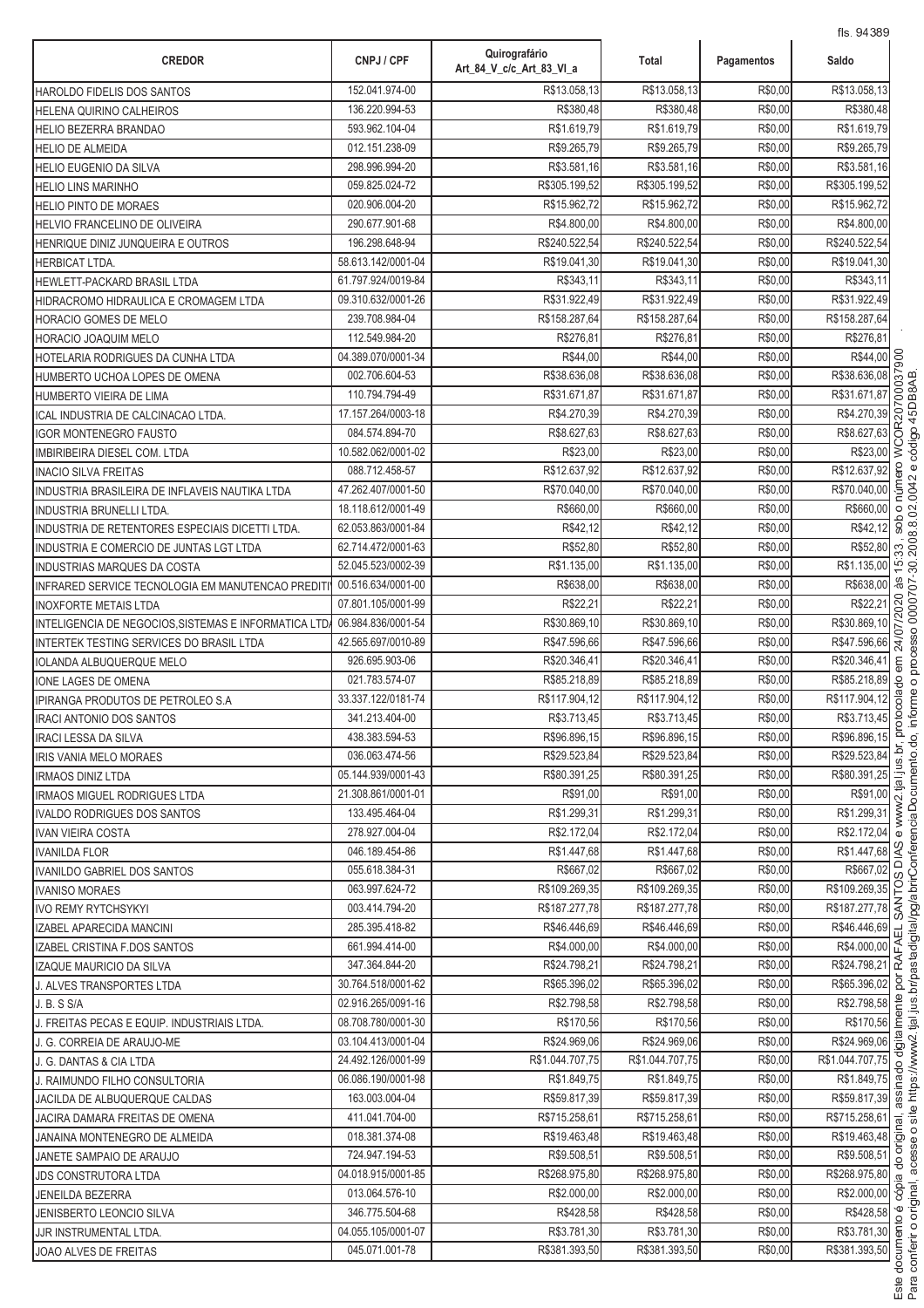| <b>CREDOR</b>                                        | CNPJ / CPF                           | Quirografário<br>Art 84 V c/c Art 83 VI a | Total                        | Pagamentos         | Saldo                         |
|------------------------------------------------------|--------------------------------------|-------------------------------------------|------------------------------|--------------------|-------------------------------|
| HAROLDO FIDELIS DOS SANTOS                           | 152.041.974-00                       | R\$13.058,13                              | R\$13.058,13                 | R\$0,00            | R\$13.058,13                  |
| HELENA QUIRINO CALHEIROS                             | 136.220.994-53                       | R\$380,48                                 | R\$380,48                    | R\$0,00            | R\$380,48                     |
| HELIO BEZERRA BRANDAO                                | 593.962.104-04                       | R\$1.619,79                               | R\$1.619,79                  | R\$0,00            | R\$1.619,79                   |
| <b>HELIO DE ALMEIDA</b>                              | 012.151.238-09                       | R\$9.265,79                               | R\$9.265,79                  | R\$0,00            | R\$9.265,79                   |
| <b>HELIO EUGENIO DA SILVA</b>                        | 298.996.994-20                       | R\$3.581,16                               | R\$3.581,16                  | R\$0,00            | R\$3.581,16                   |
| <b>HELIO LINS MARINHO</b>                            | 059.825.024-72                       | R\$305.199,52                             | R\$305.199,52                | R\$0,00            | R\$305.199,52                 |
| <b>HELIO PINTO DE MORAES</b>                         | 020.906.004-20                       | R\$15.962,72                              | R\$15.962,72                 | R\$0,00            | R\$15.962,72                  |
| HELVIO FRANCELINO DE OLIVEIRA                        | 290.677.901-68                       | R\$4.800,00                               | R\$4.800,00                  | R\$0,00            | R\$4.800,00                   |
| HENRIQUE DINIZ JUNQUEIRA E OUTROS                    | 196.298.648-94                       | R\$240.522,54                             | R\$240.522,54                | R\$0,00            | R\$240.522,54                 |
| HERBICAT LTDA.                                       | 58.613.142/0001-04                   | R\$19.041,30                              | R\$19.041,30                 | R\$0,00            | R\$19.041,30                  |
| HEWLETT-PACKARD BRASIL LTDA                          | 61.797.924/0019-84                   | R\$343,11                                 | R\$343,11                    | R\$0,00            | R\$343,11                     |
| HIDRACROMO HIDRAULICA E CROMAGEM LTDA                | 09.310.632/0001-26                   | R\$31.922,49                              | R\$31.922,49                 | R\$0,00            | R\$31.922,49                  |
| HORACIO GOMES DE MELO                                | 239.708.984-04                       | R\$158.287,64                             | R\$158.287,64                | R\$0,00            | R\$158.287,64                 |
| HORACIO JOAQUIM MELO                                 | 112.549.984-20                       | R\$276,81                                 | R\$276,81                    | R\$0,00            | R\$276,81                     |
| HOTELARIA RODRIGUES DA CUNHA LTDA                    | 04.389.070/0001-34                   | R\$44,00                                  | R\$44,00                     | R\$0,00            | OO<br>R\$44,00                |
| HUMBERTO UCHOA LOPES DE OMENA                        | 002.706.604-53                       | R\$38.636,08                              | R\$38.636,08                 | R\$0,00            | R\$38.636,08                  |
| HUMBERTO VIEIRA DE LIMA                              | 110.794.794-49                       | R\$31.671,87                              | R\$31.671,87                 | R\$0,00            | 8<br>R\$31.671,87             |
| ICAL INDUSTRIA DE CALCINACAO LTDA.                   | 17.157.264/0003-18                   | R\$4.270,39                               | R\$4.270,39                  | R\$0,00            | R\$4.270,39                   |
| <b>IGOR MONTENEGRO FAUSTO</b>                        | 084.574.894-70                       | R\$8.627,63                               | R\$8.627,63                  | R\$0,00            | R\$8.627,63<br>ਠ              |
| IMBIRIBEIRA DIESEL COM. LTDA                         | 10.582.062/0001-02                   | R\$23,00                                  | R\$23,00                     | R\$0,00            | $\lesssim$<br>R\$23,00        |
| <b>INACIO SILVA FREITAS</b>                          | 088.712.458-57                       | R\$12.637,92                              | R\$12.637,92                 | R\$0,00            | R\$12.637,92                  |
| INDUSTRIA BRASILEIRA DE INFLAVEIS NAUTIKA LTDA       | 47.262.407/0001-50                   | R\$70.040,00                              | R\$70.040,00                 | R\$0,00            | R\$70.040,00                  |
| <b>INDUSTRIA BRUNELLI LTDA.</b>                      | 18.118.612/0001-49                   | R\$660,00                                 | R\$660,00                    | R\$0,00            | R\$660,00<br>$\circ$          |
| INDUSTRIA DE RETENTORES ESPECIAIS DICETTI LTDA.      | 62.053.863/0001-84                   | R\$42,12                                  | R\$42,12                     | R\$0,00            | sob<br>R\$42,12               |
| INDUSTRIA E COMERCIO DE JUNTAS LGT LTDA              | 62.714.472/0001-63                   | R\$52,80                                  | R\$52,80                     | R\$0,00            | R\$52,80<br>33                |
| INDUSTRIAS MARQUES DA COSTA                          | 52.045.523/0002-39                   | R\$1.135,00                               | R\$1.135,00                  | R\$0,00            | R\$1.135,00<br>$\overline{5}$ |
| INFRARED SERVICE TECNOLOGIA EM MANUTENCAO PREDIT     | 00.516.634/0001-00                   | R\$638,00                                 | R\$638,00                    | R\$0,00            | às<br>a<br>R\$638,00          |
| <b>INOXFORTE METAIS LTDA</b>                         | 07.801.105/0001-99                   | R\$22,21                                  | R\$22,21                     | R\$0,00            | 020<br>R\$22,21               |
| INTELIGENCIA DE NEGOCIOS, SISTEMAS E INFORMATICA LTD | 06.984.836/0001-54                   | R\$30.869,10                              | R\$30.869,10                 | R\$0,00            | R\$30.869,10                  |
| INTERTEK TESTING SERVICES DO BRASIL LTDA             | 42.565.697/0010-89                   | R\$47.596,66                              | R\$47.596,66                 | R\$0,00            | R\$47.596,66                  |
| <b>IOLANDA ALBUQUERQUE MELO</b>                      | 926.695.903-06                       | R\$20.346,41                              | R\$20.346,41                 | R\$0,00            | R\$20.346,41                  |
| IONE LAGES DE OMENA                                  | 021.783.574-07                       | R\$85.218,89                              | R\$85.218,89                 | R\$0,00            | R\$85.218,89<br>8             |
| <b>IPIRANGA PRODUTOS DE PETROLEO S.A</b>             | 33.337.122/0181-74                   | R\$117.904,12                             | R\$117.904,12                | R\$0,00            | R\$117.904,12                 |
| IRACI ANTONIO DOS SANTOS                             | 341.213.404-00                       | R\$3.713,45                               | R\$3.713,45                  | R\$0,00            | R\$3.713,45                   |
| IRACI LESSA DA SILVA                                 | 438.383.594-53                       | R\$96.896,15                              | R\$96.896,15                 | R\$0,00            | R\$96.896,15                  |
| IRIS VANIA MELO MORAES                               | 036.063.474-56<br>05.144.939/0001-43 | R\$29.523,84<br>R\$80.391,25              | R\$29.523,84<br>R\$80.391,25 | R\$0,00<br>R\$0,00 | R\$29.523,84<br>R\$80.391,25  |
| <b>IRMAOS DINIZ LTDA</b>                             | 21.308.861/0001-01                   | R\$91.00                                  | R\$91,00                     | R\$0,00            | R\$91,00                      |
| IRMAOS MIGUEL RODRIGUES LTDA                         | 133.495.464-04                       | R\$1.299,31                               | R\$1.299,31                  | R\$0,00            | R\$1.299.31                   |
| IVALDO RODRIGUES DOS SANTOS                          | 278.927.004-04                       | R\$2.172,04                               | R\$2.172,04                  | R\$0,00            | R\$2.172,04                   |
| <b>IVAN VIEIRA COSTA</b><br><b>IVANILDA FLOR</b>     | 046.189.454-86                       | R\$1.447,68                               | R\$1.447,68                  | R\$0,00            | R\$1.447,68                   |
| IVANILDO GABRIEL DOS SANTOS                          | 055.618.384-31                       | R\$667,02                                 | R\$667.02                    | R\$0,00            | R\$667,02                     |
| <b>IVANISO MORAES</b>                                | 063.997.624-72                       | R\$109.269,35                             | R\$109.269,35                | R\$0,00            | °⊧<br>R\$109.269,35           |
| <b>IVO REMY RYTCHSYKYI</b>                           | 003.414.794-20                       | R\$187.277,78                             | R\$187.277,78                | R\$0,00            | R\$187.277,78                 |
| IZABEL APARECIDA MANCINI                             | 285.395.418-82                       | R\$46.446,69                              | R\$46.446.69                 | R\$0,00            | R\$46.446,69                  |
| IZABEL CRISTINA F.DOS SANTOS                         | 661.994.414-00                       | R\$4.000,00                               | R\$4.000,00                  | R\$0,00            | $\vec{u}$<br>R\$4.000,00 준    |
| IZAQUE MAURICIO DA SILVA                             | 347.364.844-20                       | R\$24.798,21                              | R\$24.798,21                 | R\$0,00            | R\$24.798,21 $\approx$        |
| J. ALVES TRANSPORTES LTDA                            | 30.764.518/0001-62                   | R\$65.396,02                              | R\$65.396,02                 | R\$0,00            | R\$65.396,02                  |
| J. B. S S/A                                          | 02.916.265/0091-16                   | R\$2.798,58                               | R\$2.798,58                  | R\$0,00            | R\$2.798,58                   |
| J. FREITAS PECAS E EQUIP. INDUSTRIAIS LTDA.          | 08.708.780/0001-30                   | R\$170,56                                 | R\$170,56                    | R\$0,00            | R\$170,56                     |
| J. G. CORREIA DE ARAUJO-ME                           | 03.104.413/0001-04                   | R\$24.969,06                              | R\$24.969,06                 | R\$0,00            | R\$24.969,06                  |
| J. G. DANTAS & CIA LTDA                              | 24.492.126/0001-99                   | R\$1.044.707.75                           | R\$1.044.707,75              | R\$0,00            | R\$1.044.707,75               |
| J. RAIMUNDO FILHO CONSULTORIA                        | 06.086.190/0001-98                   | R\$1.849,75                               | R\$1.849,75                  | R\$0,00            | R\$1.849,75                   |
| JACILDA DE ALBUQUERQUE CALDAS                        | 163.003.004-04                       | R\$59.817,39                              | R\$59.817,39                 | R\$0,00            | R\$59.817,39                  |
| JACIRA DAMARA FREITAS DE OMENA                       | 411.041.704-00                       | R\$715.258,61                             | R\$715.258,61                | R\$0,00            | R\$715.258,61                 |
| JANAINA MONTENEGRO DE ALMEIDA                        | 018.381.374-08                       | R\$19.463,48                              | R\$19.463,48                 | R\$0,00            | R\$19.463,48                  |
| JANETE SAMPAIO DE ARAUJO                             | 724.947.194-53                       | R\$9.508,51                               | R\$9.508,51                  | R\$0,00            | R\$9.508,51                   |
| <b>JDS CONSTRUTORA LTDA</b>                          | 04.018.915/0001-85                   | R\$268.975,80                             | R\$268.975,80                | R\$0,00            | R\$268.975,80                 |
| <b>JENEILDA BEZERRA</b>                              | 013.064.576-10                       | R\$2.000,00                               | R\$2.000,00                  | R\$0,00            | R\$2.000,00 .8                |
| JENISBERTO LEONCIO SILVA                             | 346.775.504-68                       | R\$428,58                                 | R\$428,58                    | R\$0,00            | R\$428,58                     |
| JJR INSTRUMENTAL LTDA.                               | 04.055.105/0001-07                   | R\$3.781,30                               | R\$3.781,30                  | R\$0,00            | R\$3.781,30 8                 |
| JOAO ALVES DE FREITAS                                | 045.071.001-78                       | R\$381.393,50                             | R\$381.393,50                | R\$0,00            | R\$381.393,50                 |

.<br>.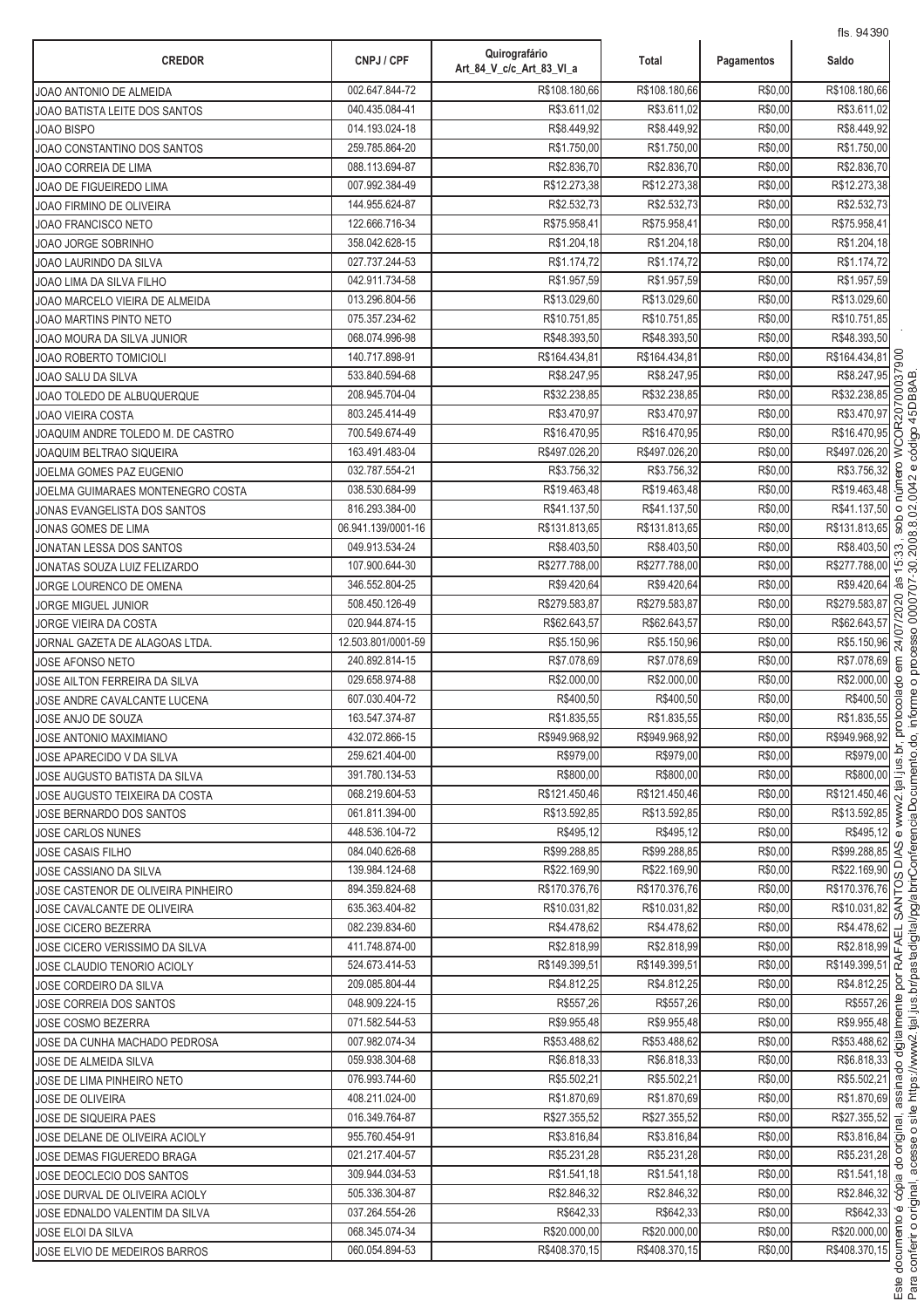| <b>CREDOR</b>                                                     | CNPJ / CPF                       | Quirografário<br>Art_84_V_c/c_Art_83_VI_a | Total                        | Pagamentos         | 115. 94090<br>Saldo                                                               |
|-------------------------------------------------------------------|----------------------------------|-------------------------------------------|------------------------------|--------------------|-----------------------------------------------------------------------------------|
| JOAO ANTONIO DE ALMEIDA                                           | 002.647.844-72                   | R\$108.180.66                             | R\$108.180,66                | R\$0,00            | R\$108.180,66                                                                     |
| JOAO BATISTA LEITE DOS SANTOS                                     | 040.435.084-41                   | R\$3.611,02                               | R\$3.611,02                  | R\$0,00            | R\$3.611,02                                                                       |
| JOAO BISPO                                                        | 014.193.024-18                   | R\$8.449,92                               | R\$8.449,92                  | R\$0,00            | R\$8.449,92                                                                       |
| JOAO CONSTANTINO DOS SANTOS                                       | 259.785.864-20                   | R\$1.750.00                               | R\$1.750,00                  | R\$0,00            | R\$1.750,00                                                                       |
| JOAO CORREIA DE LIMA                                              | 088.113.694-87                   | R\$2.836,70                               | R\$2.836,70                  | R\$0,00            | R\$2.836,70                                                                       |
| JOAO DE FIGUEIREDO LIMA                                           | 007.992.384-49                   | R\$12.273,38                              | R\$12.273,38                 | R\$0,00            | R\$12.273,38                                                                      |
| JOAO FIRMINO DE OLIVEIRA                                          | 144.955.624-87                   | R\$2.532,73                               | R\$2.532,73                  | R\$0,00            | R\$2.532,73                                                                       |
| JOAO FRANCISCO NETO                                               | 122.666.716-34                   | R\$75.958,41                              | R\$75.958,41                 | R\$0,00            | R\$75.958,41                                                                      |
| JOAO JORGE SOBRINHO                                               | 358.042.628-15                   | R\$1.204,18                               | R\$1.204,18                  | R\$0,00            | R\$1.204,18                                                                       |
| JOAO LAURINDO DA SILVA                                            | 027.737.244-53                   | R\$1.174,72                               | R\$1.174,72                  | R\$0,00            | R\$1.174,72                                                                       |
| JOAO LIMA DA SILVA FILHO                                          | 042.911.734-58                   | R\$1.957,59                               | R\$1.957,59                  | R\$0,00            | R\$1.957,59                                                                       |
| JOAO MARCELO VIEIRA DE ALMEIDA                                    | 013.296.804-56                   | R\$13.029,60                              | R\$13.029,60                 | R\$0,00            | R\$13.029,60                                                                      |
| JOAO MARTINS PINTO NETO                                           | 075.357.234-62<br>068.074.996-98 | R\$10.751,85<br>R\$48.393,50              | R\$10.751,85<br>R\$48,393.50 | R\$0,00<br>R\$0,00 | R\$10.751,85                                                                      |
| JOAO MOURA DA SILVA JUNIOR                                        | 140.717.898-91                   |                                           |                              |                    | R\$48.393,50<br>R\$164.434,81                                                     |
| JOAO ROBERTO TOMICIOLI                                            |                                  | R\$164.434,8                              | R\$164.434,81                | R\$0,00            |                                                                                   |
| JOAO SALU DA SILVA                                                | 533.840.594-68<br>208.945.704-04 | R\$8.247,95<br>R\$32.238,85               | R\$8.247,95<br>R\$32.238,85  | R\$0,00<br>R\$0,00 | 00037900<br>R\$8.247,95<br>R\$32.238,85                                           |
| JOAO TOLEDO DE ALBUQUERQUE                                        | 803.245.414-49                   | R\$3.470.97                               | R\$3.470,97                  | R\$0,00            | R\$3.470,97                                                                       |
| JOAO VIEIRA COSTA                                                 | 700.549.674-49                   | R\$16.470,95                              | R\$16.470,95                 | R\$0,00            | R\$16.470,95                                                                      |
| JOAQUIM ANDRE TOLEDO M. DE CASTRO                                 | 163.491.483-04                   | R\$497.026,20                             | R\$497.026,20                | R\$0,00            | WCOR207<br>R\$497.026,20                                                          |
| JOAQUIM BELTRAO SIQUEIRA                                          | 032.787.554-21                   | R\$3.756,32                               | R\$3.756,32                  | R\$0,00            | R\$3.756,32                                                                       |
| JOELMA GOMES PAZ EUGENIO                                          | 038.530.684-99                   | R\$19.463,48                              | R\$19.463,48                 | R\$0,00            | número<br>R\$19.463,48                                                            |
| JOELMA GUIMARAES MONTENEGRO COSTA<br>JONAS EVANGELISTA DOS SANTOS | 816.293.384-00                   | R\$41.137,50                              | R\$41.137,50                 | R\$0,00            | R\$41.137,50<br>$\circ$                                                           |
| JONAS GOMES DE LIMA                                               | 06.941.139/0001-16               | R\$131.813,65                             | R\$131.813,65                | R\$0,00            | sob<br>R\$131.813,65                                                              |
| JONATAN LESSA DOS SANTOS                                          | 049.913.534-24                   | R\$8.403,50                               | R\$8.403,50                  | R\$0,00            | R\$8.403,50                                                                       |
| JONATAS SOUZA LUIZ FELIZARDO                                      | 107.900.644-30                   | R\$277.788,00                             | R\$277.788,00                | R\$0,00            | 33<br>R\$277.788,00<br>$\overline{5}$                                             |
| JORGE LOURENCO DE OMENA                                           | 346.552.804-25                   | R\$9.420,64                               | R\$9.420,64                  | R\$0,00            | æ.<br>R\$9.420,64                                                                 |
| JORGE MIGUEL JUNIOR                                               | 508.450.126-49                   | R\$279.583,87                             | R\$279.583,87                | R\$0,00            | R\$279.583,87                                                                     |
| JORGE VIEIRA DA COSTA                                             | 020.944.874-15                   | R\$62.643,57                              | R\$62.643,57                 | R\$0,00            | 24/07/2020<br>R\$62.643,57                                                        |
| JORNAL GAZETA DE ALAGOAS LTDA.                                    | 12.503.801/0001-59               | R\$5.150,96                               | R\$5.150,96                  | R\$0,00            | R\$5.150,96                                                                       |
| <b>JOSE AFONSO NETO</b>                                           | 240.892.814-15                   | R\$7.078,69                               | R\$7.078,69                  | R\$0,00            | R\$7.078,69<br>Θm                                                                 |
| JOSE AILTON FERREIRA DA SILVA                                     | 029.658.974-88                   | R\$2.000,00                               | R\$2.000,00                  | R\$0,00            | R\$2.000,00 g                                                                     |
| JOSE ANDRE CAVALCANTE LUCENA                                      | 607.030.404-72                   | R\$400,50                                 | R\$400,50                    | R\$0,00            | R\$400,50<br>8\$1.835,55                                                          |
| JOSE ANJO DE SOUZA                                                | 163.547.374-87                   | R\$1.835,55                               | R\$1.835,55                  | R\$0,00            | R\$1.835,55                                                                       |
| JOSE ANTONIO MAXIMIANO                                            | 432.072.866-15                   | R\$949.968,92                             | R\$949.968,92                | R\$0,00            | R\$949.968,92                                                                     |
| JOSE APARECIDO V DA SILVA                                         | 259.621.404-00                   | R\$979,00                                 | R\$979,00                    | R\$0,00            | 요 R\$979,00                                                                       |
| JOSE AUGUSTO BATISTA DA SILVA                                     | 391.780.134-53                   | R\$800,00                                 | R\$800,00                    | R\$0,00            | R\$800,00                                                                         |
| JOSE AUGUSTO TEIXEIRA DA COSTA                                    | 068.219.604-53                   | R\$121.450,46                             | R\$121.450,46                | R\$0,00            | R\$121.450,46                                                                     |
| JOSE BERNARDO DOS SANTOS                                          | 061.811.394-00                   | R\$13.592,85                              | R\$13.592,85                 | R\$0,00            | R\$13.592,85                                                                      |
| <b>JOSE CARLOS NUNES</b>                                          | 448.536.104-72                   | R\$495.12                                 | R\$495.12                    | R\$0,00            | R\$495,12                                                                         |
| JOSE CASAIS FILHO                                                 | 084.040.626-68                   | R\$99.288,85                              | R\$99.288,85                 | R\$0,00            | R\$99.288,85 <sup>9</sup>                                                         |
| JOSE CASSIANO DA SILVA                                            | 139.984.124-68                   | R\$22.169,90                              | R\$22.169,90                 | R\$0,00            | R\$22.169,90                                                                      |
| JOSE CASTENOR DE OLIVEIRA PINHEIRO                                | 894.359.824-68                   | R\$170.376,76                             | R\$170.376,76                | R\$0,00            | $rac{R$22.169,90}{R$170.376,76}$<br>R\$170.376,76<br>R\$10.031,82<br>R\$11.139.88 |
| JOSE CAVALCANTE DE OLIVEIRA                                       | 635.363.404-82                   | R\$10.031,82                              | R\$10.031,82                 | R\$0,00            |                                                                                   |
| <b>JOSE CICERO BEZERRA</b>                                        | 082.239.834-60                   | R\$4.478,62                               | R\$4.478.62                  | R\$0,00            | R\$4.478,62                                                                       |
| JOSE CICERO VERISSIMO DA SILVA                                    | 411.748.874-00                   | R\$2.818,99                               | R\$2.818,99                  | R\$0,00            | $rac{R$4.478,62}{R$2.818,99}$                                                     |
| JOSE CLAUDIO TENORIO ACIOLY                                       | 524.673.414-53                   | R\$149.399,51                             | R\$149.399,51                | R\$0,00            | R\$149.399,51 2                                                                   |
| JOSE CORDEIRO DA SILVA                                            | 209.085.804-44                   | R\$4.812,25                               | R\$4.812,25                  | R\$0,00            | R\$4.812,25 2                                                                     |
| JOSE CORREIA DOS SANTOS                                           | 048.909.224-15                   | R\$557,26                                 | R\$557,26                    | R\$0,00            | $R$557,26$ $\frac{0}{6}$                                                          |
| JOSE COSMO BEZERRA                                                | 071.582.544-53                   | R\$9.955,48                               | R\$9.955,48                  | R\$0,00            | $rac{R$9.955,48}{R$53.488,62}$                                                    |
| JOSE DA CUNHA MACHADO PEDROSA                                     | 007.982.074-34                   | R\$53.488,62                              | R\$53.488,62                 | R\$0,00            |                                                                                   |
| JOSE DE ALMEIDA SILVA                                             | 059.938.304-68                   | R\$6.818,33                               | R\$6.818,33                  | R\$0,00            | R\$6.818,33                                                                       |
| JOSE DE LIMA PINHEIRO NETO                                        | 076.993.744-60                   | R\$5.502,21                               | R\$5.502,21                  | R\$0,00            | R\$5.502,21                                                                       |
| <b>JOSE DE OLIVEIRA</b>                                           | 408.211.024-00                   | R\$1.870,69                               | R\$1.870,69                  | R\$0,00            | R\$1.870,69 @                                                                     |
| JOSE DE SIQUEIRA PAES                                             | 016.349.764-87                   | R\$27.355,52                              | R\$27.355,52                 | R\$0,00            | $\overline{R$27.355,52}$                                                          |
| JOSE DELANE DE OLIVEIRA ACIOLY                                    | 955.760.454-91                   | R\$3.816,84                               | R\$3.816,84                  | R\$0,00            | R\$3.816,84 호                                                                     |
| JOSE DEMAS FIGUEREDO BRAGA                                        | 021.217.404-57                   | R\$5.231,28                               | R\$5.231,28                  | R\$0,00            | R\$5.231,28                                                                       |
| JOSE DEOCLECIO DOS SANTOS                                         | 309.944.034-53                   | R\$1.541,18                               | R\$1.541,18                  | R\$0,00            | $rac{R$1.541,18}{R$2.846,32}$                                                     |
| JOSE DURVAL DE OLIVEIRA ACIOLY                                    | 505.336.304-87                   | R\$2.846,32                               | R\$2.846,32                  | R\$0,00            |                                                                                   |
| JOSE EDNALDO VALENTIM DA SILVA                                    | 037.264.554-26                   | R\$642,33                                 | R\$642,33                    | R\$0,00            | R\$642,33                                                                         |
| <b>JOSE ELOI DA SILVA</b>                                         | 068.345.074-34                   | R\$20.000,00                              | R\$20.000,00                 | R\$0,00            | R\$20.000,00                                                                      |
| JOSE ELVIO DE MEDEIROS BARROS                                     | 060.054.894-53                   | R\$408.370,15                             | R\$408.370.15                | R\$0,00            | R\$408.370,15                                                                     |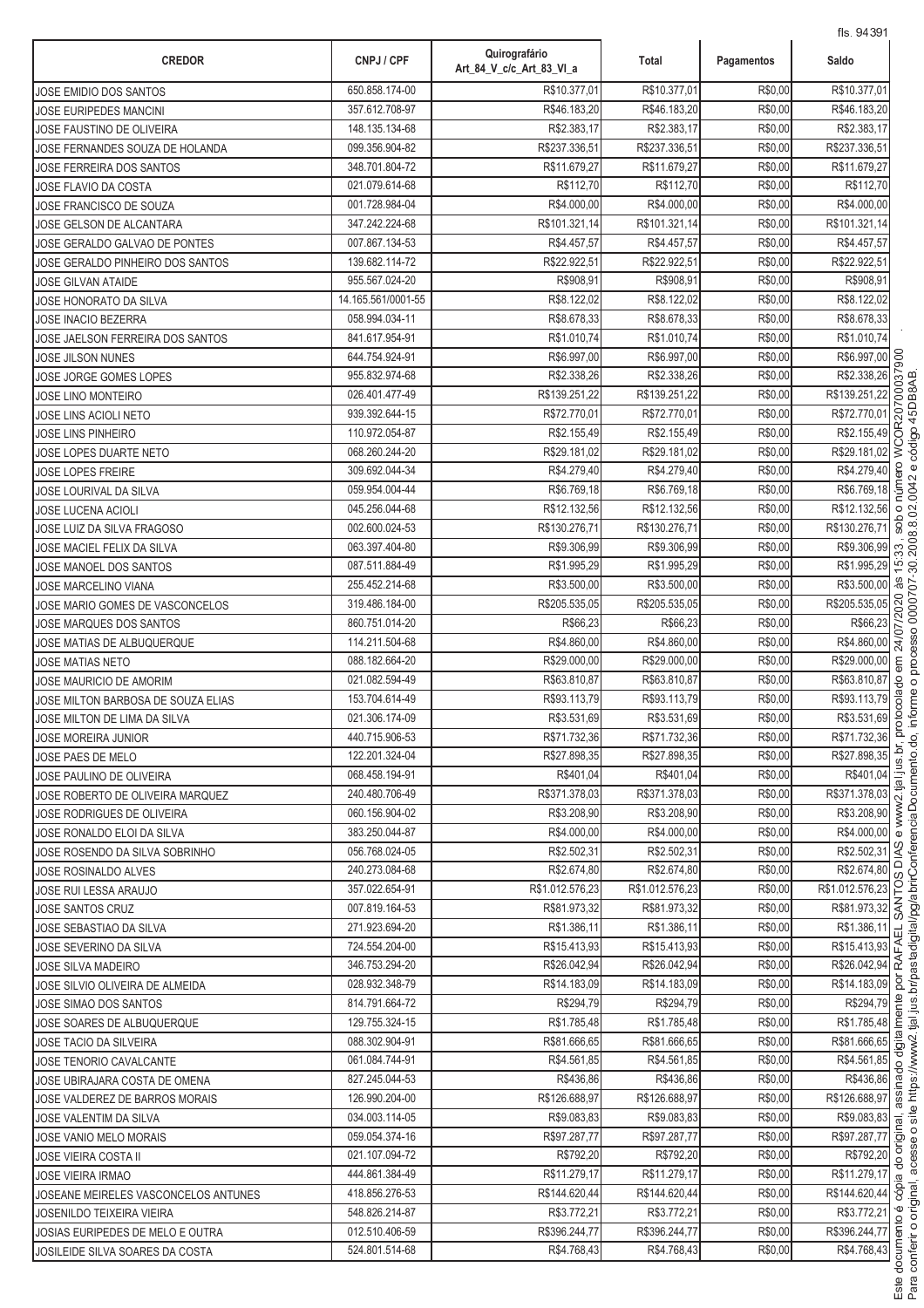| <b>CREDOR</b>                        | CNPJ / CPF         | Quirografário<br>Art_84_V_c/c_Art_83_VI_a | Total           | Pagamentos | Saldo                                                                                                                                   |
|--------------------------------------|--------------------|-------------------------------------------|-----------------|------------|-----------------------------------------------------------------------------------------------------------------------------------------|
| JOSE EMIDIO DOS SANTOS               | 650.858.174-00     | R\$10.377,01                              | R\$10.377,01    | R\$0,00    | R\$10.377,01                                                                                                                            |
| JOSE EURIPEDES MANCINI               | 357.612.708-97     | R\$46.183,20                              | R\$46.183,20    | R\$0,00    | R\$46.183,20                                                                                                                            |
| JOSE FAUSTINO DE OLIVEIRA            | 148.135.134-68     | R\$2.383,17                               | R\$2.383,17     | R\$0,00    | R\$2.383,17                                                                                                                             |
| JOSE FERNANDES SOUZA DE HOLANDA      | 099.356.904-82     | R\$237.336,51                             | R\$237.336,51   | R\$0,00    | R\$237.336,51                                                                                                                           |
| JOSE FERREIRA DOS SANTOS             | 348.701.804-72     | R\$11.679,27                              | R\$11.679,27    | R\$0,00    | R\$11.679,27                                                                                                                            |
| JOSE FLAVIO DA COSTA                 | 021.079.614-68     | R\$112,70                                 | R\$112,70       | R\$0,00    | R\$112,70                                                                                                                               |
| JOSE FRANCISCO DE SOUZA              | 001.728.984-04     | R\$4.000,00                               | R\$4,000.00     | R\$0,00    | R\$4.000,00                                                                                                                             |
| JOSE GELSON DE ALCANTARA             | 347.242.224-68     | R\$101.321,14                             | R\$101.321,14   | R\$0,00    | R\$101.321,14                                                                                                                           |
| JOSE GERALDO GALVAO DE PONTES        | 007.867.134-53     | R\$4.457,57                               | R\$4.457,57     | R\$0,00    | R\$4.457,57                                                                                                                             |
| JOSE GERALDO PINHEIRO DOS SANTOS     | 139.682.114-72     | R\$22.922,51                              | R\$22.922,51    | R\$0,00    | R\$22.922,51                                                                                                                            |
| <b>JOSE GILVAN ATAIDE</b>            | 955.567.024-20     | R\$908,91                                 | R\$908,91       | R\$0,00    | R\$908,91                                                                                                                               |
| JOSE HONORATO DA SILVA               | 14.165.561/0001-55 | R\$8.122,02                               | R\$8.122,02     | R\$0,00    | R\$8.122,02                                                                                                                             |
| <b>JOSE INACIO BEZERRA</b>           | 058.994.034-11     | R\$8.678,33                               | R\$8.678,33     | R\$0,00    | R\$8.678,33                                                                                                                             |
| JOSE JAELSON FERREIRA DOS SANTOS     | 841.617.954-91     | R\$1.010,74                               | R\$1.010,74     | R\$0,00    | R\$1.010,74                                                                                                                             |
| <b>JOSE JILSON NUNES</b>             | 644.754.924-91     | R\$6.997,00                               | R\$6.997,00     | R\$0,00    |                                                                                                                                         |
| JOSE JORGE GOMES LOPES               | 955.832.974-68     | R\$2.338,26                               | R\$2.338.26     | R\$0,00    | R\$6.997,00<br>R\$2.338,26<br>\$139.251,22                                                                                              |
| <b>JOSE LINO MONTEIRO</b>            | 026.401.477-49     | R\$139.251,22                             | R\$139.251,22   | R\$0,00    | R\$139.251,22                                                                                                                           |
| <b>JOSE LINS ACIOLI NETO</b>         | 939.392.644-15     | R\$72.770,01                              | R\$72.770,01    | R\$0,00    | R\$72.770,01                                                                                                                            |
| JOSE LINS PINHEIRO                   | 110.972.054-87     | R\$2.155,49                               | R\$2.155,49     | R\$0,00    | WCOR207<br>R\$2.155,49                                                                                                                  |
| JOSE LOPES DUARTE NETO               | 068.260.244-20     | R\$29.181,02                              | R\$29.181,02    | R\$0,00    | R\$29.181,02                                                                                                                            |
| <b>JOSE LOPES FREIRE</b>             | 309.692.044-34     | R\$4.279,40                               | R\$4.279,40     | R\$0,00    | R\$4.279,40                                                                                                                             |
| JOSE LOURIVAL DA SILVA               | 059.954.004-44     | R\$6.769,18                               | R\$6.769,18     | R\$0,00    | núm<br>R\$6.769,18                                                                                                                      |
| <b>JOSE LUCENA ACIOLI</b>            | 045.256.044-68     | R\$12.132,56                              | R\$12.132,56    | R\$0,00    | R\$12.132,56<br>$\circ$                                                                                                                 |
| JOSE LUIZ DA SILVA FRAGOSO           | 002.600.024-53     | R\$130.276,71                             | R\$130.276,71   | R\$0,00    | sob<br>R\$130.276,71                                                                                                                    |
| JOSE MACIEL FELIX DA SILVA           | 063.397.404-80     | R\$9.306,99                               | R\$9.306,99     | R\$0,00    | R\$9.306,99<br>33                                                                                                                       |
| JOSE MANOEL DOS SANTOS               | 087.511.884-49     | R\$1.995,29                               | R\$1.995,29     | R\$0,00    | $\overline{5}$<br>R\$1.995,29                                                                                                           |
| JOSE MARCELINO VIANA                 | 255.452.214-68     | R\$3.500,00                               | R\$3.500,00     | R\$0,00    | æ.<br>R\$3.500,00                                                                                                                       |
| JOSE MARIO GOMES DE VASCONCELOS      | 319.486.184-00     | R\$205.535,05                             | R\$205.535,05   | R\$0,00    | 24/07/2020<br>R\$205.535,05                                                                                                             |
| JOSE MARQUES DOS SANTOS              | 860.751.014-20     | R\$66,23                                  | R\$66,23        | R\$0,00    | R\$66,23                                                                                                                                |
| JOSE MATIAS DE ALBUQUERQUE           | 114.211.504-68     | R\$4.860,00                               | R\$4.860,00     | R\$0,00    | R\$4.860,00                                                                                                                             |
| JOSE MATIAS NETO                     | 088.182.664-20     | R\$29.000,00                              | R\$29.000,00    | R\$0,00    | R\$29.000,00<br>ξ                                                                                                                       |
| <b>JOSE MAURICIO DE AMORIM</b>       | 021.082.594-49     | R\$63.810,87                              | R\$63.810,87    | R\$0,00    | R\$63.810,87                                                                                                                            |
| JOSE MILTON BARBOSA DE SOUZA ELIAS   | 153.704.614-49     | R\$93.113,79                              | R\$93.113,79    | R\$0,00    | colado<br>R\$93.113,79                                                                                                                  |
| JOSE MILTON DE LIMA DA SILVA         | 021.306.174-09     | R\$3.531,69                               | R\$3.531,69     | R\$0,00    | ōio<br>R\$3.531,69                                                                                                                      |
| JOSE MOREIRA JUNIOR                  | 440.715.906-53     | R\$71.732,36                              | R\$71.732,36    | R\$0,00    | R\$71.732,36                                                                                                                            |
| JOSE PAES DE MELO                    | 122.201.324-04     | R\$27.898,35                              | R\$27.898.35    | R\$0,00    | R\$27.898,35                                                                                                                            |
| JOSE PAULINO DE OLIVEIRA             | 068.458.194-91     | R\$401,04                                 | R\$401,04       | R\$0,00    | $rac{R$401,04}{R$371.378,03}$                                                                                                           |
| JOSE ROBERTO DE OLIVEIRA MARQUEZ     | 240.480.706-49     | R\$371.378,03                             | R\$371.378,03   | R\$0,00    | R\$371.378,03                                                                                                                           |
| JOSE RODRIGUES DE OLIVEIRA           | 060.156.904-02     | R\$3.208,90                               | R\$3.208,90     | R\$0,00    | R\$3.208,90                                                                                                                             |
| JOSE RONALDO ELOI DA SILVA           | 383.250.044-87     | R\$4.000,00                               | R\$4.000.00     | R\$0,00    | R\$4.000,00<br>$\omega$                                                                                                                 |
| JOSE ROSENDO DA SILVA SOBRINHO       | 056.768.024-05     | R\$2.502.31                               | R\$2.502,31     | R\$0,00    | R\$2.502,31 <sup>9</sup><br>$\Omega$                                                                                                    |
| JOSE ROSINALDO ALVES                 | 240.273.084-68     | R\$2.674,80                               | R\$2.674,80     | R\$0,00    | R\$2.674,80                                                                                                                             |
| JOSE RUI LESSA ARAUJO                | 357.022.654-91     | R\$1.012.576,23                           | R\$1.012.576,23 | R\$0,00    | R\$1.012.576,23                                                                                                                         |
| <b>JOSE SANTOS CRUZ</b>              | 007.819.164-53     | R\$81.973,32                              | R\$81.973,32    | R\$0,00    | $\frac{R$2.674,80}{61.012.576,23}$<br>R\$81.973,32<br>R\$81.973,32                                                                      |
| JOSE SEBASTIAO DA SILVA              | 271.923.694-20     | R\$1.386,11                               | R\$1.386,11     | R\$0,00    | R\$1.386,11<br>$\frac{\text{R$1.386,11}}{\text{R$15.413,93}} \begin{array}{c}\n\text{H} \\ \text{H} \\ \text{R$26.042,94}\n\end{array}$ |
| JOSE SEVERINO DA SILVA               | 724.554.204-00     | R\$15.413,93                              | R\$15.413,93    | R\$0,00    |                                                                                                                                         |
| JOSE SILVA MADEIRO                   | 346.753.294-20     | R\$26.042,94                              | R\$26.042,94    | R\$0,00    |                                                                                                                                         |
| JOSE SILVIO OLIVEIRA DE ALMEIDA      | 028.932.348-79     | R\$14.183,09                              | R\$14.183,09    | R\$0,00    | R\$14.183,09 g                                                                                                                          |
| JOSE SIMAO DOS SANTOS                | 814.791.664-72     | R\$294,79                                 | R\$294,79       | R\$0,00    | R\$294,79<br>R\$1.785,48<br>R\$81.666,65<br>R\$4.561.85                                                                                 |
| JOSE SOARES DE ALBUQUERQUE           | 129.755.324-15     | R\$1.785,48                               | R\$1.785,48     | R\$0,00    |                                                                                                                                         |
| <b>JOSE TACIO DA SILVEIRA</b>        | 088.302.904-91     | R\$81.666,65                              | R\$81.666,65    | R\$0,00    |                                                                                                                                         |
| JOSE TENORIO CAVALCANTE              | 061.084.744-91     | R\$4.561,85                               | R\$4.561,85     | R\$0,00    | R\$4.561,85<br>$\frac{8}{10}$                                                                                                           |
| JOSE UBIRAJARA COSTA DE OMENA        | 827.245.044-53     | R\$436,86                                 | R\$436,86       | R\$0,00    | R\$436,86 @                                                                                                                             |
| JOSE VALDEREZ DE BARROS MORAIS       | 126.990.204-00     | R\$126.688,97                             | R\$126.688,97   | R\$0,00    | R\$126.688,97                                                                                                                           |
| JOSE VALENTIM DA SILVA               | 034.003.114-05     | R\$9.083,83                               | R\$9.083,83     | R\$0,00    | $\overline{R$9.083,83}$ $\frac{1}{2}$                                                                                                   |
| JOSE VANIO MELO MORAIS               | 059.054.374-16     | R\$97.287,77                              | R\$97.287,77    | R\$0,00    | R\$97.287,77                                                                                                                            |
| <b>JOSE VIEIRA COSTA II</b>          | 021.107.094-72     | R\$792,20                                 | R\$792,20       | R\$0,00    | $rac{R$792,20}{R$11.279,17}$ $rac{5}{9}$                                                                                                |
| <b>JOSE VIEIRA IRMAO</b>             | 444.861.384-49     | R\$11.279,17                              | R\$11.279,17    | R\$0,00    |                                                                                                                                         |
| JOSEANE MEIRELES VASCONCELOS ANTUNES | 418.856.276-53     | R\$144.620,44                             | R\$144.620,44   | R\$0,00    | R\$144.620,44 S                                                                                                                         |
| <b>JOSENILDO TEIXEIRA VIEIRA</b>     | 548.826.214-87     | R\$3.772,21                               | R\$3.772,21     | R\$0,00    | R\$3.772,21                                                                                                                             |
| JOSIAS EURIPEDES DE MELO E OUTRA     | 012.510.406-59     | R\$396.244,77                             | R\$396.244,77   | R\$0,00    | R\$396.244,77                                                                                                                           |
| JOSILEIDE SILVA SOARES DA COSTA      | 524.801.514-68     | R\$4.768,43                               | R\$4.768,43     | R\$0,00    | R\$4.768,43                                                                                                                             |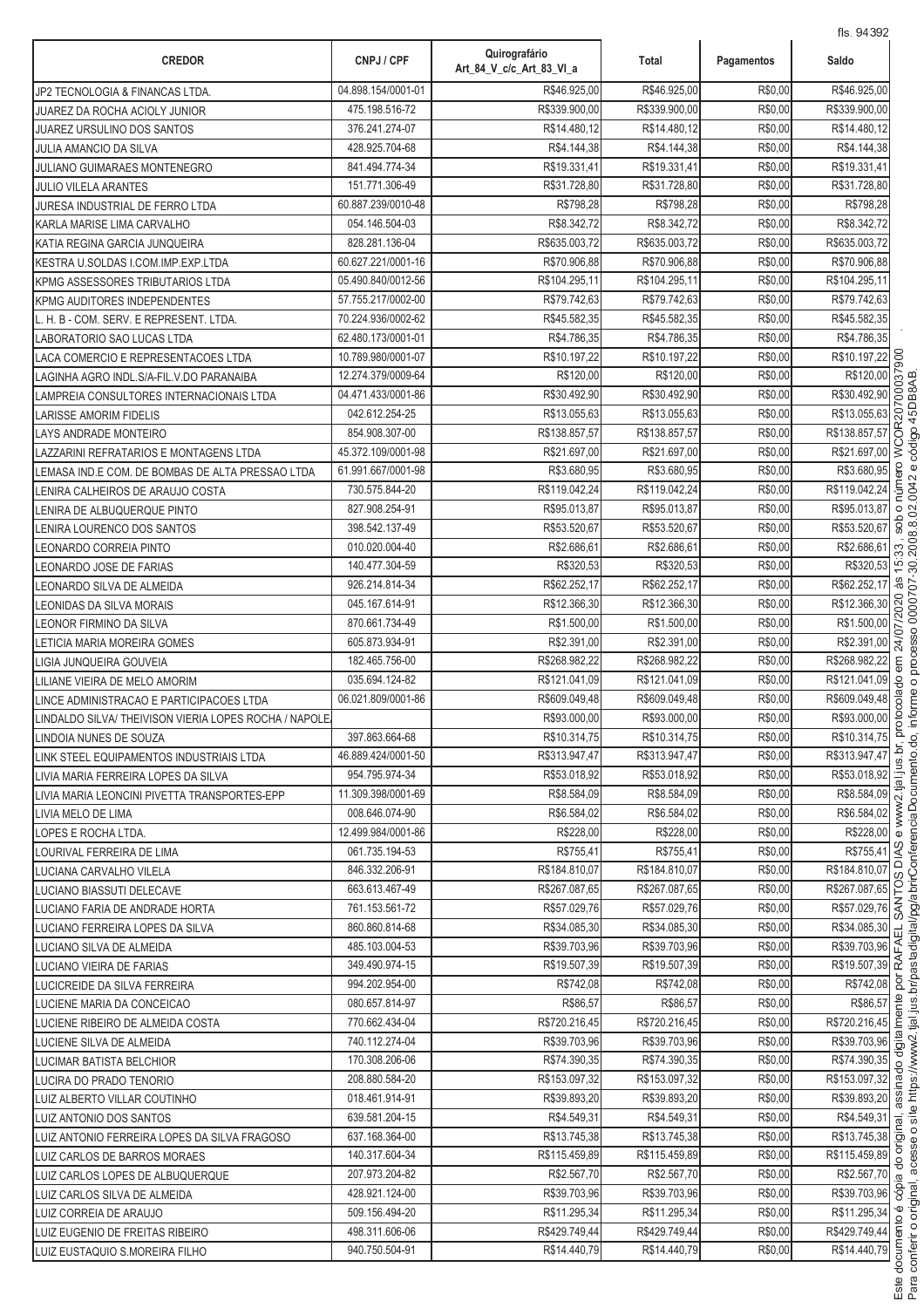| <b>CREDOR</b>                                        | CNPJ / CPF                       | Quirografário<br>Art 84 V c/c Art 83 VI a | Total                    | Pagamentos         | 115. 9439Z<br>Saldo               |                 |
|------------------------------------------------------|----------------------------------|-------------------------------------------|--------------------------|--------------------|-----------------------------------|-----------------|
| JP2 TECNOLOGIA & FINANCAS LTDA.                      | 04.898.154/0001-01               | R\$46.925,00                              | R\$46.925,00             | R\$0,00            | R\$46.925,00                      |                 |
| JUAREZ DA ROCHA ACIOLY JUNIOR                        | 475.198.516-72                   | R\$339.900,00                             | R\$339.900,00            | R\$0,00            | R\$339.900,00                     |                 |
| JUAREZ URSULINO DOS SANTOS                           | 376.241.274-07                   | R\$14.480,12                              | R\$14.480,12             | R\$0,00            | R\$14.480,12                      |                 |
| <b>JULIA AMANCIO DA SILVA</b>                        | 428.925.704-68                   | R\$4.144,38                               | R\$4.144.38              | R\$0,00            | R\$4.144,38                       |                 |
| JULIANO GUIMARAES MONTENEGRO                         | 841.494.774-34                   | R\$19.331,41                              | R\$19.331,41             | R\$0,00            | R\$19.331,41                      |                 |
| <b>JULIO VILELA ARANTES</b>                          | 151.771.306-49                   | R\$31.728,80                              | R\$31.728,80             | R\$0,00            | R\$31.728,80                      |                 |
| JURESA INDUSTRIAL DE FERRO LTDA                      | 60.887.239/0010-48               | R\$798,28                                 | R\$798,28                | R\$0,00            | R\$798,28                         |                 |
| KARLA MARISE LIMA CARVALHO                           | 054.146.504-03                   | R\$8.342,72                               | R\$8.342,72              | R\$0,00            | R\$8.342,72                       |                 |
| KATIA REGINA GARCIA JUNQUEIRA                        | 828.281.136-04                   | R\$635.003,72                             | R\$635.003,72            | R\$0,00            | R\$635.003,72                     |                 |
| KESTRA U.SOLDAS I.COM.IMP.EXP.LTDA                   | 60.627.221/0001-16               | R\$70.906,88                              | R\$70.906,88             | R\$0,00            | R\$70.906,88                      |                 |
| KPMG ASSESSORES TRIBUTARIOS LTDA                     | 05.490.840/0012-56               | R\$104.295,11                             | R\$104.295,11            | R\$0,00            | R\$104.295,11                     |                 |
| <b>KPMG AUDITORES INDEPENDENTES</b>                  | 57.755.217/0002-00               | R\$79.742,63                              | R\$79.742,63             | R\$0,00            | R\$79.742,63                      |                 |
| L. H. B - COM. SERV. E REPRESENT. LTDA.              | 70.224.936/0002-62               | R\$45.582,35                              | R\$45.582,35             | R\$0,00            | R\$45.582,35                      |                 |
| LABORATORIO SAO LUCAS LTDA                           | 62.480.173/0001-01               | R\$4.786,35                               | R\$4.786,35              | R\$0,00            | R\$4.786,35                       |                 |
| LACA COMERCIO E REPRESENTACOES LTDA                  | 10.789.980/0001-07               | R\$10.197,22                              | R\$10.197,22             | R\$0,00            | R\$10.197,22                      | SOG             |
| LAGINHA AGRO INDL.S/A-FIL.V.DO PARANAIBA             | 12.274.379/0009-64               | R\$120,00                                 | R\$120,00                | R\$0,00            | R\$120,00                         |                 |
| LAMPREIA CONSULTORES INTERNACIONAIS LTDA             | 04.471.433/0001-86               | R\$30.492,90                              | R\$30.492,90             | R\$0,00            | R\$30.492,90                      | δ               |
| LARISSE AMORIM FIDELIS                               | 042.612.254-25                   | R\$13.055,63                              | R\$13.055,63             | R\$0,00            | R\$13.055,63                      | COR207          |
| LAYS ANDRADE MONTEIRO                                | 854.908.307-00                   | R\$138.857,57                             | R\$138.857,57            | R\$0,00            | R\$138.857,57                     |                 |
| LAZZARINI REFRATARIOS E MONTAGENS LTDA               | 45.372.109/0001-98               | R\$21.697,00                              | R\$21.697,00             | R\$0,00            | R\$21.697,00                      | š               |
| LEMASA IND E COM. DE BOMBAS DE ALTA PRESSAO LTDA     | 61.991.667/0001-98               | R\$3.680,95                               | R\$3.680,95              | R\$0,00            | R\$3.680,95                       |                 |
| LENIRA CALHEIROS DE ARAUJO COSTA                     | 730.575.844-20                   | R\$119.042,24                             | R\$119.042,24            | R\$0,00            | R\$119.042,24                     |                 |
| LENIRA DE ALBUQUERQUE PINTO                          | 827.908.254-91                   | R\$95.013,87                              | R\$95.013,87             | R\$0,00<br>R\$0,00 | R\$95.013,87                      | $\circ$<br>Sob  |
| LENIRA LOURENCO DOS SANTOS                           | 398.542.137-49                   | R\$53.520,67<br>R\$2.686,61               | R\$53.520,67             |                    | R\$53.520,67                      |                 |
| LEONARDO CORREIA PINTO                               | 010.020.004-40<br>140.477.304-59 | R\$320,53                                 | R\$2.686,61<br>R\$320,53 | R\$0,00<br>R\$0,00 | R\$2.686,61<br>R\$320,53          | 33<br>15        |
| EONARDO JOSE DE FARIAS                               | 926.214.814-34                   | R\$62.252,17                              | R\$62.252,17             | R\$0,00            | R\$62.252,17                      | δř              |
| EONARDO SILVA DE ALMEIDA                             | 045.167.614-91                   | R\$12.366,30                              | R\$12.366,30             | R\$0,00            | R\$12.366,30                      | 020             |
| LEONIDAS DA SILVA MORAIS<br>LEONOR FIRMINO DA SILVA  | 870.661.734-49                   | R\$1.500,00                               | R\$1.500,00              | R\$0,00            | R\$1.500,00                       |                 |
| LETICIA MARIA MOREIRA GOMES                          | 605.873.934-91                   | R\$2.391,00                               | R\$2.391,00              | R\$0,00            | R\$2.391,00                       |                 |
| LIGIA JUNQUEIRA GOUVEIA                              | 182.465.756-00                   | R\$268.982,22                             | R\$268.982,22            | R\$0,00            | R\$268.982,22                     | 24/             |
| LILIANE VIEIRA DE MELO AMORIM                        | 035.694.124-82                   | R\$121.041,09                             | R\$121.041,09            | R\$0,00            | R\$121.041,09                     | 8               |
| LINCE ADMINISTRACAO E PARTICIPACOES LTDA             | 06.021.809/0001-86               | R\$609.049,48                             | R\$609.049,48            | R\$0,00            | R\$609.049,48                     | B <sub>OC</sub> |
| LINDALDO SILVA/THEIVISON VIERIA LOPES ROCHA / NAPOLE |                                  | R\$93.000,00                              | R\$93.000,00             | R\$0,00            | R\$93.000,00                      | oto             |
| LINDOIA NUNES DE SOUZA                               | 397.863.664-68                   | R\$10.314,75                              | R\$10.314,75             | R\$0,00            | R\$10.314,75                      |                 |
| LINK STEEL EQUIPAMENTOS INDUSTRIAIS LTDA             | 46.889.424/0001-50               | R\$313.947,47                             | R\$313.947,47            | R\$0,00            | R\$313.947,47                     | ة.<br>ة         |
| LIVIA MARIA FERREIRA LOPES DA SILVA                  | 954.795.974-34                   | R\$53.018,92                              | R\$53.018,92             | R\$0,00            | R\$53.018,92                      |                 |
| LIVIA MARIA LEONCINI PIVETTA TRANSPORTES-EPP         | 11.309.398/0001-69               | R\$8.584,09                               | R\$8.584.09              | R\$0,00            | R\$8.584,09                       |                 |
| LIVIA MELO DE LIMA                                   | 008.646.074-90                   | R\$6.584,02                               | R\$6.584,02              | R\$0,00            | R\$6.584,02                       |                 |
| LOPES E ROCHA LTDA.                                  | 12.499.984/0001-86               | R\$228,00                                 | R\$228.00                | R\$0,00            | R\$228,00                         |                 |
| LOURIVAL FERREIRA DE LIMA                            | 061.735.194-53                   | R\$755,41                                 | R\$755,41                | R\$0,00            | R\$755,41                         |                 |
| LUCIANA CARVALHO VILELA                              | 846.332.206-91                   | R\$184.810,07                             | R\$184.810,07            | R\$0,00            | R\$184.810,07                     | ᅙ               |
| LUCIANO BIASSUTI DELECAVE                            | 663.613.467-49                   | R\$267.087,65                             | R\$267.087,65            | R\$0,00            | R\$267.087,65                     |                 |
| LUCIANO FARIA DE ANDRADE HORTA                       | 761.153.561-72                   | R\$57.029,76                              | R\$57.029,76             | R\$0,00            | R\$267.087,65<br>R\$57.029,76     |                 |
| LUCIANO FERREIRA LOPES DA SILVA                      | 860.860.814-68                   | R\$34.085.30                              | R\$34.085,30             | R\$0,00            | R\$34.085,30                      | 司               |
| LUCIANO SILVA DE ALMEIDA                             | 485.103.004-53                   | R\$39.703,96                              | R\$39.703,96             | R\$0,00            | $\frac{R$39.703,96}{R$19.507,39}$ |                 |
| LUCIANO VIEIRA DE FARIAS                             | 349.490.974-15                   | R\$19.507,39                              | R\$19.507,39             | R\$0,00            |                                   |                 |
| LUCICREIDE DA SILVA FERREIRA                         | 994.202.954-00                   | R\$742,08                                 | R\$742,08                | R\$0,00            | R\$742,08                         |                 |
| LUCIENE MARIA DA CONCEICAO                           | 080.657.814-97                   | R\$86,57                                  | R\$86,57                 | R\$0,00            | R\$86,57                          |                 |
| LUCIENE RIBEIRO DE ALMEIDA COSTA                     | 770.662.434-04                   | R\$720.216,45                             | R\$720.216,45            | R\$0,00            | R\$720.216,45                     |                 |
| LUCIENE SILVA DE ALMEIDA                             | 740.112.274-04                   | R\$39.703,96                              | R\$39.703,96             | R\$0,00            | R\$39.703,96 음                    |                 |
| LUCIMAR BATISTA BELCHIOR                             | 170.308.206-06                   | R\$74.390,35                              | R\$74.390,35             | R\$0,00            | R\$74.390,35                      |                 |
| LUCIRA DO PRADO TENORIO                              | 208.880.584-20                   | R\$153.097,32                             | R\$153.097,32            | R\$0,00            | R\$153.097,32                     |                 |
| LUIZ ALBERTO VILLAR COUTINHO                         | 018.461.914-91                   | R\$39.893,20                              | R\$39.893,20             | R\$0,00            | R\$39.893,20                      |                 |
| LUIZ ANTONIO DOS SANTOS                              | 639.581.204-15                   | R\$4.549,31                               | R\$4.549,31              | R\$0,00            | $\sqrt{R$4.549,31}$               |                 |
| LUIZ ANTONIO FERREIRA LOPES DA SILVA FRAGOSO         | 637.168.364-00                   | R\$13.745,38                              | R\$13.745,38             | R\$0,00            | R\$13.745,38 호                    |                 |
| LUIZ CARLOS DE BARROS MORAES                         | 140.317.604-34                   | R\$115.459,89                             | R\$115.459,89            | R\$0,00            | R\$115.459,89                     |                 |
| LUIZ CARLOS LOPES DE ALBUQUERQUE                     | 207.973.204-82                   | R\$2.567,70                               | R\$2.567,70              | R\$0,00            | R\$2.567,70                       |                 |
| LUIZ CARLOS SILVA DE ALMEIDA                         | 428.921.124-00                   | R\$39.703,96                              | R\$39.703,96             | R\$0,00            | R\$39.703,96 8                    |                 |
| LUIZ CORREIA DE ARAUJO                               | 509.156.494-20                   | R\$11.295,34                              | R\$11.295,34             | R\$0,00            | R\$11.295,34                      |                 |
| LUIZ EUGENIO DE FREITAS RIBEIRO                      | 498.311.606-06                   | R\$429.749,44                             | R\$429.749,44            | R\$0,00            | R\$429.749,44                     |                 |
| LUIZ EUSTAQUIO S.MOREIRA FILHO                       | 940.750.504-91                   | R\$14.440,79                              | R\$14.440,79             | R\$0,00            | R\$14.440,79                      | ocum            |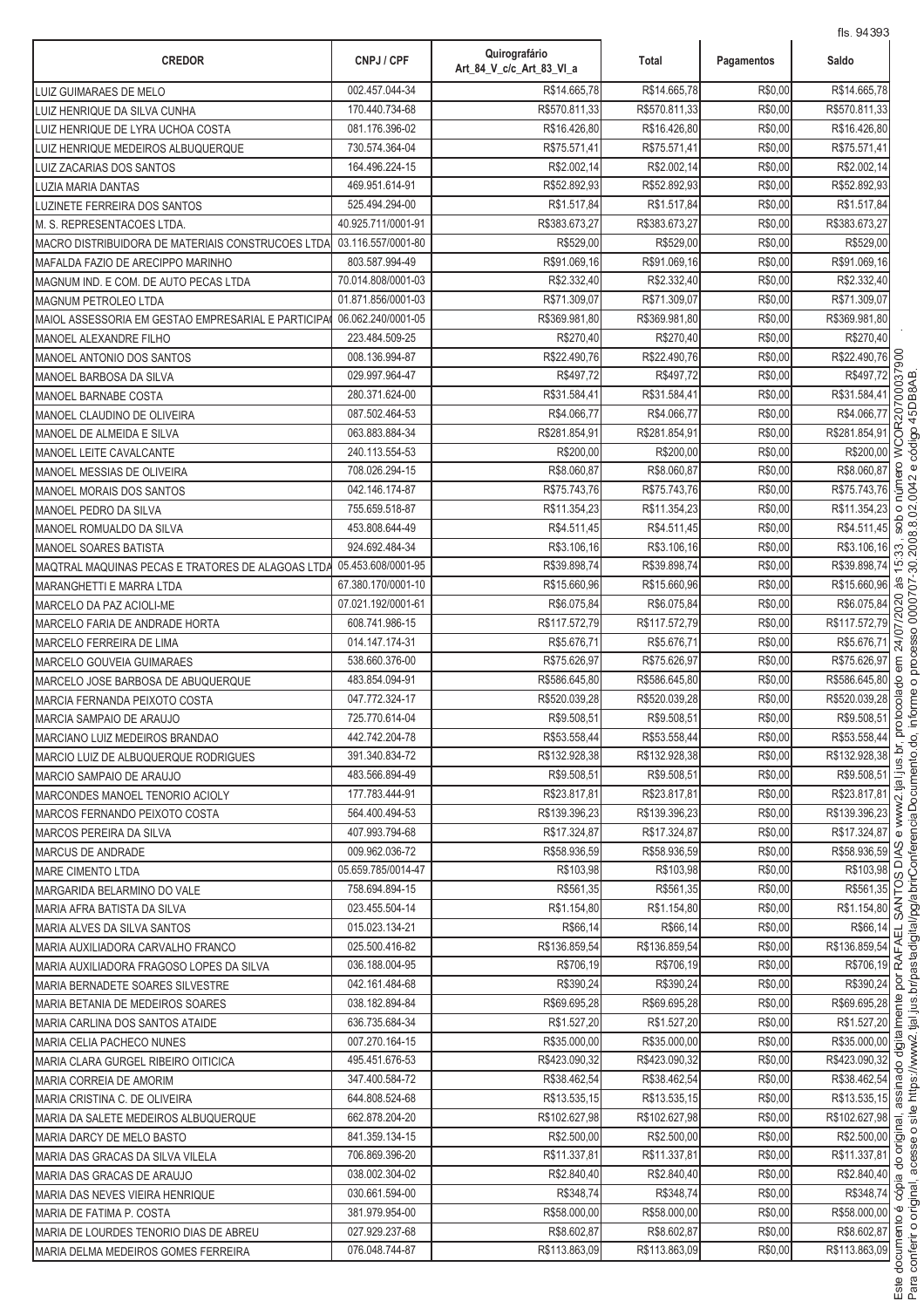| R\$14.665,78<br>002.457.044-34<br>R\$0,00<br>LUIZ GUIMARAES DE MELO<br>R\$14,665.78<br>R\$0,00<br>170.440.734-68<br>R\$570.811,33<br>R\$570.811,33<br>LUIZ HENRIQUE DA SILVA CUNHA<br>R\$0,00<br>081.176.396-02<br>R\$16.426,80<br>R\$16.426,80<br>LUIZ HENRIQUE DE LYRA UCHOA COSTA<br>R\$0,00<br>730.574.364-04<br>R\$75.571,41<br>R\$75.571,41<br>UIZ HENRIQUE MEDEIROS ALBUQUERQUE<br>R\$2.002,14<br>R\$0,00<br>164.496.224-15<br>R\$2.002,14<br>LUIZ ZACARIAS DOS SANTOS<br>R\$52.892,93<br>R\$0,00<br>469.951.614-91<br>R\$52.892,93<br>LUZIA MARIA DANTAS<br>525.494.294-00<br>R\$1.517,84<br>R\$1.517,84<br>R\$0,00<br>LUZINETE FERREIRA DOS SANTOS<br>40.925.711/0001-91<br>R\$383.673,27<br>R\$0,00<br>R\$383.673,27<br>M. S. REPRESENTACOES LTDA<br>R\$0,00<br>03.116.557/0001-80<br>R\$529,00<br>R\$529.00<br>MACRO DISTRIBUIDORA DE MATERIAIS CONSTRUCOES LTDA<br>R\$0,00<br>803.587.994-49<br>R\$91.069,16<br>R\$91.069.16<br>MAFALDA FAZIO DE ARECIPPO MARINHO<br>70.014.808/0001-03<br>R\$2.332,40<br>R\$0,00<br>R\$2.332,40<br>MAGNUM IND. E COM. DE AUTO PECAS LTDA<br>01.871.856/0001-03<br>R\$71.309,07<br>R\$71.309,07<br>R\$0,00<br><b>MAGNUM PETROLEO LTDA</b><br>06.062.240/0001-05<br>R\$0,00<br>R\$369.981,80<br>R\$369.981,80<br>MAIOL ASSESSORIA EM GESTAO EMPRESARIAL E PARTICIPA<br>R\$0,00<br>223.484.509-25<br>R\$270.40<br>R\$270,40<br>MANOEL ALEXANDRE FILHO<br>R\$22.490,76<br>R\$497,72<br>R\$31.584,41<br>008.136.994-87<br>R\$22.490,76<br>R\$0,00<br>R\$22.490,76<br>MANOEL ANTONIO DOS SANTOS<br>029.997.964-47<br>R\$497.72<br>R\$497,72<br>R\$0,00<br>MANOEL BARBOSA DA SILVA<br>280.371.624-00<br>R\$31.584,41<br>R\$31.584,41<br>R\$0,00<br><b>MANOEL BARNABE COSTA</b><br>087.502.464-53<br>R\$4.066,77<br>R\$4.066.77<br>R\$0,00<br>MANOEL CLAUDINO DE OLIVEIRA<br>R\$281.854,91<br>R\$281.854,91<br>R\$0,00<br>063.883.884-34<br>MANOEL DE ALMEIDA E SILVA<br>R\$0,00<br>240.113.554-53<br>R\$200,00<br>R\$200,00<br>MANOEL LEITE CAVALCANTE<br>R\$8.060,87<br>R\$8.060.87<br>R\$0,00<br>708.026.294-15<br>MANOEL MESSIAS DE OLIVEIRA<br>R\$0,00<br>042.146.174-87<br>R\$75.743,76<br>R\$75.743,76<br><b>MANOEL MORAIS DOS SANTOS</b><br>R\$0,00<br>755.659.518-87<br>R\$11.354,23<br>R\$11.354,23<br><b>MANOEL PEDRO DA SILVA</b><br>R\$0,00<br>453.808.644-49<br>R\$4.511,45<br>R\$4.511,45<br>MANOEL ROMUALDO DA SILVA<br>R\$0,00<br>924.692.484-34<br>R\$3.106,16<br>R\$3.106,16<br><b>MANOEL SOARES BATISTA</b><br>R\$0,00<br>05.453.608/0001-95<br>R\$39.898,74<br>R\$39.898,74<br>MAQTRAL MAQUINAS PECAS E TRATORES DE ALAGOAS LTDA<br>R\$0,00<br>67.380.170/0001-10<br>R\$15.660,96<br>R\$15.660,96<br>MARANGHETTI E MARRA LTDA<br>07.021.192/0001-61<br>R\$6.075,84<br>R\$6.075,84<br>R\$0,00<br>MARCELO DA PAZ ACIOLI-ME<br>R\$0,00<br>608.741.986-15<br>R\$117.572,79<br>R\$117.572,79<br>MARCELO FARIA DE ANDRADE HORTA<br>014.147.174-31<br>R\$5.676,71<br>R\$0,00<br>R\$5.676,71<br>MARCELO FERREIRA DE LIMA<br>R\$0,00<br>538.660.376-00<br>R\$75.626,97<br>R\$75.626,97<br><b>MARCELO GOUVEIA GUIMARAES</b><br>483.854.094-91<br>R\$586.645,80<br>R\$0,00<br>R\$586.645,80<br>R\$586.645,80<br>MARCELO JOSE BARBOSA DE ABUQUERQUE<br>R\$0,00<br>047.772.324-17<br>R\$520.039,28<br>R\$520.039,28<br>R\$520.039,28<br>MARCIA FERNANDA PEIXOTO COSTA<br>R\$0,00<br>725.770.614-04<br>R\$9.508,51<br>R\$9.508,51<br>R\$9.508,51<br>MARCIA SAMPAIO DE ARAUJO<br>442.742.204-78<br>R\$53.558,44<br>R\$53.558,44<br>R\$0,00<br>R\$53.558,44<br>MARCIANO LUIZ MEDEIROS BRANDAO<br>R\$132.928,38 0<br>391.340.834-72<br>R\$132.928,38<br>R\$132.928,38<br>R\$0,00<br>MARCIO LUIZ DE ALBUQUERQUE RODRIGUES<br>R\$9.508,51<br>R\$23.817,81<br>483.566.894-49<br>R\$9.508,51<br>R\$9.508,51<br>R\$0,00<br>MARCIO SAMPAIO DE ARAUJO<br>177.783.444-91<br>R\$23.817,81<br>R\$23.817,81<br>R\$0,00<br>R\$23.817,81<br>MARCONDES MANOEL TENORIO ACIOLY<br>564.400.494-53<br>R\$139.396,23<br>R\$139.396.23<br>R\$0,00<br>R\$139.396,23<br>MARCOS FERNANDO PEIXOTO COSTA<br>407.993.794-68<br>R\$17.324,87<br>R\$17.324,87<br>R\$0,00<br>R\$17.324,87<br><b>MARCOS PEREIRA DA SILVA</b><br>R\$58.936,59 <sup>2</sup><br>009.962.036-72<br>R\$58.936.59<br>R\$58.936,59<br>R\$0,00<br><b>MARCUS DE ANDRADE</b><br>R\$103.98<br>R\$0,00<br>R\$103,98<br>05.659.785/0014-47<br>R\$103,98<br><b>MARE CIMENTO LTDA</b><br>$\frac{R$103,98}{R$561,35}$<br>R\$1.154,80<br>R\$1.154,80<br>Conserved So<br>R\$561.35<br>R\$561,35<br>R\$0,00<br>758.694.894-15<br>MARGARIDA BELARMINO DO VALE<br>R\$1.154,80<br>R\$0,00<br>023.455.504-14<br>R\$1.154,80<br>MARIA AFRA BATISTA DA SILVA<br>R\$66,14<br>R\$66,14<br>R\$0,00<br>R\$66,14<br>015.023.134-21<br>MARIA ALVES DA SILVA SANTOS<br>$\frac{R$136.859,54}{R$706,19}$<br>R\$136.859,54<br>R\$136.859,54<br>R\$0,00<br>025.500.416-82<br>MARIA AUXILIADORA CARVALHO FRANCO<br>R\$0,00<br>R\$706,19<br>R\$706,19<br>036.188.004-95<br>MARIA AUXILIADORA FRAGOSO LOPES DA SILVA<br>R\$0,00<br>042.161.484-68<br>R\$390,24<br>R\$390,24<br>MARIA BERNADETE SOARES SILVESTRE<br>R\$69.695,28<br>R\$0,00<br>038.182.894-84<br>R\$69.695,28<br>R\$69.695,28<br>MARIA BETANIA DE MEDEIROS SOARES<br>R\$0,00<br>636.735.684-34<br>R\$1.527,20<br>R\$1.527,20<br>MARIA CARLINA DOS SANTOS ATAIDE<br>R\$35.000,00<br>R\$35.000,00<br>R\$0,00<br>007.270.164-15<br><b>MARIA CELIA PACHECO NUNES</b><br>R\$423.090,32<br>R\$0,00<br>495.451.676-53<br>R\$423.090,32<br>MARIA CLARA GURGEL RIBEIRO OITICICA<br>R\$38.462,54 @<br>R\$38.462,54<br>R\$38.462,54<br>R\$0,00<br>347.400.584-72<br>MARIA CORREIA DE AMORIM<br>R\$13.535,15<br>644.808.524-68<br>R\$13.535,15<br>R\$13.535,15<br>R\$0,00<br>MARIA CRISTINA C. DE OLIVEIRA<br>R\$0,00<br>662.878.204-20<br>R\$102.627,98<br>R\$102.627,98<br>MARIA DA SALETE MEDEIROS ALBUQUERQUE<br>R\$0,00<br>841.359.134-15<br>R\$2.500,00<br>R\$2.500,00<br>MARIA DARCY DE MELO BASTO<br>R\$0,00<br>706.869.396-20<br>R\$11.337,81<br>R\$11.337,81<br>MARIA DAS GRACAS DA SILVA VILELA<br>R\$2.840,40<br>R\$0,00<br>$rac{R$2.840,40}{R$348,74}$<br>038.002.304-02<br>R\$2.840,40<br>MARIA DAS GRACAS DE ARAUJO<br>030.661.594-00<br>R\$348,74<br>R\$348,74<br>R\$0,00<br>MARIA DAS NEVES VIEIRA HENRIQUE<br>381.979.954-00<br>R\$58.000,00<br>R\$58.000,00<br>R\$0,00<br>MARIA DE FATIMA P. COSTA<br>027.929.237-68<br>R\$8.602,87<br>R\$8.602,87<br>R\$0,00<br>MARIA DE LOURDES TENORIO DIAS DE ABREU | <b>CREDOR</b>                       | CNPJ / CPF     | Quirografário<br>Art_84_V_c/c_Art_83_VI_a | Total         | Pagamentos | Saldo                           |
|-----------------------------------------------------------------------------------------------------------------------------------------------------------------------------------------------------------------------------------------------------------------------------------------------------------------------------------------------------------------------------------------------------------------------------------------------------------------------------------------------------------------------------------------------------------------------------------------------------------------------------------------------------------------------------------------------------------------------------------------------------------------------------------------------------------------------------------------------------------------------------------------------------------------------------------------------------------------------------------------------------------------------------------------------------------------------------------------------------------------------------------------------------------------------------------------------------------------------------------------------------------------------------------------------------------------------------------------------------------------------------------------------------------------------------------------------------------------------------------------------------------------------------------------------------------------------------------------------------------------------------------------------------------------------------------------------------------------------------------------------------------------------------------------------------------------------------------------------------------------------------------------------------------------------------------------------------------------------------------------------------------------------------------------------------------------------------------------------------------------------------------------------------------------------------------------------------------------------------------------------------------------------------------------------------------------------------------------------------------------------------------------------------------------------------------------------------------------------------------------------------------------------------------------------------------------------------------------------------------------------------------------------------------------------------------------------------------------------------------------------------------------------------------------------------------------------------------------------------------------------------------------------------------------------------------------------------------------------------------------------------------------------------------------------------------------------------------------------------------------------------------------------------------------------------------------------------------------------------------------------------------------------------------------------------------------------------------------------------------------------------------------------------------------------------------------------------------------------------------------------------------------------------------------------------------------------------------------------------------------------------------------------------------------------------------------------------------------------------------------------------------------------------------------------------------------------------------------------------------------------------------------------------------------------------------------------------------------------------------------------------------------------------------------------------------------------------------------------------------------------------------------------------------------------------------------------------------------------------------------------------------------------------------------------------------------------------------------------------------------------------------------------------------------------------------------------------------------------------------------------------------------------------------------------------------------------------------------------------------------------------------------------------------------------------------------------------------------------------------------------------------------------------------------------------------------------------------------------------------------------------------------------------------------------------------------------------------------------------------------------------------------------------------------------------------------------------------------------------------------------------------------------------------------------------------------------------------------------------------------------------------------------------------------------------------------------------------------------------------------------------------------------------------------------------------------------------------------------------------------------------------------------------------------------------------------------------------------------------------------------------------------------------------------------------------------------------------------------------------------------------------------------------------------------------------------------------------------------------------------------------------------------------------------------------------------------------------------------------------------------------------------------------------------------------------------------------------------------------------------------------------------------------------------------------------------------------------------------------------------------------------------------------------------------------------------------------------------------------------------------------------------------------------------------------------|-------------------------------------|----------------|-------------------------------------------|---------------|------------|---------------------------------|
|                                                                                                                                                                                                                                                                                                                                                                                                                                                                                                                                                                                                                                                                                                                                                                                                                                                                                                                                                                                                                                                                                                                                                                                                                                                                                                                                                                                                                                                                                                                                                                                                                                                                                                                                                                                                                                                                                                                                                                                                                                                                                                                                                                                                                                                                                                                                                                                                                                                                                                                                                                                                                                                                                                                                                                                                                                                                                                                                                                                                                                                                                                                                                                                                                                                                                                                                                                                                                                                                                                                                                                                                                                                                                                                                                                                                                                                                                                                                                                                                                                                                                                                                                                                                                                                                                                                                                                                                                                                                                                                                                                                                                                                                                                                                                                                                                                                                                                                                                                                                                                                                                                                                                                                                                                                                                                                                                                                                                                                                                                                                                                                                                                                                                                                                                                                                                                                                                                                                                                                                                                                                                                                                                                                                                                                                                                                                                                                                                                   |                                     |                |                                           |               |            | R\$14.665,78                    |
|                                                                                                                                                                                                                                                                                                                                                                                                                                                                                                                                                                                                                                                                                                                                                                                                                                                                                                                                                                                                                                                                                                                                                                                                                                                                                                                                                                                                                                                                                                                                                                                                                                                                                                                                                                                                                                                                                                                                                                                                                                                                                                                                                                                                                                                                                                                                                                                                                                                                                                                                                                                                                                                                                                                                                                                                                                                                                                                                                                                                                                                                                                                                                                                                                                                                                                                                                                                                                                                                                                                                                                                                                                                                                                                                                                                                                                                                                                                                                                                                                                                                                                                                                                                                                                                                                                                                                                                                                                                                                                                                                                                                                                                                                                                                                                                                                                                                                                                                                                                                                                                                                                                                                                                                                                                                                                                                                                                                                                                                                                                                                                                                                                                                                                                                                                                                                                                                                                                                                                                                                                                                                                                                                                                                                                                                                                                                                                                                                                   |                                     |                |                                           |               |            | R\$570.811,33                   |
|                                                                                                                                                                                                                                                                                                                                                                                                                                                                                                                                                                                                                                                                                                                                                                                                                                                                                                                                                                                                                                                                                                                                                                                                                                                                                                                                                                                                                                                                                                                                                                                                                                                                                                                                                                                                                                                                                                                                                                                                                                                                                                                                                                                                                                                                                                                                                                                                                                                                                                                                                                                                                                                                                                                                                                                                                                                                                                                                                                                                                                                                                                                                                                                                                                                                                                                                                                                                                                                                                                                                                                                                                                                                                                                                                                                                                                                                                                                                                                                                                                                                                                                                                                                                                                                                                                                                                                                                                                                                                                                                                                                                                                                                                                                                                                                                                                                                                                                                                                                                                                                                                                                                                                                                                                                                                                                                                                                                                                                                                                                                                                                                                                                                                                                                                                                                                                                                                                                                                                                                                                                                                                                                                                                                                                                                                                                                                                                                                                   |                                     |                |                                           |               |            | R\$16.426,80                    |
|                                                                                                                                                                                                                                                                                                                                                                                                                                                                                                                                                                                                                                                                                                                                                                                                                                                                                                                                                                                                                                                                                                                                                                                                                                                                                                                                                                                                                                                                                                                                                                                                                                                                                                                                                                                                                                                                                                                                                                                                                                                                                                                                                                                                                                                                                                                                                                                                                                                                                                                                                                                                                                                                                                                                                                                                                                                                                                                                                                                                                                                                                                                                                                                                                                                                                                                                                                                                                                                                                                                                                                                                                                                                                                                                                                                                                                                                                                                                                                                                                                                                                                                                                                                                                                                                                                                                                                                                                                                                                                                                                                                                                                                                                                                                                                                                                                                                                                                                                                                                                                                                                                                                                                                                                                                                                                                                                                                                                                                                                                                                                                                                                                                                                                                                                                                                                                                                                                                                                                                                                                                                                                                                                                                                                                                                                                                                                                                                                                   |                                     |                |                                           |               |            | R\$75.571,41                    |
|                                                                                                                                                                                                                                                                                                                                                                                                                                                                                                                                                                                                                                                                                                                                                                                                                                                                                                                                                                                                                                                                                                                                                                                                                                                                                                                                                                                                                                                                                                                                                                                                                                                                                                                                                                                                                                                                                                                                                                                                                                                                                                                                                                                                                                                                                                                                                                                                                                                                                                                                                                                                                                                                                                                                                                                                                                                                                                                                                                                                                                                                                                                                                                                                                                                                                                                                                                                                                                                                                                                                                                                                                                                                                                                                                                                                                                                                                                                                                                                                                                                                                                                                                                                                                                                                                                                                                                                                                                                                                                                                                                                                                                                                                                                                                                                                                                                                                                                                                                                                                                                                                                                                                                                                                                                                                                                                                                                                                                                                                                                                                                                                                                                                                                                                                                                                                                                                                                                                                                                                                                                                                                                                                                                                                                                                                                                                                                                                                                   |                                     |                |                                           |               |            | R\$2.002,14                     |
|                                                                                                                                                                                                                                                                                                                                                                                                                                                                                                                                                                                                                                                                                                                                                                                                                                                                                                                                                                                                                                                                                                                                                                                                                                                                                                                                                                                                                                                                                                                                                                                                                                                                                                                                                                                                                                                                                                                                                                                                                                                                                                                                                                                                                                                                                                                                                                                                                                                                                                                                                                                                                                                                                                                                                                                                                                                                                                                                                                                                                                                                                                                                                                                                                                                                                                                                                                                                                                                                                                                                                                                                                                                                                                                                                                                                                                                                                                                                                                                                                                                                                                                                                                                                                                                                                                                                                                                                                                                                                                                                                                                                                                                                                                                                                                                                                                                                                                                                                                                                                                                                                                                                                                                                                                                                                                                                                                                                                                                                                                                                                                                                                                                                                                                                                                                                                                                                                                                                                                                                                                                                                                                                                                                                                                                                                                                                                                                                                                   |                                     |                |                                           |               |            | R\$52.892,93                    |
|                                                                                                                                                                                                                                                                                                                                                                                                                                                                                                                                                                                                                                                                                                                                                                                                                                                                                                                                                                                                                                                                                                                                                                                                                                                                                                                                                                                                                                                                                                                                                                                                                                                                                                                                                                                                                                                                                                                                                                                                                                                                                                                                                                                                                                                                                                                                                                                                                                                                                                                                                                                                                                                                                                                                                                                                                                                                                                                                                                                                                                                                                                                                                                                                                                                                                                                                                                                                                                                                                                                                                                                                                                                                                                                                                                                                                                                                                                                                                                                                                                                                                                                                                                                                                                                                                                                                                                                                                                                                                                                                                                                                                                                                                                                                                                                                                                                                                                                                                                                                                                                                                                                                                                                                                                                                                                                                                                                                                                                                                                                                                                                                                                                                                                                                                                                                                                                                                                                                                                                                                                                                                                                                                                                                                                                                                                                                                                                                                                   |                                     |                |                                           |               |            | R\$1.517,84                     |
|                                                                                                                                                                                                                                                                                                                                                                                                                                                                                                                                                                                                                                                                                                                                                                                                                                                                                                                                                                                                                                                                                                                                                                                                                                                                                                                                                                                                                                                                                                                                                                                                                                                                                                                                                                                                                                                                                                                                                                                                                                                                                                                                                                                                                                                                                                                                                                                                                                                                                                                                                                                                                                                                                                                                                                                                                                                                                                                                                                                                                                                                                                                                                                                                                                                                                                                                                                                                                                                                                                                                                                                                                                                                                                                                                                                                                                                                                                                                                                                                                                                                                                                                                                                                                                                                                                                                                                                                                                                                                                                                                                                                                                                                                                                                                                                                                                                                                                                                                                                                                                                                                                                                                                                                                                                                                                                                                                                                                                                                                                                                                                                                                                                                                                                                                                                                                                                                                                                                                                                                                                                                                                                                                                                                                                                                                                                                                                                                                                   |                                     |                |                                           |               |            | R\$383.673,27                   |
|                                                                                                                                                                                                                                                                                                                                                                                                                                                                                                                                                                                                                                                                                                                                                                                                                                                                                                                                                                                                                                                                                                                                                                                                                                                                                                                                                                                                                                                                                                                                                                                                                                                                                                                                                                                                                                                                                                                                                                                                                                                                                                                                                                                                                                                                                                                                                                                                                                                                                                                                                                                                                                                                                                                                                                                                                                                                                                                                                                                                                                                                                                                                                                                                                                                                                                                                                                                                                                                                                                                                                                                                                                                                                                                                                                                                                                                                                                                                                                                                                                                                                                                                                                                                                                                                                                                                                                                                                                                                                                                                                                                                                                                                                                                                                                                                                                                                                                                                                                                                                                                                                                                                                                                                                                                                                                                                                                                                                                                                                                                                                                                                                                                                                                                                                                                                                                                                                                                                                                                                                                                                                                                                                                                                                                                                                                                                                                                                                                   |                                     |                |                                           |               |            | R\$529,00                       |
|                                                                                                                                                                                                                                                                                                                                                                                                                                                                                                                                                                                                                                                                                                                                                                                                                                                                                                                                                                                                                                                                                                                                                                                                                                                                                                                                                                                                                                                                                                                                                                                                                                                                                                                                                                                                                                                                                                                                                                                                                                                                                                                                                                                                                                                                                                                                                                                                                                                                                                                                                                                                                                                                                                                                                                                                                                                                                                                                                                                                                                                                                                                                                                                                                                                                                                                                                                                                                                                                                                                                                                                                                                                                                                                                                                                                                                                                                                                                                                                                                                                                                                                                                                                                                                                                                                                                                                                                                                                                                                                                                                                                                                                                                                                                                                                                                                                                                                                                                                                                                                                                                                                                                                                                                                                                                                                                                                                                                                                                                                                                                                                                                                                                                                                                                                                                                                                                                                                                                                                                                                                                                                                                                                                                                                                                                                                                                                                                                                   |                                     |                |                                           |               |            | R\$91.069,16                    |
|                                                                                                                                                                                                                                                                                                                                                                                                                                                                                                                                                                                                                                                                                                                                                                                                                                                                                                                                                                                                                                                                                                                                                                                                                                                                                                                                                                                                                                                                                                                                                                                                                                                                                                                                                                                                                                                                                                                                                                                                                                                                                                                                                                                                                                                                                                                                                                                                                                                                                                                                                                                                                                                                                                                                                                                                                                                                                                                                                                                                                                                                                                                                                                                                                                                                                                                                                                                                                                                                                                                                                                                                                                                                                                                                                                                                                                                                                                                                                                                                                                                                                                                                                                                                                                                                                                                                                                                                                                                                                                                                                                                                                                                                                                                                                                                                                                                                                                                                                                                                                                                                                                                                                                                                                                                                                                                                                                                                                                                                                                                                                                                                                                                                                                                                                                                                                                                                                                                                                                                                                                                                                                                                                                                                                                                                                                                                                                                                                                   |                                     |                |                                           |               |            | R\$2.332,40                     |
|                                                                                                                                                                                                                                                                                                                                                                                                                                                                                                                                                                                                                                                                                                                                                                                                                                                                                                                                                                                                                                                                                                                                                                                                                                                                                                                                                                                                                                                                                                                                                                                                                                                                                                                                                                                                                                                                                                                                                                                                                                                                                                                                                                                                                                                                                                                                                                                                                                                                                                                                                                                                                                                                                                                                                                                                                                                                                                                                                                                                                                                                                                                                                                                                                                                                                                                                                                                                                                                                                                                                                                                                                                                                                                                                                                                                                                                                                                                                                                                                                                                                                                                                                                                                                                                                                                                                                                                                                                                                                                                                                                                                                                                                                                                                                                                                                                                                                                                                                                                                                                                                                                                                                                                                                                                                                                                                                                                                                                                                                                                                                                                                                                                                                                                                                                                                                                                                                                                                                                                                                                                                                                                                                                                                                                                                                                                                                                                                                                   |                                     |                |                                           |               |            | R\$71.309,07                    |
|                                                                                                                                                                                                                                                                                                                                                                                                                                                                                                                                                                                                                                                                                                                                                                                                                                                                                                                                                                                                                                                                                                                                                                                                                                                                                                                                                                                                                                                                                                                                                                                                                                                                                                                                                                                                                                                                                                                                                                                                                                                                                                                                                                                                                                                                                                                                                                                                                                                                                                                                                                                                                                                                                                                                                                                                                                                                                                                                                                                                                                                                                                                                                                                                                                                                                                                                                                                                                                                                                                                                                                                                                                                                                                                                                                                                                                                                                                                                                                                                                                                                                                                                                                                                                                                                                                                                                                                                                                                                                                                                                                                                                                                                                                                                                                                                                                                                                                                                                                                                                                                                                                                                                                                                                                                                                                                                                                                                                                                                                                                                                                                                                                                                                                                                                                                                                                                                                                                                                                                                                                                                                                                                                                                                                                                                                                                                                                                                                                   |                                     |                |                                           |               |            | R\$369.981,80                   |
|                                                                                                                                                                                                                                                                                                                                                                                                                                                                                                                                                                                                                                                                                                                                                                                                                                                                                                                                                                                                                                                                                                                                                                                                                                                                                                                                                                                                                                                                                                                                                                                                                                                                                                                                                                                                                                                                                                                                                                                                                                                                                                                                                                                                                                                                                                                                                                                                                                                                                                                                                                                                                                                                                                                                                                                                                                                                                                                                                                                                                                                                                                                                                                                                                                                                                                                                                                                                                                                                                                                                                                                                                                                                                                                                                                                                                                                                                                                                                                                                                                                                                                                                                                                                                                                                                                                                                                                                                                                                                                                                                                                                                                                                                                                                                                                                                                                                                                                                                                                                                                                                                                                                                                                                                                                                                                                                                                                                                                                                                                                                                                                                                                                                                                                                                                                                                                                                                                                                                                                                                                                                                                                                                                                                                                                                                                                                                                                                                                   |                                     |                |                                           |               |            | R\$270,40                       |
|                                                                                                                                                                                                                                                                                                                                                                                                                                                                                                                                                                                                                                                                                                                                                                                                                                                                                                                                                                                                                                                                                                                                                                                                                                                                                                                                                                                                                                                                                                                                                                                                                                                                                                                                                                                                                                                                                                                                                                                                                                                                                                                                                                                                                                                                                                                                                                                                                                                                                                                                                                                                                                                                                                                                                                                                                                                                                                                                                                                                                                                                                                                                                                                                                                                                                                                                                                                                                                                                                                                                                                                                                                                                                                                                                                                                                                                                                                                                                                                                                                                                                                                                                                                                                                                                                                                                                                                                                                                                                                                                                                                                                                                                                                                                                                                                                                                                                                                                                                                                                                                                                                                                                                                                                                                                                                                                                                                                                                                                                                                                                                                                                                                                                                                                                                                                                                                                                                                                                                                                                                                                                                                                                                                                                                                                                                                                                                                                                                   |                                     |                |                                           |               |            |                                 |
|                                                                                                                                                                                                                                                                                                                                                                                                                                                                                                                                                                                                                                                                                                                                                                                                                                                                                                                                                                                                                                                                                                                                                                                                                                                                                                                                                                                                                                                                                                                                                                                                                                                                                                                                                                                                                                                                                                                                                                                                                                                                                                                                                                                                                                                                                                                                                                                                                                                                                                                                                                                                                                                                                                                                                                                                                                                                                                                                                                                                                                                                                                                                                                                                                                                                                                                                                                                                                                                                                                                                                                                                                                                                                                                                                                                                                                                                                                                                                                                                                                                                                                                                                                                                                                                                                                                                                                                                                                                                                                                                                                                                                                                                                                                                                                                                                                                                                                                                                                                                                                                                                                                                                                                                                                                                                                                                                                                                                                                                                                                                                                                                                                                                                                                                                                                                                                                                                                                                                                                                                                                                                                                                                                                                                                                                                                                                                                                                                                   |                                     |                |                                           |               |            |                                 |
|                                                                                                                                                                                                                                                                                                                                                                                                                                                                                                                                                                                                                                                                                                                                                                                                                                                                                                                                                                                                                                                                                                                                                                                                                                                                                                                                                                                                                                                                                                                                                                                                                                                                                                                                                                                                                                                                                                                                                                                                                                                                                                                                                                                                                                                                                                                                                                                                                                                                                                                                                                                                                                                                                                                                                                                                                                                                                                                                                                                                                                                                                                                                                                                                                                                                                                                                                                                                                                                                                                                                                                                                                                                                                                                                                                                                                                                                                                                                                                                                                                                                                                                                                                                                                                                                                                                                                                                                                                                                                                                                                                                                                                                                                                                                                                                                                                                                                                                                                                                                                                                                                                                                                                                                                                                                                                                                                                                                                                                                                                                                                                                                                                                                                                                                                                                                                                                                                                                                                                                                                                                                                                                                                                                                                                                                                                                                                                                                                                   |                                     |                |                                           |               |            |                                 |
|                                                                                                                                                                                                                                                                                                                                                                                                                                                                                                                                                                                                                                                                                                                                                                                                                                                                                                                                                                                                                                                                                                                                                                                                                                                                                                                                                                                                                                                                                                                                                                                                                                                                                                                                                                                                                                                                                                                                                                                                                                                                                                                                                                                                                                                                                                                                                                                                                                                                                                                                                                                                                                                                                                                                                                                                                                                                                                                                                                                                                                                                                                                                                                                                                                                                                                                                                                                                                                                                                                                                                                                                                                                                                                                                                                                                                                                                                                                                                                                                                                                                                                                                                                                                                                                                                                                                                                                                                                                                                                                                                                                                                                                                                                                                                                                                                                                                                                                                                                                                                                                                                                                                                                                                                                                                                                                                                                                                                                                                                                                                                                                                                                                                                                                                                                                                                                                                                                                                                                                                                                                                                                                                                                                                                                                                                                                                                                                                                                   |                                     |                |                                           |               |            | R\$4.066,77                     |
|                                                                                                                                                                                                                                                                                                                                                                                                                                                                                                                                                                                                                                                                                                                                                                                                                                                                                                                                                                                                                                                                                                                                                                                                                                                                                                                                                                                                                                                                                                                                                                                                                                                                                                                                                                                                                                                                                                                                                                                                                                                                                                                                                                                                                                                                                                                                                                                                                                                                                                                                                                                                                                                                                                                                                                                                                                                                                                                                                                                                                                                                                                                                                                                                                                                                                                                                                                                                                                                                                                                                                                                                                                                                                                                                                                                                                                                                                                                                                                                                                                                                                                                                                                                                                                                                                                                                                                                                                                                                                                                                                                                                                                                                                                                                                                                                                                                                                                                                                                                                                                                                                                                                                                                                                                                                                                                                                                                                                                                                                                                                                                                                                                                                                                                                                                                                                                                                                                                                                                                                                                                                                                                                                                                                                                                                                                                                                                                                                                   |                                     |                |                                           |               |            | WCOR207<br>R\$281.854,91        |
|                                                                                                                                                                                                                                                                                                                                                                                                                                                                                                                                                                                                                                                                                                                                                                                                                                                                                                                                                                                                                                                                                                                                                                                                                                                                                                                                                                                                                                                                                                                                                                                                                                                                                                                                                                                                                                                                                                                                                                                                                                                                                                                                                                                                                                                                                                                                                                                                                                                                                                                                                                                                                                                                                                                                                                                                                                                                                                                                                                                                                                                                                                                                                                                                                                                                                                                                                                                                                                                                                                                                                                                                                                                                                                                                                                                                                                                                                                                                                                                                                                                                                                                                                                                                                                                                                                                                                                                                                                                                                                                                                                                                                                                                                                                                                                                                                                                                                                                                                                                                                                                                                                                                                                                                                                                                                                                                                                                                                                                                                                                                                                                                                                                                                                                                                                                                                                                                                                                                                                                                                                                                                                                                                                                                                                                                                                                                                                                                                                   |                                     |                |                                           |               |            | R\$200,00                       |
|                                                                                                                                                                                                                                                                                                                                                                                                                                                                                                                                                                                                                                                                                                                                                                                                                                                                                                                                                                                                                                                                                                                                                                                                                                                                                                                                                                                                                                                                                                                                                                                                                                                                                                                                                                                                                                                                                                                                                                                                                                                                                                                                                                                                                                                                                                                                                                                                                                                                                                                                                                                                                                                                                                                                                                                                                                                                                                                                                                                                                                                                                                                                                                                                                                                                                                                                                                                                                                                                                                                                                                                                                                                                                                                                                                                                                                                                                                                                                                                                                                                                                                                                                                                                                                                                                                                                                                                                                                                                                                                                                                                                                                                                                                                                                                                                                                                                                                                                                                                                                                                                                                                                                                                                                                                                                                                                                                                                                                                                                                                                                                                                                                                                                                                                                                                                                                                                                                                                                                                                                                                                                                                                                                                                                                                                                                                                                                                                                                   |                                     |                |                                           |               |            | R\$8.060,87                     |
|                                                                                                                                                                                                                                                                                                                                                                                                                                                                                                                                                                                                                                                                                                                                                                                                                                                                                                                                                                                                                                                                                                                                                                                                                                                                                                                                                                                                                                                                                                                                                                                                                                                                                                                                                                                                                                                                                                                                                                                                                                                                                                                                                                                                                                                                                                                                                                                                                                                                                                                                                                                                                                                                                                                                                                                                                                                                                                                                                                                                                                                                                                                                                                                                                                                                                                                                                                                                                                                                                                                                                                                                                                                                                                                                                                                                                                                                                                                                                                                                                                                                                                                                                                                                                                                                                                                                                                                                                                                                                                                                                                                                                                                                                                                                                                                                                                                                                                                                                                                                                                                                                                                                                                                                                                                                                                                                                                                                                                                                                                                                                                                                                                                                                                                                                                                                                                                                                                                                                                                                                                                                                                                                                                                                                                                                                                                                                                                                                                   |                                     |                |                                           |               |            | núm<br>R\$75.743,76             |
|                                                                                                                                                                                                                                                                                                                                                                                                                                                                                                                                                                                                                                                                                                                                                                                                                                                                                                                                                                                                                                                                                                                                                                                                                                                                                                                                                                                                                                                                                                                                                                                                                                                                                                                                                                                                                                                                                                                                                                                                                                                                                                                                                                                                                                                                                                                                                                                                                                                                                                                                                                                                                                                                                                                                                                                                                                                                                                                                                                                                                                                                                                                                                                                                                                                                                                                                                                                                                                                                                                                                                                                                                                                                                                                                                                                                                                                                                                                                                                                                                                                                                                                                                                                                                                                                                                                                                                                                                                                                                                                                                                                                                                                                                                                                                                                                                                                                                                                                                                                                                                                                                                                                                                                                                                                                                                                                                                                                                                                                                                                                                                                                                                                                                                                                                                                                                                                                                                                                                                                                                                                                                                                                                                                                                                                                                                                                                                                                                                   |                                     |                |                                           |               |            | R\$11.354,23<br>$\circ$         |
|                                                                                                                                                                                                                                                                                                                                                                                                                                                                                                                                                                                                                                                                                                                                                                                                                                                                                                                                                                                                                                                                                                                                                                                                                                                                                                                                                                                                                                                                                                                                                                                                                                                                                                                                                                                                                                                                                                                                                                                                                                                                                                                                                                                                                                                                                                                                                                                                                                                                                                                                                                                                                                                                                                                                                                                                                                                                                                                                                                                                                                                                                                                                                                                                                                                                                                                                                                                                                                                                                                                                                                                                                                                                                                                                                                                                                                                                                                                                                                                                                                                                                                                                                                                                                                                                                                                                                                                                                                                                                                                                                                                                                                                                                                                                                                                                                                                                                                                                                                                                                                                                                                                                                                                                                                                                                                                                                                                                                                                                                                                                                                                                                                                                                                                                                                                                                                                                                                                                                                                                                                                                                                                                                                                                                                                                                                                                                                                                                                   |                                     |                |                                           |               |            | sob<br>R\$4.511,45              |
|                                                                                                                                                                                                                                                                                                                                                                                                                                                                                                                                                                                                                                                                                                                                                                                                                                                                                                                                                                                                                                                                                                                                                                                                                                                                                                                                                                                                                                                                                                                                                                                                                                                                                                                                                                                                                                                                                                                                                                                                                                                                                                                                                                                                                                                                                                                                                                                                                                                                                                                                                                                                                                                                                                                                                                                                                                                                                                                                                                                                                                                                                                                                                                                                                                                                                                                                                                                                                                                                                                                                                                                                                                                                                                                                                                                                                                                                                                                                                                                                                                                                                                                                                                                                                                                                                                                                                                                                                                                                                                                                                                                                                                                                                                                                                                                                                                                                                                                                                                                                                                                                                                                                                                                                                                                                                                                                                                                                                                                                                                                                                                                                                                                                                                                                                                                                                                                                                                                                                                                                                                                                                                                                                                                                                                                                                                                                                                                                                                   |                                     |                |                                           |               |            | R\$3.106,16<br>33               |
|                                                                                                                                                                                                                                                                                                                                                                                                                                                                                                                                                                                                                                                                                                                                                                                                                                                                                                                                                                                                                                                                                                                                                                                                                                                                                                                                                                                                                                                                                                                                                                                                                                                                                                                                                                                                                                                                                                                                                                                                                                                                                                                                                                                                                                                                                                                                                                                                                                                                                                                                                                                                                                                                                                                                                                                                                                                                                                                                                                                                                                                                                                                                                                                                                                                                                                                                                                                                                                                                                                                                                                                                                                                                                                                                                                                                                                                                                                                                                                                                                                                                                                                                                                                                                                                                                                                                                                                                                                                                                                                                                                                                                                                                                                                                                                                                                                                                                                                                                                                                                                                                                                                                                                                                                                                                                                                                                                                                                                                                                                                                                                                                                                                                                                                                                                                                                                                                                                                                                                                                                                                                                                                                                                                                                                                                                                                                                                                                                                   |                                     |                |                                           |               |            | $\overline{5}$<br>R\$39.898,74  |
|                                                                                                                                                                                                                                                                                                                                                                                                                                                                                                                                                                                                                                                                                                                                                                                                                                                                                                                                                                                                                                                                                                                                                                                                                                                                                                                                                                                                                                                                                                                                                                                                                                                                                                                                                                                                                                                                                                                                                                                                                                                                                                                                                                                                                                                                                                                                                                                                                                                                                                                                                                                                                                                                                                                                                                                                                                                                                                                                                                                                                                                                                                                                                                                                                                                                                                                                                                                                                                                                                                                                                                                                                                                                                                                                                                                                                                                                                                                                                                                                                                                                                                                                                                                                                                                                                                                                                                                                                                                                                                                                                                                                                                                                                                                                                                                                                                                                                                                                                                                                                                                                                                                                                                                                                                                                                                                                                                                                                                                                                                                                                                                                                                                                                                                                                                                                                                                                                                                                                                                                                                                                                                                                                                                                                                                                                                                                                                                                                                   |                                     |                |                                           |               |            | æ.<br>R\$15.660,96              |
|                                                                                                                                                                                                                                                                                                                                                                                                                                                                                                                                                                                                                                                                                                                                                                                                                                                                                                                                                                                                                                                                                                                                                                                                                                                                                                                                                                                                                                                                                                                                                                                                                                                                                                                                                                                                                                                                                                                                                                                                                                                                                                                                                                                                                                                                                                                                                                                                                                                                                                                                                                                                                                                                                                                                                                                                                                                                                                                                                                                                                                                                                                                                                                                                                                                                                                                                                                                                                                                                                                                                                                                                                                                                                                                                                                                                                                                                                                                                                                                                                                                                                                                                                                                                                                                                                                                                                                                                                                                                                                                                                                                                                                                                                                                                                                                                                                                                                                                                                                                                                                                                                                                                                                                                                                                                                                                                                                                                                                                                                                                                                                                                                                                                                                                                                                                                                                                                                                                                                                                                                                                                                                                                                                                                                                                                                                                                                                                                                                   |                                     |                |                                           |               |            | R\$6.075,84                     |
|                                                                                                                                                                                                                                                                                                                                                                                                                                                                                                                                                                                                                                                                                                                                                                                                                                                                                                                                                                                                                                                                                                                                                                                                                                                                                                                                                                                                                                                                                                                                                                                                                                                                                                                                                                                                                                                                                                                                                                                                                                                                                                                                                                                                                                                                                                                                                                                                                                                                                                                                                                                                                                                                                                                                                                                                                                                                                                                                                                                                                                                                                                                                                                                                                                                                                                                                                                                                                                                                                                                                                                                                                                                                                                                                                                                                                                                                                                                                                                                                                                                                                                                                                                                                                                                                                                                                                                                                                                                                                                                                                                                                                                                                                                                                                                                                                                                                                                                                                                                                                                                                                                                                                                                                                                                                                                                                                                                                                                                                                                                                                                                                                                                                                                                                                                                                                                                                                                                                                                                                                                                                                                                                                                                                                                                                                                                                                                                                                                   |                                     |                |                                           |               |            | 24/07/2020<br>R\$117.572,79     |
|                                                                                                                                                                                                                                                                                                                                                                                                                                                                                                                                                                                                                                                                                                                                                                                                                                                                                                                                                                                                                                                                                                                                                                                                                                                                                                                                                                                                                                                                                                                                                                                                                                                                                                                                                                                                                                                                                                                                                                                                                                                                                                                                                                                                                                                                                                                                                                                                                                                                                                                                                                                                                                                                                                                                                                                                                                                                                                                                                                                                                                                                                                                                                                                                                                                                                                                                                                                                                                                                                                                                                                                                                                                                                                                                                                                                                                                                                                                                                                                                                                                                                                                                                                                                                                                                                                                                                                                                                                                                                                                                                                                                                                                                                                                                                                                                                                                                                                                                                                                                                                                                                                                                                                                                                                                                                                                                                                                                                                                                                                                                                                                                                                                                                                                                                                                                                                                                                                                                                                                                                                                                                                                                                                                                                                                                                                                                                                                                                                   |                                     |                |                                           |               |            | R\$5.676,71                     |
|                                                                                                                                                                                                                                                                                                                                                                                                                                                                                                                                                                                                                                                                                                                                                                                                                                                                                                                                                                                                                                                                                                                                                                                                                                                                                                                                                                                                                                                                                                                                                                                                                                                                                                                                                                                                                                                                                                                                                                                                                                                                                                                                                                                                                                                                                                                                                                                                                                                                                                                                                                                                                                                                                                                                                                                                                                                                                                                                                                                                                                                                                                                                                                                                                                                                                                                                                                                                                                                                                                                                                                                                                                                                                                                                                                                                                                                                                                                                                                                                                                                                                                                                                                                                                                                                                                                                                                                                                                                                                                                                                                                                                                                                                                                                                                                                                                                                                                                                                                                                                                                                                                                                                                                                                                                                                                                                                                                                                                                                                                                                                                                                                                                                                                                                                                                                                                                                                                                                                                                                                                                                                                                                                                                                                                                                                                                                                                                                                                   |                                     |                |                                           |               |            | R\$75.626,97<br>em              |
|                                                                                                                                                                                                                                                                                                                                                                                                                                                                                                                                                                                                                                                                                                                                                                                                                                                                                                                                                                                                                                                                                                                                                                                                                                                                                                                                                                                                                                                                                                                                                                                                                                                                                                                                                                                                                                                                                                                                                                                                                                                                                                                                                                                                                                                                                                                                                                                                                                                                                                                                                                                                                                                                                                                                                                                                                                                                                                                                                                                                                                                                                                                                                                                                                                                                                                                                                                                                                                                                                                                                                                                                                                                                                                                                                                                                                                                                                                                                                                                                                                                                                                                                                                                                                                                                                                                                                                                                                                                                                                                                                                                                                                                                                                                                                                                                                                                                                                                                                                                                                                                                                                                                                                                                                                                                                                                                                                                                                                                                                                                                                                                                                                                                                                                                                                                                                                                                                                                                                                                                                                                                                                                                                                                                                                                                                                                                                                                                                                   |                                     |                |                                           |               |            | 8                               |
|                                                                                                                                                                                                                                                                                                                                                                                                                                                                                                                                                                                                                                                                                                                                                                                                                                                                                                                                                                                                                                                                                                                                                                                                                                                                                                                                                                                                                                                                                                                                                                                                                                                                                                                                                                                                                                                                                                                                                                                                                                                                                                                                                                                                                                                                                                                                                                                                                                                                                                                                                                                                                                                                                                                                                                                                                                                                                                                                                                                                                                                                                                                                                                                                                                                                                                                                                                                                                                                                                                                                                                                                                                                                                                                                                                                                                                                                                                                                                                                                                                                                                                                                                                                                                                                                                                                                                                                                                                                                                                                                                                                                                                                                                                                                                                                                                                                                                                                                                                                                                                                                                                                                                                                                                                                                                                                                                                                                                                                                                                                                                                                                                                                                                                                                                                                                                                                                                                                                                                                                                                                                                                                                                                                                                                                                                                                                                                                                                                   |                                     |                |                                           |               |            | cola                            |
|                                                                                                                                                                                                                                                                                                                                                                                                                                                                                                                                                                                                                                                                                                                                                                                                                                                                                                                                                                                                                                                                                                                                                                                                                                                                                                                                                                                                                                                                                                                                                                                                                                                                                                                                                                                                                                                                                                                                                                                                                                                                                                                                                                                                                                                                                                                                                                                                                                                                                                                                                                                                                                                                                                                                                                                                                                                                                                                                                                                                                                                                                                                                                                                                                                                                                                                                                                                                                                                                                                                                                                                                                                                                                                                                                                                                                                                                                                                                                                                                                                                                                                                                                                                                                                                                                                                                                                                                                                                                                                                                                                                                                                                                                                                                                                                                                                                                                                                                                                                                                                                                                                                                                                                                                                                                                                                                                                                                                                                                                                                                                                                                                                                                                                                                                                                                                                                                                                                                                                                                                                                                                                                                                                                                                                                                                                                                                                                                                                   |                                     |                |                                           |               |            | ē                               |
|                                                                                                                                                                                                                                                                                                                                                                                                                                                                                                                                                                                                                                                                                                                                                                                                                                                                                                                                                                                                                                                                                                                                                                                                                                                                                                                                                                                                                                                                                                                                                                                                                                                                                                                                                                                                                                                                                                                                                                                                                                                                                                                                                                                                                                                                                                                                                                                                                                                                                                                                                                                                                                                                                                                                                                                                                                                                                                                                                                                                                                                                                                                                                                                                                                                                                                                                                                                                                                                                                                                                                                                                                                                                                                                                                                                                                                                                                                                                                                                                                                                                                                                                                                                                                                                                                                                                                                                                                                                                                                                                                                                                                                                                                                                                                                                                                                                                                                                                                                                                                                                                                                                                                                                                                                                                                                                                                                                                                                                                                                                                                                                                                                                                                                                                                                                                                                                                                                                                                                                                                                                                                                                                                                                                                                                                                                                                                                                                                                   |                                     |                |                                           |               |            |                                 |
|                                                                                                                                                                                                                                                                                                                                                                                                                                                                                                                                                                                                                                                                                                                                                                                                                                                                                                                                                                                                                                                                                                                                                                                                                                                                                                                                                                                                                                                                                                                                                                                                                                                                                                                                                                                                                                                                                                                                                                                                                                                                                                                                                                                                                                                                                                                                                                                                                                                                                                                                                                                                                                                                                                                                                                                                                                                                                                                                                                                                                                                                                                                                                                                                                                                                                                                                                                                                                                                                                                                                                                                                                                                                                                                                                                                                                                                                                                                                                                                                                                                                                                                                                                                                                                                                                                                                                                                                                                                                                                                                                                                                                                                                                                                                                                                                                                                                                                                                                                                                                                                                                                                                                                                                                                                                                                                                                                                                                                                                                                                                                                                                                                                                                                                                                                                                                                                                                                                                                                                                                                                                                                                                                                                                                                                                                                                                                                                                                                   |                                     |                |                                           |               |            |                                 |
|                                                                                                                                                                                                                                                                                                                                                                                                                                                                                                                                                                                                                                                                                                                                                                                                                                                                                                                                                                                                                                                                                                                                                                                                                                                                                                                                                                                                                                                                                                                                                                                                                                                                                                                                                                                                                                                                                                                                                                                                                                                                                                                                                                                                                                                                                                                                                                                                                                                                                                                                                                                                                                                                                                                                                                                                                                                                                                                                                                                                                                                                                                                                                                                                                                                                                                                                                                                                                                                                                                                                                                                                                                                                                                                                                                                                                                                                                                                                                                                                                                                                                                                                                                                                                                                                                                                                                                                                                                                                                                                                                                                                                                                                                                                                                                                                                                                                                                                                                                                                                                                                                                                                                                                                                                                                                                                                                                                                                                                                                                                                                                                                                                                                                                                                                                                                                                                                                                                                                                                                                                                                                                                                                                                                                                                                                                                                                                                                                                   |                                     |                |                                           |               |            |                                 |
|                                                                                                                                                                                                                                                                                                                                                                                                                                                                                                                                                                                                                                                                                                                                                                                                                                                                                                                                                                                                                                                                                                                                                                                                                                                                                                                                                                                                                                                                                                                                                                                                                                                                                                                                                                                                                                                                                                                                                                                                                                                                                                                                                                                                                                                                                                                                                                                                                                                                                                                                                                                                                                                                                                                                                                                                                                                                                                                                                                                                                                                                                                                                                                                                                                                                                                                                                                                                                                                                                                                                                                                                                                                                                                                                                                                                                                                                                                                                                                                                                                                                                                                                                                                                                                                                                                                                                                                                                                                                                                                                                                                                                                                                                                                                                                                                                                                                                                                                                                                                                                                                                                                                                                                                                                                                                                                                                                                                                                                                                                                                                                                                                                                                                                                                                                                                                                                                                                                                                                                                                                                                                                                                                                                                                                                                                                                                                                                                                                   |                                     |                |                                           |               |            |                                 |
|                                                                                                                                                                                                                                                                                                                                                                                                                                                                                                                                                                                                                                                                                                                                                                                                                                                                                                                                                                                                                                                                                                                                                                                                                                                                                                                                                                                                                                                                                                                                                                                                                                                                                                                                                                                                                                                                                                                                                                                                                                                                                                                                                                                                                                                                                                                                                                                                                                                                                                                                                                                                                                                                                                                                                                                                                                                                                                                                                                                                                                                                                                                                                                                                                                                                                                                                                                                                                                                                                                                                                                                                                                                                                                                                                                                                                                                                                                                                                                                                                                                                                                                                                                                                                                                                                                                                                                                                                                                                                                                                                                                                                                                                                                                                                                                                                                                                                                                                                                                                                                                                                                                                                                                                                                                                                                                                                                                                                                                                                                                                                                                                                                                                                                                                                                                                                                                                                                                                                                                                                                                                                                                                                                                                                                                                                                                                                                                                                                   |                                     |                |                                           |               |            |                                 |
|                                                                                                                                                                                                                                                                                                                                                                                                                                                                                                                                                                                                                                                                                                                                                                                                                                                                                                                                                                                                                                                                                                                                                                                                                                                                                                                                                                                                                                                                                                                                                                                                                                                                                                                                                                                                                                                                                                                                                                                                                                                                                                                                                                                                                                                                                                                                                                                                                                                                                                                                                                                                                                                                                                                                                                                                                                                                                                                                                                                                                                                                                                                                                                                                                                                                                                                                                                                                                                                                                                                                                                                                                                                                                                                                                                                                                                                                                                                                                                                                                                                                                                                                                                                                                                                                                                                                                                                                                                                                                                                                                                                                                                                                                                                                                                                                                                                                                                                                                                                                                                                                                                                                                                                                                                                                                                                                                                                                                                                                                                                                                                                                                                                                                                                                                                                                                                                                                                                                                                                                                                                                                                                                                                                                                                                                                                                                                                                                                                   |                                     |                |                                           |               |            | $\omega$                        |
|                                                                                                                                                                                                                                                                                                                                                                                                                                                                                                                                                                                                                                                                                                                                                                                                                                                                                                                                                                                                                                                                                                                                                                                                                                                                                                                                                                                                                                                                                                                                                                                                                                                                                                                                                                                                                                                                                                                                                                                                                                                                                                                                                                                                                                                                                                                                                                                                                                                                                                                                                                                                                                                                                                                                                                                                                                                                                                                                                                                                                                                                                                                                                                                                                                                                                                                                                                                                                                                                                                                                                                                                                                                                                                                                                                                                                                                                                                                                                                                                                                                                                                                                                                                                                                                                                                                                                                                                                                                                                                                                                                                                                                                                                                                                                                                                                                                                                                                                                                                                                                                                                                                                                                                                                                                                                                                                                                                                                                                                                                                                                                                                                                                                                                                                                                                                                                                                                                                                                                                                                                                                                                                                                                                                                                                                                                                                                                                                                                   |                                     |                |                                           |               |            | $\Box$                          |
|                                                                                                                                                                                                                                                                                                                                                                                                                                                                                                                                                                                                                                                                                                                                                                                                                                                                                                                                                                                                                                                                                                                                                                                                                                                                                                                                                                                                                                                                                                                                                                                                                                                                                                                                                                                                                                                                                                                                                                                                                                                                                                                                                                                                                                                                                                                                                                                                                                                                                                                                                                                                                                                                                                                                                                                                                                                                                                                                                                                                                                                                                                                                                                                                                                                                                                                                                                                                                                                                                                                                                                                                                                                                                                                                                                                                                                                                                                                                                                                                                                                                                                                                                                                                                                                                                                                                                                                                                                                                                                                                                                                                                                                                                                                                                                                                                                                                                                                                                                                                                                                                                                                                                                                                                                                                                                                                                                                                                                                                                                                                                                                                                                                                                                                                                                                                                                                                                                                                                                                                                                                                                                                                                                                                                                                                                                                                                                                                                                   |                                     |                |                                           |               |            |                                 |
|                                                                                                                                                                                                                                                                                                                                                                                                                                                                                                                                                                                                                                                                                                                                                                                                                                                                                                                                                                                                                                                                                                                                                                                                                                                                                                                                                                                                                                                                                                                                                                                                                                                                                                                                                                                                                                                                                                                                                                                                                                                                                                                                                                                                                                                                                                                                                                                                                                                                                                                                                                                                                                                                                                                                                                                                                                                                                                                                                                                                                                                                                                                                                                                                                                                                                                                                                                                                                                                                                                                                                                                                                                                                                                                                                                                                                                                                                                                                                                                                                                                                                                                                                                                                                                                                                                                                                                                                                                                                                                                                                                                                                                                                                                                                                                                                                                                                                                                                                                                                                                                                                                                                                                                                                                                                                                                                                                                                                                                                                                                                                                                                                                                                                                                                                                                                                                                                                                                                                                                                                                                                                                                                                                                                                                                                                                                                                                                                                                   |                                     |                |                                           |               |            |                                 |
|                                                                                                                                                                                                                                                                                                                                                                                                                                                                                                                                                                                                                                                                                                                                                                                                                                                                                                                                                                                                                                                                                                                                                                                                                                                                                                                                                                                                                                                                                                                                                                                                                                                                                                                                                                                                                                                                                                                                                                                                                                                                                                                                                                                                                                                                                                                                                                                                                                                                                                                                                                                                                                                                                                                                                                                                                                                                                                                                                                                                                                                                                                                                                                                                                                                                                                                                                                                                                                                                                                                                                                                                                                                                                                                                                                                                                                                                                                                                                                                                                                                                                                                                                                                                                                                                                                                                                                                                                                                                                                                                                                                                                                                                                                                                                                                                                                                                                                                                                                                                                                                                                                                                                                                                                                                                                                                                                                                                                                                                                                                                                                                                                                                                                                                                                                                                                                                                                                                                                                                                                                                                                                                                                                                                                                                                                                                                                                                                                                   |                                     |                |                                           |               |            |                                 |
|                                                                                                                                                                                                                                                                                                                                                                                                                                                                                                                                                                                                                                                                                                                                                                                                                                                                                                                                                                                                                                                                                                                                                                                                                                                                                                                                                                                                                                                                                                                                                                                                                                                                                                                                                                                                                                                                                                                                                                                                                                                                                                                                                                                                                                                                                                                                                                                                                                                                                                                                                                                                                                                                                                                                                                                                                                                                                                                                                                                                                                                                                                                                                                                                                                                                                                                                                                                                                                                                                                                                                                                                                                                                                                                                                                                                                                                                                                                                                                                                                                                                                                                                                                                                                                                                                                                                                                                                                                                                                                                                                                                                                                                                                                                                                                                                                                                                                                                                                                                                                                                                                                                                                                                                                                                                                                                                                                                                                                                                                                                                                                                                                                                                                                                                                                                                                                                                                                                                                                                                                                                                                                                                                                                                                                                                                                                                                                                                                                   |                                     |                |                                           |               |            | 파                               |
|                                                                                                                                                                                                                                                                                                                                                                                                                                                                                                                                                                                                                                                                                                                                                                                                                                                                                                                                                                                                                                                                                                                                                                                                                                                                                                                                                                                                                                                                                                                                                                                                                                                                                                                                                                                                                                                                                                                                                                                                                                                                                                                                                                                                                                                                                                                                                                                                                                                                                                                                                                                                                                                                                                                                                                                                                                                                                                                                                                                                                                                                                                                                                                                                                                                                                                                                                                                                                                                                                                                                                                                                                                                                                                                                                                                                                                                                                                                                                                                                                                                                                                                                                                                                                                                                                                                                                                                                                                                                                                                                                                                                                                                                                                                                                                                                                                                                                                                                                                                                                                                                                                                                                                                                                                                                                                                                                                                                                                                                                                                                                                                                                                                                                                                                                                                                                                                                                                                                                                                                                                                                                                                                                                                                                                                                                                                                                                                                                                   |                                     |                |                                           |               |            |                                 |
|                                                                                                                                                                                                                                                                                                                                                                                                                                                                                                                                                                                                                                                                                                                                                                                                                                                                                                                                                                                                                                                                                                                                                                                                                                                                                                                                                                                                                                                                                                                                                                                                                                                                                                                                                                                                                                                                                                                                                                                                                                                                                                                                                                                                                                                                                                                                                                                                                                                                                                                                                                                                                                                                                                                                                                                                                                                                                                                                                                                                                                                                                                                                                                                                                                                                                                                                                                                                                                                                                                                                                                                                                                                                                                                                                                                                                                                                                                                                                                                                                                                                                                                                                                                                                                                                                                                                                                                                                                                                                                                                                                                                                                                                                                                                                                                                                                                                                                                                                                                                                                                                                                                                                                                                                                                                                                                                                                                                                                                                                                                                                                                                                                                                                                                                                                                                                                                                                                                                                                                                                                                                                                                                                                                                                                                                                                                                                                                                                                   |                                     |                |                                           |               |            | R\$390,24 <u>효</u>              |
|                                                                                                                                                                                                                                                                                                                                                                                                                                                                                                                                                                                                                                                                                                                                                                                                                                                                                                                                                                                                                                                                                                                                                                                                                                                                                                                                                                                                                                                                                                                                                                                                                                                                                                                                                                                                                                                                                                                                                                                                                                                                                                                                                                                                                                                                                                                                                                                                                                                                                                                                                                                                                                                                                                                                                                                                                                                                                                                                                                                                                                                                                                                                                                                                                                                                                                                                                                                                                                                                                                                                                                                                                                                                                                                                                                                                                                                                                                                                                                                                                                                                                                                                                                                                                                                                                                                                                                                                                                                                                                                                                                                                                                                                                                                                                                                                                                                                                                                                                                                                                                                                                                                                                                                                                                                                                                                                                                                                                                                                                                                                                                                                                                                                                                                                                                                                                                                                                                                                                                                                                                                                                                                                                                                                                                                                                                                                                                                                                                   |                                     |                |                                           |               |            |                                 |
|                                                                                                                                                                                                                                                                                                                                                                                                                                                                                                                                                                                                                                                                                                                                                                                                                                                                                                                                                                                                                                                                                                                                                                                                                                                                                                                                                                                                                                                                                                                                                                                                                                                                                                                                                                                                                                                                                                                                                                                                                                                                                                                                                                                                                                                                                                                                                                                                                                                                                                                                                                                                                                                                                                                                                                                                                                                                                                                                                                                                                                                                                                                                                                                                                                                                                                                                                                                                                                                                                                                                                                                                                                                                                                                                                                                                                                                                                                                                                                                                                                                                                                                                                                                                                                                                                                                                                                                                                                                                                                                                                                                                                                                                                                                                                                                                                                                                                                                                                                                                                                                                                                                                                                                                                                                                                                                                                                                                                                                                                                                                                                                                                                                                                                                                                                                                                                                                                                                                                                                                                                                                                                                                                                                                                                                                                                                                                                                                                                   |                                     |                |                                           |               |            |                                 |
|                                                                                                                                                                                                                                                                                                                                                                                                                                                                                                                                                                                                                                                                                                                                                                                                                                                                                                                                                                                                                                                                                                                                                                                                                                                                                                                                                                                                                                                                                                                                                                                                                                                                                                                                                                                                                                                                                                                                                                                                                                                                                                                                                                                                                                                                                                                                                                                                                                                                                                                                                                                                                                                                                                                                                                                                                                                                                                                                                                                                                                                                                                                                                                                                                                                                                                                                                                                                                                                                                                                                                                                                                                                                                                                                                                                                                                                                                                                                                                                                                                                                                                                                                                                                                                                                                                                                                                                                                                                                                                                                                                                                                                                                                                                                                                                                                                                                                                                                                                                                                                                                                                                                                                                                                                                                                                                                                                                                                                                                                                                                                                                                                                                                                                                                                                                                                                                                                                                                                                                                                                                                                                                                                                                                                                                                                                                                                                                                                                   |                                     |                |                                           |               |            |                                 |
|                                                                                                                                                                                                                                                                                                                                                                                                                                                                                                                                                                                                                                                                                                                                                                                                                                                                                                                                                                                                                                                                                                                                                                                                                                                                                                                                                                                                                                                                                                                                                                                                                                                                                                                                                                                                                                                                                                                                                                                                                                                                                                                                                                                                                                                                                                                                                                                                                                                                                                                                                                                                                                                                                                                                                                                                                                                                                                                                                                                                                                                                                                                                                                                                                                                                                                                                                                                                                                                                                                                                                                                                                                                                                                                                                                                                                                                                                                                                                                                                                                                                                                                                                                                                                                                                                                                                                                                                                                                                                                                                                                                                                                                                                                                                                                                                                                                                                                                                                                                                                                                                                                                                                                                                                                                                                                                                                                                                                                                                                                                                                                                                                                                                                                                                                                                                                                                                                                                                                                                                                                                                                                                                                                                                                                                                                                                                                                                                                                   |                                     |                |                                           |               |            | R\$423.090,32                   |
|                                                                                                                                                                                                                                                                                                                                                                                                                                                                                                                                                                                                                                                                                                                                                                                                                                                                                                                                                                                                                                                                                                                                                                                                                                                                                                                                                                                                                                                                                                                                                                                                                                                                                                                                                                                                                                                                                                                                                                                                                                                                                                                                                                                                                                                                                                                                                                                                                                                                                                                                                                                                                                                                                                                                                                                                                                                                                                                                                                                                                                                                                                                                                                                                                                                                                                                                                                                                                                                                                                                                                                                                                                                                                                                                                                                                                                                                                                                                                                                                                                                                                                                                                                                                                                                                                                                                                                                                                                                                                                                                                                                                                                                                                                                                                                                                                                                                                                                                                                                                                                                                                                                                                                                                                                                                                                                                                                                                                                                                                                                                                                                                                                                                                                                                                                                                                                                                                                                                                                                                                                                                                                                                                                                                                                                                                                                                                                                                                                   |                                     |                |                                           |               |            |                                 |
|                                                                                                                                                                                                                                                                                                                                                                                                                                                                                                                                                                                                                                                                                                                                                                                                                                                                                                                                                                                                                                                                                                                                                                                                                                                                                                                                                                                                                                                                                                                                                                                                                                                                                                                                                                                                                                                                                                                                                                                                                                                                                                                                                                                                                                                                                                                                                                                                                                                                                                                                                                                                                                                                                                                                                                                                                                                                                                                                                                                                                                                                                                                                                                                                                                                                                                                                                                                                                                                                                                                                                                                                                                                                                                                                                                                                                                                                                                                                                                                                                                                                                                                                                                                                                                                                                                                                                                                                                                                                                                                                                                                                                                                                                                                                                                                                                                                                                                                                                                                                                                                                                                                                                                                                                                                                                                                                                                                                                                                                                                                                                                                                                                                                                                                                                                                                                                                                                                                                                                                                                                                                                                                                                                                                                                                                                                                                                                                                                                   |                                     |                |                                           |               |            |                                 |
|                                                                                                                                                                                                                                                                                                                                                                                                                                                                                                                                                                                                                                                                                                                                                                                                                                                                                                                                                                                                                                                                                                                                                                                                                                                                                                                                                                                                                                                                                                                                                                                                                                                                                                                                                                                                                                                                                                                                                                                                                                                                                                                                                                                                                                                                                                                                                                                                                                                                                                                                                                                                                                                                                                                                                                                                                                                                                                                                                                                                                                                                                                                                                                                                                                                                                                                                                                                                                                                                                                                                                                                                                                                                                                                                                                                                                                                                                                                                                                                                                                                                                                                                                                                                                                                                                                                                                                                                                                                                                                                                                                                                                                                                                                                                                                                                                                                                                                                                                                                                                                                                                                                                                                                                                                                                                                                                                                                                                                                                                                                                                                                                                                                                                                                                                                                                                                                                                                                                                                                                                                                                                                                                                                                                                                                                                                                                                                                                                                   |                                     |                |                                           |               |            | R\$102.627,98<br>$\overline{a}$ |
|                                                                                                                                                                                                                                                                                                                                                                                                                                                                                                                                                                                                                                                                                                                                                                                                                                                                                                                                                                                                                                                                                                                                                                                                                                                                                                                                                                                                                                                                                                                                                                                                                                                                                                                                                                                                                                                                                                                                                                                                                                                                                                                                                                                                                                                                                                                                                                                                                                                                                                                                                                                                                                                                                                                                                                                                                                                                                                                                                                                                                                                                                                                                                                                                                                                                                                                                                                                                                                                                                                                                                                                                                                                                                                                                                                                                                                                                                                                                                                                                                                                                                                                                                                                                                                                                                                                                                                                                                                                                                                                                                                                                                                                                                                                                                                                                                                                                                                                                                                                                                                                                                                                                                                                                                                                                                                                                                                                                                                                                                                                                                                                                                                                                                                                                                                                                                                                                                                                                                                                                                                                                                                                                                                                                                                                                                                                                                                                                                                   |                                     |                |                                           |               |            | R\$2.500,00 호                   |
|                                                                                                                                                                                                                                                                                                                                                                                                                                                                                                                                                                                                                                                                                                                                                                                                                                                                                                                                                                                                                                                                                                                                                                                                                                                                                                                                                                                                                                                                                                                                                                                                                                                                                                                                                                                                                                                                                                                                                                                                                                                                                                                                                                                                                                                                                                                                                                                                                                                                                                                                                                                                                                                                                                                                                                                                                                                                                                                                                                                                                                                                                                                                                                                                                                                                                                                                                                                                                                                                                                                                                                                                                                                                                                                                                                                                                                                                                                                                                                                                                                                                                                                                                                                                                                                                                                                                                                                                                                                                                                                                                                                                                                                                                                                                                                                                                                                                                                                                                                                                                                                                                                                                                                                                                                                                                                                                                                                                                                                                                                                                                                                                                                                                                                                                                                                                                                                                                                                                                                                                                                                                                                                                                                                                                                                                                                                                                                                                                                   |                                     |                |                                           |               |            | R\$11.337,81                    |
|                                                                                                                                                                                                                                                                                                                                                                                                                                                                                                                                                                                                                                                                                                                                                                                                                                                                                                                                                                                                                                                                                                                                                                                                                                                                                                                                                                                                                                                                                                                                                                                                                                                                                                                                                                                                                                                                                                                                                                                                                                                                                                                                                                                                                                                                                                                                                                                                                                                                                                                                                                                                                                                                                                                                                                                                                                                                                                                                                                                                                                                                                                                                                                                                                                                                                                                                                                                                                                                                                                                                                                                                                                                                                                                                                                                                                                                                                                                                                                                                                                                                                                                                                                                                                                                                                                                                                                                                                                                                                                                                                                                                                                                                                                                                                                                                                                                                                                                                                                                                                                                                                                                                                                                                                                                                                                                                                                                                                                                                                                                                                                                                                                                                                                                                                                                                                                                                                                                                                                                                                                                                                                                                                                                                                                                                                                                                                                                                                                   |                                     |                |                                           |               |            |                                 |
|                                                                                                                                                                                                                                                                                                                                                                                                                                                                                                                                                                                                                                                                                                                                                                                                                                                                                                                                                                                                                                                                                                                                                                                                                                                                                                                                                                                                                                                                                                                                                                                                                                                                                                                                                                                                                                                                                                                                                                                                                                                                                                                                                                                                                                                                                                                                                                                                                                                                                                                                                                                                                                                                                                                                                                                                                                                                                                                                                                                                                                                                                                                                                                                                                                                                                                                                                                                                                                                                                                                                                                                                                                                                                                                                                                                                                                                                                                                                                                                                                                                                                                                                                                                                                                                                                                                                                                                                                                                                                                                                                                                                                                                                                                                                                                                                                                                                                                                                                                                                                                                                                                                                                                                                                                                                                                                                                                                                                                                                                                                                                                                                                                                                                                                                                                                                                                                                                                                                                                                                                                                                                                                                                                                                                                                                                                                                                                                                                                   |                                     |                |                                           |               |            |                                 |
|                                                                                                                                                                                                                                                                                                                                                                                                                                                                                                                                                                                                                                                                                                                                                                                                                                                                                                                                                                                                                                                                                                                                                                                                                                                                                                                                                                                                                                                                                                                                                                                                                                                                                                                                                                                                                                                                                                                                                                                                                                                                                                                                                                                                                                                                                                                                                                                                                                                                                                                                                                                                                                                                                                                                                                                                                                                                                                                                                                                                                                                                                                                                                                                                                                                                                                                                                                                                                                                                                                                                                                                                                                                                                                                                                                                                                                                                                                                                                                                                                                                                                                                                                                                                                                                                                                                                                                                                                                                                                                                                                                                                                                                                                                                                                                                                                                                                                                                                                                                                                                                                                                                                                                                                                                                                                                                                                                                                                                                                                                                                                                                                                                                                                                                                                                                                                                                                                                                                                                                                                                                                                                                                                                                                                                                                                                                                                                                                                                   |                                     |                |                                           |               |            | ۰Φ<br>R\$58.000,00              |
|                                                                                                                                                                                                                                                                                                                                                                                                                                                                                                                                                                                                                                                                                                                                                                                                                                                                                                                                                                                                                                                                                                                                                                                                                                                                                                                                                                                                                                                                                                                                                                                                                                                                                                                                                                                                                                                                                                                                                                                                                                                                                                                                                                                                                                                                                                                                                                                                                                                                                                                                                                                                                                                                                                                                                                                                                                                                                                                                                                                                                                                                                                                                                                                                                                                                                                                                                                                                                                                                                                                                                                                                                                                                                                                                                                                                                                                                                                                                                                                                                                                                                                                                                                                                                                                                                                                                                                                                                                                                                                                                                                                                                                                                                                                                                                                                                                                                                                                                                                                                                                                                                                                                                                                                                                                                                                                                                                                                                                                                                                                                                                                                                                                                                                                                                                                                                                                                                                                                                                                                                                                                                                                                                                                                                                                                                                                                                                                                                                   |                                     |                |                                           |               |            | R\$8.602,87                     |
|                                                                                                                                                                                                                                                                                                                                                                                                                                                                                                                                                                                                                                                                                                                                                                                                                                                                                                                                                                                                                                                                                                                                                                                                                                                                                                                                                                                                                                                                                                                                                                                                                                                                                                                                                                                                                                                                                                                                                                                                                                                                                                                                                                                                                                                                                                                                                                                                                                                                                                                                                                                                                                                                                                                                                                                                                                                                                                                                                                                                                                                                                                                                                                                                                                                                                                                                                                                                                                                                                                                                                                                                                                                                                                                                                                                                                                                                                                                                                                                                                                                                                                                                                                                                                                                                                                                                                                                                                                                                                                                                                                                                                                                                                                                                                                                                                                                                                                                                                                                                                                                                                                                                                                                                                                                                                                                                                                                                                                                                                                                                                                                                                                                                                                                                                                                                                                                                                                                                                                                                                                                                                                                                                                                                                                                                                                                                                                                                                                   | MARIA DELMA MEDEIROS GOMES FERREIRA | 076.048.744-87 | R\$113.863,09                             | R\$113.863,09 | R\$0,00    | R\$113.863,09 5                 |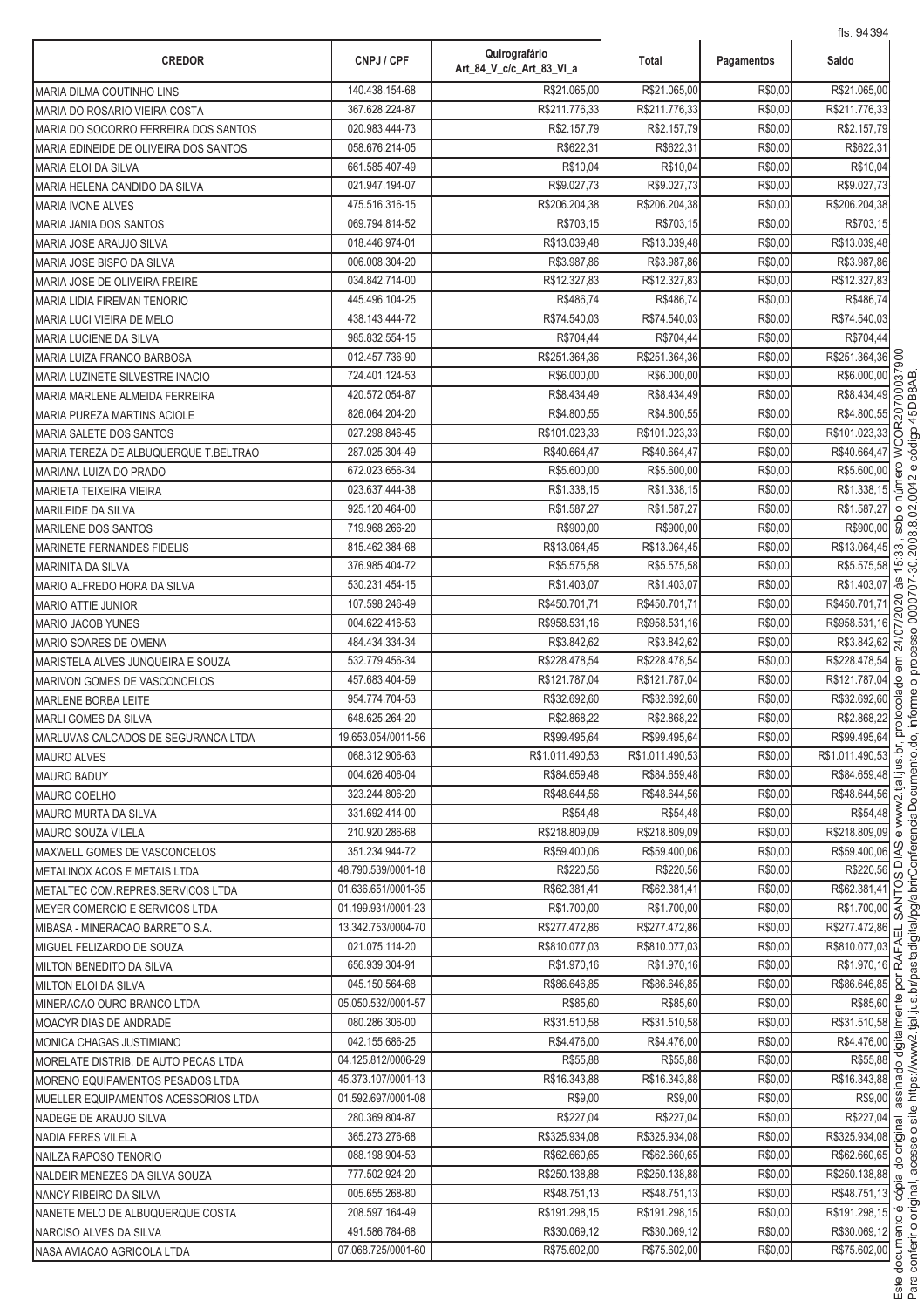| <b>CREDOR</b>                                                     | CNPJ / CPF                       | Quirografário<br>Art 84 V c/c Art 83 VI a | Total                        | Pagamentos         | Saldo                               |
|-------------------------------------------------------------------|----------------------------------|-------------------------------------------|------------------------------|--------------------|-------------------------------------|
| <b>MARIA DILMA COUTINHO LINS</b>                                  | 140.438.154-68                   | R\$21.065,00                              | R\$21.065,00                 | R\$0,00            | R\$21.065,00                        |
| MARIA DO ROSARIO VIEIRA COSTA                                     | 367.628.224-87                   | R\$211.776,33                             | R\$211.776,33                | R\$0,00            | R\$211.776,33                       |
| MARIA DO SOCORRO FERREIRA DOS SANTOS                              | 020.983.444-73                   | R\$2.157,79                               | R\$2.157,79                  | R\$0,00            | R\$2.157,79                         |
| MARIA EDINEIDE DE OLIVEIRA DOS SANTOS                             | 058.676.214-05                   | R\$622,31                                 | R\$622,31                    | R\$0,00            | R\$622,31                           |
| <b>MARIA ELOI DA SILVA</b>                                        | 661.585.407-49                   | R\$10,04                                  | R\$10,04                     | R\$0,00            | R\$10,04                            |
| MARIA HELENA CANDIDO DA SILVA                                     | 021.947.194-07                   | R\$9.027,73                               | R\$9.027,73                  | R\$0,00            | R\$9.027,73                         |
| <b>MARIA IVONE ALVES</b>                                          | 475.516.316-15                   | R\$206.204,38                             | R\$206.204,38                | R\$0,00            | R\$206.204,38                       |
| MARIA JANIA DOS SANTOS                                            | 069.794.814-52                   | R\$703.15                                 | R\$703.15                    | R\$0,00            | R\$703,15                           |
| MARIA JOSE ARAUJO SILVA                                           | 018.446.974-01                   | R\$13.039,48                              | R\$13.039,48                 | R\$0,00            | R\$13.039,48                        |
| MARIA JOSE BISPO DA SILVA                                         | 006.008.304-20                   | R\$3.987,86                               | R\$3.987,86                  | R\$0,00            | R\$3.987,86                         |
| <b>MARIA JOSE DE OLIVEIRA FREIRE</b>                              | 034.842.714-00                   | R\$12.327,83                              | R\$12.327,83                 | R\$0,00            | R\$12.327,83                        |
| <b>MARIA LIDIA FIREMAN TENORIO</b>                                | 445.496.104-25                   | R\$486,74                                 | R\$486,74                    | R\$0,00            | R\$486,74                           |
| MARIA LUCI VIEIRA DE MELO                                         | 438.143.444-72                   | R\$74.540,03                              | R\$74.540,03                 | R\$0,00            | R\$74.540,03                        |
| MARIA LUCIENE DA SILVA                                            | 985.832.554-15                   | R\$704,44                                 | R\$704,44                    | R\$0,00            | R\$704,44                           |
| MARIA LUIZA FRANCO BARBOSA                                        | 012.457.736-90                   | R\$251.364,36                             | R\$251.364,36                | R\$0,00            | 00 <sub>6</sub><br>R\$251.364,36    |
| MARIA LUZINETE SILVESTRE INACIO                                   | 724.401.124-53                   | R\$6.000,00                               | R\$6.000,00                  | R\$0,00            | R\$6.000,00                         |
| MARIA MARLENE ALMEIDA FERREIRA                                    | 420.572.054-87                   | R\$8.434,49                               | R\$8.434,49                  | R\$0,00            | R\$8.434,49                         |
| <b>MARIA PUREZA MARTINS ACIOLE</b>                                | 826.064.204-20                   | R\$4.800,55                               | R\$4.800,55                  | R\$0,00            | R\$4.800,55                         |
| <b>MARIA SALETE DOS SANTOS</b>                                    | 027.298.846-45                   | R\$101.023,33                             | R\$101.023,33                | R\$0,00            | R\$101.023,33<br>ō                  |
| MARIA TEREZA DE ALBUQUERQUE T.BELTRAO                             | 287.025.304-49                   | R\$40.664,47                              | R\$40.664,47                 | R\$0,00            | R\$40.664,47<br>Š                   |
| MARIANA LUIZA DO PRADO                                            | 672.023.656-34                   | R\$5.600,00                               | R\$5.600,00                  | R\$0,00            | R\$5.600,00                         |
| <b>MARIETA TEIXEIRA VIEIRA</b>                                    | 023.637.444-38                   | R\$1.338,15                               | R\$1.338,15                  | R\$0,00            | R\$1.338,15                         |
| <b>MARILEIDE DA SILVA</b>                                         | 925.120.464-00                   | R\$1.587,27                               | R\$1.587,27                  | R\$0,00            | R\$1.587,27<br>$\circ$<br>es<br>So  |
| <b>MARILENE DOS SANTOS</b>                                        | 719.968.266-20                   | R\$900,00                                 | R\$900,00                    | R\$0,00            | R\$900,00                           |
| <b>MARINETE FERNANDES FIDELIS</b>                                 | 815.462.384-68                   | R\$13.064,45                              | R\$13.064,45<br>R\$5.575,58  | R\$0,00            | R\$13.064,45<br>33                  |
| <b>MARINITA DA SILVA</b>                                          | 376.985.404-72                   | R\$5.575,58                               |                              | R\$0,00            | $\overline{5}$<br>R\$5.575,58<br>às |
| MARIO ALFREDO HORA DA SILVA                                       | 530.231.454-15<br>107.598.246-49 | R\$1.403,07<br>R\$450.701,71              | R\$1.403,07<br>R\$450.701,71 | R\$0,00            | R\$1.403,07<br>R\$450.701,71        |
| <b>MARIO ATTIE JUNIOR</b>                                         | 004.622.416-53                   | R\$958.531,16                             | R\$958.531,16                | R\$0,00<br>R\$0,00 | /2020<br>R\$958.531,16              |
| <b>MARIO JACOB YUNES</b>                                          | 484.434.334-34                   | R\$3.842,62                               | R\$3.842,62                  | R\$0,00            | R\$3.842,62                         |
| MARIO SOARES DE OMENA                                             | 532.779.456-34                   | R\$228.478,54                             | R\$228.478,54                | R\$0,00            | R\$228.478,54                       |
| MARISTELA ALVES JUNQUEIRA E SOUZA<br>MARIVON GOMES DE VASCONCELOS | 457.683.404-59                   | R\$121.787,04                             | R\$121.787,04                | R\$0,00            | R\$121.787,04                       |
| <b>MARLENE BORBA LEITE</b>                                        | 954.774.704-53                   | R\$32.692,60                              | R\$32.692,60                 | R\$0,00            | R\$32.692,60                        |
| <b>MARLI GOMES DA SILVA</b>                                       | 648.625.264-20                   | R\$2.868,22                               | R\$2.868,22                  | R\$0,00            | R\$2.868,22                         |
| MARLUVAS CALCADOS DE SEGURANCA LTDA                               | 19.653.054/0011-56               | R\$99.495,64                              | R\$99.495,64                 | R\$0,00            | R\$99.495,64                        |
| <b>MAURO ALVES</b>                                                | 068.312.906-63                   | R\$1.011.490,53                           | R\$1.011.490,53              | R\$0,00            | R\$1.011.490,53                     |
| <b>MAURO BADUY</b>                                                | 004.626.406-04                   | R\$84.659,48                              | R\$84.659,48                 | R\$0,00            | R\$84.659,48                        |
| <b>MAURO COELHO</b>                                               | 323.244.806-20                   | R\$48.644.56                              | R\$48.644,56                 | R\$0,00            | R\$48.644,56                        |
| <b>MAURO MURTA DA SILVA</b>                                       | 331.692.414-00                   | R\$54,48                                  | R\$54,48                     | R\$0,00            | R\$54,48                            |
| <b>MAURO SOUZA VILELA</b>                                         | 210.920.286-68                   | R\$218.809.09                             | R\$218.809,09                | R\$0,00            | R\$218.809,09                       |
| MAXWELL GOMES DE VASCONCELOS                                      | 351.234.944-72                   | R\$59.400,06                              | R\$59.400,06                 | R\$0,00            | R\$59.400,06 <sup>2</sup>           |
| METALINOX ACOS E METAIS LTDA                                      | 48.790.539/0001-18               | R\$220,56                                 | R\$220,56                    | R\$0,00            | R\$220,56                           |
| METALTEC COM.REPRES.SERVICOS LTDA                                 | 01.636.651/0001-35               | R\$62.381.41                              | R\$62.381,41                 | R\$0,00            | R\$62.381,41                        |
| MEYER COMERCIO E SERVICOS LTDA                                    | 01.199.931/0001-23               | R\$1.700,00                               | R\$1.700,00                  | R\$0,00            | R\$1.700,00 주                       |
| MIBASA - MINERACAO BARRETO S.A.                                   | 13.342.753/0004-70               | R\$277.472,86                             | R\$277.472,86                | R\$0,00            | R\$277.472,86<br>$\vec{u}$          |
| MIGUEL FELIZARDO DE SOUZA                                         | 021.075.114-20                   | R\$810.077,03                             | R\$810.077,03                | R\$0,00            | R\$810.077,03 준                     |
| <b>MILTON BENEDITO DA SILVA</b>                                   | 656.939.304-91                   | R\$1.970,16                               | R\$1.970,16                  | R\$0,00            | R\$1.970,16 2                       |
| <b>MILTON ELOI DA SILVA</b>                                       | 045.150.564-68                   | R\$86.646,85                              | R\$86.646,85                 | R\$0,00            | R\$86.646,85                        |
| MINERACAO OURO BRANCO LTDA                                        | 05.050.532/0001-57               | R\$85,60                                  | R\$85,60                     | R\$0,00            | R\$85,60                            |
| <b>MOACYR DIAS DE ANDRADE</b>                                     | 080.286.306-00                   | R\$31.510,58                              | R\$31.510,58                 | R\$0,00            | R\$31.510,58                        |
| MONICA CHAGAS JUSTIMIANO                                          | 042.155.686-25                   | R\$4.476,00                               | R\$4.476,00                  | R\$0,00            | R\$4.476,00                         |
| MORELATE DISTRIB. DE AUTO PECAS LTDA                              | 04.125.812/0006-29               | R\$55,88                                  | R\$55,88                     | R\$0,00            | R\$55,88                            |
| MORENO EQUIPAMENTOS PESADOS LTDA                                  | 45.373.107/0001-13               | R\$16.343,88                              | R\$16.343,88                 | R\$0,00            | R\$16.343,88                        |
| MUELLER EQUIPAMENTOS ACESSORIOS LTDA                              | 01.592.697/0001-08               | R\$9,00                                   | R\$9,00                      | R\$0,00            | R\$9,00                             |
| NADEGE DE ARAUJO SILVA                                            | 280.369.804-87                   | R\$227,04                                 | R\$227,04                    | R\$0,00            | R\$227,04                           |
| NADIA FERES VILELA                                                | 365.273.276-68                   | R\$325.934,08                             | R\$325.934,08                | R\$0,00            | R\$325.934,08                       |
| NAILZA RAPOSO TENORIO                                             | 088.198.904-53                   | R\$62.660,65                              | R\$62.660,65                 | R\$0,00            | R\$62.660,65                        |
| NALDEIR MENEZES DA SILVA SOUZA                                    | 777.502.924-20                   | R\$250.138,88                             | R\$250.138,88                | R\$0,00            | R\$250.138,88                       |
| NANCY RIBEIRO DA SILVA                                            | 005.655.268-80                   | R\$48.751,13                              | R\$48.751,13                 | R\$0,00            | R\$48.751,13 8                      |
| NANETE MELO DE ALBUQUERQUE COSTA                                  | 208.597.164-49                   | R\$191.298,15                             | R\$191.298,15                | R\$0,00            | R\$191.298,15                       |
| NARCISO ALVES DA SILVA                                            | 491.586.784-68                   | R\$30.069,12                              | R\$30.069,12                 | R\$0,00            | R\$30.069,12 §                      |
| NASA AVIACAO AGRICOLA LTDA                                        | 07.068.725/0001-60               | R\$75.602,00                              | R\$75.602,00                 | R\$0,00            | R\$75.602,00                        |

.<br>.

:<br>'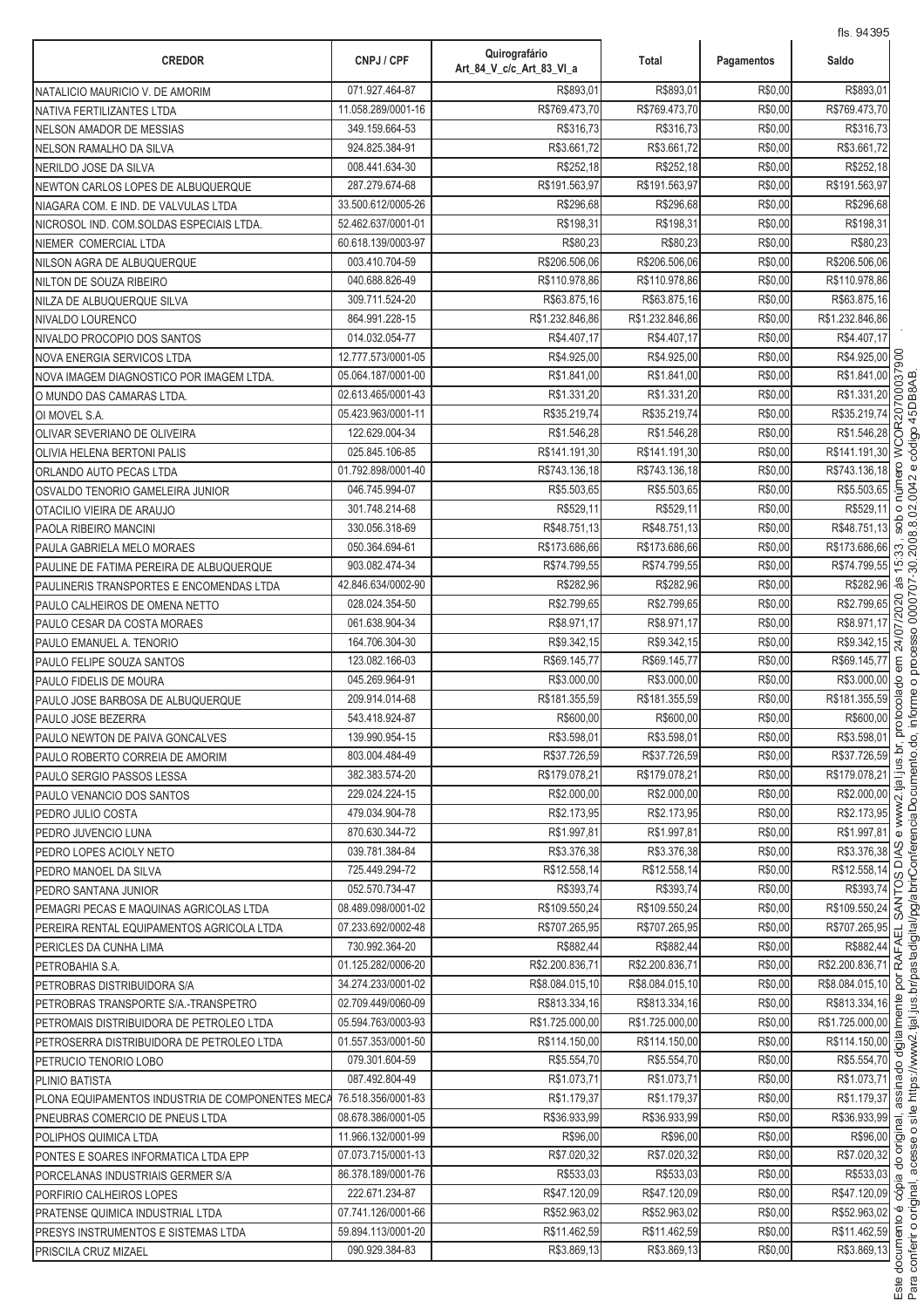| 071.927.464-87<br>R\$893,01<br>R\$893,01<br>R\$0,00<br>R\$893.01<br>NATALICIO MAURICIO V. DE AMORIM<br>R\$769.473,70<br>R\$769.473,70<br>R\$0,00<br>11.058.289/0001-16<br>NATIVA FERTILIZANTES LTDA<br>R\$316,73<br>R\$316,73<br>R\$0,00<br>349.159.664-53<br>R\$316,73<br><b>NELSON AMADOR DE MESSIAS</b><br>R\$3.661,72<br>R\$3.661,72<br>R\$0,00<br>924.825.384-91<br>NELSON RAMALHO DA SILVA<br>R\$252,18<br>R\$252,18<br>R\$0,00<br>R\$252,18<br>008.441.634-30<br>NERILDO JOSE DA SILVA<br>R\$191.563,97<br>R\$191.563,97<br>R\$0,00<br>R\$191.563,97<br>287.279.674-68<br>NEWTON CARLOS LOPES DE ALBUQUERQUE<br>33.500.612/0005-26<br>R\$296,68<br>R\$296,68<br>R\$0,00<br>R\$296,68<br>NIAGARA COM. E IND. DE VALVULAS LTDA<br>R\$198,31<br>R\$0,00<br>R\$198,31<br>52.462.637/0001-01<br>R\$198,31<br>NICROSOL IND. COM.SOLDAS ESPECIAIS LTDA.<br>R\$80,23<br>R\$0,00<br>R\$80,23<br>60.618.139/0003-97<br>R\$80,23<br>NIEMER COMERCIAL LTDA<br>R\$206.506,06<br>R\$0,00<br>R\$206.506,06<br>003.410.704-59<br>R\$206.506,06<br>NILSON AGRA DE ALBUQUERQUE<br>040.688.826-49<br>R\$110.978,86<br>R\$110.978,86<br>R\$0,00<br>R\$110.978,86<br>NILTON DE SOUZA RIBEIRO<br>R\$0,00<br>309.711.524-20<br>R\$63.875,16<br>R\$63.875,16<br>R\$63.875,16<br>NILZA DE ALBUQUERQUE SILVA<br>864.991.228-15<br>R\$1.232.846,86<br>R\$1.232.846,86<br>R\$0,00<br>R\$1.232.846,86<br>NIVALDO LOURENCO<br>R\$0,00<br>014.032.054-77<br>R\$4.407,17<br>R\$4.407,17<br>R\$4.407,17<br>NIVALDO PROCOPIO DOS SANTOS<br>R\$4.925,00<br>12.777.573/0001-05<br>R\$4.925,00<br>R\$4.925.00<br>R\$0,00<br><b>NOVA ENERGIA SERVICOS LTDA</b><br>R\$1.841,00<br>05.064.187/0001-00<br>R\$1.841,00<br>R\$1.841,00<br>R\$0,00<br>NOVA IMAGEM DIAGNOSTICO POR IMAGEM LTDA.<br>R\$0,00<br>R\$1.331,20<br>02.613.465/0001-43<br>R\$1.331,20<br>R\$1.331,20<br>O MUNDO DAS CAMARAS LTDA.<br>R\$35.219,74<br>R\$35.219,74<br>R\$0,00<br>R\$35.219,74<br>05.423.963/0001-11<br>OI MOVEL S.A.<br>122.629.004-34<br>R\$1.546,28<br>R\$1.546,28<br>R\$0,00<br>R\$1.546,28<br>OLIVAR SEVERIANO DE OLIVEIRA<br>025.845.106-85<br>R\$141.191,30<br>R\$141.191,30<br>R\$0,00<br>R\$141.191,30<br>OLIVIA HELENA BERTONI PALIS<br>01.792.898/0001-40<br>R\$743.136,18<br>R\$743.136,18<br>R\$0,00<br>R\$743.136,18<br>ORLANDO AUTO PECAS LTDA<br>046.745.994-07<br>R\$5.503,65<br>R\$0,00<br>R\$5.503,65<br>R\$5.503,65<br>OSVALDO TENORIO GAMELEIRA JUNIOR<br>301.748.214-68<br>R\$529,11<br>R\$529,11<br>R\$0,00<br>R\$529,11<br>OTACILIO VIEIRA DE ARAUJO<br>330.056.318-69<br>R\$48.751,13<br>R\$48.751,13<br>R\$0,00<br>R\$48.751,13<br>PAOLA RIBEIRO MANCINI<br>050.364.694-61<br>R\$173.686,66<br>R\$173.686,66<br>R\$0,00<br>R\$173.686,66<br>PAULA GABRIELA MELO MORAES<br>R\$74.799,55<br>903.082.474-34<br>R\$74.799,55<br>R\$74.799,55<br>R\$0,00<br>PAULINE DE FATIMA PEREIRA DE ALBUQUERQUE<br>R\$282,96<br>R\$0,00<br>R\$282,96<br>42.846.634/0002-90<br>R\$282,96<br>PAULINERIS TRANSPORTES E ENCOMENDAS LTDA<br>R\$2.799,65<br>R\$2.799,65<br>R\$0,00<br>R\$2.799,65<br>028.024.354-50<br>PAULO CALHEIROS DE OMENA NETTO<br>R\$0,00<br>061.638.904-34<br>R\$8.971,17<br>R\$8.971,17<br>R\$8.971,17<br>PAULO CESAR DA COSTA MORAES<br>R\$9.342,15<br>R\$0,00<br>R\$9.342,15<br>164.706.304-30<br>R\$9.342,15<br>PAULO EMANUEL A. TENORIO<br>R\$69.145,77<br>R\$69.145,77<br>R\$0,00<br>123.082.166-03<br>R\$69.145,77<br>PAULO FELIPE SOUZA SANTOS<br>045.269.964-91<br>R\$3.000,00<br>R\$3.000,00<br>R\$0,00<br>R\$3.000,00<br>PAULO FIDELIS DE MOURA<br>R\$181.355,59<br>R\$0,00<br>R\$181.355,59<br>209.914.014-68<br>R\$181.355,59<br>PAULO JOSE BARBOSA DE ALBUQUERQUE<br>R\$0,00<br>543.418.924-87<br>R\$600,00<br>R\$600,00<br>R\$600,00<br>PAULO JOSE BEZERRA<br>R\$3.598,01<br>R\$3.598,01<br>R\$0,00<br>R\$3.598,01<br>139.990.954-15<br>PAULO NEWTON DE PAIVA GONCALVES<br>R\$0,00<br>R\$37.726,59<br>803.004.484-49<br>R\$37.726,59<br>R\$37.726,59<br>PAULO ROBERTO CORREIA DE AMORIM<br>R\$179.078,21<br>R\$179.078,21<br>R\$0,00<br>R\$179.078,21<br>382.383.574-20<br>PAULO SERGIO PASSOS LESSA<br>R\$2.000,00<br>R\$0,00<br>R\$2.000,00<br>229.024.224-15<br>R\$2.000,00<br>PAULO VENANCIO DOS SANTOS<br>R\$2.173,95<br>479.034.904-78<br>R\$2.173.95<br>R\$2.173.95<br>R\$0,00<br>PEDRO JULIO COSTA<br>870.630.344-72<br>R\$1.997,81<br>R\$1.997,81<br>R\$0,00<br>R\$1.997,81<br>PEDRO JUVENCIO LUNA<br>039.781.384-84<br>R\$3.376,38<br>R\$3.376,38<br>R\$0,00<br>PEDRO LOPES ACIOLY NETO<br>R\$12.558,14<br>R\$12.558,14<br>R\$0,00<br>R\$12.558,14<br>725.449.294-72<br>PEDRO MANOEL DA SILVA<br>R\$393,74<br>R\$0,00<br>052.570.734-47<br>R\$393,74<br>PEDRO SANTANA JUNIOR<br>08.489.098/0001-02<br>R\$109.550.24<br>R\$109.550,24<br>R\$0,00<br>PEMAGRI PECAS E MAQUINAS AGRICOLAS LTDA<br>07.233.692/0002-48<br>R\$707.265,95<br>R\$0,00<br>R\$707.265,95<br>R\$707.265,95<br>PEREIRA RENTAL EQUIPAMENTOS AGRICOLA LTDA<br>730.992.364-20<br>R\$882,44<br>R\$882,44<br>R\$0,00<br>PERICLES DA CUNHA LIMA<br>01.125.282/0006-20<br>R\$2.200.836,71<br>R\$2.200.836,71<br>R\$0,00<br>PETROBAHIA S.A.<br>34.274.233/0001-02<br>R\$8.084.015,10<br>R\$0,00<br>R\$8.084.015,10<br>PETROBRAS DISTRIBUIDORA S/A<br>02.709.449/0060-09<br>R\$813.334,16<br>R\$813.334,16<br>R\$0,00<br>PETROBRAS TRANSPORTE S/A.-TRANSPETRO<br>05.594.763/0003-93<br>R\$1.725.000,00<br>R\$0,00<br>R\$1.725.000,00<br>PETROMAIS DISTRIBUIDORA DE PETROLEO LTDA<br>01.557.353/0001-50<br>R\$114.150,00<br>R\$114.150,00<br>R\$0,00<br>PETROSERRA DISTRIBUIDORA DE PETROLEO LTDA<br>R\$0,00<br>R\$5.554,70<br>079.301.604-59<br>R\$5.554,70<br>R\$5.554,70<br>PETRUCIO TENORIO LOBO<br>R\$1.073,71<br>R\$1.073,71<br>R\$0,00<br>087.492.804-49<br>PLINIO BATISTA<br>R\$1.179,37<br>R\$1.179,37<br>R\$0,00<br>76.518.356/0001-83<br>PLONA EQUIPAMENTOS INDUSTRIA DE COMPONENTES MECA<br>R\$0,00<br>08.678.386/0001-05<br>R\$36.933,99<br>R\$36.933,99<br>PNEUBRAS COMERCIO DE PNEUS LTDA<br>R\$0,00<br>11.966.132/0001-99<br>R\$96,00<br>R\$96,00<br>POLIPHOS QUIMICA LTDA<br>R\$7.020,32<br>R\$7.020,32<br>R\$0,00<br>07.073.715/0001-13<br>PONTES E SOARES INFORMATICA LTDA EPP<br>R\$533,03<br>R\$533,03<br>R\$0,00<br>86.378.189/0001-76<br>PORCELANAS INDUSTRIAIS GERMER S/A<br>R\$47.120,09<br>R\$47.120,09<br>R\$0,00<br>222.671.234-87<br>PORFIRIO CALHEIROS LOPES<br>R\$52.963,02<br>R\$52.963,02<br>R\$0,00<br>07.741.126/0001-66<br>PRATENSE QUIMICA INDUSTRIAL LTDA<br>R\$11.462,59<br>R\$0,00<br>59.894.113/0001-20<br>R\$11.462,59<br>PRESYS INSTRUMENTOS E SISTEMAS LTDA<br>090.929.384-83<br>R\$3.869,13<br>R\$3.869,13<br>R\$0,00 | <b>CREDOR</b>        | CNPJ / CPF | Quirografário<br>Art_84_V_c/c_Art_83_VI_a | Total | Pagamentos | Saldo                               |
|-----------------------------------------------------------------------------------------------------------------------------------------------------------------------------------------------------------------------------------------------------------------------------------------------------------------------------------------------------------------------------------------------------------------------------------------------------------------------------------------------------------------------------------------------------------------------------------------------------------------------------------------------------------------------------------------------------------------------------------------------------------------------------------------------------------------------------------------------------------------------------------------------------------------------------------------------------------------------------------------------------------------------------------------------------------------------------------------------------------------------------------------------------------------------------------------------------------------------------------------------------------------------------------------------------------------------------------------------------------------------------------------------------------------------------------------------------------------------------------------------------------------------------------------------------------------------------------------------------------------------------------------------------------------------------------------------------------------------------------------------------------------------------------------------------------------------------------------------------------------------------------------------------------------------------------------------------------------------------------------------------------------------------------------------------------------------------------------------------------------------------------------------------------------------------------------------------------------------------------------------------------------------------------------------------------------------------------------------------------------------------------------------------------------------------------------------------------------------------------------------------------------------------------------------------------------------------------------------------------------------------------------------------------------------------------------------------------------------------------------------------------------------------------------------------------------------------------------------------------------------------------------------------------------------------------------------------------------------------------------------------------------------------------------------------------------------------------------------------------------------------------------------------------------------------------------------------------------------------------------------------------------------------------------------------------------------------------------------------------------------------------------------------------------------------------------------------------------------------------------------------------------------------------------------------------------------------------------------------------------------------------------------------------------------------------------------------------------------------------------------------------------------------------------------------------------------------------------------------------------------------------------------------------------------------------------------------------------------------------------------------------------------------------------------------------------------------------------------------------------------------------------------------------------------------------------------------------------------------------------------------------------------------------------------------------------------------------------------------------------------------------------------------------------------------------------------------------------------------------------------------------------------------------------------------------------------------------------------------------------------------------------------------------------------------------------------------------------------------------------------------------------------------------------------------------------------------------------------------------------------------------------------------------------------------------------------------------------------------------------------------------------------------------------------------------------------------------------------------------------------------------------------------------------------------------------------------------------------------------------------------------------------------------------------------------------------------------------------------------------------------------------------------------------------------------------------------------------------------------------------------------------------------------------------------------------------------------------------------------------------------------------------------------------------------------------------------------------------------------------------------------------------------------------------------------------------------------------------------------------------------------------------------------------------------------------------------------------------------------------------------------------------------------------------------------------------------------------------------------------------------------------------------------------------------------------------------------------------------------------------------------------------------------------------------------------------------------------------------------------------------------------------------------------------------------------------------------------------------------------------------------------------------------------------------------------------------------------------------------------------------------|----------------------|------------|-------------------------------------------|-------|------------|-------------------------------------|
|                                                                                                                                                                                                                                                                                                                                                                                                                                                                                                                                                                                                                                                                                                                                                                                                                                                                                                                                                                                                                                                                                                                                                                                                                                                                                                                                                                                                                                                                                                                                                                                                                                                                                                                                                                                                                                                                                                                                                                                                                                                                                                                                                                                                                                                                                                                                                                                                                                                                                                                                                                                                                                                                                                                                                                                                                                                                                                                                                                                                                                                                                                                                                                                                                                                                                                                                                                                                                                                                                                                                                                                                                                                                                                                                                                                                                                                                                                                                                                                                                                                                                                                                                                                                                                                                                                                                                                                                                                                                                                                                                                                                                                                                                                                                                                                                                                                                                                                                                                                                                                                                                                                                                                                                                                                                                                                                                                                                                                                                                                                                                                                                                                                                                                                                                                                                                                                                                                                                                                                                                                                                                                                                                                                                                                                                                                                                                                                                                                                                                                                                                                                                                                   |                      |            |                                           |       |            |                                     |
|                                                                                                                                                                                                                                                                                                                                                                                                                                                                                                                                                                                                                                                                                                                                                                                                                                                                                                                                                                                                                                                                                                                                                                                                                                                                                                                                                                                                                                                                                                                                                                                                                                                                                                                                                                                                                                                                                                                                                                                                                                                                                                                                                                                                                                                                                                                                                                                                                                                                                                                                                                                                                                                                                                                                                                                                                                                                                                                                                                                                                                                                                                                                                                                                                                                                                                                                                                                                                                                                                                                                                                                                                                                                                                                                                                                                                                                                                                                                                                                                                                                                                                                                                                                                                                                                                                                                                                                                                                                                                                                                                                                                                                                                                                                                                                                                                                                                                                                                                                                                                                                                                                                                                                                                                                                                                                                                                                                                                                                                                                                                                                                                                                                                                                                                                                                                                                                                                                                                                                                                                                                                                                                                                                                                                                                                                                                                                                                                                                                                                                                                                                                                                                   |                      |            |                                           |       |            | R\$769.473,70                       |
|                                                                                                                                                                                                                                                                                                                                                                                                                                                                                                                                                                                                                                                                                                                                                                                                                                                                                                                                                                                                                                                                                                                                                                                                                                                                                                                                                                                                                                                                                                                                                                                                                                                                                                                                                                                                                                                                                                                                                                                                                                                                                                                                                                                                                                                                                                                                                                                                                                                                                                                                                                                                                                                                                                                                                                                                                                                                                                                                                                                                                                                                                                                                                                                                                                                                                                                                                                                                                                                                                                                                                                                                                                                                                                                                                                                                                                                                                                                                                                                                                                                                                                                                                                                                                                                                                                                                                                                                                                                                                                                                                                                                                                                                                                                                                                                                                                                                                                                                                                                                                                                                                                                                                                                                                                                                                                                                                                                                                                                                                                                                                                                                                                                                                                                                                                                                                                                                                                                                                                                                                                                                                                                                                                                                                                                                                                                                                                                                                                                                                                                                                                                                                                   |                      |            |                                           |       |            |                                     |
|                                                                                                                                                                                                                                                                                                                                                                                                                                                                                                                                                                                                                                                                                                                                                                                                                                                                                                                                                                                                                                                                                                                                                                                                                                                                                                                                                                                                                                                                                                                                                                                                                                                                                                                                                                                                                                                                                                                                                                                                                                                                                                                                                                                                                                                                                                                                                                                                                                                                                                                                                                                                                                                                                                                                                                                                                                                                                                                                                                                                                                                                                                                                                                                                                                                                                                                                                                                                                                                                                                                                                                                                                                                                                                                                                                                                                                                                                                                                                                                                                                                                                                                                                                                                                                                                                                                                                                                                                                                                                                                                                                                                                                                                                                                                                                                                                                                                                                                                                                                                                                                                                                                                                                                                                                                                                                                                                                                                                                                                                                                                                                                                                                                                                                                                                                                                                                                                                                                                                                                                                                                                                                                                                                                                                                                                                                                                                                                                                                                                                                                                                                                                                                   |                      |            |                                           |       |            | R\$3.661.72                         |
|                                                                                                                                                                                                                                                                                                                                                                                                                                                                                                                                                                                                                                                                                                                                                                                                                                                                                                                                                                                                                                                                                                                                                                                                                                                                                                                                                                                                                                                                                                                                                                                                                                                                                                                                                                                                                                                                                                                                                                                                                                                                                                                                                                                                                                                                                                                                                                                                                                                                                                                                                                                                                                                                                                                                                                                                                                                                                                                                                                                                                                                                                                                                                                                                                                                                                                                                                                                                                                                                                                                                                                                                                                                                                                                                                                                                                                                                                                                                                                                                                                                                                                                                                                                                                                                                                                                                                                                                                                                                                                                                                                                                                                                                                                                                                                                                                                                                                                                                                                                                                                                                                                                                                                                                                                                                                                                                                                                                                                                                                                                                                                                                                                                                                                                                                                                                                                                                                                                                                                                                                                                                                                                                                                                                                                                                                                                                                                                                                                                                                                                                                                                                                                   |                      |            |                                           |       |            |                                     |
|                                                                                                                                                                                                                                                                                                                                                                                                                                                                                                                                                                                                                                                                                                                                                                                                                                                                                                                                                                                                                                                                                                                                                                                                                                                                                                                                                                                                                                                                                                                                                                                                                                                                                                                                                                                                                                                                                                                                                                                                                                                                                                                                                                                                                                                                                                                                                                                                                                                                                                                                                                                                                                                                                                                                                                                                                                                                                                                                                                                                                                                                                                                                                                                                                                                                                                                                                                                                                                                                                                                                                                                                                                                                                                                                                                                                                                                                                                                                                                                                                                                                                                                                                                                                                                                                                                                                                                                                                                                                                                                                                                                                                                                                                                                                                                                                                                                                                                                                                                                                                                                                                                                                                                                                                                                                                                                                                                                                                                                                                                                                                                                                                                                                                                                                                                                                                                                                                                                                                                                                                                                                                                                                                                                                                                                                                                                                                                                                                                                                                                                                                                                                                                   |                      |            |                                           |       |            |                                     |
|                                                                                                                                                                                                                                                                                                                                                                                                                                                                                                                                                                                                                                                                                                                                                                                                                                                                                                                                                                                                                                                                                                                                                                                                                                                                                                                                                                                                                                                                                                                                                                                                                                                                                                                                                                                                                                                                                                                                                                                                                                                                                                                                                                                                                                                                                                                                                                                                                                                                                                                                                                                                                                                                                                                                                                                                                                                                                                                                                                                                                                                                                                                                                                                                                                                                                                                                                                                                                                                                                                                                                                                                                                                                                                                                                                                                                                                                                                                                                                                                                                                                                                                                                                                                                                                                                                                                                                                                                                                                                                                                                                                                                                                                                                                                                                                                                                                                                                                                                                                                                                                                                                                                                                                                                                                                                                                                                                                                                                                                                                                                                                                                                                                                                                                                                                                                                                                                                                                                                                                                                                                                                                                                                                                                                                                                                                                                                                                                                                                                                                                                                                                                                                   |                      |            |                                           |       |            |                                     |
|                                                                                                                                                                                                                                                                                                                                                                                                                                                                                                                                                                                                                                                                                                                                                                                                                                                                                                                                                                                                                                                                                                                                                                                                                                                                                                                                                                                                                                                                                                                                                                                                                                                                                                                                                                                                                                                                                                                                                                                                                                                                                                                                                                                                                                                                                                                                                                                                                                                                                                                                                                                                                                                                                                                                                                                                                                                                                                                                                                                                                                                                                                                                                                                                                                                                                                                                                                                                                                                                                                                                                                                                                                                                                                                                                                                                                                                                                                                                                                                                                                                                                                                                                                                                                                                                                                                                                                                                                                                                                                                                                                                                                                                                                                                                                                                                                                                                                                                                                                                                                                                                                                                                                                                                                                                                                                                                                                                                                                                                                                                                                                                                                                                                                                                                                                                                                                                                                                                                                                                                                                                                                                                                                                                                                                                                                                                                                                                                                                                                                                                                                                                                                                   |                      |            |                                           |       |            |                                     |
|                                                                                                                                                                                                                                                                                                                                                                                                                                                                                                                                                                                                                                                                                                                                                                                                                                                                                                                                                                                                                                                                                                                                                                                                                                                                                                                                                                                                                                                                                                                                                                                                                                                                                                                                                                                                                                                                                                                                                                                                                                                                                                                                                                                                                                                                                                                                                                                                                                                                                                                                                                                                                                                                                                                                                                                                                                                                                                                                                                                                                                                                                                                                                                                                                                                                                                                                                                                                                                                                                                                                                                                                                                                                                                                                                                                                                                                                                                                                                                                                                                                                                                                                                                                                                                                                                                                                                                                                                                                                                                                                                                                                                                                                                                                                                                                                                                                                                                                                                                                                                                                                                                                                                                                                                                                                                                                                                                                                                                                                                                                                                                                                                                                                                                                                                                                                                                                                                                                                                                                                                                                                                                                                                                                                                                                                                                                                                                                                                                                                                                                                                                                                                                   |                      |            |                                           |       |            |                                     |
|                                                                                                                                                                                                                                                                                                                                                                                                                                                                                                                                                                                                                                                                                                                                                                                                                                                                                                                                                                                                                                                                                                                                                                                                                                                                                                                                                                                                                                                                                                                                                                                                                                                                                                                                                                                                                                                                                                                                                                                                                                                                                                                                                                                                                                                                                                                                                                                                                                                                                                                                                                                                                                                                                                                                                                                                                                                                                                                                                                                                                                                                                                                                                                                                                                                                                                                                                                                                                                                                                                                                                                                                                                                                                                                                                                                                                                                                                                                                                                                                                                                                                                                                                                                                                                                                                                                                                                                                                                                                                                                                                                                                                                                                                                                                                                                                                                                                                                                                                                                                                                                                                                                                                                                                                                                                                                                                                                                                                                                                                                                                                                                                                                                                                                                                                                                                                                                                                                                                                                                                                                                                                                                                                                                                                                                                                                                                                                                                                                                                                                                                                                                                                                   |                      |            |                                           |       |            |                                     |
|                                                                                                                                                                                                                                                                                                                                                                                                                                                                                                                                                                                                                                                                                                                                                                                                                                                                                                                                                                                                                                                                                                                                                                                                                                                                                                                                                                                                                                                                                                                                                                                                                                                                                                                                                                                                                                                                                                                                                                                                                                                                                                                                                                                                                                                                                                                                                                                                                                                                                                                                                                                                                                                                                                                                                                                                                                                                                                                                                                                                                                                                                                                                                                                                                                                                                                                                                                                                                                                                                                                                                                                                                                                                                                                                                                                                                                                                                                                                                                                                                                                                                                                                                                                                                                                                                                                                                                                                                                                                                                                                                                                                                                                                                                                                                                                                                                                                                                                                                                                                                                                                                                                                                                                                                                                                                                                                                                                                                                                                                                                                                                                                                                                                                                                                                                                                                                                                                                                                                                                                                                                                                                                                                                                                                                                                                                                                                                                                                                                                                                                                                                                                                                   |                      |            |                                           |       |            |                                     |
|                                                                                                                                                                                                                                                                                                                                                                                                                                                                                                                                                                                                                                                                                                                                                                                                                                                                                                                                                                                                                                                                                                                                                                                                                                                                                                                                                                                                                                                                                                                                                                                                                                                                                                                                                                                                                                                                                                                                                                                                                                                                                                                                                                                                                                                                                                                                                                                                                                                                                                                                                                                                                                                                                                                                                                                                                                                                                                                                                                                                                                                                                                                                                                                                                                                                                                                                                                                                                                                                                                                                                                                                                                                                                                                                                                                                                                                                                                                                                                                                                                                                                                                                                                                                                                                                                                                                                                                                                                                                                                                                                                                                                                                                                                                                                                                                                                                                                                                                                                                                                                                                                                                                                                                                                                                                                                                                                                                                                                                                                                                                                                                                                                                                                                                                                                                                                                                                                                                                                                                                                                                                                                                                                                                                                                                                                                                                                                                                                                                                                                                                                                                                                                   |                      |            |                                           |       |            |                                     |
|                                                                                                                                                                                                                                                                                                                                                                                                                                                                                                                                                                                                                                                                                                                                                                                                                                                                                                                                                                                                                                                                                                                                                                                                                                                                                                                                                                                                                                                                                                                                                                                                                                                                                                                                                                                                                                                                                                                                                                                                                                                                                                                                                                                                                                                                                                                                                                                                                                                                                                                                                                                                                                                                                                                                                                                                                                                                                                                                                                                                                                                                                                                                                                                                                                                                                                                                                                                                                                                                                                                                                                                                                                                                                                                                                                                                                                                                                                                                                                                                                                                                                                                                                                                                                                                                                                                                                                                                                                                                                                                                                                                                                                                                                                                                                                                                                                                                                                                                                                                                                                                                                                                                                                                                                                                                                                                                                                                                                                                                                                                                                                                                                                                                                                                                                                                                                                                                                                                                                                                                                                                                                                                                                                                                                                                                                                                                                                                                                                                                                                                                                                                                                                   |                      |            |                                           |       |            |                                     |
|                                                                                                                                                                                                                                                                                                                                                                                                                                                                                                                                                                                                                                                                                                                                                                                                                                                                                                                                                                                                                                                                                                                                                                                                                                                                                                                                                                                                                                                                                                                                                                                                                                                                                                                                                                                                                                                                                                                                                                                                                                                                                                                                                                                                                                                                                                                                                                                                                                                                                                                                                                                                                                                                                                                                                                                                                                                                                                                                                                                                                                                                                                                                                                                                                                                                                                                                                                                                                                                                                                                                                                                                                                                                                                                                                                                                                                                                                                                                                                                                                                                                                                                                                                                                                                                                                                                                                                                                                                                                                                                                                                                                                                                                                                                                                                                                                                                                                                                                                                                                                                                                                                                                                                                                                                                                                                                                                                                                                                                                                                                                                                                                                                                                                                                                                                                                                                                                                                                                                                                                                                                                                                                                                                                                                                                                                                                                                                                                                                                                                                                                                                                                                                   |                      |            |                                           |       |            |                                     |
|                                                                                                                                                                                                                                                                                                                                                                                                                                                                                                                                                                                                                                                                                                                                                                                                                                                                                                                                                                                                                                                                                                                                                                                                                                                                                                                                                                                                                                                                                                                                                                                                                                                                                                                                                                                                                                                                                                                                                                                                                                                                                                                                                                                                                                                                                                                                                                                                                                                                                                                                                                                                                                                                                                                                                                                                                                                                                                                                                                                                                                                                                                                                                                                                                                                                                                                                                                                                                                                                                                                                                                                                                                                                                                                                                                                                                                                                                                                                                                                                                                                                                                                                                                                                                                                                                                                                                                                                                                                                                                                                                                                                                                                                                                                                                                                                                                                                                                                                                                                                                                                                                                                                                                                                                                                                                                                                                                                                                                                                                                                                                                                                                                                                                                                                                                                                                                                                                                                                                                                                                                                                                                                                                                                                                                                                                                                                                                                                                                                                                                                                                                                                                                   |                      |            |                                           |       |            | 90                                  |
|                                                                                                                                                                                                                                                                                                                                                                                                                                                                                                                                                                                                                                                                                                                                                                                                                                                                                                                                                                                                                                                                                                                                                                                                                                                                                                                                                                                                                                                                                                                                                                                                                                                                                                                                                                                                                                                                                                                                                                                                                                                                                                                                                                                                                                                                                                                                                                                                                                                                                                                                                                                                                                                                                                                                                                                                                                                                                                                                                                                                                                                                                                                                                                                                                                                                                                                                                                                                                                                                                                                                                                                                                                                                                                                                                                                                                                                                                                                                                                                                                                                                                                                                                                                                                                                                                                                                                                                                                                                                                                                                                                                                                                                                                                                                                                                                                                                                                                                                                                                                                                                                                                                                                                                                                                                                                                                                                                                                                                                                                                                                                                                                                                                                                                                                                                                                                                                                                                                                                                                                                                                                                                                                                                                                                                                                                                                                                                                                                                                                                                                                                                                                                                   |                      |            |                                           |       |            |                                     |
|                                                                                                                                                                                                                                                                                                                                                                                                                                                                                                                                                                                                                                                                                                                                                                                                                                                                                                                                                                                                                                                                                                                                                                                                                                                                                                                                                                                                                                                                                                                                                                                                                                                                                                                                                                                                                                                                                                                                                                                                                                                                                                                                                                                                                                                                                                                                                                                                                                                                                                                                                                                                                                                                                                                                                                                                                                                                                                                                                                                                                                                                                                                                                                                                                                                                                                                                                                                                                                                                                                                                                                                                                                                                                                                                                                                                                                                                                                                                                                                                                                                                                                                                                                                                                                                                                                                                                                                                                                                                                                                                                                                                                                                                                                                                                                                                                                                                                                                                                                                                                                                                                                                                                                                                                                                                                                                                                                                                                                                                                                                                                                                                                                                                                                                                                                                                                                                                                                                                                                                                                                                                                                                                                                                                                                                                                                                                                                                                                                                                                                                                                                                                                                   |                      |            |                                           |       |            |                                     |
|                                                                                                                                                                                                                                                                                                                                                                                                                                                                                                                                                                                                                                                                                                                                                                                                                                                                                                                                                                                                                                                                                                                                                                                                                                                                                                                                                                                                                                                                                                                                                                                                                                                                                                                                                                                                                                                                                                                                                                                                                                                                                                                                                                                                                                                                                                                                                                                                                                                                                                                                                                                                                                                                                                                                                                                                                                                                                                                                                                                                                                                                                                                                                                                                                                                                                                                                                                                                                                                                                                                                                                                                                                                                                                                                                                                                                                                                                                                                                                                                                                                                                                                                                                                                                                                                                                                                                                                                                                                                                                                                                                                                                                                                                                                                                                                                                                                                                                                                                                                                                                                                                                                                                                                                                                                                                                                                                                                                                                                                                                                                                                                                                                                                                                                                                                                                                                                                                                                                                                                                                                                                                                                                                                                                                                                                                                                                                                                                                                                                                                                                                                                                                                   |                      |            |                                           |       |            |                                     |
|                                                                                                                                                                                                                                                                                                                                                                                                                                                                                                                                                                                                                                                                                                                                                                                                                                                                                                                                                                                                                                                                                                                                                                                                                                                                                                                                                                                                                                                                                                                                                                                                                                                                                                                                                                                                                                                                                                                                                                                                                                                                                                                                                                                                                                                                                                                                                                                                                                                                                                                                                                                                                                                                                                                                                                                                                                                                                                                                                                                                                                                                                                                                                                                                                                                                                                                                                                                                                                                                                                                                                                                                                                                                                                                                                                                                                                                                                                                                                                                                                                                                                                                                                                                                                                                                                                                                                                                                                                                                                                                                                                                                                                                                                                                                                                                                                                                                                                                                                                                                                                                                                                                                                                                                                                                                                                                                                                                                                                                                                                                                                                                                                                                                                                                                                                                                                                                                                                                                                                                                                                                                                                                                                                                                                                                                                                                                                                                                                                                                                                                                                                                                                                   |                      |            |                                           |       |            | Ō                                   |
|                                                                                                                                                                                                                                                                                                                                                                                                                                                                                                                                                                                                                                                                                                                                                                                                                                                                                                                                                                                                                                                                                                                                                                                                                                                                                                                                                                                                                                                                                                                                                                                                                                                                                                                                                                                                                                                                                                                                                                                                                                                                                                                                                                                                                                                                                                                                                                                                                                                                                                                                                                                                                                                                                                                                                                                                                                                                                                                                                                                                                                                                                                                                                                                                                                                                                                                                                                                                                                                                                                                                                                                                                                                                                                                                                                                                                                                                                                                                                                                                                                                                                                                                                                                                                                                                                                                                                                                                                                                                                                                                                                                                                                                                                                                                                                                                                                                                                                                                                                                                                                                                                                                                                                                                                                                                                                                                                                                                                                                                                                                                                                                                                                                                                                                                                                                                                                                                                                                                                                                                                                                                                                                                                                                                                                                                                                                                                                                                                                                                                                                                                                                                                                   |                      |            |                                           |       |            | ₹                                   |
|                                                                                                                                                                                                                                                                                                                                                                                                                                                                                                                                                                                                                                                                                                                                                                                                                                                                                                                                                                                                                                                                                                                                                                                                                                                                                                                                                                                                                                                                                                                                                                                                                                                                                                                                                                                                                                                                                                                                                                                                                                                                                                                                                                                                                                                                                                                                                                                                                                                                                                                                                                                                                                                                                                                                                                                                                                                                                                                                                                                                                                                                                                                                                                                                                                                                                                                                                                                                                                                                                                                                                                                                                                                                                                                                                                                                                                                                                                                                                                                                                                                                                                                                                                                                                                                                                                                                                                                                                                                                                                                                                                                                                                                                                                                                                                                                                                                                                                                                                                                                                                                                                                                                                                                                                                                                                                                                                                                                                                                                                                                                                                                                                                                                                                                                                                                                                                                                                                                                                                                                                                                                                                                                                                                                                                                                                                                                                                                                                                                                                                                                                                                                                                   |                      |            |                                           |       |            |                                     |
|                                                                                                                                                                                                                                                                                                                                                                                                                                                                                                                                                                                                                                                                                                                                                                                                                                                                                                                                                                                                                                                                                                                                                                                                                                                                                                                                                                                                                                                                                                                                                                                                                                                                                                                                                                                                                                                                                                                                                                                                                                                                                                                                                                                                                                                                                                                                                                                                                                                                                                                                                                                                                                                                                                                                                                                                                                                                                                                                                                                                                                                                                                                                                                                                                                                                                                                                                                                                                                                                                                                                                                                                                                                                                                                                                                                                                                                                                                                                                                                                                                                                                                                                                                                                                                                                                                                                                                                                                                                                                                                                                                                                                                                                                                                                                                                                                                                                                                                                                                                                                                                                                                                                                                                                                                                                                                                                                                                                                                                                                                                                                                                                                                                                                                                                                                                                                                                                                                                                                                                                                                                                                                                                                                                                                                                                                                                                                                                                                                                                                                                                                                                                                                   |                      |            |                                           |       |            |                                     |
|                                                                                                                                                                                                                                                                                                                                                                                                                                                                                                                                                                                                                                                                                                                                                                                                                                                                                                                                                                                                                                                                                                                                                                                                                                                                                                                                                                                                                                                                                                                                                                                                                                                                                                                                                                                                                                                                                                                                                                                                                                                                                                                                                                                                                                                                                                                                                                                                                                                                                                                                                                                                                                                                                                                                                                                                                                                                                                                                                                                                                                                                                                                                                                                                                                                                                                                                                                                                                                                                                                                                                                                                                                                                                                                                                                                                                                                                                                                                                                                                                                                                                                                                                                                                                                                                                                                                                                                                                                                                                                                                                                                                                                                                                                                                                                                                                                                                                                                                                                                                                                                                                                                                                                                                                                                                                                                                                                                                                                                                                                                                                                                                                                                                                                                                                                                                                                                                                                                                                                                                                                                                                                                                                                                                                                                                                                                                                                                                                                                                                                                                                                                                                                   |                      |            |                                           |       |            | $\circ$                             |
|                                                                                                                                                                                                                                                                                                                                                                                                                                                                                                                                                                                                                                                                                                                                                                                                                                                                                                                                                                                                                                                                                                                                                                                                                                                                                                                                                                                                                                                                                                                                                                                                                                                                                                                                                                                                                                                                                                                                                                                                                                                                                                                                                                                                                                                                                                                                                                                                                                                                                                                                                                                                                                                                                                                                                                                                                                                                                                                                                                                                                                                                                                                                                                                                                                                                                                                                                                                                                                                                                                                                                                                                                                                                                                                                                                                                                                                                                                                                                                                                                                                                                                                                                                                                                                                                                                                                                                                                                                                                                                                                                                                                                                                                                                                                                                                                                                                                                                                                                                                                                                                                                                                                                                                                                                                                                                                                                                                                                                                                                                                                                                                                                                                                                                                                                                                                                                                                                                                                                                                                                                                                                                                                                                                                                                                                                                                                                                                                                                                                                                                                                                                                                                   |                      |            |                                           |       |            |                                     |
|                                                                                                                                                                                                                                                                                                                                                                                                                                                                                                                                                                                                                                                                                                                                                                                                                                                                                                                                                                                                                                                                                                                                                                                                                                                                                                                                                                                                                                                                                                                                                                                                                                                                                                                                                                                                                                                                                                                                                                                                                                                                                                                                                                                                                                                                                                                                                                                                                                                                                                                                                                                                                                                                                                                                                                                                                                                                                                                                                                                                                                                                                                                                                                                                                                                                                                                                                                                                                                                                                                                                                                                                                                                                                                                                                                                                                                                                                                                                                                                                                                                                                                                                                                                                                                                                                                                                                                                                                                                                                                                                                                                                                                                                                                                                                                                                                                                                                                                                                                                                                                                                                                                                                                                                                                                                                                                                                                                                                                                                                                                                                                                                                                                                                                                                                                                                                                                                                                                                                                                                                                                                                                                                                                                                                                                                                                                                                                                                                                                                                                                                                                                                                                   |                      |            |                                           |       |            | 33<br>$\overline{5}$                |
|                                                                                                                                                                                                                                                                                                                                                                                                                                                                                                                                                                                                                                                                                                                                                                                                                                                                                                                                                                                                                                                                                                                                                                                                                                                                                                                                                                                                                                                                                                                                                                                                                                                                                                                                                                                                                                                                                                                                                                                                                                                                                                                                                                                                                                                                                                                                                                                                                                                                                                                                                                                                                                                                                                                                                                                                                                                                                                                                                                                                                                                                                                                                                                                                                                                                                                                                                                                                                                                                                                                                                                                                                                                                                                                                                                                                                                                                                                                                                                                                                                                                                                                                                                                                                                                                                                                                                                                                                                                                                                                                                                                                                                                                                                                                                                                                                                                                                                                                                                                                                                                                                                                                                                                                                                                                                                                                                                                                                                                                                                                                                                                                                                                                                                                                                                                                                                                                                                                                                                                                                                                                                                                                                                                                                                                                                                                                                                                                                                                                                                                                                                                                                                   |                      |            |                                           |       |            |                                     |
|                                                                                                                                                                                                                                                                                                                                                                                                                                                                                                                                                                                                                                                                                                                                                                                                                                                                                                                                                                                                                                                                                                                                                                                                                                                                                                                                                                                                                                                                                                                                                                                                                                                                                                                                                                                                                                                                                                                                                                                                                                                                                                                                                                                                                                                                                                                                                                                                                                                                                                                                                                                                                                                                                                                                                                                                                                                                                                                                                                                                                                                                                                                                                                                                                                                                                                                                                                                                                                                                                                                                                                                                                                                                                                                                                                                                                                                                                                                                                                                                                                                                                                                                                                                                                                                                                                                                                                                                                                                                                                                                                                                                                                                                                                                                                                                                                                                                                                                                                                                                                                                                                                                                                                                                                                                                                                                                                                                                                                                                                                                                                                                                                                                                                                                                                                                                                                                                                                                                                                                                                                                                                                                                                                                                                                                                                                                                                                                                                                                                                                                                                                                                                                   |                      |            |                                           |       |            | 020                                 |
|                                                                                                                                                                                                                                                                                                                                                                                                                                                                                                                                                                                                                                                                                                                                                                                                                                                                                                                                                                                                                                                                                                                                                                                                                                                                                                                                                                                                                                                                                                                                                                                                                                                                                                                                                                                                                                                                                                                                                                                                                                                                                                                                                                                                                                                                                                                                                                                                                                                                                                                                                                                                                                                                                                                                                                                                                                                                                                                                                                                                                                                                                                                                                                                                                                                                                                                                                                                                                                                                                                                                                                                                                                                                                                                                                                                                                                                                                                                                                                                                                                                                                                                                                                                                                                                                                                                                                                                                                                                                                                                                                                                                                                                                                                                                                                                                                                                                                                                                                                                                                                                                                                                                                                                                                                                                                                                                                                                                                                                                                                                                                                                                                                                                                                                                                                                                                                                                                                                                                                                                                                                                                                                                                                                                                                                                                                                                                                                                                                                                                                                                                                                                                                   |                      |            |                                           |       |            |                                     |
|                                                                                                                                                                                                                                                                                                                                                                                                                                                                                                                                                                                                                                                                                                                                                                                                                                                                                                                                                                                                                                                                                                                                                                                                                                                                                                                                                                                                                                                                                                                                                                                                                                                                                                                                                                                                                                                                                                                                                                                                                                                                                                                                                                                                                                                                                                                                                                                                                                                                                                                                                                                                                                                                                                                                                                                                                                                                                                                                                                                                                                                                                                                                                                                                                                                                                                                                                                                                                                                                                                                                                                                                                                                                                                                                                                                                                                                                                                                                                                                                                                                                                                                                                                                                                                                                                                                                                                                                                                                                                                                                                                                                                                                                                                                                                                                                                                                                                                                                                                                                                                                                                                                                                                                                                                                                                                                                                                                                                                                                                                                                                                                                                                                                                                                                                                                                                                                                                                                                                                                                                                                                                                                                                                                                                                                                                                                                                                                                                                                                                                                                                                                                                                   |                      |            |                                           |       |            |                                     |
|                                                                                                                                                                                                                                                                                                                                                                                                                                                                                                                                                                                                                                                                                                                                                                                                                                                                                                                                                                                                                                                                                                                                                                                                                                                                                                                                                                                                                                                                                                                                                                                                                                                                                                                                                                                                                                                                                                                                                                                                                                                                                                                                                                                                                                                                                                                                                                                                                                                                                                                                                                                                                                                                                                                                                                                                                                                                                                                                                                                                                                                                                                                                                                                                                                                                                                                                                                                                                                                                                                                                                                                                                                                                                                                                                                                                                                                                                                                                                                                                                                                                                                                                                                                                                                                                                                                                                                                                                                                                                                                                                                                                                                                                                                                                                                                                                                                                                                                                                                                                                                                                                                                                                                                                                                                                                                                                                                                                                                                                                                                                                                                                                                                                                                                                                                                                                                                                                                                                                                                                                                                                                                                                                                                                                                                                                                                                                                                                                                                                                                                                                                                                                                   |                      |            |                                           |       |            |                                     |
|                                                                                                                                                                                                                                                                                                                                                                                                                                                                                                                                                                                                                                                                                                                                                                                                                                                                                                                                                                                                                                                                                                                                                                                                                                                                                                                                                                                                                                                                                                                                                                                                                                                                                                                                                                                                                                                                                                                                                                                                                                                                                                                                                                                                                                                                                                                                                                                                                                                                                                                                                                                                                                                                                                                                                                                                                                                                                                                                                                                                                                                                                                                                                                                                                                                                                                                                                                                                                                                                                                                                                                                                                                                                                                                                                                                                                                                                                                                                                                                                                                                                                                                                                                                                                                                                                                                                                                                                                                                                                                                                                                                                                                                                                                                                                                                                                                                                                                                                                                                                                                                                                                                                                                                                                                                                                                                                                                                                                                                                                                                                                                                                                                                                                                                                                                                                                                                                                                                                                                                                                                                                                                                                                                                                                                                                                                                                                                                                                                                                                                                                                                                                                                   |                      |            |                                           |       |            |                                     |
|                                                                                                                                                                                                                                                                                                                                                                                                                                                                                                                                                                                                                                                                                                                                                                                                                                                                                                                                                                                                                                                                                                                                                                                                                                                                                                                                                                                                                                                                                                                                                                                                                                                                                                                                                                                                                                                                                                                                                                                                                                                                                                                                                                                                                                                                                                                                                                                                                                                                                                                                                                                                                                                                                                                                                                                                                                                                                                                                                                                                                                                                                                                                                                                                                                                                                                                                                                                                                                                                                                                                                                                                                                                                                                                                                                                                                                                                                                                                                                                                                                                                                                                                                                                                                                                                                                                                                                                                                                                                                                                                                                                                                                                                                                                                                                                                                                                                                                                                                                                                                                                                                                                                                                                                                                                                                                                                                                                                                                                                                                                                                                                                                                                                                                                                                                                                                                                                                                                                                                                                                                                                                                                                                                                                                                                                                                                                                                                                                                                                                                                                                                                                                                   |                      |            |                                           |       |            | 8                                   |
|                                                                                                                                                                                                                                                                                                                                                                                                                                                                                                                                                                                                                                                                                                                                                                                                                                                                                                                                                                                                                                                                                                                                                                                                                                                                                                                                                                                                                                                                                                                                                                                                                                                                                                                                                                                                                                                                                                                                                                                                                                                                                                                                                                                                                                                                                                                                                                                                                                                                                                                                                                                                                                                                                                                                                                                                                                                                                                                                                                                                                                                                                                                                                                                                                                                                                                                                                                                                                                                                                                                                                                                                                                                                                                                                                                                                                                                                                                                                                                                                                                                                                                                                                                                                                                                                                                                                                                                                                                                                                                                                                                                                                                                                                                                                                                                                                                                                                                                                                                                                                                                                                                                                                                                                                                                                                                                                                                                                                                                                                                                                                                                                                                                                                                                                                                                                                                                                                                                                                                                                                                                                                                                                                                                                                                                                                                                                                                                                                                                                                                                                                                                                                                   |                      |            |                                           |       |            |                                     |
|                                                                                                                                                                                                                                                                                                                                                                                                                                                                                                                                                                                                                                                                                                                                                                                                                                                                                                                                                                                                                                                                                                                                                                                                                                                                                                                                                                                                                                                                                                                                                                                                                                                                                                                                                                                                                                                                                                                                                                                                                                                                                                                                                                                                                                                                                                                                                                                                                                                                                                                                                                                                                                                                                                                                                                                                                                                                                                                                                                                                                                                                                                                                                                                                                                                                                                                                                                                                                                                                                                                                                                                                                                                                                                                                                                                                                                                                                                                                                                                                                                                                                                                                                                                                                                                                                                                                                                                                                                                                                                                                                                                                                                                                                                                                                                                                                                                                                                                                                                                                                                                                                                                                                                                                                                                                                                                                                                                                                                                                                                                                                                                                                                                                                                                                                                                                                                                                                                                                                                                                                                                                                                                                                                                                                                                                                                                                                                                                                                                                                                                                                                                                                                   |                      |            |                                           |       |            |                                     |
|                                                                                                                                                                                                                                                                                                                                                                                                                                                                                                                                                                                                                                                                                                                                                                                                                                                                                                                                                                                                                                                                                                                                                                                                                                                                                                                                                                                                                                                                                                                                                                                                                                                                                                                                                                                                                                                                                                                                                                                                                                                                                                                                                                                                                                                                                                                                                                                                                                                                                                                                                                                                                                                                                                                                                                                                                                                                                                                                                                                                                                                                                                                                                                                                                                                                                                                                                                                                                                                                                                                                                                                                                                                                                                                                                                                                                                                                                                                                                                                                                                                                                                                                                                                                                                                                                                                                                                                                                                                                                                                                                                                                                                                                                                                                                                                                                                                                                                                                                                                                                                                                                                                                                                                                                                                                                                                                                                                                                                                                                                                                                                                                                                                                                                                                                                                                                                                                                                                                                                                                                                                                                                                                                                                                                                                                                                                                                                                                                                                                                                                                                                                                                                   |                      |            |                                           |       |            |                                     |
|                                                                                                                                                                                                                                                                                                                                                                                                                                                                                                                                                                                                                                                                                                                                                                                                                                                                                                                                                                                                                                                                                                                                                                                                                                                                                                                                                                                                                                                                                                                                                                                                                                                                                                                                                                                                                                                                                                                                                                                                                                                                                                                                                                                                                                                                                                                                                                                                                                                                                                                                                                                                                                                                                                                                                                                                                                                                                                                                                                                                                                                                                                                                                                                                                                                                                                                                                                                                                                                                                                                                                                                                                                                                                                                                                                                                                                                                                                                                                                                                                                                                                                                                                                                                                                                                                                                                                                                                                                                                                                                                                                                                                                                                                                                                                                                                                                                                                                                                                                                                                                                                                                                                                                                                                                                                                                                                                                                                                                                                                                                                                                                                                                                                                                                                                                                                                                                                                                                                                                                                                                                                                                                                                                                                                                                                                                                                                                                                                                                                                                                                                                                                                                   |                      |            |                                           |       |            |                                     |
|                                                                                                                                                                                                                                                                                                                                                                                                                                                                                                                                                                                                                                                                                                                                                                                                                                                                                                                                                                                                                                                                                                                                                                                                                                                                                                                                                                                                                                                                                                                                                                                                                                                                                                                                                                                                                                                                                                                                                                                                                                                                                                                                                                                                                                                                                                                                                                                                                                                                                                                                                                                                                                                                                                                                                                                                                                                                                                                                                                                                                                                                                                                                                                                                                                                                                                                                                                                                                                                                                                                                                                                                                                                                                                                                                                                                                                                                                                                                                                                                                                                                                                                                                                                                                                                                                                                                                                                                                                                                                                                                                                                                                                                                                                                                                                                                                                                                                                                                                                                                                                                                                                                                                                                                                                                                                                                                                                                                                                                                                                                                                                                                                                                                                                                                                                                                                                                                                                                                                                                                                                                                                                                                                                                                                                                                                                                                                                                                                                                                                                                                                                                                                                   |                      |            |                                           |       |            |                                     |
|                                                                                                                                                                                                                                                                                                                                                                                                                                                                                                                                                                                                                                                                                                                                                                                                                                                                                                                                                                                                                                                                                                                                                                                                                                                                                                                                                                                                                                                                                                                                                                                                                                                                                                                                                                                                                                                                                                                                                                                                                                                                                                                                                                                                                                                                                                                                                                                                                                                                                                                                                                                                                                                                                                                                                                                                                                                                                                                                                                                                                                                                                                                                                                                                                                                                                                                                                                                                                                                                                                                                                                                                                                                                                                                                                                                                                                                                                                                                                                                                                                                                                                                                                                                                                                                                                                                                                                                                                                                                                                                                                                                                                                                                                                                                                                                                                                                                                                                                                                                                                                                                                                                                                                                                                                                                                                                                                                                                                                                                                                                                                                                                                                                                                                                                                                                                                                                                                                                                                                                                                                                                                                                                                                                                                                                                                                                                                                                                                                                                                                                                                                                                                                   |                      |            |                                           |       |            |                                     |
|                                                                                                                                                                                                                                                                                                                                                                                                                                                                                                                                                                                                                                                                                                                                                                                                                                                                                                                                                                                                                                                                                                                                                                                                                                                                                                                                                                                                                                                                                                                                                                                                                                                                                                                                                                                                                                                                                                                                                                                                                                                                                                                                                                                                                                                                                                                                                                                                                                                                                                                                                                                                                                                                                                                                                                                                                                                                                                                                                                                                                                                                                                                                                                                                                                                                                                                                                                                                                                                                                                                                                                                                                                                                                                                                                                                                                                                                                                                                                                                                                                                                                                                                                                                                                                                                                                                                                                                                                                                                                                                                                                                                                                                                                                                                                                                                                                                                                                                                                                                                                                                                                                                                                                                                                                                                                                                                                                                                                                                                                                                                                                                                                                                                                                                                                                                                                                                                                                                                                                                                                                                                                                                                                                                                                                                                                                                                                                                                                                                                                                                                                                                                                                   |                      |            |                                           |       |            |                                     |
|                                                                                                                                                                                                                                                                                                                                                                                                                                                                                                                                                                                                                                                                                                                                                                                                                                                                                                                                                                                                                                                                                                                                                                                                                                                                                                                                                                                                                                                                                                                                                                                                                                                                                                                                                                                                                                                                                                                                                                                                                                                                                                                                                                                                                                                                                                                                                                                                                                                                                                                                                                                                                                                                                                                                                                                                                                                                                                                                                                                                                                                                                                                                                                                                                                                                                                                                                                                                                                                                                                                                                                                                                                                                                                                                                                                                                                                                                                                                                                                                                                                                                                                                                                                                                                                                                                                                                                                                                                                                                                                                                                                                                                                                                                                                                                                                                                                                                                                                                                                                                                                                                                                                                                                                                                                                                                                                                                                                                                                                                                                                                                                                                                                                                                                                                                                                                                                                                                                                                                                                                                                                                                                                                                                                                                                                                                                                                                                                                                                                                                                                                                                                                                   |                      |            |                                           |       |            | R\$3.376,38                         |
|                                                                                                                                                                                                                                                                                                                                                                                                                                                                                                                                                                                                                                                                                                                                                                                                                                                                                                                                                                                                                                                                                                                                                                                                                                                                                                                                                                                                                                                                                                                                                                                                                                                                                                                                                                                                                                                                                                                                                                                                                                                                                                                                                                                                                                                                                                                                                                                                                                                                                                                                                                                                                                                                                                                                                                                                                                                                                                                                                                                                                                                                                                                                                                                                                                                                                                                                                                                                                                                                                                                                                                                                                                                                                                                                                                                                                                                                                                                                                                                                                                                                                                                                                                                                                                                                                                                                                                                                                                                                                                                                                                                                                                                                                                                                                                                                                                                                                                                                                                                                                                                                                                                                                                                                                                                                                                                                                                                                                                                                                                                                                                                                                                                                                                                                                                                                                                                                                                                                                                                                                                                                                                                                                                                                                                                                                                                                                                                                                                                                                                                                                                                                                                   |                      |            |                                           |       |            |                                     |
|                                                                                                                                                                                                                                                                                                                                                                                                                                                                                                                                                                                                                                                                                                                                                                                                                                                                                                                                                                                                                                                                                                                                                                                                                                                                                                                                                                                                                                                                                                                                                                                                                                                                                                                                                                                                                                                                                                                                                                                                                                                                                                                                                                                                                                                                                                                                                                                                                                                                                                                                                                                                                                                                                                                                                                                                                                                                                                                                                                                                                                                                                                                                                                                                                                                                                                                                                                                                                                                                                                                                                                                                                                                                                                                                                                                                                                                                                                                                                                                                                                                                                                                                                                                                                                                                                                                                                                                                                                                                                                                                                                                                                                                                                                                                                                                                                                                                                                                                                                                                                                                                                                                                                                                                                                                                                                                                                                                                                                                                                                                                                                                                                                                                                                                                                                                                                                                                                                                                                                                                                                                                                                                                                                                                                                                                                                                                                                                                                                                                                                                                                                                                                                   |                      |            |                                           |       |            | R\$393,74                           |
|                                                                                                                                                                                                                                                                                                                                                                                                                                                                                                                                                                                                                                                                                                                                                                                                                                                                                                                                                                                                                                                                                                                                                                                                                                                                                                                                                                                                                                                                                                                                                                                                                                                                                                                                                                                                                                                                                                                                                                                                                                                                                                                                                                                                                                                                                                                                                                                                                                                                                                                                                                                                                                                                                                                                                                                                                                                                                                                                                                                                                                                                                                                                                                                                                                                                                                                                                                                                                                                                                                                                                                                                                                                                                                                                                                                                                                                                                                                                                                                                                                                                                                                                                                                                                                                                                                                                                                                                                                                                                                                                                                                                                                                                                                                                                                                                                                                                                                                                                                                                                                                                                                                                                                                                                                                                                                                                                                                                                                                                                                                                                                                                                                                                                                                                                                                                                                                                                                                                                                                                                                                                                                                                                                                                                                                                                                                                                                                                                                                                                                                                                                                                                                   |                      |            |                                           |       |            | R\$109.550,24 주                     |
|                                                                                                                                                                                                                                                                                                                                                                                                                                                                                                                                                                                                                                                                                                                                                                                                                                                                                                                                                                                                                                                                                                                                                                                                                                                                                                                                                                                                                                                                                                                                                                                                                                                                                                                                                                                                                                                                                                                                                                                                                                                                                                                                                                                                                                                                                                                                                                                                                                                                                                                                                                                                                                                                                                                                                                                                                                                                                                                                                                                                                                                                                                                                                                                                                                                                                                                                                                                                                                                                                                                                                                                                                                                                                                                                                                                                                                                                                                                                                                                                                                                                                                                                                                                                                                                                                                                                                                                                                                                                                                                                                                                                                                                                                                                                                                                                                                                                                                                                                                                                                                                                                                                                                                                                                                                                                                                                                                                                                                                                                                                                                                                                                                                                                                                                                                                                                                                                                                                                                                                                                                                                                                                                                                                                                                                                                                                                                                                                                                                                                                                                                                                                                                   |                      |            |                                           |       |            | 급                                   |
|                                                                                                                                                                                                                                                                                                                                                                                                                                                                                                                                                                                                                                                                                                                                                                                                                                                                                                                                                                                                                                                                                                                                                                                                                                                                                                                                                                                                                                                                                                                                                                                                                                                                                                                                                                                                                                                                                                                                                                                                                                                                                                                                                                                                                                                                                                                                                                                                                                                                                                                                                                                                                                                                                                                                                                                                                                                                                                                                                                                                                                                                                                                                                                                                                                                                                                                                                                                                                                                                                                                                                                                                                                                                                                                                                                                                                                                                                                                                                                                                                                                                                                                                                                                                                                                                                                                                                                                                                                                                                                                                                                                                                                                                                                                                                                                                                                                                                                                                                                                                                                                                                                                                                                                                                                                                                                                                                                                                                                                                                                                                                                                                                                                                                                                                                                                                                                                                                                                                                                                                                                                                                                                                                                                                                                                                                                                                                                                                                                                                                                                                                                                                                                   |                      |            |                                           |       |            | R\$882,44 <u>【</u>                  |
|                                                                                                                                                                                                                                                                                                                                                                                                                                                                                                                                                                                                                                                                                                                                                                                                                                                                                                                                                                                                                                                                                                                                                                                                                                                                                                                                                                                                                                                                                                                                                                                                                                                                                                                                                                                                                                                                                                                                                                                                                                                                                                                                                                                                                                                                                                                                                                                                                                                                                                                                                                                                                                                                                                                                                                                                                                                                                                                                                                                                                                                                                                                                                                                                                                                                                                                                                                                                                                                                                                                                                                                                                                                                                                                                                                                                                                                                                                                                                                                                                                                                                                                                                                                                                                                                                                                                                                                                                                                                                                                                                                                                                                                                                                                                                                                                                                                                                                                                                                                                                                                                                                                                                                                                                                                                                                                                                                                                                                                                                                                                                                                                                                                                                                                                                                                                                                                                                                                                                                                                                                                                                                                                                                                                                                                                                                                                                                                                                                                                                                                                                                                                                                   |                      |            |                                           |       |            | R\$2.200.836,71                     |
|                                                                                                                                                                                                                                                                                                                                                                                                                                                                                                                                                                                                                                                                                                                                                                                                                                                                                                                                                                                                                                                                                                                                                                                                                                                                                                                                                                                                                                                                                                                                                                                                                                                                                                                                                                                                                                                                                                                                                                                                                                                                                                                                                                                                                                                                                                                                                                                                                                                                                                                                                                                                                                                                                                                                                                                                                                                                                                                                                                                                                                                                                                                                                                                                                                                                                                                                                                                                                                                                                                                                                                                                                                                                                                                                                                                                                                                                                                                                                                                                                                                                                                                                                                                                                                                                                                                                                                                                                                                                                                                                                                                                                                                                                                                                                                                                                                                                                                                                                                                                                                                                                                                                                                                                                                                                                                                                                                                                                                                                                                                                                                                                                                                                                                                                                                                                                                                                                                                                                                                                                                                                                                                                                                                                                                                                                                                                                                                                                                                                                                                                                                                                                                   |                      |            |                                           |       |            | R\$8.084.015,10                     |
|                                                                                                                                                                                                                                                                                                                                                                                                                                                                                                                                                                                                                                                                                                                                                                                                                                                                                                                                                                                                                                                                                                                                                                                                                                                                                                                                                                                                                                                                                                                                                                                                                                                                                                                                                                                                                                                                                                                                                                                                                                                                                                                                                                                                                                                                                                                                                                                                                                                                                                                                                                                                                                                                                                                                                                                                                                                                                                                                                                                                                                                                                                                                                                                                                                                                                                                                                                                                                                                                                                                                                                                                                                                                                                                                                                                                                                                                                                                                                                                                                                                                                                                                                                                                                                                                                                                                                                                                                                                                                                                                                                                                                                                                                                                                                                                                                                                                                                                                                                                                                                                                                                                                                                                                                                                                                                                                                                                                                                                                                                                                                                                                                                                                                                                                                                                                                                                                                                                                                                                                                                                                                                                                                                                                                                                                                                                                                                                                                                                                                                                                                                                                                                   |                      |            |                                           |       |            | R\$813.334,16                       |
|                                                                                                                                                                                                                                                                                                                                                                                                                                                                                                                                                                                                                                                                                                                                                                                                                                                                                                                                                                                                                                                                                                                                                                                                                                                                                                                                                                                                                                                                                                                                                                                                                                                                                                                                                                                                                                                                                                                                                                                                                                                                                                                                                                                                                                                                                                                                                                                                                                                                                                                                                                                                                                                                                                                                                                                                                                                                                                                                                                                                                                                                                                                                                                                                                                                                                                                                                                                                                                                                                                                                                                                                                                                                                                                                                                                                                                                                                                                                                                                                                                                                                                                                                                                                                                                                                                                                                                                                                                                                                                                                                                                                                                                                                                                                                                                                                                                                                                                                                                                                                                                                                                                                                                                                                                                                                                                                                                                                                                                                                                                                                                                                                                                                                                                                                                                                                                                                                                                                                                                                                                                                                                                                                                                                                                                                                                                                                                                                                                                                                                                                                                                                                                   |                      |            |                                           |       |            | R\$1.725.000,00                     |
|                                                                                                                                                                                                                                                                                                                                                                                                                                                                                                                                                                                                                                                                                                                                                                                                                                                                                                                                                                                                                                                                                                                                                                                                                                                                                                                                                                                                                                                                                                                                                                                                                                                                                                                                                                                                                                                                                                                                                                                                                                                                                                                                                                                                                                                                                                                                                                                                                                                                                                                                                                                                                                                                                                                                                                                                                                                                                                                                                                                                                                                                                                                                                                                                                                                                                                                                                                                                                                                                                                                                                                                                                                                                                                                                                                                                                                                                                                                                                                                                                                                                                                                                                                                                                                                                                                                                                                                                                                                                                                                                                                                                                                                                                                                                                                                                                                                                                                                                                                                                                                                                                                                                                                                                                                                                                                                                                                                                                                                                                                                                                                                                                                                                                                                                                                                                                                                                                                                                                                                                                                                                                                                                                                                                                                                                                                                                                                                                                                                                                                                                                                                                                                   |                      |            |                                           |       |            | R\$114.150,00                       |
|                                                                                                                                                                                                                                                                                                                                                                                                                                                                                                                                                                                                                                                                                                                                                                                                                                                                                                                                                                                                                                                                                                                                                                                                                                                                                                                                                                                                                                                                                                                                                                                                                                                                                                                                                                                                                                                                                                                                                                                                                                                                                                                                                                                                                                                                                                                                                                                                                                                                                                                                                                                                                                                                                                                                                                                                                                                                                                                                                                                                                                                                                                                                                                                                                                                                                                                                                                                                                                                                                                                                                                                                                                                                                                                                                                                                                                                                                                                                                                                                                                                                                                                                                                                                                                                                                                                                                                                                                                                                                                                                                                                                                                                                                                                                                                                                                                                                                                                                                                                                                                                                                                                                                                                                                                                                                                                                                                                                                                                                                                                                                                                                                                                                                                                                                                                                                                                                                                                                                                                                                                                                                                                                                                                                                                                                                                                                                                                                                                                                                                                                                                                                                                   |                      |            |                                           |       |            |                                     |
|                                                                                                                                                                                                                                                                                                                                                                                                                                                                                                                                                                                                                                                                                                                                                                                                                                                                                                                                                                                                                                                                                                                                                                                                                                                                                                                                                                                                                                                                                                                                                                                                                                                                                                                                                                                                                                                                                                                                                                                                                                                                                                                                                                                                                                                                                                                                                                                                                                                                                                                                                                                                                                                                                                                                                                                                                                                                                                                                                                                                                                                                                                                                                                                                                                                                                                                                                                                                                                                                                                                                                                                                                                                                                                                                                                                                                                                                                                                                                                                                                                                                                                                                                                                                                                                                                                                                                                                                                                                                                                                                                                                                                                                                                                                                                                                                                                                                                                                                                                                                                                                                                                                                                                                                                                                                                                                                                                                                                                                                                                                                                                                                                                                                                                                                                                                                                                                                                                                                                                                                                                                                                                                                                                                                                                                                                                                                                                                                                                                                                                                                                                                                                                   |                      |            |                                           |       |            | R\$1.073,71                         |
|                                                                                                                                                                                                                                                                                                                                                                                                                                                                                                                                                                                                                                                                                                                                                                                                                                                                                                                                                                                                                                                                                                                                                                                                                                                                                                                                                                                                                                                                                                                                                                                                                                                                                                                                                                                                                                                                                                                                                                                                                                                                                                                                                                                                                                                                                                                                                                                                                                                                                                                                                                                                                                                                                                                                                                                                                                                                                                                                                                                                                                                                                                                                                                                                                                                                                                                                                                                                                                                                                                                                                                                                                                                                                                                                                                                                                                                                                                                                                                                                                                                                                                                                                                                                                                                                                                                                                                                                                                                                                                                                                                                                                                                                                                                                                                                                                                                                                                                                                                                                                                                                                                                                                                                                                                                                                                                                                                                                                                                                                                                                                                                                                                                                                                                                                                                                                                                                                                                                                                                                                                                                                                                                                                                                                                                                                                                                                                                                                                                                                                                                                                                                                                   |                      |            |                                           |       |            | R\$1.179,37                         |
|                                                                                                                                                                                                                                                                                                                                                                                                                                                                                                                                                                                                                                                                                                                                                                                                                                                                                                                                                                                                                                                                                                                                                                                                                                                                                                                                                                                                                                                                                                                                                                                                                                                                                                                                                                                                                                                                                                                                                                                                                                                                                                                                                                                                                                                                                                                                                                                                                                                                                                                                                                                                                                                                                                                                                                                                                                                                                                                                                                                                                                                                                                                                                                                                                                                                                                                                                                                                                                                                                                                                                                                                                                                                                                                                                                                                                                                                                                                                                                                                                                                                                                                                                                                                                                                                                                                                                                                                                                                                                                                                                                                                                                                                                                                                                                                                                                                                                                                                                                                                                                                                                                                                                                                                                                                                                                                                                                                                                                                                                                                                                                                                                                                                                                                                                                                                                                                                                                                                                                                                                                                                                                                                                                                                                                                                                                                                                                                                                                                                                                                                                                                                                                   |                      |            |                                           |       |            | R\$36.933,99<br>$\overline{\sigma}$ |
|                                                                                                                                                                                                                                                                                                                                                                                                                                                                                                                                                                                                                                                                                                                                                                                                                                                                                                                                                                                                                                                                                                                                                                                                                                                                                                                                                                                                                                                                                                                                                                                                                                                                                                                                                                                                                                                                                                                                                                                                                                                                                                                                                                                                                                                                                                                                                                                                                                                                                                                                                                                                                                                                                                                                                                                                                                                                                                                                                                                                                                                                                                                                                                                                                                                                                                                                                                                                                                                                                                                                                                                                                                                                                                                                                                                                                                                                                                                                                                                                                                                                                                                                                                                                                                                                                                                                                                                                                                                                                                                                                                                                                                                                                                                                                                                                                                                                                                                                                                                                                                                                                                                                                                                                                                                                                                                                                                                                                                                                                                                                                                                                                                                                                                                                                                                                                                                                                                                                                                                                                                                                                                                                                                                                                                                                                                                                                                                                                                                                                                                                                                                                                                   |                      |            |                                           |       |            | R\$96,00                            |
|                                                                                                                                                                                                                                                                                                                                                                                                                                                                                                                                                                                                                                                                                                                                                                                                                                                                                                                                                                                                                                                                                                                                                                                                                                                                                                                                                                                                                                                                                                                                                                                                                                                                                                                                                                                                                                                                                                                                                                                                                                                                                                                                                                                                                                                                                                                                                                                                                                                                                                                                                                                                                                                                                                                                                                                                                                                                                                                                                                                                                                                                                                                                                                                                                                                                                                                                                                                                                                                                                                                                                                                                                                                                                                                                                                                                                                                                                                                                                                                                                                                                                                                                                                                                                                                                                                                                                                                                                                                                                                                                                                                                                                                                                                                                                                                                                                                                                                                                                                                                                                                                                                                                                                                                                                                                                                                                                                                                                                                                                                                                                                                                                                                                                                                                                                                                                                                                                                                                                                                                                                                                                                                                                                                                                                                                                                                                                                                                                                                                                                                                                                                                                                   |                      |            |                                           |       |            | R\$7.020,32                         |
|                                                                                                                                                                                                                                                                                                                                                                                                                                                                                                                                                                                                                                                                                                                                                                                                                                                                                                                                                                                                                                                                                                                                                                                                                                                                                                                                                                                                                                                                                                                                                                                                                                                                                                                                                                                                                                                                                                                                                                                                                                                                                                                                                                                                                                                                                                                                                                                                                                                                                                                                                                                                                                                                                                                                                                                                                                                                                                                                                                                                                                                                                                                                                                                                                                                                                                                                                                                                                                                                                                                                                                                                                                                                                                                                                                                                                                                                                                                                                                                                                                                                                                                                                                                                                                                                                                                                                                                                                                                                                                                                                                                                                                                                                                                                                                                                                                                                                                                                                                                                                                                                                                                                                                                                                                                                                                                                                                                                                                                                                                                                                                                                                                                                                                                                                                                                                                                                                                                                                                                                                                                                                                                                                                                                                                                                                                                                                                                                                                                                                                                                                                                                                                   |                      |            |                                           |       |            | R\$533,03                           |
|                                                                                                                                                                                                                                                                                                                                                                                                                                                                                                                                                                                                                                                                                                                                                                                                                                                                                                                                                                                                                                                                                                                                                                                                                                                                                                                                                                                                                                                                                                                                                                                                                                                                                                                                                                                                                                                                                                                                                                                                                                                                                                                                                                                                                                                                                                                                                                                                                                                                                                                                                                                                                                                                                                                                                                                                                                                                                                                                                                                                                                                                                                                                                                                                                                                                                                                                                                                                                                                                                                                                                                                                                                                                                                                                                                                                                                                                                                                                                                                                                                                                                                                                                                                                                                                                                                                                                                                                                                                                                                                                                                                                                                                                                                                                                                                                                                                                                                                                                                                                                                                                                                                                                                                                                                                                                                                                                                                                                                                                                                                                                                                                                                                                                                                                                                                                                                                                                                                                                                                                                                                                                                                                                                                                                                                                                                                                                                                                                                                                                                                                                                                                                                   |                      |            |                                           |       |            | .<br>So<br>R\$47.120,09             |
|                                                                                                                                                                                                                                                                                                                                                                                                                                                                                                                                                                                                                                                                                                                                                                                                                                                                                                                                                                                                                                                                                                                                                                                                                                                                                                                                                                                                                                                                                                                                                                                                                                                                                                                                                                                                                                                                                                                                                                                                                                                                                                                                                                                                                                                                                                                                                                                                                                                                                                                                                                                                                                                                                                                                                                                                                                                                                                                                                                                                                                                                                                                                                                                                                                                                                                                                                                                                                                                                                                                                                                                                                                                                                                                                                                                                                                                                                                                                                                                                                                                                                                                                                                                                                                                                                                                                                                                                                                                                                                                                                                                                                                                                                                                                                                                                                                                                                                                                                                                                                                                                                                                                                                                                                                                                                                                                                                                                                                                                                                                                                                                                                                                                                                                                                                                                                                                                                                                                                                                                                                                                                                                                                                                                                                                                                                                                                                                                                                                                                                                                                                                                                                   |                      |            |                                           |       |            | R\$52.963,02                        |
|                                                                                                                                                                                                                                                                                                                                                                                                                                                                                                                                                                                                                                                                                                                                                                                                                                                                                                                                                                                                                                                                                                                                                                                                                                                                                                                                                                                                                                                                                                                                                                                                                                                                                                                                                                                                                                                                                                                                                                                                                                                                                                                                                                                                                                                                                                                                                                                                                                                                                                                                                                                                                                                                                                                                                                                                                                                                                                                                                                                                                                                                                                                                                                                                                                                                                                                                                                                                                                                                                                                                                                                                                                                                                                                                                                                                                                                                                                                                                                                                                                                                                                                                                                                                                                                                                                                                                                                                                                                                                                                                                                                                                                                                                                                                                                                                                                                                                                                                                                                                                                                                                                                                                                                                                                                                                                                                                                                                                                                                                                                                                                                                                                                                                                                                                                                                                                                                                                                                                                                                                                                                                                                                                                                                                                                                                                                                                                                                                                                                                                                                                                                                                                   |                      |            |                                           |       |            | R\$11.462,59 &                      |
|                                                                                                                                                                                                                                                                                                                                                                                                                                                                                                                                                                                                                                                                                                                                                                                                                                                                                                                                                                                                                                                                                                                                                                                                                                                                                                                                                                                                                                                                                                                                                                                                                                                                                                                                                                                                                                                                                                                                                                                                                                                                                                                                                                                                                                                                                                                                                                                                                                                                                                                                                                                                                                                                                                                                                                                                                                                                                                                                                                                                                                                                                                                                                                                                                                                                                                                                                                                                                                                                                                                                                                                                                                                                                                                                                                                                                                                                                                                                                                                                                                                                                                                                                                                                                                                                                                                                                                                                                                                                                                                                                                                                                                                                                                                                                                                                                                                                                                                                                                                                                                                                                                                                                                                                                                                                                                                                                                                                                                                                                                                                                                                                                                                                                                                                                                                                                                                                                                                                                                                                                                                                                                                                                                                                                                                                                                                                                                                                                                                                                                                                                                                                                                   | PRISCILA CRUZ MIZAEL |            |                                           |       |            | R\$3.869,13                         |

.<br>.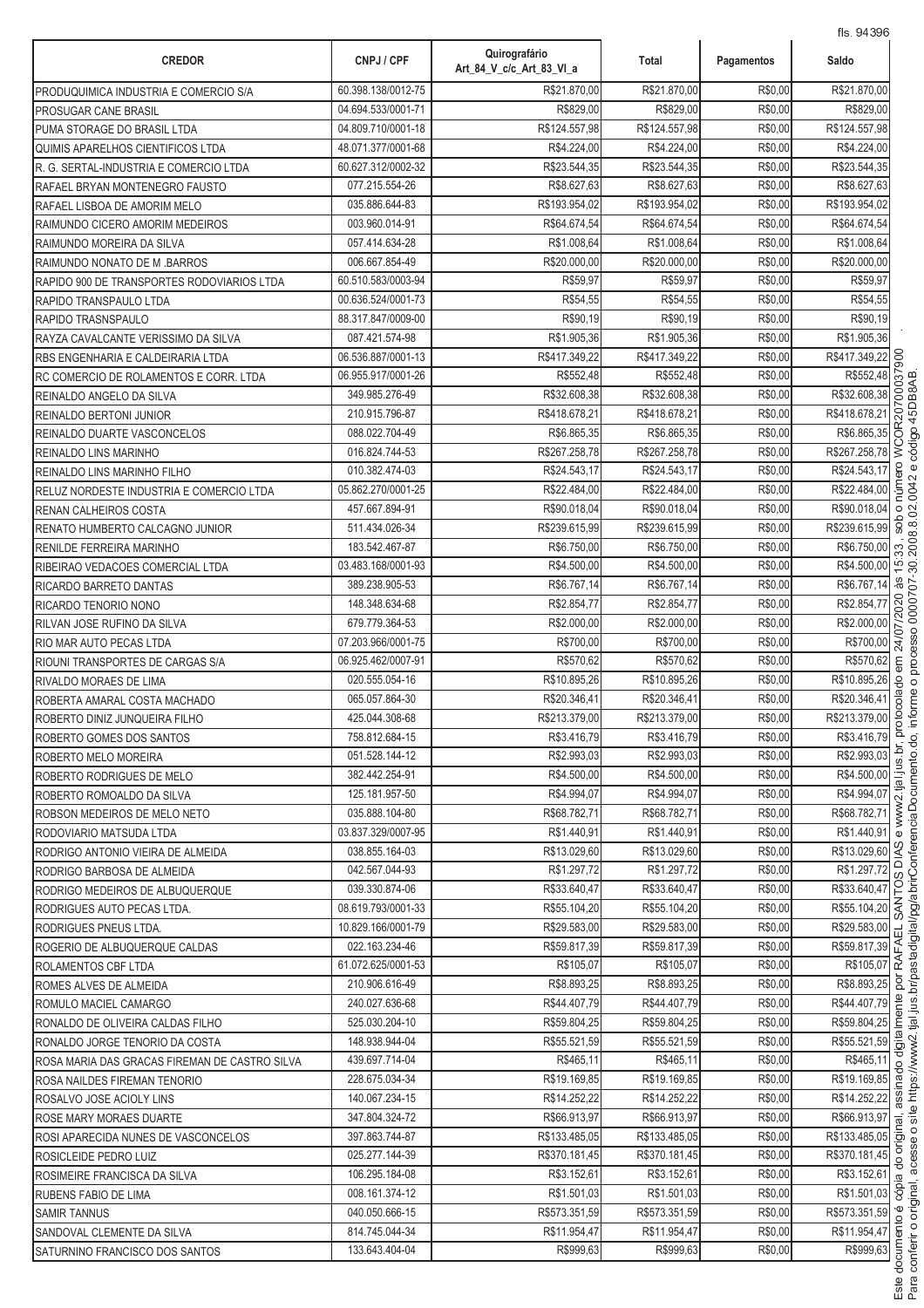| <b>CREDOR</b>                                 | CNPJ / CPF         | Quirografário<br>Art 84 V c/c Art 83 VI a | Total         | Pagamentos | 115. 94090<br>Saldo                                                            |
|-----------------------------------------------|--------------------|-------------------------------------------|---------------|------------|--------------------------------------------------------------------------------|
| PRODUQUIMICA INDUSTRIA E COMERCIO S/A         | 60.398.138/0012-75 | R\$21.870,00                              | R\$21.870.00  | R\$0,00    | R\$21.870,00                                                                   |
| PROSUGAR CANE BRASIL                          | 04.694.533/0001-71 | R\$829,00                                 | R\$829,00     | R\$0,00    | R\$829,00                                                                      |
| PUMA STORAGE DO BRASIL LTDA                   | 04.809.710/0001-18 | R\$124.557,98                             | R\$124.557,98 | R\$0,00    | R\$124.557,98                                                                  |
| QUIMIS APARELHOS CIENTIFICOS LTDA             | 48.071.377/0001-68 | R\$4.224,00                               | R\$4.224,00   | R\$0,00    | R\$4.224,00                                                                    |
| R. G. SERTAL-INDUSTRIA E COMERCIO LTDA        | 60.627.312/0002-32 | R\$23.544,35                              | R\$23.544,35  | R\$0,00    | R\$23.544,35                                                                   |
| RAFAEL BRYAN MONTENEGRO FAUSTO                | 077.215.554-26     | R\$8.627,63                               | R\$8.627,63   | R\$0,00    | R\$8.627,63                                                                    |
| RAFAEL LISBOA DE AMORIM MELO                  | 035.886.644-83     | R\$193.954.02                             | R\$193.954,02 | R\$0,00    | R\$193.954,02                                                                  |
| RAIMUNDO CICERO AMORIM MEDEIROS               | 003.960.014-91     | R\$64.674,54                              | R\$64.674.54  | R\$0,00    | R\$64.674,54                                                                   |
| RAIMUNDO MOREIRA DA SILVA                     | 057.414.634-28     | R\$1.008,64                               | R\$1.008.64   | R\$0,00    | R\$1.008,64                                                                    |
| RAIMUNDO NONATO DE M.BARROS                   | 006.667.854-49     | R\$20.000,00                              | R\$20,000.00  | R\$0,00    | R\$20.000,00                                                                   |
| RAPIDO 900 DE TRANSPORTES RODOVIARIOS LTDA    | 60.510.583/0003-94 | R\$59,97                                  | R\$59,97      | R\$0,00    | R\$59,97                                                                       |
| RAPIDO TRANSPAULO LTDA                        | 00.636.524/0001-73 | R\$54,55                                  | R\$54,55      | R\$0,00    | R\$54,55                                                                       |
| RAPIDO TRASNSPAULO                            | 88.317.847/0009-00 | R\$90,19                                  | R\$90,19      | R\$0,00    | R\$90,19                                                                       |
| RAYZA CAVALCANTE VERISSIMO DA SILVA           | 087.421.574-98     | R\$1.905,36                               | R\$1.905,36   | R\$0,00    | R\$1.905,36                                                                    |
| RBS ENGENHARIA E CALDEIRARIA LTDA             | 06.536.887/0001-13 | R\$417.349,22                             | R\$417.349,22 | R\$0,00    | 17.349,22<br>R\$552,48<br>332.608,38<br>R\$417.349,22                          |
| RC COMERCIO DE ROLAMENTOS E CORR. LTDA        | 06.955.917/0001-26 | R\$552,48                                 | R\$552,48     | R\$0,00    |                                                                                |
| REINALDO ANGELO DA SILVA                      | 349.985.276-49     | R\$32.608.38                              | R\$32.608,38  | R\$0,00    | R\$32.608,38                                                                   |
| REINALDO BERTONI JUNIOR                       | 210.915.796-87     | R\$418.678,21                             | R\$418.678,21 | R\$0,00    | R\$418.678,21                                                                  |
| REINALDO DUARTE VASCONCELOS                   | 088.022.704-49     | R\$6.865,35                               | R\$6.865,35   | R\$0,00    | WCOR207<br>R\$6.865,35                                                         |
| REINALDO LINS MARINHO                         | 016.824.744-53     | R\$267.258,78                             | R\$267.258,78 | R\$0,00    | R\$267.258,78                                                                  |
| REINALDO LINS MARINHO FILHO                   | 010.382.474-03     | R\$24.543,17                              | R\$24.543,17  | R\$0,00    | ero<br>R\$24.543,17                                                            |
| RELUZ NORDESTE INDUSTRIA E COMERCIO LTDA      | 05.862.270/0001-25 | R\$22.484,00                              | R\$22.484,00  | R\$0,00    | núm<br>R\$22.484,00                                                            |
| RENAN CALHEIROS COSTA                         | 457.667.894-91     | R\$90.018,04                              | R\$90.018,04  | R\$0,00    | R\$90.018,04<br>$\circ$                                                        |
| RENATO HUMBERTO CALCAGNO JUNIOR               | 511.434.026-34     | R\$239.615,99                             | R\$239.615,99 | R\$0,00    | sob<br>R\$239.615,99                                                           |
| RENILDE FERREIRA MARINHO                      | 183.542.467-87     | R\$6.750,00                               | R\$6.750,00   | R\$0,00    | R\$6.750,00<br>33                                                              |
| RIBEIRAO VEDACOES COMERCIAL LTDA              | 03.483.168/0001-93 | R\$4.500,00                               | R\$4.500,00   | R\$0,00    | R\$4.500,00 년                                                                  |
| RICARDO BARRETO DANTAS                        | 389.238.905-53     | R\$6.767,14                               | R\$6.767,14   | R\$0,00    | às<br>R\$6.767,14                                                              |
| RICARDO TENORIO NONO                          | 148.348.634-68     | R\$2.854,77                               | R\$2.854,77   | R\$0,00    | $\frac{182.854,77}{82.000,00}$<br>R\$700,00<br>R\$700,00<br>R\$2.854,77        |
| RILVAN JOSE RUFINO DA SILVA                   | 679.779.364-53     | R\$2.000,00                               | R\$2.000,00   | R\$0,00    | R\$2.000,00                                                                    |
| RIO MAR AUTO PECAS LTDA                       | 07.203.966/0001-75 | R\$700,00                                 | R\$700,00     | R\$0,00    |                                                                                |
| RIOUNI TRANSPORTES DE CARGAS S/A              | 06.925.462/0007-91 | R\$570,62                                 | R\$570,62     | R\$0,00    | R\$570,62<br>$\epsilon$ m                                                      |
| RIVALDO MORAES DE LIMA                        | 020.555.054-16     | R\$10.895,26                              | R\$10.895,26  | R\$0,00    | R\$10.895,26<br>$\theta$                                                       |
| ROBERTA AMARAL COSTA MACHADO                  | 065.057.864-30     | R\$20.346,41                              | R\$20.346,41  | R\$0,00    | cola<br>R\$20.346,41                                                           |
| ROBERTO DINIZ JUNQUEIRA FILHO                 | 425.044.308-68     | R\$213.379,00                             | R\$213.379,00 | R\$0,00    | poto<br>R\$213.379,00                                                          |
| ROBERTO GOMES DOS SANTOS                      | 758.812.684-15     | R\$3.416,79                               | R\$3.416,79   | R\$0,00    | R\$3.416,79 <sup>2</sup>                                                       |
| ROBERTO MELO MOREIRA                          | 051.528.144-12     | R\$2.993,03                               | R\$2.993,03   | R\$0,00    | R\$2.993,03 0                                                                  |
| ROBERTO RODRIGUES DE MELO                     | 382.442.254-91     | R\$4.500,00                               | R\$4.500,00   | R\$0,00    | $rac{R$4.500,00}{R$4.994,07}$ $rac{5}{\frac{10}{\sqrt{5}}}$                    |
| ROBERTO ROMOALDO DA SILVA                     | 125.181.957-50     | R\$4.994,07                               | R\$4.994,07   | R\$0,00    |                                                                                |
| ROBSON MEDEIROS DE MELO NETO                  | 035.888.104-80     | R\$68.782,71                              | R\$68.782,71  | R\$0,00    | R\$68.782,71                                                                   |
| RODOVIARIO MATSUDA LTDA                       | 03.837.329/0007-95 | R\$1.440,91                               | R\$1.440,91   | R\$0,00    | R\$1.440,91                                                                    |
| RODRIGO ANTONIO VIEIRA DE ALMEIDA             | 038.855.164-03     | R\$13.029,60                              | R\$13.029,60  | R\$0,00    | R\$13.029,60 <sup>2</sup><br>ō                                                 |
| RODRIGO BARBOSA DE ALMEIDA                    | 042.567.044-93     | R\$1.297,72                               | R\$1.297,72   | R\$0,00    | R\$1.297.72                                                                    |
| RODRIGO MEDEIROS DE ALBUQUERQUE               | 039.330.874-06     | R\$33.640,47                              | R\$33.640,47  | R\$0,00    | $rac{R$3.297,72}{R$33.640,47}$<br>R\$33.640,47<br>R\$55.104,20<br>R\$55.104,20 |
| RODRIGUES AUTO PECAS LTDA.                    | 08.619.793/0001-33 | R\$55.104,20                              | R\$55.104,20  | R\$0,00    |                                                                                |
| RODRIGUES PNEUS LTDA.                         | 10.829.166/0001-79 | R\$29.583,00                              | R\$29.583,00  | R\$0,00    | R\$29.583,00<br>긊                                                              |
| ROGERIO DE ALBUQUERQUE CALDAS                 | 022.163.234-46     | R\$59.817,39                              | R\$59.817,39  | R\$0,00    | $\frac{R$59.817,39}{R$105,07} \times \frac{12}{R}$                             |
| ROLAMENTOS CBF LTDA                           | 61.072.625/0001-53 | R\$105,07                                 | R\$105,07     | R\$0,00    |                                                                                |
| ROMES ALVES DE ALMEIDA                        | 210.906.616-49     | R\$8.893,25                               | R\$8.893,25   | R\$0,00    | R\$8.893,25 2                                                                  |
| ROMULO MACIEL CAMARGO                         | 240.027.636-68     | R\$44.407,79                              | R\$44.407,79  | R\$0,00    | R\$44.407,79                                                                   |
| RONALDO DE OLIVEIRA CALDAS FILHO              | 525.030.204-10     | R\$59.804,25                              | R\$59.804,25  | R\$0,00    | $rac{R$59.804,25}{R$55.521,59}$                                                |
| RONALDO JORGE TENORIO DA COSTA                | 148.938.944-04     | R\$55.521,59                              | R\$55.521,59  | R\$0,00    |                                                                                |
| ROSA MARIA DAS GRACAS FIREMAN DE CASTRO SILVA | 439.697.714-04     | R\$465,11                                 | R\$465,11     | R\$0,00    | R\$465,11<br>$\circ$                                                           |
| ROSA NAILDES FIREMAN TENORIO                  | 228.675.034-34     | R\$19.169,85                              | R\$19.169,85  | R\$0,00    | R\$19.169,85 @                                                                 |
| ROSALVO JOSE ACIOLY LINS                      | 140.067.234-15     | R\$14.252,22                              | R\$14.252,22  | R\$0,00    | R\$14.252,22                                                                   |
| ROSE MARY MORAES DUARTE                       | 347.804.324-72     | R\$66.913,97                              | R\$66.913,97  | R\$0,00    | R\$66.913,97 <u>m</u>                                                          |
| ROSI APARECIDA NUNES DE VASCONCELOS           | 397.863.744-87     | R\$133.485,05                             | R\$133.485,05 | R\$0,00    | R\$133.485,05 호                                                                |
| ROSICLEIDE PEDRO LUIZ                         | 025.277.144-39     | R\$370.181,45                             | R\$370.181,45 | R\$0,00    | R\$370.181,45                                                                  |
| ROSIMEIRE FRANCISCA DA SILVA                  | 106.295.184-08     | R\$3.152,61                               | R\$3.152,61   | R\$0,00    | $R$3.152,61$ <u>m</u>                                                          |
| <b>RUBENS FABIO DE LIMA</b>                   | 008.161.374-12     | R\$1.501,03                               | R\$1.501,03   | R\$0,00    | R\$1.501,03 §                                                                  |
| <b>SAMIR TANNUS</b>                           | 040.050.666-15     | R\$573.351,59                             | R\$573.351,59 | R\$0,00    | R\$573.351,59 °                                                                |
| SANDOVAL CLEMENTE DA SILVA                    | 814.745.044-34     | R\$11.954.47                              | R\$11.954,47  | R\$0,00    | R\$11.954,47 6                                                                 |
| SATURNINO FRANCISCO DOS SANTOS                | 133.643.404-04     | R\$999,63                                 | R\$999,63     | R\$0,00    | R\$999,63                                                                      |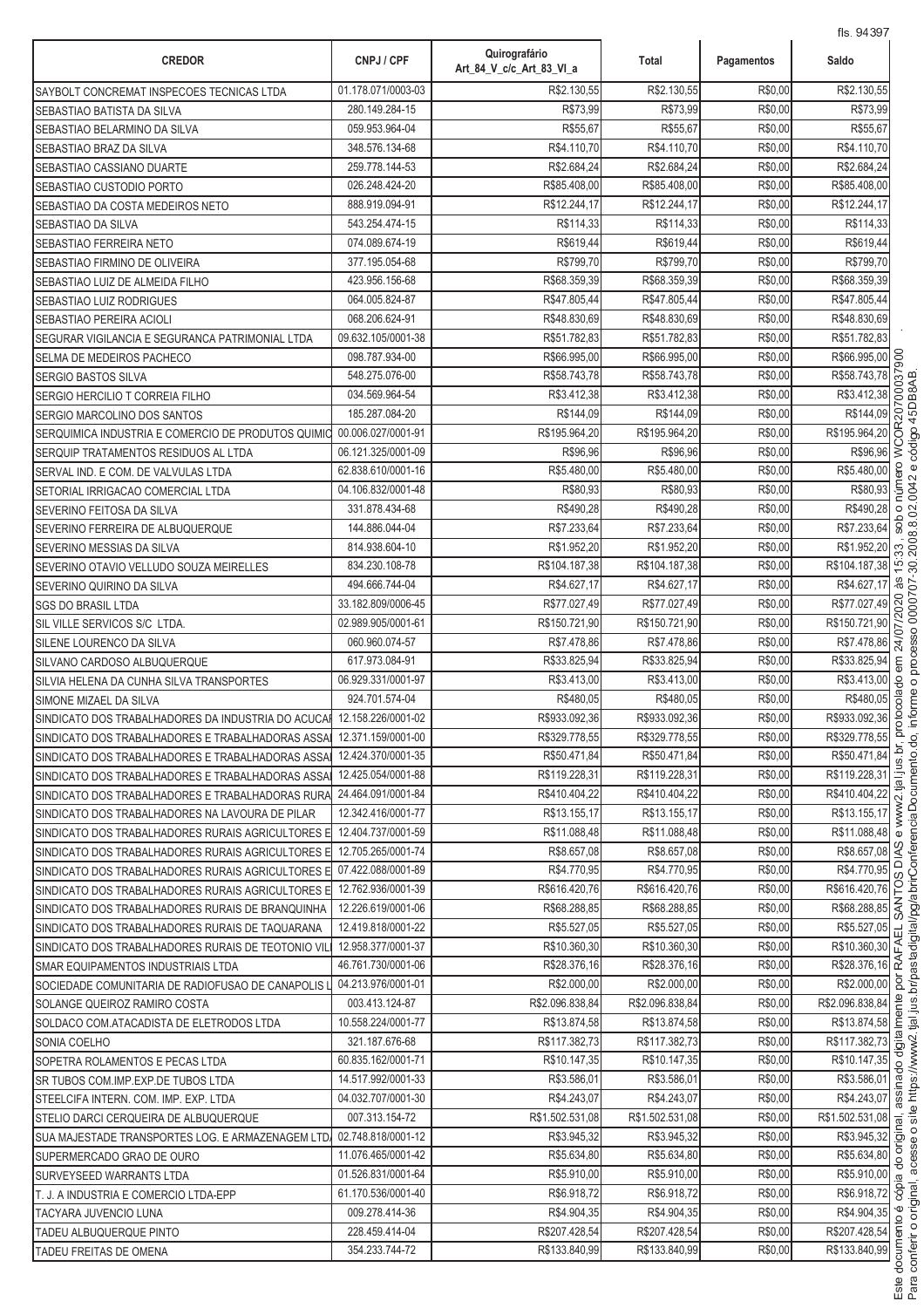| 01.178.071/0003-03<br>R\$2.130,55<br>R\$2.130,55<br>R\$0,00<br>SAYBOLT CONCREMAT INSPECOES TECNICAS LTDA<br>R\$73.99<br>R\$73.99<br>280.149.284-15<br>R\$0,00<br>SEBASTIAO BATISTA DA SILVA<br>059.953.964-04<br>R\$55,67<br>R\$55,67<br>R\$0,00<br>SEBASTIAO BELARMINO DA SILVA<br>348.576.134-68<br>R\$4.110.70<br>R\$4.110.70<br>R\$0,00<br>SEBASTIAO BRAZ DA SILVA<br>R\$2.684,24<br>R\$2.684,24<br>R\$0,00<br>259.778.144-53<br>SEBASTIAO CASSIANO DUARTE<br>026.248.424-20<br>R\$85.408,00<br>R\$85.408,00<br>R\$0,00<br>SEBASTIAO CUSTODIO PORTO<br>888.919.094-91<br>R\$12.244,17<br>R\$12.244,17<br>R\$0,00<br>SEBASTIAO DA COSTA MEDEIROS NETO<br>R\$114,33<br>R\$114,33<br>R\$0,00<br>543.254.474-15<br>SEBASTIAO DA SILVA<br>R\$0,00<br>074.089.674-19<br>R\$619,44<br>R\$619,44<br>SEBASTIAO FERREIRA NETO<br>R\$0,00<br>377.195.054-68<br>R\$799,70<br>R\$799.70<br>SEBASTIAO FIRMINO DE OLIVEIRA<br>423.956.156-68<br>R\$68.359,39<br>R\$68.359,39<br>R\$0,00<br>SEBASTIAO LUIZ DE ALMEIDA FILHO<br>064.005.824-87<br>R\$47.805,44<br>R\$0,00<br>R\$47.805,44<br>SEBASTIAO LUIZ RODRIGUES<br>068.206.624-91<br>R\$48.830,69<br>R\$48.830,69<br>R\$0,00<br>SEBASTIAO PEREIRA ACIOLI<br>09.632.105/0001-38<br>R\$51.782,83<br>R\$0,00<br>R\$51.782,83<br>SEGURAR VIGILANCIA E SEGURANCA PATRIMONIAL LTDA<br>098.787.934-00<br>R\$66.995,00<br>R\$66.995,00<br>R\$0,00<br>SELMA DE MEDEIROS PACHECO<br>R\$58.743,78<br>R\$58.743,78<br>R\$0,00<br>548.275.076-00<br><b>SERGIO BASTOS SILVA</b><br>034.569.964-54<br>R\$3.412,38<br>R\$3.412,38<br>R\$0,00<br>SERGIO HERCILIO T CORREIA FILHO<br>185.287.084-20<br>R\$144,09<br>R\$0,00<br>R\$144,09<br>SERGIO MARCOLINO DOS SANTOS<br>R\$195.964,20<br>R\$195.964,20<br>R\$0,00<br>00.006.027/0001-91<br>SERQUIMICA INDUSTRIA E COMERCIO DE PRODUTOS QUIMIO<br>R\$0,00<br>06.121.325/0001-09<br>R\$96,96<br>R\$96,96<br>SERQUIP TRATAMENTOS RESIDUOS AL LTDA<br>R\$5.480,00<br>R\$0,00<br>62.838.610/0001-16<br>R\$5.480,00<br>SERVAL IND. E COM. DE VALVULAS LTDA<br>R\$0,00<br>04.106.832/0001-48<br>R\$80,93<br>R\$80,93<br>SETORIAL IRRIGACAO COMERCIAL LTDA<br>R\$490,28<br>R\$490,28<br>R\$0,00<br>331.878.434-68<br>SEVERINO FEITOSA DA SILVA<br>R\$7.233,64<br>R\$7.233,64<br>R\$0,00<br>144.886.044-04<br>SEVERINO FERREIRA DE ALBUQUERQUE<br>R\$0,00<br>814.938.604-10<br>R\$1.952,20<br>R\$1.952,20<br>SEVERINO MESSIAS DA SILVA<br>R\$0,00<br>834.230.108-78<br>R\$104.187,38<br>R\$104.187,38<br>SEVERINO OTAVIO VELLUDO SOUZA MEIRELLES<br>R\$4.627,17<br>494.666.744-04<br>R\$4.627,17<br>R\$0,00<br>SEVERINO QUIRINO DA SILVA<br>33.182.809/0006-45<br>R\$77.027,49<br>R\$77.027,49<br>R\$0,00<br>SGS DO BRASIL LTDA<br>R\$150.721,90<br>02.989.905/0001-61<br>R\$150.721,90<br>R\$150.721,90<br>R\$0,00<br>SIL VILLE SERVICOS S/C LTDA.<br>060.960.074-57<br>R\$7.478,86<br>R\$7.478,86<br>R\$0,00<br>SILENE LOURENCO DA SILVA<br>R\$33.825,94<br>617.973.084-91<br>R\$33.825,94<br>R\$0,00<br>R\$33.825,94<br>SILVANO CARDOSO ALBUQUERQUE<br>R\$0,00<br>R\$3.413,00<br>06.929.331/0001-97<br>R\$3.413,00<br>R\$3.413,00<br>SILVIA HELENA DA CUNHA SILVA TRANSPORTES<br>924.701.574-04<br>R\$480.05<br>R\$480,05<br>R\$0,00<br>R\$480,05<br>SIMONE MIZAEL DA SILVA<br>12.158.226/0001-02<br>R\$933.092,36<br>R\$933.092,36<br>R\$0,00<br>R\$933.092,36<br>SINDICATO DOS TRABALHADORES DA INDUSTRIA DO ACUCA<br>SINDICATO DOS TRABALHADORES E TRABALHADORAS ASSA 12.371.159/0001-00<br>R\$329.778,55<br>R\$329.778,55<br>R\$0,00<br>R\$329.778,55<br>R\$50.471,84<br>12.424.370/0001-35<br>R\$50.471.84<br>R\$50.471,84<br>R\$0,00<br>SINDICATO DOS TRABALHADORES E TRABALHADORAS ASSAI<br>12.425.054/0001-88<br>R\$119.228,31<br>R\$119.228,31<br>R\$0,00<br>R\$119.228,31<br>SINDICATO DOS TRABALHADORES E TRABALHADORAS ASSA<br>24.464.091/0001-84<br>R\$410.404,22<br>R\$410.404,22<br>R\$0,00<br>R\$410.404,22<br>SINDICATO DOS TRABALHADORES E TRABALHADORAS RURA<br>12.342.416/0001-77<br>R\$13.155.17<br>R\$13.155,17<br>R\$0,00<br>R\$13.155,17<br>SINDICATO DOS TRABALHADORES NA LAVOURA DE PILAR<br>12.404.737/0001-59<br>R\$11.088,48<br>R\$11.088,48<br>R\$0,00<br>R\$11.088,48<br>SINDICATO DOS TRABALHADORES RURAIS AGRICULTORES E<br>R\$8.657,08<br>SINDICATO DOS TRABALHADORES RURAIS AGRICULTORES E 12.705.265/0001-74<br>R\$8.657,08<br>R\$8.657,08<br>R\$0,00<br>SINDICATO DOS TRABALHADORES RURAIS AGRICULTORES E 07.422.088/0001-89<br>R\$4.770,95<br>R\$4.770,95<br>R\$0,00<br>R\$4.770,95<br>R\$616.420,76<br>SINDICATO DOS TRABALHADORES RURAIS AGRICULTORES E 12.762.936/0001-39<br>R\$616.420,76<br>R\$616.420,76<br>R\$0,00<br>R\$0,00<br>12.226.619/0001-06<br>R\$68.288,85<br>R\$68.288,85<br>R\$68.288,85<br>SINDICATO DOS TRABALHADORES RURAIS DE BRANQUINHA<br>12.419.818/0001-22<br>R\$5.527,05<br>R\$5.527,05<br>R\$0,00<br>R\$5.527,05<br>SINDICATO DOS TRABALHADORES RURAIS DE TAQUARANA<br>R\$10.360,30<br>R\$10.360,30<br>R\$0,00<br>R\$10.360,30 소<br>12.958.377/0001-37<br>SINDICATO DOS TRABALHADORES RURAIS DE TEOTONIO VIL<br>R\$28.376,16 2<br>R\$28.376,16<br>R\$28.376,16<br>R\$0,00<br>46.761.730/0001-06<br>SMAR EQUIPAMENTOS INDUSTRIAIS LTDA<br>R\$2.000,00<br>04.213.976/0001-01<br>R\$2.000,00<br>R\$2.000,00<br>R\$0,00<br>SOCIEDADE COMUNITARIA DE RADIOFUSAO DE CANAPOLIS<br>R\$2.096.838,84<br>R\$2.096.838,84<br>R\$0,00<br>R\$2.096.838,84<br>003.413.124-87<br>SOLANGE QUEIROZ RAMIRO COSTA<br>R\$0,00<br>R\$13.874,58<br>10.558.224/0001-77<br>R\$13.874,58<br>R\$13.874,58<br>SOLDACO COM.ATACADISTA DE ELETRODOS LTDA<br>R\$0,00<br>321.187.676-68<br>R\$117.382,73<br>R\$117.382,73<br>R\$117.382,73<br>SONIA COELHO<br>R\$10.147,35<br>R\$10.147,35<br>R\$0,00<br>R\$10.147,35<br>60.835.162/0001-71<br>SOPETRA ROLAMENTOS E PECAS LTDA<br>14.517.992/0001-33<br>R\$3.586,01<br>R\$3.586,01<br>R\$0,00<br>R\$3.586,01<br>SR TUBOS COM.IMP.EXP.DE TUBOS LTDA<br>R\$4.243,07<br>R\$4.243,07<br>R\$4.243,07<br>R\$0,00<br>04.032.707/0001-30<br>STEELCIFA INTERN. COM. IMP. EXP. LTDA<br>007.313.154-72<br>R\$1.502.531,08<br>R\$1.502.531,08<br>R\$0,00<br>R\$1.502.531,08<br>STELIO DARCI CERQUEIRA DE ALBUQUERQUE<br>R\$3.945,32<br>02.748.818/0001-12<br>R\$3.945,32<br>R\$0,00<br>SUA MAJESTADE TRANSPORTES LOG. E ARMAZENAGEM LTD<br>11.076.465/0001-42<br>R\$5.634,80<br>R\$5.634,80<br>R\$0,00<br>R\$5.634,80<br>SUPERMERCADO GRAO DE OURO<br>01.526.831/0001-64<br>R\$5.910,00<br>R\$5.910,00<br>R\$0,00<br><b>SURVEYSEED WARRANTS LTDA</b><br>61.170.536/0001-40<br>R\$6.918,72<br>R\$6.918,72<br>R\$0,00<br>T. J. A INDUSTRIA E COMERCIO LTDA-EPP<br>009.278.414-36<br>R\$4.904,35<br>R\$4.904,35<br>R\$0,00<br>TACYARA JUVENCIO LUNA<br>228.459.414-04<br>R\$207.428,54<br>R\$207.428,54<br>R\$0,00<br>TADEU ALBUQUERQUE PINTO | <b>CREDOR</b>          | CNPJ / CPF     | Quirografário<br>Art_84_V_c/c_Art_83_VI_a | Total         | Pagamentos | Saldo                               |
|--------------------------------------------------------------------------------------------------------------------------------------------------------------------------------------------------------------------------------------------------------------------------------------------------------------------------------------------------------------------------------------------------------------------------------------------------------------------------------------------------------------------------------------------------------------------------------------------------------------------------------------------------------------------------------------------------------------------------------------------------------------------------------------------------------------------------------------------------------------------------------------------------------------------------------------------------------------------------------------------------------------------------------------------------------------------------------------------------------------------------------------------------------------------------------------------------------------------------------------------------------------------------------------------------------------------------------------------------------------------------------------------------------------------------------------------------------------------------------------------------------------------------------------------------------------------------------------------------------------------------------------------------------------------------------------------------------------------------------------------------------------------------------------------------------------------------------------------------------------------------------------------------------------------------------------------------------------------------------------------------------------------------------------------------------------------------------------------------------------------------------------------------------------------------------------------------------------------------------------------------------------------------------------------------------------------------------------------------------------------------------------------------------------------------------------------------------------------------------------------------------------------------------------------------------------------------------------------------------------------------------------------------------------------------------------------------------------------------------------------------------------------------------------------------------------------------------------------------------------------------------------------------------------------------------------------------------------------------------------------------------------------------------------------------------------------------------------------------------------------------------------------------------------------------------------------------------------------------------------------------------------------------------------------------------------------------------------------------------------------------------------------------------------------------------------------------------------------------------------------------------------------------------------------------------------------------------------------------------------------------------------------------------------------------------------------------------------------------------------------------------------------------------------------------------------------------------------------------------------------------------------------------------------------------------------------------------------------------------------------------------------------------------------------------------------------------------------------------------------------------------------------------------------------------------------------------------------------------------------------------------------------------------------------------------------------------------------------------------------------------------------------------------------------------------------------------------------------------------------------------------------------------------------------------------------------------------------------------------------------------------------------------------------------------------------------------------------------------------------------------------------------------------------------------------------------------------------------------------------------------------------------------------------------------------------------------------------------------------------------------------------------------------------------------------------------------------------------------------------------------------------------------------------------------------------------------------------------------------------------------------------------------------------------------------------------------------------------------------------------------------------------------------------------------------------------------------------------------------------------------------------------------------------------------------------------------------------------------------------------------------------------------------------------------------------------------------------------------------------------------------------------------------------------------------------------------------------------------------------------------------------------------------------------------------------------------------------------------------------------------------------------------------------------------------------------------------------------------------------------------------------------------------------------------------------------------------------------------------------------------------------------------------------------------------------------------------------------------------------------------------------------------------------------------------------------------------------------------------------------------------------------------------------------------------------------------------------------------------------------------------------------------------------------------------------------------------------------------------------------------------------------------------------|------------------------|----------------|-------------------------------------------|---------------|------------|-------------------------------------|
|                                                                                                                                                                                                                                                                                                                                                                                                                                                                                                                                                                                                                                                                                                                                                                                                                                                                                                                                                                                                                                                                                                                                                                                                                                                                                                                                                                                                                                                                                                                                                                                                                                                                                                                                                                                                                                                                                                                                                                                                                                                                                                                                                                                                                                                                                                                                                                                                                                                                                                                                                                                                                                                                                                                                                                                                                                                                                                                                                                                                                                                                                                                                                                                                                                                                                                                                                                                                                                                                                                                                                                                                                                                                                                                                                                                                                                                                                                                                                                                                                                                                                                                                                                                                                                                                                                                                                                                                                                                                                                                                                                                                                                                                                                                                                                                                                                                                                                                                                                                                                                                                                                                                                                                                                                                                                                                                                                                                                                                                                                                                                                                                                                                                                                                                                                                                                                                                                                                                                                                                                                                                                                                                                                                                                                                                                                                                                                                                                                                                                                                                                                                                                                                                                                                                                                                      |                        |                |                                           |               |            | R\$2.130,55                         |
|                                                                                                                                                                                                                                                                                                                                                                                                                                                                                                                                                                                                                                                                                                                                                                                                                                                                                                                                                                                                                                                                                                                                                                                                                                                                                                                                                                                                                                                                                                                                                                                                                                                                                                                                                                                                                                                                                                                                                                                                                                                                                                                                                                                                                                                                                                                                                                                                                                                                                                                                                                                                                                                                                                                                                                                                                                                                                                                                                                                                                                                                                                                                                                                                                                                                                                                                                                                                                                                                                                                                                                                                                                                                                                                                                                                                                                                                                                                                                                                                                                                                                                                                                                                                                                                                                                                                                                                                                                                                                                                                                                                                                                                                                                                                                                                                                                                                                                                                                                                                                                                                                                                                                                                                                                                                                                                                                                                                                                                                                                                                                                                                                                                                                                                                                                                                                                                                                                                                                                                                                                                                                                                                                                                                                                                                                                                                                                                                                                                                                                                                                                                                                                                                                                                                                                                      |                        |                |                                           |               |            | R\$73,99                            |
|                                                                                                                                                                                                                                                                                                                                                                                                                                                                                                                                                                                                                                                                                                                                                                                                                                                                                                                                                                                                                                                                                                                                                                                                                                                                                                                                                                                                                                                                                                                                                                                                                                                                                                                                                                                                                                                                                                                                                                                                                                                                                                                                                                                                                                                                                                                                                                                                                                                                                                                                                                                                                                                                                                                                                                                                                                                                                                                                                                                                                                                                                                                                                                                                                                                                                                                                                                                                                                                                                                                                                                                                                                                                                                                                                                                                                                                                                                                                                                                                                                                                                                                                                                                                                                                                                                                                                                                                                                                                                                                                                                                                                                                                                                                                                                                                                                                                                                                                                                                                                                                                                                                                                                                                                                                                                                                                                                                                                                                                                                                                                                                                                                                                                                                                                                                                                                                                                                                                                                                                                                                                                                                                                                                                                                                                                                                                                                                                                                                                                                                                                                                                                                                                                                                                                                                      |                        |                |                                           |               |            | R\$55,67                            |
|                                                                                                                                                                                                                                                                                                                                                                                                                                                                                                                                                                                                                                                                                                                                                                                                                                                                                                                                                                                                                                                                                                                                                                                                                                                                                                                                                                                                                                                                                                                                                                                                                                                                                                                                                                                                                                                                                                                                                                                                                                                                                                                                                                                                                                                                                                                                                                                                                                                                                                                                                                                                                                                                                                                                                                                                                                                                                                                                                                                                                                                                                                                                                                                                                                                                                                                                                                                                                                                                                                                                                                                                                                                                                                                                                                                                                                                                                                                                                                                                                                                                                                                                                                                                                                                                                                                                                                                                                                                                                                                                                                                                                                                                                                                                                                                                                                                                                                                                                                                                                                                                                                                                                                                                                                                                                                                                                                                                                                                                                                                                                                                                                                                                                                                                                                                                                                                                                                                                                                                                                                                                                                                                                                                                                                                                                                                                                                                                                                                                                                                                                                                                                                                                                                                                                                                      |                        |                |                                           |               |            | R\$4.110,70                         |
|                                                                                                                                                                                                                                                                                                                                                                                                                                                                                                                                                                                                                                                                                                                                                                                                                                                                                                                                                                                                                                                                                                                                                                                                                                                                                                                                                                                                                                                                                                                                                                                                                                                                                                                                                                                                                                                                                                                                                                                                                                                                                                                                                                                                                                                                                                                                                                                                                                                                                                                                                                                                                                                                                                                                                                                                                                                                                                                                                                                                                                                                                                                                                                                                                                                                                                                                                                                                                                                                                                                                                                                                                                                                                                                                                                                                                                                                                                                                                                                                                                                                                                                                                                                                                                                                                                                                                                                                                                                                                                                                                                                                                                                                                                                                                                                                                                                                                                                                                                                                                                                                                                                                                                                                                                                                                                                                                                                                                                                                                                                                                                                                                                                                                                                                                                                                                                                                                                                                                                                                                                                                                                                                                                                                                                                                                                                                                                                                                                                                                                                                                                                                                                                                                                                                                                                      |                        |                |                                           |               |            | R\$2.684,24                         |
|                                                                                                                                                                                                                                                                                                                                                                                                                                                                                                                                                                                                                                                                                                                                                                                                                                                                                                                                                                                                                                                                                                                                                                                                                                                                                                                                                                                                                                                                                                                                                                                                                                                                                                                                                                                                                                                                                                                                                                                                                                                                                                                                                                                                                                                                                                                                                                                                                                                                                                                                                                                                                                                                                                                                                                                                                                                                                                                                                                                                                                                                                                                                                                                                                                                                                                                                                                                                                                                                                                                                                                                                                                                                                                                                                                                                                                                                                                                                                                                                                                                                                                                                                                                                                                                                                                                                                                                                                                                                                                                                                                                                                                                                                                                                                                                                                                                                                                                                                                                                                                                                                                                                                                                                                                                                                                                                                                                                                                                                                                                                                                                                                                                                                                                                                                                                                                                                                                                                                                                                                                                                                                                                                                                                                                                                                                                                                                                                                                                                                                                                                                                                                                                                                                                                                                                      |                        |                |                                           |               |            | R\$85.408,00                        |
|                                                                                                                                                                                                                                                                                                                                                                                                                                                                                                                                                                                                                                                                                                                                                                                                                                                                                                                                                                                                                                                                                                                                                                                                                                                                                                                                                                                                                                                                                                                                                                                                                                                                                                                                                                                                                                                                                                                                                                                                                                                                                                                                                                                                                                                                                                                                                                                                                                                                                                                                                                                                                                                                                                                                                                                                                                                                                                                                                                                                                                                                                                                                                                                                                                                                                                                                                                                                                                                                                                                                                                                                                                                                                                                                                                                                                                                                                                                                                                                                                                                                                                                                                                                                                                                                                                                                                                                                                                                                                                                                                                                                                                                                                                                                                                                                                                                                                                                                                                                                                                                                                                                                                                                                                                                                                                                                                                                                                                                                                                                                                                                                                                                                                                                                                                                                                                                                                                                                                                                                                                                                                                                                                                                                                                                                                                                                                                                                                                                                                                                                                                                                                                                                                                                                                                                      |                        |                |                                           |               |            | R\$12.244,17                        |
|                                                                                                                                                                                                                                                                                                                                                                                                                                                                                                                                                                                                                                                                                                                                                                                                                                                                                                                                                                                                                                                                                                                                                                                                                                                                                                                                                                                                                                                                                                                                                                                                                                                                                                                                                                                                                                                                                                                                                                                                                                                                                                                                                                                                                                                                                                                                                                                                                                                                                                                                                                                                                                                                                                                                                                                                                                                                                                                                                                                                                                                                                                                                                                                                                                                                                                                                                                                                                                                                                                                                                                                                                                                                                                                                                                                                                                                                                                                                                                                                                                                                                                                                                                                                                                                                                                                                                                                                                                                                                                                                                                                                                                                                                                                                                                                                                                                                                                                                                                                                                                                                                                                                                                                                                                                                                                                                                                                                                                                                                                                                                                                                                                                                                                                                                                                                                                                                                                                                                                                                                                                                                                                                                                                                                                                                                                                                                                                                                                                                                                                                                                                                                                                                                                                                                                                      |                        |                |                                           |               |            | R\$114,33                           |
|                                                                                                                                                                                                                                                                                                                                                                                                                                                                                                                                                                                                                                                                                                                                                                                                                                                                                                                                                                                                                                                                                                                                                                                                                                                                                                                                                                                                                                                                                                                                                                                                                                                                                                                                                                                                                                                                                                                                                                                                                                                                                                                                                                                                                                                                                                                                                                                                                                                                                                                                                                                                                                                                                                                                                                                                                                                                                                                                                                                                                                                                                                                                                                                                                                                                                                                                                                                                                                                                                                                                                                                                                                                                                                                                                                                                                                                                                                                                                                                                                                                                                                                                                                                                                                                                                                                                                                                                                                                                                                                                                                                                                                                                                                                                                                                                                                                                                                                                                                                                                                                                                                                                                                                                                                                                                                                                                                                                                                                                                                                                                                                                                                                                                                                                                                                                                                                                                                                                                                                                                                                                                                                                                                                                                                                                                                                                                                                                                                                                                                                                                                                                                                                                                                                                                                                      |                        |                |                                           |               |            | R\$619,44                           |
|                                                                                                                                                                                                                                                                                                                                                                                                                                                                                                                                                                                                                                                                                                                                                                                                                                                                                                                                                                                                                                                                                                                                                                                                                                                                                                                                                                                                                                                                                                                                                                                                                                                                                                                                                                                                                                                                                                                                                                                                                                                                                                                                                                                                                                                                                                                                                                                                                                                                                                                                                                                                                                                                                                                                                                                                                                                                                                                                                                                                                                                                                                                                                                                                                                                                                                                                                                                                                                                                                                                                                                                                                                                                                                                                                                                                                                                                                                                                                                                                                                                                                                                                                                                                                                                                                                                                                                                                                                                                                                                                                                                                                                                                                                                                                                                                                                                                                                                                                                                                                                                                                                                                                                                                                                                                                                                                                                                                                                                                                                                                                                                                                                                                                                                                                                                                                                                                                                                                                                                                                                                                                                                                                                                                                                                                                                                                                                                                                                                                                                                                                                                                                                                                                                                                                                                      |                        |                |                                           |               |            | R\$799.70                           |
|                                                                                                                                                                                                                                                                                                                                                                                                                                                                                                                                                                                                                                                                                                                                                                                                                                                                                                                                                                                                                                                                                                                                                                                                                                                                                                                                                                                                                                                                                                                                                                                                                                                                                                                                                                                                                                                                                                                                                                                                                                                                                                                                                                                                                                                                                                                                                                                                                                                                                                                                                                                                                                                                                                                                                                                                                                                                                                                                                                                                                                                                                                                                                                                                                                                                                                                                                                                                                                                                                                                                                                                                                                                                                                                                                                                                                                                                                                                                                                                                                                                                                                                                                                                                                                                                                                                                                                                                                                                                                                                                                                                                                                                                                                                                                                                                                                                                                                                                                                                                                                                                                                                                                                                                                                                                                                                                                                                                                                                                                                                                                                                                                                                                                                                                                                                                                                                                                                                                                                                                                                                                                                                                                                                                                                                                                                                                                                                                                                                                                                                                                                                                                                                                                                                                                                                      |                        |                |                                           |               |            | R\$68.359,39                        |
|                                                                                                                                                                                                                                                                                                                                                                                                                                                                                                                                                                                                                                                                                                                                                                                                                                                                                                                                                                                                                                                                                                                                                                                                                                                                                                                                                                                                                                                                                                                                                                                                                                                                                                                                                                                                                                                                                                                                                                                                                                                                                                                                                                                                                                                                                                                                                                                                                                                                                                                                                                                                                                                                                                                                                                                                                                                                                                                                                                                                                                                                                                                                                                                                                                                                                                                                                                                                                                                                                                                                                                                                                                                                                                                                                                                                                                                                                                                                                                                                                                                                                                                                                                                                                                                                                                                                                                                                                                                                                                                                                                                                                                                                                                                                                                                                                                                                                                                                                                                                                                                                                                                                                                                                                                                                                                                                                                                                                                                                                                                                                                                                                                                                                                                                                                                                                                                                                                                                                                                                                                                                                                                                                                                                                                                                                                                                                                                                                                                                                                                                                                                                                                                                                                                                                                                      |                        |                |                                           |               |            | R\$47.805,44                        |
|                                                                                                                                                                                                                                                                                                                                                                                                                                                                                                                                                                                                                                                                                                                                                                                                                                                                                                                                                                                                                                                                                                                                                                                                                                                                                                                                                                                                                                                                                                                                                                                                                                                                                                                                                                                                                                                                                                                                                                                                                                                                                                                                                                                                                                                                                                                                                                                                                                                                                                                                                                                                                                                                                                                                                                                                                                                                                                                                                                                                                                                                                                                                                                                                                                                                                                                                                                                                                                                                                                                                                                                                                                                                                                                                                                                                                                                                                                                                                                                                                                                                                                                                                                                                                                                                                                                                                                                                                                                                                                                                                                                                                                                                                                                                                                                                                                                                                                                                                                                                                                                                                                                                                                                                                                                                                                                                                                                                                                                                                                                                                                                                                                                                                                                                                                                                                                                                                                                                                                                                                                                                                                                                                                                                                                                                                                                                                                                                                                                                                                                                                                                                                                                                                                                                                                                      |                        |                |                                           |               |            | R\$48.830,69                        |
|                                                                                                                                                                                                                                                                                                                                                                                                                                                                                                                                                                                                                                                                                                                                                                                                                                                                                                                                                                                                                                                                                                                                                                                                                                                                                                                                                                                                                                                                                                                                                                                                                                                                                                                                                                                                                                                                                                                                                                                                                                                                                                                                                                                                                                                                                                                                                                                                                                                                                                                                                                                                                                                                                                                                                                                                                                                                                                                                                                                                                                                                                                                                                                                                                                                                                                                                                                                                                                                                                                                                                                                                                                                                                                                                                                                                                                                                                                                                                                                                                                                                                                                                                                                                                                                                                                                                                                                                                                                                                                                                                                                                                                                                                                                                                                                                                                                                                                                                                                                                                                                                                                                                                                                                                                                                                                                                                                                                                                                                                                                                                                                                                                                                                                                                                                                                                                                                                                                                                                                                                                                                                                                                                                                                                                                                                                                                                                                                                                                                                                                                                                                                                                                                                                                                                                                      |                        |                |                                           |               |            | R\$51.782,83                        |
|                                                                                                                                                                                                                                                                                                                                                                                                                                                                                                                                                                                                                                                                                                                                                                                                                                                                                                                                                                                                                                                                                                                                                                                                                                                                                                                                                                                                                                                                                                                                                                                                                                                                                                                                                                                                                                                                                                                                                                                                                                                                                                                                                                                                                                                                                                                                                                                                                                                                                                                                                                                                                                                                                                                                                                                                                                                                                                                                                                                                                                                                                                                                                                                                                                                                                                                                                                                                                                                                                                                                                                                                                                                                                                                                                                                                                                                                                                                                                                                                                                                                                                                                                                                                                                                                                                                                                                                                                                                                                                                                                                                                                                                                                                                                                                                                                                                                                                                                                                                                                                                                                                                                                                                                                                                                                                                                                                                                                                                                                                                                                                                                                                                                                                                                                                                                                                                                                                                                                                                                                                                                                                                                                                                                                                                                                                                                                                                                                                                                                                                                                                                                                                                                                                                                                                                      |                        |                |                                           |               |            | g<br>R\$66.995,00                   |
|                                                                                                                                                                                                                                                                                                                                                                                                                                                                                                                                                                                                                                                                                                                                                                                                                                                                                                                                                                                                                                                                                                                                                                                                                                                                                                                                                                                                                                                                                                                                                                                                                                                                                                                                                                                                                                                                                                                                                                                                                                                                                                                                                                                                                                                                                                                                                                                                                                                                                                                                                                                                                                                                                                                                                                                                                                                                                                                                                                                                                                                                                                                                                                                                                                                                                                                                                                                                                                                                                                                                                                                                                                                                                                                                                                                                                                                                                                                                                                                                                                                                                                                                                                                                                                                                                                                                                                                                                                                                                                                                                                                                                                                                                                                                                                                                                                                                                                                                                                                                                                                                                                                                                                                                                                                                                                                                                                                                                                                                                                                                                                                                                                                                                                                                                                                                                                                                                                                                                                                                                                                                                                                                                                                                                                                                                                                                                                                                                                                                                                                                                                                                                                                                                                                                                                                      |                        |                |                                           |               |            | R\$58.743,78                        |
|                                                                                                                                                                                                                                                                                                                                                                                                                                                                                                                                                                                                                                                                                                                                                                                                                                                                                                                                                                                                                                                                                                                                                                                                                                                                                                                                                                                                                                                                                                                                                                                                                                                                                                                                                                                                                                                                                                                                                                                                                                                                                                                                                                                                                                                                                                                                                                                                                                                                                                                                                                                                                                                                                                                                                                                                                                                                                                                                                                                                                                                                                                                                                                                                                                                                                                                                                                                                                                                                                                                                                                                                                                                                                                                                                                                                                                                                                                                                                                                                                                                                                                                                                                                                                                                                                                                                                                                                                                                                                                                                                                                                                                                                                                                                                                                                                                                                                                                                                                                                                                                                                                                                                                                                                                                                                                                                                                                                                                                                                                                                                                                                                                                                                                                                                                                                                                                                                                                                                                                                                                                                                                                                                                                                                                                                                                                                                                                                                                                                                                                                                                                                                                                                                                                                                                                      |                        |                |                                           |               |            | R\$3.412,38                         |
|                                                                                                                                                                                                                                                                                                                                                                                                                                                                                                                                                                                                                                                                                                                                                                                                                                                                                                                                                                                                                                                                                                                                                                                                                                                                                                                                                                                                                                                                                                                                                                                                                                                                                                                                                                                                                                                                                                                                                                                                                                                                                                                                                                                                                                                                                                                                                                                                                                                                                                                                                                                                                                                                                                                                                                                                                                                                                                                                                                                                                                                                                                                                                                                                                                                                                                                                                                                                                                                                                                                                                                                                                                                                                                                                                                                                                                                                                                                                                                                                                                                                                                                                                                                                                                                                                                                                                                                                                                                                                                                                                                                                                                                                                                                                                                                                                                                                                                                                                                                                                                                                                                                                                                                                                                                                                                                                                                                                                                                                                                                                                                                                                                                                                                                                                                                                                                                                                                                                                                                                                                                                                                                                                                                                                                                                                                                                                                                                                                                                                                                                                                                                                                                                                                                                                                                      |                        |                |                                           |               |            | R\$144,09                           |
|                                                                                                                                                                                                                                                                                                                                                                                                                                                                                                                                                                                                                                                                                                                                                                                                                                                                                                                                                                                                                                                                                                                                                                                                                                                                                                                                                                                                                                                                                                                                                                                                                                                                                                                                                                                                                                                                                                                                                                                                                                                                                                                                                                                                                                                                                                                                                                                                                                                                                                                                                                                                                                                                                                                                                                                                                                                                                                                                                                                                                                                                                                                                                                                                                                                                                                                                                                                                                                                                                                                                                                                                                                                                                                                                                                                                                                                                                                                                                                                                                                                                                                                                                                                                                                                                                                                                                                                                                                                                                                                                                                                                                                                                                                                                                                                                                                                                                                                                                                                                                                                                                                                                                                                                                                                                                                                                                                                                                                                                                                                                                                                                                                                                                                                                                                                                                                                                                                                                                                                                                                                                                                                                                                                                                                                                                                                                                                                                                                                                                                                                                                                                                                                                                                                                                                                      |                        |                |                                           |               |            | R\$195.964,20<br>$\overline{\circ}$ |
|                                                                                                                                                                                                                                                                                                                                                                                                                                                                                                                                                                                                                                                                                                                                                                                                                                                                                                                                                                                                                                                                                                                                                                                                                                                                                                                                                                                                                                                                                                                                                                                                                                                                                                                                                                                                                                                                                                                                                                                                                                                                                                                                                                                                                                                                                                                                                                                                                                                                                                                                                                                                                                                                                                                                                                                                                                                                                                                                                                                                                                                                                                                                                                                                                                                                                                                                                                                                                                                                                                                                                                                                                                                                                                                                                                                                                                                                                                                                                                                                                                                                                                                                                                                                                                                                                                                                                                                                                                                                                                                                                                                                                                                                                                                                                                                                                                                                                                                                                                                                                                                                                                                                                                                                                                                                                                                                                                                                                                                                                                                                                                                                                                                                                                                                                                                                                                                                                                                                                                                                                                                                                                                                                                                                                                                                                                                                                                                                                                                                                                                                                                                                                                                                                                                                                                                      |                        |                |                                           |               |            | <b>S</b><br>R\$96,96                |
|                                                                                                                                                                                                                                                                                                                                                                                                                                                                                                                                                                                                                                                                                                                                                                                                                                                                                                                                                                                                                                                                                                                                                                                                                                                                                                                                                                                                                                                                                                                                                                                                                                                                                                                                                                                                                                                                                                                                                                                                                                                                                                                                                                                                                                                                                                                                                                                                                                                                                                                                                                                                                                                                                                                                                                                                                                                                                                                                                                                                                                                                                                                                                                                                                                                                                                                                                                                                                                                                                                                                                                                                                                                                                                                                                                                                                                                                                                                                                                                                                                                                                                                                                                                                                                                                                                                                                                                                                                                                                                                                                                                                                                                                                                                                                                                                                                                                                                                                                                                                                                                                                                                                                                                                                                                                                                                                                                                                                                                                                                                                                                                                                                                                                                                                                                                                                                                                                                                                                                                                                                                                                                                                                                                                                                                                                                                                                                                                                                                                                                                                                                                                                                                                                                                                                                                      |                        |                |                                           |               |            | R\$5.480,00                         |
|                                                                                                                                                                                                                                                                                                                                                                                                                                                                                                                                                                                                                                                                                                                                                                                                                                                                                                                                                                                                                                                                                                                                                                                                                                                                                                                                                                                                                                                                                                                                                                                                                                                                                                                                                                                                                                                                                                                                                                                                                                                                                                                                                                                                                                                                                                                                                                                                                                                                                                                                                                                                                                                                                                                                                                                                                                                                                                                                                                                                                                                                                                                                                                                                                                                                                                                                                                                                                                                                                                                                                                                                                                                                                                                                                                                                                                                                                                                                                                                                                                                                                                                                                                                                                                                                                                                                                                                                                                                                                                                                                                                                                                                                                                                                                                                                                                                                                                                                                                                                                                                                                                                                                                                                                                                                                                                                                                                                                                                                                                                                                                                                                                                                                                                                                                                                                                                                                                                                                                                                                                                                                                                                                                                                                                                                                                                                                                                                                                                                                                                                                                                                                                                                                                                                                                                      |                        |                |                                           |               |            | R\$80,93                            |
|                                                                                                                                                                                                                                                                                                                                                                                                                                                                                                                                                                                                                                                                                                                                                                                                                                                                                                                                                                                                                                                                                                                                                                                                                                                                                                                                                                                                                                                                                                                                                                                                                                                                                                                                                                                                                                                                                                                                                                                                                                                                                                                                                                                                                                                                                                                                                                                                                                                                                                                                                                                                                                                                                                                                                                                                                                                                                                                                                                                                                                                                                                                                                                                                                                                                                                                                                                                                                                                                                                                                                                                                                                                                                                                                                                                                                                                                                                                                                                                                                                                                                                                                                                                                                                                                                                                                                                                                                                                                                                                                                                                                                                                                                                                                                                                                                                                                                                                                                                                                                                                                                                                                                                                                                                                                                                                                                                                                                                                                                                                                                                                                                                                                                                                                                                                                                                                                                                                                                                                                                                                                                                                                                                                                                                                                                                                                                                                                                                                                                                                                                                                                                                                                                                                                                                                      |                        |                |                                           |               |            | R\$490,28                           |
|                                                                                                                                                                                                                                                                                                                                                                                                                                                                                                                                                                                                                                                                                                                                                                                                                                                                                                                                                                                                                                                                                                                                                                                                                                                                                                                                                                                                                                                                                                                                                                                                                                                                                                                                                                                                                                                                                                                                                                                                                                                                                                                                                                                                                                                                                                                                                                                                                                                                                                                                                                                                                                                                                                                                                                                                                                                                                                                                                                                                                                                                                                                                                                                                                                                                                                                                                                                                                                                                                                                                                                                                                                                                                                                                                                                                                                                                                                                                                                                                                                                                                                                                                                                                                                                                                                                                                                                                                                                                                                                                                                                                                                                                                                                                                                                                                                                                                                                                                                                                                                                                                                                                                                                                                                                                                                                                                                                                                                                                                                                                                                                                                                                                                                                                                                                                                                                                                                                                                                                                                                                                                                                                                                                                                                                                                                                                                                                                                                                                                                                                                                                                                                                                                                                                                                                      |                        |                |                                           |               |            | es<br>So<br>R\$7.233,64             |
|                                                                                                                                                                                                                                                                                                                                                                                                                                                                                                                                                                                                                                                                                                                                                                                                                                                                                                                                                                                                                                                                                                                                                                                                                                                                                                                                                                                                                                                                                                                                                                                                                                                                                                                                                                                                                                                                                                                                                                                                                                                                                                                                                                                                                                                                                                                                                                                                                                                                                                                                                                                                                                                                                                                                                                                                                                                                                                                                                                                                                                                                                                                                                                                                                                                                                                                                                                                                                                                                                                                                                                                                                                                                                                                                                                                                                                                                                                                                                                                                                                                                                                                                                                                                                                                                                                                                                                                                                                                                                                                                                                                                                                                                                                                                                                                                                                                                                                                                                                                                                                                                                                                                                                                                                                                                                                                                                                                                                                                                                                                                                                                                                                                                                                                                                                                                                                                                                                                                                                                                                                                                                                                                                                                                                                                                                                                                                                                                                                                                                                                                                                                                                                                                                                                                                                                      |                        |                |                                           |               |            | R\$1.952,20<br>33                   |
|                                                                                                                                                                                                                                                                                                                                                                                                                                                                                                                                                                                                                                                                                                                                                                                                                                                                                                                                                                                                                                                                                                                                                                                                                                                                                                                                                                                                                                                                                                                                                                                                                                                                                                                                                                                                                                                                                                                                                                                                                                                                                                                                                                                                                                                                                                                                                                                                                                                                                                                                                                                                                                                                                                                                                                                                                                                                                                                                                                                                                                                                                                                                                                                                                                                                                                                                                                                                                                                                                                                                                                                                                                                                                                                                                                                                                                                                                                                                                                                                                                                                                                                                                                                                                                                                                                                                                                                                                                                                                                                                                                                                                                                                                                                                                                                                                                                                                                                                                                                                                                                                                                                                                                                                                                                                                                                                                                                                                                                                                                                                                                                                                                                                                                                                                                                                                                                                                                                                                                                                                                                                                                                                                                                                                                                                                                                                                                                                                                                                                                                                                                                                                                                                                                                                                                                      |                        |                |                                           |               |            | $\overline{5}$<br>R\$104.187,38     |
|                                                                                                                                                                                                                                                                                                                                                                                                                                                                                                                                                                                                                                                                                                                                                                                                                                                                                                                                                                                                                                                                                                                                                                                                                                                                                                                                                                                                                                                                                                                                                                                                                                                                                                                                                                                                                                                                                                                                                                                                                                                                                                                                                                                                                                                                                                                                                                                                                                                                                                                                                                                                                                                                                                                                                                                                                                                                                                                                                                                                                                                                                                                                                                                                                                                                                                                                                                                                                                                                                                                                                                                                                                                                                                                                                                                                                                                                                                                                                                                                                                                                                                                                                                                                                                                                                                                                                                                                                                                                                                                                                                                                                                                                                                                                                                                                                                                                                                                                                                                                                                                                                                                                                                                                                                                                                                                                                                                                                                                                                                                                                                                                                                                                                                                                                                                                                                                                                                                                                                                                                                                                                                                                                                                                                                                                                                                                                                                                                                                                                                                                                                                                                                                                                                                                                                                      |                        |                |                                           |               |            | às.<br>R\$4.627,17                  |
|                                                                                                                                                                                                                                                                                                                                                                                                                                                                                                                                                                                                                                                                                                                                                                                                                                                                                                                                                                                                                                                                                                                                                                                                                                                                                                                                                                                                                                                                                                                                                                                                                                                                                                                                                                                                                                                                                                                                                                                                                                                                                                                                                                                                                                                                                                                                                                                                                                                                                                                                                                                                                                                                                                                                                                                                                                                                                                                                                                                                                                                                                                                                                                                                                                                                                                                                                                                                                                                                                                                                                                                                                                                                                                                                                                                                                                                                                                                                                                                                                                                                                                                                                                                                                                                                                                                                                                                                                                                                                                                                                                                                                                                                                                                                                                                                                                                                                                                                                                                                                                                                                                                                                                                                                                                                                                                                                                                                                                                                                                                                                                                                                                                                                                                                                                                                                                                                                                                                                                                                                                                                                                                                                                                                                                                                                                                                                                                                                                                                                                                                                                                                                                                                                                                                                                                      |                        |                |                                           |               |            | 020<br>R\$77.027,49                 |
|                                                                                                                                                                                                                                                                                                                                                                                                                                                                                                                                                                                                                                                                                                                                                                                                                                                                                                                                                                                                                                                                                                                                                                                                                                                                                                                                                                                                                                                                                                                                                                                                                                                                                                                                                                                                                                                                                                                                                                                                                                                                                                                                                                                                                                                                                                                                                                                                                                                                                                                                                                                                                                                                                                                                                                                                                                                                                                                                                                                                                                                                                                                                                                                                                                                                                                                                                                                                                                                                                                                                                                                                                                                                                                                                                                                                                                                                                                                                                                                                                                                                                                                                                                                                                                                                                                                                                                                                                                                                                                                                                                                                                                                                                                                                                                                                                                                                                                                                                                                                                                                                                                                                                                                                                                                                                                                                                                                                                                                                                                                                                                                                                                                                                                                                                                                                                                                                                                                                                                                                                                                                                                                                                                                                                                                                                                                                                                                                                                                                                                                                                                                                                                                                                                                                                                                      |                        |                |                                           |               |            |                                     |
|                                                                                                                                                                                                                                                                                                                                                                                                                                                                                                                                                                                                                                                                                                                                                                                                                                                                                                                                                                                                                                                                                                                                                                                                                                                                                                                                                                                                                                                                                                                                                                                                                                                                                                                                                                                                                                                                                                                                                                                                                                                                                                                                                                                                                                                                                                                                                                                                                                                                                                                                                                                                                                                                                                                                                                                                                                                                                                                                                                                                                                                                                                                                                                                                                                                                                                                                                                                                                                                                                                                                                                                                                                                                                                                                                                                                                                                                                                                                                                                                                                                                                                                                                                                                                                                                                                                                                                                                                                                                                                                                                                                                                                                                                                                                                                                                                                                                                                                                                                                                                                                                                                                                                                                                                                                                                                                                                                                                                                                                                                                                                                                                                                                                                                                                                                                                                                                                                                                                                                                                                                                                                                                                                                                                                                                                                                                                                                                                                                                                                                                                                                                                                                                                                                                                                                                      |                        |                |                                           |               |            | R\$7.478,86<br>$\overline{24}$      |
|                                                                                                                                                                                                                                                                                                                                                                                                                                                                                                                                                                                                                                                                                                                                                                                                                                                                                                                                                                                                                                                                                                                                                                                                                                                                                                                                                                                                                                                                                                                                                                                                                                                                                                                                                                                                                                                                                                                                                                                                                                                                                                                                                                                                                                                                                                                                                                                                                                                                                                                                                                                                                                                                                                                                                                                                                                                                                                                                                                                                                                                                                                                                                                                                                                                                                                                                                                                                                                                                                                                                                                                                                                                                                                                                                                                                                                                                                                                                                                                                                                                                                                                                                                                                                                                                                                                                                                                                                                                                                                                                                                                                                                                                                                                                                                                                                                                                                                                                                                                                                                                                                                                                                                                                                                                                                                                                                                                                                                                                                                                                                                                                                                                                                                                                                                                                                                                                                                                                                                                                                                                                                                                                                                                                                                                                                                                                                                                                                                                                                                                                                                                                                                                                                                                                                                                      |                        |                |                                           |               |            |                                     |
|                                                                                                                                                                                                                                                                                                                                                                                                                                                                                                                                                                                                                                                                                                                                                                                                                                                                                                                                                                                                                                                                                                                                                                                                                                                                                                                                                                                                                                                                                                                                                                                                                                                                                                                                                                                                                                                                                                                                                                                                                                                                                                                                                                                                                                                                                                                                                                                                                                                                                                                                                                                                                                                                                                                                                                                                                                                                                                                                                                                                                                                                                                                                                                                                                                                                                                                                                                                                                                                                                                                                                                                                                                                                                                                                                                                                                                                                                                                                                                                                                                                                                                                                                                                                                                                                                                                                                                                                                                                                                                                                                                                                                                                                                                                                                                                                                                                                                                                                                                                                                                                                                                                                                                                                                                                                                                                                                                                                                                                                                                                                                                                                                                                                                                                                                                                                                                                                                                                                                                                                                                                                                                                                                                                                                                                                                                                                                                                                                                                                                                                                                                                                                                                                                                                                                                                      |                        |                |                                           |               |            | 응                                   |
|                                                                                                                                                                                                                                                                                                                                                                                                                                                                                                                                                                                                                                                                                                                                                                                                                                                                                                                                                                                                                                                                                                                                                                                                                                                                                                                                                                                                                                                                                                                                                                                                                                                                                                                                                                                                                                                                                                                                                                                                                                                                                                                                                                                                                                                                                                                                                                                                                                                                                                                                                                                                                                                                                                                                                                                                                                                                                                                                                                                                                                                                                                                                                                                                                                                                                                                                                                                                                                                                                                                                                                                                                                                                                                                                                                                                                                                                                                                                                                                                                                                                                                                                                                                                                                                                                                                                                                                                                                                                                                                                                                                                                                                                                                                                                                                                                                                                                                                                                                                                                                                                                                                                                                                                                                                                                                                                                                                                                                                                                                                                                                                                                                                                                                                                                                                                                                                                                                                                                                                                                                                                                                                                                                                                                                                                                                                                                                                                                                                                                                                                                                                                                                                                                                                                                                                      |                        |                |                                           |               |            |                                     |
|                                                                                                                                                                                                                                                                                                                                                                                                                                                                                                                                                                                                                                                                                                                                                                                                                                                                                                                                                                                                                                                                                                                                                                                                                                                                                                                                                                                                                                                                                                                                                                                                                                                                                                                                                                                                                                                                                                                                                                                                                                                                                                                                                                                                                                                                                                                                                                                                                                                                                                                                                                                                                                                                                                                                                                                                                                                                                                                                                                                                                                                                                                                                                                                                                                                                                                                                                                                                                                                                                                                                                                                                                                                                                                                                                                                                                                                                                                                                                                                                                                                                                                                                                                                                                                                                                                                                                                                                                                                                                                                                                                                                                                                                                                                                                                                                                                                                                                                                                                                                                                                                                                                                                                                                                                                                                                                                                                                                                                                                                                                                                                                                                                                                                                                                                                                                                                                                                                                                                                                                                                                                                                                                                                                                                                                                                                                                                                                                                                                                                                                                                                                                                                                                                                                                                                                      |                        |                |                                           |               |            |                                     |
|                                                                                                                                                                                                                                                                                                                                                                                                                                                                                                                                                                                                                                                                                                                                                                                                                                                                                                                                                                                                                                                                                                                                                                                                                                                                                                                                                                                                                                                                                                                                                                                                                                                                                                                                                                                                                                                                                                                                                                                                                                                                                                                                                                                                                                                                                                                                                                                                                                                                                                                                                                                                                                                                                                                                                                                                                                                                                                                                                                                                                                                                                                                                                                                                                                                                                                                                                                                                                                                                                                                                                                                                                                                                                                                                                                                                                                                                                                                                                                                                                                                                                                                                                                                                                                                                                                                                                                                                                                                                                                                                                                                                                                                                                                                                                                                                                                                                                                                                                                                                                                                                                                                                                                                                                                                                                                                                                                                                                                                                                                                                                                                                                                                                                                                                                                                                                                                                                                                                                                                                                                                                                                                                                                                                                                                                                                                                                                                                                                                                                                                                                                                                                                                                                                                                                                                      |                        |                |                                           |               |            |                                     |
|                                                                                                                                                                                                                                                                                                                                                                                                                                                                                                                                                                                                                                                                                                                                                                                                                                                                                                                                                                                                                                                                                                                                                                                                                                                                                                                                                                                                                                                                                                                                                                                                                                                                                                                                                                                                                                                                                                                                                                                                                                                                                                                                                                                                                                                                                                                                                                                                                                                                                                                                                                                                                                                                                                                                                                                                                                                                                                                                                                                                                                                                                                                                                                                                                                                                                                                                                                                                                                                                                                                                                                                                                                                                                                                                                                                                                                                                                                                                                                                                                                                                                                                                                                                                                                                                                                                                                                                                                                                                                                                                                                                                                                                                                                                                                                                                                                                                                                                                                                                                                                                                                                                                                                                                                                                                                                                                                                                                                                                                                                                                                                                                                                                                                                                                                                                                                                                                                                                                                                                                                                                                                                                                                                                                                                                                                                                                                                                                                                                                                                                                                                                                                                                                                                                                                                                      |                        |                |                                           |               |            |                                     |
|                                                                                                                                                                                                                                                                                                                                                                                                                                                                                                                                                                                                                                                                                                                                                                                                                                                                                                                                                                                                                                                                                                                                                                                                                                                                                                                                                                                                                                                                                                                                                                                                                                                                                                                                                                                                                                                                                                                                                                                                                                                                                                                                                                                                                                                                                                                                                                                                                                                                                                                                                                                                                                                                                                                                                                                                                                                                                                                                                                                                                                                                                                                                                                                                                                                                                                                                                                                                                                                                                                                                                                                                                                                                                                                                                                                                                                                                                                                                                                                                                                                                                                                                                                                                                                                                                                                                                                                                                                                                                                                                                                                                                                                                                                                                                                                                                                                                                                                                                                                                                                                                                                                                                                                                                                                                                                                                                                                                                                                                                                                                                                                                                                                                                                                                                                                                                                                                                                                                                                                                                                                                                                                                                                                                                                                                                                                                                                                                                                                                                                                                                                                                                                                                                                                                                                                      |                        |                |                                           |               |            |                                     |
|                                                                                                                                                                                                                                                                                                                                                                                                                                                                                                                                                                                                                                                                                                                                                                                                                                                                                                                                                                                                                                                                                                                                                                                                                                                                                                                                                                                                                                                                                                                                                                                                                                                                                                                                                                                                                                                                                                                                                                                                                                                                                                                                                                                                                                                                                                                                                                                                                                                                                                                                                                                                                                                                                                                                                                                                                                                                                                                                                                                                                                                                                                                                                                                                                                                                                                                                                                                                                                                                                                                                                                                                                                                                                                                                                                                                                                                                                                                                                                                                                                                                                                                                                                                                                                                                                                                                                                                                                                                                                                                                                                                                                                                                                                                                                                                                                                                                                                                                                                                                                                                                                                                                                                                                                                                                                                                                                                                                                                                                                                                                                                                                                                                                                                                                                                                                                                                                                                                                                                                                                                                                                                                                                                                                                                                                                                                                                                                                                                                                                                                                                                                                                                                                                                                                                                                      |                        |                |                                           |               |            |                                     |
|                                                                                                                                                                                                                                                                                                                                                                                                                                                                                                                                                                                                                                                                                                                                                                                                                                                                                                                                                                                                                                                                                                                                                                                                                                                                                                                                                                                                                                                                                                                                                                                                                                                                                                                                                                                                                                                                                                                                                                                                                                                                                                                                                                                                                                                                                                                                                                                                                                                                                                                                                                                                                                                                                                                                                                                                                                                                                                                                                                                                                                                                                                                                                                                                                                                                                                                                                                                                                                                                                                                                                                                                                                                                                                                                                                                                                                                                                                                                                                                                                                                                                                                                                                                                                                                                                                                                                                                                                                                                                                                                                                                                                                                                                                                                                                                                                                                                                                                                                                                                                                                                                                                                                                                                                                                                                                                                                                                                                                                                                                                                                                                                                                                                                                                                                                                                                                                                                                                                                                                                                                                                                                                                                                                                                                                                                                                                                                                                                                                                                                                                                                                                                                                                                                                                                                                      |                        |                |                                           |               |            |                                     |
|                                                                                                                                                                                                                                                                                                                                                                                                                                                                                                                                                                                                                                                                                                                                                                                                                                                                                                                                                                                                                                                                                                                                                                                                                                                                                                                                                                                                                                                                                                                                                                                                                                                                                                                                                                                                                                                                                                                                                                                                                                                                                                                                                                                                                                                                                                                                                                                                                                                                                                                                                                                                                                                                                                                                                                                                                                                                                                                                                                                                                                                                                                                                                                                                                                                                                                                                                                                                                                                                                                                                                                                                                                                                                                                                                                                                                                                                                                                                                                                                                                                                                                                                                                                                                                                                                                                                                                                                                                                                                                                                                                                                                                                                                                                                                                                                                                                                                                                                                                                                                                                                                                                                                                                                                                                                                                                                                                                                                                                                                                                                                                                                                                                                                                                                                                                                                                                                                                                                                                                                                                                                                                                                                                                                                                                                                                                                                                                                                                                                                                                                                                                                                                                                                                                                                                                      |                        |                |                                           |               |            | ୁ                                   |
|                                                                                                                                                                                                                                                                                                                                                                                                                                                                                                                                                                                                                                                                                                                                                                                                                                                                                                                                                                                                                                                                                                                                                                                                                                                                                                                                                                                                                                                                                                                                                                                                                                                                                                                                                                                                                                                                                                                                                                                                                                                                                                                                                                                                                                                                                                                                                                                                                                                                                                                                                                                                                                                                                                                                                                                                                                                                                                                                                                                                                                                                                                                                                                                                                                                                                                                                                                                                                                                                                                                                                                                                                                                                                                                                                                                                                                                                                                                                                                                                                                                                                                                                                                                                                                                                                                                                                                                                                                                                                                                                                                                                                                                                                                                                                                                                                                                                                                                                                                                                                                                                                                                                                                                                                                                                                                                                                                                                                                                                                                                                                                                                                                                                                                                                                                                                                                                                                                                                                                                                                                                                                                                                                                                                                                                                                                                                                                                                                                                                                                                                                                                                                                                                                                                                                                                      |                        |                |                                           |               |            |                                     |
|                                                                                                                                                                                                                                                                                                                                                                                                                                                                                                                                                                                                                                                                                                                                                                                                                                                                                                                                                                                                                                                                                                                                                                                                                                                                                                                                                                                                                                                                                                                                                                                                                                                                                                                                                                                                                                                                                                                                                                                                                                                                                                                                                                                                                                                                                                                                                                                                                                                                                                                                                                                                                                                                                                                                                                                                                                                                                                                                                                                                                                                                                                                                                                                                                                                                                                                                                                                                                                                                                                                                                                                                                                                                                                                                                                                                                                                                                                                                                                                                                                                                                                                                                                                                                                                                                                                                                                                                                                                                                                                                                                                                                                                                                                                                                                                                                                                                                                                                                                                                                                                                                                                                                                                                                                                                                                                                                                                                                                                                                                                                                                                                                                                                                                                                                                                                                                                                                                                                                                                                                                                                                                                                                                                                                                                                                                                                                                                                                                                                                                                                                                                                                                                                                                                                                                                      |                        |                |                                           |               |            |                                     |
|                                                                                                                                                                                                                                                                                                                                                                                                                                                                                                                                                                                                                                                                                                                                                                                                                                                                                                                                                                                                                                                                                                                                                                                                                                                                                                                                                                                                                                                                                                                                                                                                                                                                                                                                                                                                                                                                                                                                                                                                                                                                                                                                                                                                                                                                                                                                                                                                                                                                                                                                                                                                                                                                                                                                                                                                                                                                                                                                                                                                                                                                                                                                                                                                                                                                                                                                                                                                                                                                                                                                                                                                                                                                                                                                                                                                                                                                                                                                                                                                                                                                                                                                                                                                                                                                                                                                                                                                                                                                                                                                                                                                                                                                                                                                                                                                                                                                                                                                                                                                                                                                                                                                                                                                                                                                                                                                                                                                                                                                                                                                                                                                                                                                                                                                                                                                                                                                                                                                                                                                                                                                                                                                                                                                                                                                                                                                                                                                                                                                                                                                                                                                                                                                                                                                                                                      |                        |                |                                           |               |            |                                     |
|                                                                                                                                                                                                                                                                                                                                                                                                                                                                                                                                                                                                                                                                                                                                                                                                                                                                                                                                                                                                                                                                                                                                                                                                                                                                                                                                                                                                                                                                                                                                                                                                                                                                                                                                                                                                                                                                                                                                                                                                                                                                                                                                                                                                                                                                                                                                                                                                                                                                                                                                                                                                                                                                                                                                                                                                                                                                                                                                                                                                                                                                                                                                                                                                                                                                                                                                                                                                                                                                                                                                                                                                                                                                                                                                                                                                                                                                                                                                                                                                                                                                                                                                                                                                                                                                                                                                                                                                                                                                                                                                                                                                                                                                                                                                                                                                                                                                                                                                                                                                                                                                                                                                                                                                                                                                                                                                                                                                                                                                                                                                                                                                                                                                                                                                                                                                                                                                                                                                                                                                                                                                                                                                                                                                                                                                                                                                                                                                                                                                                                                                                                                                                                                                                                                                                                                      |                        |                |                                           |               |            | SAN                                 |
|                                                                                                                                                                                                                                                                                                                                                                                                                                                                                                                                                                                                                                                                                                                                                                                                                                                                                                                                                                                                                                                                                                                                                                                                                                                                                                                                                                                                                                                                                                                                                                                                                                                                                                                                                                                                                                                                                                                                                                                                                                                                                                                                                                                                                                                                                                                                                                                                                                                                                                                                                                                                                                                                                                                                                                                                                                                                                                                                                                                                                                                                                                                                                                                                                                                                                                                                                                                                                                                                                                                                                                                                                                                                                                                                                                                                                                                                                                                                                                                                                                                                                                                                                                                                                                                                                                                                                                                                                                                                                                                                                                                                                                                                                                                                                                                                                                                                                                                                                                                                                                                                                                                                                                                                                                                                                                                                                                                                                                                                                                                                                                                                                                                                                                                                                                                                                                                                                                                                                                                                                                                                                                                                                                                                                                                                                                                                                                                                                                                                                                                                                                                                                                                                                                                                                                                      |                        |                |                                           |               |            | 급                                   |
|                                                                                                                                                                                                                                                                                                                                                                                                                                                                                                                                                                                                                                                                                                                                                                                                                                                                                                                                                                                                                                                                                                                                                                                                                                                                                                                                                                                                                                                                                                                                                                                                                                                                                                                                                                                                                                                                                                                                                                                                                                                                                                                                                                                                                                                                                                                                                                                                                                                                                                                                                                                                                                                                                                                                                                                                                                                                                                                                                                                                                                                                                                                                                                                                                                                                                                                                                                                                                                                                                                                                                                                                                                                                                                                                                                                                                                                                                                                                                                                                                                                                                                                                                                                                                                                                                                                                                                                                                                                                                                                                                                                                                                                                                                                                                                                                                                                                                                                                                                                                                                                                                                                                                                                                                                                                                                                                                                                                                                                                                                                                                                                                                                                                                                                                                                                                                                                                                                                                                                                                                                                                                                                                                                                                                                                                                                                                                                                                                                                                                                                                                                                                                                                                                                                                                                                      |                        |                |                                           |               |            |                                     |
|                                                                                                                                                                                                                                                                                                                                                                                                                                                                                                                                                                                                                                                                                                                                                                                                                                                                                                                                                                                                                                                                                                                                                                                                                                                                                                                                                                                                                                                                                                                                                                                                                                                                                                                                                                                                                                                                                                                                                                                                                                                                                                                                                                                                                                                                                                                                                                                                                                                                                                                                                                                                                                                                                                                                                                                                                                                                                                                                                                                                                                                                                                                                                                                                                                                                                                                                                                                                                                                                                                                                                                                                                                                                                                                                                                                                                                                                                                                                                                                                                                                                                                                                                                                                                                                                                                                                                                                                                                                                                                                                                                                                                                                                                                                                                                                                                                                                                                                                                                                                                                                                                                                                                                                                                                                                                                                                                                                                                                                                                                                                                                                                                                                                                                                                                                                                                                                                                                                                                                                                                                                                                                                                                                                                                                                                                                                                                                                                                                                                                                                                                                                                                                                                                                                                                                                      |                        |                |                                           |               |            |                                     |
|                                                                                                                                                                                                                                                                                                                                                                                                                                                                                                                                                                                                                                                                                                                                                                                                                                                                                                                                                                                                                                                                                                                                                                                                                                                                                                                                                                                                                                                                                                                                                                                                                                                                                                                                                                                                                                                                                                                                                                                                                                                                                                                                                                                                                                                                                                                                                                                                                                                                                                                                                                                                                                                                                                                                                                                                                                                                                                                                                                                                                                                                                                                                                                                                                                                                                                                                                                                                                                                                                                                                                                                                                                                                                                                                                                                                                                                                                                                                                                                                                                                                                                                                                                                                                                                                                                                                                                                                                                                                                                                                                                                                                                                                                                                                                                                                                                                                                                                                                                                                                                                                                                                                                                                                                                                                                                                                                                                                                                                                                                                                                                                                                                                                                                                                                                                                                                                                                                                                                                                                                                                                                                                                                                                                                                                                                                                                                                                                                                                                                                                                                                                                                                                                                                                                                                                      |                        |                |                                           |               |            |                                     |
|                                                                                                                                                                                                                                                                                                                                                                                                                                                                                                                                                                                                                                                                                                                                                                                                                                                                                                                                                                                                                                                                                                                                                                                                                                                                                                                                                                                                                                                                                                                                                                                                                                                                                                                                                                                                                                                                                                                                                                                                                                                                                                                                                                                                                                                                                                                                                                                                                                                                                                                                                                                                                                                                                                                                                                                                                                                                                                                                                                                                                                                                                                                                                                                                                                                                                                                                                                                                                                                                                                                                                                                                                                                                                                                                                                                                                                                                                                                                                                                                                                                                                                                                                                                                                                                                                                                                                                                                                                                                                                                                                                                                                                                                                                                                                                                                                                                                                                                                                                                                                                                                                                                                                                                                                                                                                                                                                                                                                                                                                                                                                                                                                                                                                                                                                                                                                                                                                                                                                                                                                                                                                                                                                                                                                                                                                                                                                                                                                                                                                                                                                                                                                                                                                                                                                                                      |                        |                |                                           |               |            |                                     |
|                                                                                                                                                                                                                                                                                                                                                                                                                                                                                                                                                                                                                                                                                                                                                                                                                                                                                                                                                                                                                                                                                                                                                                                                                                                                                                                                                                                                                                                                                                                                                                                                                                                                                                                                                                                                                                                                                                                                                                                                                                                                                                                                                                                                                                                                                                                                                                                                                                                                                                                                                                                                                                                                                                                                                                                                                                                                                                                                                                                                                                                                                                                                                                                                                                                                                                                                                                                                                                                                                                                                                                                                                                                                                                                                                                                                                                                                                                                                                                                                                                                                                                                                                                                                                                                                                                                                                                                                                                                                                                                                                                                                                                                                                                                                                                                                                                                                                                                                                                                                                                                                                                                                                                                                                                                                                                                                                                                                                                                                                                                                                                                                                                                                                                                                                                                                                                                                                                                                                                                                                                                                                                                                                                                                                                                                                                                                                                                                                                                                                                                                                                                                                                                                                                                                                                                      |                        |                |                                           |               |            |                                     |
|                                                                                                                                                                                                                                                                                                                                                                                                                                                                                                                                                                                                                                                                                                                                                                                                                                                                                                                                                                                                                                                                                                                                                                                                                                                                                                                                                                                                                                                                                                                                                                                                                                                                                                                                                                                                                                                                                                                                                                                                                                                                                                                                                                                                                                                                                                                                                                                                                                                                                                                                                                                                                                                                                                                                                                                                                                                                                                                                                                                                                                                                                                                                                                                                                                                                                                                                                                                                                                                                                                                                                                                                                                                                                                                                                                                                                                                                                                                                                                                                                                                                                                                                                                                                                                                                                                                                                                                                                                                                                                                                                                                                                                                                                                                                                                                                                                                                                                                                                                                                                                                                                                                                                                                                                                                                                                                                                                                                                                                                                                                                                                                                                                                                                                                                                                                                                                                                                                                                                                                                                                                                                                                                                                                                                                                                                                                                                                                                                                                                                                                                                                                                                                                                                                                                                                                      |                        |                |                                           |               |            |                                     |
|                                                                                                                                                                                                                                                                                                                                                                                                                                                                                                                                                                                                                                                                                                                                                                                                                                                                                                                                                                                                                                                                                                                                                                                                                                                                                                                                                                                                                                                                                                                                                                                                                                                                                                                                                                                                                                                                                                                                                                                                                                                                                                                                                                                                                                                                                                                                                                                                                                                                                                                                                                                                                                                                                                                                                                                                                                                                                                                                                                                                                                                                                                                                                                                                                                                                                                                                                                                                                                                                                                                                                                                                                                                                                                                                                                                                                                                                                                                                                                                                                                                                                                                                                                                                                                                                                                                                                                                                                                                                                                                                                                                                                                                                                                                                                                                                                                                                                                                                                                                                                                                                                                                                                                                                                                                                                                                                                                                                                                                                                                                                                                                                                                                                                                                                                                                                                                                                                                                                                                                                                                                                                                                                                                                                                                                                                                                                                                                                                                                                                                                                                                                                                                                                                                                                                                                      |                        |                |                                           |               |            |                                     |
|                                                                                                                                                                                                                                                                                                                                                                                                                                                                                                                                                                                                                                                                                                                                                                                                                                                                                                                                                                                                                                                                                                                                                                                                                                                                                                                                                                                                                                                                                                                                                                                                                                                                                                                                                                                                                                                                                                                                                                                                                                                                                                                                                                                                                                                                                                                                                                                                                                                                                                                                                                                                                                                                                                                                                                                                                                                                                                                                                                                                                                                                                                                                                                                                                                                                                                                                                                                                                                                                                                                                                                                                                                                                                                                                                                                                                                                                                                                                                                                                                                                                                                                                                                                                                                                                                                                                                                                                                                                                                                                                                                                                                                                                                                                                                                                                                                                                                                                                                                                                                                                                                                                                                                                                                                                                                                                                                                                                                                                                                                                                                                                                                                                                                                                                                                                                                                                                                                                                                                                                                                                                                                                                                                                                                                                                                                                                                                                                                                                                                                                                                                                                                                                                                                                                                                                      |                        |                |                                           |               |            |                                     |
|                                                                                                                                                                                                                                                                                                                                                                                                                                                                                                                                                                                                                                                                                                                                                                                                                                                                                                                                                                                                                                                                                                                                                                                                                                                                                                                                                                                                                                                                                                                                                                                                                                                                                                                                                                                                                                                                                                                                                                                                                                                                                                                                                                                                                                                                                                                                                                                                                                                                                                                                                                                                                                                                                                                                                                                                                                                                                                                                                                                                                                                                                                                                                                                                                                                                                                                                                                                                                                                                                                                                                                                                                                                                                                                                                                                                                                                                                                                                                                                                                                                                                                                                                                                                                                                                                                                                                                                                                                                                                                                                                                                                                                                                                                                                                                                                                                                                                                                                                                                                                                                                                                                                                                                                                                                                                                                                                                                                                                                                                                                                                                                                                                                                                                                                                                                                                                                                                                                                                                                                                                                                                                                                                                                                                                                                                                                                                                                                                                                                                                                                                                                                                                                                                                                                                                                      |                        |                |                                           |               |            |                                     |
|                                                                                                                                                                                                                                                                                                                                                                                                                                                                                                                                                                                                                                                                                                                                                                                                                                                                                                                                                                                                                                                                                                                                                                                                                                                                                                                                                                                                                                                                                                                                                                                                                                                                                                                                                                                                                                                                                                                                                                                                                                                                                                                                                                                                                                                                                                                                                                                                                                                                                                                                                                                                                                                                                                                                                                                                                                                                                                                                                                                                                                                                                                                                                                                                                                                                                                                                                                                                                                                                                                                                                                                                                                                                                                                                                                                                                                                                                                                                                                                                                                                                                                                                                                                                                                                                                                                                                                                                                                                                                                                                                                                                                                                                                                                                                                                                                                                                                                                                                                                                                                                                                                                                                                                                                                                                                                                                                                                                                                                                                                                                                                                                                                                                                                                                                                                                                                                                                                                                                                                                                                                                                                                                                                                                                                                                                                                                                                                                                                                                                                                                                                                                                                                                                                                                                                                      |                        |                |                                           |               |            | R\$3.945,32 E                       |
|                                                                                                                                                                                                                                                                                                                                                                                                                                                                                                                                                                                                                                                                                                                                                                                                                                                                                                                                                                                                                                                                                                                                                                                                                                                                                                                                                                                                                                                                                                                                                                                                                                                                                                                                                                                                                                                                                                                                                                                                                                                                                                                                                                                                                                                                                                                                                                                                                                                                                                                                                                                                                                                                                                                                                                                                                                                                                                                                                                                                                                                                                                                                                                                                                                                                                                                                                                                                                                                                                                                                                                                                                                                                                                                                                                                                                                                                                                                                                                                                                                                                                                                                                                                                                                                                                                                                                                                                                                                                                                                                                                                                                                                                                                                                                                                                                                                                                                                                                                                                                                                                                                                                                                                                                                                                                                                                                                                                                                                                                                                                                                                                                                                                                                                                                                                                                                                                                                                                                                                                                                                                                                                                                                                                                                                                                                                                                                                                                                                                                                                                                                                                                                                                                                                                                                                      |                        |                |                                           |               |            |                                     |
|                                                                                                                                                                                                                                                                                                                                                                                                                                                                                                                                                                                                                                                                                                                                                                                                                                                                                                                                                                                                                                                                                                                                                                                                                                                                                                                                                                                                                                                                                                                                                                                                                                                                                                                                                                                                                                                                                                                                                                                                                                                                                                                                                                                                                                                                                                                                                                                                                                                                                                                                                                                                                                                                                                                                                                                                                                                                                                                                                                                                                                                                                                                                                                                                                                                                                                                                                                                                                                                                                                                                                                                                                                                                                                                                                                                                                                                                                                                                                                                                                                                                                                                                                                                                                                                                                                                                                                                                                                                                                                                                                                                                                                                                                                                                                                                                                                                                                                                                                                                                                                                                                                                                                                                                                                                                                                                                                                                                                                                                                                                                                                                                                                                                                                                                                                                                                                                                                                                                                                                                                                                                                                                                                                                                                                                                                                                                                                                                                                                                                                                                                                                                                                                                                                                                                                                      |                        |                |                                           |               |            | R\$5.910,00<br>$\overline{\omega}$  |
|                                                                                                                                                                                                                                                                                                                                                                                                                                                                                                                                                                                                                                                                                                                                                                                                                                                                                                                                                                                                                                                                                                                                                                                                                                                                                                                                                                                                                                                                                                                                                                                                                                                                                                                                                                                                                                                                                                                                                                                                                                                                                                                                                                                                                                                                                                                                                                                                                                                                                                                                                                                                                                                                                                                                                                                                                                                                                                                                                                                                                                                                                                                                                                                                                                                                                                                                                                                                                                                                                                                                                                                                                                                                                                                                                                                                                                                                                                                                                                                                                                                                                                                                                                                                                                                                                                                                                                                                                                                                                                                                                                                                                                                                                                                                                                                                                                                                                                                                                                                                                                                                                                                                                                                                                                                                                                                                                                                                                                                                                                                                                                                                                                                                                                                                                                                                                                                                                                                                                                                                                                                                                                                                                                                                                                                                                                                                                                                                                                                                                                                                                                                                                                                                                                                                                                                      |                        |                |                                           |               |            | R\$6.918,72 8                       |
|                                                                                                                                                                                                                                                                                                                                                                                                                                                                                                                                                                                                                                                                                                                                                                                                                                                                                                                                                                                                                                                                                                                                                                                                                                                                                                                                                                                                                                                                                                                                                                                                                                                                                                                                                                                                                                                                                                                                                                                                                                                                                                                                                                                                                                                                                                                                                                                                                                                                                                                                                                                                                                                                                                                                                                                                                                                                                                                                                                                                                                                                                                                                                                                                                                                                                                                                                                                                                                                                                                                                                                                                                                                                                                                                                                                                                                                                                                                                                                                                                                                                                                                                                                                                                                                                                                                                                                                                                                                                                                                                                                                                                                                                                                                                                                                                                                                                                                                                                                                                                                                                                                                                                                                                                                                                                                                                                                                                                                                                                                                                                                                                                                                                                                                                                                                                                                                                                                                                                                                                                                                                                                                                                                                                                                                                                                                                                                                                                                                                                                                                                                                                                                                                                                                                                                                      |                        |                |                                           |               |            | R\$4.904,35                         |
|                                                                                                                                                                                                                                                                                                                                                                                                                                                                                                                                                                                                                                                                                                                                                                                                                                                                                                                                                                                                                                                                                                                                                                                                                                                                                                                                                                                                                                                                                                                                                                                                                                                                                                                                                                                                                                                                                                                                                                                                                                                                                                                                                                                                                                                                                                                                                                                                                                                                                                                                                                                                                                                                                                                                                                                                                                                                                                                                                                                                                                                                                                                                                                                                                                                                                                                                                                                                                                                                                                                                                                                                                                                                                                                                                                                                                                                                                                                                                                                                                                                                                                                                                                                                                                                                                                                                                                                                                                                                                                                                                                                                                                                                                                                                                                                                                                                                                                                                                                                                                                                                                                                                                                                                                                                                                                                                                                                                                                                                                                                                                                                                                                                                                                                                                                                                                                                                                                                                                                                                                                                                                                                                                                                                                                                                                                                                                                                                                                                                                                                                                                                                                                                                                                                                                                                      |                        |                |                                           |               |            | R\$207.428,54                       |
|                                                                                                                                                                                                                                                                                                                                                                                                                                                                                                                                                                                                                                                                                                                                                                                                                                                                                                                                                                                                                                                                                                                                                                                                                                                                                                                                                                                                                                                                                                                                                                                                                                                                                                                                                                                                                                                                                                                                                                                                                                                                                                                                                                                                                                                                                                                                                                                                                                                                                                                                                                                                                                                                                                                                                                                                                                                                                                                                                                                                                                                                                                                                                                                                                                                                                                                                                                                                                                                                                                                                                                                                                                                                                                                                                                                                                                                                                                                                                                                                                                                                                                                                                                                                                                                                                                                                                                                                                                                                                                                                                                                                                                                                                                                                                                                                                                                                                                                                                                                                                                                                                                                                                                                                                                                                                                                                                                                                                                                                                                                                                                                                                                                                                                                                                                                                                                                                                                                                                                                                                                                                                                                                                                                                                                                                                                                                                                                                                                                                                                                                                                                                                                                                                                                                                                                      | TADEU FREITAS DE OMENA | 354.233.744-72 | R\$133.840,99                             | R\$133.840,99 | R\$0,00    | R\$133.840,99                       |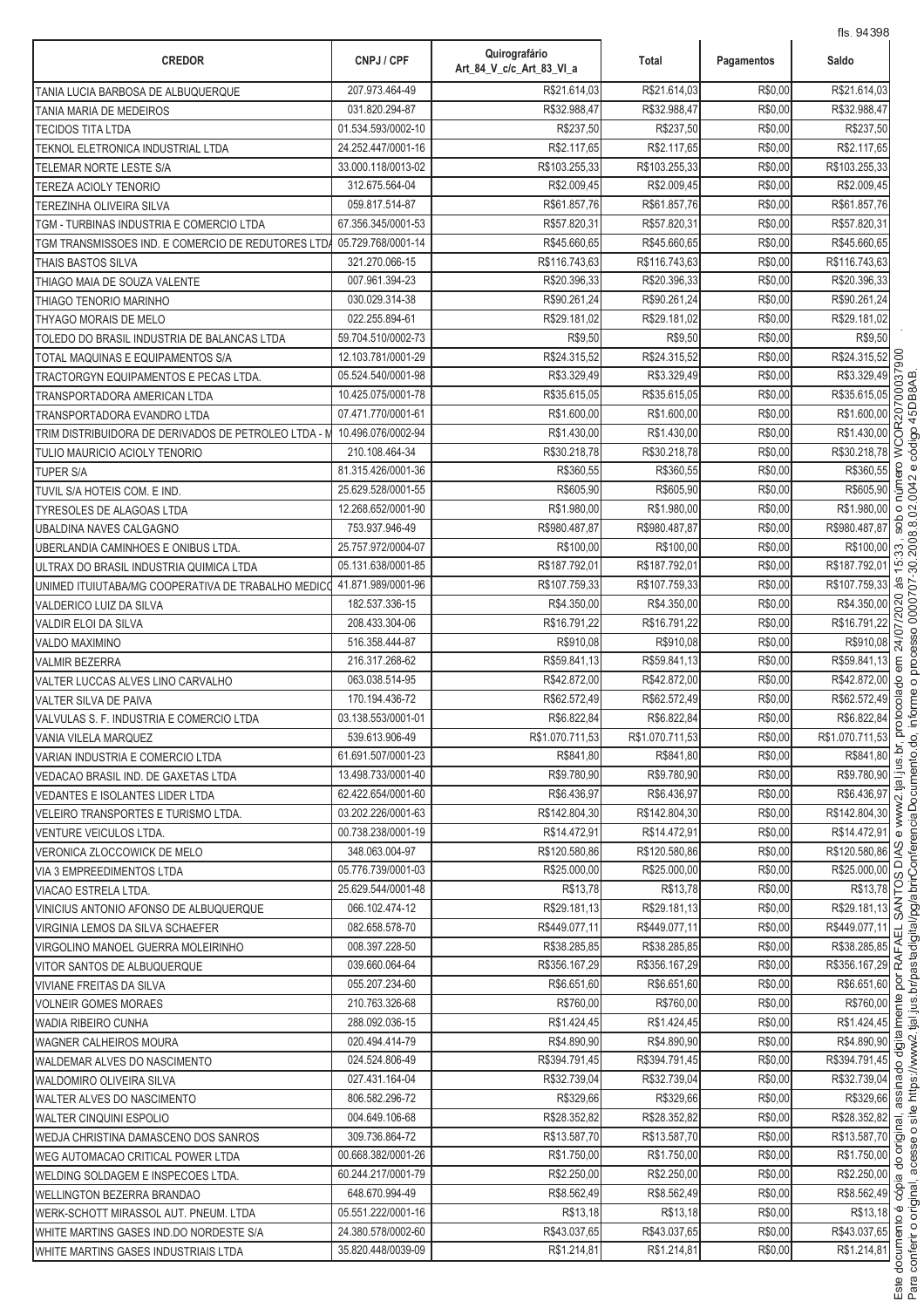| <b>CREDOR</b>                                      | CNPJ / CPF         | Quirografário<br>Art_84_V_c/c_Art_83_VI_a | Total           | Pagamentos | <b>IIS. 94398</b><br>Saldo                                                                                                                                                                                                                                                                                                                                 |
|----------------------------------------------------|--------------------|-------------------------------------------|-----------------|------------|------------------------------------------------------------------------------------------------------------------------------------------------------------------------------------------------------------------------------------------------------------------------------------------------------------------------------------------------------------|
| TANIA LUCIA BARBOSA DE ALBUQUERQUE                 | 207.973.464-49     | R\$21.614,03                              | R\$21.614,03    | R\$0,00    | R\$21.614,03                                                                                                                                                                                                                                                                                                                                               |
| TANIA MARIA DE MEDEIROS                            | 031.820.294-87     | R\$32.988,47                              | R\$32.988,47    | R\$0,00    | R\$32.988,47                                                                                                                                                                                                                                                                                                                                               |
| TECIDOS TITA LTDA                                  | 01.534.593/0002-10 | R\$237,50                                 | R\$237,50       | R\$0,00    | R\$237,50                                                                                                                                                                                                                                                                                                                                                  |
| TEKNOL ELETRONICA INDUSTRIAL LTDA                  | 24.252.447/0001-16 | R\$2.117,65                               | R\$2.117,65     | R\$0,00    | R\$2.117,65                                                                                                                                                                                                                                                                                                                                                |
| TELEMAR NORTE LESTE S/A                            | 33.000.118/0013-02 | R\$103.255,33                             | R\$103.255,33   | R\$0,00    | R\$103.255,33                                                                                                                                                                                                                                                                                                                                              |
| <b>TEREZA ACIOLY TENORIO</b>                       | 312.675.564-04     | R\$2.009,45                               | R\$2.009,45     | R\$0,00    | R\$2.009,45                                                                                                                                                                                                                                                                                                                                                |
| TEREZINHA OLIVEIRA SILVA                           | 059.817.514-87     | R\$61.857,76                              | R\$61.857,76    | R\$0,00    | R\$61.857,76                                                                                                                                                                                                                                                                                                                                               |
| TGM - TURBINAS INDUSTRIA E COMERCIO LTDA           | 67.356.345/0001-53 | R\$57.820,31                              | R\$57.820,31    | R\$0,00    | R\$57.820,31                                                                                                                                                                                                                                                                                                                                               |
| TGM TRANSMISSOES IND. E COMERCIO DE REDUTORES LTDA | 05.729.768/0001-14 | R\$45.660,65                              | R\$45,660.65    | R\$0,00    | R\$45.660,65                                                                                                                                                                                                                                                                                                                                               |
| THAIS BASTOS SILVA                                 | 321.270.066-15     | R\$116.743,63                             | R\$116.743,63   | R\$0,00    | R\$116.743,63                                                                                                                                                                                                                                                                                                                                              |
| THIAGO MAIA DE SOUZA VALENTE                       | 007.961.394-23     | R\$20.396,33                              | R\$20.396,33    | R\$0,00    | R\$20.396,33                                                                                                                                                                                                                                                                                                                                               |
| THIAGO TENORIO MARINHO                             | 030.029.314-38     | R\$90.261,24                              | R\$90.261,24    | R\$0,00    | R\$90.261,24                                                                                                                                                                                                                                                                                                                                               |
| THYAGO MORAIS DE MELO                              | 022.255.894-61     | R\$29.181,02                              | R\$29.181,02    | R\$0,00    | R\$29.181,02                                                                                                                                                                                                                                                                                                                                               |
| TOLEDO DO BRASIL INDUSTRIA DE BALANCAS LTDA        | 59.704.510/0002-73 | R\$9,50                                   | R\$9,50         | R\$0,00    | R\$9,50                                                                                                                                                                                                                                                                                                                                                    |
| TOTAL MAQUINAS E EQUIPAMENTOS S/A                  | 12.103.781/0001-29 | R\$24.315,52                              | R\$24.315,52    | R\$0,00    | R\$24.315,52                                                                                                                                                                                                                                                                                                                                               |
| TRACTORGYN EQUIPAMENTOS E PECAS LTDA.              | 05.524.540/0001-98 | R\$3.329,49                               | R\$3.329,49     | R\$0,00    |                                                                                                                                                                                                                                                                                                                                                            |
| TRANSPORTADORA AMERICAN LTDA                       | 10.425.075/0001-78 | R\$35.615,05                              | R\$35.615,05    | R\$0,00    | R\$35.615,05                                                                                                                                                                                                                                                                                                                                               |
| TRANSPORTADORA EVANDRO LTDA                        | 07.471.770/0001-61 | R\$1.600,00                               | R\$1.600,00     | R\$0,00    |                                                                                                                                                                                                                                                                                                                                                            |
| TRIM DISTRIBUIDORA DE DERIVADOS DE PETROLEO LTDA - | 10.496.076/0002-94 | R\$1.430,00                               | R\$1.430,00     | R\$0,00    |                                                                                                                                                                                                                                                                                                                                                            |
| TULIO MAURICIO ACIOLY TENORIO                      | 210.108.464-34     | R\$30.218,78                              | R\$30.218,78    | R\$0,00    | R\$24.315,52<br>R\$3.329,49<br>R\$3.329,49<br>R\$35.615,05<br>R\$1.600,00<br>R\$1.430,00<br>R\$1.430,00<br>R\$30.218,78<br>R\$30.218,78                                                                                                                                                                                                                    |
| <b>TUPER S/A</b>                                   | 81.315.426/0001-36 | R\$360,55                                 | R\$360,55       | R\$0,00    | e.o<br>R\$360,55                                                                                                                                                                                                                                                                                                                                           |
| TUVIL S/A HOTEIS COM. E IND.                       | 25.629.528/0001-55 | R\$605,90                                 | R\$605,90       | R\$0,00    | R\$605,90                                                                                                                                                                                                                                                                                                                                                  |
| TYRESOLES DE ALAGOAS LTDA                          | 12.268.652/0001-90 | R\$1.980,00                               | R\$1.980,00     | R\$0,00    | R\$1.980,00<br>$\circ$                                                                                                                                                                                                                                                                                                                                     |
| UBALDINA NAVES CALGAGNO                            | 753.937.946-49     | R\$980.487,87                             | R\$980.487,87   | R\$0,00    | sob<br>R\$980.487,87                                                                                                                                                                                                                                                                                                                                       |
| UBERLANDIA CAMINHOES E ONIBUS LTDA.                | 25.757.972/0004-07 | R\$100,00                                 | R\$100,00       | R\$0,00    | R\$100,00<br>33                                                                                                                                                                                                                                                                                                                                            |
| ULTRAX DO BRASIL INDUSTRIA QUIMICA LTDA            | 05.131.638/0001-85 | R\$187.792,01                             | R\$187.792,01   | R\$0,00    | R\$187.792,01<br>$\overline{5}$                                                                                                                                                                                                                                                                                                                            |
| UNIMED ITUIUTABA/MG COOPERATIVA DE TRABALHO MEDIC  | 41.871.989/0001-96 | R\$107.759,33                             | R\$107.759,33   | R\$0,00    | æ.<br>R\$107.759,33                                                                                                                                                                                                                                                                                                                                        |
| VALDERICO LUIZ DA SILVA                            | 182.537.336-15     | R\$4.350,00                               | R\$4.350,00     | R\$0,00    |                                                                                                                                                                                                                                                                                                                                                            |
| VALDIR ELOI DA SILVA                               | 208.433.304-06     | R\$16.791,22                              | R\$16.791,22    | R\$0,00    | R\$16.791,22                                                                                                                                                                                                                                                                                                                                               |
| <b>VALDO MAXIMINO</b>                              | 516.358.444-87     | R\$910.08                                 | R\$910.08       | R\$0,00    | R\$4.350,00<br>R\$16.791,22<br>R\$910,08<br>R\$910,08                                                                                                                                                                                                                                                                                                      |
| <b>VALMIR BEZERRA</b>                              | 216.317.268-62     | R\$59.841,13                              | R\$59.841,13    | R\$0,00    | R\$59.841,13<br>em                                                                                                                                                                                                                                                                                                                                         |
| VALTER LUCCAS ALVES LINO CARVALHO                  | 063.038.514-95     | R\$42.872,00                              | R\$42.872,00    | R\$0,00    | R\$42.872,00<br>g                                                                                                                                                                                                                                                                                                                                          |
| VALTER SILVA DE PAIVA                              | 170.194.436-72     | R\$62.572,49                              | R\$62.572,49    | R\$0,00    | R\$62.572,49                                                                                                                                                                                                                                                                                                                                               |
| VALVULAS S. F. INDUSTRIA E COMERCIO LTDA           | 03.138.553/0001-01 | R\$6.822,84                               | R\$6.822,84     | R\$0,00    | otocola<br>R\$6.822,84                                                                                                                                                                                                                                                                                                                                     |
| VANIA VILELA MARQUEZ                               | 539.613.906-49     | R\$1.070.711,53                           | R\$1.070.711,53 | R\$0,00    | R\$1.070.711,53                                                                                                                                                                                                                                                                                                                                            |
| VARIAN INDUSTRIA E COMERCIO LTDA                   | 61.691.507/0001-23 | R\$841,80                                 | R\$841,80       | R\$0,00    | R\$841,80                                                                                                                                                                                                                                                                                                                                                  |
| VEDACAO BRASIL IND. DE GAXETAS LTDA                | 13.498.733/0001-40 | R\$9.780,90                               | R\$9.780,90     | R\$0,00    | $\frac{13}{12}$<br>R\$9.780,90                                                                                                                                                                                                                                                                                                                             |
| <b>VEDANTES E ISOLANTES LIDER LTDA</b>             | 62.422.654/0001-60 | R\$6.436,97                               | R\$6.436,97     | R\$0,00    | R\$6.436,97                                                                                                                                                                                                                                                                                                                                                |
| VELEIRO TRANSPORTES E TURISMO LTDA.                | 03.202.226/0001-63 | R\$142.804,30                             | R\$142.804,30   | R\$0,00    | R\$142.804,30                                                                                                                                                                                                                                                                                                                                              |
| VENTURE VEICULOS LTDA.                             | 00.738.238/0001-19 | R\$14.472.91                              | R\$14.472,91    | R\$0,00    | R\$14.472,91<br>$\omega$                                                                                                                                                                                                                                                                                                                                   |
| VERONICA ZLOCCOWICK DE MELO                        | 348.063.004-97     | R\$120.580,86                             | R\$120.580,86   | R\$0,00    | R\$120.580,86 9                                                                                                                                                                                                                                                                                                                                            |
| VIA 3 EMPREEDIMENTOS LTDA                          | 05.776.739/0001-03 | R\$25.000,00                              | R\$25.000.00    | R\$0,00    | R\$25.000,00                                                                                                                                                                                                                                                                                                                                               |
| VIACAO ESTRELA LTDA.                               | 25.629.544/0001-48 | R\$13,78                                  | R\$13,78        | R\$0,00    |                                                                                                                                                                                                                                                                                                                                                            |
| VINICIUS ANTONIO AFONSO DE ALBUQUERQUE             | 066.102.474-12     | R\$29.181,13                              | R\$29.181,13    | R\$0,00    | $\frac{R$25.000,00}{R$13,78} \times \frac{1}{R$29.181,13} \times \frac{1}{R$29.181,13} \times \frac{1}{R$19.119} \times \frac{1}{R$19.119} \times \frac{1}{R$19.119} \times \frac{1}{R$19.119} \times \frac{1}{R$19.119} \times \frac{1}{R$19.119} \times \frac{1}{R$19.119} \times \frac{1}{R$19.119} \times \frac{1}{R$19.119} \times \frac{1}{R$19.119$ |
| VIRGINIA LEMOS DA SILVA SCHAEFER                   | 082.658.578-70     | R\$449.077,11                             | R\$449.077.11   | R\$0,00    | R\$449.077,11                                                                                                                                                                                                                                                                                                                                              |
| VIRGOLINO MANOEL GUERRA MOLEIRINHO                 | 008.397.228-50     | R\$38.285,85                              | R\$38.285,85    | R\$0,00    | 긊<br>R\$38.285,85                                                                                                                                                                                                                                                                                                                                          |
| VITOR SANTOS DE ALBUQUERQUE                        | 039.660.064-64     | R\$356.167,29                             | R\$356.167,29   | R\$0,00    | R\$356.167,29 $\overrightarrow{\alpha}$                                                                                                                                                                                                                                                                                                                    |
| <b>VIVIANE FREITAS DA SILVA</b>                    | 055.207.234-60     | R\$6.651,60                               | R\$6.651,60     | R\$0,00    | R\$6.651,60 2                                                                                                                                                                                                                                                                                                                                              |
| <b>VOLNEIR GOMES MORAES</b>                        | 210.763.326-68     | R\$760,00                                 | R\$760,00       | R\$0,00    | R\$760,00 음                                                                                                                                                                                                                                                                                                                                                |
| WADIA RIBEIRO CUNHA                                | 288.092.036-15     | R\$1.424,45                               | R\$1.424,45     | R\$0,00    |                                                                                                                                                                                                                                                                                                                                                            |
| WAGNER CALHEIROS MOURA                             | 020.494.414-79     | R\$4.890,90                               | R\$4.890,90     | R\$0,00    | $\frac{R$1.424,45}{R$4.890,90}$ $\frac{E}{B}$                                                                                                                                                                                                                                                                                                              |
| WALDEMAR ALVES DO NASCIMENTO                       | 024.524.806-49     | R\$394.791,45                             | R\$394.791,45   | R\$0,00    | R\$394.791,45                                                                                                                                                                                                                                                                                                                                              |
| WALDOMIRO OLIVEIRA SILVA                           | 027.431.164-04     | R\$32.739,04                              | R\$32.739,04    | R\$0,00    | R\$32.739,04 g                                                                                                                                                                                                                                                                                                                                             |
| WALTER ALVES DO NASCIMENTO                         | 806.582.296-72     | R\$329,66                                 | R\$329,66       | R\$0,00    | R\$329,66 %                                                                                                                                                                                                                                                                                                                                                |
| <b>WALTER CINQUINI ESPOLIO</b>                     | 004.649.106-68     | R\$28.352,82                              | R\$28.352,82    | R\$0,00    | $\sqrt{R$28.352,82}$                                                                                                                                                                                                                                                                                                                                       |
| WEDJA CHRISTINA DAMASCENO DOS SANROS               | 309.736.864-72     | R\$13.587,70                              | R\$13.587,70    | R\$0,00    | R\$13.587,70 호                                                                                                                                                                                                                                                                                                                                             |
| WEG AUTOMACAO CRITICAL POWER LTDA                  | 00.668.382/0001-26 | R\$1.750,00                               | R\$1.750,00     | R\$0,00    | R\$1.750,00                                                                                                                                                                                                                                                                                                                                                |
| WELDING SOLDAGEM E INSPECOES LTDA.                 | 60.244.217/0001-79 | R\$2.250,00                               | R\$2.250,00     | R\$0,00    | R\$1.750,00<br>R\$2.250,00<br>R\$8.562,49<br>8                                                                                                                                                                                                                                                                                                             |
|                                                    | 648.670.994-49     | R\$8.562,49                               | R\$8.562,49     | R\$0,00    |                                                                                                                                                                                                                                                                                                                                                            |
| <b>WELLINGTON BEZERRA BRANDAO</b>                  | 05.551.222/0001-16 | R\$13,18                                  | R\$13,18        | R\$0,00    | R\$13,18                                                                                                                                                                                                                                                                                                                                                   |
| WERK-SCHOTT MIRASSOL AUT. PNEUM. LTDA              | 24.380.578/0002-60 | R\$43.037,65                              | R\$43.037,65    | R\$0,00    | R\$43.037,65 <u>e</u>                                                                                                                                                                                                                                                                                                                                      |
| WHITE MARTINS GASES IND.DO NORDESTE S/A            | 35.820.448/0039-09 | R\$1.214,81                               | R\$1.214,81     | R\$0,00    | R\$1.214,81                                                                                                                                                                                                                                                                                                                                                |
| WHITE MARTINS GASES INDUSTRIAIS LTDA               |                    |                                           |                 |            |                                                                                                                                                                                                                                                                                                                                                            |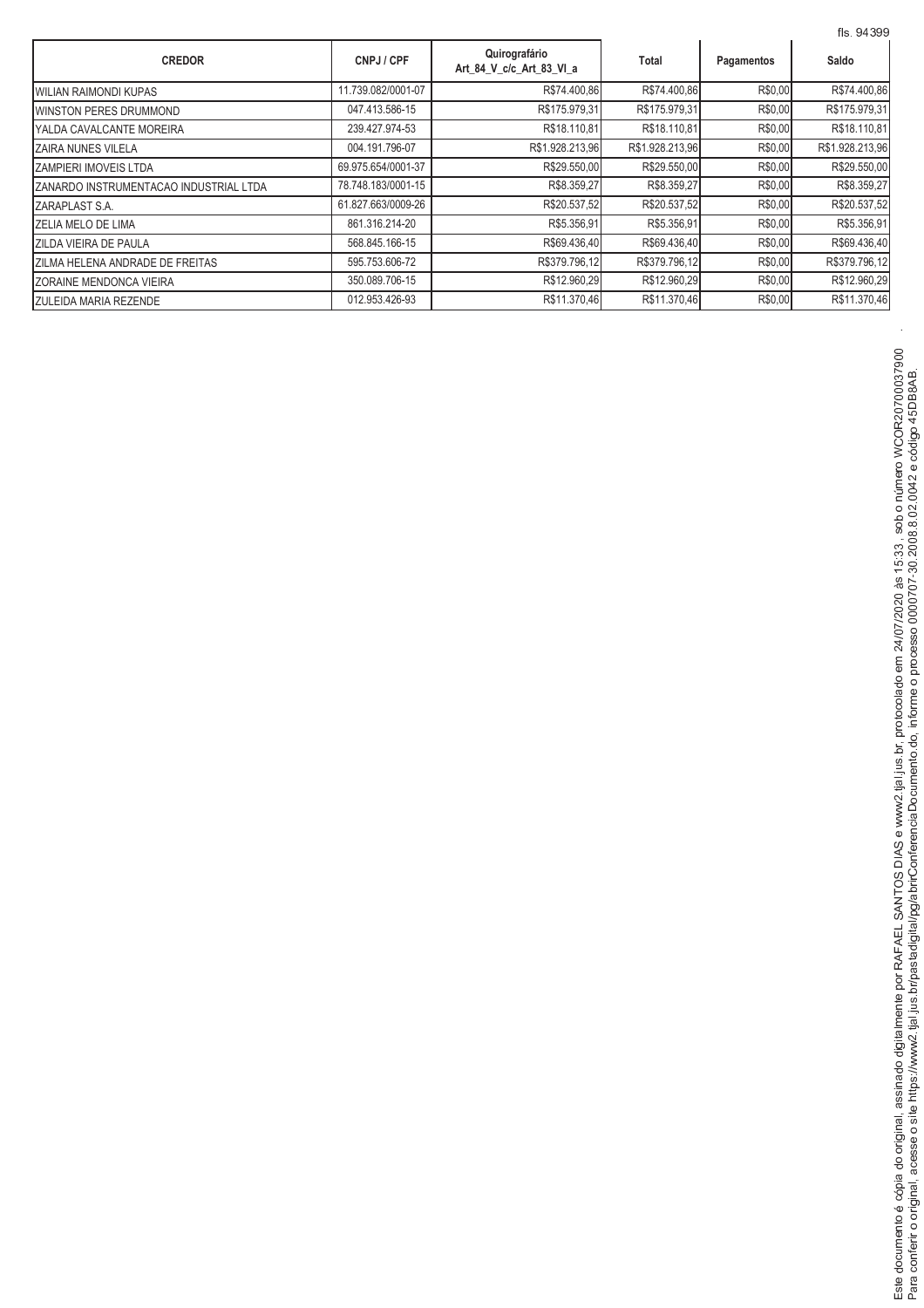|                                        |                    |                                           |                 |            | fls. 94399      |
|----------------------------------------|--------------------|-------------------------------------------|-----------------|------------|-----------------|
| <b>CREDOR</b>                          | CNPJ / CPF         | Quirografário<br>Art 84 V c/c Art 83 VI a | Total           | Pagamentos | Saldo           |
| <b>WILIAN RAIMONDI KUPAS</b>           | 11.739.082/0001-07 | R\$74.400,86                              | R\$74.400,86    | R\$0,00    | R\$74.400,86    |
| <b>IWINSTON PERES DRUMMOND</b>         | 047.413.586-15     | R\$175.979,31                             | R\$175.979,31   | R\$0,00    | R\$175.979,31   |
| YALDA CAVALCANTE MOREIRA               | 239.427.974-53     | R\$18.110,81                              | R\$18.110,81    | R\$0,00    | R\$18.110,81    |
| <b>ZAIRA NUNES VILELA</b>              | 004.191.796-07     | R\$1.928.213,96                           | R\$1.928.213,96 | R\$0,00    | R\$1.928.213,96 |
| <b>ZAMPIERI IMOVEIS LTDA</b>           | 69.975.654/0001-37 | R\$29.550,00                              | R\$29.550,00    | R\$0,00    | R\$29.550,00    |
| ZANARDO INSTRUMENTACAO INDUSTRIAL LTDA | 78.748.183/0001-15 | R\$8.359,27                               | R\$8.359,27     | R\$0,00    | R\$8.359,27     |
| <b>ZARAPLAST S.A.</b>                  | 61.827.663/0009-26 | R\$20.537,52                              | R\$20.537,52    | R\$0,00    | R\$20.537,52    |
| <b>IZELIA MELO DE LIMA</b>             | 861.316.214-20     | R\$5.356,91                               | R\$5.356,91     | R\$0,00    | R\$5.356,91     |
| <b>ZILDA VIEIRA DE PAULA</b>           | 568.845.166-15     | R\$69.436,40                              | R\$69.436,40    | R\$0,00    | R\$69.436,40    |
| <b>ZILMA HELENA ANDRADE DE FREITAS</b> | 595.753.606-72     | R\$379.796,12                             | R\$379.796,12   | R\$0,00    | R\$379.796,12   |
| ZORAINE MENDONCA VIEIRA                | 350.089.706-15     | R\$12.960,29                              | R\$12.960,29    | R\$0,00    | R\$12.960,29    |
| <b>ZULEIDA MARIA REZENDE</b>           | 012.953.426-93     | R\$11.370,46                              | R\$11.370,46    | R\$0,00    | R\$11.370,46    |